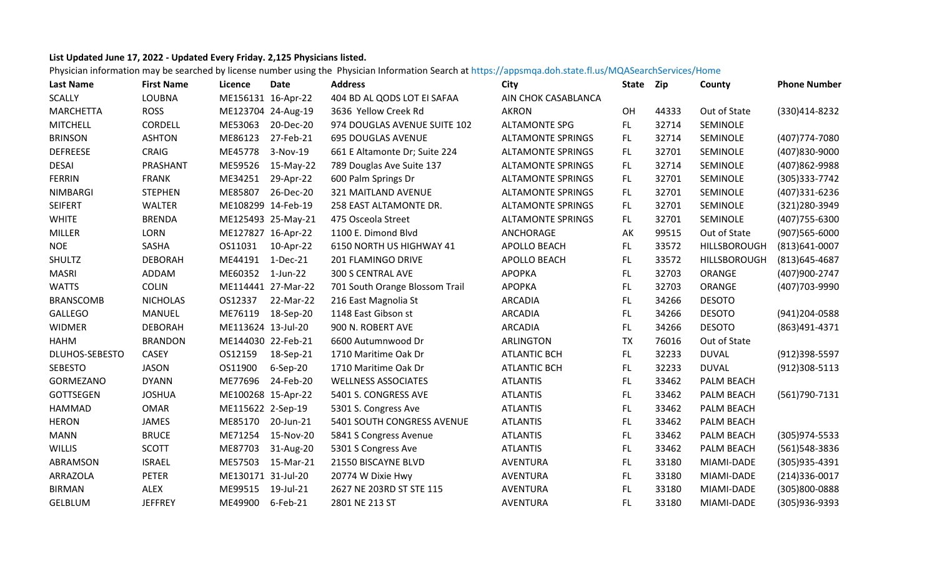## **List Updated June 17, 2022 ‐ Updated Every Friday. 2,125 Physicians listed.**

Physician information may be searched by license number using the Physician Information Search at https://appsmqa.doh.state.fl.us/MQASearchServices/Home

| Last Name        | <b>First Name</b> | Licence            | Date               | <b>Address</b>                 | City                     | <b>State</b> | Zip   | County        | <b>Phone Number</b> |
|------------------|-------------------|--------------------|--------------------|--------------------------------|--------------------------|--------------|-------|---------------|---------------------|
| <b>SCALLY</b>    | LOUBNA            | ME156131 16-Apr-22 |                    | 404 BD AL QODS LOT EI SAFAA    | AIN CHOK CASABLANCA      |              |       |               |                     |
| <b>MARCHETTA</b> | <b>ROSS</b>       |                    | ME123704 24-Aug-19 | 3636 Yellow Creek Rd           | <b>AKRON</b>             | OH           | 44333 | Out of State  | (330)414-8232       |
| <b>MITCHELL</b>  | <b>CORDELL</b>    | ME53063            | 20-Dec-20          | 974 DOUGLAS AVENUE SUITE 102   | <b>ALTAMONTE SPG</b>     | FL.          | 32714 | SEMINOLE      |                     |
| <b>BRINSON</b>   | <b>ASHTON</b>     | ME86123            | 27-Feb-21          | <b>695 DOUGLAS AVENUE</b>      | <b>ALTAMONTE SPRINGS</b> | FL.          | 32714 | SEMINOLE      | (407) 774-7080      |
| <b>DEFREESE</b>  | CRAIG             | ME45778            | 3-Nov-19           | 661 E Altamonte Dr; Suite 224  | <b>ALTAMONTE SPRINGS</b> | FL.          | 32701 | SEMINOLE      | (407)830-9000       |
| <b>DESAI</b>     | PRASHANT          | ME59526            | 15-May-22          | 789 Douglas Ave Suite 137      | <b>ALTAMONTE SPRINGS</b> | FL.          | 32714 | SEMINOLE      | (407)862-9988       |
| <b>FERRIN</b>    | <b>FRANK</b>      | ME34251            | 29-Apr-22          | 600 Palm Springs Dr            | <b>ALTAMONTE SPRINGS</b> | FL.          | 32701 | SEMINOLE      | (305) 333-7742      |
| <b>NIMBARGI</b>  | <b>STEPHEN</b>    | ME85807            | 26-Dec-20          | 321 MAITLAND AVENUE            | <b>ALTAMONTE SPRINGS</b> | FL.          | 32701 | SEMINOLE      | (407)331-6236       |
| <b>SEIFERT</b>   | <b>WALTER</b>     | ME108299 14-Feb-19 |                    | 258 EAST ALTAMONTE DR.         | <b>ALTAMONTE SPRINGS</b> | FL.          | 32701 | SEMINOLE      | (321) 280-3949      |
| <b>WHITE</b>     | <b>BRENDA</b>     |                    | ME125493 25-May-21 | 475 Osceola Street             | <b>ALTAMONTE SPRINGS</b> | FL.          | 32701 | SEMINOLE      | (407) 755-6300      |
| <b>MILLER</b>    | <b>LORN</b>       | ME127827 16-Apr-22 |                    | 1100 E. Dimond Blvd            | ANCHORAGE                | AK           | 99515 | Out of State  | $(907)565 - 6000$   |
| <b>NOE</b>       | SASHA             | OS11031            | 10-Apr-22          | 6150 NORTH US HIGHWAY 41       | APOLLO BEACH             | FL.          | 33572 | HILLSBOROUGH  | $(813)641 - 0007$   |
| <b>SHULTZ</b>    | <b>DEBORAH</b>    | ME44191 1-Dec-21   |                    | 201 FLAMINGO DRIVE             | APOLLO BEACH             | <b>FL</b>    | 33572 | HILLSBOROUGH  | $(813)645 - 4687$   |
| <b>MASRI</b>     | ADDAM             | ME60352            | $1$ -Jun-22        | 300 S CENTRAL AVE              | <b>APOPKA</b>            | FL.          | 32703 | ORANGE        | (407)900-2747       |
| <b>WATTS</b>     | <b>COLIN</b>      |                    | ME114441 27-Mar-22 | 701 South Orange Blossom Trail | <b>APOPKA</b>            | FL.          | 32703 | ORANGE        | (407) 703-9990      |
| <b>BRANSCOMB</b> | <b>NICHOLAS</b>   | OS12337            | 22-Mar-22          | 216 East Magnolia St           | <b>ARCADIA</b>           | FL.          | 34266 | <b>DESOTO</b> |                     |
| <b>GALLEGO</b>   | <b>MANUEL</b>     | ME76119            | 18-Sep-20          | 1148 East Gibson st            | <b>ARCADIA</b>           | FL.          | 34266 | <b>DESOTO</b> | (941)204-0588       |
| <b>WIDMER</b>    | <b>DEBORAH</b>    | ME113624 13-Jul-20 |                    | 900 N. ROBERT AVE              | <b>ARCADIA</b>           | FL.          | 34266 | <b>DESOTO</b> | (863)491-4371       |
| <b>HAHM</b>      | <b>BRANDON</b>    | ME144030 22-Feb-21 |                    | 6600 Autumnwood Dr             | <b>ARLINGTON</b>         | <b>TX</b>    | 76016 | Out of State  |                     |
| DLUHOS-SEBESTO   | <b>CASEY</b>      | OS12159            | 18-Sep-21          | 1710 Maritime Oak Dr           | <b>ATLANTIC BCH</b>      | FL           | 32233 | <b>DUVAL</b>  | (912)398-5597       |
| <b>SEBESTO</b>   | <b>JASON</b>      | OS11900            | $6-$ Sep $-20$     | 1710 Maritime Oak Dr           | <b>ATLANTIC BCH</b>      | <b>FL</b>    | 32233 | <b>DUVAL</b>  | $(912)308 - 5113$   |
| GORMEZANO        | <b>DYANN</b>      | ME77696            | 24-Feb-20          | <b>WELLNESS ASSOCIATES</b>     | <b>ATLANTIS</b>          | FL.          | 33462 | PALM BEACH    |                     |
| <b>GOTTSEGEN</b> | <b>JOSHUA</b>     | ME100268 15-Apr-22 |                    | 5401 S. CONGRESS AVE           | <b>ATLANTIS</b>          | FL.          | 33462 | PALM BEACH    | (561) 790-7131      |
| <b>HAMMAD</b>    | <b>OMAR</b>       | ME115622 2-Sep-19  |                    | 5301 S. Congress Ave           | <b>ATLANTIS</b>          | <b>FL</b>    | 33462 | PALM BEACH    |                     |
| <b>HERON</b>     | JAMES             | ME85170            | 20-Jun-21          | 5401 SOUTH CONGRESS AVENUE     | <b>ATLANTIS</b>          | FL.          | 33462 | PALM BEACH    |                     |
| <b>MANN</b>      | <b>BRUCE</b>      | ME71254            | 15-Nov-20          | 5841 S Congress Avenue         | <b>ATLANTIS</b>          | FL.          | 33462 | PALM BEACH    | $(305)974 - 5533$   |
| WILLIS           | <b>SCOTT</b>      | ME87703            | 31-Aug-20          | 5301 S Congress Ave            | <b>ATLANTIS</b>          | <b>FL</b>    | 33462 | PALM BEACH    | (561)548-3836       |
| ABRAMSON         | <b>ISRAEL</b>     | ME57503            | 15-Mar-21          | 21550 BISCAYNE BLVD            | <b>AVENTURA</b>          | FL           | 33180 | MIAMI-DADE    | (305)935-4391       |
| ARRAZOLA         | <b>PETER</b>      | ME130171 31-Jul-20 |                    | 20774 W Dixie Hwy              | AVENTURA                 | <b>FL</b>    | 33180 | MIAMI-DADE    | $(214)336-0017$     |
| <b>BIRMAN</b>    | ALEX              | ME99515            | 19-Jul-21          | 2627 NE 203RD ST STE 115       | AVENTURA                 | <b>FL</b>    | 33180 | MIAMI-DADE    | (305)800-0888       |
| <b>GELBLUM</b>   | <b>JEFFREY</b>    | ME49900            | 6-Feb-21           | 2801 NE 213 ST                 | <b>AVENTURA</b>          | <b>FL</b>    | 33180 | MIAMI-DADE    | (305)936-9393       |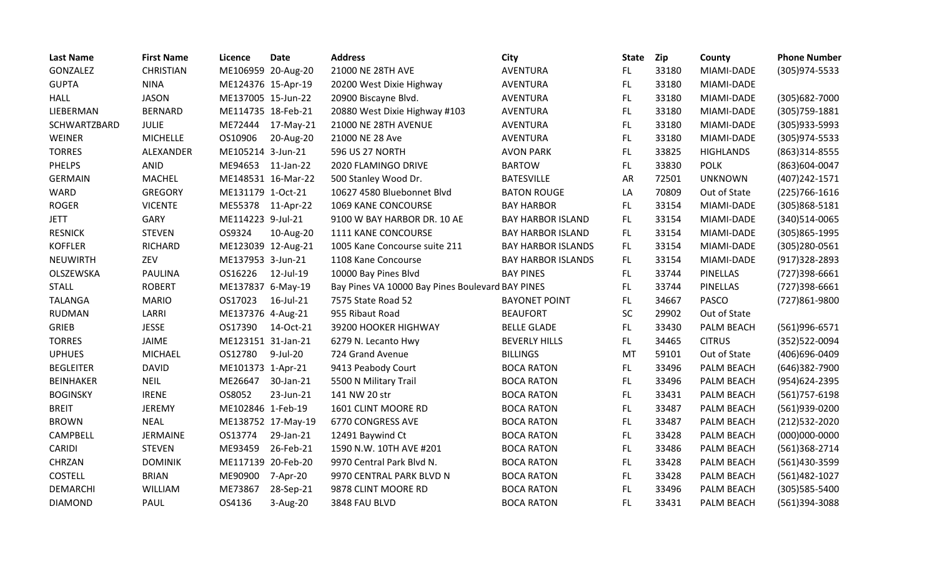| <b>Last Name</b> | <b>First Name</b> | Licence            | <b>Date</b>        | <b>Address</b>                                   | City                      | <b>State</b> | <b>Zip</b> | County            | <b>Phone Number</b> |
|------------------|-------------------|--------------------|--------------------|--------------------------------------------------|---------------------------|--------------|------------|-------------------|---------------------|
| GONZALEZ         | <b>CHRISTIAN</b>  | ME106959 20-Aug-20 |                    | 21000 NE 28TH AVE                                | AVENTURA                  | FL.          | 33180      | MIAMI-DADE        | (305)974-5533       |
| <b>GUPTA</b>     | <b>NINA</b>       | ME124376 15-Apr-19 |                    | 20200 West Dixie Highway                         | <b>AVENTURA</b>           | FL.          | 33180      | MIAMI-DADE        |                     |
| <b>HALL</b>      | <b>JASON</b>      | ME137005 15-Jun-22 |                    | 20900 Biscayne Blvd.                             | AVENTURA                  | FL.          | 33180      | MIAMI-DADE        | (305) 682-7000      |
| LIEBERMAN        | <b>BERNARD</b>    | ME114735 18-Feb-21 |                    | 20880 West Dixie Highway #103                    | AVENTURA                  | FL           | 33180      | MIAMI-DADE        | (305) 759-1881      |
| SCHWARTZBARD     | <b>JULIE</b>      | ME72444            | 17-May-21          | 21000 NE 28TH AVENUE                             | AVENTURA                  | <b>FL</b>    | 33180      | MIAMI-DADE        | (305)933-5993       |
| WEINER           | <b>MICHELLE</b>   | OS10906            | 20-Aug-20          | 21000 NE 28 Ave                                  | AVENTURA                  | FL           | 33180      | MIAMI-DADE        | (305) 974-5533      |
| <b>TORRES</b>    | ALEXANDER         | ME105214 3-Jun-21  |                    | 596 US 27 NORTH                                  | <b>AVON PARK</b>          | <b>FL</b>    | 33825      | <b>HIGHLANDS</b>  | (863)314-8555       |
| <b>PHELPS</b>    | ANID              | ME94653            | 11-Jan-22          | 2020 FLAMINGO DRIVE                              | <b>BARTOW</b>             | FL           | 33830      | <b>POLK</b>       | (863)604-0047       |
| <b>GERMAIN</b>   | <b>MACHEL</b>     | ME148531 16-Mar-22 |                    | 500 Stanley Wood Dr.                             | <b>BATESVILLE</b>         | <b>AR</b>    | 72501      | <b>UNKNOWN</b>    | (407) 242-1571      |
| <b>WARD</b>      | <b>GREGORY</b>    | ME131179 1-Oct-21  |                    | 10627 4580 Bluebonnet Blvd                       | <b>BATON ROUGE</b>        | LA           | 70809      | Out of State      | $(225)766-1616$     |
| <b>ROGER</b>     | <b>VICENTE</b>    | ME55378 11-Apr-22  |                    | 1069 KANE CONCOURSE                              | <b>BAY HARBOR</b>         | FL.          | 33154      | MIAMI-DADE        | $(305)868 - 5181$   |
| <b>JETT</b>      | GARY              | ME114223 9-Jul-21  |                    | 9100 W BAY HARBOR DR. 10 AE                      | <b>BAY HARBOR ISLAND</b>  | FL           | 33154      | MIAMI-DADE        | (340) 514-0065      |
| <b>RESNICK</b>   | <b>STEVEN</b>     | OS9324             | 10-Aug-20          | 1111 KANE CONCOURSE                              | <b>BAY HARBOR ISLAND</b>  | FL.          | 33154      | MIAMI-DADE        | (305)865-1995       |
| <b>KOFFLER</b>   | <b>RICHARD</b>    | ME123039 12-Aug-21 |                    | 1005 Kane Concourse suite 211                    | <b>BAY HARBOR ISLANDS</b> | FL.          | 33154      | MIAMI-DADE        | $(305)280-0561$     |
| <b>NEUWIRTH</b>  | ZEV               | ME137953 3-Jun-21  |                    | 1108 Kane Concourse                              | <b>BAY HARBOR ISLANDS</b> | FL.          | 33154      | MIAMI-DADE        | $(917)328 - 2893$   |
| OLSZEWSKA        | <b>PAULINA</b>    | OS16226            | 12-Jul-19          | 10000 Bay Pines Blvd                             | <b>BAY PINES</b>          | FL.          | 33744      | <b>PINELLAS</b>   | (727)398-6661       |
| <b>STALL</b>     | <b>ROBERT</b>     | ME137837 6-May-19  |                    | Bay Pines VA 10000 Bay Pines Boulevard BAY PINES |                           | FL           | 33744      | <b>PINELLAS</b>   | (727)398-6661       |
| <b>TALANGA</b>   | <b>MARIO</b>      | OS17023            | 16-Jul-21          | 7575 State Road 52                               | <b>BAYONET POINT</b>      | FL           | 34667      | <b>PASCO</b>      | (727)861-9800       |
| <b>RUDMAN</b>    | LARRI             | ME137376 4-Aug-21  |                    | 955 Ribaut Road                                  | <b>BEAUFORT</b>           | SC           | 29902      | Out of State      |                     |
| <b>GRIEB</b>     | <b>JESSE</b>      | OS17390            | 14-Oct-21          | 39200 HOOKER HIGHWAY                             | <b>BELLE GLADE</b>        | FL.          | 33430      | PALM BEACH        | (561)996-6571       |
| <b>TORRES</b>    | JAIME             | ME123151 31-Jan-21 |                    | 6279 N. Lecanto Hwy                              | <b>BEVERLY HILLS</b>      | FL.          | 34465      | <b>CITRUS</b>     | (352)522-0094       |
| <b>UPHUES</b>    | <b>MICHAEL</b>    | OS12780            | 9-Jul-20           | 724 Grand Avenue                                 | <b>BILLINGS</b>           | MT           | 59101      | Out of State      | (406)696-0409       |
| <b>BEGLEITER</b> | <b>DAVID</b>      | ME101373 1-Apr-21  |                    | 9413 Peabody Court                               | <b>BOCA RATON</b>         | FL.          | 33496      | PALM BEACH        | (646)382-7900       |
| <b>BEINHAKER</b> | <b>NEIL</b>       | ME26647            | 30-Jan-21          | 5500 N Military Trail                            | <b>BOCA RATON</b>         | FL.          | 33496      | PALM BEACH        | (954)624-2395       |
| <b>BOGINSKY</b>  | <b>IRENE</b>      | OS8052             | 23-Jun-21          | 141 NW 20 str                                    | <b>BOCA RATON</b>         | <b>FL</b>    | 33431      | PALM BEACH        | $(561)757-6198$     |
| <b>BREIT</b>     | <b>JEREMY</b>     | ME102846 1-Feb-19  |                    | 1601 CLINT MOORE RD                              | <b>BOCA RATON</b>         | FL.          | 33487      | PALM BEACH        | (561)939-0200       |
| <b>BROWN</b>     | <b>NEAL</b>       |                    | ME138752 17-May-19 | 6770 CONGRESS AVE                                | <b>BOCA RATON</b>         | <b>FL</b>    | 33487      | PALM BEACH        | (212) 532-2020      |
| <b>CAMPBELL</b>  | <b>JERMAINE</b>   | OS13774            | 29-Jan-21          | 12491 Baywind Ct                                 | <b>BOCA RATON</b>         | FL.          | 33428      | PALM BEACH        | $(000)000 - 0000$   |
| <b>CARIDI</b>    | <b>STEVEN</b>     | ME93459            | 26-Feb-21          | 1590 N.W. 10TH AVE #201                          | <b>BOCA RATON</b>         | FL.          | 33486      | PALM BEACH        | (561)368-2714       |
| CHRZAN           | <b>DOMINIK</b>    | ME117139 20-Feb-20 |                    | 9970 Central Park Blvd N.                        | <b>BOCA RATON</b>         | FL.          | 33428      | PALM BEACH        | (561)430-3599       |
| <b>COSTELL</b>   | <b>BRIAN</b>      | ME90900            | 7-Apr-20           | 9970 CENTRAL PARK BLVD N                         | <b>BOCA RATON</b>         | FL.          | 33428      | PALM BEACH        | (561)482-1027       |
| <b>DEMARCHI</b>  | WILLIAM           | ME73867            | 28-Sep-21          | 9878 CLINT MOORE RD                              | <b>BOCA RATON</b>         | <b>FL</b>    | 33496      | PALM BEACH        | (305) 585-5400      |
| <b>DIAMOND</b>   | <b>PAUL</b>       | OS4136             | 3-Aug-20           | 3848 FAU BLVD                                    | <b>BOCA RATON</b>         | FL.          | 33431      | <b>PALM BEACH</b> | (561)394-3088       |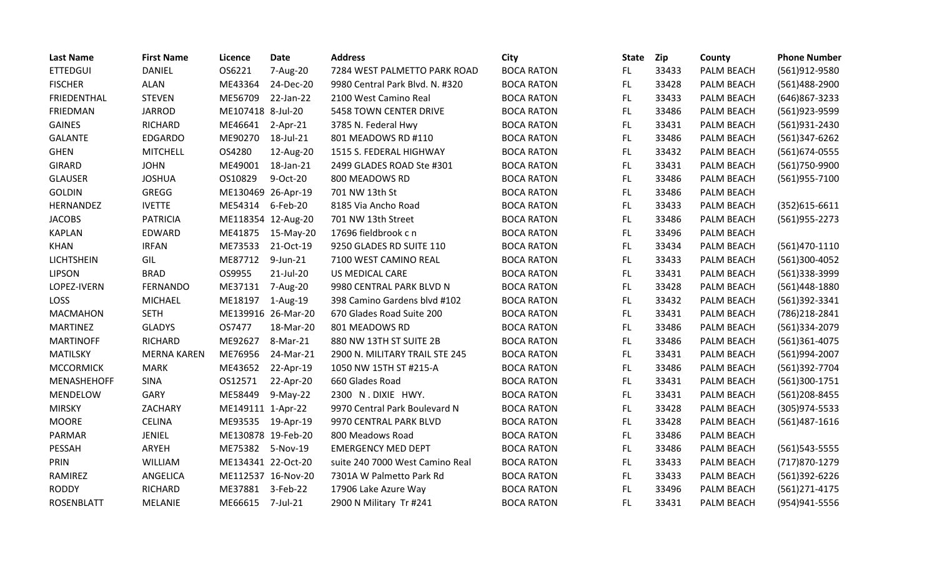| <b>Last Name</b>   | <b>First Name</b>  | Licence            | <b>Date</b>        | <b>Address</b>                  | City              | <b>State</b> | <b>Zip</b> | County     | <b>Phone Number</b> |
|--------------------|--------------------|--------------------|--------------------|---------------------------------|-------------------|--------------|------------|------------|---------------------|
| <b>ETTEDGUI</b>    | DANIEL             | OS6221             | 7-Aug-20           | 7284 WEST PALMETTO PARK ROAD    | <b>BOCA RATON</b> | FL.          | 33433      | PALM BEACH | (561)912-9580       |
| <b>FISCHER</b>     | ALAN               | ME43364            | 24-Dec-20          | 9980 Central Park Blvd. N. #320 | <b>BOCA RATON</b> | <b>FL</b>    | 33428      | PALM BEACH | (561)488-2900       |
| FRIEDENTHAL        | <b>STEVEN</b>      | ME56709            | 22-Jan-22          | 2100 West Camino Real           | <b>BOCA RATON</b> | FL.          | 33433      | PALM BEACH | (646)867-3233       |
| FRIEDMAN           | <b>JARROD</b>      | ME107418 8-Jul-20  |                    | 5458 TOWN CENTER DRIVE          | <b>BOCA RATON</b> | FL           | 33486      | PALM BEACH | (561)923-9599       |
| <b>GAINES</b>      | <b>RICHARD</b>     | ME46641            | 2-Apr-21           | 3785 N. Federal Hwy             | <b>BOCA RATON</b> | <b>FL</b>    | 33431      | PALM BEACH | (561)931-2430       |
| <b>GALANTE</b>     | <b>EDGARDO</b>     | ME90270            | 18-Jul-21          | 801 MEADOWS RD #110             | <b>BOCA RATON</b> | FL.          | 33486      | PALM BEACH | (561)347-6262       |
| <b>GHEN</b>        | <b>MITCHELL</b>    | OS4280             | 12-Aug-20          | 1515 S. FEDERAL HIGHWAY         | <b>BOCA RATON</b> | FL.          | 33432      | PALM BEACH | (561) 674-0555      |
| <b>GIRARD</b>      | <b>JOHN</b>        | ME49001            | 18-Jan-21          | 2499 GLADES ROAD Ste #301       | <b>BOCA RATON</b> | FL           | 33431      | PALM BEACH | (561)750-9900       |
| <b>GLAUSER</b>     | <b>JOSHUA</b>      | OS10829            | 9-Oct-20           | 800 MEADOWS RD                  | <b>BOCA RATON</b> | <b>FL</b>    | 33486      | PALM BEACH | (561)955-7100       |
| <b>GOLDIN</b>      | GREGG              |                    | ME130469 26-Apr-19 | 701 NW 13th St                  | <b>BOCA RATON</b> | FL.          | 33486      | PALM BEACH |                     |
| HERNANDEZ          | <b>IVETTE</b>      | ME54314            | 6-Feb-20           | 8185 Via Ancho Road             | <b>BOCA RATON</b> | <b>FL</b>    | 33433      | PALM BEACH | $(352)615 - 6611$   |
| <b>JACOBS</b>      | <b>PATRICIA</b>    |                    | ME118354 12-Aug-20 | 701 NW 13th Street              | <b>BOCA RATON</b> | <b>FL</b>    | 33486      | PALM BEACH | (561) 955-2273      |
| <b>KAPLAN</b>      | EDWARD             | ME41875            | 15-May-20          | 17696 fieldbrook c n            | <b>BOCA RATON</b> | FL           | 33496      | PALM BEACH |                     |
| <b>KHAN</b>        | <b>IRFAN</b>       | ME73533            | 21-Oct-19          | 9250 GLADES RD SUITE 110        | <b>BOCA RATON</b> | <b>FL</b>    | 33434      | PALM BEACH | $(561)470-1110$     |
| <b>LICHTSHEIN</b>  | GIL                | ME87712            | 9-Jun-21           | 7100 WEST CAMINO REAL           | <b>BOCA RATON</b> | <b>FL</b>    | 33433      | PALM BEACH | (561)300-4052       |
| <b>LIPSON</b>      | <b>BRAD</b>        | OS9955             | 21-Jul-20          | US MEDICAL CARE                 | <b>BOCA RATON</b> | FL.          | 33431      | PALM BEACH | (561)338-3999       |
| LOPEZ-IVERN        | <b>FERNANDO</b>    | ME37131            | 7-Aug-20           | 9980 CENTRAL PARK BLVD N        | <b>BOCA RATON</b> | FL           | 33428      | PALM BEACH | (561)448-1880       |
| LOSS               | <b>MICHAEL</b>     | ME18197            | 1-Aug-19           | 398 Camino Gardens blvd #102    | <b>BOCA RATON</b> | <b>FL</b>    | 33432      | PALM BEACH | (561)392-3341       |
| <b>MACMAHON</b>    | <b>SETH</b>        |                    | ME139916 26-Mar-20 | 670 Glades Road Suite 200       | <b>BOCA RATON</b> | FL.          | 33431      | PALM BEACH | (786) 218-2841      |
| <b>MARTINEZ</b>    | <b>GLADYS</b>      | OS7477             | 18-Mar-20          | 801 MEADOWS RD                  | <b>BOCA RATON</b> | <b>FL</b>    | 33486      | PALM BEACH | (561)334-2079       |
| <b>MARTINOFF</b>   | <b>RICHARD</b>     | ME92627            | 8-Mar-21           | 880 NW 13TH ST SUITE 2B         | <b>BOCA RATON</b> | FL.          | 33486      | PALM BEACH | (561)361-4075       |
| <b>MATILSKY</b>    | <b>MERNA KAREN</b> | ME76956            | 24-Mar-21          | 2900 N. MILITARY TRAIL STE 245  | <b>BOCA RATON</b> | FL.          | 33431      | PALM BEACH | (561)994-2007       |
| <b>MCCORMICK</b>   | <b>MARK</b>        | ME43652            | 22-Apr-19          | 1050 NW 15TH ST #215-A          | <b>BOCA RATON</b> | <b>FL</b>    | 33486      | PALM BEACH | (561)392-7704       |
| <b>MENASHEHOFF</b> | <b>SINA</b>        | OS12571            | 22-Apr-20          | 660 Glades Road                 | <b>BOCA RATON</b> | <b>FL</b>    | 33431      | PALM BEACH | (561)300-1751       |
| MENDELOW           | GARY               | ME58449            | 9-May-22           | 2300 N.DIXIE HWY.               | <b>BOCA RATON</b> | FL.          | 33431      | PALM BEACH | (561) 208-8455      |
| <b>MIRSKY</b>      | ZACHARY            | ME149111 1-Apr-22  |                    | 9970 Central Park Boulevard N   | <b>BOCA RATON</b> | FL.          | 33428      | PALM BEACH | $(305)974 - 5533$   |
| <b>MOORE</b>       | <b>CELINA</b>      | ME93535            | 19-Apr-19          | 9970 CENTRAL PARK BLVD          | <b>BOCA RATON</b> | FL.          | 33428      | PALM BEACH | $(561)487 - 1616$   |
| PARMAR             | JENIEL             |                    | ME130878 19-Feb-20 | 800 Meadows Road                | <b>BOCA RATON</b> | FL.          | 33486      | PALM BEACH |                     |
| PESSAH             | ARYEH              | ME75382            | 5-Nov-19           | <b>EMERGENCY MED DEPT</b>       | <b>BOCA RATON</b> | FL.          | 33486      | PALM BEACH | (561) 543-5555      |
| PRIN               | WILLIAM            | ME134341 22-Oct-20 |                    | suite 240 7000 West Camino Real | <b>BOCA RATON</b> | <b>FL</b>    | 33433      | PALM BEACH | (717) 870-1279      |
| RAMIREZ            | ANGELICA           |                    | ME112537 16-Nov-20 | 7301A W Palmetto Park Rd        | <b>BOCA RATON</b> | FL.          | 33433      | PALM BEACH | (561)392-6226       |
| <b>RODDY</b>       | <b>RICHARD</b>     | ME37881            | 3-Feb-22           | 17906 Lake Azure Way            | <b>BOCA RATON</b> | <b>FL</b>    | 33496      | PALM BEACH | $(561)$ 271-4175    |
| <b>ROSENBLATT</b>  | <b>MELANIE</b>     | ME66615            | 7-Jul-21           | 2900 N Military Tr #241         | <b>BOCA RATON</b> | FL           | 33431      | PALM BEACH | (954)941-5556       |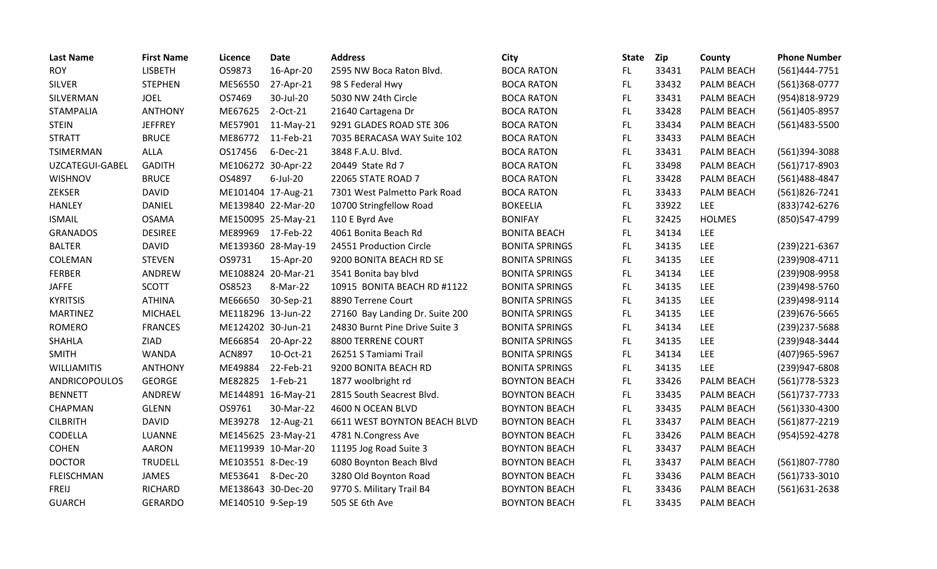| <b>Last Name</b>     | <b>First Name</b> | Licence            | <b>Date</b>        | <b>Address</b>                      | City                  | <b>State</b> | Zip   | County            | <b>Phone Number</b> |
|----------------------|-------------------|--------------------|--------------------|-------------------------------------|-----------------------|--------------|-------|-------------------|---------------------|
| <b>ROY</b>           | <b>LISBETH</b>    | OS9873             | 16-Apr-20          | 2595 NW Boca Raton Blvd.            | <b>BOCA RATON</b>     | FL.          | 33431 | PALM BEACH        | (561)444-7751       |
| <b>SILVER</b>        | <b>STEPHEN</b>    | ME56550            | 27-Apr-21          | 98 S Federal Hwy                    | <b>BOCA RATON</b>     | FL.          | 33432 | PALM BEACH        | (561)368-0777       |
| SILVERMAN            | <b>JOEL</b>       | OS7469             | 30-Jul-20          | 5030 NW 24th Circle                 | <b>BOCA RATON</b>     | FL.          | 33431 | PALM BEACH        | (954)818-9729       |
| <b>STAMPALIA</b>     | <b>ANTHONY</b>    | ME67625            | 2-Oct-21           | 21640 Cartagena Dr                  | <b>BOCA RATON</b>     | FL.          | 33428 | PALM BEACH        | (561)405-8957       |
| <b>STEIN</b>         | <b>JEFFREY</b>    | ME57901            | 11-May-21          | 9291 GLADES ROAD STE 306            | <b>BOCA RATON</b>     | FL.          | 33434 | PALM BEACH        | (561)483-5500       |
| <b>STRATT</b>        | <b>BRUCE</b>      | ME86772            | 11-Feb-21          | 7035 BERACASA WAY Suite 102         | <b>BOCA RATON</b>     | FL.          | 33433 | PALM BEACH        |                     |
| <b>TSIMERMAN</b>     | ALLA              | OS17456            | 6-Dec-21           | 3848 F.A.U. Blvd.                   | <b>BOCA RATON</b>     | FL           | 33431 | PALM BEACH        | (561)394-3088       |
| UZCATEGUI-GABEL      | <b>GADITH</b>     | ME106272 30-Apr-22 |                    | 20449 State Rd 7                    | <b>BOCA RATON</b>     | FL.          | 33498 | PALM BEACH        | (561)717-8903       |
| <b>WISHNOV</b>       | <b>BRUCE</b>      | OS4897             | $6$ -Jul-20        | 22065 STATE ROAD 7                  | <b>BOCA RATON</b>     | <b>FL</b>    | 33428 | PALM BEACH        | (561)488-4847       |
| ZEKSER               | <b>DAVID</b>      | ME101404 17-Aug-21 |                    | 7301 West Palmetto Park Road        | <b>BOCA RATON</b>     | FL.          | 33433 | PALM BEACH        | (561)826-7241       |
| <b>HANLEY</b>        | <b>DANIEL</b>     |                    | ME139840 22-Mar-20 | 10700 Stringfellow Road             | <b>BOKEELIA</b>       | FL.          | 33922 | <b>LEE</b>        | (833) 742-6276      |
| <b>ISMAIL</b>        | <b>OSAMA</b>      |                    | ME150095 25-May-21 | 110 E Byrd Ave                      | <b>BONIFAY</b>        | FL.          | 32425 | <b>HOLMES</b>     | (850)547-4799       |
| <b>GRANADOS</b>      | <b>DESIREE</b>    | ME89969            | 17-Feb-22          | 4061 Bonita Beach Rd                | <b>BONITA BEACH</b>   | FL.          | 34134 | <b>LEE</b>        |                     |
| <b>BALTER</b>        | <b>DAVID</b>      |                    | ME139360 28-May-19 | 24551 Production Circle             | <b>BONITA SPRINGS</b> | <b>FL</b>    | 34135 | LEE               | (239) 221-6367      |
| COLEMAN              | <b>STEVEN</b>     | OS9731             | 15-Apr-20          | 9200 BONITA BEACH RD SE             | <b>BONITA SPRINGS</b> | FL.          | 34135 | <b>LEE</b>        | (239)908-4711       |
| <b>FERBER</b>        | ANDREW            | ME108824 20-Mar-21 |                    | 3541 Bonita bay blvd                | <b>BONITA SPRINGS</b> | FL.          | 34134 | <b>LEE</b>        | (239)908-9958       |
| <b>JAFFE</b>         | <b>SCOTT</b>      | OS8523             | 8-Mar-22           | 10915 BONITA BEACH RD #1122         | <b>BONITA SPRINGS</b> | <b>FL</b>    | 34135 | <b>LEE</b>        | (239)498-5760       |
| <b>KYRITSIS</b>      | <b>ATHINA</b>     | ME66650            | 30-Sep-21          | 8890 Terrene Court                  | <b>BONITA SPRINGS</b> | FL.          | 34135 | <b>LEE</b>        | (239)498-9114       |
| <b>MARTINEZ</b>      | <b>MICHAEL</b>    | ME118296 13-Jun-22 |                    | 27160 Bay Landing Dr. Suite 200     | <b>BONITA SPRINGS</b> | FL.          | 34135 | <b>LEE</b>        | (239) 676-5665      |
| <b>ROMERO</b>        | <b>FRANCES</b>    | ME124202 30-Jun-21 |                    | 24830 Burnt Pine Drive Suite 3      | <b>BONITA SPRINGS</b> | FL.          | 34134 | <b>LEE</b>        | (239) 237-5688      |
| <b>SHAHLA</b>        | ZIAD              | ME66854            | 20-Apr-22          | 8800 TERRENE COURT                  | <b>BONITA SPRINGS</b> | FL.          | 34135 | <b>LEE</b>        | (239)948-3444       |
| <b>SMITH</b>         | <b>WANDA</b>      | <b>ACN897</b>      | 10-Oct-21          | 26251 S Tamiami Trail               | <b>BONITA SPRINGS</b> | FL.          | 34134 | <b>LEE</b>        | (407) 965-5967      |
| <b>WILLIAMITIS</b>   | <b>ANTHONY</b>    | ME49884            | 22-Feb-21          | 9200 BONITA BEACH RD                | <b>BONITA SPRINGS</b> | <b>FL</b>    | 34135 | <b>LEE</b>        | (239)947-6808       |
| <b>ANDRICOPOULOS</b> | <b>GEORGE</b>     | ME82825            | $1-Feb-21$         | 1877 woolbright rd                  | <b>BOYNTON BEACH</b>  | FL.          | 33426 | PALM BEACH        | (561) 778-5323      |
| <b>BENNETT</b>       | ANDREW            |                    | ME144891 16-May-21 | 2815 South Seacrest Blvd.           | <b>BOYNTON BEACH</b>  | FL.          | 33435 | PALM BEACH        | (561) 737-7733      |
| CHAPMAN              | <b>GLENN</b>      | OS9761             | 30-Mar-22          | 4600 N OCEAN BLVD                   | <b>BOYNTON BEACH</b>  | <b>FL</b>    | 33435 | PALM BEACH        | (561)330-4300       |
| <b>CILBRITH</b>      | <b>DAVID</b>      | ME39278            | 12-Aug-21          | <b>6611 WEST BOYNTON BEACH BLVD</b> | <b>BOYNTON BEACH</b>  | FL.          | 33437 | PALM BEACH        | (561)877-2219       |
| CODELLA              | LUANNE            |                    | ME145625 23-May-21 | 4781 N.Congress Ave                 | <b>BOYNTON BEACH</b>  | FL.          | 33426 | PALM BEACH        | (954) 592-4278      |
| <b>COHEN</b>         | <b>AARON</b>      |                    | ME119939 10-Mar-20 | 11195 Jog Road Suite 3              | <b>BOYNTON BEACH</b>  | FL.          | 33437 | PALM BEACH        |                     |
| <b>DOCTOR</b>        | <b>TRUDELL</b>    | ME103551 8-Dec-19  |                    | 6080 Boynton Beach Blvd             | <b>BOYNTON BEACH</b>  | FL.          | 33437 | PALM BEACH        | (561)807-7780       |
| <b>FLEISCHMAN</b>    | JAMES             | ME53641            | 8-Dec-20           | 3280 Old Boynton Road               | <b>BOYNTON BEACH</b>  | FL.          | 33436 | PALM BEACH        | (561)733-3010       |
| FREIJ                | <b>RICHARD</b>    | ME138643 30-Dec-20 |                    | 9770 S. Military Trail B4           | <b>BOYNTON BEACH</b>  | FL.          | 33436 | PALM BEACH        | (561)631-2638       |
| <b>GUARCH</b>        | <b>GERARDO</b>    | ME140510 9-Sep-19  |                    | 505 SE 6th Ave                      | <b>BOYNTON BEACH</b>  | FL           | 33435 | <b>PALM BEACH</b> |                     |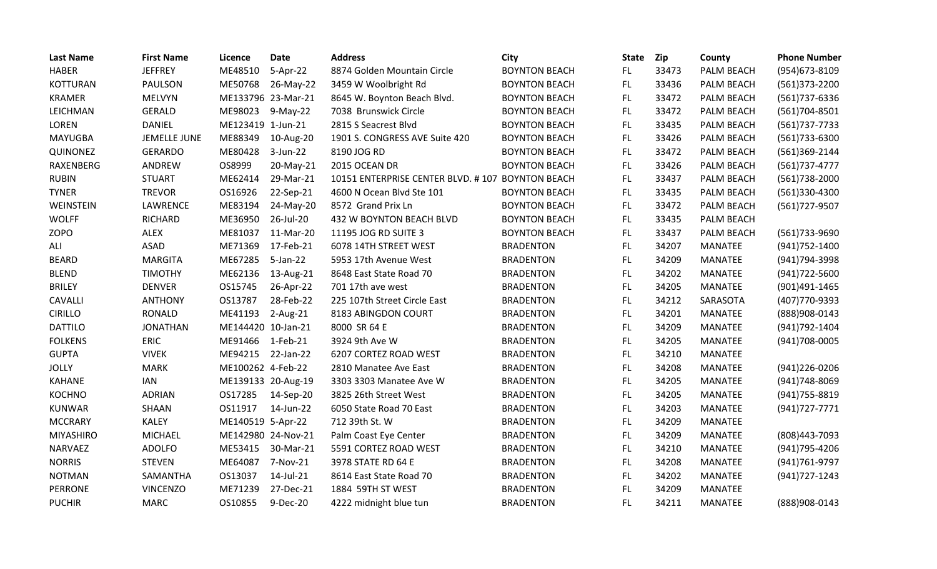| <b>Last Name</b> | <b>First Name</b> | Licence            | <b>Date</b>        | <b>Address</b>                                   | City                 | <b>State</b> | Zip   | County         | <b>Phone Number</b> |
|------------------|-------------------|--------------------|--------------------|--------------------------------------------------|----------------------|--------------|-------|----------------|---------------------|
| <b>HABER</b>     | <b>JEFFREY</b>    | ME48510            | 5-Apr-22           | 8874 Golden Mountain Circle                      | <b>BOYNTON BEACH</b> | FL.          | 33473 | PALM BEACH     | (954) 673-8109      |
| <b>KOTTURAN</b>  | <b>PAULSON</b>    | ME50768            | 26-May-22          | 3459 W Woolbright Rd                             | <b>BOYNTON BEACH</b> | FL.          | 33436 | PALM BEACH     | (561)373-2200       |
| <b>KRAMER</b>    | <b>MELVYN</b>     |                    | ME133796 23-Mar-21 | 8645 W. Boynton Beach Blvd.                      | <b>BOYNTON BEACH</b> | FL.          | 33472 | PALM BEACH     | (561) 737-6336      |
| LEICHMAN         | GERALD            | ME98023            | 9-May-22           | 7038 Brunswick Circle                            | <b>BOYNTON BEACH</b> | FL.          | 33472 | PALM BEACH     | (561)704-8501       |
| LOREN            | DANIEL            | ME123419 1-Jun-21  |                    | 2815 S Seacrest Blvd                             | <b>BOYNTON BEACH</b> | FL.          | 33435 | PALM BEACH     | (561) 737-7733      |
| <b>MAYUGBA</b>   | JEMELLE JUNE      | ME88349            | 10-Aug-20          | 1901 S. CONGRESS AVE Suite 420                   | <b>BOYNTON BEACH</b> | <b>FL</b>    | 33426 | PALM BEACH     | (561)733-6300       |
| QUINONEZ         | <b>GERARDO</b>    | ME80428            | 3-Jun-22           | 8190 JOG RD                                      | <b>BOYNTON BEACH</b> | <b>FL</b>    | 33472 | PALM BEACH     | (561)369-2144       |
| RAXENBERG        | ANDREW            | OS8999             | 20-May-21          | 2015 OCEAN DR                                    | <b>BOYNTON BEACH</b> | <b>FL</b>    | 33426 | PALM BEACH     | $(561)737-4777$     |
| <b>RUBIN</b>     | <b>STUART</b>     | ME62414            | 29-Mar-21          | 10151 ENTERPRISE CENTER BLVD. #107 BOYNTON BEACH |                      | FL.          | 33437 | PALM BEACH     | (561)738-2000       |
| <b>TYNER</b>     | <b>TREVOR</b>     | OS16926            | 22-Sep-21          | 4600 N Ocean Blvd Ste 101                        | <b>BOYNTON BEACH</b> | FL.          | 33435 | PALM BEACH     | (561)330-4300       |
| WEINSTEIN        | LAWRENCE          | ME83194            | 24-May-20          | 8572 Grand Prix Ln                               | <b>BOYNTON BEACH</b> | FL.          | 33472 | PALM BEACH     | (561) 727-9507      |
| <b>WOLFF</b>     | <b>RICHARD</b>    | ME36950            | 26-Jul-20          | 432 W BOYNTON BEACH BLVD                         | <b>BOYNTON BEACH</b> | FL.          | 33435 | PALM BEACH     |                     |
| <b>ZOPO</b>      | <b>ALEX</b>       | ME81037            | 11-Mar-20          | 11195 JOG RD SUITE 3                             | <b>BOYNTON BEACH</b> | FL           | 33437 | PALM BEACH     | (561)733-9690       |
| ALI              | <b>ASAD</b>       | ME71369            | 17-Feb-21          | 6078 14TH STREET WEST                            | <b>BRADENTON</b>     | <b>FL</b>    | 34207 | <b>MANATEE</b> | (941) 752-1400      |
| <b>BEARD</b>     | <b>MARGITA</b>    | ME67285            | 5-Jan-22           | 5953 17th Avenue West                            | <b>BRADENTON</b>     | FL           | 34209 | <b>MANATEE</b> | (941) 794-3998      |
| <b>BLEND</b>     | <b>TIMOTHY</b>    | ME62136            | 13-Aug-21          | 8648 East State Road 70                          | <b>BRADENTON</b>     | <b>FL</b>    | 34202 | <b>MANATEE</b> | (941) 722-5600      |
| <b>BRILEY</b>    | <b>DENVER</b>     | OS15745            | 26-Apr-22          | 701 17th ave west                                | <b>BRADENTON</b>     | FL.          | 34205 | <b>MANATEE</b> | (901)491-1465       |
| <b>CAVALLI</b>   | <b>ANTHONY</b>    | OS13787            | 28-Feb-22          | 225 107th Street Circle East                     | <b>BRADENTON</b>     | <b>FL</b>    | 34212 | SARASOTA       | (407) 770-9393      |
| <b>CIRILLO</b>   | <b>RONALD</b>     | ME41193            | 2-Aug-21           | 8183 ABINGDON COURT                              | <b>BRADENTON</b>     | FL.          | 34201 | <b>MANATEE</b> | (888)908-0143       |
| <b>DATTILO</b>   | <b>JONATHAN</b>   | ME144420 10-Jan-21 |                    | 8000 SR 64 E                                     | <b>BRADENTON</b>     | FL.          | 34209 | <b>MANATEE</b> | (941) 792-1404      |
| <b>FOLKENS</b>   | <b>ERIC</b>       | ME91466            | $1-Feb-21$         | 3924 9th Ave W                                   | <b>BRADENTON</b>     | FL.          | 34205 | <b>MANATEE</b> | (941)708-0005       |
| <b>GUPTA</b>     | <b>VIVEK</b>      | ME94215            | 22-Jan-22          | 6207 CORTEZ ROAD WEST                            | <b>BRADENTON</b>     | FL           | 34210 | <b>MANATEE</b> |                     |
| <b>JOLLY</b>     | <b>MARK</b>       | ME100262 4-Feb-22  |                    | 2810 Manatee Ave East                            | <b>BRADENTON</b>     | <b>FL</b>    | 34208 | <b>MANATEE</b> | (941) 226-0206      |
| <b>KAHANE</b>    | <b>IAN</b>        |                    | ME139133 20-Aug-19 | 3303 3303 Manatee Ave W                          | <b>BRADENTON</b>     | FL.          | 34205 | <b>MANATEE</b> | (941) 748-8069      |
| <b>KOCHNO</b>    | <b>ADRIAN</b>     | OS17285            | 14-Sep-20          | 3825 26th Street West                            | <b>BRADENTON</b>     | FL           | 34205 | <b>MANATEE</b> | (941) 755-8819      |
| <b>KUNWAR</b>    | SHAAN             | OS11917            | 14-Jun-22          | 6050 State Road 70 East                          | <b>BRADENTON</b>     | FL.          | 34203 | <b>MANATEE</b> | (941) 727-7771      |
| <b>MCCRARY</b>   | <b>KALEY</b>      | ME140519 5-Apr-22  |                    | 712 39th St. W                                   | <b>BRADENTON</b>     | <b>FL</b>    | 34209 | <b>MANATEE</b> |                     |
| <b>MIYASHIRO</b> | <b>MICHAEL</b>    |                    | ME142980 24-Nov-21 | Palm Coast Eye Center                            | <b>BRADENTON</b>     | FL           | 34209 | <b>MANATEE</b> | (808)443-7093       |
| <b>NARVAEZ</b>   | <b>ADOLFO</b>     | ME53415            | 30-Mar-21          | 5591 CORTEZ ROAD WEST                            | <b>BRADENTON</b>     | FL.          | 34210 | <b>MANATEE</b> | (941) 795-4206      |
| <b>NORRIS</b>    | <b>STEVEN</b>     | ME64087            | 7-Nov-21           | 3978 STATE RD 64 E                               | <b>BRADENTON</b>     | <b>FL</b>    | 34208 | <b>MANATEE</b> | (941) 761-9797      |
| <b>NOTMAN</b>    | SAMANTHA          | OS13037            | 14-Jul-21          | 8614 East State Road 70                          | <b>BRADENTON</b>     | FL.          | 34202 | <b>MANATEE</b> | (941) 727-1243      |
| <b>PERRONE</b>   | <b>VINCENZO</b>   | ME71239            | 27-Dec-21          | 1884 59TH ST WEST                                | <b>BRADENTON</b>     | FL.          | 34209 | <b>MANATEE</b> |                     |
| <b>PUCHIR</b>    | <b>MARC</b>       | OS10855            | 9-Dec-20           | 4222 midnight blue tun                           | <b>BRADENTON</b>     | <b>FL</b>    | 34211 | <b>MANATEE</b> | (888)908-0143       |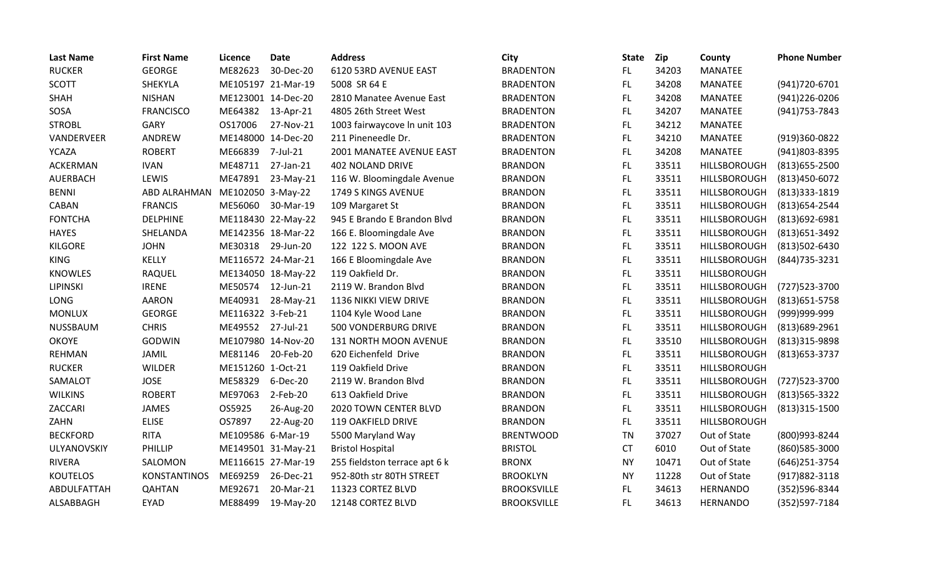| <b>Last Name</b> | <b>First Name</b>   | Licence            | <b>Date</b>        | <b>Address</b>                | City               | <b>State</b> | <b>Zip</b> | County              | <b>Phone Number</b> |
|------------------|---------------------|--------------------|--------------------|-------------------------------|--------------------|--------------|------------|---------------------|---------------------|
| <b>RUCKER</b>    | <b>GEORGE</b>       | ME82623            | 30-Dec-20          | 6120 53RD AVENUE EAST         | <b>BRADENTON</b>   | FL.          | 34203      | <b>MANATEE</b>      |                     |
| <b>SCOTT</b>     | SHEKYLA             |                    | ME105197 21-Mar-19 | 5008 SR 64 E                  | <b>BRADENTON</b>   | FL.          | 34208      | <b>MANATEE</b>      | (941) 720-6701      |
| <b>SHAH</b>      | <b>NISHAN</b>       | ME123001 14-Dec-20 |                    | 2810 Manatee Avenue East      | <b>BRADENTON</b>   | FL           | 34208      | <b>MANATEE</b>      | (941) 226-0206      |
| SOSA             | <b>FRANCISCO</b>    | ME64382            | 13-Apr-21          | 4805 26th Street West         | <b>BRADENTON</b>   | FL           | 34207      | <b>MANATEE</b>      | (941) 753-7843      |
| <b>STROBL</b>    | GARY                | OS17006            | 27-Nov-21          | 1003 fairwaycove In unit 103  | <b>BRADENTON</b>   | FL.          | 34212      | <b>MANATEE</b>      |                     |
| VANDERVEER       | ANDREW              | ME148000 14-Dec-20 |                    | 211 Pineneedle Dr.            | <b>BRADENTON</b>   | FL           | 34210      | <b>MANATEE</b>      | (919)360-0822       |
| <b>YCAZA</b>     | <b>ROBERT</b>       | ME66839            | 7-Jul-21           | 2001 MANATEE AVENUE EAST      | <b>BRADENTON</b>   | FL.          | 34208      | <b>MANATEE</b>      | (941)803-8395       |
| <b>ACKERMAN</b>  | <b>IVAN</b>         | ME48711            | 27-Jan-21          | <b>402 NOLAND DRIVE</b>       | <b>BRANDON</b>     | FL           | 33511      | HILLSBOROUGH        | $(813)655 - 2500$   |
| AUERBACH         | LEWIS               | ME47891            | 23-May-21          | 116 W. Bloomingdale Avenue    | <b>BRANDON</b>     | FL.          | 33511      | HILLSBOROUGH        | (813) 450-6072      |
| <b>BENNI</b>     | ABD ALRAHMAN        | ME102050 3-May-22  |                    | 1749 S KINGS AVENUE           | <b>BRANDON</b>     | FL.          | 33511      | HILLSBOROUGH        | (813)333-1819       |
| CABAN            | <b>FRANCIS</b>      | ME56060            | 30-Mar-19          | 109 Margaret St               | <b>BRANDON</b>     | FL.          | 33511      | HILLSBOROUGH        | (813) 654-2544      |
| <b>FONTCHA</b>   | <b>DELPHINE</b>     |                    | ME118430 22-May-22 | 945 E Brando E Brandon Blvd   | <b>BRANDON</b>     | FL.          | 33511      | HILLSBOROUGH        | (813)692-6981       |
| <b>HAYES</b>     | SHELANDA            |                    | ME142356 18-Mar-22 | 166 E. Bloomingdale Ave       | <b>BRANDON</b>     | FL.          | 33511      | HILLSBOROUGH        | (813) 651-3492      |
| <b>KILGORE</b>   | <b>JOHN</b>         | ME30318            | 29-Jun-20          | 122 122 S. MOON AVE           | <b>BRANDON</b>     | FL.          | 33511      | HILLSBOROUGH        | (813)502-6430       |
| KING             | KELLY               |                    | ME116572 24-Mar-21 | 166 E Bloomingdale Ave        | <b>BRANDON</b>     | FL           | 33511      | HILLSBOROUGH        | (844) 735-3231      |
| <b>KNOWLES</b>   | RAQUEL              |                    | ME134050 18-May-22 | 119 Oakfield Dr.              | <b>BRANDON</b>     | FL.          | 33511      | HILLSBOROUGH        |                     |
| LIPINSKI         | <b>IRENE</b>        | ME50574            | 12-Jun-21          | 2119 W. Brandon Blvd          | <b>BRANDON</b>     | FL.          | 33511      | <b>HILLSBOROUGH</b> | (727) 523-3700      |
| LONG             | <b>AARON</b>        | ME40931            | 28-May-21          | 1136 NIKKI VIEW DRIVE         | <b>BRANDON</b>     | FL.          | 33511      | HILLSBOROUGH        | (813) 651-5758      |
| <b>MONLUX</b>    | <b>GEORGE</b>       | ME116322 3-Feb-21  |                    | 1104 Kyle Wood Lane           | <b>BRANDON</b>     | FL.          | 33511      | HILLSBOROUGH        | (999)999-999        |
| NUSSBAUM         | <b>CHRIS</b>        | ME49552 27-Jul-21  |                    | 500 VONDERBURG DRIVE          | <b>BRANDON</b>     | FL.          | 33511      | HILLSBOROUGH        | (813) 689-2961      |
| <b>OKOYE</b>     | GODWIN              |                    | ME107980 14-Nov-20 | 131 NORTH MOON AVENUE         | <b>BRANDON</b>     | FL           | 33510      | HILLSBOROUGH        | (813)315-9898       |
| <b>REHMAN</b>    | <b>JAMIL</b>        | ME81146            | 20-Feb-20          | 620 Eichenfeld Drive          | <b>BRANDON</b>     | <b>FL</b>    | 33511      | HILLSBOROUGH        | (813) 653-3737      |
| <b>RUCKER</b>    | <b>WILDER</b>       | ME151260 1-Oct-21  |                    | 119 Oakfield Drive            | <b>BRANDON</b>     | FL.          | 33511      | HILLSBOROUGH        |                     |
| SAMALOT          | <b>JOSE</b>         | ME58329            | 6-Dec-20           | 2119 W. Brandon Blvd          | <b>BRANDON</b>     | FL.          | 33511      | HILLSBOROUGH        | (727) 523-3700      |
| <b>WILKINS</b>   | <b>ROBERT</b>       | ME97063            | 2-Feb-20           | 613 Oakfield Drive            | <b>BRANDON</b>     | FL.          | 33511      | HILLSBOROUGH        | (813) 565-3322      |
| ZACCARI          | <b>JAMES</b>        | OS5925             | 26-Aug-20          | 2020 TOWN CENTER BLVD         | <b>BRANDON</b>     | FL.          | 33511      | HILLSBOROUGH        | $(813)315-1500$     |
| ZAHN             | <b>ELISE</b>        | OS7897             | 22-Aug-20          | 119 OAKFIELD DRIVE            | <b>BRANDON</b>     | FL.          | 33511      | HILLSBOROUGH        |                     |
| <b>BECKFORD</b>  | <b>RITA</b>         | ME109586 6-Mar-19  |                    | 5500 Maryland Way             | <b>BRENTWOOD</b>   | <b>TN</b>    | 37027      | Out of State        | (800)993-8244       |
| ULYANOVSKIY      | PHILLIP             |                    | ME149501 31-May-21 | <b>Bristol Hospital</b>       | <b>BRISTOL</b>     | <b>CT</b>    | 6010       | Out of State        | (860) 585-3000      |
| <b>RIVERA</b>    | SALOMON             |                    | ME116615 27-Mar-19 | 255 fieldston terrace apt 6 k | <b>BRONX</b>       | <b>NY</b>    | 10471      | Out of State        | (646) 251-3754      |
| <b>KOUTELOS</b>  | <b>KONSTANTINOS</b> | ME69259            | 26-Dec-21          | 952-80th str 80TH STREET      | <b>BROOKLYN</b>    | <b>NY</b>    | 11228      | Out of State        | (917) 882-3118      |
| ABDULFATTAH      | <b>QAHTAN</b>       | ME92671            | 20-Mar-21          | 11323 CORTEZ BLVD             | <b>BROOKSVILLE</b> | FL.          | 34613      | <b>HERNANDO</b>     | (352)596-8344       |
| ALSABBAGH        | <b>EYAD</b>         | ME88499            | 19-May-20          | 12148 CORTEZ BLVD             | <b>BROOKSVILLE</b> | FL           | 34613      | <b>HERNANDO</b>     | (352)597-7184       |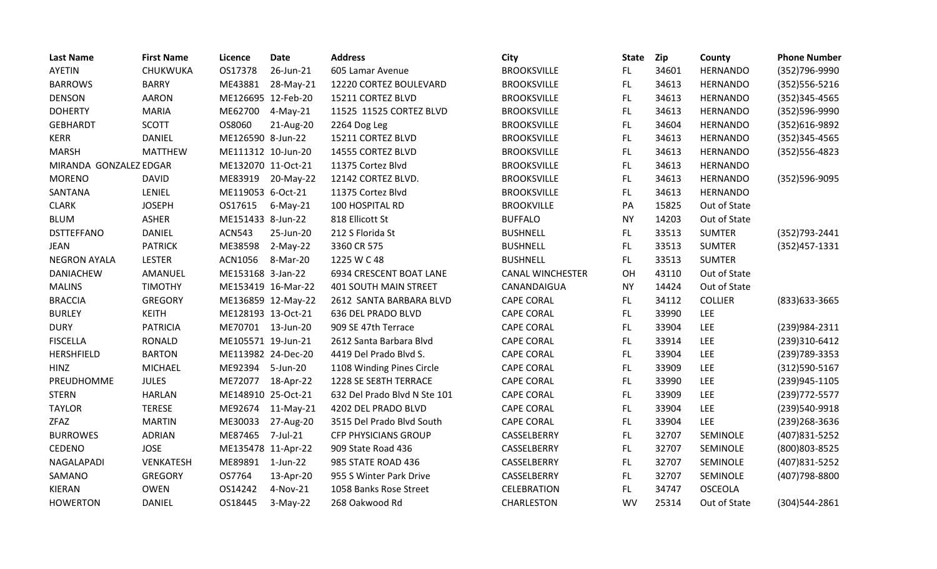| <b>Last Name</b>       | <b>First Name</b> | Licence            | <b>Date</b>        | <b>Address</b>               | City                    | <b>State</b> | <b>Zip</b> | County          | <b>Phone Number</b> |
|------------------------|-------------------|--------------------|--------------------|------------------------------|-------------------------|--------------|------------|-----------------|---------------------|
| <b>AYETIN</b>          | CHUKWUKA          | OS17378            | 26-Jun-21          | 605 Lamar Avenue             | <b>BROOKSVILLE</b>      | FL.          | 34601      | <b>HERNANDO</b> | (352)796-9990       |
| <b>BARROWS</b>         | <b>BARRY</b>      | ME43881            | 28-May-21          | 12220 CORTEZ BOULEVARD       | <b>BROOKSVILLE</b>      | FL.          | 34613      | <b>HERNANDO</b> | (352) 556-5216      |
| <b>DENSON</b>          | <b>AARON</b>      | ME126695 12-Feb-20 |                    | 15211 CORTEZ BLVD            | <b>BROOKSVILLE</b>      | FL.          | 34613      | <b>HERNANDO</b> | $(352)345-4565$     |
| <b>DOHERTY</b>         | <b>MARIA</b>      | ME62700            | $4-May-21$         | 11525 11525 CORTEZ BLVD      | <b>BROOKSVILLE</b>      | FL.          | 34613      | <b>HERNANDO</b> | (352)596-9990       |
| <b>GEBHARDT</b>        | <b>SCOTT</b>      | OS8060             | 21-Aug-20          | 2264 Dog Leg                 | <b>BROOKSVILLE</b>      | <b>FL</b>    | 34604      | <b>HERNANDO</b> | (352)616-9892       |
| <b>KERR</b>            | <b>DANIEL</b>     | ME126590 8-Jun-22  |                    | 15211 CORTEZ BLVD            | <b>BROOKSVILLE</b>      | FL           | 34613      | <b>HERNANDO</b> | $(352)345-4565$     |
| <b>MARSH</b>           | <b>MATTHEW</b>    | ME111312 10-Jun-20 |                    | 14555 CORTEZ BLVD            | <b>BROOKSVILLE</b>      | FL.          | 34613      | <b>HERNANDO</b> | $(352)$ 556-4823    |
| MIRANDA GONZALEZ EDGAR |                   | ME132070 11-Oct-21 |                    | 11375 Cortez Blvd            | <b>BROOKSVILLE</b>      | FL.          | 34613      | <b>HERNANDO</b> |                     |
| <b>MORENO</b>          | <b>DAVID</b>      | ME83919            | 20-May-22          | 12142 CORTEZ BLVD.           | <b>BROOKSVILLE</b>      | FL.          | 34613      | <b>HERNANDO</b> | (352)596-9095       |
| SANTANA                | LENIEL            | ME119053 6-Oct-21  |                    | 11375 Cortez Blvd            | <b>BROOKSVILLE</b>      | FL.          | 34613      | <b>HERNANDO</b> |                     |
| <b>CLARK</b>           | <b>JOSEPH</b>     | OS17615            | $6$ -May-21        | 100 HOSPITAL RD              | <b>BROOKVILLE</b>       | PA           | 15825      | Out of State    |                     |
| <b>BLUM</b>            | ASHER             | ME151433 8-Jun-22  |                    | 818 Ellicott St              | <b>BUFFALO</b>          | <b>NY</b>    | 14203      | Out of State    |                     |
| <b>DSTTEFFANO</b>      | <b>DANIEL</b>     | <b>ACN543</b>      | 25-Jun-20          | 212 S Florida St             | <b>BUSHNELL</b>         | FL.          | 33513      | <b>SUMTER</b>   | (352) 793-2441      |
| <b>JEAN</b>            | <b>PATRICK</b>    | ME38598            | 2-May-22           | 3360 CR 575                  | <b>BUSHNELL</b>         | FL.          | 33513      | <b>SUMTER</b>   | $(352)457-1331$     |
| <b>NEGRON AYALA</b>    | <b>LESTER</b>     | ACN1056            | 8-Mar-20           | 1225 W C 48                  | <b>BUSHNELL</b>         | FL.          | 33513      | <b>SUMTER</b>   |                     |
| <b>DANIACHEW</b>       | AMANUEL           | ME153168 3-Jan-22  |                    | 6934 CRESCENT BOAT LANE      | <b>CANAL WINCHESTER</b> | OH           | 43110      | Out of State    |                     |
| <b>MALINS</b>          | <b>TIMOTHY</b>    |                    | ME153419 16-Mar-22 | <b>401 SOUTH MAIN STREET</b> | CANANDAIGUA             | <b>NY</b>    | 14424      | Out of State    |                     |
| <b>BRACCIA</b>         | <b>GREGORY</b>    |                    | ME136859 12-May-22 | 2612 SANTA BARBARA BLVD      | <b>CAPE CORAL</b>       | FL.          | 34112      | <b>COLLIER</b>  | (833) 633-3665      |
| <b>BURLEY</b>          | <b>KEITH</b>      | ME128193 13-Oct-21 |                    | 636 DEL PRADO BLVD           | <b>CAPE CORAL</b>       | FL.          | 33990      | <b>LEE</b>      |                     |
| <b>DURY</b>            | <b>PATRICIA</b>   | ME70701 13-Jun-20  |                    | 909 SE 47th Terrace          | <b>CAPE CORAL</b>       | FL.          | 33904      | <b>LEE</b>      | (239)984-2311       |
| <b>FISCELLA</b>        | RONALD            | ME105571 19-Jun-21 |                    | 2612 Santa Barbara Blvd      | <b>CAPE CORAL</b>       | <b>FL</b>    | 33914      | <b>LEE</b>      | (239)310-6412       |
| <b>HERSHFIELD</b>      | <b>BARTON</b>     | ME113982 24-Dec-20 |                    | 4419 Del Prado Blvd S.       | <b>CAPE CORAL</b>       | FL.          | 33904      | <b>LEE</b>      | (239) 789-3353      |
| <b>HINZ</b>            | <b>MICHAEL</b>    | ME92394            | 5-Jun-20           | 1108 Winding Pines Circle    | <b>CAPE CORAL</b>       | FL.          | 33909      | <b>LEE</b>      | (312) 590-5167      |
| PREUDHOMME             | <b>JULES</b>      | ME72077            | 18-Apr-22          | 1228 SE SE8TH TERRACE        | <b>CAPE CORAL</b>       | <b>FL</b>    | 33990      | LEE             | (239)945-1105       |
| <b>STERN</b>           | <b>HARLAN</b>     | ME148910 25-Oct-21 |                    | 632 Del Prado Blvd N Ste 101 | <b>CAPE CORAL</b>       | <b>FL</b>    | 33909      | <b>LEE</b>      | (239) 772-5577      |
| <b>TAYLOR</b>          | <b>TERESE</b>     | ME92674            | $11-May-21$        | 4202 DEL PRADO BLVD          | <b>CAPE CORAL</b>       | FL           | 33904      | <b>LEE</b>      | (239)540-9918       |
| <b>ZFAZ</b>            | <b>MARTIN</b>     | ME30033            | 27-Aug-20          | 3515 Del Prado Blvd South    | <b>CAPE CORAL</b>       | FL.          | 33904      | LEE             | (239) 268-3636      |
| <b>BURROWES</b>        | <b>ADRIAN</b>     | ME87465            | 7-Jul-21           | <b>CFP PHYSICIANS GROUP</b>  | CASSELBERRY             | FL.          | 32707      | SEMINOLE        | (407) 831-5252      |
| <b>CEDENO</b>          | <b>JOSE</b>       | ME135478 11-Apr-22 |                    | 909 State Road 436           | CASSELBERRY             | FL.          | 32707      | SEMINOLE        | (800) 803-8525      |
| NAGALAPADI             | VENKATESH         | ME89891 1-Jun-22   |                    | 985 STATE ROAD 436           | CASSELBERRY             | FL.          | 32707      | SEMINOLE        | (407) 831-5252      |
| SAMANO                 | <b>GREGORY</b>    | OS7764             | 13-Apr-20          | 955 S Winter Park Drive      | CASSELBERRY             | FL.          | 32707      | SEMINOLE        | (407) 798-8800      |
| <b>KIERAN</b>          | <b>OWEN</b>       | OS14242            | 4-Nov-21           | 1058 Banks Rose Street       | <b>CELEBRATION</b>      | FL.          | 34747      | <b>OSCEOLA</b>  |                     |
| <b>HOWERTON</b>        | <b>DANIEL</b>     | OS18445            | $3-May-22$         | 268 Oakwood Rd               | CHARLESTON              | <b>WV</b>    | 25314      | Out of State    | (304)544-2861       |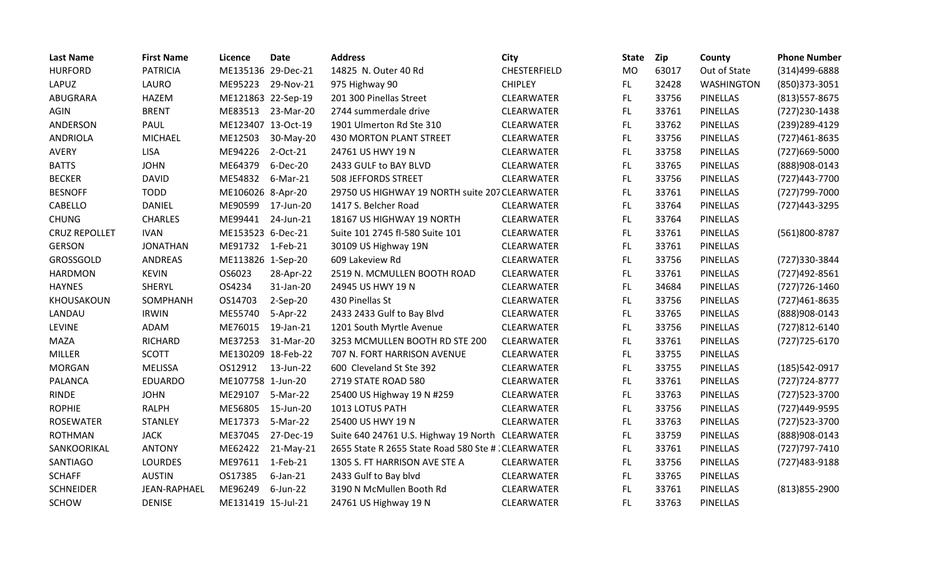| <b>Last Name</b>     | <b>First Name</b> | Licence            | <b>Date</b> | <b>Address</b>                                      | City              | <b>State</b> | Zip   | County            | <b>Phone Number</b> |
|----------------------|-------------------|--------------------|-------------|-----------------------------------------------------|-------------------|--------------|-------|-------------------|---------------------|
| <b>HURFORD</b>       | <b>PATRICIA</b>   | ME135136 29-Dec-21 |             | 14825 N. Outer 40 Rd                                | CHESTERFIELD      | <b>MO</b>    | 63017 | Out of State      | (314)499-6888       |
| LAPUZ                | LAURO             | ME95223            | 29-Nov-21   | 975 Highway 90                                      | <b>CHIPLEY</b>    | FL.          | 32428 | <b>WASHINGTON</b> | (850)373-3051       |
| ABUGRARA             | <b>HAZEM</b>      | ME121863 22-Sep-19 |             | 201 300 Pinellas Street                             | CLEARWATER        | FL           | 33756 | <b>PINELLAS</b>   | (813) 557-8675      |
| <b>AGIN</b>          | <b>BRENT</b>      | ME83513            | 23-Mar-20   | 2744 summerdale drive                               | <b>CLEARWATER</b> | FL.          | 33761 | <b>PINELLAS</b>   | (727) 230-1438      |
| ANDERSON             | PAUL              | ME123407 13-Oct-19 |             | 1901 Ulmerton Rd Ste 310                            | CLEARWATER        | <b>FL</b>    | 33762 | <b>PINELLAS</b>   | (239) 289-4129      |
| <b>ANDRIOLA</b>      | <b>MICHAEL</b>    | ME12503            | 30-May-20   | 430 MORTON PLANT STREET                             | CLEARWATER        | FL           | 33756 | PINELLAS          | (727) 461-8635      |
| <b>AVERY</b>         | <b>LISA</b>       | ME94226            | 2-Oct-21    | 24761 US HWY 19 N                                   | <b>CLEARWATER</b> | <b>FL</b>    | 33758 | <b>PINELLAS</b>   | (727)669-5000       |
| <b>BATTS</b>         | <b>JOHN</b>       | ME64379            | 6-Dec-20    | 2433 GULF to BAY BLVD                               | <b>CLEARWATER</b> | FL.          | 33765 | <b>PINELLAS</b>   | (888) 908-0143      |
| <b>BECKER</b>        | <b>DAVID</b>      | ME54832            | 6-Mar-21    | 508 JEFFORDS STREET                                 | <b>CLEARWATER</b> | FL.          | 33756 | <b>PINELLAS</b>   | (727)443-7700       |
| <b>BESNOFF</b>       | <b>TODD</b>       | ME106026 8-Apr-20  |             | 29750 US HIGHWAY 19 NORTH suite 207 CLEARWATER      |                   | <b>FL</b>    | 33761 | <b>PINELLAS</b>   | (727) 799-7000      |
| CABELLO              | <b>DANIEL</b>     | ME90599            | 17-Jun-20   | 1417 S. Belcher Road                                | <b>CLEARWATER</b> | FL.          | 33764 | <b>PINELLAS</b>   | (727) 443-3295      |
| <b>CHUNG</b>         | <b>CHARLES</b>    | ME99441            | 24-Jun-21   | 18167 US HIGHWAY 19 NORTH                           | CLEARWATER        | FL.          | 33764 | PINELLAS          |                     |
| <b>CRUZ REPOLLET</b> | <b>IVAN</b>       | ME153523 6-Dec-21  |             | Suite 101 2745 fl-580 Suite 101                     | <b>CLEARWATER</b> | <b>FL</b>    | 33761 | <b>PINELLAS</b>   | (561)800-8787       |
| <b>GERSON</b>        | <b>JONATHAN</b>   | ME91732            | 1-Feb-21    | 30109 US Highway 19N                                | <b>CLEARWATER</b> | FL.          | 33761 | <b>PINELLAS</b>   |                     |
| GROSSGOLD            | ANDREAS           | ME113826 1-Sep-20  |             | 609 Lakeview Rd                                     | CLEARWATER        | <b>FL</b>    | 33756 | PINELLAS          | (727)330-3844       |
| <b>HARDMON</b>       | <b>KEVIN</b>      | OS6023             | 28-Apr-22   | 2519 N. MCMULLEN BOOTH ROAD                         | <b>CLEARWATER</b> | FL.          | 33761 | <b>PINELLAS</b>   | (727)492-8561       |
| <b>HAYNES</b>        | SHERYL            | OS4234             | 31-Jan-20   | 24945 US HWY 19 N                                   | <b>CLEARWATER</b> | FL.          | 34684 | <b>PINELLAS</b>   | (727) 726-1460      |
| KHOUSAKOUN           | SOMPHANH          | OS14703            | 2-Sep-20    | 430 Pinellas St                                     | <b>CLEARWATER</b> | <b>FL</b>    | 33756 | <b>PINELLAS</b>   | (727) 461-8635      |
| LANDAU               | <b>IRWIN</b>      | ME55740            | 5-Apr-22    | 2433 2433 Gulf to Bay Blvd                          | CLEARWATER        | <b>FL</b>    | 33765 | <b>PINELLAS</b>   | (888)908-0143       |
| <b>LEVINE</b>        | ADAM              | ME76015            | 19-Jan-21   | 1201 South Myrtle Avenue                            | <b>CLEARWATER</b> | FL.          | 33756 | <b>PINELLAS</b>   | (727)812-6140       |
| <b>MAZA</b>          | <b>RICHARD</b>    | ME37253            | 31-Mar-20   | 3253 MCMULLEN BOOTH RD STE 200                      | CLEARWATER        | <b>FL</b>    | 33761 | PINELLAS          | (727) 725-6170      |
| <b>MILLER</b>        | <b>SCOTT</b>      | ME130209 18-Feb-22 |             | 707 N. FORT HARRISON AVENUE                         | CLEARWATER        | <b>FL</b>    | 33755 | PINELLAS          |                     |
| <b>MORGAN</b>        | MELISSA           | OS12912            | 13-Jun-22   | 600 Cleveland St Ste 392                            | <b>CLEARWATER</b> | FL.          | 33755 | <b>PINELLAS</b>   | (185) 542-0917      |
| <b>PALANCA</b>       | <b>EDUARDO</b>    | ME107758 1-Jun-20  |             | 2719 STATE ROAD 580                                 | <b>CLEARWATER</b> | FL.          | 33761 | <b>PINELLAS</b>   | $(727)724-8777$     |
| <b>RINDE</b>         | <b>JOHN</b>       | ME29107            | 5-Mar-22    | 25400 US Highway 19 N #259                          | CLEARWATER        | FL           | 33763 | PINELLAS          | (727) 523-3700      |
| <b>ROPHIE</b>        | <b>RALPH</b>      | ME56805            | 15-Jun-20   | 1013 LOTUS PATH                                     | CLEARWATER        | <b>FL</b>    | 33756 | PINELLAS          | (727)449-9595       |
| <b>ROSEWATER</b>     | <b>STANLEY</b>    | ME17373            | 5-Mar-22    | 25400 US HWY 19 N                                   | <b>CLEARWATER</b> | <b>FL</b>    | 33763 | <b>PINELLAS</b>   | (727) 523-3700      |
| <b>ROTHMAN</b>       | <b>JACK</b>       | ME37045            | 27-Dec-19   | Suite 640 24761 U.S. Highway 19 North               | CLEARWATER        | <b>FL</b>    | 33759 | PINELLAS          | (888)908-0143       |
| SANKOORIKAL          | <b>ANTONY</b>     | ME62422            | $21-May-21$ | 2655 State R 2655 State Road 580 Ste # : CLEARWATER |                   | <b>FL</b>    | 33761 | <b>PINELLAS</b>   | (727) 797-7410      |
| SANTIAGO             | <b>LOURDES</b>    | ME97611            | 1-Feb-21    | 1305 S. FT HARRISON AVE STE A                       | <b>CLEARWATER</b> | FL.          | 33756 | <b>PINELLAS</b>   | (727) 483-9188      |
| <b>SCHAFF</b>        | <b>AUSTIN</b>     | OS17385            | $6$ -Jan-21 | 2433 Gulf to Bay blvd                               | CLEARWATER        | FL           | 33765 | PINELLAS          |                     |
| <b>SCHNEIDER</b>     | JEAN-RAPHAEL      | ME96249            | 6-Jun-22    | 3190 N McMullen Booth Rd                            | CLEARWATER        | <b>FL</b>    | 33761 | <b>PINELLAS</b>   | (813) 855-2900      |
| <b>SCHOW</b>         | <b>DENISE</b>     | ME131419 15-Jul-21 |             | 24761 US Highway 19 N                               | <b>CLEARWATER</b> | <b>FL</b>    | 33763 | <b>PINELLAS</b>   |                     |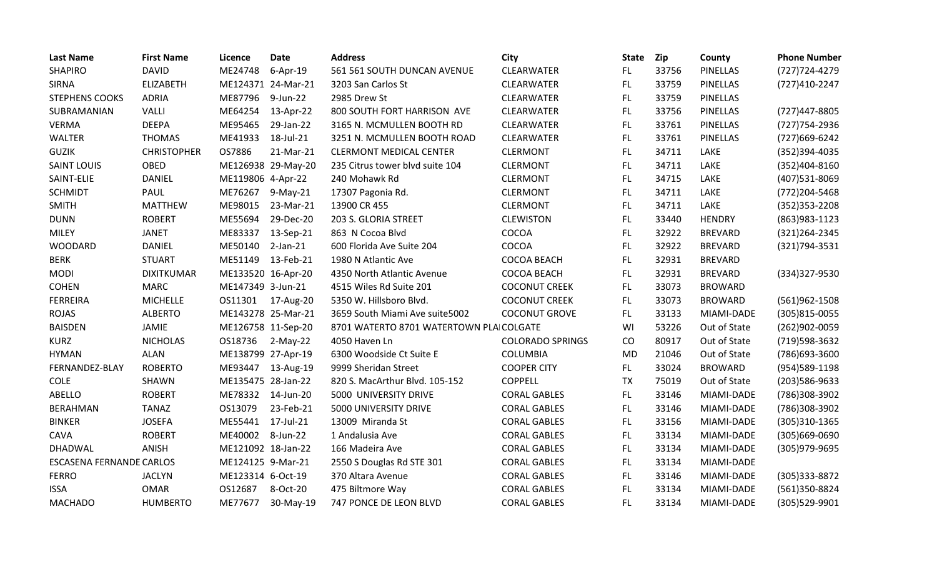| <b>Last Name</b>         | <b>First Name</b>  | Licence            | <b>Date</b>        | <b>Address</b>                           | City                    | <b>State</b> | <b>Zip</b> | County          | <b>Phone Number</b> |
|--------------------------|--------------------|--------------------|--------------------|------------------------------------------|-------------------------|--------------|------------|-----------------|---------------------|
| <b>SHAPIRO</b>           | <b>DAVID</b>       | ME24748            | 6-Apr-19           | 561 561 SOUTH DUNCAN AVENUE              | CLEARWATER              | FL.          | 33756      | <b>PINELLAS</b> | (727) 724-4279      |
| <b>SIRNA</b>             | ELIZABETH          | ME124371 24-Mar-21 |                    | 3203 San Carlos St                       | <b>CLEARWATER</b>       | FL.          | 33759      | <b>PINELLAS</b> | (727)410-2247       |
| <b>STEPHENS COOKS</b>    | <b>ADRIA</b>       | ME87796            | 9-Jun-22           | 2985 Drew St                             | CLEARWATER              | FL.          | 33759      | PINELLAS        |                     |
| SUBRAMANIAN              | VALLI              | ME64254            | 13-Apr-22          | 800 SOUTH FORT HARRISON AVE              | CLEARWATER              | <b>FL</b>    | 33756      | PINELLAS        | (727) 447-8805      |
| <b>VERMA</b>             | <b>DEEPA</b>       | ME95465            | 29-Jan-22          | 3165 N. MCMULLEN BOOTH RD                | CLEARWATER              | FL           | 33761      | PINELLAS        | (727) 754-2936      |
| WALTER                   | <b>THOMAS</b>      | ME41933            | 18-Jul-21          | 3251 N. MCMULLEN BOOTH ROAD              | <b>CLEARWATER</b>       | FL           | 33761      | <b>PINELLAS</b> | (727)669-6242       |
| <b>GUZIK</b>             | <b>CHRISTOPHER</b> | OS7886             | 21-Mar-21          | <b>CLERMONT MEDICAL CENTER</b>           | <b>CLERMONT</b>         | <b>FL</b>    | 34711      | LAKE            | (352)394-4035       |
| <b>SAINT LOUIS</b>       | OBED               |                    | ME126938 29-May-20 | 235 Citrus tower blvd suite 104          | <b>CLERMONT</b>         | FL.          | 34711      | LAKE            | (352)404-8160       |
| SAINT-ELIE               | <b>DANIEL</b>      | ME119806 4-Apr-22  |                    | 240 Mohawk Rd                            | <b>CLERMONT</b>         | FL.          | 34715      | LAKE            | (407)531-8069       |
| <b>SCHMIDT</b>           | PAUL               | ME76267            | $9-May-21$         | 17307 Pagonia Rd.                        | <b>CLERMONT</b>         | FL.          | 34711      | LAKE            | (772) 204-5468      |
| <b>SMITH</b>             | <b>MATTHEW</b>     | ME98015            | 23-Mar-21          | 13900 CR 455                             | <b>CLERMONT</b>         | FL.          | 34711      | LAKE            | $(352)353 - 2208$   |
| <b>DUNN</b>              | <b>ROBERT</b>      | ME55694            | 29-Dec-20          | 203 S. GLORIA STREET                     | <b>CLEWISTON</b>        | FL.          | 33440      | <b>HENDRY</b>   | (863) 983-1123      |
| <b>MILEY</b>             | <b>JANET</b>       | ME83337            | 13-Sep-21          | 863 N Cocoa Blvd                         | COCOA                   | FL           | 32922      | <b>BREVARD</b>  | (321) 264 - 2345    |
| WOODARD                  | DANIEL             | ME50140            | $2$ -Jan- $21$     | 600 Florida Ave Suite 204                | COCOA                   | <b>FL</b>    | 32922      | <b>BREVARD</b>  | (321) 794-3531      |
| <b>BERK</b>              | <b>STUART</b>      | ME51149            | 13-Feb-21          | 1980 N Atlantic Ave                      | COCOA BEACH             | FL           | 32931      | <b>BREVARD</b>  |                     |
| <b>MODI</b>              | <b>DIXITKUMAR</b>  | ME133520 16-Apr-20 |                    | 4350 North Atlantic Avenue               | <b>COCOA BEACH</b>      | FL           | 32931      | <b>BREVARD</b>  | (334) 327-9530      |
| <b>COHEN</b>             | <b>MARC</b>        | ME147349 3-Jun-21  |                    | 4515 Wiles Rd Suite 201                  | <b>COCONUT CREEK</b>    | FL           | 33073      | <b>BROWARD</b>  |                     |
| <b>FERREIRA</b>          | <b>MICHELLE</b>    | OS11301            | 17-Aug-20          | 5350 W. Hillsboro Blvd.                  | <b>COCONUT CREEK</b>    | FL.          | 33073      | <b>BROWARD</b>  | (561)962-1508       |
| <b>ROJAS</b>             | <b>ALBERTO</b>     | ME143278 25-Mar-21 |                    | 3659 South Miami Ave suite5002           | <b>COCONUT GROVE</b>    | FL.          | 33133      | MIAMI-DADE      | (305)815-0055       |
| <b>BAISDEN</b>           | JAMIE              | ME126758 11-Sep-20 |                    | 8701 WATERTO 8701 WATERTOWN PLAI COLGATE |                         | WI           | 53226      | Out of State    | (262)902-0059       |
| <b>KURZ</b>              | <b>NICHOLAS</b>    | OS18736            | 2-May-22           | 4050 Haven Ln                            | <b>COLORADO SPRINGS</b> | CO           | 80917      | Out of State    | (719)598-3632       |
| <b>HYMAN</b>             | <b>ALAN</b>        | ME138799 27-Apr-19 |                    | 6300 Woodside Ct Suite E                 | <b>COLUMBIA</b>         | <b>MD</b>    | 21046      | Out of State    | (786) 693-3600      |
| FERNANDEZ-BLAY           | <b>ROBERTO</b>     | ME93447 13-Aug-19  |                    | 9999 Sheridan Street                     | <b>COOPER CITY</b>      | FL.          | 33024      | <b>BROWARD</b>  | (954) 589-1198      |
| <b>COLE</b>              | SHAWN              | ME135475 28-Jan-22 |                    | 820 S. MacArthur Blvd. 105-152           | <b>COPPELL</b>          | <b>TX</b>    | 75019      | Out of State    | (203) 586-9633      |
| ABELLO                   | <b>ROBERT</b>      | ME78332            | 14-Jun-20          | 5000 UNIVERSITY DRIVE                    | <b>CORAL GABLES</b>     | FL           | 33146      | MIAMI-DADE      | (786)308-3902       |
| <b>BERAHMAN</b>          | <b>TANAZ</b>       | OS13079            | 23-Feb-21          | 5000 UNIVERSITY DRIVE                    | <b>CORAL GABLES</b>     | FL.          | 33146      | MIAMI-DADE      | (786)308-3902       |
| <b>BINKER</b>            | <b>JOSEFA</b>      | ME55441            | 17-Jul-21          | 13009 Miranda St                         | <b>CORAL GABLES</b>     | FL.          | 33156      | MIAMI-DADE      | (305)310-1365       |
| CAVA                     | <b>ROBERT</b>      | ME40002            | 8-Jun-22           | 1 Andalusia Ave                          | <b>CORAL GABLES</b>     | FL.          | 33134      | MIAMI-DADE      | (305)669-0690       |
| DHADWAL                  | ANISH              | ME121092 18-Jan-22 |                    | 166 Madeira Ave                          | <b>CORAL GABLES</b>     | FL           | 33134      | MIAMI-DADE      | (305)979-9695       |
| ESCASENA FERNANDE CARLOS |                    | ME124125 9-Mar-21  |                    | 2550 S Douglas Rd STE 301                | <b>CORAL GABLES</b>     | FL.          | 33134      | MIAMI-DADE      |                     |
| <b>FERRO</b>             | <b>JACLYN</b>      | ME123314 6-Oct-19  |                    | 370 Altara Avenue                        | <b>CORAL GABLES</b>     | FL.          | 33146      | MIAMI-DADE      | (305)333-8872       |
| <b>ISSA</b>              | <b>OMAR</b>        | OS12687            | 8-Oct-20           | 475 Biltmore Way                         | <b>CORAL GABLES</b>     | <b>FL</b>    | 33134      | MIAMI-DADE      | (561)350-8824       |
| <b>MACHADO</b>           | <b>HUMBERTO</b>    | ME77677            | 30-May-19          | 747 PONCE DE LEON BLVD                   | <b>CORAL GABLES</b>     | <b>FL</b>    | 33134      | MIAMI-DADE      | (305)529-9901       |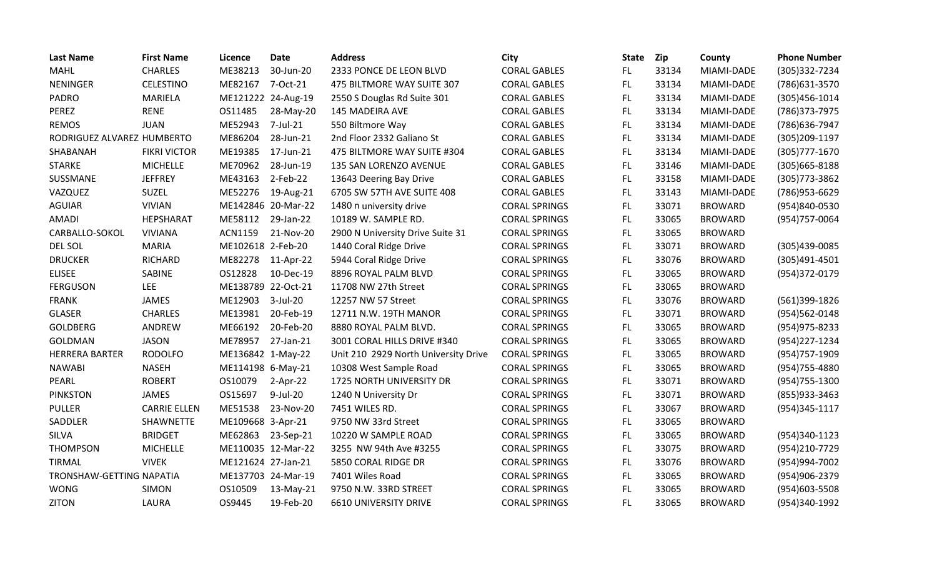| <b>Last Name</b>           | <b>First Name</b>   | Licence            | <b>Date</b>        | <b>Address</b>                       | <b>City</b>          | <b>State</b> | Zip   | County         | <b>Phone Number</b> |
|----------------------------|---------------------|--------------------|--------------------|--------------------------------------|----------------------|--------------|-------|----------------|---------------------|
| <b>MAHL</b>                | <b>CHARLES</b>      | ME38213            | 30-Jun-20          | 2333 PONCE DE LEON BLVD              | <b>CORAL GABLES</b>  | FL.          | 33134 | MIAMI-DADE     | (305) 332-7234      |
| <b>NENINGER</b>            | <b>CELESTINO</b>    | ME82167            | 7-Oct-21           | 475 BILTMORE WAY SUITE 307           | <b>CORAL GABLES</b>  | FL.          | 33134 | MIAMI-DADE     | (786) 631-3570      |
| PADRO                      | <b>MARIELA</b>      |                    | ME121222 24-Aug-19 | 2550 S Douglas Rd Suite 301          | <b>CORAL GABLES</b>  | FL.          | 33134 | MIAMI-DADE     | (305) 456-1014      |
| PEREZ                      | <b>RENE</b>         | OS11485            | 28-May-20          | 145 MADEIRA AVE                      | <b>CORAL GABLES</b>  | FL           | 33134 | MIAMI-DADE     | (786) 373-7975      |
| <b>REMOS</b>               | <b>JUAN</b>         | ME52943            | 7-Jul-21           | 550 Biltmore Way                     | <b>CORAL GABLES</b>  | FL           | 33134 | MIAMI-DADE     | (786) 636-7947      |
| RODRIGUEZ ALVAREZ HUMBERTO |                     | ME86204            | 28-Jun-21          | 2nd Floor 2332 Galiano St            | <b>CORAL GABLES</b>  | FL.          | 33134 | MIAMI-DADE     | (305) 209-1197      |
| SHABANAH                   | <b>FIKRI VICTOR</b> | ME19385            | 17-Jun-21          | 475 BILTMORE WAY SUITE #304          | <b>CORAL GABLES</b>  | FL           | 33134 | MIAMI-DADE     | $(305)777 - 1670$   |
| STARKE                     | <b>MICHELLE</b>     | ME70962            | 28-Jun-19          | 135 SAN LORENZO AVENUE               | <b>CORAL GABLES</b>  | FL.          | 33146 | MIAMI-DADE     | $(305)665 - 8188$   |
| SUSSMANE                   | <b>JEFFREY</b>      | ME43163            | $2$ -Feb-22        | 13643 Deering Bay Drive              | <b>CORAL GABLES</b>  | FL           | 33158 | MIAMI-DADE     | (305) 773-3862      |
| VAZQUEZ                    | <b>SUZEL</b>        | ME52276            | 19-Aug-21          | 6705 SW 57TH AVE SUITE 408           | <b>CORAL GABLES</b>  | FL.          | 33143 | MIAMI-DADE     | (786) 953-6629      |
| <b>AGUIAR</b>              | <b>VIVIAN</b>       |                    | ME142846 20-Mar-22 | 1480 n university drive              | <b>CORAL SPRINGS</b> | FL.          | 33071 | <b>BROWARD</b> | (954)840-0530       |
| <b>AMADI</b>               | HEPSHARAT           | ME58112            | 29-Jan-22          | 10189 W. SAMPLE RD.                  | <b>CORAL SPRINGS</b> | FL           | 33065 | <b>BROWARD</b> | (954) 757-0064      |
| CARBALLO-SOKOL             | <b>VIVIANA</b>      | ACN1159            | 21-Nov-20          | 2900 N University Drive Suite 31     | <b>CORAL SPRINGS</b> | FL           | 33065 | <b>BROWARD</b> |                     |
| DEL SOL                    | <b>MARIA</b>        | ME102618 2-Feb-20  |                    | 1440 Coral Ridge Drive               | <b>CORAL SPRINGS</b> | FL           | 33071 | <b>BROWARD</b> | (305)439-0085       |
| <b>DRUCKER</b>             | <b>RICHARD</b>      | ME82278            | 11-Apr-22          | 5944 Coral Ridge Drive               | <b>CORAL SPRINGS</b> | FL           | 33076 | <b>BROWARD</b> | $(305)491-4501$     |
| <b>ELISEE</b>              | SABINE              | OS12828            | 10-Dec-19          | 8896 ROYAL PALM BLVD                 | <b>CORAL SPRINGS</b> | FL           | 33065 | <b>BROWARD</b> | (954)372-0179       |
| <b>FERGUSON</b>            | LEE                 | ME138789 22-Oct-21 |                    | 11708 NW 27th Street                 | <b>CORAL SPRINGS</b> | FL           | 33065 | <b>BROWARD</b> |                     |
| <b>FRANK</b>               | JAMES               | ME12903            | 3-Jul-20           | 12257 NW 57 Street                   | <b>CORAL SPRINGS</b> | FL           | 33076 | <b>BROWARD</b> | (561)399-1826       |
| <b>GLASER</b>              | <b>CHARLES</b>      | ME13981            | 20-Feb-19          | 12711 N.W. 19TH MANOR                | <b>CORAL SPRINGS</b> | FL.          | 33071 | <b>BROWARD</b> | (954)562-0148       |
| <b>GOLDBERG</b>            | ANDREW              | ME66192            | 20-Feb-20          | 8880 ROYAL PALM BLVD.                | <b>CORAL SPRINGS</b> | FL           | 33065 | <b>BROWARD</b> | (954) 975-8233      |
| <b>GOLDMAN</b>             | <b>JASON</b>        | ME78957            | 27-Jan-21          | 3001 CORAL HILLS DRIVE #340          | <b>CORAL SPRINGS</b> | FL.          | 33065 | <b>BROWARD</b> | (954) 227-1234      |
| <b>HERRERA BARTER</b>      | <b>RODOLFO</b>      | ME136842 1-May-22  |                    | Unit 210 2929 North University Drive | <b>CORAL SPRINGS</b> | FL.          | 33065 | <b>BROWARD</b> | (954) 757-1909      |
| <b>NAWABI</b>              | <b>NASEH</b>        | ME114198 6-May-21  |                    | 10308 West Sample Road               | <b>CORAL SPRINGS</b> | FL           | 33065 | <b>BROWARD</b> | (954) 755-4880      |
| PEARL                      | <b>ROBERT</b>       | OS10079            | $2-Apr-22$         | 1725 NORTH UNIVERSITY DR             | <b>CORAL SPRINGS</b> | FL           | 33071 | <b>BROWARD</b> | (954) 755-1300      |
| <b>PINKSTON</b>            | JAMES               | OS15697            | 9-Jul-20           | 1240 N University Dr                 | <b>CORAL SPRINGS</b> | FL.          | 33071 | <b>BROWARD</b> | (855) 933-3463      |
| <b>PULLER</b>              | <b>CARRIE ELLEN</b> | ME51538            | 23-Nov-20          | 7451 WILES RD.                       | <b>CORAL SPRINGS</b> | FL           | 33067 | <b>BROWARD</b> | (954)345-1117       |
| SADDLER                    | SHAWNETTE           | ME109668 3-Apr-21  |                    | 9750 NW 33rd Street                  | <b>CORAL SPRINGS</b> | <b>FL</b>    | 33065 | <b>BROWARD</b> |                     |
| <b>SILVA</b>               | <b>BRIDGET</b>      | ME62863            | 23-Sep-21          | 10220 W SAMPLE ROAD                  | <b>CORAL SPRINGS</b> | FL.          | 33065 | <b>BROWARD</b> | (954)340-1123       |
| <b>THOMPSON</b>            | <b>MICHELLE</b>     |                    | ME110035 12-Mar-22 | 3255 NW 94th Ave #3255               | <b>CORAL SPRINGS</b> | FL.          | 33075 | <b>BROWARD</b> | (954)210-7729       |
| <b>TIRMAL</b>              | <b>VIVEK</b>        | ME121624 27-Jan-21 |                    | 5850 CORAL RIDGE DR                  | <b>CORAL SPRINGS</b> | FL.          | 33076 | <b>BROWARD</b> | (954)994-7002       |
| TRONSHAW-GETTING NAPATIA   |                     |                    | ME137703 24-Mar-19 | 7401 Wiles Road                      | <b>CORAL SPRINGS</b> | FL.          | 33065 | <b>BROWARD</b> | (954)906-2379       |
| <b>WONG</b>                | <b>SIMON</b>        | OS10509            | 13-May-21          | 9750 N.W. 33RD STREET                | <b>CORAL SPRINGS</b> | FL           | 33065 | <b>BROWARD</b> | (954)603-5508       |
| <b>ZITON</b>               | LAURA               | OS9445             | 19-Feb-20          | <b>6610 UNIVERSITY DRIVE</b>         | <b>CORAL SPRINGS</b> | FL           | 33065 | <b>BROWARD</b> | (954)340-1992       |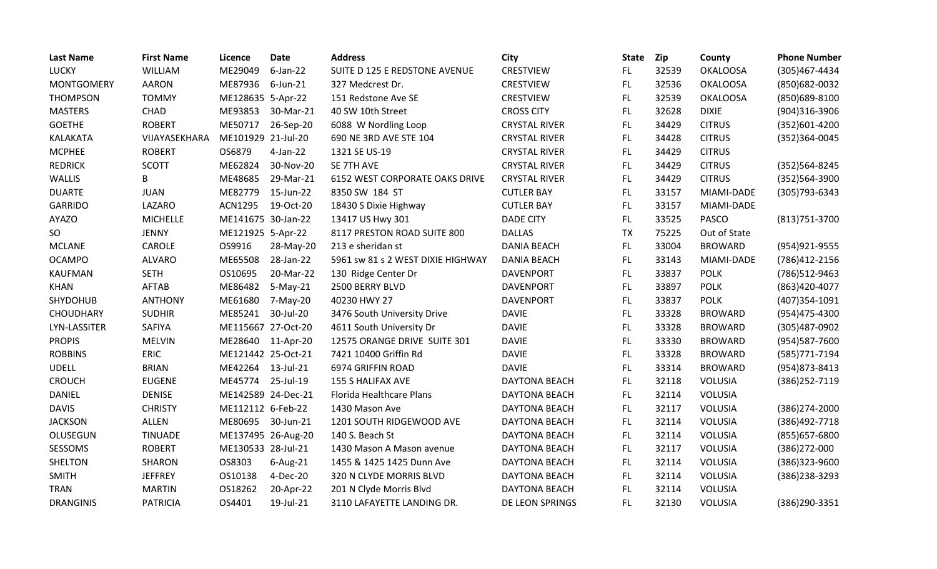| <b>Last Name</b>  | <b>First Name</b> | Licence            | <b>Date</b> | <b>Address</b>                    | City                 | <b>State</b> | Zip   | County          | <b>Phone Number</b> |
|-------------------|-------------------|--------------------|-------------|-----------------------------------|----------------------|--------------|-------|-----------------|---------------------|
| <b>LUCKY</b>      | WILLIAM           | ME29049            | $6$ -Jan-22 | SUITE D 125 E REDSTONE AVENUE     | <b>CRESTVIEW</b>     | FL.          | 32539 | <b>OKALOOSA</b> | (305)467-4434       |
| <b>MONTGOMERY</b> | <b>AARON</b>      | ME87936            | $6$ -Jun-21 | 327 Medcrest Dr.                  | <b>CRESTVIEW</b>     | FL           | 32536 | <b>OKALOOSA</b> | (850) 682-0032      |
| <b>THOMPSON</b>   | <b>TOMMY</b>      | ME128635 5-Apr-22  |             | 151 Redstone Ave SE               | <b>CRESTVIEW</b>     | FL.          | 32539 | <b>OKALOOSA</b> | (850)689-8100       |
| <b>MASTERS</b>    | CHAD              | ME93853            | 30-Mar-21   | 40 SW 10th Street                 | <b>CROSS CITY</b>    | FL           | 32628 | <b>DIXIE</b>    | (904)316-3906       |
| <b>GOETHE</b>     | <b>ROBERT</b>     | ME50717            | 26-Sep-20   | 6088 W Nordling Loop              | <b>CRYSTAL RIVER</b> | FL.          | 34429 | <b>CITRUS</b>   | (352)601-4200       |
| KALAKATA          | VIJAYASEKHARA     | ME101929 21-Jul-20 |             | 690 NE 3RD AVE STE 104            | <b>CRYSTAL RIVER</b> | FL           | 34428 | <b>CITRUS</b>   | (352)364-0045       |
| <b>MCPHEE</b>     | <b>ROBERT</b>     | OS6879             | 4-Jan-22    | 1321 SE US-19                     | <b>CRYSTAL RIVER</b> | FL.          | 34429 | <b>CITRUS</b>   |                     |
| <b>REDRICK</b>    | <b>SCOTT</b>      | ME62824            | 30-Nov-20   | SE 7TH AVE                        | <b>CRYSTAL RIVER</b> | FL           | 34429 | <b>CITRUS</b>   | (352) 564-8245      |
| WALLIS            | B                 | ME48685            | 29-Mar-21   | 6152 WEST CORPORATE OAKS DRIVE    | <b>CRYSTAL RIVER</b> | FL.          | 34429 | <b>CITRUS</b>   | (352)564-3900       |
| <b>DUARTE</b>     | <b>JUAN</b>       | ME82779            | 15-Jun-22   | 8350 SW 184 ST                    | <b>CUTLER BAY</b>    | <b>FL</b>    | 33157 | MIAMI-DADE      | (305) 793-6343      |
| <b>GARRIDO</b>    | LAZARO            | <b>ACN1295</b>     | 19-Oct-20   | 18430 S Dixie Highway             | <b>CUTLER BAY</b>    | FL.          | 33157 | MIAMI-DADE      |                     |
| <b>AYAZO</b>      | <b>MICHELLE</b>   | ME141675 30-Jan-22 |             | 13417 US Hwy 301                  | <b>DADE CITY</b>     | FL           | 33525 | <b>PASCO</b>    | (813) 751-3700      |
| <b>SO</b>         | <b>JENNY</b>      | ME121925 5-Apr-22  |             | 8117 PRESTON ROAD SUITE 800       | <b>DALLAS</b>        | <b>TX</b>    | 75225 | Out of State    |                     |
| <b>MCLANE</b>     | CAROLE            | OS9916             | 28-May-20   | 213 e sheridan st                 | <b>DANIA BEACH</b>   | FL           | 33004 | <b>BROWARD</b>  | (954) 921-9555      |
| <b>OCAMPO</b>     | <b>ALVARO</b>     | ME65508            | 28-Jan-22   | 5961 sw 81 s 2 WEST DIXIE HIGHWAY | <b>DANIA BEACH</b>   | <b>FL</b>    | 33143 | MIAMI-DADE      | (786)412-2156       |
| <b>KAUFMAN</b>    | <b>SETH</b>       | OS10695            | 20-Mar-22   | 130 Ridge Center Dr               | <b>DAVENPORT</b>     | FL           | 33837 | <b>POLK</b>     | (786)512-9463       |
| <b>KHAN</b>       | AFTAB             | ME86482            | $5-May-21$  | 2500 BERRY BLVD                   | <b>DAVENPORT</b>     | FL           | 33897 | <b>POLK</b>     | (863)420-4077       |
| SHYDOHUB          | <b>ANTHONY</b>    | ME61680            | 7-May-20    | 40230 HWY 27                      | <b>DAVENPORT</b>     | FL           | 33837 | <b>POLK</b>     | (407)354-1091       |
| <b>CHOUDHARY</b>  | <b>SUDHIR</b>     | ME85241            | 30-Jul-20   | 3476 South University Drive       | <b>DAVIE</b>         | FL           | 33328 | <b>BROWARD</b>  | (954)475-4300       |
| LYN-LASSITER      | SAFIYA            | ME115667 27-Oct-20 |             | 4611 South University Dr          | <b>DAVIE</b>         | FL           | 33328 | <b>BROWARD</b>  | (305)487-0902       |
| <b>PROPIS</b>     | <b>MELVIN</b>     | ME28640 11-Apr-20  |             | 12575 ORANGE DRIVE SUITE 301      | <b>DAVIE</b>         | FL.          | 33330 | <b>BROWARD</b>  | (954)587-7600       |
| <b>ROBBINS</b>    | <b>ERIC</b>       | ME121442 25-Oct-21 |             | 7421 10400 Griffin Rd             | <b>DAVIE</b>         | FL.          | 33328 | <b>BROWARD</b>  | (585) 771-7194      |
| <b>UDELL</b>      | <b>BRIAN</b>      | ME42264            | 13-Jul-21   | 6974 GRIFFIN ROAD                 | <b>DAVIE</b>         | FL           | 33314 | <b>BROWARD</b>  | (954) 873-8413      |
| <b>CROUCH</b>     | <b>EUGENE</b>     | ME45774            | 25-Jul-19   | 155 S HALIFAX AVE                 | <b>DAYTONA BEACH</b> | FL           | 32118 | <b>VOLUSIA</b>  | (386) 252-7119      |
| DANIEL            | <b>DENISE</b>     | ME142589 24-Dec-21 |             | <b>Florida Healthcare Plans</b>   | DAYTONA BEACH        | <b>FL</b>    | 32114 | <b>VOLUSIA</b>  |                     |
| <b>DAVIS</b>      | <b>CHRISTY</b>    | ME112112 6-Feb-22  |             | 1430 Mason Ave                    | <b>DAYTONA BEACH</b> | FL.          | 32117 | <b>VOLUSIA</b>  | (386) 274-2000      |
| <b>JACKSON</b>    | <b>ALLEN</b>      | ME80695            | 30-Jun-21   | 1201 SOUTH RIDGEWOOD AVE          | DAYTONA BEACH        | FL           | 32114 | <b>VOLUSIA</b>  | (386) 492-7718      |
| OLUSEGUN          | <b>TINUADE</b>    | ME137495 26-Aug-20 |             | 140 S. Beach St                   | <b>DAYTONA BEACH</b> | <b>FL</b>    | 32114 | <b>VOLUSIA</b>  | (855) 657-6800      |
| SESSOMS           | <b>ROBERT</b>     | ME130533 28-Jul-21 |             | 1430 Mason A Mason avenue         | DAYTONA BEACH        | FL.          | 32117 | <b>VOLUSIA</b>  | $(386)272 - 000$    |
| SHELTON           | SHARON            | OS8303             | 6-Aug-21    | 1455 & 1425 1425 Dunn Ave         | DAYTONA BEACH        | FL.          | 32114 | <b>VOLUSIA</b>  | (386) 323-9600      |
| <b>SMITH</b>      | <b>JEFFREY</b>    | OS10138            | 4-Dec-20    | 320 N CLYDE MORRIS BLVD           | <b>DAYTONA BEACH</b> | FL.          | 32114 | VOLUSIA         | (386)238-3293       |
| <b>TRAN</b>       | <b>MARTIN</b>     | OS18262            | 20-Apr-22   | 201 N Clyde Morris Blvd           | DAYTONA BEACH        | <b>FL</b>    | 32114 | <b>VOLUSIA</b>  |                     |
| <b>DRANGINIS</b>  | <b>PATRICIA</b>   | OS4401             | 19-Jul-21   | 3110 LAFAYETTE LANDING DR.        | DE LEON SPRINGS      | FL           | 32130 | VOLUSIA         | (386)290-3351       |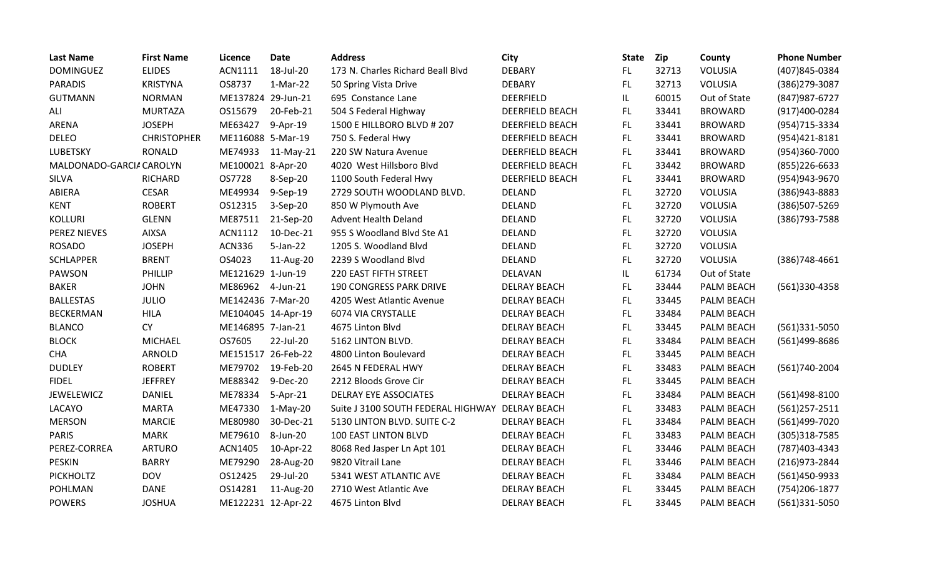| <b>Last Name</b>         | <b>First Name</b>  | Licence            | <b>Date</b> | <b>Address</b>                     | City                   | <b>State</b> | Zip   | County            | <b>Phone Number</b> |
|--------------------------|--------------------|--------------------|-------------|------------------------------------|------------------------|--------------|-------|-------------------|---------------------|
| <b>DOMINGUEZ</b>         | <b>ELIDES</b>      | ACN1111            | 18-Jul-20   | 173 N. Charles Richard Beall Blvd  | <b>DEBARY</b>          | FL.          | 32713 | VOLUSIA           | (407)845-0384       |
| <b>PARADIS</b>           | <b>KRISTYNA</b>    | OS8737             | 1-Mar-22    | 50 Spring Vista Drive              | <b>DEBARY</b>          | FL.          | 32713 | VOLUSIA           | (386) 279-3087      |
| <b>GUTMANN</b>           | <b>NORMAN</b>      | ME137824 29-Jun-21 |             | 695 Constance Lane                 | <b>DEERFIELD</b>       | IL.          | 60015 | Out of State      | (847) 987-6727      |
| ALI                      | <b>MURTAZA</b>     | OS15679            | 20-Feb-21   | 504 S Federal Highway              | <b>DEERFIELD BEACH</b> | FL.          | 33441 | <b>BROWARD</b>    | (917)400-0284       |
| ARENA                    | <b>JOSEPH</b>      | ME63427            | 9-Apr-19    | 1500 E HILLBORO BLVD # 207         | <b>DEERFIELD BEACH</b> | FL           | 33441 | <b>BROWARD</b>    | (954) 715-3334      |
| <b>DELEO</b>             | <b>CHRISTOPHER</b> | ME116088 5-Mar-19  |             | 750 S. Federal Hwy                 | <b>DEERFIELD BEACH</b> | FL.          | 33441 | <b>BROWARD</b>    | (954)421-8181       |
| <b>LUBETSKY</b>          | <b>RONALD</b>      | ME74933            | $11-May-21$ | 220 SW Natura Avenue               | <b>DEERFIELD BEACH</b> | FL.          | 33441 | <b>BROWARD</b>    | (954)360-7000       |
| MALDONADO-GARCIA CAROLYN |                    | ME100021 8-Apr-20  |             | 4020 West Hillsboro Blvd           | <b>DEERFIELD BEACH</b> | FL.          | 33442 | <b>BROWARD</b>    | $(855)$ 226-6633    |
| SILVA                    | <b>RICHARD</b>     | OS7728             | 8-Sep-20    | 1100 South Federal Hwy             | <b>DEERFIELD BEACH</b> | FL.          | 33441 | <b>BROWARD</b>    | (954) 943-9670      |
| ABIERA                   | <b>CESAR</b>       | ME49934            | 9-Sep-19    | 2729 SOUTH WOODLAND BLVD.          | <b>DELAND</b>          | FL.          | 32720 | VOLUSIA           | (386) 943-8883      |
| <b>KENT</b>              | <b>ROBERT</b>      | OS12315            | 3-Sep-20    | 850 W Plymouth Ave                 | <b>DELAND</b>          | FL.          | 32720 | VOLUSIA           | (386)507-5269       |
| <b>KOLLURI</b>           | <b>GLENN</b>       | ME87511            | 21-Sep-20   | <b>Advent Health Deland</b>        | <b>DELAND</b>          | FL.          | 32720 | VOLUSIA           | (386) 793-7588      |
| <b>PEREZ NIEVES</b>      | <b>AIXSA</b>       | ACN1112            | 10-Dec-21   | 955 S Woodland Blvd Ste A1         | <b>DELAND</b>          | FL.          | 32720 | VOLUSIA           |                     |
| <b>ROSADO</b>            | <b>JOSEPH</b>      | <b>ACN336</b>      | $5$ -Jan-22 | 1205 S. Woodland Blvd              | <b>DELAND</b>          | FL.          | 32720 | VOLUSIA           |                     |
| <b>SCHLAPPER</b>         | <b>BRENT</b>       | OS4023             | 11-Aug-20   | 2239 S Woodland Blvd               | <b>DELAND</b>          | FL.          | 32720 | VOLUSIA           | $(386)748-4661$     |
| <b>PAWSON</b>            | PHILLIP            | ME121629 1-Jun-19  |             | 220 EAST FIFTH STREET              | <b>DELAVAN</b>         | IL.          | 61734 | Out of State      |                     |
| <b>BAKER</b>             | <b>JOHN</b>        | ME86962            | 4-Jun-21    | <b>190 CONGRESS PARK DRIVE</b>     | <b>DELRAY BEACH</b>    | FL           | 33444 | PALM BEACH        | (561)330-4358       |
| <b>BALLESTAS</b>         | <b>JULIO</b>       | ME142436 7-Mar-20  |             | 4205 West Atlantic Avenue          | <b>DELRAY BEACH</b>    | FL.          | 33445 | PALM BEACH        |                     |
| <b>BECKERMAN</b>         | <b>HILA</b>        | ME104045 14-Apr-19 |             | 6074 VIA CRYSTALLE                 | <b>DELRAY BEACH</b>    | FL.          | 33484 | PALM BEACH        |                     |
| <b>BLANCO</b>            | <b>CY</b>          | ME146895 7-Jan-21  |             | 4675 Linton Blvd                   | <b>DELRAY BEACH</b>    | FL.          | 33445 | PALM BEACH        | $(561)331 - 5050$   |
| <b>BLOCK</b>             | <b>MICHAEL</b>     | OS7605             | 22-Jul-20   | 5162 LINTON BLVD.                  | <b>DELRAY BEACH</b>    | FL           | 33484 | PALM BEACH        | (561)499-8686       |
| <b>CHA</b>               | ARNOLD             | ME151517 26-Feb-22 |             | 4800 Linton Boulevard              | <b>DELRAY BEACH</b>    | FL           | 33445 | PALM BEACH        |                     |
| <b>DUDLEY</b>            | <b>ROBERT</b>      | ME79702            | 19-Feb-20   | 2645 N FEDERAL HWY                 | <b>DELRAY BEACH</b>    | FL.          | 33483 | PALM BEACH        | (561)740-2004       |
| <b>FIDEL</b>             | <b>JEFFREY</b>     | ME88342            | 9-Dec-20    | 2212 Bloods Grove Cir              | <b>DELRAY BEACH</b>    | FL.          | 33445 | PALM BEACH        |                     |
| <b>JEWELEWICZ</b>        | DANIEL             | ME78334            | 5-Apr-21    | DELRAY EYE ASSOCIATES              | <b>DELRAY BEACH</b>    | FL.          | 33484 | PALM BEACH        | (561)498-8100       |
| LACAYO                   | <b>MARTA</b>       | ME47330            | $1-May-20$  | Suite J 3100 SOUTH FEDERAL HIGHWAY | <b>DELRAY BEACH</b>    | FL.          | 33483 | PALM BEACH        | $(561)257 - 2511$   |
| <b>MERSON</b>            | <b>MARCIE</b>      | ME80980            | 30-Dec-21   | 5130 LINTON BLVD. SUITE C-2        | <b>DELRAY BEACH</b>    | FL.          | 33484 | PALM BEACH        | (561)499-7020       |
| <b>PARIS</b>             | <b>MARK</b>        | ME79610            | 8-Jun-20    | 100 EAST LINTON BLVD               | <b>DELRAY BEACH</b>    | FL.          | 33483 | <b>PALM BEACH</b> | (305)318-7585       |
| PEREZ-CORREA             | <b>ARTURO</b>      | ACN1405            | 10-Apr-22   | 8068 Red Jasper Ln Apt 101         | <b>DELRAY BEACH</b>    | FL.          | 33446 | PALM BEACH        | (787) 403-4343      |
| <b>PESKIN</b>            | <b>BARRY</b>       | ME79290            | 28-Aug-20   | 9820 Vitrail Lane                  | DELRAY BEACH           | FL.          | 33446 | PALM BEACH        | (216) 973 - 2844    |
| <b>PICKHOLTZ</b>         | <b>DOV</b>         | OS12425            | 29-Jul-20   | 5341 WEST ATLANTIC AVE             | <b>DELRAY BEACH</b>    | FL.          | 33484 | PALM BEACH        | (561)450-9933       |
| <b>POHLMAN</b>           | <b>DANE</b>        | OS14281            | 11-Aug-20   | 2710 West Atlantic Ave             | <b>DELRAY BEACH</b>    | FL.          | 33445 | PALM BEACH        | (754) 206-1877      |
| <b>POWERS</b>            | <b>JOSHUA</b>      | ME122231 12-Apr-22 |             | 4675 Linton Blvd                   | <b>DELRAY BEACH</b>    | FL           | 33445 | <b>PALM BEACH</b> | (561)331-5050       |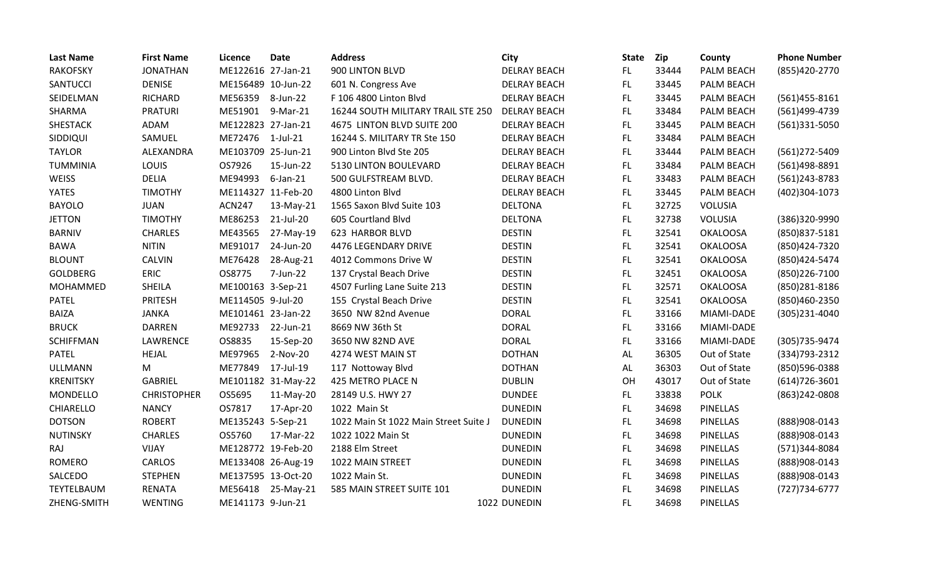| <b>Last Name</b> | <b>First Name</b>  | Licence            | <b>Date</b>        | <b>Address</b>                        | <b>City</b>         | <b>State</b> | Zip   | County          | <b>Phone Number</b> |
|------------------|--------------------|--------------------|--------------------|---------------------------------------|---------------------|--------------|-------|-----------------|---------------------|
| <b>RAKOFSKY</b>  | <b>JONATHAN</b>    | ME122616 27-Jan-21 |                    | 900 LINTON BLVD                       | <b>DELRAY BEACH</b> | FL.          | 33444 | PALM BEACH      | (855)420-2770       |
| SANTUCCI         | <b>DENISE</b>      | ME156489 10-Jun-22 |                    | 601 N. Congress Ave                   | <b>DELRAY BEACH</b> | FL.          | 33445 | PALM BEACH      |                     |
| SEIDELMAN        | RICHARD            | ME56359            | 8-Jun-22           | F 106 4800 Linton Blvd                | <b>DELRAY BEACH</b> | FL.          | 33445 | PALM BEACH      | $(561)455 - 8161$   |
| SHARMA           | <b>PRATURI</b>     | ME51901            | 9-Mar-21           | 16244 SOUTH MILITARY TRAIL STE 250    | <b>DELRAY BEACH</b> | FL.          | 33484 | PALM BEACH      | (561)499-4739       |
| SHESTACK         | ADAM               | ME122823 27-Jan-21 |                    | 4675 LINTON BLVD SUITE 200            | <b>DELRAY BEACH</b> | FL.          | 33445 | PALM BEACH      | (561)331-5050       |
| SIDDIQUI         | SAMUEL             | ME72476 1-Jul-21   |                    | 16244 S. MILITARY TR Ste 150          | <b>DELRAY BEACH</b> | FL.          | 33484 | PALM BEACH      |                     |
| <b>TAYLOR</b>    | ALEXANDRA          | ME103709 25-Jun-21 |                    | 900 Linton Blvd Ste 205               | <b>DELRAY BEACH</b> | FL           | 33444 | PALM BEACH      | (561)272-5409       |
| <b>TUMMINIA</b>  | LOUIS              | OS7926             | 15-Jun-22          | 5130 LINTON BOULEVARD                 | <b>DELRAY BEACH</b> | FL.          | 33484 | PALM BEACH      | (561)498-8891       |
| <b>WEISS</b>     | <b>DELIA</b>       | ME94993            | $6$ -Jan-21        | 500 GULFSTREAM BLVD.                  | <b>DELRAY BEACH</b> | FL.          | 33483 | PALM BEACH      | (561)243-8783       |
| <b>YATES</b>     | <b>TIMOTHY</b>     |                    | ME114327 11-Feb-20 | 4800 Linton Blvd                      | <b>DELRAY BEACH</b> | FL.          | 33445 | PALM BEACH      | (402)304-1073       |
| <b>BAYOLO</b>    | <b>JUAN</b>        | <b>ACN247</b>      | 13-May-21          | 1565 Saxon Blvd Suite 103             | <b>DELTONA</b>      | FL           | 32725 | <b>VOLUSIA</b>  |                     |
| <b>JETTON</b>    | <b>TIMOTHY</b>     | ME86253            | 21-Jul-20          | 605 Courtland Blvd                    | <b>DELTONA</b>      | FL           | 32738 | VOLUSIA         | (386)320-9990       |
| <b>BARNIV</b>    | <b>CHARLES</b>     | ME43565            | 27-May-19          | 623 HARBOR BLVD                       | <b>DESTIN</b>       | FL.          | 32541 | <b>OKALOOSA</b> | (850) 837-5181      |
| <b>BAWA</b>      | <b>NITIN</b>       | ME91017            | 24-Jun-20          | 4476 LEGENDARY DRIVE                  | <b>DESTIN</b>       | FL.          | 32541 | <b>OKALOOSA</b> | (850) 424-7320      |
| <b>BLOUNT</b>    | <b>CALVIN</b>      | ME76428            | 28-Aug-21          | 4012 Commons Drive W                  | <b>DESTIN</b>       | FL.          | 32541 | <b>OKALOOSA</b> | (850)424-5474       |
| <b>GOLDBERG</b>  | <b>ERIC</b>        | OS8775             | 7-Jun-22           | 137 Crystal Beach Drive               | <b>DESTIN</b>       | FL           | 32451 | <b>OKALOOSA</b> | (850)226-7100       |
| MOHAMMED         | <b>SHEILA</b>      | ME100163 3-Sep-21  |                    | 4507 Furling Lane Suite 213           | <b>DESTIN</b>       | FL           | 32571 | <b>OKALOOSA</b> | (850)281-8186       |
| <b>PATEL</b>     | <b>PRITESH</b>     | ME114505 9-Jul-20  |                    | 155 Crystal Beach Drive               | <b>DESTIN</b>       | FL.          | 32541 | <b>OKALOOSA</b> | (850)460-2350       |
| <b>BAIZA</b>     | <b>JANKA</b>       | ME101461 23-Jan-22 |                    | 3650 NW 82nd Avenue                   | <b>DORAL</b>        | FL.          | 33166 | MIAMI-DADE      | (305)231-4040       |
| <b>BRUCK</b>     | <b>DARREN</b>      | ME92733            | 22-Jun-21          | 8669 NW 36th St                       | <b>DORAL</b>        | FL           | 33166 | MIAMI-DADE      |                     |
| <b>SCHIFFMAN</b> | LAWRENCE           | OS8835             | 15-Sep-20          | 3650 NW 82ND AVE                      | <b>DORAL</b>        | FL.          | 33166 | MIAMI-DADE      | (305) 735-9474      |
| <b>PATEL</b>     | <b>HEJAL</b>       | ME97965            | 2-Nov-20           | 4274 WEST MAIN ST                     | <b>DOTHAN</b>       | AL           | 36305 | Out of State    | (334) 793-2312      |
| <b>ULLMANN</b>   | M                  | ME77849            | 17-Jul-19          | 117 Nottoway Blvd                     | <b>DOTHAN</b>       | AL           | 36303 | Out of State    | (850)596-0388       |
| <b>KRENITSKY</b> | <b>GABRIEL</b>     |                    | ME101182 31-May-22 | 425 METRO PLACE N                     | <b>DUBLIN</b>       | OH           | 43017 | Out of State    | $(614)726 - 3601$   |
| <b>MONDELLO</b>  | <b>CHRISTOPHER</b> | OS5695             | 11-May-20          | 28149 U.S. HWY 27                     | <b>DUNDEE</b>       | FL           | 33838 | <b>POLK</b>     | (863) 242-0808      |
| CHIARELLO        | <b>NANCY</b>       | OS7817             | 17-Apr-20          | 1022 Main St                          | <b>DUNEDIN</b>      | FL.          | 34698 | PINELLAS        |                     |
| <b>DOTSON</b>    | <b>ROBERT</b>      | ME135243 5-Sep-21  |                    | 1022 Main St 1022 Main Street Suite J | <b>DUNEDIN</b>      | FL.          | 34698 | <b>PINELLAS</b> | (888)908-0143       |
| <b>NUTINSKY</b>  | <b>CHARLES</b>     | OS5760             | 17-Mar-22          | 1022 1022 Main St                     | <b>DUNEDIN</b>      | FL.          | 34698 | <b>PINELLAS</b> | (888)908-0143       |
| RAJ              | <b>VIJAY</b>       |                    | ME128772 19-Feb-20 | 2188 Elm Street                       | <b>DUNEDIN</b>      | FL.          | 34698 | <b>PINELLAS</b> | (571)344-8084       |
| <b>ROMERO</b>    | CARLOS             |                    | ME133408 26-Aug-19 | 1022 MAIN STREET                      | <b>DUNEDIN</b>      | FL           | 34698 | <b>PINELLAS</b> | (888)908-0143       |
| SALCEDO          | <b>STEPHEN</b>     | ME137595 13-Oct-20 |                    | 1022 Main St.                         | <b>DUNEDIN</b>      | FL           | 34698 | <b>PINELLAS</b> | (888)908-0143       |
| TEYTELBAUM       | <b>RENATA</b>      | ME56418            | 25-May-21          | 585 MAIN STREET SUITE 101             | <b>DUNEDIN</b>      | FL.          | 34698 | <b>PINELLAS</b> | (727) 734-6777      |
| ZHENG-SMITH      | <b>WENTING</b>     | ME141173 9-Jun-21  |                    |                                       | 1022 DUNEDIN        | FL           | 34698 | <b>PINELLAS</b> |                     |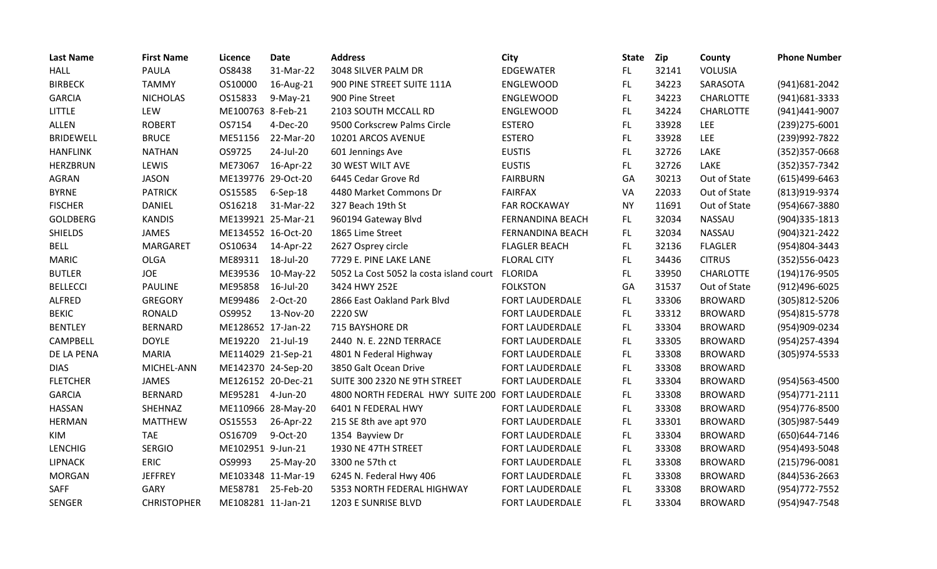| <b>Last Name</b> | <b>First Name</b>  | Licence            | <b>Date</b>        | <b>Address</b>                          | City                    | <b>State</b> | Zip   | County           | <b>Phone Number</b> |
|------------------|--------------------|--------------------|--------------------|-----------------------------------------|-------------------------|--------------|-------|------------------|---------------------|
| <b>HALL</b>      | PAULA              | OS8438             | 31-Mar-22          | 3048 SILVER PALM DR                     | <b>EDGEWATER</b>        | FL.          | 32141 | <b>VOLUSIA</b>   |                     |
| <b>BIRBECK</b>   | <b>TAMMY</b>       | OS10000            | 16-Aug-21          | 900 PINE STREET SUITE 111A              | ENGLEWOOD               | FL.          | 34223 | SARASOTA         | (941) 681-2042      |
| <b>GARCIA</b>    | <b>NICHOLAS</b>    | OS15833            | $9-May-21$         | 900 Pine Street                         | ENGLEWOOD               | <b>FL</b>    | 34223 | <b>CHARLOTTE</b> | (941) 681-3333      |
| <b>LITTLE</b>    | LEW                | ME100763 8-Feb-21  |                    | 2103 SOUTH MCCALL RD                    | ENGLEWOOD               | FL.          | 34224 | <b>CHARLOTTE</b> | (941)441-9007       |
| <b>ALLEN</b>     | <b>ROBERT</b>      | OS7154             | 4-Dec-20           | 9500 Corkscrew Palms Circle             | <b>ESTERO</b>           | FL           | 33928 | <b>LEE</b>       | (239) 275-6001      |
| <b>BRIDEWELL</b> | <b>BRUCE</b>       | ME51156            | 22-Mar-20          | 10201 ARCOS AVENUE                      | <b>ESTERO</b>           | FL.          | 33928 | <b>LEE</b>       | (239)992-7822       |
| <b>HANFLINK</b>  | <b>NATHAN</b>      | OS9725             | 24-Jul-20          | 601 Jennings Ave                        | <b>EUSTIS</b>           | FL           | 32726 | LAKE             | (352) 357-0668      |
| <b>HERZBRUN</b>  | LEWIS              | ME73067            | 16-Apr-22          | 30 WEST WILT AVE                        | <b>EUSTIS</b>           | FL.          | 32726 | LAKE             | (352) 357-7342      |
| <b>AGRAN</b>     | <b>JASON</b>       | ME139776 29-Oct-20 |                    | 6445 Cedar Grove Rd                     | <b>FAIRBURN</b>         | GA           | 30213 | Out of State     | $(615)499 - 6463$   |
| <b>BYRNE</b>     | <b>PATRICK</b>     | OS15585            | $6-$ Sep $-18$     | 4480 Market Commons Dr                  | <b>FAIRFAX</b>          | VA           | 22033 | Out of State     | (813)919-9374       |
| <b>FISCHER</b>   | <b>DANIEL</b>      | OS16218            | 31-Mar-22          | 327 Beach 19th St                       | <b>FAR ROCKAWAY</b>     | <b>NY</b>    | 11691 | Out of State     | (954)667-3880       |
| <b>GOLDBERG</b>  | <b>KANDIS</b>      | ME139921 25-Mar-21 |                    | 960194 Gateway Blvd                     | <b>FERNANDINA BEACH</b> | FL.          | 32034 | <b>NASSAU</b>    | $(904)335 - 1813$   |
| <b>SHIELDS</b>   | JAMES              | ME134552 16-Oct-20 |                    | 1865 Lime Street                        | FERNANDINA BEACH        | FL.          | 32034 | NASSAU           | (904)321-2422       |
| <b>BELL</b>      | MARGARET           | OS10634            | 14-Apr-22          | 2627 Osprey circle                      | <b>FLAGLER BEACH</b>    | FL.          | 32136 | <b>FLAGLER</b>   | (954)804-3443       |
| <b>MARIC</b>     | <b>OLGA</b>        | ME89311            | 18-Jul-20          | 7729 E. PINE LAKE LANE                  | <b>FLORAL CITY</b>      | FL           | 34436 | <b>CITRUS</b>    | (352) 556-0423      |
| <b>BUTLER</b>    | <b>JOE</b>         | ME39536            | 10-May-22          | 5052 La Cost 5052 la costa island court | <b>FLORIDA</b>          | FL.          | 33950 | <b>CHARLOTTE</b> | (194) 176-9505      |
| <b>BELLECCI</b>  | <b>PAULINE</b>     | ME95858            | 16-Jul-20          | 3424 HWY 252E                           | <b>FOLKSTON</b>         | GA           | 31537 | Out of State     | (912)496-6025       |
| <b>ALFRED</b>    | <b>GREGORY</b>     | ME99486            | 2-Oct-20           | 2866 East Oakland Park Blvd             | FORT LAUDERDALE         | FL.          | 33306 | <b>BROWARD</b>   | (305)812-5206       |
| <b>BEKIC</b>     | <b>RONALD</b>      | OS9952             | 13-Nov-20          | 2220 SW                                 | FORT LAUDERDALE         | FL.          | 33312 | <b>BROWARD</b>   | (954) 815-5778      |
| <b>BENTLEY</b>   | <b>BERNARD</b>     | ME128652 17-Jan-22 |                    | 715 BAYSHORE DR                         | FORT LAUDERDALE         | FL.          | 33304 | <b>BROWARD</b>   | (954)909-0234       |
| CAMPBELL         | <b>DOYLE</b>       | ME19220            | 21-Jul-19          | 2440 N. E. 22ND TERRACE                 | <b>FORT LAUDERDALE</b>  | FL.          | 33305 | <b>BROWARD</b>   | (954)257-4394       |
| DE LA PENA       | <b>MARIA</b>       | ME114029 21-Sep-21 |                    | 4801 N Federal Highway                  | FORT LAUDERDALE         | FL.          | 33308 | <b>BROWARD</b>   | (305) 974-5533      |
| <b>DIAS</b>      | MICHEL-ANN         | ME142370 24-Sep-20 |                    | 3850 Galt Ocean Drive                   | <b>FORT LAUDERDALE</b>  | FL.          | 33308 | <b>BROWARD</b>   |                     |
| <b>FLETCHER</b>  | <b>JAMES</b>       | ME126152 20-Dec-21 |                    | SUITE 300 2320 NE 9TH STREET            | FORT LAUDERDALE         | FL.          | 33304 | <b>BROWARD</b>   | (954)563-4500       |
| <b>GARCIA</b>    | <b>BERNARD</b>     | ME95281            | 4-Jun-20           | 4800 NORTH FEDERAL HWY SUITE 200        | FORT LAUDERDALE         | FL           | 33308 | <b>BROWARD</b>   | $(954)771-2111$     |
| <b>HASSAN</b>    | SHEHNAZ            |                    | ME110966 28-May-20 | 6401 N FEDERAL HWY                      | FORT LAUDERDALE         | FL           | 33308 | <b>BROWARD</b>   | (954) 776-8500      |
| <b>HERMAN</b>    | <b>MATTHEW</b>     | OS15553            | 26-Apr-22          | 215 SE 8th ave apt 970                  | <b>FORT LAUDERDALE</b>  | <b>FL</b>    | 33301 | <b>BROWARD</b>   | (305)987-5449       |
| KIM              | <b>TAE</b>         | OS16709            | 9-Oct-20           | 1354 Bayview Dr                         | FORT LAUDERDALE         | FL.          | 33304 | <b>BROWARD</b>   | (650)644-7146       |
| <b>LENCHIG</b>   | <b>SERGIO</b>      | ME102951 9-Jun-21  |                    | 1930 NE 47TH STREET                     | FORT LAUDERDALE         | FL.          | 33308 | <b>BROWARD</b>   | (954)493-5048       |
| <b>LIPNACK</b>   | <b>ERIC</b>        | OS9993             | 25-May-20          | 3300 ne 57th ct                         | FORT LAUDERDALE         | FL.          | 33308 | <b>BROWARD</b>   | $(215)796-0081$     |
| <b>MORGAN</b>    | <b>JEFFREY</b>     | ME103348 11-Mar-19 |                    | 6245 N. Federal Hwy 406                 | FORT LAUDERDALE         | FL.          | 33308 | <b>BROWARD</b>   | (844) 536-2663      |
| <b>SAFF</b>      | GARY               | ME58781            | 25-Feb-20          | 5353 NORTH FEDERAL HIGHWAY              | FORT LAUDERDALE         | FL           | 33308 | <b>BROWARD</b>   | (954) 772-7552      |
| <b>SENGER</b>    | <b>CHRISTOPHER</b> | ME108281 11-Jan-21 |                    | 1203 E SUNRISE BLVD                     | FORT LAUDERDALE         | FL           | 33304 | <b>BROWARD</b>   | (954) 947-7548      |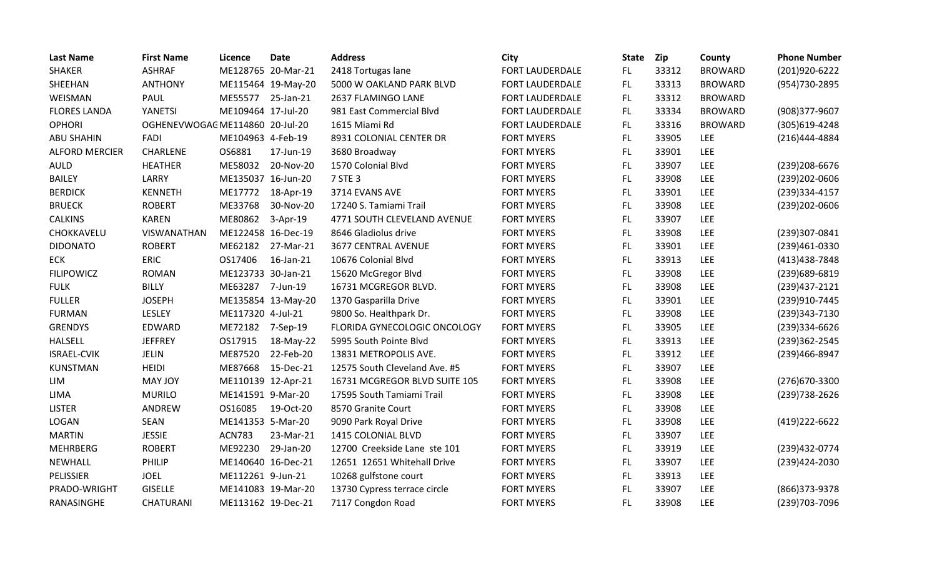| <b>Last Name</b>      | <b>First Name</b>               | Licence            | <b>Date</b>        | <b>Address</b>                | <b>City</b>            | <b>State</b> | Zip   | County         | <b>Phone Number</b> |
|-----------------------|---------------------------------|--------------------|--------------------|-------------------------------|------------------------|--------------|-------|----------------|---------------------|
| <b>SHAKER</b>         | <b>ASHRAF</b>                   |                    | ME128765 20-Mar-21 | 2418 Tortugas lane            | FORT LAUDERDALE        | FL.          | 33312 | <b>BROWARD</b> | (201)920-6222       |
| SHEEHAN               | <b>ANTHONY</b>                  |                    | ME115464 19-May-20 | 5000 W OAKLAND PARK BLVD      | FORT LAUDERDALE        | FL.          | 33313 | <b>BROWARD</b> | (954) 730-2895      |
| WEISMAN               | <b>PAUL</b>                     | ME55577            | 25-Jan-21          | 2637 FLAMINGO LANE            | <b>FORT LAUDERDALE</b> | FL.          | 33312 | <b>BROWARD</b> |                     |
| <b>FLORES LANDA</b>   | YANETSI                         | ME109464 17-Jul-20 |                    | 981 East Commercial Blvd      | FORT LAUDERDALE        | FL.          | 33334 | <b>BROWARD</b> | (908)377-9607       |
| <b>OPHORI</b>         | OGHENEVWOGAC ME114860 20-Jul-20 |                    |                    | 1615 Miami Rd                 | FORT LAUDERDALE        | FL.          | 33316 | <b>BROWARD</b> | (305)619-4248       |
| <b>ABU SHAHIN</b>     | <b>FADI</b>                     | ME104963 4-Feb-19  |                    | 8931 COLONIAL CENTER DR       | <b>FORT MYERS</b>      | FL.          | 33905 | <b>LEE</b>     | (216)444-4884       |
| <b>ALFORD MERCIER</b> | CHARLENE                        | OS6881             | 17-Jun-19          | 3680 Broadway                 | <b>FORT MYERS</b>      | FL           | 33901 | <b>LEE</b>     |                     |
| <b>AULD</b>           | <b>HEATHER</b>                  | ME58032            | 20-Nov-20          | 1570 Colonial Blvd            | <b>FORT MYERS</b>      | FL.          | 33907 | LEE            | (239) 208-6676      |
| <b>BAILEY</b>         | LARRY                           | ME135037 16-Jun-20 |                    | 7 STE 3                       | <b>FORT MYERS</b>      | FL.          | 33908 | <b>LEE</b>     | (239) 202-0606      |
| <b>BERDICK</b>        | <b>KENNETH</b>                  | ME17772            | 18-Apr-19          | 3714 EVANS AVE                | <b>FORT MYERS</b>      | FL.          | 33901 | <b>LEE</b>     | (239)334-4157       |
| <b>BRUECK</b>         | <b>ROBERT</b>                   | ME33768            | 30-Nov-20          | 17240 S. Tamiami Trail        | <b>FORT MYERS</b>      | FL.          | 33908 | <b>LEE</b>     | (239)202-0606       |
| <b>CALKINS</b>        | <b>KAREN</b>                    | ME80862            | 3-Apr-19           | 4771 SOUTH CLEVELAND AVENUE   | <b>FORT MYERS</b>      | FL           | 33907 | <b>LEE</b>     |                     |
| CHOKKAVELU            | VISWANATHAN                     | ME122458 16-Dec-19 |                    | 8646 Gladiolus drive          | <b>FORT MYERS</b>      | FL.          | 33908 | <b>LEE</b>     | (239)307-0841       |
| <b>DIDONATO</b>       | <b>ROBERT</b>                   | ME62182            | 27-Mar-21          | 3677 CENTRAL AVENUE           | <b>FORT MYERS</b>      | FL           | 33901 | <b>LEE</b>     | (239)461-0330       |
| <b>ECK</b>            | <b>ERIC</b>                     | OS17406            | 16-Jan-21          | 10676 Colonial Blvd           | <b>FORT MYERS</b>      | FL           | 33913 | LEE            | (413) 438-7848      |
| <b>FILIPOWICZ</b>     | <b>ROMAN</b>                    | ME123733 30-Jan-21 |                    | 15620 McGregor Blvd           | FORT MYERS             | FL           | 33908 | <b>LEE</b>     | (239)689-6819       |
| <b>FULK</b>           | <b>BILLY</b>                    | ME63287            | 7-Jun-19           | 16731 MCGREGOR BLVD.          | <b>FORT MYERS</b>      | FL.          | 33908 | LEE            | (239)437-2121       |
| <b>FULLER</b>         | <b>JOSEPH</b>                   |                    | ME135854 13-May-20 | 1370 Gasparilla Drive         | <b>FORT MYERS</b>      | FL.          | 33901 | <b>LEE</b>     | (239)910-7445       |
| <b>FURMAN</b>         | LESLEY                          | ME117320 4-Jul-21  |                    | 9800 So. Healthpark Dr.       | <b>FORT MYERS</b>      | FL.          | 33908 | <b>LEE</b>     | (239)343-7130       |
| <b>GRENDYS</b>        | EDWARD                          | ME72182 7-Sep-19   |                    | FLORIDA GYNECOLOGIC ONCOLOGY  | <b>FORT MYERS</b>      | FL.          | 33905 | LEE            | (239)334-6626       |
| <b>HALSELL</b>        | <b>JEFFREY</b>                  | OS17915            | 18-May-22          | 5995 South Pointe Blvd        | <b>FORT MYERS</b>      | FL.          | 33913 | <b>LEE</b>     | (239)362-2545       |
| <b>ISRAEL-CVIK</b>    | <b>JELIN</b>                    | ME87520            | 22-Feb-20          | 13831 METROPOLIS AVE.         | <b>FORT MYERS</b>      | FL.          | 33912 | <b>LEE</b>     | (239)466-8947       |
| <b>KUNSTMAN</b>       | <b>HEIDI</b>                    | ME87668            | 15-Dec-21          | 12575 South Cleveland Ave. #5 | <b>FORT MYERS</b>      | FL.          | 33907 | LEE            |                     |
| LIM                   | MAY JOY                         | ME110139 12-Apr-21 |                    | 16731 MCGREGOR BLVD SUITE 105 | <b>FORT MYERS</b>      | FL           | 33908 | LEE            | (276) 670-3300      |
| LIMA                  | <b>MURILO</b>                   | ME141591 9-Mar-20  |                    | 17595 South Tamiami Trail     | <b>FORT MYERS</b>      | FL.          | 33908 | <b>LEE</b>     | (239)738-2626       |
| <b>LISTER</b>         | ANDREW                          | OS16085            | 19-Oct-20          | 8570 Granite Court            | <b>FORT MYERS</b>      | FL           | 33908 | <b>LEE</b>     |                     |
| LOGAN                 | SEAN                            | ME141353 5-Mar-20  |                    | 9090 Park Royal Drive         | <b>FORT MYERS</b>      | FL           | 33908 | <b>LEE</b>     | (419) 222-6622      |
| <b>MARTIN</b>         | <b>JESSIE</b>                   | <b>ACN783</b>      | 23-Mar-21          | 1415 COLONIAL BLVD            | <b>FORT MYERS</b>      | FL.          | 33907 | LEE            |                     |
| <b>MEHRBERG</b>       | <b>ROBERT</b>                   | ME92230            | 29-Jan-20          | 12700 Creekside Lane ste 101  | FORT MYERS             | FL.          | 33919 | LEE            | (239)432-0774       |
| <b>NEWHALL</b>        | PHILIP                          | ME140640 16-Dec-21 |                    | 12651 12651 Whitehall Drive   | <b>FORT MYERS</b>      | FL.          | 33907 | <b>LEE</b>     | (239)424-2030       |
| <b>PELISSIER</b>      | <b>JOEL</b>                     | ME112261 9-Jun-21  |                    | 10268 gulfstone court         | FORT MYERS             | FL.          | 33913 | LEE            |                     |
| PRADO-WRIGHT          | <b>GISELLE</b>                  |                    | ME141083 19-Mar-20 | 13730 Cypress terrace circle  | <b>FORT MYERS</b>      | FL           | 33907 | <b>LEE</b>     | (866) 373-9378      |
| RANASINGHE            | CHATURANI                       | ME113162 19-Dec-21 |                    | 7117 Congdon Road             | <b>FORT MYERS</b>      | FL           | 33908 | LEE            | (239) 703-7096      |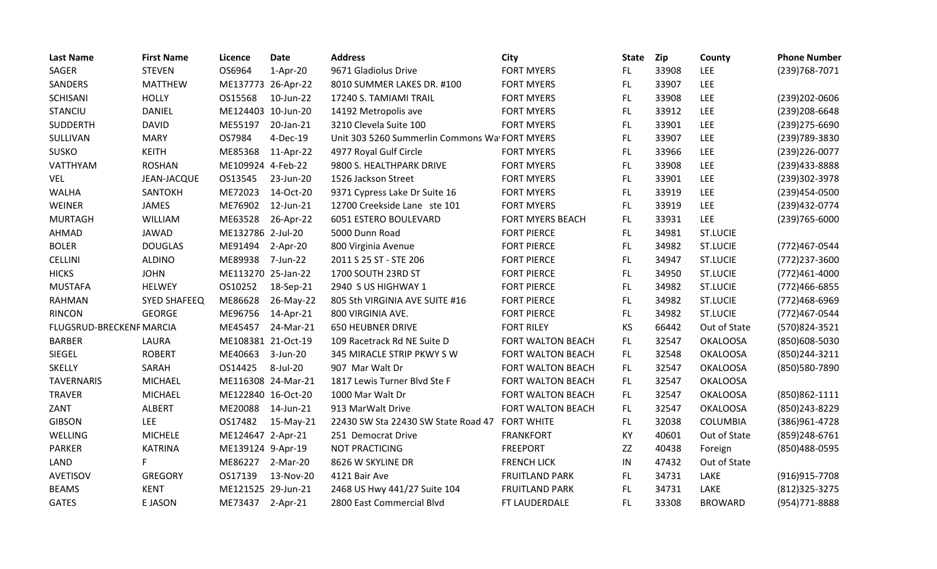| <b>Last Name</b>         | <b>First Name</b>  | Licence            | <b>Date</b>        | <b>Address</b>                                | City                     | <b>State</b> | Zip   | County          | <b>Phone Number</b> |
|--------------------------|--------------------|--------------------|--------------------|-----------------------------------------------|--------------------------|--------------|-------|-----------------|---------------------|
| <b>SAGER</b>             | <b>STEVEN</b>      | OS6964             | $1-Apr-20$         | 9671 Gladiolus Drive                          | <b>FORT MYERS</b>        | FL.          | 33908 | <b>LEE</b>      | (239) 768-7071      |
| SANDERS                  | <b>MATTHEW</b>     | ME137773 26-Apr-22 |                    | 8010 SUMMER LAKES DR. #100                    | <b>FORT MYERS</b>        | FL.          | 33907 | LEE             |                     |
| SCHISANI                 | <b>HOLLY</b>       | OS15568            | 10-Jun-22          | 17240 S. TAMIAMI TRAIL                        | <b>FORT MYERS</b>        | FL.          | 33908 | <b>LEE</b>      | (239) 202-0606      |
| <b>STANCIU</b>           | <b>DANIEL</b>      | ME124403 10-Jun-20 |                    | 14192 Metropolis ave                          | <b>FORT MYERS</b>        | FL           | 33912 | <b>LEE</b>      | (239) 208-6648      |
| SUDDERTH                 | <b>DAVID</b>       | ME55197            | 20-Jan-21          | 3210 Clevela Suite 100                        | <b>FORT MYERS</b>        | FL.          | 33901 | <b>LEE</b>      | (239) 275-6690      |
| SULLIVAN                 | <b>MARY</b>        | OS7984             | 4-Dec-19           | Unit 303 5260 Summerlin Commons Wa FORT MYERS |                          | FL.          | 33907 | <b>LEE</b>      | (239) 789-3830      |
| <b>SUSKO</b>             | <b>KEITH</b>       | ME85368            | 11-Apr-22          | 4977 Royal Gulf Circle                        | <b>FORT MYERS</b>        | FL.          | 33966 | <b>LEE</b>      | (239) 226-0077      |
| VATTHYAM                 | <b>ROSHAN</b>      | ME109924 4-Feb-22  |                    | 9800 S. HEALTHPARK DRIVE                      | <b>FORT MYERS</b>        | FL.          | 33908 | LEE             | (239)433-8888       |
| VEL                      | <b>JEAN-JACQUE</b> | OS13545            | 23-Jun-20          | 1526 Jackson Street                           | <b>FORT MYERS</b>        | FL.          | 33901 | <b>LEE</b>      | (239)302-3978       |
| <b>WALHA</b>             | SANTOKH            | ME72023            | 14-Oct-20          | 9371 Cypress Lake Dr Suite 16                 | <b>FORT MYERS</b>        | FL.          | 33919 | <b>LEE</b>      | (239)454-0500       |
| WEINER                   | JAMES              | ME76902            | 12-Jun-21          | 12700 Creekside Lane ste 101                  | <b>FORT MYERS</b>        | FL           | 33919 | <b>LEE</b>      | (239)432-0774       |
| <b>MURTAGH</b>           | <b>WILLIAM</b>     | ME63528            | 26-Apr-22          | 6051 ESTERO BOULEVARD                         | FORT MYERS BEACH         | FL.          | 33931 | LEE             | (239) 765-6000      |
| AHMAD                    | <b>JAWAD</b>       | ME132786 2-Jul-20  |                    | 5000 Dunn Road                                | <b>FORT PIERCE</b>       | FL.          | 34981 | <b>ST.LUCIE</b> |                     |
| <b>BOLER</b>             | <b>DOUGLAS</b>     | ME91494            | 2-Apr-20           | 800 Virginia Avenue                           | <b>FORT PIERCE</b>       | FL           | 34982 | <b>ST.LUCIE</b> | (772)467-0544       |
| <b>CELLINI</b>           | <b>ALDINO</b>      | ME89938            | 7-Jun-22           | 2011 S 25 ST - STE 206                        | <b>FORT PIERCE</b>       | FL.          | 34947 | <b>ST.LUCIE</b> | (772)237-3600       |
| <b>HICKS</b>             | <b>JOHN</b>        | ME113270 25-Jan-22 |                    | 1700 SOUTH 23RD ST                            | <b>FORT PIERCE</b>       | FL           | 34950 | <b>ST.LUCIE</b> | (772)461-4000       |
| <b>MUSTAFA</b>           | <b>HELWEY</b>      | OS10252            | 18-Sep-21          | 2940 S US HIGHWAY 1                           | <b>FORT PIERCE</b>       | FL           | 34982 | <b>ST.LUCIE</b> | (772)466-6855       |
| <b>RAHMAN</b>            | SYED SHAFEEQ       | ME86628            | 26-May-22          | 805 Sth VIRGINIA AVE SUITE #16                | <b>FORT PIERCE</b>       | FL.          | 34982 | <b>ST.LUCIE</b> | (772)468-6969       |
| <b>RINCON</b>            | <b>GEORGE</b>      | ME96756            | 14-Apr-21          | 800 VIRGINIA AVE.                             | <b>FORT PIERCE</b>       | FL.          | 34982 | <b>ST.LUCIE</b> | (772)467-0544       |
| FLUGSRUD-BRECKENF MARCIA |                    | ME45457            | 24-Mar-21          | <b>650 HEUBNER DRIVE</b>                      | <b>FORT RILEY</b>        | <b>KS</b>    | 66442 | Out of State    | (570)824-3521       |
| <b>BARBER</b>            | LAURA              | ME108381 21-Oct-19 |                    | 109 Racetrack Rd NE Suite D                   | <b>FORT WALTON BEACH</b> | FL.          | 32547 | <b>OKALOOSA</b> | (850)608-5030       |
| SIEGEL                   | <b>ROBERT</b>      | ME40663            | 3-Jun-20           | 345 MIRACLE STRIP PKWY SW                     | FORT WALTON BEACH        | FL.          | 32548 | <b>OKALOOSA</b> | (850)244-3211       |
| <b>SKELLY</b>            | SARAH              | OS14425            | 8-Jul-20           | 907 Mar Walt Dr                               | FORT WALTON BEACH        | FL.          | 32547 | <b>OKALOOSA</b> | (850)580-7890       |
| <b>TAVERNARIS</b>        | <b>MICHAEL</b>     |                    | ME116308 24-Mar-21 | 1817 Lewis Turner Blvd Ste F                  | FORT WALTON BEACH        | FL.          | 32547 | <b>OKALOOSA</b> |                     |
| <b>TRAVER</b>            | <b>MICHAEL</b>     | ME122840 16-Oct-20 |                    | 1000 Mar Walt Dr                              | FORT WALTON BEACH        | FL.          | 32547 | <b>OKALOOSA</b> | (850)862-1111       |
| ZANT                     | <b>ALBERT</b>      | ME20088            | 14-Jun-21          | 913 MarWalt Drive                             | <b>FORT WALTON BEACH</b> | FL.          | 32547 | <b>OKALOOSA</b> | (850) 243-8229      |
| <b>GIBSON</b>            | LEE                | OS17482            | 15-May-21          | 22430 SW Sta 22430 SW State Road 47           | <b>FORT WHITE</b>        | FL.          | 32038 | <b>COLUMBIA</b> | (386)961-4728       |
| WELLING                  | <b>MICHELE</b>     | ME124647 2-Apr-21  |                    | 251 Democrat Drive                            | <b>FRANKFORT</b>         | KY           | 40601 | Out of State    | (859)248-6761       |
| <b>PARKER</b>            | <b>KATRINA</b>     | ME139124 9-Apr-19  |                    | <b>NOT PRACTICING</b>                         | <b>FREEPORT</b>          | ZZ           | 40438 | Foreign         | (850) 488-0595      |
| LAND                     | F.                 | ME86227            | 2-Mar-20           | 8626 W SKYLINE DR                             | <b>FRENCH LICK</b>       | IN           | 47432 | Out of State    |                     |
| <b>AVETISOV</b>          | <b>GREGORY</b>     | OS17139            | 13-Nov-20          | 4121 Bair Ave                                 | <b>FRUITLAND PARK</b>    | FL.          | 34731 | LAKE            | (916) 915-7708      |
| <b>BEAMS</b>             | <b>KENT</b>        | ME121525 29-Jun-21 |                    | 2468 US Hwy 441/27 Suite 104                  | <b>FRUITLAND PARK</b>    | FL           | 34731 | LAKE            | (812) 325-3275      |
| <b>GATES</b>             | E JASON            | ME73437            | $2-Apr-21$         | 2800 East Commercial Blvd                     | FT LAUDERDALE            | FL           | 33308 | <b>BROWARD</b>  | (954) 771-8888      |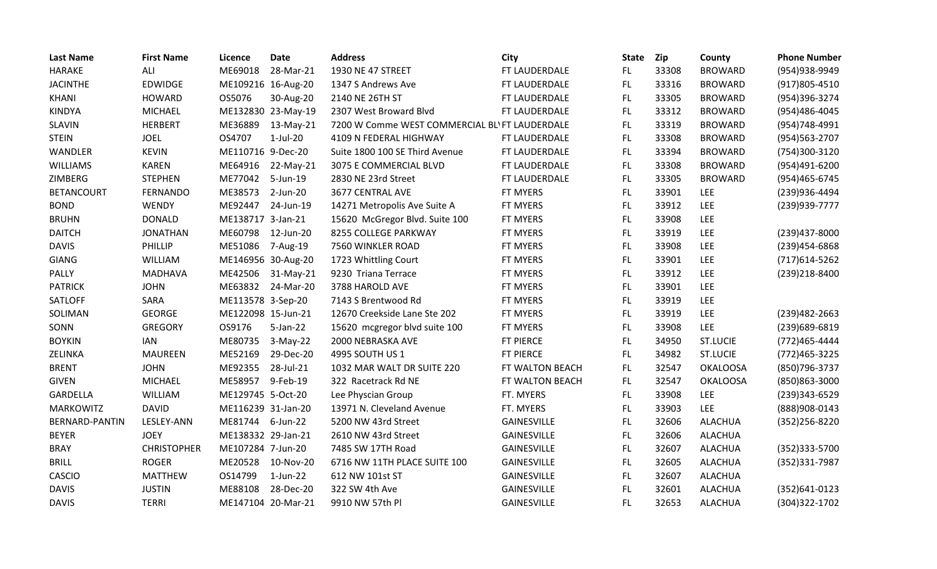| <b>Last Name</b>  | <b>First Name</b>  | Licence            | <b>Date</b>        | <b>Address</b>                                 | <b>City</b>        | <b>State</b> | Zip   | County          | <b>Phone Number</b> |
|-------------------|--------------------|--------------------|--------------------|------------------------------------------------|--------------------|--------------|-------|-----------------|---------------------|
| <b>HARAKE</b>     | ALI                | ME69018            | 28-Mar-21          | 1930 NE 47 STREET                              | FT LAUDERDALE      | FL.          | 33308 | <b>BROWARD</b>  | (954)938-9949       |
| <b>JACINTHE</b>   | <b>EDWIDGE</b>     |                    | ME109216 16-Aug-20 | 1347 S Andrews Ave                             | FT LAUDERDALE      | FL           | 33316 | <b>BROWARD</b>  | $(917)805 - 4510$   |
| KHANI             | <b>HOWARD</b>      | OS5076             | 30-Aug-20          | 2140 NE 26TH ST                                | FT LAUDERDALE      | FL.          | 33305 | <b>BROWARD</b>  | (954)396-3274       |
| <b>KINDYA</b>     | <b>MICHAEL</b>     |                    | ME132830 23-May-19 | 2307 West Broward Blvd                         | FT LAUDERDALE      | FL.          | 33312 | <b>BROWARD</b>  | (954)486-4045       |
| <b>SLAVIN</b>     | <b>HERBERT</b>     | ME36889            | 13-May-21          | 7200 W Comme WEST COMMERCIAL BL' FT LAUDERDALE |                    | FL           | 33319 | <b>BROWARD</b>  | (954)748-4991       |
| <b>STEIN</b>      | <b>JOEL</b>        | OS4707             | $1-Jul-20$         | 4109 N FEDERAL HIGHWAY                         | FT LAUDERDALE      | FL.          | 33308 | <b>BROWARD</b>  | (954) 563-2707      |
| WANDLER           | <b>KEVIN</b>       | ME110716 9-Dec-20  |                    | Suite 1800 100 SE Third Avenue                 | FT LAUDERDALE      | FL           | 33394 | <b>BROWARD</b>  | (754)300-3120       |
| <b>WILLIAMS</b>   | <b>KAREN</b>       | ME64916            | 22-May-21          | 3075 E COMMERCIAL BLVD                         | FT LAUDERDALE      | FL.          | 33308 | <b>BROWARD</b>  | (954)491-6200       |
| ZIMBERG           | <b>STEPHEN</b>     | ME77042            | 5-Jun-19           | 2830 NE 23rd Street                            | FT LAUDERDALE      | FL.          | 33305 | <b>BROWARD</b>  | (954)465-6745       |
| <b>BETANCOURT</b> | <b>FERNANDO</b>    | ME38573            | 2-Jun-20           | 3677 CENTRAL AVE                               | FT MYERS           | FL.          | 33901 | <b>LEE</b>      | (239)936-4494       |
| <b>BOND</b>       | WENDY              | ME92447            | 24-Jun-19          | 14271 Metropolis Ave Suite A                   | FT MYERS           | FL.          | 33912 | <b>LEE</b>      | (239) 939-7777      |
| <b>BRUHN</b>      | <b>DONALD</b>      | ME138717 3-Jan-21  |                    | 15620 McGregor Blvd. Suite 100                 | FT MYERS           | FL.          | 33908 | <b>LEE</b>      |                     |
| <b>DAITCH</b>     | <b>JONATHAN</b>    | ME60798            | 12-Jun-20          | 8255 COLLEGE PARKWAY                           | FT MYERS           | FL.          | 33919 | <b>LEE</b>      | (239)437-8000       |
| <b>DAVIS</b>      | PHILLIP            | ME51086            | 7-Aug-19           | 7560 WINKLER ROAD                              | FT MYERS           | FL.          | 33908 | <b>LEE</b>      | (239)454-6868       |
| <b>GIANG</b>      | <b>WILLIAM</b>     | ME146956 30-Aug-20 |                    | 1723 Whittling Court                           | FT MYERS           | FL           | 33901 | <b>LEE</b>      | (717) 614-5262      |
| PALLY             | <b>MADHAVA</b>     | ME42506            | 31-May-21          | 9230 Triana Terrace                            | FT MYERS           | FL           | 33912 | <b>LEE</b>      | (239)218-8400       |
| <b>PATRICK</b>    | <b>JOHN</b>        | ME63832            | 24-Mar-20          | 3788 HAROLD AVE                                | FT MYERS           | FL.          | 33901 | LEE             |                     |
| SATLOFF           | SARA               | ME113578 3-Sep-20  |                    | 7143 S Brentwood Rd                            | FT MYERS           | FL.          | 33919 | <b>LEE</b>      |                     |
| SOLIMAN           | <b>GEORGE</b>      | ME122098 15-Jun-21 |                    | 12670 Creekside Lane Ste 202                   | FT MYERS           | FL.          | 33919 | LEE             | (239)482-2663       |
| SONN              | <b>GREGORY</b>     | OS9176             | 5-Jan-22           | 15620 mcgregor blvd suite 100                  | FT MYERS           | FL.          | 33908 | <b>LEE</b>      | (239)689-6819       |
| <b>BOYKIN</b>     | <b>IAN</b>         | ME80735            | $3-May-22$         | 2000 NEBRASKA AVE                              | <b>FT PIERCE</b>   | FL.          | 34950 | <b>ST.LUCIE</b> | (772) 465-4444      |
| ZELINKA           | <b>MAUREEN</b>     | ME52169            | 29-Dec-20          | 4995 SOUTH US 1                                | <b>FT PIERCE</b>   | FL.          | 34982 | <b>ST.LUCIE</b> | (772) 465-3225      |
| <b>BRENT</b>      | <b>JOHN</b>        | ME92355            | 28-Jul-21          | 1032 MAR WALT DR SUITE 220                     | FT WALTON BEACH    | FL.          | 32547 | <b>OKALOOSA</b> | (850) 796-3737      |
| <b>GIVEN</b>      | <b>MICHAEL</b>     | ME58957            | 9-Feb-19           | 322 Racetrack Rd NE                            | FT WALTON BEACH    | FL.          | 32547 | <b>OKALOOSA</b> | (850) 863-3000      |
| <b>GARDELLA</b>   | WILLIAM            | ME129745 5-Oct-20  |                    | Lee Physcian Group                             | FT. MYERS          | FL.          | 33908 | <b>LEE</b>      | (239)343-6529       |
| <b>MARKOWITZ</b>  | <b>DAVID</b>       | ME116239 31-Jan-20 |                    | 13971 N. Cleveland Avenue                      | FT. MYERS          | FL           | 33903 | <b>LEE</b>      | (888) 908-0143      |
| BERNARD-PANTIN    | LESLEY-ANN         | ME81744            | 6-Jun-22           | 5200 NW 43rd Street                            | GAINESVILLE        | FL           | 32606 | <b>ALACHUA</b>  | (352)256-8220       |
| <b>BEYER</b>      | <b>JOEY</b>        | ME138332 29-Jan-21 |                    | 2610 NW 43rd Street                            | <b>GAINESVILLE</b> | FL.          | 32606 | <b>ALACHUA</b>  |                     |
| <b>BRAY</b>       | <b>CHRISTOPHER</b> | ME107284 7-Jun-20  |                    | 7485 SW 17TH Road                              | GAINESVILLE        | FL.          | 32607 | <b>ALACHUA</b>  | (352) 333-5700      |
| <b>BRILL</b>      | <b>ROGER</b>       | ME20528            | 10-Nov-20          | 6716 NW 11TH PLACE SUITE 100                   | GAINESVILLE        | FL.          | 32605 | <b>ALACHUA</b>  | (352)331-7987       |
| <b>CASCIO</b>     | <b>MATTHEW</b>     | OS14799            | $1$ -Jun-22        | 612 NW 101st ST                                | <b>GAINESVILLE</b> | FL.          | 32607 | <b>ALACHUA</b>  |                     |
| <b>DAVIS</b>      | <b>JUSTIN</b>      | ME88108            | 28-Dec-20          | 322 SW 4th Ave                                 | GAINESVILLE        | <b>FL</b>    | 32601 | <b>ALACHUA</b>  | (352)641-0123       |
| <b>DAVIS</b>      | <b>TERRI</b>       |                    | ME147104 20-Mar-21 | 9910 NW 57th Pl                                | <b>GAINESVILLE</b> | FL           | 32653 | <b>ALACHUA</b>  | (304) 322-1702      |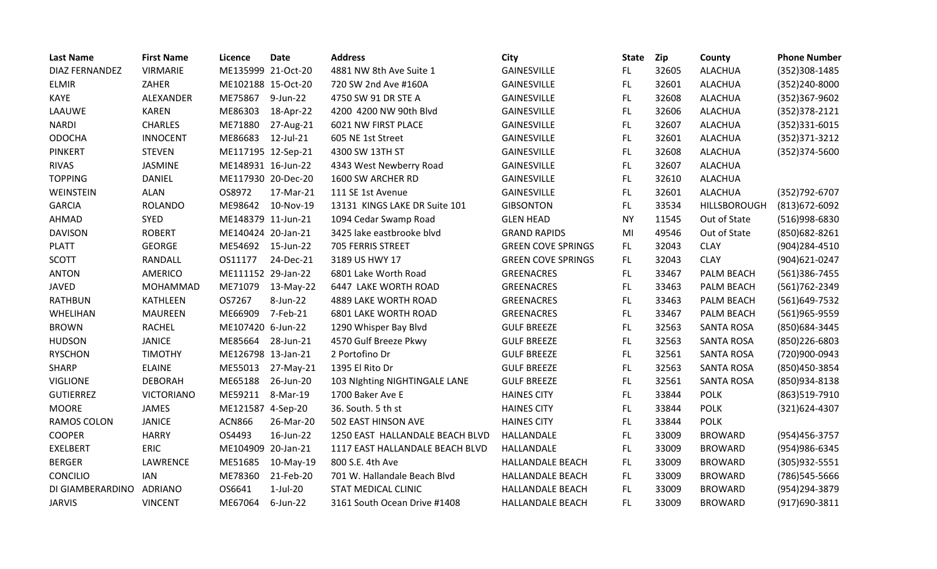| <b>Last Name</b>      | <b>First Name</b> | Licence            | <b>Date</b> | <b>Address</b>                  | <b>City</b>               | <b>State</b> | Zip   | County            | <b>Phone Number</b> |
|-----------------------|-------------------|--------------------|-------------|---------------------------------|---------------------------|--------------|-------|-------------------|---------------------|
| <b>DIAZ FERNANDEZ</b> | <b>VIRMARIE</b>   | ME135999 21-Oct-20 |             | 4881 NW 8th Ave Suite 1         | GAINESVILLE               | FL.          | 32605 | <b>ALACHUA</b>    | (352)308-1485       |
| <b>ELMIR</b>          | ZAHER             | ME102188 15-Oct-20 |             | 720 SW 2nd Ave #160A            | <b>GAINESVILLE</b>        | FL           | 32601 | <b>ALACHUA</b>    | (352)240-8000       |
| <b>KAYE</b>           | ALEXANDER         | ME75867            | 9-Jun-22    | 4750 SW 91 DR STE A             | GAINESVILLE               | FL.          | 32608 | <b>ALACHUA</b>    | (352)367-9602       |
| LAAUWE                | <b>KAREN</b>      | ME86303            | 18-Apr-22   | 4200 4200 NW 90th Blvd          | GAINESVILLE               | FL           | 32606 | <b>ALACHUA</b>    | $(352)378-2121$     |
| <b>NARDI</b>          | <b>CHARLES</b>    | ME71880            | 27-Aug-21   | 6021 NW FIRST PLACE             | GAINESVILLE               | <b>FL</b>    | 32607 | <b>ALACHUA</b>    | $(352)331 - 6015$   |
| <b>ODOCHA</b>         | <b>INNOCENT</b>   | ME86683            | 12-Jul-21   | 605 NE 1st Street               | <b>GAINESVILLE</b>        | FL.          | 32601 | <b>ALACHUA</b>    | (352) 371-3212      |
| <b>PINKERT</b>        | <b>STEVEN</b>     | ME117195 12-Sep-21 |             | 4300 SW 13TH ST                 | <b>GAINESVILLE</b>        | FL           | 32608 | <b>ALACHUA</b>    | $(352)374 - 5600$   |
| RIVAS                 | JASMINE           | ME148931 16-Jun-22 |             | 4343 West Newberry Road         | GAINESVILLE               | FL.          | 32607 | <b>ALACHUA</b>    |                     |
| <b>TOPPING</b>        | <b>DANIEL</b>     | ME117930 20-Dec-20 |             | 1600 SW ARCHER RD               | GAINESVILLE               | FL.          | 32610 | <b>ALACHUA</b>    |                     |
| WEINSTEIN             | <b>ALAN</b>       | OS8972             | 17-Mar-21   | 111 SE 1st Avenue               | GAINESVILLE               | FL.          | 32601 | <b>ALACHUA</b>    | (352) 792-6707      |
| <b>GARCIA</b>         | <b>ROLANDO</b>    | ME98642            | 10-Nov-19   | 13131 KINGS LAKE DR Suite 101   | <b>GIBSONTON</b>          | FL.          | 33534 | HILLSBOROUGH      | (813) 672-6092      |
| <b>AHMAD</b>          | <b>SYED</b>       | ME148379 11-Jun-21 |             | 1094 Cedar Swamp Road           | <b>GLEN HEAD</b>          | <b>NY</b>    | 11545 | Out of State      | (516)998-6830       |
| <b>DAVISON</b>        | <b>ROBERT</b>     | ME140424 20-Jan-21 |             | 3425 lake eastbrooke blvd       | <b>GRAND RAPIDS</b>       | MI           | 49546 | Out of State      | (850) 682-8261      |
| <b>PLATT</b>          | <b>GEORGE</b>     | ME54692            | 15-Jun-22   | 705 FERRIS STREET               | <b>GREEN COVE SPRINGS</b> | FL.          | 32043 | <b>CLAY</b>       | (904)284-4510       |
| <b>SCOTT</b>          | RANDALL           | OS11177            | 24-Dec-21   | 3189 US HWY 17                  | <b>GREEN COVE SPRINGS</b> | FL.          | 32043 | <b>CLAY</b>       | (904)621-0247       |
| <b>ANTON</b>          | <b>AMERICO</b>    | ME111152 29-Jan-22 |             | 6801 Lake Worth Road            | <b>GREENACRES</b>         | FL.          | 33467 | PALM BEACH        | (561)386-7455       |
| <b>JAVED</b>          | <b>MOHAMMAD</b>   | ME71079            | 13-May-22   | 6447 LAKE WORTH ROAD            | <b>GREENACRES</b>         | FL.          | 33463 | PALM BEACH        | (561) 762 - 2349    |
| <b>RATHBUN</b>        | <b>KATHLEEN</b>   | OS7267             | 8-Jun-22    | 4889 LAKE WORTH ROAD            | GREENACRES                | FL.          | 33463 | PALM BEACH        | (561)649-7532       |
| WHELIHAN              | <b>MAUREEN</b>    | ME66909            | 7-Feb-21    | 6801 LAKE WORTH ROAD            | GREENACRES                | FL           | 33467 | PALM BEACH        | (561)965-9559       |
| <b>BROWN</b>          | <b>RACHEL</b>     | ME107420 6-Jun-22  |             | 1290 Whisper Bay Blvd           | <b>GULF BREEZE</b>        | FL.          | 32563 | <b>SANTA ROSA</b> | (850)684-3445       |
| <b>HUDSON</b>         | <b>JANICE</b>     | ME85664            | 28-Jun-21   | 4570 Gulf Breeze Pkwy           | <b>GULF BREEZE</b>        | FL.          | 32563 | <b>SANTA ROSA</b> | (850)226-6803       |
| <b>RYSCHON</b>        | <b>TIMOTHY</b>    | ME126798 13-Jan-21 |             | 2 Portofino Dr                  | <b>GULF BREEZE</b>        | FL           | 32561 | <b>SANTA ROSA</b> | (720)900-0943       |
| <b>SHARP</b>          | <b>ELAINE</b>     | ME55013            | 27-May-21   | 1395 El Rito Dr                 | <b>GULF BREEZE</b>        | FL           | 32563 | <b>SANTA ROSA</b> | (850) 450-3854      |
| <b>VIGLIONE</b>       | <b>DEBORAH</b>    | ME65188            | 26-Jun-20   | 103 Nighting NIGHTINGALE LANE   | <b>GULF BREEZE</b>        | FL.          | 32561 | <b>SANTA ROSA</b> | (850)934-8138       |
| <b>GUTIERREZ</b>      | <b>VICTORIANO</b> | ME59211            | 8-Mar-19    | 1700 Baker Ave E                | <b>HAINES CITY</b>        | FL           | 33844 | <b>POLK</b>       | (863)519-7910       |
| <b>MOORE</b>          | JAMES             | ME121587 4-Sep-20  |             | 36. South. 5 th st              | <b>HAINES CITY</b>        | FL           | 33844 | <b>POLK</b>       | (321)624-4307       |
| <b>RAMOS COLON</b>    | <b>JANICE</b>     | <b>ACN866</b>      | 26-Mar-20   | 502 EAST HINSON AVE             | <b>HAINES CITY</b>        | FL.          | 33844 | <b>POLK</b>       |                     |
| <b>COOPER</b>         | <b>HARRY</b>      | OS4493             | 16-Jun-22   | 1250 EAST HALLANDALE BEACH BLVD | HALLANDALE                | <b>FL</b>    | 33009 | <b>BROWARD</b>    | (954) 456-3757      |
| <b>EXELBERT</b>       | <b>ERIC</b>       | ME104909 20-Jan-21 |             | 1117 EAST HALLANDALE BEACH BLVD | HALLANDALE                | FL.          | 33009 | <b>BROWARD</b>    | (954) 986-6345      |
| <b>BERGER</b>         | LAWRENCE          | ME51685            | 10-May-19   | 800 S.E. 4th Ave                | <b>HALLANDALE BEACH</b>   | FL.          | 33009 | <b>BROWARD</b>    | (305) 932-5551      |
| CONCILIO              | <b>IAN</b>        | ME78360            | 21-Feb-20   | 701 W. Hallandale Beach Blvd    | HALLANDALE BEACH          | FL.          | 33009 | <b>BROWARD</b>    | (786) 545-5666      |
| DI GIAMBERARDINO      | <b>ADRIANO</b>    | OS6641             | $1-Jul-20$  | STAT MEDICAL CLINIC             | <b>HALLANDALE BEACH</b>   | FL.          | 33009 | <b>BROWARD</b>    | (954)294-3879       |
| <b>JARVIS</b>         | <b>VINCENT</b>    | ME67064            | 6-Jun-22    | 3161 South Ocean Drive #1408    | <b>HALLANDALE BEACH</b>   | FL           | 33009 | <b>BROWARD</b>    | (917)690-3811       |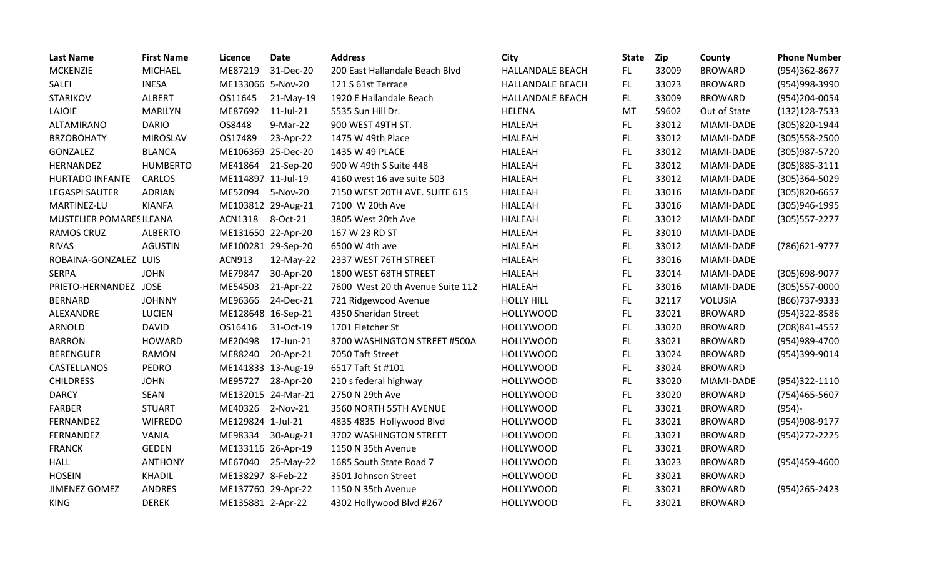| <b>Last Name</b>         | <b>First Name</b> | Licence            | <b>Date</b>        | <b>Address</b>                   | City                    | <b>State</b> | <b>Zip</b> | County         | <b>Phone Number</b> |
|--------------------------|-------------------|--------------------|--------------------|----------------------------------|-------------------------|--------------|------------|----------------|---------------------|
| <b>MCKENZIE</b>          | <b>MICHAEL</b>    | ME87219            | 31-Dec-20          | 200 East Hallandale Beach Blvd   | HALLANDALE BEACH        | FL.          | 33009      | <b>BROWARD</b> | (954)362-8677       |
| SALEI                    | <b>INESA</b>      | ME133066 5-Nov-20  |                    | 121 S 61st Terrace               | <b>HALLANDALE BEACH</b> | FL.          | 33023      | <b>BROWARD</b> | (954)998-3990       |
| <b>STARIKOV</b>          | ALBERT            | OS11645            | 21-May-19          | 1920 E Hallandale Beach          | HALLANDALE BEACH        | FL.          | 33009      | <b>BROWARD</b> | (954)204-0054       |
| LAJOIE                   | <b>MARILYN</b>    | ME87692            | 11-Jul-21          | 5535 Sun Hill Dr.                | HELENA                  | MT           | 59602      | Out of State   | $(132)128-7533$     |
| ALTAMIRANO               | <b>DARIO</b>      | OS8448             | 9-Mar-22           | 900 WEST 49TH ST.                | <b>HIALEAH</b>          | FL.          | 33012      | MIAMI-DADE     | (305)820-1944       |
| <b>BRZOBOHATY</b>        | <b>MIROSLAV</b>   | OS17489            | 23-Apr-22          | 1475 W 49th Place                | <b>HIALEAH</b>          | FL           | 33012      | MIAMI-DADE     | $(305)558 - 2500$   |
| GONZALEZ                 | <b>BLANCA</b>     | ME106369 25-Dec-20 |                    | 1435 W 49 PLACE                  | <b>HIALEAH</b>          | FL.          | 33012      | MIAMI-DADE     | (305) 987-5720      |
| HERNANDEZ                | <b>HUMBERTO</b>   | ME41864            | 21-Sep-20          | 900 W 49th S Suite 448           | <b>HIALEAH</b>          | FL.          | 33012      | MIAMI-DADE     | (305)885-3111       |
| HURTADO INFANTE          | <b>CARLOS</b>     | ME114897 11-Jul-19 |                    | 4160 west 16 ave suite 503       | <b>HIALEAH</b>          | FL.          | 33012      | MIAMI-DADE     | (305)364-5029       |
| <b>LEGASPI SAUTER</b>    | <b>ADRIAN</b>     | ME52094            | 5-Nov-20           | 7150 WEST 20TH AVE. SUITE 615    | <b>HIALEAH</b>          | FL.          | 33016      | MIAMI-DADE     | (305)820-6657       |
| MARTINEZ-LU              | <b>KIANFA</b>     | ME103812 29-Aug-21 |                    | 7100 W 20th Ave                  | <b>HIALEAH</b>          | FL           | 33016      | MIAMI-DADE     | (305)946-1995       |
| MUSTELIER POMARES ILEANA |                   | <b>ACN1318</b>     | 8-Oct-21           | 3805 West 20th Ave               | <b>HIALEAH</b>          | FL.          | 33012      | MIAMI-DADE     | (305) 557-2277      |
| <b>RAMOS CRUZ</b>        | <b>ALBERTO</b>    | ME131650 22-Apr-20 |                    | 167 W 23 RD ST                   | <b>HIALEAH</b>          | FL.          | 33010      | MIAMI-DADE     |                     |
| <b>RIVAS</b>             | <b>AGUSTIN</b>    | ME100281 29-Sep-20 |                    | 6500 W 4th ave                   | <b>HIALEAH</b>          | FL           | 33012      | MIAMI-DADE     | (786) 621-9777      |
| ROBAINA-GONZALEZ LUIS    |                   | <b>ACN913</b>      | 12-May-22          | 2337 WEST 76TH STREET            | <b>HIALEAH</b>          | FL           | 33016      | MIAMI-DADE     |                     |
| <b>SERPA</b>             | <b>JOHN</b>       | ME79847            | 30-Apr-20          | 1800 WEST 68TH STREET            | <b>HIALEAH</b>          | FL           | 33014      | MIAMI-DADE     | (305) 698-9077      |
| PRIETO-HERNANDEZ JOSE    |                   | ME54503            | 21-Apr-22          | 7600 West 20 th Avenue Suite 112 | <b>HIALEAH</b>          | FL           | 33016      | MIAMI-DADE     | (305)557-0000       |
| <b>BERNARD</b>           | <b>JOHNNY</b>     | ME96366            | 24-Dec-21          | 721 Ridgewood Avenue             | <b>HOLLY HILL</b>       | FL.          | 32117      | VOLUSIA        | (866) 737-9333      |
| ALEXANDRE                | <b>LUCIEN</b>     | ME128648 16-Sep-21 |                    | 4350 Sheridan Street             | <b>HOLLYWOOD</b>        | FL.          | 33021      | <b>BROWARD</b> | (954)322-8586       |
| ARNOLD                   | <b>DAVID</b>      | OS16416            | 31-Oct-19          | 1701 Fletcher St                 | <b>HOLLYWOOD</b>        | FL.          | 33020      | <b>BROWARD</b> | (208) 841-4552      |
| <b>BARRON</b>            | <b>HOWARD</b>     | ME20498            | 17-Jun-21          | 3700 WASHINGTON STREET #500A     | <b>HOLLYWOOD</b>        | <b>FL</b>    | 33021      | <b>BROWARD</b> | (954) 989-4700      |
| <b>BERENGUER</b>         | <b>RAMON</b>      | ME88240            | 20-Apr-21          | 7050 Taft Street                 | <b>HOLLYWOOD</b>        | FL.          | 33024      | <b>BROWARD</b> | (954)399-9014       |
| CASTELLANOS              | <b>PEDRO</b>      | ME141833 13-Aug-19 |                    | 6517 Taft St #101                | <b>HOLLYWOOD</b>        | FL.          | 33024      | <b>BROWARD</b> |                     |
| <b>CHILDRESS</b>         | <b>JOHN</b>       | ME95727            | 28-Apr-20          | 210 s federal highway            | <b>HOLLYWOOD</b>        | FL.          | 33020      | MIAMI-DADE     | (954)322-1110       |
| <b>DARCY</b>             | <b>SEAN</b>       |                    | ME132015 24-Mar-21 | 2750 N 29th Ave                  | <b>HOLLYWOOD</b>        | FL           | 33020      | <b>BROWARD</b> | (754)465-5607       |
| <b>FARBER</b>            | <b>STUART</b>     | ME40326            | 2-Nov-21           | 3560 NORTH 55TH AVENUE           | <b>HOLLYWOOD</b>        | FL.          | 33021      | <b>BROWARD</b> | $(954) -$           |
| FERNANDEZ                | <b>WIFREDO</b>    | ME129824 1-Jul-21  |                    | 4835 4835 Hollywood Blvd         | <b>HOLLYWOOD</b>        | FL           | 33021      | <b>BROWARD</b> | (954) 908-9177      |
| FERNANDEZ                | VANIA             | ME98334            | 30-Aug-21          | 3702 WASHINGTON STREET           | <b>HOLLYWOOD</b>        | FL.          | 33021      | <b>BROWARD</b> | (954) 272-2225      |
| <b>FRANCK</b>            | <b>GEDEN</b>      | ME133116 26-Apr-19 |                    | 1150 N 35th Avenue               | <b>HOLLYWOOD</b>        | FL.          | 33021      | <b>BROWARD</b> |                     |
| <b>HALL</b>              | <b>ANTHONY</b>    | ME67040            | 25-May-22          | 1685 South State Road 7          | <b>HOLLYWOOD</b>        | FL.          | 33023      | <b>BROWARD</b> | (954)459-4600       |
| <b>HOSEIN</b>            | KHADIL            | ME138297 8-Feb-22  |                    | 3501 Johnson Street              | <b>HOLLYWOOD</b>        | FL.          | 33021      | <b>BROWARD</b> |                     |
| JIMENEZ GOMEZ            | <b>ANDRES</b>     | ME137760 29-Apr-22 |                    | 1150 N 35th Avenue               | <b>HOLLYWOOD</b>        | FL           | 33021      | <b>BROWARD</b> | (954) 265 - 2423    |
| <b>KING</b>              | <b>DEREK</b>      | ME135881 2-Apr-22  |                    | 4302 Hollywood Blvd #267         | <b>HOLLYWOOD</b>        | <b>FL</b>    | 33021      | <b>BROWARD</b> |                     |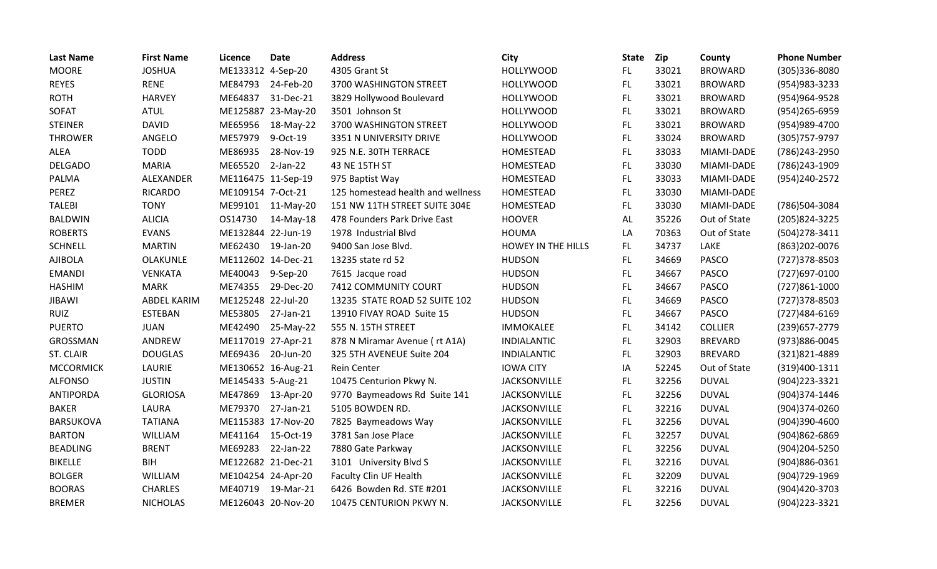| <b>Last Name</b> | <b>First Name</b> | Licence            | <b>Date</b>        | <b>Address</b>                    | City                      | <b>State</b> | Zip   | County         | <b>Phone Number</b> |
|------------------|-------------------|--------------------|--------------------|-----------------------------------|---------------------------|--------------|-------|----------------|---------------------|
| <b>MOORE</b>     | <b>JOSHUA</b>     | ME133312 4-Sep-20  |                    | 4305 Grant St                     | <b>HOLLYWOOD</b>          | FL.          | 33021 | <b>BROWARD</b> | (305)336-8080       |
| <b>REYES</b>     | <b>RENE</b>       | ME84793            | 24-Feb-20          | 3700 WASHINGTON STREET            | <b>HOLLYWOOD</b>          | <b>FL</b>    | 33021 | <b>BROWARD</b> | (954) 983-3233      |
| <b>ROTH</b>      | <b>HARVEY</b>     | ME64837            | 31-Dec-21          | 3829 Hollywood Boulevard          | <b>HOLLYWOOD</b>          | <b>FL</b>    | 33021 | <b>BROWARD</b> | (954) 964-9528      |
| SOFAT            | <b>ATUL</b>       |                    | ME125887 23-May-20 | 3501 Johnson St                   | <b>HOLLYWOOD</b>          | <b>FL</b>    | 33021 | <b>BROWARD</b> | (954) 265-6959      |
| <b>STEINER</b>   | <b>DAVID</b>      | ME65956            | 18-May-22          | 3700 WASHINGTON STREET            | <b>HOLLYWOOD</b>          | <b>FL</b>    | 33021 | <b>BROWARD</b> | (954)989-4700       |
| <b>THROWER</b>   | ANGELO            | ME57979            | 9-Oct-19           | 3351 N UNIVERSITY DRIVE           | <b>HOLLYWOOD</b>          | <b>FL</b>    | 33024 | <b>BROWARD</b> | (305) 757-9797      |
| <b>ALEA</b>      | <b>TODD</b>       | ME86935            | 28-Nov-19          | 925 N.E. 30TH TERRACE             | HOMESTEAD                 | <b>FL</b>    | 33033 | MIAMI-DADE     | (786) 243-2950      |
| <b>DELGADO</b>   | <b>MARIA</b>      | ME65520            | $2-Jan-22$         | 43 NE 15TH ST                     | HOMESTEAD                 | FL           | 33030 | MIAMI-DADE     | (786) 243-1909      |
| PALMA            | ALEXANDER         | ME116475 11-Sep-19 |                    | 975 Baptist Way                   | HOMESTEAD                 | FL.          | 33033 | MIAMI-DADE     | (954) 240-2572      |
| PEREZ            | <b>RICARDO</b>    | ME109154 7-Oct-21  |                    | 125 homestead health and wellness | HOMESTEAD                 | FL           | 33030 | MIAMI-DADE     |                     |
| <b>TALEBI</b>    | <b>TONY</b>       |                    | ME99101 11-May-20  | 151 NW 11TH STREET SUITE 304E     | HOMESTEAD                 | FL.          | 33030 | MIAMI-DADE     | (786)504-3084       |
| <b>BALDWIN</b>   | <b>ALICIA</b>     | OS14730            | 14-May-18          | 478 Founders Park Drive East      | <b>HOOVER</b>             | AL           | 35226 | Out of State   | (205) 824-3225      |
| <b>ROBERTS</b>   | <b>EVANS</b>      | ME132844 22-Jun-19 |                    | 1978 Industrial Blvd              | <b>HOUMA</b>              | LA           | 70363 | Out of State   | (504)278-3411       |
| <b>SCHNELL</b>   | <b>MARTIN</b>     | ME62430            | 19-Jan-20          | 9400 San Jose Blvd.               | <b>HOWEY IN THE HILLS</b> | <b>FL</b>    | 34737 | LAKE           | (863) 202-0076      |
| <b>AJIBOLA</b>   | <b>OLAKUNLE</b>   | ME112602 14-Dec-21 |                    | 13235 state rd 52                 | <b>HUDSON</b>             | <b>FL</b>    | 34669 | <b>PASCO</b>   | (727) 378-8503      |
| <b>EMANDI</b>    | <b>VENKATA</b>    | ME40043            | 9-Sep-20           | 7615 Jacque road                  | <b>HUDSON</b>             | <b>FL</b>    | 34667 | <b>PASCO</b>   | (727)697-0100       |
| <b>HASHIM</b>    | <b>MARK</b>       | ME74355            | 29-Dec-20          | 7412 COMMUNITY COURT              | <b>HUDSON</b>             | FL           | 34667 | <b>PASCO</b>   | (727)861-1000       |
| <b>JIBAWI</b>    | ABDEL KARIM       | ME125248 22-Jul-20 |                    | 13235 STATE ROAD 52 SUITE 102     | <b>HUDSON</b>             | <b>FL</b>    | 34669 | <b>PASCO</b>   | (727) 378-8503      |
| <b>RUIZ</b>      | <b>ESTEBAN</b>    | ME53805            | 27-Jan-21          | 13910 FIVAY ROAD Suite 15         | <b>HUDSON</b>             | <b>FL</b>    | 34667 | <b>PASCO</b>   | (727)484-6169       |
| <b>PUERTO</b>    | <b>JUAN</b>       | ME42490            | 25-May-22          | 555 N. 15TH STREET                | IMMOKALEE                 | <b>FL</b>    | 34142 | <b>COLLIER</b> | (239) 657-2779      |
| GROSSMAN         | ANDREW            | ME117019 27-Apr-21 |                    | 878 N Miramar Avenue (rt A1A)     | <b>INDIALANTIC</b>        | <b>FL</b>    | 32903 | <b>BREVARD</b> | (973)886-0045       |
| ST. CLAIR        | <b>DOUGLAS</b>    | ME69436            | 20-Jun-20          | 325 5TH AVENEUE Suite 204         | <b>INDIALANTIC</b>        | FL           | 32903 | <b>BREVARD</b> | (321)821-4889       |
| <b>MCCORMICK</b> | LAURIE            | ME130652 16-Aug-21 |                    | Rein Center                       | <b>IOWA CITY</b>          | IA           | 52245 | Out of State   | (319)400-1311       |
| <b>ALFONSO</b>   | <b>JUSTIN</b>     | ME145433 5-Aug-21  |                    | 10475 Centurion Pkwy N.           | <b>JACKSONVILLE</b>       | FL           | 32256 | <b>DUVAL</b>   | (904) 223-3321      |
| <b>ANTIPORDA</b> | <b>GLORIOSA</b>   | ME47869            | 13-Apr-20          | 9770 Baymeadows Rd Suite 141      | <b>JACKSONVILLE</b>       | FL           | 32256 | <b>DUVAL</b>   | (904)374-1446       |
| <b>BAKER</b>     | LAURA             | ME79370            | 27-Jan-21          | 5105 BOWDEN RD.                   | JACKSONVILLE              | <b>FL</b>    | 32216 | <b>DUVAL</b>   | (904)374-0260       |
| <b>BARSUKOVA</b> | <b>TATIANA</b>    | ME115383 17-Nov-20 |                    | 7825 Baymeadows Way               | <b>JACKSONVILLE</b>       | FL.          | 32256 | <b>DUVAL</b>   | (904)390-4600       |
| <b>BARTON</b>    | WILLIAM           | ME41164            | 15-Oct-19          | 3781 San Jose Place               | <b>JACKSONVILLE</b>       | FL.          | 32257 | <b>DUVAL</b>   | (904)862-6869       |
| <b>BEADLING</b>  | <b>BRENT</b>      | ME69283            | 22-Jan-22          | 7880 Gate Parkway                 | JACKSONVILLE              | <b>FL</b>    | 32256 | <b>DUVAL</b>   | (904)204-5250       |
| <b>BIKELLE</b>   | <b>BIH</b>        | ME122682 21-Dec-21 |                    | 3101 University Blvd S            | <b>JACKSONVILLE</b>       | FL.          | 32216 | <b>DUVAL</b>   | (904)886-0361       |
| <b>BOLGER</b>    | WILLIAM           | ME104254 24-Apr-20 |                    | Faculty Clin UF Health            | JACKSONVILLE              | <b>FL</b>    | 32209 | <b>DUVAL</b>   | (904) 729-1969      |
| <b>BOORAS</b>    | <b>CHARLES</b>    | ME40719            | 19-Mar-21          | 6426 Bowden Rd. STE #201          | <b>JACKSONVILLE</b>       | <b>FL</b>    | 32216 | <b>DUVAL</b>   | (904)420-3703       |
| <b>BREMER</b>    | <b>NICHOLAS</b>   | ME126043 20-Nov-20 |                    | 10475 CENTURION PKWY N.           | <b>JACKSONVILLE</b>       | FL           | 32256 | <b>DUVAL</b>   | (904)223-3321       |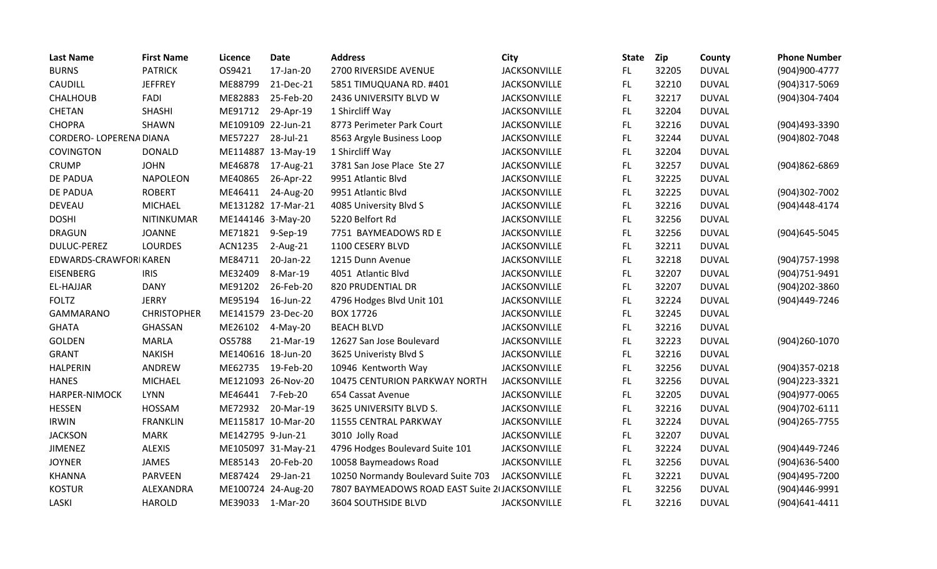| <b>Last Name</b>        | <b>First Name</b>  | Licence            | <b>Date</b>        | <b>Address</b>                                 | City                | <b>State</b> | Zip   | County       | <b>Phone Number</b> |
|-------------------------|--------------------|--------------------|--------------------|------------------------------------------------|---------------------|--------------|-------|--------------|---------------------|
| <b>BURNS</b>            | <b>PATRICK</b>     | OS9421             | 17-Jan-20          | 2700 RIVERSIDE AVENUE                          | JACKSONVILLE        | FL.          | 32205 | <b>DUVAL</b> | (904)900-4777       |
| <b>CAUDILL</b>          | <b>JEFFREY</b>     | ME88799            | 21-Dec-21          | 5851 TIMUQUANA RD. #401                        | <b>JACKSONVILLE</b> | FL.          | 32210 | <b>DUVAL</b> | (904)317-5069       |
| <b>CHALHOUB</b>         | FADI               | ME82883            | 25-Feb-20          | 2436 UNIVERSITY BLVD W                         | JACKSONVILLE        | FL           | 32217 | <b>DUVAL</b> | (904)304-7404       |
| CHETAN                  | <b>SHASHI</b>      | ME91712            | 29-Apr-19          | 1 Shircliff Way                                | JACKSONVILLE        | FL           | 32204 | <b>DUVAL</b> |                     |
| <b>CHOPRA</b>           | <b>SHAWN</b>       | ME109109 22-Jun-21 |                    | 8773 Perimeter Park Court                      | <b>JACKSONVILLE</b> | FL.          | 32216 | <b>DUVAL</b> | (904)493-3390       |
| CORDERO- LOPERENA DIANA |                    | ME57227            | 28-Jul-21          | 8563 Argyle Business Loop                      | <b>JACKSONVILLE</b> | FL           | 32244 | <b>DUVAL</b> | (904)802-7048       |
| <b>COVINGTON</b>        | <b>DONALD</b>      |                    | ME114887 13-May-19 | 1 Shircliff Way                                | JACKSONVILLE        | FL           | 32204 | <b>DUVAL</b> |                     |
| <b>CRUMP</b>            | <b>JOHN</b>        | ME46878            | 17-Aug-21          | 3781 San Jose Place Ste 27                     | <b>JACKSONVILLE</b> | FL.          | 32257 | <b>DUVAL</b> | (904)862-6869       |
| <b>DE PADUA</b>         | <b>NAPOLEON</b>    | ME40865            | 26-Apr-22          | 9951 Atlantic Blvd                             | JACKSONVILLE        | FL           | 32225 | <b>DUVAL</b> |                     |
| <b>DE PADUA</b>         | <b>ROBERT</b>      | ME46411            | 24-Aug-20          | 9951 Atlantic Blvd                             | <b>JACKSONVILLE</b> | FL.          | 32225 | <b>DUVAL</b> | (904)302-7002       |
| <b>DEVEAU</b>           | <b>MICHAEL</b>     |                    | ME131282 17-Mar-21 | 4085 University Blvd S                         | JACKSONVILLE        | FL.          | 32216 | <b>DUVAL</b> | (904)448-4174       |
| <b>DOSHI</b>            | NITINKUMAR         | ME144146 3-May-20  |                    | 5220 Belfort Rd                                | JACKSONVILLE        | FL           | 32256 | <b>DUVAL</b> |                     |
| <b>DRAGUN</b>           | <b>JOANNE</b>      | ME71821            | 9-Sep-19           | 7751 BAYMEADOWS RD E                           | JACKSONVILLE        | FL.          | 32256 | <b>DUVAL</b> | (904) 645-5045      |
| <b>DULUC-PEREZ</b>      | <b>LOURDES</b>     | <b>ACN1235</b>     | 2-Aug-21           | 1100 CESERY BLVD                               | <b>JACKSONVILLE</b> | FL           | 32211 | <b>DUVAL</b> |                     |
| EDWARDS-CRAWFORIKAREN   |                    | ME84711            | 20-Jan-22          | 1215 Dunn Avenue                               | <b>JACKSONVILLE</b> | FL.          | 32218 | <b>DUVAL</b> | (904) 757-1998      |
| <b>EISENBERG</b>        | <b>IRIS</b>        | ME32409            | 8-Mar-19           | 4051 Atlantic Blvd                             | <b>JACKSONVILLE</b> | FL.          | 32207 | <b>DUVAL</b> | (904)751-9491       |
| <b>EL-HAJJAR</b>        | <b>DANY</b>        | ME91202            | 26-Feb-20          | 820 PRUDENTIAL DR                              | JACKSONVILLE        | FL           | 32207 | <b>DUVAL</b> | (904) 202-3860      |
| <b>FOLTZ</b>            | <b>JERRY</b>       | ME95194            | 16-Jun-22          | 4796 Hodges Blvd Unit 101                      | JACKSONVILLE        | FL           | 32224 | <b>DUVAL</b> | (904)449-7246       |
| <b>GAMMARANO</b>        | <b>CHRISTOPHER</b> | ME141579 23-Dec-20 |                    | BOX 17726                                      | <b>JACKSONVILLE</b> | FL.          | 32245 | <b>DUVAL</b> |                     |
| <b>GHATA</b>            | GHASSAN            | ME26102            | 4-May-20           | <b>BEACH BLVD</b>                              | JACKSONVILLE        | FL           | 32216 | <b>DUVAL</b> |                     |
| <b>GOLDEN</b>           | <b>MARLA</b>       | OS5788             | 21-Mar-19          | 12627 San Jose Boulevard                       | <b>JACKSONVILLE</b> | FL.          | 32223 | <b>DUVAL</b> | (904)260-1070       |
| <b>GRANT</b>            | <b>NAKISH</b>      | ME140616 18-Jun-20 |                    | 3625 Univeristy Blvd S                         | <b>JACKSONVILLE</b> | FL.          | 32216 | <b>DUVAL</b> |                     |
| <b>HALPERIN</b>         | ANDREW             | ME62735            | 19-Feb-20          | 10946 Kentworth Way                            | JACKSONVILLE        | FL.          | 32256 | <b>DUVAL</b> | $(904)357-0218$     |
| <b>HANES</b>            | <b>MICHAEL</b>     |                    | ME121093 26-Nov-20 | 10475 CENTURION PARKWAY NORTH                  | <b>JACKSONVILLE</b> | FL.          | 32256 | <b>DUVAL</b> | (904) 223 - 3321    |
| HARPER-NIMOCK           | <b>LYNN</b>        | ME46441            | 7-Feb-20           | 654 Cassat Avenue                              | <b>JACKSONVILLE</b> | FL.          | 32205 | <b>DUVAL</b> | (904) 977-0065      |
| <b>HESSEN</b>           | HOSSAM             | ME72932            | 20-Mar-19          | 3625 UNIVERSITY BLVD S.                        | JACKSONVILLE        | FL           | 32216 | <b>DUVAL</b> | (904)702-6111       |
| <b>IRWIN</b>            | <b>FRANKLIN</b>    |                    | ME115817 10-Mar-20 | 11555 CENTRAL PARKWAY                          | <b>JACKSONVILLE</b> | FL.          | 32224 | <b>DUVAL</b> | (904) 265-7755      |
| <b>JACKSON</b>          | <b>MARK</b>        | ME142795 9-Jun-21  |                    | 3010 Jolly Road                                | <b>JACKSONVILLE</b> | FL.          | 32207 | <b>DUVAL</b> |                     |
| <b>JIMENEZ</b>          | <b>ALEXIS</b>      |                    | ME105097 31-May-21 | 4796 Hodges Boulevard Suite 101                | JACKSONVILLE        | FL.          | 32224 | <b>DUVAL</b> | (904)449-7246       |
| <b>JOYNER</b>           | JAMES              | ME85143            | 20-Feb-20          | 10058 Baymeadows Road                          | <b>JACKSONVILLE</b> | FL.          | 32256 | <b>DUVAL</b> | (904) 636-5400      |
| <b>KHANNA</b>           | <b>PARVEEN</b>     | ME87424            | 29-Jan-21          | 10250 Normandy Boulevard Suite 703             | JACKSONVILLE        | FL           | 32221 | <b>DUVAL</b> | (904)495-7200       |
| <b>KOSTUR</b>           | ALEXANDRA          |                    | ME100724 24-Aug-20 | 7807 BAYMEADOWS ROAD EAST Suite 2 JACKSONVILLE |                     | FL           | 32256 | <b>DUVAL</b> | (904)446-9991       |
| LASKI                   | <b>HAROLD</b>      | ME39033 1-Mar-20   |                    | <b>3604 SOUTHSIDE BLVD</b>                     | <b>JACKSONVILLE</b> | <b>FL</b>    | 32216 | <b>DUVAL</b> | (904)641-4411       |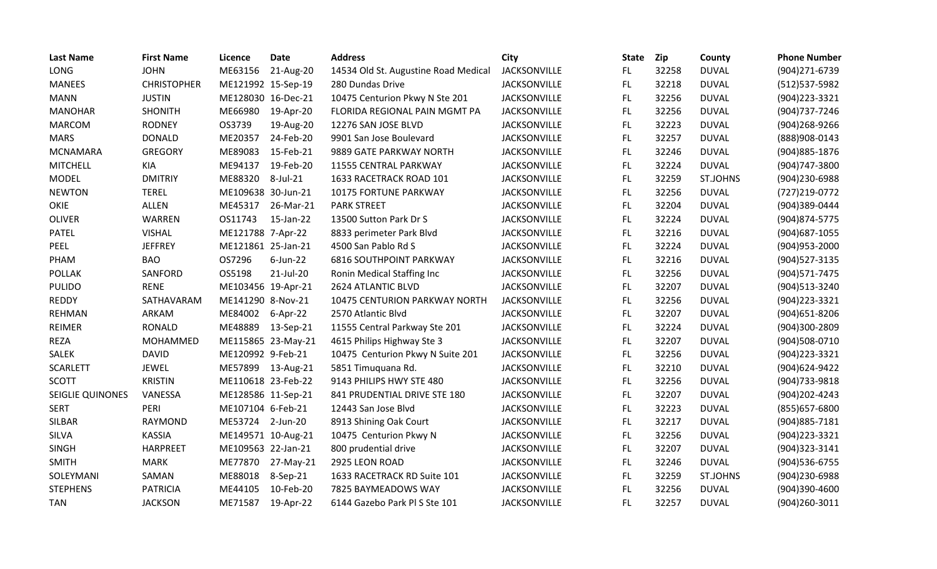| <b>Last Name</b> | <b>First Name</b>  | Licence            | Date        | <b>Address</b>                       | City                | <b>State</b> | Zip   | County          | <b>Phone Number</b> |
|------------------|--------------------|--------------------|-------------|--------------------------------------|---------------------|--------------|-------|-----------------|---------------------|
| LONG             | <b>JOHN</b>        | ME63156            | 21-Aug-20   | 14534 Old St. Augustine Road Medical | <b>JACKSONVILLE</b> | FL.          | 32258 | <b>DUVAL</b>    | (904)271-6739       |
| <b>MANEES</b>    | <b>CHRISTOPHER</b> | ME121992 15-Sep-19 |             | 280 Dundas Drive                     | <b>JACKSONVILLE</b> | FL.          | 32218 | <b>DUVAL</b>    | (512) 537-5982      |
| <b>MANN</b>      | <b>JUSTIN</b>      | ME128030 16-Dec-21 |             | 10475 Centurion Pkwy N Ste 201       | JACKSONVILLE        | FL.          | 32256 | <b>DUVAL</b>    | (904) 223 - 3321    |
| <b>MANOHAR</b>   | <b>SHONITH</b>     | ME66980            | 19-Apr-20   | FLORIDA REGIONAL PAIN MGMT PA        | JACKSONVILLE        | FL.          | 32256 | <b>DUVAL</b>    | (904) 737-7246      |
| <b>MARCOM</b>    | <b>RODNEY</b>      | OS3739             | 19-Aug-20   | 12276 SAN JOSE BLVD                  | <b>JACKSONVILLE</b> | FL           | 32223 | <b>DUVAL</b>    | (904)268-9266       |
| <b>MARS</b>      | <b>DONALD</b>      | ME20357            | 24-Feb-20   | 9901 San Jose Boulevard              | JACKSONVILLE        | <b>FL</b>    | 32257 | <b>DUVAL</b>    | (888)908-0143       |
| <b>MCNAMARA</b>  | <b>GREGORY</b>     | ME89083            | 15-Feb-21   | 9889 GATE PARKWAY NORTH              | <b>JACKSONVILLE</b> | FL           | 32246 | <b>DUVAL</b>    | (904) 885-1876      |
| <b>MITCHELL</b>  | <b>KIA</b>         | ME94137            | 19-Feb-20   | 11555 CENTRAL PARKWAY                | JACKSONVILLE        | FL           | 32224 | <b>DUVAL</b>    | (904)747-3800       |
| <b>MODEL</b>     | <b>DMITRIY</b>     | ME88320            | 8-Jul-21    | 1633 RACETRACK ROAD 101              | <b>JACKSONVILLE</b> | FL           | 32259 | ST.JOHNS        | (904)230-6988       |
| <b>NEWTON</b>    | <b>TEREL</b>       | ME109638 30-Jun-21 |             | <b>10175 FORTUNE PARKWAY</b>         | <b>JACKSONVILLE</b> | <b>FL</b>    | 32256 | <b>DUVAL</b>    | (727) 219-0772      |
| OKIE             | ALLEN              | ME45317            | 26-Mar-21   | <b>PARK STREET</b>                   | JACKSONVILLE        | FL.          | 32204 | <b>DUVAL</b>    | (904)389-0444       |
| <b>OLIVER</b>    | WARREN             | OS11743            | 15-Jan-22   | 13500 Sutton Park Dr S               | <b>JACKSONVILLE</b> | FL.          | 32224 | <b>DUVAL</b>    | (904) 874-5775      |
| <b>PATEL</b>     | <b>VISHAL</b>      | ME121788 7-Apr-22  |             | 8833 perimeter Park Blvd             | JACKSONVILLE        | FL.          | 32216 | <b>DUVAL</b>    | (904) 687-1055      |
| PEEL             | <b>JEFFREY</b>     | ME121861 25-Jan-21 |             | 4500 San Pablo Rd S                  | JACKSONVILLE        | FL           | 32224 | <b>DUVAL</b>    | (904) 953-2000      |
| PHAM             | <b>BAO</b>         | OS7296             | $6$ -Jun-22 | <b>6816 SOUTHPOINT PARKWAY</b>       | <b>JACKSONVILLE</b> | <b>FL</b>    | 32216 | <b>DUVAL</b>    | (904) 527-3135      |
| <b>POLLAK</b>    | SANFORD            | OS5198             | 21-Jul-20   | Ronin Medical Staffing Inc           | JACKSONVILLE        | FL.          | 32256 | <b>DUVAL</b>    | (904) 571-7475      |
| <b>PULIDO</b>    | <b>RENE</b>        | ME103456 19-Apr-21 |             | 2624 ATLANTIC BLVD                   | <b>JACKSONVILLE</b> | FL           | 32207 | <b>DUVAL</b>    | (904)513-3240       |
| <b>REDDY</b>     | SATHAVARAM         | ME141290 8-Nov-21  |             | 10475 CENTURION PARKWAY NORTH        | <b>JACKSONVILLE</b> | FL.          | 32256 | <b>DUVAL</b>    | (904) 223 - 3321    |
| REHMAN           | ARKAM              | ME84002            | 6-Apr-22    | 2570 Atlantic Blvd                   | <b>JACKSONVILLE</b> | <b>FL</b>    | 32207 | <b>DUVAL</b>    | (904) 651-8206      |
| REIMER           | <b>RONALD</b>      | ME48889            | 13-Sep-21   | 11555 Central Parkway Ste 201        | JACKSONVILLE        | FL.          | 32224 | <b>DUVAL</b>    | (904)300-2809       |
| <b>REZA</b>      | MOHAMMED           | ME115865 23-May-21 |             | 4615 Philips Highway Ste 3           | <b>JACKSONVILLE</b> | FL.          | 32207 | <b>DUVAL</b>    | (904)508-0710       |
| <b>SALEK</b>     | <b>DAVID</b>       | ME120992 9-Feb-21  |             | 10475 Centurion Pkwy N Suite 201     | <b>JACKSONVILLE</b> | FL           | 32256 | <b>DUVAL</b>    | (904) 223 - 3321    |
| <b>SCARLETT</b>  | JEWEL              | ME57899 13-Aug-21  |             | 5851 Timuquana Rd.                   | JACKSONVILLE        | FL           | 32210 | <b>DUVAL</b>    | (904)624-9422       |
| <b>SCOTT</b>     | <b>KRISTIN</b>     | ME110618 23-Feb-22 |             | 9143 PHILIPS HWY STE 480             | <b>JACKSONVILLE</b> | FL.          | 32256 | <b>DUVAL</b>    | (904) 733-9818      |
| SEIGLIE QUINONES | VANESSA            | ME128586 11-Sep-21 |             | 841 PRUDENTIAL DRIVE STE 180         | <b>JACKSONVILLE</b> | <b>FL</b>    | 32207 | <b>DUVAL</b>    | (904) 202-4243      |
| <b>SERT</b>      | PERI               | ME107104 6-Feb-21  |             | 12443 San Jose Blvd                  | <b>JACKSONVILLE</b> | FL.          | 32223 | <b>DUVAL</b>    | (855) 657-6800      |
| <b>SILBAR</b>    | <b>RAYMOND</b>     | ME53724            | 2-Jun-20    | 8913 Shining Oak Court               | JACKSONVILLE        | FL           | 32217 | <b>DUVAL</b>    | (904) 885-7181      |
| SILVA            | <b>KASSIA</b>      | ME149571 10-Aug-21 |             | 10475 Centurion Pkwy N               | JACKSONVILLE        | FL.          | 32256 | <b>DUVAL</b>    | (904) 223 - 3321    |
| <b>SINGH</b>     | <b>HARPREET</b>    | ME109563 22-Jan-21 |             | 800 prudential drive                 | JACKSONVILLE        | FL.          | 32207 | <b>DUVAL</b>    | (904)323-3141       |
| <b>SMITH</b>     | <b>MARK</b>        | ME77870            | 27-May-21   | 2925 LEON ROAD                       | JACKSONVILLE        | FL.          | 32246 | <b>DUVAL</b>    | (904) 536-6755      |
| SOLEYMANI        | SAMAN              | ME88018            | 8-Sep-21    | 1633 RACETRACK RD Suite 101          | <b>JACKSONVILLE</b> | FL.          | 32259 | <b>ST.JOHNS</b> | (904)230-6988       |
| <b>STEPHENS</b>  | <b>PATRICIA</b>    | ME44105            | 10-Feb-20   | 7825 BAYMEADOWS WAY                  | JACKSONVILLE        | <b>FL</b>    | 32256 | <b>DUVAL</b>    | (904)390-4600       |
| <b>TAN</b>       | <b>JACKSON</b>     | ME71587            | 19-Apr-22   | 6144 Gazebo Park Pl S Ste 101        | <b>JACKSONVILLE</b> | <b>FL</b>    | 32257 | <b>DUVAL</b>    | (904)260-3011       |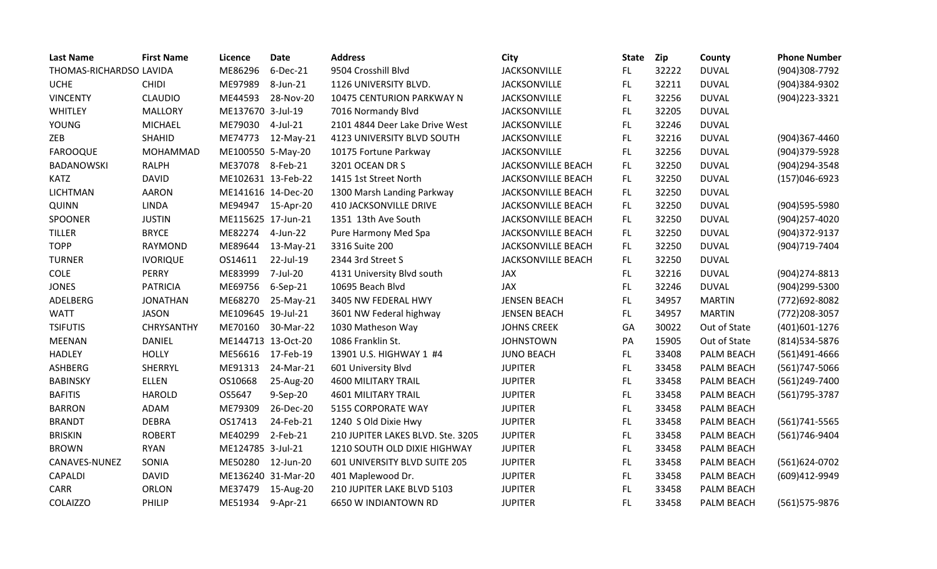| <b>Last Name</b>        | <b>First Name</b> | Licence            | <b>Date</b> | <b>Address</b>                    | City                      | <b>State</b> | Zip   | County            | <b>Phone Number</b> |
|-------------------------|-------------------|--------------------|-------------|-----------------------------------|---------------------------|--------------|-------|-------------------|---------------------|
| THOMAS-RICHARDSO LAVIDA |                   | ME86296            | 6-Dec-21    | 9504 Crosshill Blvd               | <b>JACKSONVILLE</b>       | FL.          | 32222 | <b>DUVAL</b>      | (904)308-7792       |
| <b>UCHE</b>             | <b>CHIDI</b>      | ME97989            | 8-Jun-21    | 1126 UNIVERSITY BLVD.             | <b>JACKSONVILLE</b>       | FL.          | 32211 | <b>DUVAL</b>      | (904)384-9302       |
| <b>VINCENTY</b>         | <b>CLAUDIO</b>    | ME44593            | 28-Nov-20   | 10475 CENTURION PARKWAY N         | <b>JACKSONVILLE</b>       | FL           | 32256 | <b>DUVAL</b>      | (904) 223 - 3321    |
| WHITLEY                 | <b>MALLORY</b>    | ME137670 3-Jul-19  |             | 7016 Normandy Blvd                | JACKSONVILLE              | FL           | 32205 | <b>DUVAL</b>      |                     |
| <b>YOUNG</b>            | <b>MICHAEL</b>    | ME79030            | 4-Jul-21    | 2101 4844 Deer Lake Drive West    | <b>JACKSONVILLE</b>       | FL.          | 32246 | <b>DUVAL</b>      |                     |
| ZEB                     | <b>SHAHID</b>     | ME74773            | 12-May-21   | 4123 UNIVERSITY BLVD SOUTH        | <b>JACKSONVILLE</b>       | FL.          | 32216 | <b>DUVAL</b>      | (904)367-4460       |
| <b>FAROOQUE</b>         | MOHAMMAD          | ME100550 5-May-20  |             | 10175 Fortune Parkway             | <b>JACKSONVILLE</b>       | FL.          | 32256 | <b>DUVAL</b>      | (904)379-5928       |
| <b>BADANOWSKI</b>       | <b>RALPH</b>      | ME37078            | 8-Feb-21    | 3201 OCEAN DR S                   | <b>JACKSONVILLE BEACH</b> | FL.          | 32250 | <b>DUVAL</b>      | (904)294-3548       |
| <b>KATZ</b>             | <b>DAVID</b>      | ME102631 13-Feb-22 |             | 1415 1st Street North             | <b>JACKSONVILLE BEACH</b> | FL.          | 32250 | <b>DUVAL</b>      | $(157)046-6923$     |
| <b>LICHTMAN</b>         | <b>AARON</b>      | ME141616 14-Dec-20 |             | 1300 Marsh Landing Parkway        | <b>JACKSONVILLE BEACH</b> | FL.          | 32250 | <b>DUVAL</b>      |                     |
| QUINN                   | <b>LINDA</b>      | ME94947 15-Apr-20  |             | <b>410 JACKSONVILLE DRIVE</b>     | <b>JACKSONVILLE BEACH</b> | FL.          | 32250 | <b>DUVAL</b>      | (904)595-5980       |
| SPOONER                 | <b>JUSTIN</b>     | ME115625 17-Jun-21 |             | 1351 13th Ave South               | <b>JACKSONVILLE BEACH</b> | FL.          | 32250 | <b>DUVAL</b>      | (904)257-4020       |
| <b>TILLER</b>           | <b>BRYCE</b>      | ME82274            | 4-Jun-22    | Pure Harmony Med Spa              | JACKSONVILLE BEACH        | FL.          | 32250 | <b>DUVAL</b>      | (904)372-9137       |
| <b>TOPP</b>             | <b>RAYMOND</b>    | ME89644            | 13-May-21   | 3316 Suite 200                    | <b>JACKSONVILLE BEACH</b> | <b>FL</b>    | 32250 | <b>DUVAL</b>      | (904)719-7404       |
| <b>TURNER</b>           | <b>IVORIQUE</b>   | OS14611            | 22-Jul-19   | 2344 3rd Street S                 | <b>JACKSONVILLE BEACH</b> | FL.          | 32250 | <b>DUVAL</b>      |                     |
| <b>COLE</b>             | <b>PERRY</b>      | ME83999            | 7-Jul-20    | 4131 University Blvd south        | JAX                       | FL           | 32216 | <b>DUVAL</b>      | (904) 274-8813      |
| <b>JONES</b>            | <b>PATRICIA</b>   | ME69756            | 6-Sep-21    | 10695 Beach Blvd                  | <b>JAX</b>                | FL.          | 32246 | <b>DUVAL</b>      | (904)299-5300       |
| ADELBERG                | <b>JONATHAN</b>   | ME68270            | 25-May-21   | 3405 NW FEDERAL HWY               | <b>JENSEN BEACH</b>       | FL.          | 34957 | <b>MARTIN</b>     | (772)692-8082       |
| <b>WATT</b>             | <b>JASON</b>      | ME109645 19-Jul-21 |             | 3601 NW Federal highway           | <b>JENSEN BEACH</b>       | FL.          | 34957 | <b>MARTIN</b>     | (772) 208-3057      |
| <b>TSIFUTIS</b>         | <b>CHRYSANTHY</b> | ME70160            | 30-Mar-22   | 1030 Matheson Way                 | <b>JOHNS CREEK</b>        | GA           | 30022 | Out of State      | (401)601-1276       |
| <b>MEENAN</b>           | <b>DANIEL</b>     | ME144713 13-Oct-20 |             | 1086 Franklin St.                 | <b>JOHNSTOWN</b>          | PA           | 15905 | Out of State      | (814) 534-5876      |
| <b>HADLEY</b>           | <b>HOLLY</b>      | ME56616            | 17-Feb-19   | 13901 U.S. HIGHWAY 1 #4           | <b>JUNO BEACH</b>         | FL.          | 33408 | PALM BEACH        | (561)491-4666       |
| <b>ASHBERG</b>          | SHERRYL           | ME91313            | 24-Mar-21   | 601 University Blvd               | <b>JUPITER</b>            | FL.          | 33458 | <b>PALM BEACH</b> | (561)747-5066       |
| <b>BABINSKY</b>         | <b>ELLEN</b>      | OS10668            | 25-Aug-20   | <b>4600 MILITARY TRAIL</b>        | <b>JUPITER</b>            | FL           | 33458 | PALM BEACH        | (561)249-7400       |
| <b>BAFITIS</b>          | <b>HAROLD</b>     | OS5647             | 9-Sep-20    | <b>4601 MILITARY TRAIL</b>        | <b>JUPITER</b>            | FL           | 33458 | PALM BEACH        | (561) 795-3787      |
| <b>BARRON</b>           | ADAM              | ME79309            | 26-Dec-20   | 5155 CORPORATE WAY                | <b>JUPITER</b>            | FL           | 33458 | PALM BEACH        |                     |
| <b>BRANDT</b>           | <b>DEBRA</b>      | OS17413            | 24-Feb-21   | 1240 S Old Dixie Hwy              | <b>JUPITER</b>            | FL.          | 33458 | PALM BEACH        | (561) 741-5565      |
| <b>BRISKIN</b>          | <b>ROBERT</b>     | ME40299            | 2-Feb-21    | 210 JUPITER LAKES BLVD. Ste. 3205 | <b>JUPITER</b>            | FL.          | 33458 | PALM BEACH        | (561)746-9404       |
| <b>BROWN</b>            | <b>RYAN</b>       | ME124785 3-Jul-21  |             | 1210 SOUTH OLD DIXIE HIGHWAY      | <b>JUPITER</b>            | FL.          | 33458 | PALM BEACH        |                     |
| CANAVES-NUNEZ           | SONIA             | ME50280            | 12-Jun-20   | 601 UNIVERSITY BLVD SUITE 205     | <b>JUPITER</b>            | FL.          | 33458 | PALM BEACH        | (561)624-0702       |
| CAPALDI                 | <b>DAVID</b>      | ME136240 31-Mar-20 |             | 401 Maplewood Dr.                 | <b>JUPITER</b>            | FL           | 33458 | PALM BEACH        | (609)412-9949       |
| <b>CARR</b>             | ORLON             | ME37479            | 15-Aug-20   | 210 JUPITER LAKE BLVD 5103        | <b>JUPITER</b>            | FL           | 33458 | PALM BEACH        |                     |
| <b>COLAIZZO</b>         | PHILIP            | ME51934            | 9-Apr-21    | 6650 W INDIANTOWN RD              | <b>JUPITER</b>            | <b>FL</b>    | 33458 | PALM BEACH        | (561) 575-9876      |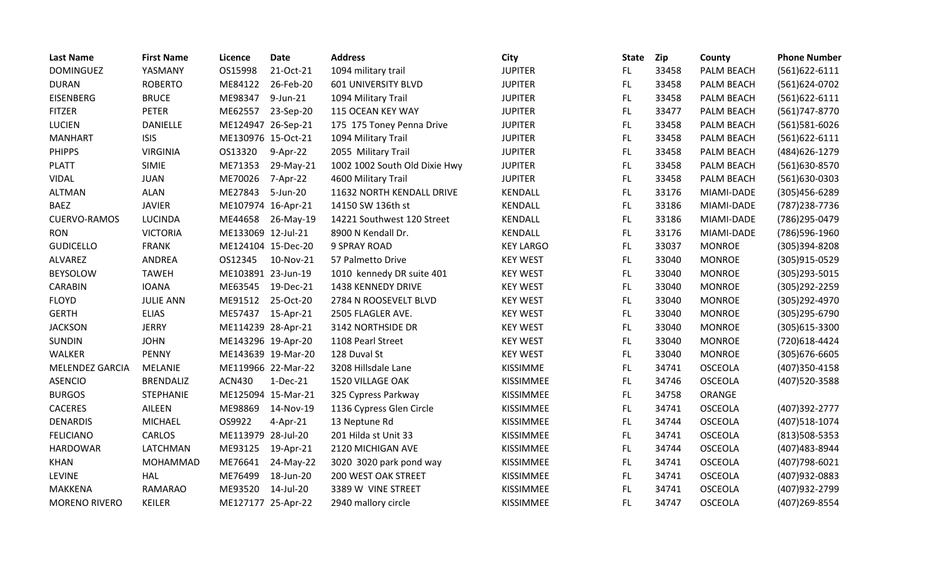| <b>Last Name</b>     | <b>First Name</b> | Licence            | <b>Date</b>        | <b>Address</b>                | <b>City</b>      | <b>State</b> | Zip   | County         | <b>Phone Number</b> |
|----------------------|-------------------|--------------------|--------------------|-------------------------------|------------------|--------------|-------|----------------|---------------------|
| <b>DOMINGUEZ</b>     | YASMANY           | OS15998            | 21-Oct-21          | 1094 military trail           | <b>JUPITER</b>   | FL.          | 33458 | PALM BEACH     | $(561)622 - 6111$   |
| <b>DURAN</b>         | <b>ROBERTO</b>    | ME84122            | 26-Feb-20          | <b>601 UNIVERSITY BLVD</b>    | <b>JUPITER</b>   | FL.          | 33458 | PALM BEACH     | (561)624-0702       |
| <b>EISENBERG</b>     | <b>BRUCE</b>      | ME98347            | 9-Jun-21           | 1094 Military Trail           | <b>JUPITER</b>   | <b>FL</b>    | 33458 | PALM BEACH     | $(561)622 - 6111$   |
| <b>FITZER</b>        | <b>PETER</b>      | ME62557            | 23-Sep-20          | 115 OCEAN KEY WAY             | <b>JUPITER</b>   | FL.          | 33477 | PALM BEACH     | (561)747-8770       |
| <b>LUCIEN</b>        | <b>DANIELLE</b>   | ME124947 26-Sep-21 |                    | 175 175 Toney Penna Drive     | <b>JUPITER</b>   | FL.          | 33458 | PALM BEACH     | (561)581-6026       |
| <b>MANHART</b>       | <b>ISIS</b>       | ME130976 15-Oct-21 |                    | 1094 Military Trail           | <b>JUPITER</b>   | <b>FL</b>    | 33458 | PALM BEACH     | $(561)622 - 6111$   |
| <b>PHIPPS</b>        | <b>VIRGINIA</b>   | OS13320            | 9-Apr-22           | 2055 Military Trail           | <b>JUPITER</b>   | FL.          | 33458 | PALM BEACH     | (484) 626-1279      |
| <b>PLATT</b>         | <b>SIMIE</b>      | ME71353            | 29-May-21          | 1002 1002 South Old Dixie Hwy | <b>JUPITER</b>   | <b>FL</b>    | 33458 | PALM BEACH     | (561)630-8570       |
| <b>VIDAL</b>         | <b>JUAN</b>       | ME70026            | 7-Apr-22           | 4600 Military Trail           | <b>JUPITER</b>   | <b>FL</b>    | 33458 | PALM BEACH     | (561)630-0303       |
| <b>ALTMAN</b>        | <b>ALAN</b>       | ME27843            | 5-Jun-20           | 11632 NORTH KENDALL DRIVE     | KENDALL          | FL.          | 33176 | MIAMI-DADE     | (305)456-6289       |
| <b>BAEZ</b>          | <b>JAVIER</b>     | ME107974 16-Apr-21 |                    | 14150 SW 136th st             | KENDALL          | <b>FL</b>    | 33186 | MIAMI-DADE     | (787) 238-7736      |
| <b>CUERVO-RAMOS</b>  | <b>LUCINDA</b>    | ME44658            | 26-May-19          | 14221 Southwest 120 Street    | KENDALL          | FL.          | 33186 | MIAMI-DADE     | (786) 295-0479      |
| <b>RON</b>           | <b>VICTORIA</b>   | ME133069 12-Jul-21 |                    | 8900 N Kendall Dr.            | KENDALL          | <b>FL</b>    | 33176 | MIAMI-DADE     | (786)596-1960       |
| <b>GUDICELLO</b>     | <b>FRANK</b>      | ME124104 15-Dec-20 |                    | <b>9 SPRAY ROAD</b>           | <b>KEY LARGO</b> | FL           | 33037 | <b>MONROE</b>  | (305)394-8208       |
| ALVAREZ              | ANDREA            | OS12345            | 10-Nov-21          | 57 Palmetto Drive             | <b>KEY WEST</b>  | FL.          | 33040 | <b>MONROE</b>  | (305)915-0529       |
| <b>BEYSOLOW</b>      | <b>TAWEH</b>      | ME103891 23-Jun-19 |                    | 1010 kennedy DR suite 401     | <b>KEY WEST</b>  | <b>FL</b>    | 33040 | <b>MONROE</b>  | (305) 293-5015      |
| CARABIN              | <b>IOANA</b>      | ME63545            | 19-Dec-21          | 1438 KENNEDY DRIVE            | <b>KEY WEST</b>  | FL.          | 33040 | <b>MONROE</b>  | (305) 292-2259      |
| <b>FLOYD</b>         | <b>JULIE ANN</b>  | ME91512            | 25-Oct-20          | 2784 N ROOSEVELT BLVD         | <b>KEY WEST</b>  | FL           | 33040 | <b>MONROE</b>  | (305) 292-4970      |
| <b>GERTH</b>         | <b>ELIAS</b>      | ME57437            | 15-Apr-21          | 2505 FLAGLER AVE.             | <b>KEY WEST</b>  | <b>FL</b>    | 33040 | <b>MONROE</b>  | (305) 295-6790      |
| <b>JACKSON</b>       | <b>JERRY</b>      | ME114239 28-Apr-21 |                    | 3142 NORTHSIDE DR             | <b>KEY WEST</b>  | <b>FL</b>    | 33040 | <b>MONROE</b>  | (305) 615-3300      |
| <b>SUNDIN</b>        | <b>JOHN</b>       | ME143296 19-Apr-20 |                    | 1108 Pearl Street             | <b>KEY WEST</b>  | FL.          | 33040 | <b>MONROE</b>  | (720)618-4424       |
| WALKER               | <b>PENNY</b>      |                    | ME143639 19-Mar-20 | 128 Duval St                  | <b>KEY WEST</b>  | FL           | 33040 | <b>MONROE</b>  | (305) 676-6605      |
| MELENDEZ GARCIA      | MELANIE           |                    | ME119966 22-Mar-22 | 3208 Hillsdale Lane           | KISSIMME         | <b>FL</b>    | 34741 | <b>OSCEOLA</b> | (407)350-4158       |
| <b>ASENCIO</b>       | <b>BRENDALIZ</b>  | <b>ACN430</b>      | 1-Dec-21           | 1520 VILLAGE OAK              | KISSIMMEE        | <b>FL</b>    | 34746 | <b>OSCEOLA</b> | (407)520-3588       |
| <b>BURGOS</b>        | <b>STEPHANIE</b>  |                    | ME125094 15-Mar-21 | 325 Cypress Parkway           | KISSIMMEE        | <b>FL</b>    | 34758 | ORANGE         |                     |
| CACERES              | AILEEN            | ME98869            | 14-Nov-19          | 1136 Cypress Glen Circle      | KISSIMMEE        | FL.          | 34741 | <b>OSCEOLA</b> | (407)392-2777       |
| <b>DENARDIS</b>      | <b>MICHAEL</b>    | OS9922             | 4-Apr-21           | 13 Neptune Rd                 | KISSIMMEE        | <b>FL</b>    | 34744 | <b>OSCEOLA</b> | (407)518-1074       |
| <b>FELICIANO</b>     | CARLOS            | ME113979 28-Jul-20 |                    | 201 Hilda st Unit 33          | KISSIMMEE        | <b>FL</b>    | 34741 | <b>OSCEOLA</b> | (813) 508-5353      |
| <b>HARDOWAR</b>      | LATCHMAN          | ME93125            | 19-Apr-21          | 2120 MICHIGAN AVE             | KISSIMMEE        | <b>FL</b>    | 34744 | <b>OSCEOLA</b> | (407) 483-8944      |
| <b>KHAN</b>          | MOHAMMAD          | ME76641            | 24-May-22          | 3020 3020 park pond way       | KISSIMMEE        | <b>FL</b>    | 34741 | <b>OSCEOLA</b> | (407) 798-6021      |
| <b>LEVINE</b>        | <b>HAL</b>        | ME76499            | 18-Jun-20          | 200 WEST OAK STREET           | KISSIMMEE        | <b>FL</b>    | 34741 | <b>OSCEOLA</b> | (407) 932-0883      |
| <b>MAKKENA</b>       | <b>RAMARAO</b>    | ME93520            | 14-Jul-20          | 3389 W VINE STREET            | KISSIMMEE        | FL.          | 34741 | <b>OSCEOLA</b> | (407) 932-2799      |
| <b>MORENO RIVERO</b> | <b>KEILER</b>     | ME127177 25-Apr-22 |                    | 2940 mallory circle           | KISSIMMEE        | <b>FL</b>    | 34747 | <b>OSCEOLA</b> | (407) 269-8554      |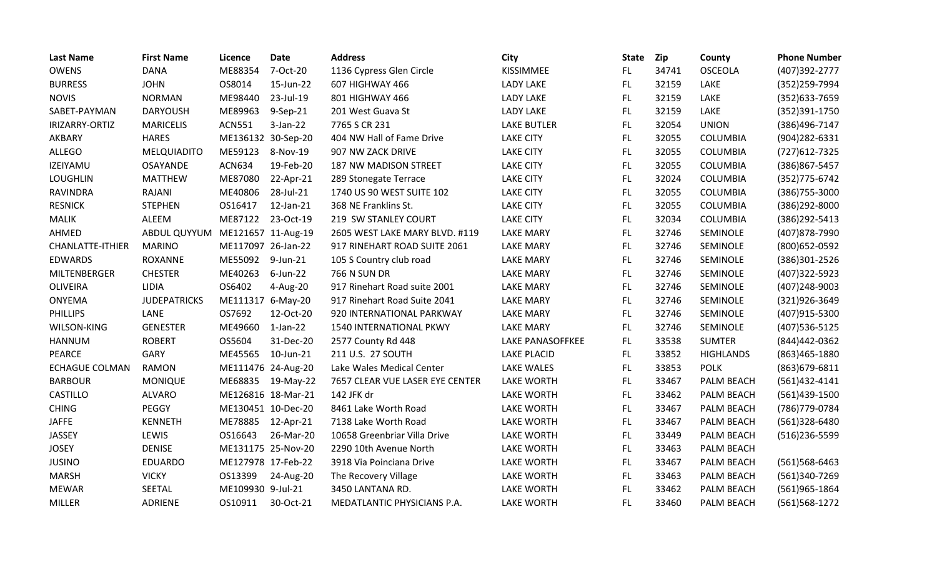| <b>Last Name</b>        | <b>First Name</b>               | Licence            | <b>Date</b>        | <b>Address</b>                  | City               | <b>State</b> | Zip   | County            | <b>Phone Number</b> |
|-------------------------|---------------------------------|--------------------|--------------------|---------------------------------|--------------------|--------------|-------|-------------------|---------------------|
| <b>OWENS</b>            | <b>DANA</b>                     | ME88354            | 7-Oct-20           | 1136 Cypress Glen Circle        | KISSIMMEE          | FL.          | 34741 | <b>OSCEOLA</b>    | (407)392-2777       |
| <b>BURRESS</b>          | <b>JOHN</b>                     | OS8014             | 15-Jun-22          | 607 HIGHWAY 466                 | <b>LADY LAKE</b>   | FL           | 32159 | LAKE              | (352)259-7994       |
| <b>NOVIS</b>            | <b>NORMAN</b>                   | ME98440            | 23-Jul-19          | 801 HIGHWAY 466                 | <b>LADY LAKE</b>   | <b>FL</b>    | 32159 | LAKE              | (352) 633-7659      |
| SABET-PAYMAN            | <b>DARYOUSH</b>                 | ME89963            | 9-Sep-21           | 201 West Guava St               | LADY LAKE          | <b>FL</b>    | 32159 | LAKE              | (352)391-1750       |
| IRIZARRY-ORTIZ          | <b>MARICELIS</b>                | <b>ACN551</b>      | $3-Jan-22$         | 7765 S CR 231                   | <b>LAKE BUTLER</b> | <b>FL</b>    | 32054 | <b>UNION</b>      | (386)496-7147       |
| AKBARY                  | <b>HARES</b>                    | ME136132 30-Sep-20 |                    | 404 NW Hall of Fame Drive       | <b>LAKE CITY</b>   | <b>FL</b>    | 32055 | <b>COLUMBIA</b>   | (904) 282-6331      |
| <b>ALLEGO</b>           | MELQUIADITO                     | ME59123            | 8-Nov-19           | 907 NW ZACK DRIVE               | <b>LAKE CITY</b>   | FL           | 32055 | <b>COLUMBIA</b>   | (727) 612-7325      |
| IZEIYAMU                | OSAYANDE                        | <b>ACN634</b>      | 19-Feb-20          | <b>187 NW MADISON STREET</b>    | <b>LAKE CITY</b>   | <b>FL</b>    | 32055 | <b>COLUMBIA</b>   | (386) 867-5457      |
| <b>LOUGHLIN</b>         | <b>MATTHEW</b>                  | ME87080            | 22-Apr-21          | 289 Stonegate Terrace           | <b>LAKE CITY</b>   | <b>FL</b>    | 32024 | COLUMBIA          | (352) 775-6742      |
| <b>RAVINDRA</b>         | RAJANI                          | ME40806            | 28-Jul-21          | 1740 US 90 WEST SUITE 102       | <b>LAKE CITY</b>   | <b>FL</b>    | 32055 | <b>COLUMBIA</b>   | (386) 755-3000      |
| <b>RESNICK</b>          | <b>STEPHEN</b>                  | OS16417            | 12-Jan-21          | 368 NE Franklins St.            | <b>LAKE CITY</b>   | <b>FL</b>    | 32055 | <b>COLUMBIA</b>   | (386)292-8000       |
| <b>MALIK</b>            | ALEEM                           | ME87122            | 23-Oct-19          | 219 SW STANLEY COURT            | <b>LAKE CITY</b>   | <b>FL</b>    | 32034 | <b>COLUMBIA</b>   | (386) 292-5413      |
| AHMED                   | ABDUL QUYYUM ME121657 11-Aug-19 |                    |                    | 2605 WEST LAKE MARY BLVD. #119  | <b>LAKE MARY</b>   | FL           | 32746 | SEMINOLE          | (407) 878-7990      |
| <b>CHANLATTE-ITHIER</b> | <b>MARINO</b>                   | ME117097 26-Jan-22 |                    | 917 RINEHART ROAD SUITE 2061    | <b>LAKE MARY</b>   | <b>FL</b>    | 32746 | SEMINOLE          | (800) 652-0592      |
| <b>EDWARDS</b>          | <b>ROXANNE</b>                  | ME55092            | 9-Jun-21           | 105 S Country club road         | <b>LAKE MARY</b>   | <b>FL</b>    | 32746 | SEMINOLE          | (386)301-2526       |
| MILTENBERGER            | <b>CHESTER</b>                  | ME40263            | $6$ -Jun-22        | <b>766 N SUN DR</b>             | <b>LAKE MARY</b>   | <b>FL</b>    | 32746 | SEMINOLE          | (407)322-5923       |
| <b>OLIVEIRA</b>         | <b>LIDIA</b>                    | OS6402             | 4-Aug-20           | 917 Rinehart Road suite 2001    | <b>LAKE MARY</b>   | FL           | 32746 | SEMINOLE          | (407) 248-9003      |
| ONYEMA                  | <b>JUDEPATRICKS</b>             | ME111317 6-May-20  |                    | 917 Rinehart Road Suite 2041    | <b>LAKE MARY</b>   | FL           | 32746 | SEMINOLE          | (321)926-3649       |
| <b>PHILLIPS</b>         | LANE                            | OS7692             | 12-Oct-20          | 920 INTERNATIONAL PARKWAY       | <b>LAKE MARY</b>   | FL           | 32746 | SEMINOLE          | (407)915-5300       |
| WILSON-KING             | <b>GENESTER</b>                 | ME49660            | $1$ -Jan-22        | 1540 INTERNATIONAL PKWY         | <b>LAKE MARY</b>   | <b>FL</b>    | 32746 | SEMINOLE          | (407) 536-5125      |
| <b>HANNUM</b>           | <b>ROBERT</b>                   | OS5604             | 31-Dec-20          | 2577 County Rd 448              | LAKE PANASOFFKEE   | <b>FL</b>    | 33538 | <b>SUMTER</b>     | (844) 442-0362      |
| <b>PEARCE</b>           | GARY                            | ME45565            | 10-Jun-21          | 211 U.S. 27 SOUTH               | <b>LAKE PLACID</b> | FL.          | 33852 | <b>HIGHLANDS</b>  | (863)465-1880       |
| <b>ECHAGUE COLMAN</b>   | <b>RAMON</b>                    | ME111476 24-Aug-20 |                    | Lake Wales Medical Center       | LAKE WALES         | <b>FL</b>    | 33853 | <b>POLK</b>       | (863) 679-6811      |
| <b>BARBOUR</b>          | <b>MONIQUE</b>                  | ME68835            | 19-May-22          | 7657 CLEAR VUE LASER EYE CENTER | <b>LAKE WORTH</b>  | FL           | 33467 | PALM BEACH        | (561)432-4141       |
| CASTILLO                | <b>ALVARO</b>                   |                    | ME126816 18-Mar-21 | 142 JFK dr                      | <b>LAKE WORTH</b>  | <b>FL</b>    | 33462 | PALM BEACH        | (561)439-1500       |
| <b>CHING</b>            | PEGGY                           | ME130451 10-Dec-20 |                    | 8461 Lake Worth Road            | <b>LAKE WORTH</b>  | FL           | 33467 | PALM BEACH        | (786) 779-0784      |
| <b>JAFFE</b>            | <b>KENNETH</b>                  | ME78885            | 12-Apr-21          | 7138 Lake Worth Road            | <b>LAKE WORTH</b>  | <b>FL</b>    | 33467 | PALM BEACH        | (561)328-6480       |
| JASSEY                  | LEWIS                           | OS16643            | 26-Mar-20          | 10658 Greenbriar Villa Drive    | <b>LAKE WORTH</b>  | <b>FL</b>    | 33449 | <b>PALM BEACH</b> | (516)236-5599       |
| <b>JOSEY</b>            | <b>DENISE</b>                   | ME131175 25-Nov-20 |                    | 2290 10th Avenue North          | <b>LAKE WORTH</b>  | FL           | 33463 | PALM BEACH        |                     |
| <b>JUSINO</b>           | <b>EDUARDO</b>                  | ME127978 17-Feb-22 |                    | 3918 Via Poinciana Drive        | <b>LAKE WORTH</b>  | <b>FL</b>    | 33467 | PALM BEACH        | (561)568-6463       |
| <b>MARSH</b>            | <b>VICKY</b>                    | OS13399            | 24-Aug-20          | The Recovery Village            | <b>LAKE WORTH</b>  | <b>FL</b>    | 33463 | PALM BEACH        | (561)340-7269       |
| <b>MEWAR</b>            | SEETAL                          | ME109930 9-Jul-21  |                    | 3450 LANTANA RD.                | <b>LAKE WORTH</b>  | <b>FL</b>    | 33462 | PALM BEACH        | (561)965-1864       |
| <b>MILLER</b>           | ADRIENE                         | OS10911            | 30-Oct-21          | MEDATLANTIC PHYSICIANS P.A.     | <b>LAKE WORTH</b>  | FL           | 33460 | <b>PALM BEACH</b> | (561) 568-1272      |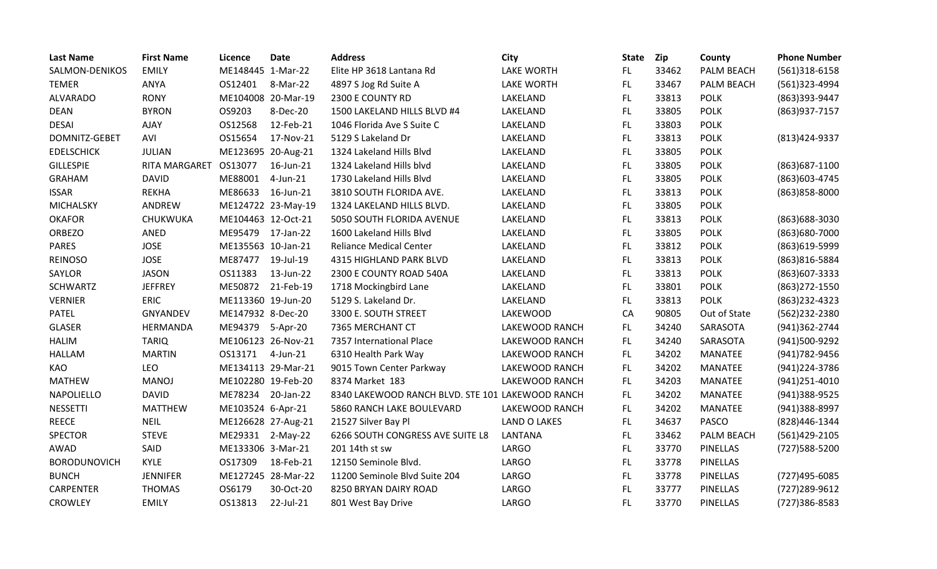| <b>Last Name</b>    | <b>First Name</b>     | Licence            | <b>Date</b>        | <b>Address</b>                                   | City              | <b>State</b> | <b>Zip</b> | County          | <b>Phone Number</b> |
|---------------------|-----------------------|--------------------|--------------------|--------------------------------------------------|-------------------|--------------|------------|-----------------|---------------------|
| SALMON-DENIKOS      | <b>EMILY</b>          | ME148445 1-Mar-22  |                    | Elite HP 3618 Lantana Rd                         | <b>LAKE WORTH</b> | FL.          | 33462      | PALM BEACH      | $(561)318-6158$     |
| <b>TEMER</b>        | ANYA                  | OS12401            | 8-Mar-22           | 4897 S Jog Rd Suite A                            | <b>LAKE WORTH</b> | FL.          | 33467      | PALM BEACH      | (561)323-4994       |
| <b>ALVARADO</b>     | <b>RONY</b>           | ME104008 20-Mar-19 |                    | 2300 E COUNTY RD                                 | LAKELAND          | FL.          | 33813      | <b>POLK</b>     | (863)393-9447       |
| <b>DEAN</b>         | <b>BYRON</b>          | OS9203             | 8-Dec-20           | 1500 LAKELAND HILLS BLVD #4                      | LAKELAND          | FL.          | 33805      | <b>POLK</b>     | (863) 937-7157      |
| <b>DESAI</b>        | AJAY                  | OS12568            | 12-Feb-21          | 1046 Florida Ave S Suite C                       | LAKELAND          | FL.          | 33803      | <b>POLK</b>     |                     |
| DOMNITZ-GEBET       | AVI                   | OS15654            | 17-Nov-21          | 5129 S Lakeland Dr                               | LAKELAND          | FL.          | 33813      | <b>POLK</b>     | (813) 424-9337      |
| <b>EDELSCHICK</b>   | <b>JULIAN</b>         | ME123695 20-Aug-21 |                    | 1324 Lakeland Hills Blvd                         | LAKELAND          | FL.          | 33805      | <b>POLK</b>     |                     |
| <b>GILLESPIE</b>    | RITA MARGARET OS13077 |                    | 16-Jun-21          | 1324 Lakeland Hills blvd                         | LAKELAND          | FL.          | 33805      | <b>POLK</b>     | (863) 687-1100      |
| <b>GRAHAM</b>       | <b>DAVID</b>          | ME88001            | 4-Jun-21           | 1730 Lakeland Hills Blvd                         | LAKELAND          | FL.          | 33805      | <b>POLK</b>     | (863) 603-4745      |
| <b>ISSAR</b>        | REKHA                 | ME86633            | 16-Jun-21          | 3810 SOUTH FLORIDA AVE.                          | LAKELAND          | FL.          | 33813      | <b>POLK</b>     | (863) 858-8000      |
| MICHALSKY           | ANDREW                |                    | ME124722 23-May-19 | 1324 LAKELAND HILLS BLVD.                        | LAKELAND          | FL.          | 33805      | <b>POLK</b>     |                     |
| <b>OKAFOR</b>       | CHUKWUKA              | ME104463 12-Oct-21 |                    | 5050 SOUTH FLORIDA AVENUE                        | LAKELAND          | FL.          | 33813      | <b>POLK</b>     | (863) 688-3030      |
| <b>ORBEZO</b>       | ANED                  | ME95479            | 17-Jan-22          | 1600 Lakeland Hills Blvd                         | LAKELAND          | FL.          | 33805      | <b>POLK</b>     | (863)680-7000       |
| <b>PARES</b>        | <b>JOSE</b>           | ME135563 10-Jan-21 |                    | <b>Reliance Medical Center</b>                   | LAKELAND          | FL.          | 33812      | <b>POLK</b>     | (863)619-5999       |
| <b>REINOSO</b>      | <b>JOSE</b>           | ME87477            | 19-Jul-19          | 4315 HIGHLAND PARK BLVD                          | LAKELAND          | <b>FL</b>    | 33813      | <b>POLK</b>     | (863) 816-5884      |
| <b>SAYLOR</b>       | <b>JASON</b>          | OS11383            | 13-Jun-22          | 2300 E COUNTY ROAD 540A                          | LAKELAND          | FL.          | 33813      | <b>POLK</b>     | (863) 607-3333      |
| <b>SCHWARTZ</b>     | <b>JEFFREY</b>        | ME50872            | 21-Feb-19          | 1718 Mockingbird Lane                            | LAKELAND          | FL           | 33801      | <b>POLK</b>     | (863) 272-1550      |
| <b>VERNIER</b>      | <b>ERIC</b>           | ME113360 19-Jun-20 |                    | 5129 S. Lakeland Dr.                             | LAKELAND          | FL.          | 33813      | <b>POLK</b>     | (863) 232-4323      |
| <b>PATEL</b>        | <b>GNYANDEV</b>       | ME147932 8-Dec-20  |                    | 3300 E. SOUTH STREET                             | <b>LAKEWOOD</b>   | CA           | 90805      | Out of State    | (562)232-2380       |
| <b>GLASER</b>       | HERMANDA              | ME94379            | 5-Apr-20           | 7365 MERCHANT CT                                 | LAKEWOOD RANCH    | FL.          | 34240      | SARASOTA        | (941)362-2744       |
| <b>HALIM</b>        | <b>TARIQ</b>          | ME106123 26-Nov-21 |                    | 7357 International Place                         | LAKEWOOD RANCH    | FL.          | 34240      | SARASOTA        | (941)500-9292       |
| <b>HALLAM</b>       | <b>MARTIN</b>         | OS13171            | 4-Jun-21           | 6310 Health Park Way                             | LAKEWOOD RANCH    | FL.          | 34202      | <b>MANATEE</b>  | (941) 782-9456      |
| KAO                 | <b>LEO</b>            | ME134113 29-Mar-21 |                    | 9015 Town Center Parkway                         | LAKEWOOD RANCH    | FL.          | 34202      | <b>MANATEE</b>  | (941)224-3786       |
| <b>MATHEW</b>       | <b>MANOJ</b>          | ME102280 19-Feb-20 |                    | 8374 Market 183                                  | LAKEWOOD RANCH    | FL.          | 34203      | <b>MANATEE</b>  | $(941)251 - 4010$   |
| NAPOLIELLO          | <b>DAVID</b>          | ME78234            | 20-Jan-22          | 8340 LAKEWOOD RANCH BLVD. STE 101 LAKEWOOD RANCH |                   | <b>FL</b>    | 34202      | <b>MANATEE</b>  | (941)388-9525       |
| <b>NESSETTI</b>     | <b>MATTHEW</b>        | ME103524 6-Apr-21  |                    | 5860 RANCH LAKE BOULEVARD                        | LAKEWOOD RANCH    | <b>FL</b>    | 34202      | <b>MANATEE</b>  | (941)388-8997       |
| <b>REECE</b>        | <b>NEIL</b>           | ME126628 27-Aug-21 |                    | 21527 Silver Bay Pl                              | LAND O LAKES      | FL.          | 34637      | <b>PASCO</b>    | (828)446-1344       |
| <b>SPECTOR</b>      | <b>STEVE</b>          | ME29331            | $2-May-22$         | 6266 SOUTH CONGRESS AVE SUITE L8                 | LANTANA           | FL.          | 33462      | PALM BEACH      | (561)429-2105       |
| <b>AWAD</b>         | SAID                  | ME133306 3-Mar-21  |                    | 201 14th st sw                                   | <b>LARGO</b>      | <b>FL</b>    | 33770      | PINELLAS        | (727) 588-5200      |
| <b>BORODUNOVICH</b> | KYLE                  | OS17309            | 18-Feb-21          | 12150 Seminole Blvd.                             | LARGO             | FL.          | 33778      | <b>PINELLAS</b> |                     |
| <b>BUNCH</b>        | <b>JENNIFER</b>       | ME127245 28-Mar-22 |                    | 11200 Seminole Blvd Suite 204                    | <b>LARGO</b>      | FL.          | 33778      | <b>PINELLAS</b> | (727)495-6085       |
| CARPENTER           | <b>THOMAS</b>         | OS6179             | 30-Oct-20          | 8250 BRYAN DAIRY ROAD                            | <b>LARGO</b>      | <b>FL</b>    | 33777      | <b>PINELLAS</b> | (727) 289-9612      |
| <b>CROWLEY</b>      | <b>EMILY</b>          | OS13813            | 22-Jul-21          | 801 West Bay Drive                               | <b>LARGO</b>      | <b>FL</b>    | 33770      | <b>PINELLAS</b> | (727)386-8583       |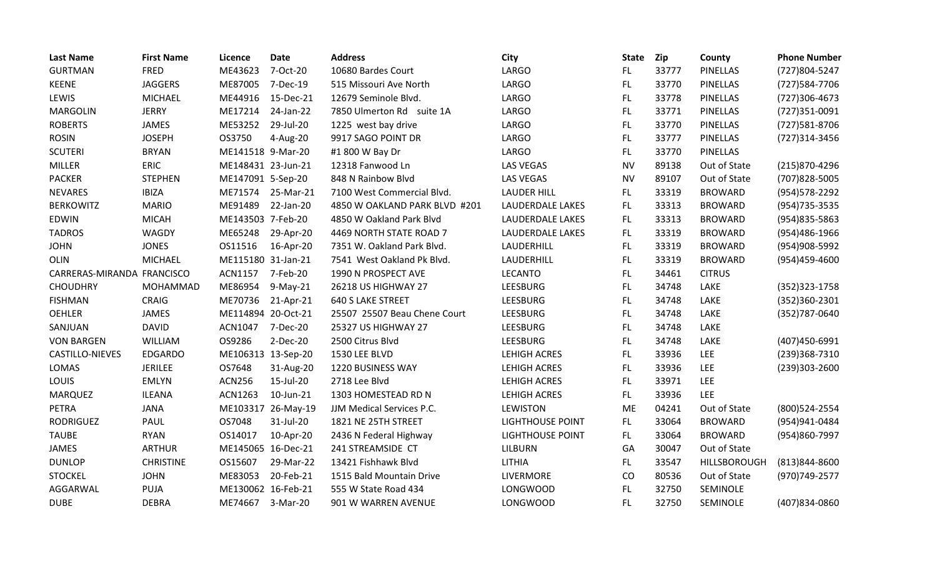| <b>Last Name</b>           | <b>First Name</b> | Licence            | <b>Date</b>        | <b>Address</b>                | City                    | <b>State</b> | Zip   | County          | <b>Phone Number</b> |
|----------------------------|-------------------|--------------------|--------------------|-------------------------------|-------------------------|--------------|-------|-----------------|---------------------|
| <b>GURTMAN</b>             | <b>FRED</b>       | ME43623            | 7-Oct-20           | 10680 Bardes Court            | LARGO                   | FL.          | 33777 | <b>PINELLAS</b> | (727)804-5247       |
| <b>KEENE</b>               | <b>JAGGERS</b>    | ME87005            | 7-Dec-19           | 515 Missouri Ave North        | <b>LARGO</b>            | FL.          | 33770 | PINELLAS        | (727) 584-7706      |
| LEWIS                      | <b>MICHAEL</b>    | ME44916            | 15-Dec-21          | 12679 Seminole Blvd.          | LARGO                   | FL           | 33778 | PINELLAS        | (727)306-4673       |
| <b>MARGOLIN</b>            | <b>JERRY</b>      | ME17214            | 24-Jan-22          | 7850 Ulmerton Rd suite 1A     | LARGO                   | FL.          | 33771 | <b>PINELLAS</b> | (727)351-0091       |
| <b>ROBERTS</b>             | <b>JAMES</b>      | ME53252            | 29-Jul-20          | 1225 west bay drive           | LARGO                   | <b>FL</b>    | 33770 | PINELLAS        | (727) 581-8706      |
| <b>ROSIN</b>               | <b>JOSEPH</b>     | OS3750             | 4-Aug-20           | 9917 SAGO POINT DR            | LARGO                   | FL.          | 33777 | <b>PINELLAS</b> | (727)314-3456       |
| <b>SCUTERI</b>             | <b>BRYAN</b>      | ME141518 9-Mar-20  |                    | #1 800 W Bay Dr               | <b>LARGO</b>            | FL.          | 33770 | PINELLAS        |                     |
| <b>MILLER</b>              | ERIC              | ME148431 23-Jun-21 |                    | 12318 Fanwood Ln              | LAS VEGAS               | <b>NV</b>    | 89138 | Out of State    | (215)870-4296       |
| <b>PACKER</b>              | <b>STEPHEN</b>    | ME147091 5-Sep-20  |                    | 848 N Rainbow Blvd            | <b>LAS VEGAS</b>        | <b>NV</b>    | 89107 | Out of State    | (707) 828-5005      |
| <b>NEVARES</b>             | <b>IBIZA</b>      | ME71574            | 25-Mar-21          | 7100 West Commercial Blvd.    | <b>LAUDER HILL</b>      | FL.          | 33319 | <b>BROWARD</b>  | (954) 578-2292      |
| <b>BERKOWITZ</b>           | <b>MARIO</b>      | ME91489            | 22-Jan-20          | 4850 W OAKLAND PARK BLVD #201 | LAUDERDALE LAKES        | FL.          | 33313 | <b>BROWARD</b>  | (954) 735-3535      |
| <b>EDWIN</b>               | <b>MICAH</b>      | ME143503 7-Feb-20  |                    | 4850 W Oakland Park Blvd      | LAUDERDALE LAKES        | FL.          | 33313 | <b>BROWARD</b>  | (954) 835-5863      |
| <b>TADROS</b>              | WAGDY             | ME65248            | 29-Apr-20          | 4469 NORTH STATE ROAD 7       | LAUDERDALE LAKES        | FL.          | 33319 | <b>BROWARD</b>  | (954)486-1966       |
| <b>JOHN</b>                | <b>JONES</b>      | OS11516            | 16-Apr-20          | 7351 W. Oakland Park Blvd.    | LAUDERHILL              | FL.          | 33319 | <b>BROWARD</b>  | (954)908-5992       |
| OLIN                       | <b>MICHAEL</b>    | ME115180 31-Jan-21 |                    | 7541 West Oakland Pk Blvd.    | LAUDERHILL              | FL           | 33319 | <b>BROWARD</b>  | (954)459-4600       |
| CARRERAS-MIRANDA FRANCISCO |                   | ACN1157            | 7-Feb-20           | 1990 N PROSPECT AVE           | <b>LECANTO</b>          | FL.          | 34461 | <b>CITRUS</b>   |                     |
| <b>CHOUDHRY</b>            | MOHAMMAD          | ME86954            | $9-May-21$         | 26218 US HIGHWAY 27           | LEESBURG                | FL           | 34748 | LAKE            | (352) 323-1758      |
| <b>FISHMAN</b>             | CRAIG             | ME70736            | 21-Apr-21          | <b>640 S LAKE STREET</b>      | LEESBURG                | <b>FL</b>    | 34748 | LAKE            | (352)360-2301       |
| <b>OEHLER</b>              | JAMES             | ME114894 20-Oct-21 |                    | 25507 25507 Beau Chene Court  | LEESBURG                | FL.          | 34748 | LAKE            | (352) 787-0640      |
| SANJUAN                    | <b>DAVID</b>      | ACN1047            | 7-Dec-20           | 25327 US HIGHWAY 27           | LEESBURG                | FL.          | 34748 | LAKE            |                     |
| <b>VON BARGEN</b>          | WILLIAM           | OS9286             | 2-Dec-20           | 2500 Citrus Blvd              | LEESBURG                | FL.          | 34748 | LAKE            | (407)450-6991       |
| CASTILLO-NIEVES            | <b>EDGARDO</b>    | ME106313 13-Sep-20 |                    | 1530 LEE BLVD                 | LEHIGH ACRES            | <b>FL</b>    | 33936 | LEE             | (239)368-7310       |
| LOMAS                      | <b>JERILEE</b>    | OS7648             | 31-Aug-20          | 1220 BUSINESS WAY             | LEHIGH ACRES            | FL.          | 33936 | <b>LEE</b>      | (239)303-2600       |
| LOUIS                      | <b>EMLYN</b>      | <b>ACN256</b>      | 15-Jul-20          | 2718 Lee Blvd                 | LEHIGH ACRES            | FL           | 33971 | LEE             |                     |
| MARQUEZ                    | <b>ILEANA</b>     | ACN1263            | 10-Jun-21          | 1303 HOMESTEAD RD N           | LEHIGH ACRES            | FL.          | 33936 | <b>LEE</b>      |                     |
| PETRA                      | <b>JANA</b>       |                    | ME103317 26-May-19 | JJM Medical Services P.C.     | <b>LEWISTON</b>         | <b>ME</b>    | 04241 | Out of State    | (800) 524-2554      |
| <b>RODRIGUEZ</b>           | PAUL              | OS7048             | 31-Jul-20          | 1821 NE 25TH STREET           | LIGHTHOUSE POINT        | FL.          | 33064 | <b>BROWARD</b>  | (954)941-0484       |
| <b>TAUBE</b>               | <b>RYAN</b>       | OS14017            | 10-Apr-20          | 2436 N Federal Highway        | <b>LIGHTHOUSE POINT</b> | FL.          | 33064 | <b>BROWARD</b>  | (954)860-7997       |
| <b>JAMES</b>               | <b>ARTHUR</b>     | ME145065 16-Dec-21 |                    | 241 STREAMSIDE CT             | <b>LILBURN</b>          | GA           | 30047 | Out of State    |                     |
| <b>DUNLOP</b>              | <b>CHRISTINE</b>  | OS15607            | 29-Mar-22          | 13421 Fishhawk Blvd           | LITHIA                  | FL.          | 33547 | HILLSBOROUGH    | (813)844-8600       |
| <b>STOCKEL</b>             | <b>JOHN</b>       | ME83053            | 20-Feb-21          | 1515 Bald Mountain Drive      | LIVERMORE               | CO           | 80536 | Out of State    | (970) 749-2577      |
| AGGARWAL                   | PUJA              | ME130062 16-Feb-21 |                    | 555 W State Road 434          | <b>LONGWOOD</b>         | <b>FL</b>    | 32750 | SEMINOLE        |                     |
| <b>DUBE</b>                | <b>DEBRA</b>      | ME74667            | 3-Mar-20           | 901 W WARREN AVENUE           | <b>LONGWOOD</b>         | <b>FL</b>    | 32750 | SEMINOLE        | (407)834-0860       |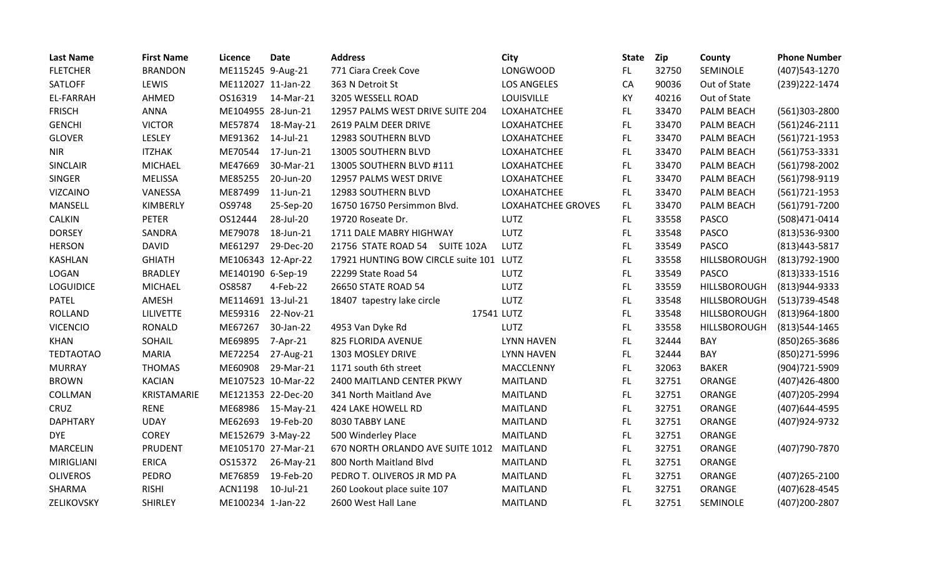| <b>Last Name</b> | <b>First Name</b> | Licence            | <b>Date</b>        | <b>Address</b>                          | <b>City</b>        | <b>State</b> | <b>Zip</b> | County       | <b>Phone Number</b> |
|------------------|-------------------|--------------------|--------------------|-----------------------------------------|--------------------|--------------|------------|--------------|---------------------|
| <b>FLETCHER</b>  | <b>BRANDON</b>    | ME115245 9-Aug-21  |                    | 771 Ciara Creek Cove                    | <b>LONGWOOD</b>    | FL.          | 32750      | SEMINOLE     | (407) 543-1270      |
| SATLOFF          | LEWIS             | ME112027 11-Jan-22 |                    | 363 N Detroit St                        | <b>LOS ANGELES</b> | CA           | 90036      | Out of State | (239) 222-1474      |
| <b>EL-FARRAH</b> | AHMED             | OS16319            | 14-Mar-21          | 3205 WESSELL ROAD                       | LOUISVILLE         | KY           | 40216      | Out of State |                     |
| <b>FRISCH</b>    | ANNA              | ME104955 28-Jun-21 |                    | 12957 PALMS WEST DRIVE SUITE 204        | LOXAHATCHEE        | FL.          | 33470      | PALM BEACH   | $(561)303 - 2800$   |
| <b>GENCHI</b>    | <b>VICTOR</b>     | ME57874            | 18-May-21          | 2619 PALM DEER DRIVE                    | LOXAHATCHEE        | FL           | 33470      | PALM BEACH   | $(561)246-2111$     |
| <b>GLOVER</b>    | LESLEY            | ME91362            | 14-Jul-21          | 12983 SOUTHERN BLVD                     | LOXAHATCHEE        | FL.          | 33470      | PALM BEACH   | $(561)721-1953$     |
| <b>NIR</b>       | <b>ITZHAK</b>     | ME70544            | 17-Jun-21          | 13005 SOUTHERN BLVD                     | LOXAHATCHEE        | FL           | 33470      | PALM BEACH   | $(561)753 - 3331$   |
| <b>SINCLAIR</b>  | <b>MICHAEL</b>    | ME47669            | 30-Mar-21          | 13005 SOUTHERN BLVD #111                | LOXAHATCHEE        | FL.          | 33470      | PALM BEACH   | (561) 798-2002      |
| <b>SINGER</b>    | <b>MELISSA</b>    | ME85255            | 20-Jun-20          | 12957 PALMS WEST DRIVE                  | LOXAHATCHEE        | FL           | 33470      | PALM BEACH   | (561) 798-9119      |
| <b>VIZCAINO</b>  | VANESSA           | ME87499            | 11-Jun-21          | 12983 SOUTHERN BLVD                     | LOXAHATCHEE        | FL.          | 33470      | PALM BEACH   | $(561)721-1953$     |
| MANSELL          | KIMBERLY          | OS9748             | 25-Sep-20          | 16750 16750 Persimmon Blvd.             | LOXAHATCHEE GROVES | FL.          | 33470      | PALM BEACH   | (561)791-7200       |
| <b>CALKIN</b>    | <b>PETER</b>      | OS12444            | 28-Jul-20          | 19720 Roseate Dr.                       | LUTZ               | FL.          | 33558      | <b>PASCO</b> | (508)471-0414       |
| <b>DORSEY</b>    | SANDRA            | ME79078            | 18-Jun-21          | 1711 DALE MABRY HIGHWAY                 | LUTZ               | FL           | 33548      | <b>PASCO</b> | (813)536-9300       |
| <b>HERSON</b>    | <b>DAVID</b>      | ME61297            | 29-Dec-20          | 21756 STATE ROAD 54 SUITE 102A          | LUTZ               | FL           | 33549      | <b>PASCO</b> | (813) 443-5817      |
| <b>KASHLAN</b>   | <b>GHIATH</b>     | ME106343 12-Apr-22 |                    | 17921 HUNTING BOW CIRCLE suite 101 LUTZ |                    | FL           | 33558      | HILLSBOROUGH | (813) 792-1900      |
| LOGAN            | <b>BRADLEY</b>    | ME140190 6-Sep-19  |                    | 22299 State Road 54                     | <b>LUTZ</b>        | FL           | 33549      | <b>PASCO</b> | $(813)333-1516$     |
| <b>LOGUIDICE</b> | <b>MICHAEL</b>    | OS8587             | 4-Feb-22           | 26650 STATE ROAD 54                     | LUTZ               | FL.          | 33559      | HILLSBOROUGH | (813) 944-9333      |
| <b>PATEL</b>     | AMESH             | ME114691 13-Jul-21 |                    | 18407 tapestry lake circle              | LUTZ               | FL.          | 33548      | HILLSBOROUGH | $(513)739-4548$     |
| <b>ROLLAND</b>   | <b>LILIVETTE</b>  | ME59316            | 22-Nov-21          | 17541 LUTZ                              |                    | FL.          | 33548      | HILLSBOROUGH | (813)964-1800       |
| <b>VICENCIO</b>  | <b>RONALD</b>     | ME67267            | 30-Jan-22          | 4953 Van Dyke Rd                        | <b>LUTZ</b>        | FL           | 33558      | HILLSBOROUGH | (813) 544-1465      |
| <b>KHAN</b>      | SOHAIL            | ME69895            | 7-Apr-21           | 825 FLORIDA AVENUE                      | <b>LYNN HAVEN</b>  | FL.          | 32444      | BAY          | (850) 265-3686      |
| <b>TEDTAOTAO</b> | <b>MARIA</b>      | ME72254            | 27-Aug-21          | 1303 MOSLEY DRIVE                       | <b>LYNN HAVEN</b>  | FL.          | 32444      | BAY          | (850) 271-5996      |
| <b>MURRAY</b>    | <b>THOMAS</b>     | ME60908            | 29-Mar-21          | 1171 south 6th street                   | MACCLENNY          | FL.          | 32063      | <b>BAKER</b> | (904)721-5909       |
| <b>BROWN</b>     | <b>KACIAN</b>     |                    | ME107523 10-Mar-22 | 2400 MAITLAND CENTER PKWY               | <b>MAITLAND</b>    | <b>FL</b>    | 32751      | ORANGE       | (407)426-4800       |
| COLLMAN          | KRISTAMARIE       | ME121353 22-Dec-20 |                    | 341 North Maitland Ave                  | <b>MAITLAND</b>    | FL.          | 32751      | ORANGE       | (407) 205-2994      |
| CRUZ             | <b>RENE</b>       | ME68986            | 15-May-21          | 424 LAKE HOWELL RD                      | MAITLAND           | <b>FL</b>    | 32751      | ORANGE       | (407) 644-4595      |
| <b>DAPHTARY</b>  | <b>UDAY</b>       | ME62693            | 19-Feb-20          | 8030 TABBY LANE                         | <b>MAITLAND</b>    | FL.          | 32751      | ORANGE       | (407) 924-9732      |
| <b>DYE</b>       | <b>COREY</b>      | ME152679 3-May-22  |                    | 500 Winderley Place                     | MAITLAND           | FL.          | 32751      | ORANGE       |                     |
| <b>MARCELIN</b>  | <b>PRUDENT</b>    |                    | ME105170 27-Mar-21 | 670 NORTH ORLANDO AVE SUITE 1012        | <b>MAITLAND</b>    | <b>FL</b>    | 32751      | ORANGE       | (407) 790-7870      |
| MIRIGLIANI       | <b>ERICA</b>      | OS15372            | 26-May-21          | 800 North Maitland Blvd                 | <b>MAITLAND</b>    | <b>FL</b>    | 32751      | ORANGE       |                     |
| <b>OLIVEROS</b>  | <b>PEDRO</b>      | ME76859            | 19-Feb-20          | PEDRO T. OLIVEROS JR MD PA              | <b>MAITLAND</b>    | <b>FL</b>    | 32751      | ORANGE       | $(407)265 - 2100$   |
| SHARMA           | <b>RISHI</b>      | <b>ACN1198</b>     | 10-Jul-21          | 260 Lookout place suite 107             | <b>MAITLAND</b>    | <b>FL</b>    | 32751      | ORANGE       | (407) 628-4545      |
| ZELIKOVSKY       | <b>SHIRLEY</b>    | ME100234 1-Jan-22  |                    | 2600 West Hall Lane                     | <b>MAITLAND</b>    | FL           | 32751      | SEMINOLE     | (407)200-2807       |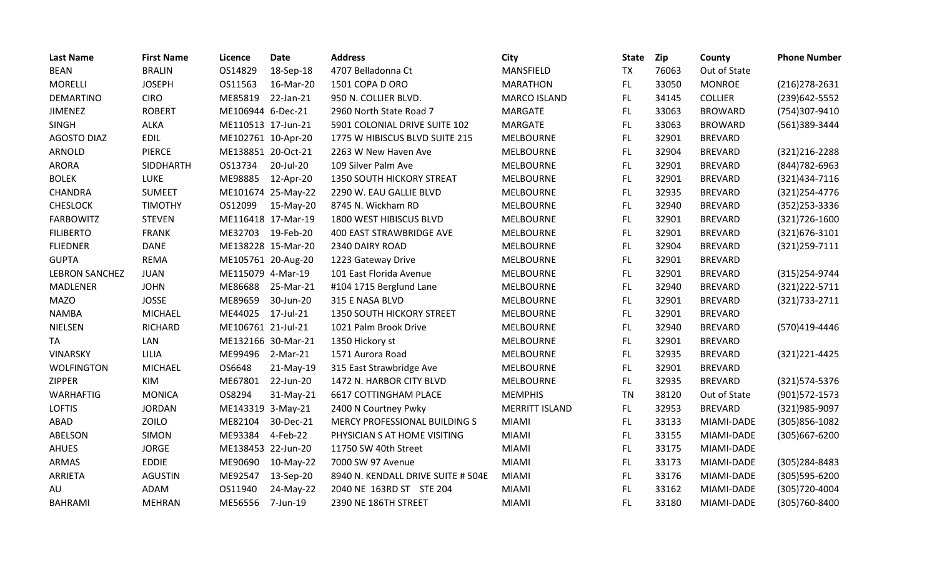| <b>Last Name</b>      | <b>First Name</b> | <b>Licence</b>     | <b>Date</b>        | <b>Address</b>                     | City                  | <b>State</b> | Zip   | County         | <b>Phone Number</b> |
|-----------------------|-------------------|--------------------|--------------------|------------------------------------|-----------------------|--------------|-------|----------------|---------------------|
| <b>BEAN</b>           | <b>BRALIN</b>     | OS14829            | 18-Sep-18          | 4707 Belladonna Ct                 | MANSFIELD             | <b>TX</b>    | 76063 | Out of State   |                     |
| <b>MORELLI</b>        | <b>JOSEPH</b>     | OS11563            | 16-Mar-20          | 1501 COPA D ORO                    | <b>MARATHON</b>       | FL.          | 33050 | <b>MONROE</b>  | $(216)278-2631$     |
| <b>DEMARTINO</b>      | <b>CIRO</b>       | ME85819            | 22-Jan-21          | 950 N. COLLIER BLVD.               | <b>MARCO ISLAND</b>   | FL.          | 34145 | <b>COLLIER</b> | (239) 642-5552      |
| <b>JIMENEZ</b>        | <b>ROBERT</b>     | ME106944 6-Dec-21  |                    | 2960 North State Road 7            | <b>MARGATE</b>        | FL           | 33063 | <b>BROWARD</b> | (754)307-9410       |
| <b>SINGH</b>          | <b>ALKA</b>       | ME110513 17-Jun-21 |                    | 5901 COLONIAL DRIVE SUITE 102      | MARGATE               | FL           | 33063 | <b>BROWARD</b> | (561)389-3444       |
| <b>AGOSTO DIAZ</b>    | <b>EDIL</b>       | ME102761 10-Apr-20 |                    | 1775 W HIBISCUS BLVD SUITE 215     | <b>MELBOURNE</b>      | FL.          | 32901 | <b>BREVARD</b> |                     |
| ARNOLD                | <b>PIERCE</b>     | ME138851 20-Oct-21 |                    | 2263 W New Haven Ave               | <b>MELBOURNE</b>      | <b>FL</b>    | 32904 | <b>BREVARD</b> | (321) 216-2288      |
| <b>ARORA</b>          | <b>SIDDHARTH</b>  | OS13734            | 20-Jul-20          | 109 Silver Palm Ave                | <b>MELBOURNE</b>      | <b>FL</b>    | 32901 | <b>BREVARD</b> | (844) 782-6963      |
| <b>BOLEK</b>          | LUKE              | ME98885            | 12-Apr-20          | <b>1350 SOUTH HICKORY STREAT</b>   | <b>MELBOURNE</b>      | FL.          | 32901 | <b>BREVARD</b> | (321)434-7116       |
| <b>CHANDRA</b>        | <b>SUMEET</b>     |                    | ME101674 25-May-22 | 2290 W. EAU GALLIE BLVD            | <b>MELBOURNE</b>      | FL.          | 32935 | <b>BREVARD</b> | (321) 254-4776      |
| <b>CHESLOCK</b>       | <b>TIMOTHY</b>    | OS12099            | 15-May-20          | 8745 N. Wickham RD                 | <b>MELBOURNE</b>      | <b>FL</b>    | 32940 | <b>BREVARD</b> | (352) 253-3336      |
| <b>FARBOWITZ</b>      | <b>STEVEN</b>     |                    | ME116418 17-Mar-19 | 1800 WEST HIBISCUS BLVD            | <b>MELBOURNE</b>      | FL.          | 32901 | <b>BREVARD</b> | $(321)726-1600$     |
| <b>FILIBERTO</b>      | <b>FRANK</b>      | ME32703            | 19-Feb-20          | <b>400 EAST STRAWBRIDGE AVE</b>    | <b>MELBOURNE</b>      | FL.          | 32901 | <b>BREVARD</b> | (321) 676-3101      |
| <b>FLIEDNER</b>       | <b>DANE</b>       |                    | ME138228 15-Mar-20 | 2340 DAIRY ROAD                    | <b>MELBOURNE</b>      | FL.          | 32904 | <b>BREVARD</b> | (321) 259-7111      |
| <b>GUPTA</b>          | <b>REMA</b>       | ME105761 20-Aug-20 |                    | 1223 Gateway Drive                 | <b>MELBOURNE</b>      | <b>FL</b>    | 32901 | <b>BREVARD</b> |                     |
| <b>LEBRON SANCHEZ</b> | <b>JUAN</b>       | ME115079 4-Mar-19  |                    | 101 East Florida Avenue            | <b>MELBOURNE</b>      | <b>FL</b>    | 32901 | <b>BREVARD</b> | (315) 254-9744      |
| <b>MADLENER</b>       | <b>JOHN</b>       | ME86688            | 25-Mar-21          | #104 1715 Berglund Lane            | <b>MELBOURNE</b>      | FL.          | 32940 | <b>BREVARD</b> | (321) 222-5711      |
| <b>MAZO</b>           | <b>JOSSE</b>      | ME89659            | 30-Jun-20          | 315 E NASA BLVD                    | <b>MELBOURNE</b>      | FL           | 32901 | <b>BREVARD</b> | (321) 733 - 2711    |
| <b>NAMBA</b>          | <b>MICHAEL</b>    | ME44025            | 17-Jul-21          | 1350 SOUTH HICKORY STREET          | <b>MELBOURNE</b>      | FL.          | 32901 | <b>BREVARD</b> |                     |
| <b>NIELSEN</b>        | RICHARD           | ME106761 21-Jul-21 |                    | 1021 Palm Brook Drive              | <b>MELBOURNE</b>      | <b>FL</b>    | 32940 | <b>BREVARD</b> | (570)419-4446       |
| <b>TA</b>             | LAN               | ME132166 30-Mar-21 |                    | 1350 Hickory st                    | <b>MELBOURNE</b>      | FL.          | 32901 | <b>BREVARD</b> |                     |
| <b>VINARSKY</b>       | LILIA             | ME99496            | 2-Mar-21           | 1571 Aurora Road                   | <b>MELBOURNE</b>      | FL           | 32935 | <b>BREVARD</b> | (321) 221-4425      |
| <b>WOLFINGTON</b>     | <b>MICHAEL</b>    | OS6648             | 21-May-19          | 315 East Strawbridge Ave           | <b>MELBOURNE</b>      | FL.          | 32901 | <b>BREVARD</b> |                     |
| <b>ZIPPER</b>         | KIM               | ME67801            | 22-Jun-20          | 1472 N. HARBOR CITY BLVD           | <b>MELBOURNE</b>      | FL.          | 32935 | <b>BREVARD</b> | (321) 574-5376      |
| <b>WARHAFTIG</b>      | <b>MONICA</b>     | OS8294             | 31-May-21          | 6617 COTTINGHAM PLACE              | <b>MEMPHIS</b>        | <b>TN</b>    | 38120 | Out of State   | $(901)572 - 1573$   |
| <b>LOFTIS</b>         | <b>JORDAN</b>     | ME143319 3-May-21  |                    | 2400 N Courtney Pwky               | <b>MERRITT ISLAND</b> | FL.          | 32953 | <b>BREVARD</b> | (321) 985-9097      |
| ABAD                  | ZOILO             | ME82104            | 30-Dec-21          | MERCY PROFESSIONAL BUILDING S      | <b>MIAMI</b>          | FL.          | 33133 | MIAMI-DADE     | (305) 856-1082      |
| ABELSON               | <b>SIMON</b>      | ME93384            | 4-Feb-22           | PHYSICIAN S AT HOME VISITING       | <b>MIAMI</b>          | FL.          | 33155 | MIAMI-DADE     | (305)667-6200       |
| <b>AHUES</b>          | <b>JORGE</b>      | ME138453 22-Jun-20 |                    | 11750 SW 40th Street               | <b>MIAMI</b>          | FL.          | 33175 | MIAMI-DADE     |                     |
| <b>ARMAS</b>          | <b>EDDIE</b>      | ME90690            | 10-May-22          | 7000 SW 97 Avenue                  | <b>MIAMI</b>          | <b>FL</b>    | 33173 | MIAMI-DADE     | (305)284-8483       |
| ARRIETA               | <b>AGUSTIN</b>    | ME92547            | 13-Sep-20          | 8940 N. KENDALL DRIVE SUITE # 504E | <b>MIAMI</b>          | FL.          | 33176 | MIAMI-DADE     | $(305)$ 595-6200    |
| AU                    | ADAM              | OS11940            | 24-May-22          | 2040 NE 163RD ST STE 204           | <b>MIAMI</b>          | <b>FL</b>    | 33162 | MIAMI-DADE     | (305)720-4004       |
| <b>BAHRAMI</b>        | MEHRAN            | ME56556            | 7-Jun-19           | 2390 NE 186TH STREET               | <b>MIAMI</b>          | FL           | 33180 | MIAMI-DADE     | (305)760-8400       |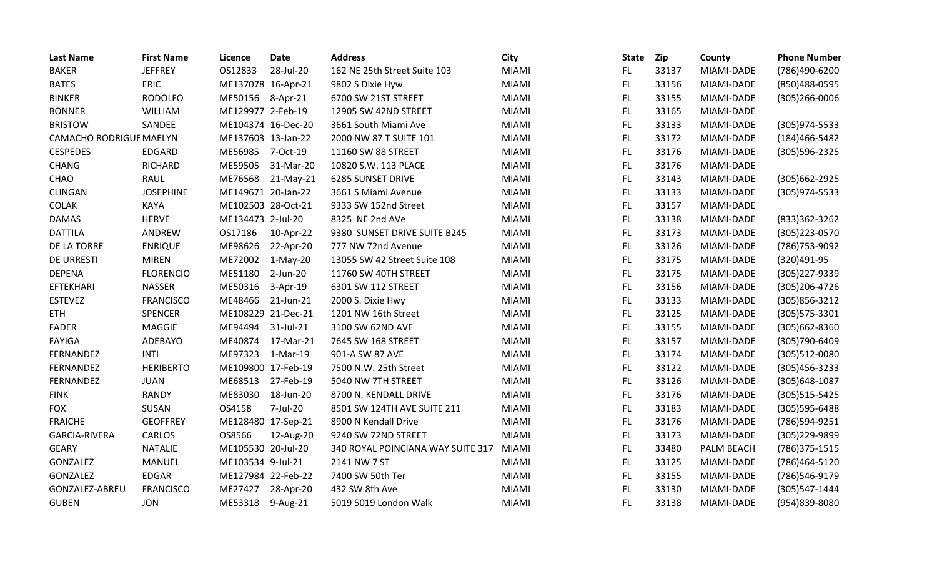| <b>Last Name</b>               | <b>First Name</b> | Licence            | <b>Date</b> | <b>Address</b>                    | <b>City</b>  | <b>State</b> | Zip   | County     | <b>Phone Number</b> |
|--------------------------------|-------------------|--------------------|-------------|-----------------------------------|--------------|--------------|-------|------------|---------------------|
| <b>BAKER</b>                   | <b>JEFFREY</b>    | OS12833            | 28-Jul-20   | 162 NE 25th Street Suite 103      | <b>MIAMI</b> | FL.          | 33137 | MIAMI-DADE | (786)490-6200       |
| <b>BATES</b>                   | ERIC              | ME137078 16-Apr-21 |             | 9802 S Dixie Hyw                  | <b>MIAMI</b> | FL.          | 33156 | MIAMI-DADE | (850) 488-0595      |
| <b>BINKER</b>                  | <b>RODOLFO</b>    | ME50156 8-Apr-21   |             | 6700 SW 21ST STREET               | <b>MIAMI</b> | FL.          | 33155 | MIAMI-DADE | $(305)266 - 0006$   |
| <b>BONNER</b>                  | <b>WILLIAM</b>    | ME129977 2-Feb-19  |             | 12905 SW 42ND STREET              | <b>MIAMI</b> | FL           | 33165 | MIAMI-DADE |                     |
| <b>BRISTOW</b>                 | SANDEE            | ME104374 16-Dec-20 |             | 3661 South Miami Ave              | <b>MIAMI</b> | <b>FL</b>    | 33133 | MIAMI-DADE | (305) 974-5533      |
| <b>CAMACHO RODRIGUE MAELYN</b> |                   | ME137603 13-Jan-22 |             | 2000 NW 87 T SUITE 101            | <b>MIAMI</b> | <b>FL</b>    | 33172 | MIAMI-DADE | (184)466-5482       |
| <b>CESPEDES</b>                | <b>EDGARD</b>     | ME56985 7-Oct-19   |             | 11160 SW 88 STREET                | <b>MIAMI</b> | <b>FL</b>    | 33176 | MIAMI-DADE | (305) 596-2325      |
| <b>CHANG</b>                   | <b>RICHARD</b>    | ME59505            | 31-Mar-20   | 10820 S.W. 113 PLACE              | <b>MIAMI</b> | FL.          | 33176 | MIAMI-DADE |                     |
| CHAO                           | RAUL              | ME76568            | 21-May-21   | <b>6285 SUNSET DRIVE</b>          | <b>MIAMI</b> | FL.          | 33143 | MIAMI-DADE | (305) 662-2925      |
| <b>CLINGAN</b>                 | <b>JOSEPHINE</b>  | ME149671 20-Jan-22 |             | 3661 S Miami Avenue               | <b>MIAMI</b> | <b>FL</b>    | 33133 | MIAMI-DADE | (305)974-5533       |
| <b>COLAK</b>                   | <b>KAYA</b>       | ME102503 28-Oct-21 |             | 9333 SW 152nd Street              | <b>MIAMI</b> | <b>FL</b>    | 33157 | MIAMI-DADE |                     |
| <b>DAMAS</b>                   | <b>HERVE</b>      | ME134473 2-Jul-20  |             | 8325 NE 2nd AVe                   | <b>MIAMI</b> | FL           | 33138 | MIAMI-DADE | (833)362-3262       |
| <b>DATTILA</b>                 | ANDREW            | OS17186            | 10-Apr-22   | 9380 SUNSET DRIVE SUITE B245      | <b>MIAMI</b> | FL.          | 33173 | MIAMI-DADE | (305) 223-0570      |
| DE LA TORRE                    | <b>ENRIQUE</b>    | ME98626            | 22-Apr-20   | 777 NW 72nd Avenue                | <b>MIAMI</b> | FL.          | 33126 | MIAMI-DADE | (786) 753-9092      |
| <b>DE URRESTI</b>              | <b>MIREN</b>      | ME72002            | 1-May-20    | 13055 SW 42 Street Suite 108      | <b>MIAMI</b> | <b>FL</b>    | 33175 | MIAMI-DADE | (320)491-95         |
| <b>DEPENA</b>                  | <b>FLORENCIO</b>  | ME51180            | 2-Jun-20    | 11760 SW 40TH STREET              | <b>MIAMI</b> | <b>FL</b>    | 33175 | MIAMI-DADE | (305) 227-9339      |
| <b>EFTEKHARI</b>               | <b>NASSER</b>     | ME50316            | $3-Apr-19$  | 6301 SW 112 STREET                | <b>MIAMI</b> | <b>FL</b>    | 33156 | MIAMI-DADE | (305) 206-4726      |
| <b>ESTEVEZ</b>                 | <b>FRANCISCO</b>  | ME48466            | 21-Jun-21   | 2000 S. Dixie Hwy                 | <b>MIAMI</b> | FL.          | 33133 | MIAMI-DADE | (305) 856-3212      |
| <b>ETH</b>                     | SPENCER           | ME108229 21-Dec-21 |             | 1201 NW 16th Street               | <b>MIAMI</b> | <b>FL</b>    | 33125 | MIAMI-DADE | (305) 575-3301      |
| <b>FADER</b>                   | MAGGIE            | ME94494            | 31-Jul-21   | 3100 SW 62ND AVE                  | <b>MIAMI</b> | <b>FL</b>    | 33155 | MIAMI-DADE | (305)662-8360       |
| <b>FAYIGA</b>                  | ADEBAYO           | ME40874            | 17-Mar-21   | 7645 SW 168 STREET                | <b>MIAMI</b> | FL.          | 33157 | MIAMI-DADE | (305) 790-6409      |
| FERNANDEZ                      | <b>INTI</b>       | ME97323            | 1-Mar-19    | 901-A SW 87 AVE                   | <b>MIAMI</b> | FL.          | 33174 | MIAMI-DADE | (305)512-0080       |
| FERNANDEZ                      | <b>HERIBERTO</b>  | ME109800 17-Feb-19 |             | 7500 N.W. 25th Street             | <b>MIAMI</b> | FL.          | 33122 | MIAMI-DADE | $(305)456 - 3233$   |
| FERNANDEZ                      | <b>JUAN</b>       | ME68513            | 27-Feb-19   | 5040 NW 7TH STREET                | <b>MIAMI</b> | <b>FL</b>    | 33126 | MIAMI-DADE | (305) 648-1087      |
| <b>FINK</b>                    | <b>RANDY</b>      | ME83030            | 18-Jun-20   | 8700 N. KENDALL DRIVE             | <b>MIAMI</b> | <b>FL</b>    | 33176 | MIAMI-DADE | (305) 515-5425      |
| <b>FOX</b>                     | SUSAN             | OS4158             | 7-Jul-20    | 8501 SW 124TH AVE SUITE 211       | <b>MIAMI</b> | <b>FL</b>    | 33183 | MIAMI-DADE | (305) 595-6488      |
| <b>FRAICHE</b>                 | <b>GEOFFREY</b>   | ME128480 17-Sep-21 |             | 8900 N Kendall Drive              | <b>MIAMI</b> | <b>FL</b>    | 33176 | MIAMI-DADE | (786)594-9251       |
| <b>GARCIA-RIVERA</b>           | CARLOS            | OS8566             | 12-Aug-20   | 9240 SW 72ND STREET               | <b>MIAMI</b> | <b>FL</b>    | 33173 | MIAMI-DADE | (305)229-9899       |
| <b>GEARY</b>                   | <b>NATALIE</b>    | ME105530 20-Jul-20 |             | 340 ROYAL POINCIANA WAY SUITE 317 | <b>MIAMI</b> | FL.          | 33480 | PALM BEACH | (786) 375-1515      |
| GONZALEZ                       | MANUEL            | ME103534 9-Jul-21  |             | 2141 NW 7 ST                      | <b>MIAMI</b> | FL.          | 33125 | MIAMI-DADE | (786)464-5120       |
| GONZALEZ                       | EDGAR             | ME127984 22-Feb-22 |             | 7400 SW 50th Ter                  | <b>MIAMI</b> | <b>FL</b>    | 33155 | MIAMI-DADE | (786)546-9179       |
| GONZALEZ-ABREU                 | <b>FRANCISCO</b>  | ME27427            | 28-Apr-20   | 432 SW 8th Ave                    | <b>MIAMI</b> | FL           | 33130 | MIAMI-DADE | (305) 547-1444      |
| <b>GUBEN</b>                   | <b>JON</b>        | ME53318            | 9-Aug-21    | 5019 5019 London Walk             | <b>MIAMI</b> | FL           | 33138 | MIAMI-DADE | (954)839-8080       |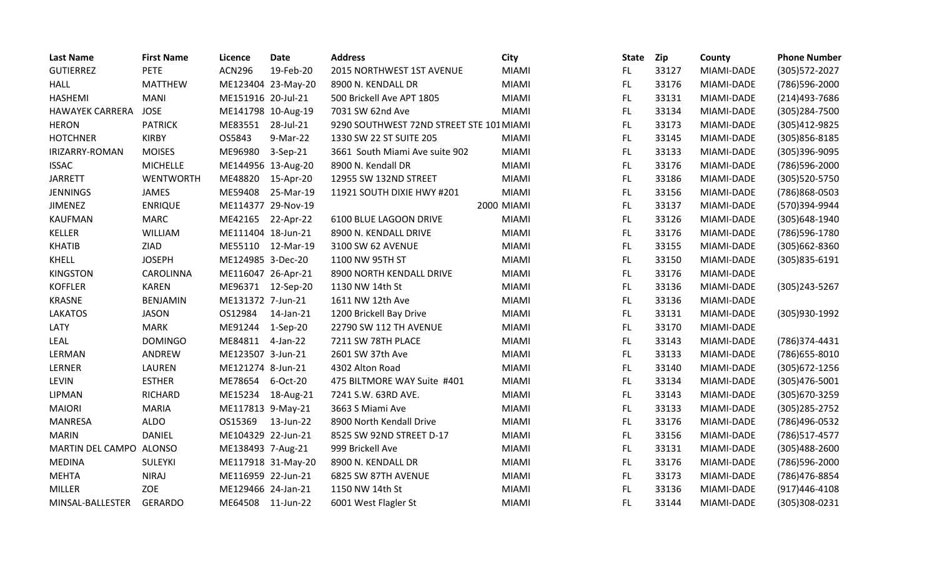| <b>Last Name</b>        | <b>First Name</b> | Licence            | <b>Date</b>        | <b>Address</b>                           | <b>City</b>  | <b>State</b> | Zip   | County     | <b>Phone Number</b> |
|-------------------------|-------------------|--------------------|--------------------|------------------------------------------|--------------|--------------|-------|------------|---------------------|
| <b>GUTIERREZ</b>        | <b>PETE</b>       | <b>ACN296</b>      | 19-Feb-20          | 2015 NORTHWEST 1ST AVENUE                | <b>MIAMI</b> | FL.          | 33127 | MIAMI-DADE | (305) 572-2027      |
| <b>HALL</b>             | <b>MATTHEW</b>    |                    | ME123404 23-May-20 | 8900 N. KENDALL DR                       | <b>MIAMI</b> | FL.          | 33176 | MIAMI-DADE | (786)596-2000       |
| <b>HASHEMI</b>          | <b>MANI</b>       | ME151916 20-Jul-21 |                    | 500 Brickell Ave APT 1805                | <b>MIAMI</b> | FL.          | 33131 | MIAMI-DADE | (214)493-7686       |
| <b>HAWAYEK CARRERA</b>  | <b>JOSE</b>       | ME141798 10-Aug-19 |                    | 7031 SW 62nd Ave                         | <b>MIAMI</b> | FL           | 33134 | MIAMI-DADE | (305) 284-7500      |
| <b>HERON</b>            | <b>PATRICK</b>    | ME83551            | 28-Jul-21          | 9290 SOUTHWEST 72ND STREET STE 101 MIAMI |              | FL.          | 33173 | MIAMI-DADE | (305)412-9825       |
| <b>HOTCHNER</b>         | <b>KIRBY</b>      | OS5843             | 9-Mar-22           | 1330 SW 22 ST SUITE 205                  | <b>MIAMI</b> | FL           | 33145 | MIAMI-DADE | (305) 856-8185      |
| IRIZARRY-ROMAN          | <b>MOISES</b>     | ME96980            | $3-Sep-21$         | 3661 South Miami Ave suite 902           | <b>MIAMI</b> | FL           | 33133 | MIAMI-DADE | (305)396-9095       |
| <b>ISSAC</b>            | <b>MICHELLE</b>   | ME144956 13-Aug-20 |                    | 8900 N. Kendall DR                       | <b>MIAMI</b> | FL.          | 33176 | MIAMI-DADE | (786)596-2000       |
| <b>JARRETT</b>          | WENTWORTH         | ME48820            | 15-Apr-20          | 12955 SW 132ND STREET                    | <b>MIAMI</b> | FL.          | 33186 | MIAMI-DADE | (305) 520-5750      |
| <b>JENNINGS</b>         | JAMES             | ME59408            | 25-Mar-19          | 11921 SOUTH DIXIE HWY #201               | <b>MIAMI</b> | FL.          | 33156 | MIAMI-DADE | (786)868-0503       |
| <b>JIMENEZ</b>          | <b>ENRIQUE</b>    | ME114377 29-Nov-19 |                    |                                          | 2000 MIAMI   | FL           | 33137 | MIAMI-DADE | (570)394-9944       |
| <b>KAUFMAN</b>          | <b>MARC</b>       | ME42165 22-Apr-22  |                    | 6100 BLUE LAGOON DRIVE                   | <b>MIAMI</b> | FL.          | 33126 | MIAMI-DADE | (305) 648-1940      |
| KELLER                  | WILLIAM           | ME111404 18-Jun-21 |                    | 8900 N. KENDALL DRIVE                    | <b>MIAMI</b> | FL.          | 33176 | MIAMI-DADE | (786)596-1780       |
| <b>KHATIB</b>           | ZIAD              | ME55110            | 12-Mar-19          | 3100 SW 62 AVENUE                        | <b>MIAMI</b> | FL           | 33155 | MIAMI-DADE | $(305)662 - 8360$   |
| <b>KHELL</b>            | <b>JOSEPH</b>     | ME124985 3-Dec-20  |                    | 1100 NW 95TH ST                          | <b>MIAMI</b> | FL.          | 33150 | MIAMI-DADE | (305)835-6191       |
| <b>KINGSTON</b>         | CAROLINNA         | ME116047 26-Apr-21 |                    | 8900 NORTH KENDALL DRIVE                 | <b>MIAMI</b> | FL           | 33176 | MIAMI-DADE |                     |
| <b>KOFFLER</b>          | <b>KAREN</b>      | ME96371            | 12-Sep-20          | 1130 NW 14th St                          | <b>MIAMI</b> | FL.          | 33136 | MIAMI-DADE | (305)243-5267       |
| <b>KRASNE</b>           | <b>BENJAMIN</b>   | ME131372 7-Jun-21  |                    | 1611 NW 12th Ave                         | <b>MIAMI</b> | FL.          | 33136 | MIAMI-DADE |                     |
| <b>LAKATOS</b>          | <b>JASON</b>      | OS12984            | 14-Jan-21          | 1200 Brickell Bay Drive                  | <b>MIAMI</b> | FL           | 33131 | MIAMI-DADE | (305)930-1992       |
| LATY                    | <b>MARK</b>       | ME91244            | $1-Sep-20$         | 22790 SW 112 TH AVENUE                   | <b>MIAMI</b> | FL.          | 33170 | MIAMI-DADE |                     |
| <b>LEAL</b>             | <b>DOMINGO</b>    | ME84811            | 4-Jan-22           | 7211 SW 78TH PLACE                       | <b>MIAMI</b> | FL.          | 33143 | MIAMI-DADE | (786)374-4431       |
| LERMAN                  | ANDREW            | ME123507 3-Jun-21  |                    | 2601 SW 37th Ave                         | <b>MIAMI</b> | FL           | 33133 | MIAMI-DADE | (786) 655-8010      |
| LERNER                  | LAUREN            | ME121274 8-Jun-21  |                    | 4302 Alton Road                          | <b>MIAMI</b> | FL.          | 33140 | MIAMI-DADE | $(305)672 - 1256$   |
| LEVIN                   | <b>ESTHER</b>     | ME78654            | 6-Oct-20           | 475 BILTMORE WAY Suite #401              | <b>MIAMI</b> | FL           | 33134 | MIAMI-DADE | $(305)476 - 5001$   |
| LIPMAN                  | <b>RICHARD</b>    | ME15234            | 18-Aug-21          | 7241 S.W. 63RD AVE.                      | <b>MIAMI</b> | FL.          | 33143 | MIAMI-DADE | (305) 670-3259      |
| <b>MAIORI</b>           | <b>MARIA</b>      | ME117813 9-May-21  |                    | 3663 S Miami Ave                         | <b>MIAMI</b> | FL.          | 33133 | MIAMI-DADE | (305) 285-2752      |
| MANRESA                 | <b>ALDO</b>       | OS15369            | 13-Jun-22          | 8900 North Kendall Drive                 | <b>MIAMI</b> | FL.          | 33176 | MIAMI-DADE | (786)496-0532       |
| <b>MARIN</b>            | <b>DANIEL</b>     | ME104329 22-Jun-21 |                    | 8525 SW 92ND STREET D-17                 | <b>MIAMI</b> | FL.          | 33156 | MIAMI-DADE | (786) 517-4577      |
| MARTIN DEL CAMPO ALONSO |                   | ME138493 7-Aug-21  |                    | 999 Brickell Ave                         | <b>MIAMI</b> | FL           | 33131 | MIAMI-DADE | $(305)488 - 2600$   |
| <b>MEDINA</b>           | SULEYKI           |                    | ME117918 31-May-20 | 8900 N. KENDALL DR                       | <b>MIAMI</b> | FL.          | 33176 | MIAMI-DADE | (786)596-2000       |
| <b>MEHTA</b>            | <b>NIRAJ</b>      | ME116959 22-Jun-21 |                    | 6825 SW 87TH AVENUE                      | <b>MIAMI</b> | FL.          | 33173 | MIAMI-DADE | (786) 476-8854      |
| <b>MILLER</b>           | ZOE               | ME129466 24-Jan-21 |                    | 1150 NW 14th St                          | <b>MIAMI</b> | FL.          | 33136 | MIAMI-DADE | $(917)446 - 4108$   |
| MINSAL-BALLESTER        | <b>GERARDO</b>    | ME64508 11-Jun-22  |                    | 6001 West Flagler St                     | <b>MIAMI</b> | <b>FL</b>    | 33144 | MIAMI-DADE | (305)308-0231       |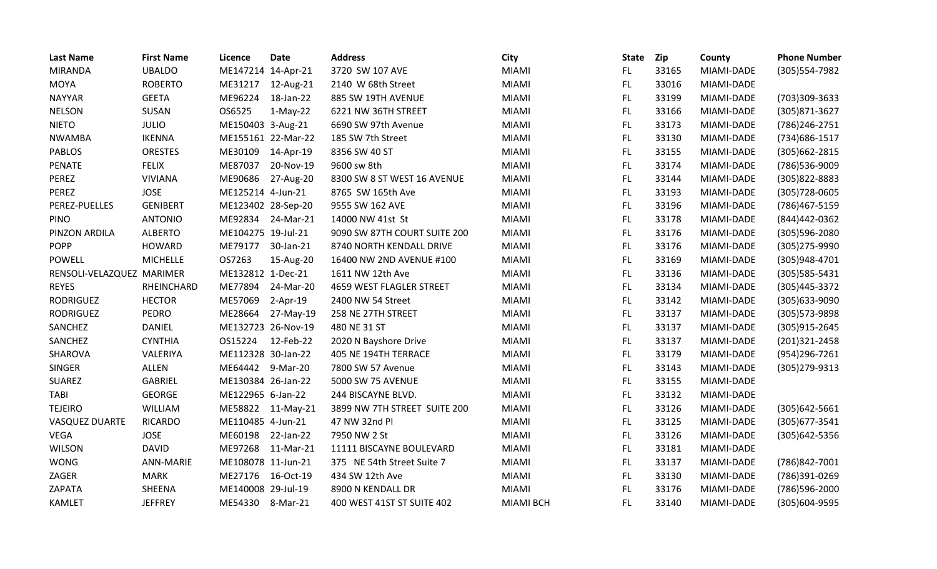| <b>Last Name</b>          | <b>First Name</b> | Licence            | <b>Date</b>        | <b>Address</b>               | <b>City</b>      | <b>State</b> | <b>Zip</b> | County     | <b>Phone Number</b> |
|---------------------------|-------------------|--------------------|--------------------|------------------------------|------------------|--------------|------------|------------|---------------------|
| <b>MIRANDA</b>            | <b>UBALDO</b>     | ME147214 14-Apr-21 |                    | 3720 SW 107 AVE              | <b>MIAMI</b>     | FL.          | 33165      | MIAMI-DADE | (305) 554-7982      |
| <b>MOYA</b>               | <b>ROBERTO</b>    | ME31217            | 12-Aug-21          | 2140 W 68th Street           | <b>MIAMI</b>     | FL           | 33016      | MIAMI-DADE |                     |
| <b>NAYYAR</b>             | <b>GEETA</b>      | ME96224            | 18-Jan-22          | 885 SW 19TH AVENUE           | <b>MIAMI</b>     | FL.          | 33199      | MIAMI-DADE | (703)309-3633       |
| <b>NELSON</b>             | SUSAN             | OS6525             | $1-May-22$         | 6221 NW 36TH STREET          | <b>MIAMI</b>     | FL.          | 33166      | MIAMI-DADE | (305) 871-3627      |
| <b>NIETO</b>              | <b>JULIO</b>      | ME150403 3-Aug-21  |                    | 6690 SW 97th Avenue          | <b>MIAMI</b>     | FL           | 33173      | MIAMI-DADE | (786) 246-2751      |
| <b>NWAMBA</b>             | <b>IKENNA</b>     |                    | ME155161 22-Mar-22 | 185 SW 7th Street            | <b>MIAMI</b>     | FL.          | 33130      | MIAMI-DADE | (734) 686-1517      |
| <b>PABLOS</b>             | <b>ORESTES</b>    | ME30109            | 14-Apr-19          | 8356 SW 40 ST                | <b>MIAMI</b>     | FL.          | 33155      | MIAMI-DADE | (305) 662-2815      |
| <b>PENATE</b>             | <b>FELIX</b>      | ME87037            | 20-Nov-19          | 9600 sw 8th                  | <b>MIAMI</b>     | FL.          | 33174      | MIAMI-DADE | (786)536-9009       |
| PEREZ                     | <b>VIVIANA</b>    | ME90686            | 27-Aug-20          | 8300 SW 8 ST WEST 16 AVENUE  | <b>MIAMI</b>     | FL.          | 33144      | MIAMI-DADE | (305)822-8883       |
| PEREZ                     | <b>JOSE</b>       | ME125214 4-Jun-21  |                    | 8765 SW 165th Ave            | <b>MIAMI</b>     | FL.          | 33193      | MIAMI-DADE | (305) 728-0605      |
| PEREZ-PUELLES             | <b>GENIBERT</b>   | ME123402 28-Sep-20 |                    | 9555 SW 162 AVE              | <b>MIAMI</b>     | <b>FL</b>    | 33196      | MIAMI-DADE | (786) 467-5159      |
| PINO                      | <b>ANTONIO</b>    |                    | ME92834 24-Mar-21  | 14000 NW 41st St             | <b>MIAMI</b>     | FL.          | 33178      | MIAMI-DADE | (844) 442 - 0362    |
| PINZON ARDILA             | <b>ALBERTO</b>    | ME104275 19-Jul-21 |                    | 9090 SW 87TH COURT SUITE 200 | <b>MIAMI</b>     | FL.          | 33176      | MIAMI-DADE | (305)596-2080       |
| <b>POPP</b>               | <b>HOWARD</b>     | ME79177            | 30-Jan-21          | 8740 NORTH KENDALL DRIVE     | <b>MIAMI</b>     | FL           | 33176      | MIAMI-DADE | (305) 275-9990      |
| <b>POWELL</b>             | <b>MICHELLE</b>   | OS7263             | 15-Aug-20          | 16400 NW 2ND AVENUE #100     | <b>MIAMI</b>     | FL           | 33169      | MIAMI-DADE | (305)948-4701       |
| RENSOLI-VELAZQUEZ MARIMER |                   | ME132812 1-Dec-21  |                    | 1611 NW 12th Ave             | <b>MIAMI</b>     | FL           | 33136      | MIAMI-DADE | (305) 585-5431      |
| <b>REYES</b>              | RHEINCHARD        | ME77894            | 24-Mar-20          | 4659 WEST FLAGLER STREET     | <b>MIAMI</b>     | FL.          | 33134      | MIAMI-DADE | (305)445-3372       |
| <b>RODRIGUEZ</b>          | <b>HECTOR</b>     | ME57069            | $2-Apr-19$         | 2400 NW 54 Street            | <b>MIAMI</b>     | FL.          | 33142      | MIAMI-DADE | (305) 633-9090      |
| <b>RODRIGUEZ</b>          | PEDRO             | ME28664            | 27-May-19          | 258 NE 27TH STREET           | <b>MIAMI</b>     | FL.          | 33137      | MIAMI-DADE | (305) 573-9898      |
| SANCHEZ                   | DANIEL            |                    | ME132723 26-Nov-19 | 480 NE 31 ST                 | <b>MIAMI</b>     | FL.          | 33137      | MIAMI-DADE | (305) 915-2645      |
| SANCHEZ                   | <b>CYNTHIA</b>    | OS15224            | 12-Feb-22          | 2020 N Bayshore Drive        | <b>MIAMI</b>     | FL           | 33137      | MIAMI-DADE | (201)321-2458       |
| SHAROVA                   | VALERIYA          | ME112328 30-Jan-22 |                    | 405 NE 194TH TERRACE         | <b>MIAMI</b>     | FL.          | 33179      | MIAMI-DADE | (954)296-7261       |
| <b>SINGER</b>             | ALLEN             | ME64442            | 9-Mar-20           | 7800 SW 57 Avenue            | <b>MIAMI</b>     | FL.          | 33143      | MIAMI-DADE | (305) 279-9313      |
| SUAREZ                    | <b>GABRIEL</b>    | ME130384 26-Jan-22 |                    | 5000 SW 75 AVENUE            | <b>MIAMI</b>     | FL           | 33155      | MIAMI-DADE |                     |
| <b>TABI</b>               | <b>GEORGE</b>     | ME122965 6-Jan-22  |                    | 244 BISCAYNE BLVD.           | <b>MIAMI</b>     | FL           | 33132      | MIAMI-DADE |                     |
| <b>TEJEIRO</b>            | <b>WILLIAM</b>    |                    | ME58822 11-May-21  | 3899 NW 7TH STREET SUITE 200 | <b>MIAMI</b>     | FL.          | 33126      | MIAMI-DADE | $(305)642 - 5661$   |
| VASQUEZ DUARTE            | <b>RICARDO</b>    | ME110485 4-Jun-21  |                    | 47 NW 32nd Pl                | <b>MIAMI</b>     | FL           | 33125      | MIAMI-DADE | (305) 677-3541      |
| <b>VEGA</b>               | <b>JOSE</b>       | ME60198            | 22-Jan-22          | 7950 NW 2 St                 | <b>MIAMI</b>     | FL.          | 33126      | MIAMI-DADE | (305) 642-5356      |
| <b>WILSON</b>             | <b>DAVID</b>      | ME97268            | 11-Mar-21          | 11111 BISCAYNE BOULEVARD     | <b>MIAMI</b>     | FL.          | 33181      | MIAMI-DADE |                     |
| <b>WONG</b>               | <b>ANN-MARIE</b>  | ME108078 11-Jun-21 |                    | 375 NE 54th Street Suite 7   | <b>MIAMI</b>     | FL.          | 33137      | MIAMI-DADE | (786)842-7001       |
| ZAGER                     | <b>MARK</b>       | ME27176            | 16-Oct-19          | 434 SW 12th Ave              | <b>MIAMI</b>     | FL.          | 33130      | MIAMI-DADE | (786)391-0269       |
| ZAPATA                    | SHEENA            | ME140008 29-Jul-19 |                    | 8900 N KENDALL DR            | <b>MIAMI</b>     | FL           | 33176      | MIAMI-DADE | (786)596-2000       |
| <b>KAMLET</b>             | <b>JEFFREY</b>    | ME54330            | 8-Mar-21           | 400 WEST 41ST ST SUITE 402   | <b>MIAMI BCH</b> | FL           | 33140      | MIAMI-DADE | (305)604-9595       |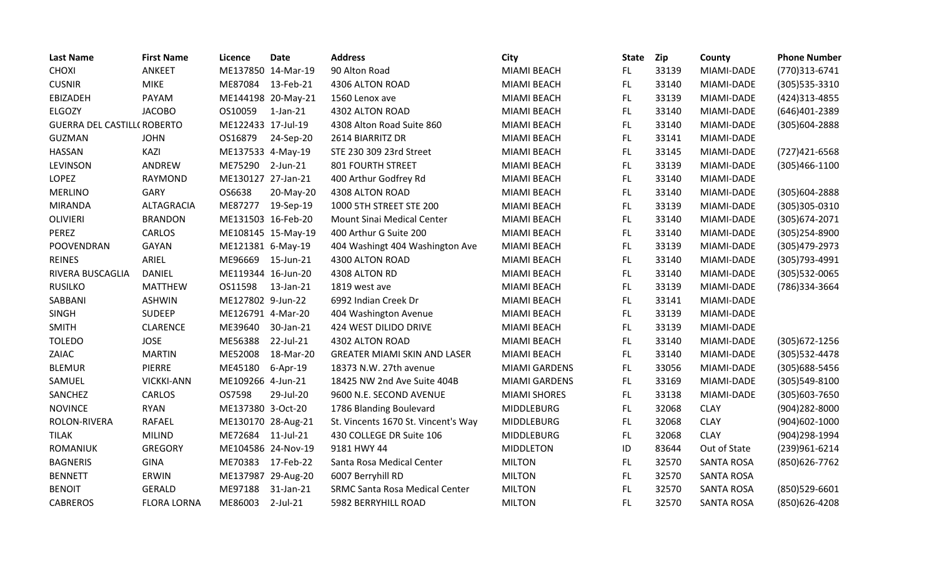| <b>Last Name</b>                   | <b>First Name</b>  | Licence            | <b>Date</b>        | <b>Address</b>                        | <b>City</b>          | <b>State</b> | Zip   | County            | <b>Phone Number</b> |
|------------------------------------|--------------------|--------------------|--------------------|---------------------------------------|----------------------|--------------|-------|-------------------|---------------------|
| <b>CHOXI</b>                       | <b>ANKEET</b>      |                    | ME137850 14-Mar-19 | 90 Alton Road                         | <b>MIAMI BEACH</b>   | FL.          | 33139 | MIAMI-DADE        | (770)313-6741       |
| <b>CUSNIR</b>                      | <b>MIKE</b>        | ME87084 13-Feb-21  |                    | 4306 ALTON ROAD                       | <b>MIAMI BEACH</b>   | FL.          | 33140 | MIAMI-DADE        | (305) 535-3310      |
| EBIZADEH                           | PAYAM              |                    | ME144198 20-May-21 | 1560 Lenox ave                        | <b>MIAMI BEACH</b>   | <b>FL</b>    | 33139 | MIAMI-DADE        | (424) 313-4855      |
| ELGOZY                             | <b>JACOBO</b>      | OS10059            | $1$ -Jan- $21$     | 4302 ALTON ROAD                       | MIAMI BEACH          | FL.          | 33140 | MIAMI-DADE        | (646)401-2389       |
| <b>GUERRA DEL CASTILL( ROBERTO</b> |                    | ME122433 17-Jul-19 |                    | 4308 Alton Road Suite 860             | MIAMI BEACH          | <b>FL</b>    | 33140 | MIAMI-DADE        | (305)604-2888       |
| <b>GUZMAN</b>                      | <b>JOHN</b>        | OS16879            | 24-Sep-20          | 2614 BIARRITZ DR                      | MIAMI BEACH          | FL           | 33141 | MIAMI-DADE        |                     |
| <b>HASSAN</b>                      | KAZI               | ME137533 4-May-19  |                    | STE 230 309 23rd Street               | MIAMI BEACH          | FL.          | 33145 | MIAMI-DADE        | (727) 421-6568      |
| <b>LEVINSON</b>                    | ANDREW             | ME75290            | $2$ -Jun-21        | <b>801 FOURTH STREET</b>              | MIAMI BEACH          | <b>FL</b>    | 33139 | MIAMI-DADE        | $(305)466 - 1100$   |
| <b>LOPEZ</b>                       | <b>RAYMOND</b>     | ME130127 27-Jan-21 |                    | 400 Arthur Godfrey Rd                 | <b>MIAMI BEACH</b>   | FL           | 33140 | MIAMI-DADE        |                     |
| <b>MERLINO</b>                     | <b>GARY</b>        | OS6638             | 20-May-20          | 4308 ALTON ROAD                       | MIAMI BEACH          | <b>FL</b>    | 33140 | MIAMI-DADE        | $(305)604 - 2888$   |
| <b>MIRANDA</b>                     | ALTAGRACIA         | ME87277            | 19-Sep-19          | 1000 5TH STREET STE 200               | MIAMI BEACH          | <b>FL</b>    | 33139 | MIAMI-DADE        | (305)305-0310       |
| <b>OLIVIERI</b>                    | <b>BRANDON</b>     | ME131503 16-Feb-20 |                    | <b>Mount Sinai Medical Center</b>     | <b>MIAMI BEACH</b>   | FL.          | 33140 | MIAMI-DADE        | (305) 674-2071      |
| PEREZ                              | CARLOS             |                    | ME108145 15-May-19 | 400 Arthur G Suite 200                | <b>MIAMI BEACH</b>   | <b>FL</b>    | 33140 | MIAMI-DADE        | (305) 254-8900      |
| POOVENDRAN                         | GAYAN              | ME121381 6-May-19  |                    | 404 Washingt 404 Washington Ave       | MIAMI BEACH          | <b>FL</b>    | 33139 | MIAMI-DADE        | (305) 479-2973      |
| <b>REINES</b>                      | ARIEL              | ME96669            | 15-Jun-21          | 4300 ALTON ROAD                       | <b>MIAMI BEACH</b>   | FL           | 33140 | MIAMI-DADE        | (305) 793-4991      |
| RIVERA BUSCAGLIA                   | <b>DANIEL</b>      | ME119344 16-Jun-20 |                    | 4308 ALTON RD                         | <b>MIAMI BEACH</b>   | <b>FL</b>    | 33140 | MIAMI-DADE        | (305) 532-0065      |
| <b>RUSILKO</b>                     | <b>MATTHEW</b>     | OS11598            | 13-Jan-21          | 1819 west ave                         | <b>MIAMI BEACH</b>   | FL.          | 33139 | MIAMI-DADE        | (786)334-3664       |
| SABBANI                            | <b>ASHWIN</b>      | ME127802 9-Jun-22  |                    | 6992 Indian Creek Dr                  | MIAMI BEACH          | FL           | 33141 | MIAMI-DADE        |                     |
| <b>SINGH</b>                       | <b>SUDEEP</b>      | ME126791 4-Mar-20  |                    | 404 Washington Avenue                 | MIAMI BEACH          | <b>FL</b>    | 33139 | MIAMI-DADE        |                     |
| <b>SMITH</b>                       | <b>CLARENCE</b>    | ME39640            | 30-Jan-21          | 424 WEST DILIDO DRIVE                 | <b>MIAMI BEACH</b>   | FL           | 33139 | MIAMI-DADE        |                     |
| <b>TOLEDO</b>                      | <b>JOSE</b>        | ME56388            | 22-Jul-21          | 4302 ALTON ROAD                       | <b>MIAMI BEACH</b>   | FL.          | 33140 | MIAMI-DADE        | $(305)672 - 1256$   |
| ZAIAC                              | <b>MARTIN</b>      | ME52008            | 18-Mar-20          | <b>GREATER MIAMI SKIN AND LASER</b>   | MIAMI BEACH          | FL           | 33140 | MIAMI-DADE        | (305) 532-4478      |
| <b>BLEMUR</b>                      | PIERRE             | ME45180            | $6-Apr-19$         | 18373 N.W. 27th avenue                | <b>MIAMI GARDENS</b> | FL.          | 33056 | MIAMI-DADE        | (305) 688-5456      |
| SAMUEL                             | <b>VICKKI-ANN</b>  | ME109266 4-Jun-21  |                    | 18425 NW 2nd Ave Suite 404B           | <b>MIAMI GARDENS</b> | FL.          | 33169 | MIAMI-DADE        | (305)549-8100       |
| SANCHEZ                            | CARLOS             | OS7598             | 29-Jul-20          | 9600 N.E. SECOND AVENUE               | <b>MIAMI SHORES</b>  | <b>FL</b>    | 33138 | MIAMI-DADE        | (305) 603-7650      |
| <b>NOVINCE</b>                     | <b>RYAN</b>        | ME137380 3-Oct-20  |                    | 1786 Blanding Boulevard               | <b>MIDDLEBURG</b>    | FL           | 32068 | <b>CLAY</b>       | (904) 282-8000      |
| ROLON-RIVERA                       | RAFAEL             | ME130170 28-Aug-21 |                    | St. Vincents 1670 St. Vincent's Way   | <b>MIDDLEBURG</b>    | <b>FL</b>    | 32068 | <b>CLAY</b>       | (904)602-1000       |
| <b>TILAK</b>                       | <b>MILIND</b>      | ME72684 11-Jul-21  |                    | 430 COLLEGE DR Suite 106              | <b>MIDDLEBURG</b>    | FL.          | 32068 | <b>CLAY</b>       | (904)298-1994       |
| <b>ROMANIUK</b>                    | <b>GREGORY</b>     | ME104586 24-Nov-19 |                    | 9181 HWY 44                           | <b>MIDDLETON</b>     | ID           | 83644 | Out of State      | (239)961-6214       |
| <b>BAGNERIS</b>                    | <b>GINA</b>        | ME70383 17-Feb-22  |                    | Santa Rosa Medical Center             | <b>MILTON</b>        | FL.          | 32570 | <b>SANTA ROSA</b> | (850)626-7762       |
| <b>BENNETT</b>                     | ERWIN              | ME137987 29-Aug-20 |                    | 6007 Berryhill RD                     | <b>MILTON</b>        | <b>FL</b>    | 32570 | <b>SANTA ROSA</b> |                     |
| <b>BENOIT</b>                      | <b>GERALD</b>      | ME97188            | 31-Jan-21          | <b>SRMC Santa Rosa Medical Center</b> | <b>MILTON</b>        | FL           | 32570 | <b>SANTA ROSA</b> | (850)529-6601       |
| <b>CABREROS</b>                    | <b>FLORA LORNA</b> | ME86003            | $2$ -Jul-21        | 5982 BERRYHILL ROAD                   | <b>MILTON</b>        | FL           | 32570 | <b>SANTA ROSA</b> | (850)626-4208       |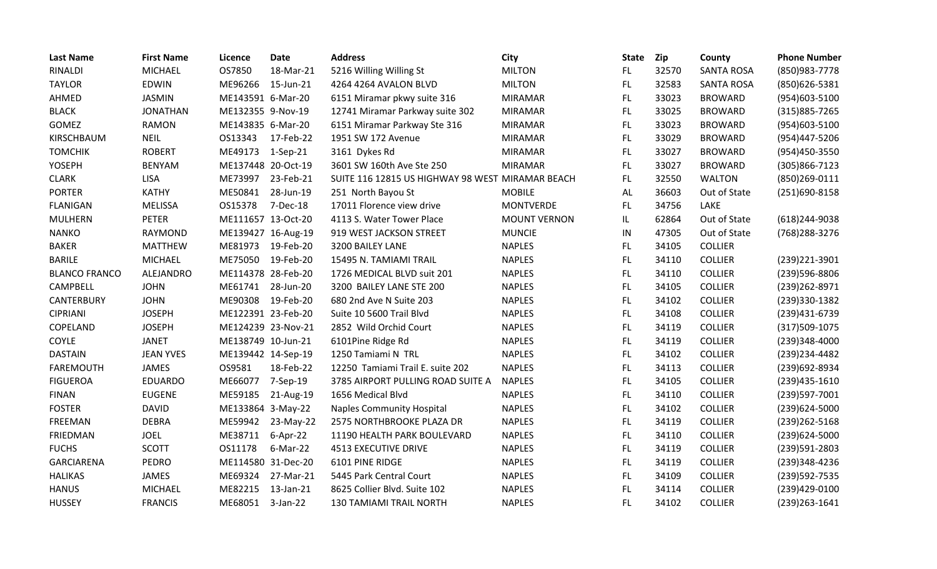| <b>Last Name</b>     | <b>First Name</b> | Licence            | <b>Date</b> | <b>Address</b>                                   | <b>City</b>         | State | Zip   | County            | <b>Phone Number</b> |
|----------------------|-------------------|--------------------|-------------|--------------------------------------------------|---------------------|-------|-------|-------------------|---------------------|
| <b>RINALDI</b>       | <b>MICHAEL</b>    | OS7850             | 18-Mar-21   | 5216 Willing Willing St                          | <b>MILTON</b>       | FL.   | 32570 | <b>SANTA ROSA</b> | (850)983-7778       |
| <b>TAYLOR</b>        | <b>EDWIN</b>      | ME96266            | 15-Jun-21   | 4264 4264 AVALON BLVD                            | <b>MILTON</b>       | FL    | 32583 | <b>SANTA ROSA</b> | (850)626-5381       |
| AHMED                | <b>JASMIN</b>     | ME143591 6-Mar-20  |             | 6151 Miramar pkwy suite 316                      | <b>MIRAMAR</b>      | FL.   | 33023 | <b>BROWARD</b>    | (954)603-5100       |
| <b>BLACK</b>         | <b>JONATHAN</b>   | ME132355 9-Nov-19  |             | 12741 Miramar Parkway suite 302                  | <b>MIRAMAR</b>      | FL.   | 33025 | <b>BROWARD</b>    | (315) 885-7265      |
| <b>GOMEZ</b>         | <b>RAMON</b>      | ME143835 6-Mar-20  |             | 6151 Miramar Parkway Ste 316                     | <b>MIRAMAR</b>      | FL    | 33023 | <b>BROWARD</b>    | (954)603-5100       |
| KIRSCHBAUM           | <b>NEIL</b>       | OS13343            | 17-Feb-22   | 1951 SW 172 Avenue                               | <b>MIRAMAR</b>      | FL.   | 33029 | <b>BROWARD</b>    | (954)447-5206       |
| <b>TOMCHIK</b>       | <b>ROBERT</b>     | ME49173            | $1-Sep-21$  | 3161 Dykes Rd                                    | <b>MIRAMAR</b>      | FL    | 33027 | <b>BROWARD</b>    | (954)450-3550       |
| <b>YOSEPH</b>        | <b>BENYAM</b>     | ME137448 20-Oct-19 |             | 3601 SW 160th Ave Ste 250                        | <b>MIRAMAR</b>      | FL.   | 33027 | <b>BROWARD</b>    | (305)866-7123       |
| <b>CLARK</b>         | <b>LISA</b>       | ME73997            | 23-Feb-21   | SUITE 116 12815 US HIGHWAY 98 WEST MIRAMAR BEACH |                     | FL    | 32550 | <b>WALTON</b>     | (850)269-0111       |
| <b>PORTER</b>        | <b>KATHY</b>      | ME50841            | 28-Jun-19   | 251 North Bayou St                               | <b>MOBILE</b>       | AL    | 36603 | Out of State      | (251)690-8158       |
| <b>FLANIGAN</b>      | <b>MELISSA</b>    | OS15378            | 7-Dec-18    | 17011 Florence view drive                        | <b>MONTVERDE</b>    | FL.   | 34756 | LAKE              |                     |
| <b>MULHERN</b>       | <b>PETER</b>      | ME111657 13-Oct-20 |             | 4113 S. Water Tower Place                        | <b>MOUNT VERNON</b> | IL    | 62864 | Out of State      | (618)244-9038       |
| <b>NANKO</b>         | <b>RAYMOND</b>    | ME139427 16-Aug-19 |             | 919 WEST JACKSON STREET                          | <b>MUNCIE</b>       | IN    | 47305 | Out of State      | (768) 288-3276      |
| <b>BAKER</b>         | <b>MATTHEW</b>    | ME81973            | 19-Feb-20   | 3200 BAILEY LANE                                 | <b>NAPLES</b>       | FL    | 34105 | <b>COLLIER</b>    |                     |
| <b>BARILE</b>        | <b>MICHAEL</b>    | ME75050            | 19-Feb-20   | 15495 N. TAMIAMI TRAIL                           | <b>NAPLES</b>       | FL.   | 34110 | <b>COLLIER</b>    | (239) 221-3901      |
| <b>BLANCO FRANCO</b> | ALEJANDRO         | ME114378 28-Feb-20 |             | 1726 MEDICAL BLVD suit 201                       | <b>NAPLES</b>       | FL.   | 34110 | <b>COLLIER</b>    | (239)596-8806       |
| CAMPBELL             | <b>JOHN</b>       | ME61741            | 28-Jun-20   | 3200 BAILEY LANE STE 200                         | <b>NAPLES</b>       | FL.   | 34105 | <b>COLLIER</b>    | (239) 262-8971      |
| CANTERBURY           | <b>JOHN</b>       | ME90308            | 19-Feb-20   | 680 2nd Ave N Suite 203                          | <b>NAPLES</b>       | FL    | 34102 | <b>COLLIER</b>    | (239)330-1382       |
| <b>CIPRIANI</b>      | <b>JOSEPH</b>     | ME122391 23-Feb-20 |             | Suite 10 5600 Trail Blvd                         | <b>NAPLES</b>       | FL.   | 34108 | <b>COLLIER</b>    | (239)431-6739       |
| COPELAND             | <b>JOSEPH</b>     | ME124239 23-Nov-21 |             | 2852 Wild Orchid Court                           | <b>NAPLES</b>       | FL    | 34119 | <b>COLLIER</b>    | (317)509-1075       |
| COYLE                | <b>JANET</b>      | ME138749 10-Jun-21 |             | 6101Pine Ridge Rd                                | <b>NAPLES</b>       | FL.   | 34119 | <b>COLLIER</b>    | (239)348-4000       |
| <b>DASTAIN</b>       | <b>JEAN YVES</b>  | ME139442 14-Sep-19 |             | 1250 Tamiami N TRL                               | <b>NAPLES</b>       | FL.   | 34102 | <b>COLLIER</b>    | (239)234-4482       |
| <b>FAREMOUTH</b>     | <b>JAMES</b>      | OS9581             | 18-Feb-22   | 12250 Tamiami Trail E. suite 202                 | <b>NAPLES</b>       | FL    | 34113 | <b>COLLIER</b>    | (239)692-8934       |
| <b>FIGUEROA</b>      | <b>EDUARDO</b>    | ME66077            | 7-Sep-19    | 3785 AIRPORT PULLING ROAD SUITE A                | <b>NAPLES</b>       | FL    | 34105 | <b>COLLIER</b>    | (239)435-1610       |
| <b>FINAN</b>         | <b>EUGENE</b>     | ME59185            | 21-Aug-19   | 1656 Medical Blvd                                | <b>NAPLES</b>       | FL.   | 34110 | <b>COLLIER</b>    | (239)597-7001       |
| <b>FOSTER</b>        | <b>DAVID</b>      | ME133864 3-May-22  |             | <b>Naples Community Hospital</b>                 | <b>NAPLES</b>       | FL    | 34102 | <b>COLLIER</b>    | (239)624-5000       |
| FREEMAN              | <b>DEBRA</b>      | ME59942            | 23-May-22   | 2575 NORTHBROOKE PLAZA DR                        | <b>NAPLES</b>       | FL    | 34119 | <b>COLLIER</b>    | (239) 262-5168      |
| <b>FRIEDMAN</b>      | <b>JOEL</b>       | ME38711            | $6-Apr-22$  | 11190 HEALTH PARK BOULEVARD                      | <b>NAPLES</b>       | FL.   | 34110 | <b>COLLIER</b>    | (239)624-5000       |
| <b>FUCHS</b>         | <b>SCOTT</b>      | OS11178            | 6-Mar-22    | <b>4513 EXECUTIVE DRIVE</b>                      | <b>NAPLES</b>       | FL.   | 34119 | <b>COLLIER</b>    | (239)591-2803       |
| <b>GARCIARENA</b>    | <b>PEDRO</b>      | ME114580 31-Dec-20 |             | 6101 PINE RIDGE                                  | <b>NAPLES</b>       | FL.   | 34119 | <b>COLLIER</b>    | (239)348-4236       |
| <b>HALIKAS</b>       | <b>JAMES</b>      | ME69324            | 27-Mar-21   | 5445 Park Central Court                          | <b>NAPLES</b>       | FL.   | 34109 | <b>COLLIER</b>    | (239) 592-7535      |
| <b>HANUS</b>         | <b>MICHAEL</b>    | ME82215            | 13-Jan-21   | 8625 Collier Blvd. Suite 102                     | <b>NAPLES</b>       | FL    | 34114 | <b>COLLIER</b>    | (239)429-0100       |
| <b>HUSSEY</b>        | <b>FRANCIS</b>    | ME68051            | 3-Jan-22    | <b>130 TAMIAMI TRAIL NORTH</b>                   | <b>NAPLES</b>       | FL    | 34102 | <b>COLLIER</b>    | (239)263-1641       |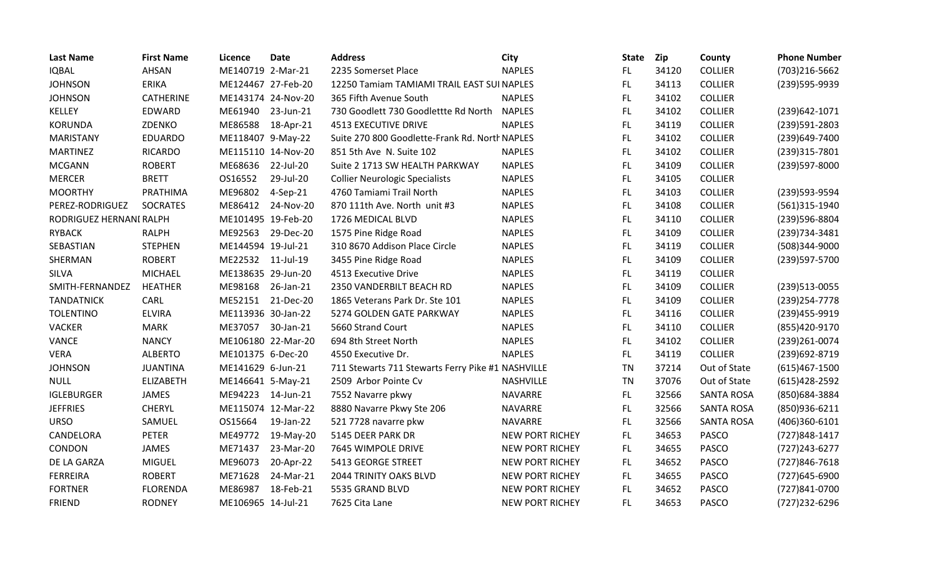| <b>Last Name</b>        | <b>First Name</b> | Licence            | <b>Date</b> | <b>Address</b>                                    | City                   | State     | <b>Zip</b> | County            | <b>Phone Number</b> |
|-------------------------|-------------------|--------------------|-------------|---------------------------------------------------|------------------------|-----------|------------|-------------------|---------------------|
| <b>IQBAL</b>            | AHSAN             | ME140719 2-Mar-21  |             | 2235 Somerset Place                               | <b>NAPLES</b>          | FL.       | 34120      | <b>COLLIER</b>    | (703)216-5662       |
| <b>JOHNSON</b>          | <b>ERIKA</b>      | ME124467 27-Feb-20 |             | 12250 Tamiam TAMIAMI TRAIL EAST SUI NAPLES        |                        | FL.       | 34113      | <b>COLLIER</b>    | (239)595-9939       |
| <b>JOHNSON</b>          | <b>CATHERINE</b>  | ME143174 24-Nov-20 |             | 365 Fifth Avenue South                            | <b>NAPLES</b>          | FL.       | 34102      | <b>COLLIER</b>    |                     |
| KELLEY                  | EDWARD            | ME61940            | 23-Jun-21   | 730 Goodlett 730 Goodlettte Rd North              | <b>NAPLES</b>          | FL        | 34102      | <b>COLLIER</b>    | (239) 642-1071      |
| <b>KORUNDA</b>          | ZDENKO            | ME86588            | 18-Apr-21   | <b>4513 EXECUTIVE DRIVE</b>                       | <b>NAPLES</b>          | FL.       | 34119      | <b>COLLIER</b>    | (239)591-2803       |
| <b>MARISTANY</b>        | <b>EDUARDO</b>    | ME118407 9-May-22  |             | Suite 270 800 Goodlette-Frank Rd. North NAPLES    |                        | FL        | 34102      | <b>COLLIER</b>    | (239)649-7400       |
| <b>MARTINEZ</b>         | <b>RICARDO</b>    | ME115110 14-Nov-20 |             | 851 5th Ave N. Suite 102                          | <b>NAPLES</b>          | <b>FL</b> | 34102      | <b>COLLIER</b>    | (239)315-7801       |
| <b>MCGANN</b>           | <b>ROBERT</b>     | ME68636            | 22-Jul-20   | Suite 2 1713 SW HEALTH PARKWAY                    | <b>NAPLES</b>          | FL.       | 34109      | <b>COLLIER</b>    | (239)597-8000       |
| <b>MERCER</b>           | <b>BRETT</b>      | OS16552            | 29-Jul-20   | <b>Collier Neurologic Specialists</b>             | <b>NAPLES</b>          | <b>FL</b> | 34105      | <b>COLLIER</b>    |                     |
| <b>MOORTHY</b>          | PRATHIMA          | ME96802            | 4-Sep-21    | 4760 Tamiami Trail North                          | <b>NAPLES</b>          | FL.       | 34103      | <b>COLLIER</b>    | (239)593-9594       |
| PEREZ-RODRIGUEZ         | <b>SOCRATES</b>   | ME86412            | 24-Nov-20   | 870 111th Ave. North unit #3                      | <b>NAPLES</b>          | FL.       | 34108      | <b>COLLIER</b>    | (561)315-1940       |
| RODRIGUEZ HERNANI RALPH |                   | ME101495 19-Feb-20 |             | 1726 MEDICAL BLVD                                 | <b>NAPLES</b>          | FL.       | 34110      | <b>COLLIER</b>    | (239)596-8804       |
| <b>RYBACK</b>           | <b>RALPH</b>      | ME92563            | 29-Dec-20   | 1575 Pine Ridge Road                              | <b>NAPLES</b>          | FL.       | 34109      | <b>COLLIER</b>    | (239)734-3481       |
| SEBASTIAN               | <b>STEPHEN</b>    | ME144594 19-Jul-21 |             | 310 8670 Addison Place Circle                     | <b>NAPLES</b>          | FL        | 34119      | <b>COLLIER</b>    | (508)344-9000       |
| SHERMAN                 | <b>ROBERT</b>     | ME22532 11-Jul-19  |             | 3455 Pine Ridge Road                              | <b>NAPLES</b>          | <b>FL</b> | 34109      | <b>COLLIER</b>    | (239)597-5700       |
| <b>SILVA</b>            | <b>MICHAEL</b>    | ME138635 29-Jun-20 |             | 4513 Executive Drive                              | <b>NAPLES</b>          | FL.       | 34119      | <b>COLLIER</b>    |                     |
| SMITH-FERNANDEZ         | <b>HEATHER</b>    | ME98168            | 26-Jan-21   | 2350 VANDERBILT BEACH RD                          | <b>NAPLES</b>          | FL.       | 34109      | <b>COLLIER</b>    | (239) 513-0055      |
| <b>TANDATNICK</b>       | CARL              | ME52151            | 21-Dec-20   | 1865 Veterans Park Dr. Ste 101                    | <b>NAPLES</b>          | FL.       | 34109      | <b>COLLIER</b>    | (239) 254-7778      |
| <b>TOLENTINO</b>        | <b>ELVIRA</b>     | ME113936 30-Jan-22 |             | 5274 GOLDEN GATE PARKWAY                          | <b>NAPLES</b>          | FL        | 34116      | <b>COLLIER</b>    | (239) 455-9919      |
| <b>VACKER</b>           | <b>MARK</b>       | ME37057            | 30-Jan-21   | 5660 Strand Court                                 | <b>NAPLES</b>          | FL.       | 34110      | <b>COLLIER</b>    | (855)420-9170       |
| <b>VANCE</b>            | <b>NANCY</b>      | ME106180 22-Mar-20 |             | 694 8th Street North                              | <b>NAPLES</b>          | FL.       | 34102      | <b>COLLIER</b>    | (239)261-0074       |
| <b>VERA</b>             | <b>ALBERTO</b>    | ME101375 6-Dec-20  |             | 4550 Executive Dr.                                | <b>NAPLES</b>          | FL.       | 34119      | <b>COLLIER</b>    | (239) 692-8719      |
| <b>JOHNSON</b>          | <b>JUANTINA</b>   | ME141629 6-Jun-21  |             | 711 Stewarts 711 Stewarts Ferry Pike #1 NASHVILLE |                        | <b>TN</b> | 37214      | Out of State      | $(615)467 - 1500$   |
| <b>NULL</b>             | <b>ELIZABETH</b>  | ME146641 5-May-21  |             | 2509 Arbor Pointe Cv                              | NASHVILLE              | TN        | 37076      | Out of State      | $(615)428-2592$     |
| <b>IGLEBURGER</b>       | <b>JAMES</b>      | ME94223            | 14-Jun-21   | 7552 Navarre pkwy                                 | <b>NAVARRE</b>         | FL.       | 32566      | <b>SANTA ROSA</b> | (850) 684-3884      |
| <b>JEFFRIES</b>         | <b>CHERYL</b>     | ME115074 12-Mar-22 |             | 8880 Navarre Pkwy Ste 206                         | <b>NAVARRE</b>         | FL.       | 32566      | <b>SANTA ROSA</b> | (850)936-6211       |
| <b>URSO</b>             | SAMUEL            | OS15664            | 19-Jan-22   | 521 7728 navarre pkw                              | <b>NAVARRE</b>         | FL.       | 32566      | <b>SANTA ROSA</b> | (406)360-6101       |
| CANDELORA               | <b>PETER</b>      | ME49772            | 19-May-20   | 5145 DEER PARK DR                                 | <b>NEW PORT RICHEY</b> | FL.       | 34653      | <b>PASCO</b>      | (727) 848-1417      |
| CONDON                  | JAMES             | ME71437            | 23-Mar-20   | 7645 WIMPOLE DRIVE                                | <b>NEW PORT RICHEY</b> | FL.       | 34655      | <b>PASCO</b>      | $(727)243 - 6277$   |
| DE LA GARZA             | <b>MIGUEL</b>     | ME96073            | 20-Apr-22   | 5413 GEORGE STREET                                | <b>NEW PORT RICHEY</b> | FL.       | 34652      | <b>PASCO</b>      | (727)846-7618       |
| <b>FERREIRA</b>         | <b>ROBERT</b>     | ME71628            | 24-Mar-21   | <b>2044 TRINITY OAKS BLVD</b>                     | <b>NEW PORT RICHEY</b> | FL.       | 34655      | <b>PASCO</b>      | (727) 645-6900      |
| <b>FORTNER</b>          | <b>FLORENDA</b>   | ME86987            | 18-Feb-21   | 5535 GRAND BLVD                                   | <b>NEW PORT RICHEY</b> | FL        | 34652      | <b>PASCO</b>      | (727)841-0700       |
| <b>FRIEND</b>           | <b>RODNEY</b>     | ME106965 14-Jul-21 |             | 7625 Cita Lane                                    | <b>NEW PORT RICHEY</b> | FL.       | 34653      | <b>PASCO</b>      | (727)232-6296       |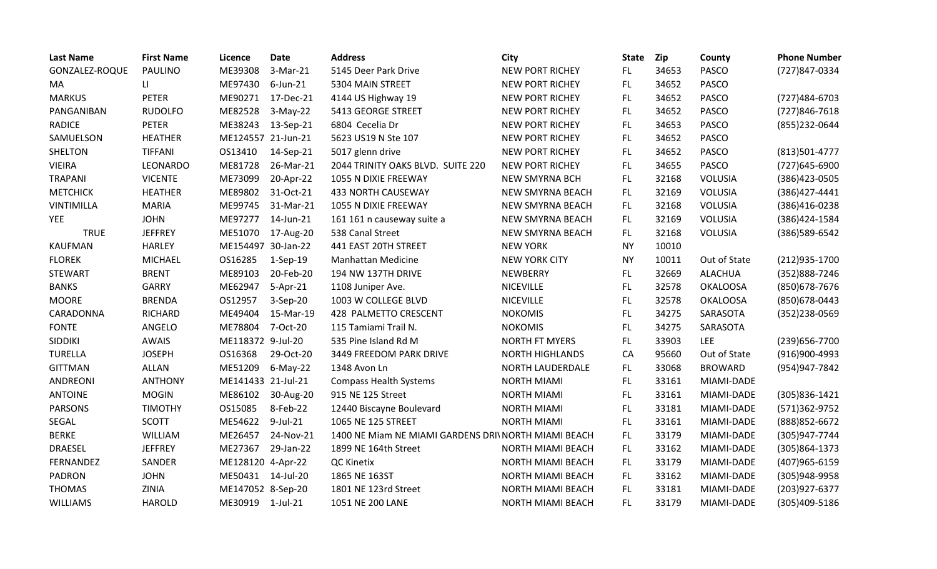| <b>Last Name</b> | <b>First Name</b> | Licence            | <b>Date</b>    | <b>Address</b>                                       | City                     | <b>State</b> | Zip   | County          | <b>Phone Number</b> |
|------------------|-------------------|--------------------|----------------|------------------------------------------------------|--------------------------|--------------|-------|-----------------|---------------------|
| GONZALEZ-ROQUE   | <b>PAULINO</b>    | ME39308            | 3-Mar-21       | 5145 Deer Park Drive                                 | <b>NEW PORT RICHEY</b>   | FL.          | 34653 | <b>PASCO</b>    | (727)847-0334       |
| MA               | $\mathbf{H}$      | ME97430            | 6-Jun-21       | 5304 MAIN STREET                                     | <b>NEW PORT RICHEY</b>   | FL.          | 34652 | <b>PASCO</b>    |                     |
| <b>MARKUS</b>    | <b>PETER</b>      | ME90271            | 17-Dec-21      | 4144 US Highway 19                                   | <b>NEW PORT RICHEY</b>   | FL.          | 34652 | PASCO           | (727) 484-6703      |
| PANGANIBAN       | <b>RUDOLFO</b>    | ME82528            | $3-May-22$     | 5413 GEORGE STREET                                   | <b>NEW PORT RICHEY</b>   | FL.          | 34652 | PASCO           | (727) 846-7618      |
| <b>RADICE</b>    | <b>PETER</b>      | ME38243            | 13-Sep-21      | 6804 Cecelia Dr                                      | <b>NEW PORT RICHEY</b>   | FL.          | 34653 | <b>PASCO</b>    | (855)232-0644       |
| SAMUELSON        | <b>HEATHER</b>    | ME124557 21-Jun-21 |                | 5623 US19 N Ste 107                                  | <b>NEW PORT RICHEY</b>   | FL.          | 34652 | <b>PASCO</b>    |                     |
| <b>SHELTON</b>   | <b>TIFFANI</b>    | OS13410            | 14-Sep-21      | 5017 glenn drive                                     | <b>NEW PORT RICHEY</b>   | FL.          | 34652 | <b>PASCO</b>    | (813)501-4777       |
| <b>VIEIRA</b>    | LEONARDO          | ME81728            | 26-Mar-21      | 2044 TRINITY OAKS BLVD. SUITE 220                    | NEW PORT RICHEY          | <b>FL</b>    | 34655 | <b>PASCO</b>    | (727) 645-6900      |
| <b>TRAPANI</b>   | <b>VICENTE</b>    | ME73099            | 20-Apr-22      | 1055 N DIXIE FREEWAY                                 | <b>NEW SMYRNA BCH</b>    | FL.          | 32168 | <b>VOLUSIA</b>  | (386) 423-0505      |
| <b>METCHICK</b>  | <b>HEATHER</b>    | ME89802            | 31-Oct-21      | 433 NORTH CAUSEWAY                                   | <b>NEW SMYRNA BEACH</b>  | <b>FL</b>    | 32169 | VOLUSIA         | (386)427-4441       |
| VINTIMILLA       | <b>MARIA</b>      | ME99745            | 31-Mar-21      | 1055 N DIXIE FREEWAY                                 | <b>NEW SMYRNA BEACH</b>  | FL.          | 32168 | VOLUSIA         | (386)416-0238       |
| <b>YEE</b>       | <b>JOHN</b>       | ME97277            | 14-Jun-21      | 161 161 n causeway suite a                           | <b>NEW SMYRNA BEACH</b>  | FL.          | 32169 | VOLUSIA         | (386)424-1584       |
| <b>TRUE</b>      | <b>JEFFREY</b>    | ME51070            | 17-Aug-20      | 538 Canal Street                                     | <b>NEW SMYRNA BEACH</b>  | FL.          | 32168 | <b>VOLUSIA</b>  | (386) 589-6542      |
| <b>KAUFMAN</b>   | <b>HARLEY</b>     | ME154497 30-Jan-22 |                | 441 EAST 20TH STREET                                 | <b>NEW YORK</b>          | <b>NY</b>    | 10010 |                 |                     |
| <b>FLOREK</b>    | <b>MICHAEL</b>    | OS16285            | $1-Sep-19$     | <b>Manhattan Medicine</b>                            | <b>NEW YORK CITY</b>     | <b>NY</b>    | 10011 | Out of State    | (212) 935-1700      |
| <b>STEWART</b>   | <b>BRENT</b>      | ME89103            | 20-Feb-20      | 194 NW 137TH DRIVE                                   | <b>NEWBERRY</b>          | FL.          | 32669 | <b>ALACHUA</b>  | (352)888-7246       |
| <b>BANKS</b>     | GARRY             | ME62947            | $5-Apr-21$     | 1108 Juniper Ave.                                    | <b>NICEVILLE</b>         | FL.          | 32578 | <b>OKALOOSA</b> | (850) 678-7676      |
| <b>MOORE</b>     | <b>BRENDA</b>     | OS12957            | 3-Sep-20       | 1003 W COLLEGE BLVD                                  | <b>NICEVILLE</b>         | FL.          | 32578 | <b>OKALOOSA</b> | (850) 678-0443      |
| CARADONNA        | <b>RICHARD</b>    | ME49404            | 15-Mar-19      | 428 PALMETTO CRESCENT                                | <b>NOKOMIS</b>           | FL           | 34275 | SARASOTA        | (352)238-0569       |
| <b>FONTE</b>     | ANGELO            | ME78804            | 7-Oct-20       | 115 Tamiami Trail N.                                 | <b>NOKOMIS</b>           | <b>FL</b>    | 34275 | SARASOTA        |                     |
| <b>SIDDIKI</b>   | <b>AWAIS</b>      | ME118372 9-Jul-20  |                | 535 Pine Island Rd M                                 | <b>NORTH FT MYERS</b>    | FL           | 33903 | <b>LEE</b>      | (239) 656-7700      |
| <b>TURELLA</b>   | <b>JOSEPH</b>     | OS16368            | 29-Oct-20      | 3449 FREEDOM PARK DRIVE                              | <b>NORTH HIGHLANDS</b>   | CA           | 95660 | Out of State    | (916)900-4993       |
| <b>GITTMAN</b>   | <b>ALLAN</b>      | ME51209            | $6-May-22$     | 1348 Avon Ln                                         | NORTH LAUDERDALE         | FL.          | 33068 | <b>BROWARD</b>  | (954)947-7842       |
| ANDREONI         | <b>ANTHONY</b>    | ME141433 21-Jul-21 |                | <b>Compass Health Systems</b>                        | <b>NORTH MIAMI</b>       | <b>FL</b>    | 33161 | MIAMI-DADE      |                     |
| <b>ANTOINE</b>   | <b>MOGIN</b>      | ME86102            | 30-Aug-20      | 915 NE 125 Street                                    | <b>NORTH MIAMI</b>       | <b>FL</b>    | 33161 | MIAMI-DADE      | (305)836-1421       |
| <b>PARSONS</b>   | <b>TIMOTHY</b>    | OS15085            | 8-Feb-22       | 12440 Biscayne Boulevard                             | <b>NORTH MIAMI</b>       | <b>FL</b>    | 33181 | MIAMI-DADE      | (571)362-9752       |
| SEGAL            | <b>SCOTT</b>      | ME54622            | 9-Jul-21       | 1065 NE 125 STREET                                   | <b>NORTH MIAMI</b>       | <b>FL</b>    | 33161 | MIAMI-DADE      | (888) 852-6672      |
| <b>BERKE</b>     | WILLIAM           | ME26457            | 24-Nov-21      | 1400 NE Miam NE MIAMI GARDENS DRI\ NORTH MIAMI BEACH |                          | <b>FL</b>    | 33179 | MIAMI-DADE      | (305)947-7744       |
| <b>DRAESEL</b>   | <b>JEFFREY</b>    | ME27367            | 29-Jan-22      | 1899 NE 164th Street                                 | <b>NORTH MIAMI BEACH</b> | FL.          | 33162 | MIAMI-DADE      | (305)864-1373       |
| FERNANDEZ        | SANDER            | ME128120 4-Apr-22  |                | QC Kinetix                                           | NORTH MIAMI BEACH        | FL.          | 33179 | MIAMI-DADE      | (407) 965-6159      |
| <b>PADRON</b>    | <b>JOHN</b>       | ME50431            | 14-Jul-20      | 1865 NE 163ST                                        | <b>NORTH MIAMI BEACH</b> | FL.          | 33162 | MIAMI-DADE      | (305)948-9958       |
| <b>THOMAS</b>    | ZINIA             | ME147052 8-Sep-20  |                | 1801 NE 123rd Street                                 | <b>NORTH MIAMI BEACH</b> | FL.          | 33181 | MIAMI-DADE      | (203) 927-6377      |
| WILLIAMS         | <b>HAROLD</b>     | ME30919            | $1$ -Jul- $21$ | 1051 NE 200 LANE                                     | NORTH MIAMI BEACH        | FL           | 33179 | MIAMI-DADE      | (305)409-5186       |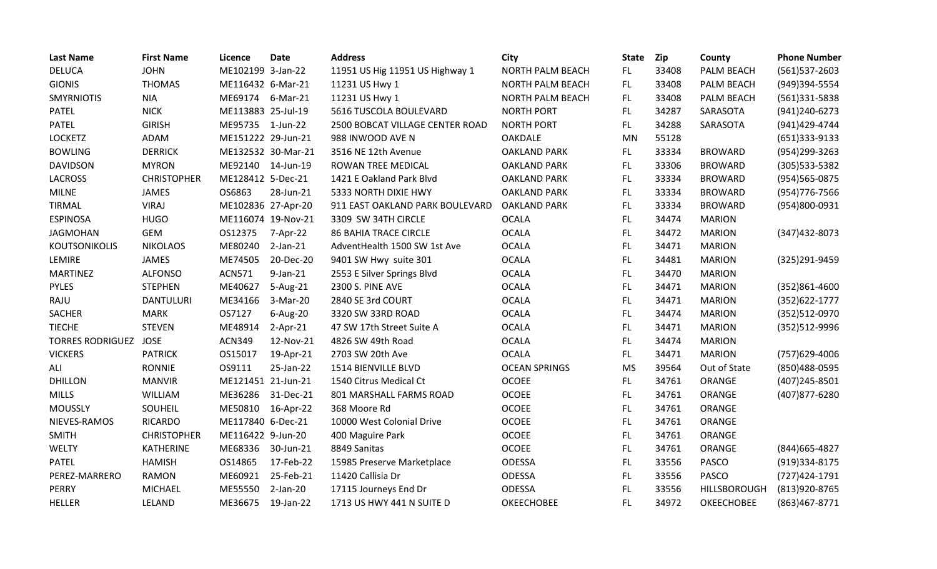| <b>Last Name</b>        | <b>First Name</b>  | Licence            | <b>Date</b> | <b>Address</b>                  | City                    | <b>State</b> | Zip   | County            | <b>Phone Number</b> |
|-------------------------|--------------------|--------------------|-------------|---------------------------------|-------------------------|--------------|-------|-------------------|---------------------|
| <b>DELUCA</b>           | <b>JOHN</b>        | ME102199 3-Jan-22  |             | 11951 US Hig 11951 US Highway 1 | <b>NORTH PALM BEACH</b> | FL.          | 33408 | PALM BEACH        | $(561)$ 537-2603    |
| <b>GIONIS</b>           | <b>THOMAS</b>      | ME116432 6-Mar-21  |             | 11231 US Hwy 1                  | <b>NORTH PALM BEACH</b> | FL.          | 33408 | PALM BEACH        | (949)394-5554       |
| <b>SMYRNIOTIS</b>       | <b>NIA</b>         | ME69174            | 6-Mar-21    | 11231 US Hwy 1                  | <b>NORTH PALM BEACH</b> | FL.          | 33408 | PALM BEACH        | (561)331-5838       |
| <b>PATEL</b>            | <b>NICK</b>        | ME113883 25-Jul-19 |             | 5616 TUSCOLA BOULEVARD          | <b>NORTH PORT</b>       | FL.          | 34287 | SARASOTA          | (941) 240-6273      |
| <b>PATEL</b>            | <b>GIRISH</b>      | ME95735 1-Jun-22   |             | 2500 BOBCAT VILLAGE CENTER ROAD | <b>NORTH PORT</b>       | FL.          | 34288 | SARASOTA          | (941)429-4744       |
| <b>LOCKETZ</b>          | ADAM               | ME151222 29-Jun-21 |             | 988 INWOOD AVE N                | <b>OAKDALE</b>          | <b>MN</b>    | 55128 |                   | (651)333-9133       |
| <b>BOWLING</b>          | <b>DERRICK</b>     | ME132532 30-Mar-21 |             | 3516 NE 12th Avenue             | <b>OAKLAND PARK</b>     | FL.          | 33334 | <b>BROWARD</b>    | (954)299-3263       |
| <b>DAVIDSON</b>         | <b>MYRON</b>       | ME92140            | 14-Jun-19   | ROWAN TREE MEDICAL              | <b>OAKLAND PARK</b>     | FL.          | 33306 | <b>BROWARD</b>    | (305) 533-5382      |
| <b>LACROSS</b>          | <b>CHRISTOPHER</b> | ME128412 5-Dec-21  |             | 1421 E Oakland Park Blvd        | <b>OAKLAND PARK</b>     | <b>FL</b>    | 33334 | <b>BROWARD</b>    | (954) 565-0875      |
| <b>MILNE</b>            | <b>JAMES</b>       | OS6863             | 28-Jun-21   | 5333 NORTH DIXIE HWY            | <b>OAKLAND PARK</b>     | FL.          | 33334 | <b>BROWARD</b>    | (954) 776-7566      |
| <b>TIRMAL</b>           | <b>VIRAJ</b>       | ME102836 27-Apr-20 |             | 911 EAST OAKLAND PARK BOULEVARD | <b>OAKLAND PARK</b>     | FL.          | 33334 | <b>BROWARD</b>    | (954)800-0931       |
| <b>ESPINOSA</b>         | <b>HUGO</b>        | ME116074 19-Nov-21 |             | 3309 SW 34TH CIRCLE             | <b>OCALA</b>            | <b>FL</b>    | 34474 | <b>MARION</b>     |                     |
| <b>JAGMOHAN</b>         | <b>GEM</b>         | OS12375            | 7-Apr-22    | <b>86 BAHIA TRACE CIRCLE</b>    | <b>OCALA</b>            | FL.          | 34472 | <b>MARION</b>     | $(347)432 - 8073$   |
| KOUTSONIKOLIS           | <b>NIKOLAOS</b>    | ME80240            | $2-Jan-21$  | AdventHealth 1500 SW 1st Ave    | <b>OCALA</b>            | <b>FL</b>    | 34471 | <b>MARION</b>     |                     |
| LEMIRE                  | <b>JAMES</b>       | ME74505            | 20-Dec-20   | 9401 SW Hwy suite 301           | <b>OCALA</b>            | FL           | 34481 | <b>MARION</b>     | (325)291-9459       |
| <b>MARTINEZ</b>         | <b>ALFONSO</b>     | <b>ACN571</b>      | $9$ -Jan-21 | 2553 E Silver Springs Blvd      | <b>OCALA</b>            | <b>FL</b>    | 34470 | <b>MARION</b>     |                     |
| <b>PYLES</b>            | <b>STEPHEN</b>     | ME40627            | 5-Aug-21    | 2300 S. PINE AVE                | <b>OCALA</b>            | FL.          | 34471 | <b>MARION</b>     | (352)861-4600       |
| RAJU                    | <b>DANTULURI</b>   | ME34166            | 3-Mar-20    | 2840 SE 3rd COURT               | <b>OCALA</b>            | FL.          | 34471 | <b>MARION</b>     | (352) 622-1777      |
| <b>SACHER</b>           | <b>MARK</b>        | OS7127             | 6-Aug-20    | 3320 SW 33RD ROAD               | <b>OCALA</b>            | <b>FL</b>    | 34474 | <b>MARION</b>     | (352)512-0970       |
| <b>TIECHE</b>           | <b>STEVEN</b>      | ME48914            | $2-Apr-21$  | 47 SW 17th Street Suite A       | <b>OCALA</b>            | FL.          | 34471 | <b>MARION</b>     | (352)512-9996       |
| <b>TORRES RODRIGUEZ</b> | <b>JOSE</b>        | <b>ACN349</b>      | 12-Nov-21   | 4826 SW 49th Road               | <b>OCALA</b>            | <b>FL</b>    | 34474 | <b>MARION</b>     |                     |
| <b>VICKERS</b>          | <b>PATRICK</b>     | OS15017            | 19-Apr-21   | 2703 SW 20th Ave                | <b>OCALA</b>            | FL.          | 34471 | <b>MARION</b>     | (757) 629-4006      |
| ALI                     | <b>RONNIE</b>      | OS9111             | 25-Jan-22   | 1514 BIENVILLE BLVD             | <b>OCEAN SPRINGS</b>    | <b>MS</b>    | 39564 | Out of State      | (850)488-0595       |
| <b>DHILLON</b>          | <b>MANVIR</b>      | ME121451 21-Jun-21 |             | 1540 Citrus Medical Ct          | <b>OCOEE</b>            | FL.          | 34761 | ORANGE            | (407) 245-8501      |
| <b>MILLS</b>            | WILLIAM            | ME36286            | 31-Dec-21   | 801 MARSHALL FARMS ROAD         | <b>OCOEE</b>            | <b>FL</b>    | 34761 | ORANGE            | (407) 877-6280      |
| <b>MOUSSLY</b>          | SOUHEIL            | ME50810            | 16-Apr-22   | 368 Moore Rd                    | <b>OCOEE</b>            | FL           | 34761 | ORANGE            |                     |
| NIEVES-RAMOS            | <b>RICARDO</b>     | ME117840 6-Dec-21  |             | 10000 West Colonial Drive       | <b>OCOEE</b>            | FL.          | 34761 | ORANGE            |                     |
| <b>SMITH</b>            | <b>CHRISTOPHER</b> | ME116422 9-Jun-20  |             | 400 Maguire Park                | <b>OCOEE</b>            | <b>FL</b>    | 34761 | ORANGE            |                     |
| WELTY                   | KATHERINE          | ME68336            | 30-Jun-21   | 8849 Sanitas                    | <b>OCOEE</b>            | <b>FL</b>    | 34761 | ORANGE            | (844) 665-4827      |
| <b>PATEL</b>            | <b>HAMISH</b>      | OS14865            | 17-Feb-22   | 15985 Preserve Marketplace      | ODESSA                  | FL.          | 33556 | <b>PASCO</b>      | (919)334-8175       |
| PEREZ-MARRERO           | <b>RAMON</b>       | ME60921            | 25-Feb-21   | 11420 Callisia Dr               | ODESSA                  | FL           | 33556 | <b>PASCO</b>      | (727) 424-1791      |
| PERRY                   | <b>MICHAEL</b>     | ME55550            | 2-Jan-20    | 17115 Journeys End Dr           | ODESSA                  | FL           | 33556 | HILLSBOROUGH      | (813) 920-8765      |
| <b>HELLER</b>           | LELAND             | ME36675            | 19-Jan-22   | 1713 US HWY 441 N SUITE D       | <b>OKEECHOBEE</b>       | FL           | 34972 | <b>OKEECHOBEE</b> | (863)467-8771       |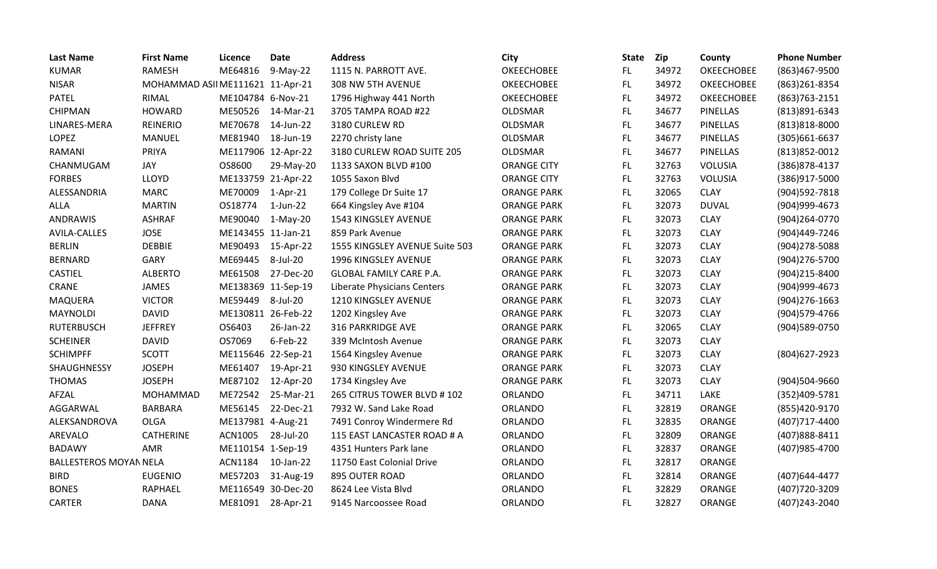| <b>Last Name</b>              | <b>First Name</b>                | Licence            | <b>Date</b> | <b>Address</b>                 | City               | <b>State</b> | Zip   | County          | <b>Phone Number</b> |
|-------------------------------|----------------------------------|--------------------|-------------|--------------------------------|--------------------|--------------|-------|-----------------|---------------------|
| <b>KUMAR</b>                  | <b>RAMESH</b>                    | ME64816            | $9-May-22$  | 1115 N. PARROTT AVE.           | <b>OKEECHOBEE</b>  | FL.          | 34972 | OKEECHOBEE      | (863)467-9500       |
| <b>NISAR</b>                  | MOHAMMAD ASII ME111621 11-Apr-21 |                    |             | 308 NW 5TH AVENUE              | <b>OKEECHOBEE</b>  | FL.          | 34972 | OKEECHOBEE      | (863) 261-8354      |
| <b>PATEL</b>                  | RIMAL                            | ME104784 6-Nov-21  |             | 1796 Highway 441 North         | <b>OKEECHOBEE</b>  | FL.          | 34972 | OKEECHOBEE      | (863) 763 - 2151    |
| <b>CHIPMAN</b>                | <b>HOWARD</b>                    | ME50526            | 14-Mar-21   | 3705 TAMPA ROAD #22            | OLDSMAR            | FL           | 34677 | PINELLAS        | (813) 891-6343      |
| LINARES-MERA                  | <b>REINERIO</b>                  | ME70678            | 14-Jun-22   | 3180 CURLEW RD                 | <b>OLDSMAR</b>     | FL.          | 34677 | <b>PINELLAS</b> | $(813)818 - 8000$   |
| <b>LOPEZ</b>                  | <b>MANUEL</b>                    | ME81940            | 18-Jun-19   | 2270 christy lane              | <b>OLDSMAR</b>     | FL           | 34677 | PINELLAS        | (305) 661-6637      |
| <b>RAMANI</b>                 | PRIYA                            | ME117906 12-Apr-22 |             | 3180 CURLEW ROAD SUITE 205     | <b>OLDSMAR</b>     | FL.          | 34677 | <b>PINELLAS</b> | (813) 852-0012      |
| CHANMUGAM                     | <b>JAY</b>                       | OS8600             | 29-May-20   | 1133 SAXON BLVD #100           | <b>ORANGE CITY</b> | FL.          | 32763 | VOLUSIA         | (386) 878-4137      |
| <b>FORBES</b>                 | LLOYD                            | ME133759 21-Apr-22 |             | 1055 Saxon Blvd                | <b>ORANGE CITY</b> | FL.          | 32763 | <b>VOLUSIA</b>  | (386)917-5000       |
| ALESSANDRIA                   | <b>MARC</b>                      | ME70009            | $1-Apr-21$  | 179 College Dr Suite 17        | <b>ORANGE PARK</b> | FL           | 32065 | <b>CLAY</b>     | (904) 592-7818      |
| <b>ALLA</b>                   | <b>MARTIN</b>                    | OS18774            | $1$ -Jun-22 | 664 Kingsley Ave #104          | <b>ORANGE PARK</b> | FL.          | 32073 | <b>DUVAL</b>    | (904)999-4673       |
| <b>ANDRAWIS</b>               | <b>ASHRAF</b>                    | ME90040            | $1-May-20$  | 1543 KINGSLEY AVENUE           | <b>ORANGE PARK</b> | FL.          | 32073 | <b>CLAY</b>     | (904)264-0770       |
| AVILA-CALLES                  | <b>JOSE</b>                      | ME143455 11-Jan-21 |             | 859 Park Avenue                | <b>ORANGE PARK</b> | FL           | 32073 | <b>CLAY</b>     | (904)449-7246       |
| <b>BERLIN</b>                 | <b>DEBBIE</b>                    | ME90493            | 15-Apr-22   | 1555 KINGSLEY AVENUE Suite 503 | <b>ORANGE PARK</b> | FL           | 32073 | <b>CLAY</b>     | (904) 278-5088      |
| <b>BERNARD</b>                | GARY                             | ME69445            | 8-Jul-20    | 1996 KINGSLEY AVENUE           | <b>ORANGE PARK</b> | FL           | 32073 | <b>CLAY</b>     | (904) 276-5700      |
| <b>CASTIEL</b>                | <b>ALBERTO</b>                   | ME61508            | 27-Dec-20   | <b>GLOBAL FAMILY CARE P.A.</b> | <b>ORANGE PARK</b> | FL.          | 32073 | <b>CLAY</b>     | (904)215-8400       |
| CRANE                         | <b>JAMES</b>                     | ME138369 11-Sep-19 |             | Liberate Physicians Centers    | <b>ORANGE PARK</b> | FL.          | 32073 | <b>CLAY</b>     | (904)999-4673       |
| MAQUERA                       | <b>VICTOR</b>                    | ME59449            | 8-Jul-20    | 1210 KINGSLEY AVENUE           | <b>ORANGE PARK</b> | FL           | 32073 | <b>CLAY</b>     | $(904)$ 276-1663    |
| <b>MAYNOLDI</b>               | <b>DAVID</b>                     | ME130811 26-Feb-22 |             | 1202 Kingsley Ave              | <b>ORANGE PARK</b> | FL.          | 32073 | <b>CLAY</b>     | (904) 579-4766      |
| <b>RUTERBUSCH</b>             | <b>JEFFREY</b>                   | OS6403             | 26-Jan-22   | 316 PARKRIDGE AVE              | <b>ORANGE PARK</b> | FL.          | 32065 | <b>CLAY</b>     | (904)589-0750       |
| <b>SCHEINER</b>               | <b>DAVID</b>                     | OS7069             | $6$ -Feb-22 | 339 McIntosh Avenue            | <b>ORANGE PARK</b> | FL.          | 32073 | <b>CLAY</b>     |                     |
| <b>SCHIMPFF</b>               | <b>SCOTT</b>                     | ME115646 22-Sep-21 |             | 1564 Kingsley Avenue           | <b>ORANGE PARK</b> | FL.          | 32073 | <b>CLAY</b>     | (804) 627-2923      |
| SHAUGHNESSY                   | <b>JOSEPH</b>                    | ME61407            | 19-Apr-21   | 930 KINGSLEY AVENUE            | <b>ORANGE PARK</b> | FL           | 32073 | <b>CLAY</b>     |                     |
| <b>THOMAS</b>                 | <b>JOSEPH</b>                    | ME87102            | 12-Apr-20   | 1734 Kingsley Ave              | <b>ORANGE PARK</b> | FL.          | 32073 | <b>CLAY</b>     | (904)504-9660       |
| AFZAL                         | <b>MOHAMMAD</b>                  | ME72542            | 25-Mar-21   | 265 CITRUS TOWER BLVD #102     | ORLANDO            | FL           | 34711 | LAKE            | (352)409-5781       |
| AGGARWAL                      | <b>BARBARA</b>                   | ME56145            | 22-Dec-21   | 7932 W. Sand Lake Road         | ORLANDO            | FL.          | 32819 | ORANGE          | (855)420-9170       |
| ALEKSANDROVA                  | <b>OLGA</b>                      | ME137981 4-Aug-21  |             | 7491 Conroy Windermere Rd      | ORLANDO            | FL           | 32835 | ORANGE          | (407)717-4400       |
| AREVALO                       | <b>CATHERINE</b>                 | ACN1005            | 28-Jul-20   | 115 EAST LANCASTER ROAD # A    | ORLANDO            | FL.          | 32809 | ORANGE          | (407)888-8411       |
| <b>BADAWY</b>                 | AMR                              | ME110154 1-Sep-19  |             | 4351 Hunters Park lane         | ORLANDO            | FL.          | 32837 | ORANGE          | (407) 985-4700      |
| <b>BALLESTEROS MOYAN NELA</b> |                                  | ACN1184            | 10-Jan-22   | 11750 East Colonial Drive      | ORLANDO            | FL.          | 32817 | ORANGE          |                     |
| <b>BIRD</b>                   | <b>EUGENIO</b>                   | ME57203            | 31-Aug-19   | 895 OUTER ROAD                 | <b>ORLANDO</b>     | FL           | 32814 | ORANGE          | (407) 644-4477      |
| <b>BONES</b>                  | <b>RAPHAEL</b>                   | ME116549 30-Dec-20 |             | 8624 Lee Vista Blvd            | ORLANDO            | FL           | 32829 | ORANGE          | (407) 720-3209      |
| <b>CARTER</b>                 | <b>DANA</b>                      | ME81091 28-Apr-21  |             | 9145 Narcoossee Road           | ORLANDO            | FL.          | 32827 | ORANGE          | (407)243-2040       |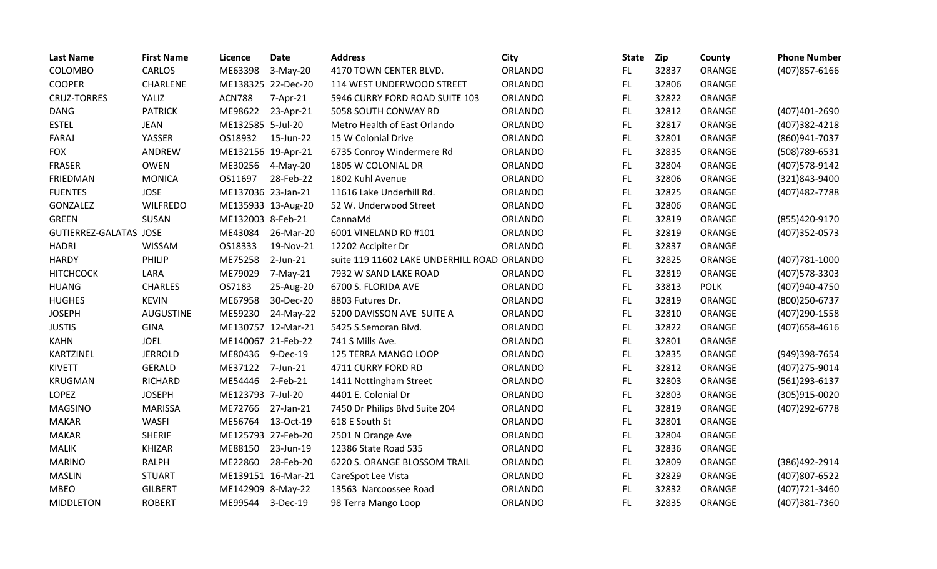| <b>Last Name</b>       | <b>First Name</b> | Licence            | <b>Date</b>        | <b>Address</b>                              | City           | <b>State</b> | Zip   | County        | <b>Phone Number</b> |
|------------------------|-------------------|--------------------|--------------------|---------------------------------------------|----------------|--------------|-------|---------------|---------------------|
| COLOMBO                | <b>CARLOS</b>     | ME63398            | $3-May-20$         | 4170 TOWN CENTER BLVD.                      | ORLANDO        | FL.          | 32837 | ORANGE        | (407) 857-6166      |
| <b>COOPER</b>          | CHARLENE          | ME138325 22-Dec-20 |                    | 114 WEST UNDERWOOD STREET                   | <b>ORLANDO</b> | FL.          | 32806 | ORANGE        |                     |
| <b>CRUZ-TORRES</b>     | YALIZ             | <b>ACN788</b>      | 7-Apr-21           | 5946 CURRY FORD ROAD SUITE 103              | ORLANDO        | FL.          | 32822 | ORANGE        |                     |
| <b>DANG</b>            | <b>PATRICK</b>    | ME98622            | 23-Apr-21          | 5058 SOUTH CONWAY RD                        | ORLANDO        | FL.          | 32812 | ORANGE        | (407)401-2690       |
| <b>ESTEL</b>           | <b>JEAN</b>       | ME132585 5-Jul-20  |                    | Metro Health of East Orlando                | <b>ORLANDO</b> | FL           | 32817 | ORANGE        | (407)382-4218       |
| <b>FARAJ</b>           | YASSER            | OS18932            | 15-Jun-22          | 15 W Colonial Drive                         | ORLANDO        | FL.          | 32801 | ORANGE        | (860)941-7037       |
| <b>FOX</b>             | ANDREW            | ME132156 19-Apr-21 |                    | 6735 Conroy Windermere Rd                   | ORLANDO        | FL           | 32835 | ORANGE        | (508) 789-6531      |
| <b>FRASER</b>          | <b>OWEN</b>       | ME30256            | 4-May-20           | 1805 W COLONIAL DR                          | ORLANDO        | FL.          | 32804 | ORANGE        | (407) 578-9142      |
| FRIEDMAN               | <b>MONICA</b>     | OS11697            | 28-Feb-22          | 1802 Kuhl Avenue                            | ORLANDO        | FL.          | 32806 | <b>ORANGE</b> | (321)843-9400       |
| <b>FUENTES</b>         | <b>JOSE</b>       | ME137036 23-Jan-21 |                    | 11616 Lake Underhill Rd.                    | <b>ORLANDO</b> | FL.          | 32825 | ORANGE        | (407) 482-7788      |
| GONZALEZ               | <b>WILFREDO</b>   |                    | ME135933 13-Aug-20 | 52 W. Underwood Street                      | <b>ORLANDO</b> | FL.          | 32806 | <b>ORANGE</b> |                     |
| <b>GREEN</b>           | SUSAN             | ME132003 8-Feb-21  |                    | CannaMd                                     | <b>ORLANDO</b> | FL.          | 32819 | ORANGE        | (855)420-9170       |
| GUTIERREZ-GALATAS JOSE |                   | ME43084            | 26-Mar-20          | 6001 VINELAND RD #101                       | ORLANDO        | FL.          | 32819 | ORANGE        | (407) 352-0573      |
| <b>HADRI</b>           | WISSAM            | OS18333            | 19-Nov-21          | 12202 Accipiter Dr                          | ORLANDO        | FL.          | 32837 | ORANGE        |                     |
| <b>HARDY</b>           | PHILIP            | ME75258            | 2-Jun-21           | suite 119 11602 LAKE UNDERHILL ROAD ORLANDO |                | FL           | 32825 | ORANGE        | (407) 781-1000      |
| <b>HITCHCOCK</b>       | LARA              | ME79029            | 7-May-21           | 7932 W SAND LAKE ROAD                       | <b>ORLANDO</b> | FL.          | 32819 | ORANGE        | (407) 578-3303      |
| <b>HUANG</b>           | <b>CHARLES</b>    | OS7183             | 25-Aug-20          | 6700 S. FLORIDA AVE                         | <b>ORLANDO</b> | FL.          | 33813 | <b>POLK</b>   | (407)940-4750       |
| <b>HUGHES</b>          | <b>KEVIN</b>      | ME67958            | 30-Dec-20          | 8803 Futures Dr.                            | ORLANDO        | FL.          | 32819 | ORANGE        | (800) 250-6737      |
| <b>JOSEPH</b>          | <b>AUGUSTINE</b>  | ME59230            | 24-May-22          | 5200 DAVISSON AVE SUITE A                   | <b>ORLANDO</b> | FL.          | 32810 | ORANGE        | (407) 290-1558      |
| <b>JUSTIS</b>          | <b>GINA</b>       | ME130757 12-Mar-21 |                    | 5425 S.Semoran Blvd.                        | ORLANDO        | FL.          | 32822 | ORANGE        | $(407)658 - 4616$   |
| <b>KAHN</b>            | <b>JOEL</b>       | ME140067 21-Feb-22 |                    | 741 S Mills Ave.                            | <b>ORLANDO</b> | FL.          | 32801 | ORANGE        |                     |
| KARTZINEL              | <b>JERROLD</b>    | ME80436            | 9-Dec-19           | 125 TERRA MANGO LOOP                        | ORLANDO        | FL.          | 32835 | ORANGE        | (949)398-7654       |
| <b>KIVETT</b>          | <b>GERALD</b>     | ME37122            | 7-Jun-21           | 4711 CURRY FORD RD                          | ORLANDO        | FL.          | 32812 | ORANGE        | (407) 275-9014      |
| <b>KRUGMAN</b>         | <b>RICHARD</b>    | ME54446            | 2-Feb-21           | 1411 Nottingham Street                      | ORLANDO        | FL.          | 32803 | ORANGE        | (561)293-6137       |
| <b>LOPEZ</b>           | <b>JOSEPH</b>     | ME123793 7-Jul-20  |                    | 4401 E. Colonial Dr                         | ORLANDO        | FL.          | 32803 | ORANGE        | (305)915-0020       |
| <b>MAGSINO</b>         | <b>MARISSA</b>    | ME72766            | 27-Jan-21          | 7450 Dr Philips Blvd Suite 204              | ORLANDO        | FL.          | 32819 | ORANGE        | (407) 292-6778      |
| <b>MAKAR</b>           | <b>WASFI</b>      | ME56764            | 13-Oct-19          | 618 E South St                              | ORLANDO        | FL.          | 32801 | ORANGE        |                     |
| <b>MAKAR</b>           | <b>SHERIF</b>     | ME125793 27-Feb-20 |                    | 2501 N Orange Ave                           | ORLANDO        | FL.          | 32804 | ORANGE        |                     |
| <b>MALIK</b>           | <b>KHIZAR</b>     | ME88150            | 23-Jun-19          | 12386 State Road 535                        | ORLANDO        | FL.          | 32836 | ORANGE        |                     |
| <b>MARINO</b>          | <b>RALPH</b>      | ME22860            | 28-Feb-20          | 6220 S. ORANGE BLOSSOM TRAIL                | ORLANDO        | FL.          | 32809 | ORANGE        | (386)492-2914       |
| <b>MASLIN</b>          | <b>STUART</b>     | ME139151 16-Mar-21 |                    | CareSpot Lee Vista                          | <b>ORLANDO</b> | FL.          | 32829 | ORANGE        | (407)807-6522       |
| <b>MBEO</b>            | <b>GILBERT</b>    | ME142909 8-May-22  |                    | 13563 Narcoossee Road                       | <b>ORLANDO</b> | FL.          | 32832 | ORANGE        | (407) 721-3460      |
| <b>MIDDLETON</b>       | <b>ROBERT</b>     | ME99544            | 3-Dec-19           | 98 Terra Mango Loop                         | ORLANDO        | FL.          | 32835 | ORANGE        | (407)381-7360       |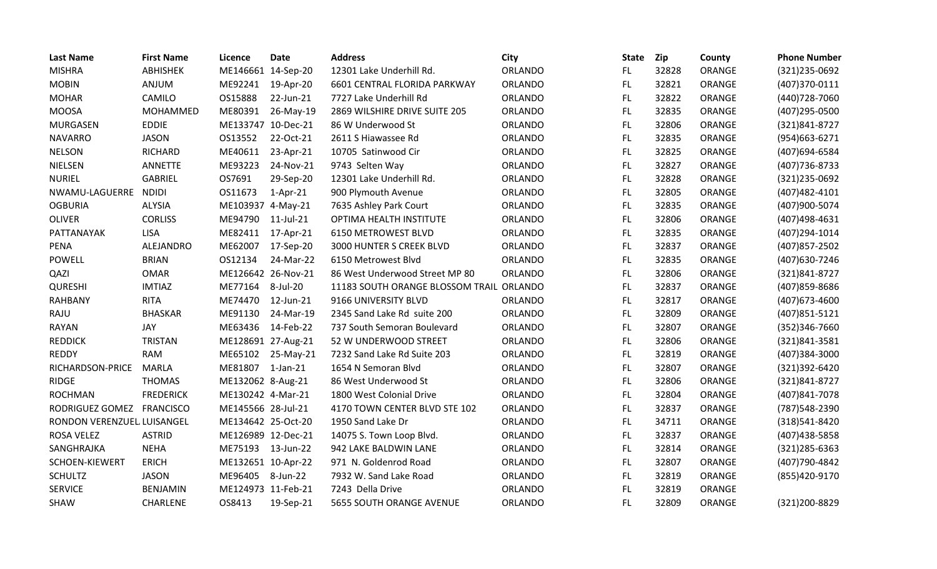| <b>Last Name</b>           | <b>First Name</b> | Licence            | <b>Date</b>    | <b>Address</b>                   | City           | <b>State</b> | <b>Zip</b> | County | <b>Phone Number</b> |
|----------------------------|-------------------|--------------------|----------------|----------------------------------|----------------|--------------|------------|--------|---------------------|
| <b>MISHRA</b>              | ABHISHEK          | ME146661 14-Sep-20 |                | 12301 Lake Underhill Rd.         | ORLANDO        | FL.          | 32828      | ORANGE | (321) 235-0692      |
| <b>MOBIN</b>               | ANJUM             | ME92241            | 19-Apr-20      | 6601 CENTRAL FLORIDA PARKWAY     | ORLANDO        | FL.          | 32821      | ORANGE | (407)370-0111       |
| <b>MOHAR</b>               | CAMILO            | OS15888            | 22-Jun-21      | 7727 Lake Underhill Rd           | ORLANDO        | FL           | 32822      | ORANGE | (440) 728-7060      |
| <b>MOOSA</b>               | MOHAMMED          | ME80391            | 26-May-19      | 2869 WILSHIRE DRIVE SUITE 205    | ORLANDO        | FL           | 32835      | ORANGE | (407) 295-0500      |
| <b>MURGASEN</b>            | <b>EDDIE</b>      | ME133747 10-Dec-21 |                | 86 W Underwood St                | ORLANDO        | FL           | 32806      | ORANGE | (321)841-8727       |
| <b>NAVARRO</b>             | <b>JASON</b>      | OS13552            | 22-Oct-21      | 2611 S Hiawassee Rd              | ORLANDO        | FL.          | 32835      | ORANGE | (954)663-6271       |
| <b>NELSON</b>              | RICHARD           | ME40611            | 23-Apr-21      | 10705 Satinwood Cir              | <b>ORLANDO</b> | FL.          | 32825      | ORANGE | (407)694-6584       |
| <b>NIELSEN</b>             | ANNETTE           | ME93223            | 24-Nov-21      | 9743 Selten Way                  | <b>ORLANDO</b> | FL           | 32827      | ORANGE | (407) 736-8733      |
| <b>NURIEL</b>              | <b>GABRIEL</b>    | OS7691             | 29-Sep-20      | 12301 Lake Underhill Rd.         | <b>ORLANDO</b> | <b>FL</b>    | 32828      | ORANGE | (321) 235-0692      |
| NWAMU-LAGUERRE             | <b>NDIDI</b>      | OS11673            | $1-Apr-21$     | 900 Plymouth Avenue              | ORLANDO        | FL           | 32805      | ORANGE | (407) 482-4101      |
| <b>OGBURIA</b>             | ALYSIA            | ME103937 4-May-21  |                | 7635 Ashley Park Court           | ORLANDO        | FL.          | 32835      | ORANGE | (407)900-5074       |
| <b>OLIVER</b>              | <b>CORLISS</b>    | ME94790            | 11-Jul-21      | OPTIMA HEALTH INSTITUTE          | <b>ORLANDO</b> | FL.          | 32806      | ORANGE | (407)498-4631       |
| PATTANAYAK                 | <b>LISA</b>       | ME82411            | 17-Apr-21      | 6150 METROWEST BLVD              | ORLANDO        | FL           | 32835      | ORANGE | (407)294-1014       |
| <b>PENA</b>                | ALEJANDRO         | ME62007            | 17-Sep-20      | 3000 HUNTER S CREEK BLVD         | ORLANDO        | FL.          | 32837      | ORANGE | (407) 857-2502      |
| <b>POWELL</b>              | <b>BRIAN</b>      | OS12134            | 24-Mar-22      | 6150 Metrowest Blvd              | ORLANDO        | FL           | 32835      | ORANGE | (407) 630-7246      |
| QAZI                       | <b>OMAR</b>       | ME126642 26-Nov-21 |                | 86 West Underwood Street MP 80   | <b>ORLANDO</b> | FL.          | 32806      | ORANGE | (321)841-8727       |
| <b>QURESHI</b>             | <b>IMTIAZ</b>     | ME77164            | 8-Jul-20       | 11183 SOUTH ORANGE BLOSSOM TRAIL | <b>ORLANDO</b> | FL.          | 32837      | ORANGE | (407) 859-8686      |
| <b>RAHBANY</b>             | <b>RITA</b>       | ME74470            | 12-Jun-21      | 9166 UNIVERSITY BLVD             | ORLANDO        | <b>FL</b>    | 32817      | ORANGE | (407) 673-4600      |
| RAJU                       | <b>BHASKAR</b>    | ME91130            | 24-Mar-19      | 2345 Sand Lake Rd suite 200      | ORLANDO        | FL.          | 32809      | ORANGE | (407) 851-5121      |
| <b>RAYAN</b>               | JAY               | ME63436            | 14-Feb-22      | 737 South Semoran Boulevard      | <b>ORLANDO</b> | FL.          | 32807      | ORANGE | (352)346-7660       |
| <b>REDDICK</b>             | <b>TRISTAN</b>    | ME128691 27-Aug-21 |                | 52 W UNDERWOOD STREET            | ORLANDO        | FL.          | 32806      | ORANGE | (321)841-3581       |
| <b>REDDY</b>               | <b>RAM</b>        | ME65102            | 25-May-21      | 7232 Sand Lake Rd Suite 203      | ORLANDO        | FL           | 32819      | ORANGE | (407)384-3000       |
| RICHARDSON-PRICE           | <b>MARLA</b>      | ME81807            | $1$ -Jan- $21$ | 1654 N Semoran Blvd              | ORLANDO        | FL           | 32807      | ORANGE | (321)392-6420       |
| <b>RIDGE</b>               | <b>THOMAS</b>     | ME132062 8-Aug-21  |                | 86 West Underwood St             | ORLANDO        | FL.          | 32806      | ORANGE | (321)841-8727       |
| <b>ROCHMAN</b>             | <b>FREDERICK</b>  | ME130242 4-Mar-21  |                | 1800 West Colonial Drive         | ORLANDO        | FL           | 32804      | ORANGE | (407)841-7078       |
| RODRIGUEZ GOMEZ            | <b>FRANCISCO</b>  | ME145566 28-Jul-21 |                | 4170 TOWN CENTER BLVD STE 102    | ORLANDO        | FL           | 32837      | ORANGE | (787) 548-2390      |
| RONDON VERENZUEL LUISANGEL |                   | ME134642 25-Oct-20 |                | 1950 Sand Lake Dr                | ORLANDO        | FL           | 34711      | ORANGE | (318)541-8420       |
| <b>ROSA VELEZ</b>          | <b>ASTRID</b>     | ME126989 12-Dec-21 |                | 14075 S. Town Loop Blvd.         | <b>ORLANDO</b> | <b>FL</b>    | 32837      | ORANGE | (407) 438-5858      |
| SANGHRAJKA                 | <b>NEHA</b>       | ME75193            | 13-Jun-22      | 942 LAKE BALDWIN LANE            | ORLANDO        | FL.          | 32814      | ORANGE | (321) 285-6363      |
| SCHOEN-KIEWERT             | <b>ERICH</b>      | ME132651 10-Apr-22 |                | 971 N. Goldenrod Road            | ORLANDO        | FL.          | 32807      | ORANGE | (407) 790-4842      |
| <b>SCHULTZ</b>             | <b>JASON</b>      | ME96405 8-Jun-22   |                | 7932 W. Sand Lake Road           | <b>ORLANDO</b> | FL.          | 32819      | ORANGE | (855)420-9170       |
| <b>SERVICE</b>             | <b>BENJAMIN</b>   | ME124973 11-Feb-21 |                | 7243 Della Drive                 | ORLANDO        | FL           | 32819      | ORANGE |                     |
| <b>SHAW</b>                | <b>CHARLENE</b>   | OS8413             | 19-Sep-21      | 5655 SOUTH ORANGE AVENUE         | <b>ORLANDO</b> | <b>FL</b>    | 32809      | ORANGE | (321)200-8829       |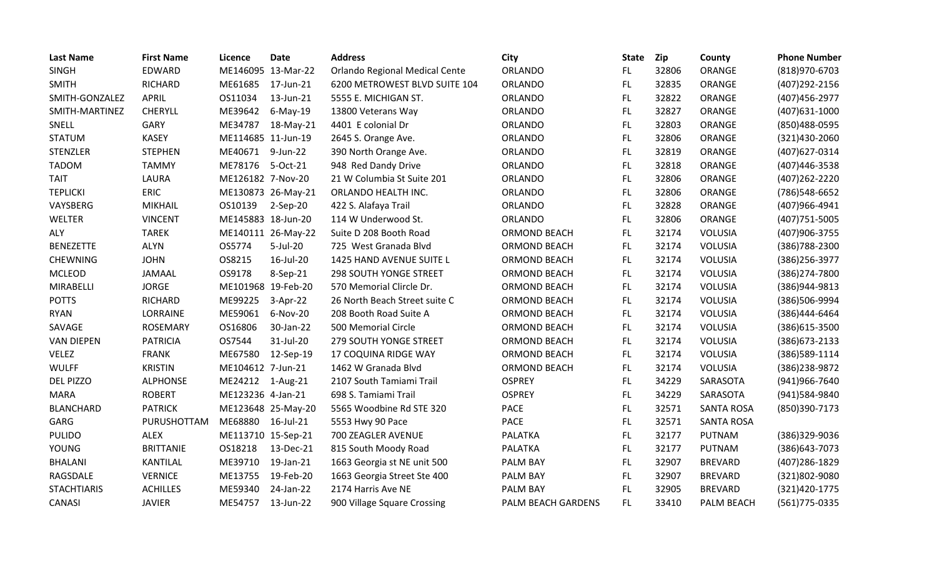| <b>Last Name</b>   | <b>First Name</b> | <b>Licence</b>     | <b>Date</b>        | <b>Address</b>                 | City                | <b>State</b> | Zip   | County            | <b>Phone Number</b> |
|--------------------|-------------------|--------------------|--------------------|--------------------------------|---------------------|--------------|-------|-------------------|---------------------|
| <b>SINGH</b>       | EDWARD            | ME146095 13-Mar-22 |                    | Orlando Regional Medical Cente | ORLANDO             | FL.          | 32806 | ORANGE            | (818)970-6703       |
| <b>SMITH</b>       | <b>RICHARD</b>    | ME61685            | 17-Jun-21          | 6200 METROWEST BLVD SUITE 104  | ORLANDO             | <b>FL</b>    | 32835 | ORANGE            | (407) 292-2156      |
| SMITH-GONZALEZ     | <b>APRIL</b>      | OS11034            | 13-Jun-21          | 5555 E. MICHIGAN ST.           | ORLANDO             | <b>FL</b>    | 32822 | ORANGE            | (407) 456-2977      |
| SMITH-MARTINEZ     | CHERYLL           | ME39642            | $6$ -May-19        | 13800 Veterans Way             | ORLANDO             | <b>FL</b>    | 32827 | ORANGE            | (407) 631-1000      |
| SNELL              | GARY              | ME34787            | 18-May-21          | 4401 E colonial Dr             | ORLANDO             | <b>FL</b>    | 32803 | ORANGE            | (850)488-0595       |
| <b>STATUM</b>      | <b>KASEY</b>      | ME114685 11-Jun-19 |                    | 2645 S. Orange Ave.            | ORLANDO             | FL           | 32806 | ORANGE            | (321)430-2060       |
| <b>STENZLER</b>    | <b>STEPHEN</b>    | ME40671            | 9-Jun-22           | 390 North Orange Ave.          | <b>ORLANDO</b>      | <b>FL</b>    | 32819 | ORANGE            | (407) 627-0314      |
| <b>TADOM</b>       | <b>TAMMY</b>      | ME78176            | 5-Oct-21           | 948 Red Dandy Drive            | ORLANDO             | FL           | 32818 | ORANGE            | (407)446-3538       |
| <b>TAIT</b>        | LAURA             | ME126182 7-Nov-20  |                    | 21 W Columbia St Suite 201     | ORLANDO             | <b>FL</b>    | 32806 | ORANGE            | (407) 262-2220      |
| <b>TEPLICKI</b>    | <b>ERIC</b>       |                    | ME130873 26-May-21 | ORLANDO HEALTH INC.            | ORLANDO             | <b>FL</b>    | 32806 | ORANGE            | (786) 548-6652      |
| VAYSBERG           | <b>MIKHAIL</b>    | OS10139            | 2-Sep-20           | 422 S. Alafaya Trail           | ORLANDO             | FL           | 32828 | ORANGE            | (407)966-4941       |
| WELTER             | <b>VINCENT</b>    | ME145883 18-Jun-20 |                    | 114 W Underwood St.            | ORLANDO             | <b>FL</b>    | 32806 | ORANGE            | (407) 751-5005      |
| <b>ALY</b>         | <b>TAREK</b>      |                    | ME140111 26-May-22 | Suite D 208 Booth Road         | <b>ORMOND BEACH</b> | FL           | 32174 | <b>VOLUSIA</b>    | (407)906-3755       |
| <b>BENEZETTE</b>   | <b>ALYN</b>       | OS5774             | 5-Jul-20           | 725 West Granada Blvd          | <b>ORMOND BEACH</b> | <b>FL</b>    | 32174 | <b>VOLUSIA</b>    | (386) 788-2300      |
| <b>CHEWNING</b>    | <b>JOHN</b>       | OS8215             | 16-Jul-20          | 1425 HAND AVENUE SUITE L       | ORMOND BEACH        | <b>FL</b>    | 32174 | <b>VOLUSIA</b>    | (386) 256-3977      |
| <b>MCLEOD</b>      | <b>JAMAAL</b>     | OS9178             | 8-Sep-21           | <b>298 SOUTH YONGE STREET</b>  | <b>ORMOND BEACH</b> | <b>FL</b>    | 32174 | <b>VOLUSIA</b>    | (386) 274-7800      |
| MIRABELLI          | <b>JORGE</b>      | ME101968 19-Feb-20 |                    | 570 Memorial Clircle Dr.       | <b>ORMOND BEACH</b> | FL           | 32174 | VOLUSIA           | (386)944-9813       |
| <b>POTTS</b>       | <b>RICHARD</b>    | ME99225            | 3-Apr-22           | 26 North Beach Street suite C  | <b>ORMOND BEACH</b> | <b>FL</b>    | 32174 | <b>VOLUSIA</b>    | (386)506-9994       |
| <b>RYAN</b>        | LORRAINE          | ME59061            | 6-Nov-20           | 208 Booth Road Suite A         | <b>ORMOND BEACH</b> | <b>FL</b>    | 32174 | VOLUSIA           | (386)444-6464       |
| SAVAGE             | <b>ROSEMARY</b>   | OS16806            | 30-Jan-22          | 500 Memorial Circle            | ORMOND BEACH        | FL.          | 32174 | <b>VOLUSIA</b>    | (386) 615-3500      |
| <b>VAN DIEPEN</b>  | <b>PATRICIA</b>   | OS7544             | 31-Jul-20          | 279 SOUTH YONGE STREET         | <b>ORMOND BEACH</b> | <b>FL</b>    | 32174 | <b>VOLUSIA</b>    | (386) 673-2133      |
| VELEZ              | <b>FRANK</b>      | ME67580            | 12-Sep-19          | 17 COQUINA RIDGE WAY           | <b>ORMOND BEACH</b> | FL           | 32174 | <b>VOLUSIA</b>    | (386) 589-1114      |
| <b>WULFF</b>       | <b>KRISTIN</b>    | ME104612 7-Jun-21  |                    | 1462 W Granada Blvd            | ORMOND BEACH        | FL.          | 32174 | <b>VOLUSIA</b>    | (386) 238-9872      |
| <b>DEL PIZZO</b>   | <b>ALPHONSE</b>   | ME24212            | 1-Aug-21           | 2107 South Tamiami Trail       | <b>OSPREY</b>       | <b>FL</b>    | 34229 | SARASOTA          | (941) 966-7640      |
| <b>MARA</b>        | <b>ROBERT</b>     | ME123236 4-Jan-21  |                    | 698 S. Tamiami Trail           | <b>OSPREY</b>       | <b>FL</b>    | 34229 | SARASOTA          | (941)584-9840       |
| <b>BLANCHARD</b>   | <b>PATRICK</b>    |                    | ME123648 25-May-20 | 5565 Woodbine Rd STE 320       | <b>PACE</b>         | <b>FL</b>    | 32571 | <b>SANTA ROSA</b> | (850)390-7173       |
| GARG               | PURUSHOTTAM       | ME68880            | 16-Jul-21          | 5553 Hwy 90 Pace               | <b>PACE</b>         | FL           | 32571 | <b>SANTA ROSA</b> |                     |
| <b>PULIDO</b>      | <b>ALEX</b>       | ME113710 15-Sep-21 |                    | 700 ZEAGLER AVENUE             | PALATKA             | <b>FL</b>    | 32177 | <b>PUTNAM</b>     | (386)329-9036       |
| <b>YOUNG</b>       | <b>BRITTANIE</b>  | OS18218            | 13-Dec-21          | 815 South Moody Road           | PALATKA             | <b>FL</b>    | 32177 | PUTNAM            | (386) 643-7073      |
| <b>BHALANI</b>     | <b>KANTILAL</b>   | ME39710            | 19-Jan-21          | 1663 Georgia st NE unit 500    | <b>PALM BAY</b>     | <b>FL</b>    | 32907 | <b>BREVARD</b>    | (407) 286-1829      |
| RAGSDALE           | <b>VERNICE</b>    | ME13755            | 19-Feb-20          | 1663 Georgia Street Ste 400    | <b>PALM BAY</b>     | FL           | 32907 | <b>BREVARD</b>    | (321)802-9080       |
| <b>STACHTIARIS</b> | <b>ACHILLES</b>   | ME59340            | 24-Jan-22          | 2174 Harris Ave NE             | <b>PALM BAY</b>     | <b>FL</b>    | 32905 | <b>BREVARD</b>    | (321)420-1775       |
| CANASI             | <b>JAVIER</b>     | ME54757            | 13-Jun-22          | 900 Village Square Crossing    | PALM BEACH GARDENS  | FL           | 33410 | <b>PALM BEACH</b> | (561) 775-0335      |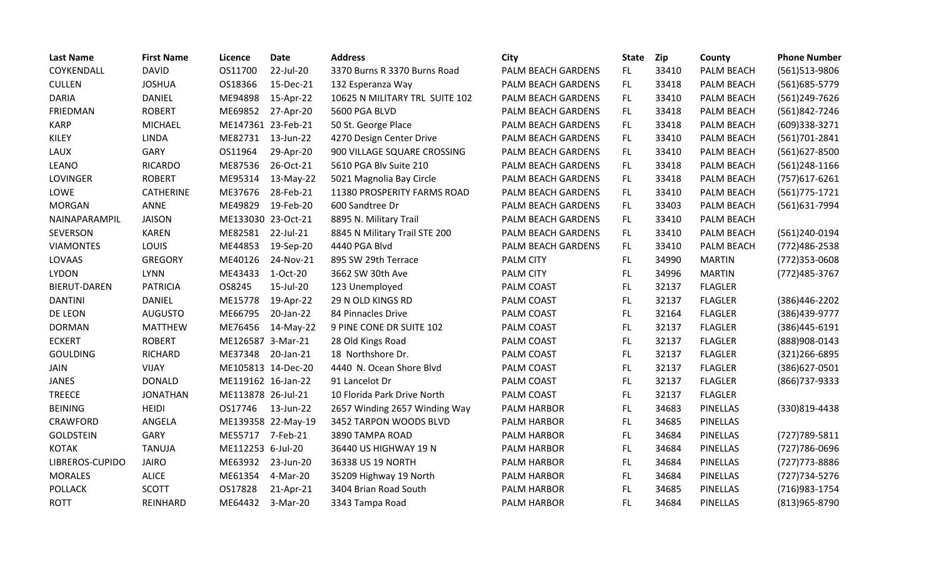| <b>Last Name</b>    | <b>First Name</b> | Licence            | <b>Date</b>        | <b>Address</b>                 | City               | <b>State</b> | <b>Zip</b> | County          | <b>Phone Number</b> |
|---------------------|-------------------|--------------------|--------------------|--------------------------------|--------------------|--------------|------------|-----------------|---------------------|
| COYKENDALL          | <b>DAVID</b>      | OS11700            | 22-Jul-20          | 3370 Burns R 3370 Burns Road   | PALM BEACH GARDENS | FL.          | 33410      | PALM BEACH      | (561)513-9806       |
| <b>CULLEN</b>       | <b>JOSHUA</b>     | OS18366            | 15-Dec-21          | 132 Esperanza Way              | PALM BEACH GARDENS | FL.          | 33418      | PALM BEACH      | (561) 685-5779      |
| <b>DARIA</b>        | DANIEL            | ME94898            | 15-Apr-22          | 10625 N MILITARY TRL SUITE 102 | PALM BEACH GARDENS | FL           | 33410      | PALM BEACH      | (561)249-7626       |
| FRIEDMAN            | <b>ROBERT</b>     | ME69852            | 27-Apr-20          | 5600 PGA BLVD                  | PALM BEACH GARDENS | FL           | 33418      | PALM BEACH      | (561)842-7246       |
| <b>KARP</b>         | <b>MICHAEL</b>    | ME147361 23-Feb-21 |                    | 50 St. George Place            | PALM BEACH GARDENS | FL.          | 33418      | PALM BEACH      | (609)338-3271       |
| KILEY               | <b>LINDA</b>      | ME82731            | 13-Jun-22          | 4270 Design Center Drive       | PALM BEACH GARDENS | FL           | 33410      | PALM BEACH      | (561)701-2841       |
| LAUX                | GARY              | OS11964            | 29-Apr-20          | 900 VILLAGE SQUARE CROSSING    | PALM BEACH GARDENS | FL           | 33410      | PALM BEACH      | (561)627-8500       |
| <b>LEANO</b>        | <b>RICARDO</b>    | ME87536            | 26-Oct-21          | 5610 PGA Blv Suite 210         | PALM BEACH GARDENS | FL.          | 33418      | PALM BEACH      | $(561)$ 248-1166    |
| LOVINGER            | <b>ROBERT</b>     | ME95314            | 13-May-22          | 5021 Magnolia Bay Circle       | PALM BEACH GARDENS | FL           | 33418      | PALM BEACH      | (757) 617-6261      |
| LOWE                | <b>CATHERINE</b>  | ME37676            | 28-Feb-21          | 11380 PROSPERITY FARMS ROAD    | PALM BEACH GARDENS | FL.          | 33410      | PALM BEACH      | $(561)775 - 1721$   |
| <b>MORGAN</b>       | ANNE              | ME49829            | 19-Feb-20          | 600 Sandtree Dr                | PALM BEACH GARDENS | FL.          | 33403      | PALM BEACH      | (561)631-7994       |
| NAINAPARAMPIL       | <b>JAISON</b>     | ME133030 23-Oct-21 |                    | 8895 N. Military Trail         | PALM BEACH GARDENS | FL           | 33410      | PALM BEACH      |                     |
| SEVERSON            | <b>KAREN</b>      | ME82581            | 22-Jul-21          | 8845 N Military Trail STE 200  | PALM BEACH GARDENS | FL           | 33410      | PALM BEACH      | (561)240-0194       |
| <b>VIAMONTES</b>    | LOUIS             | ME44853            | 19-Sep-20          | 4440 PGA Blvd                  | PALM BEACH GARDENS | FL           | 33410      | PALM BEACH      | (772)486-2538       |
| LOVAAS              | <b>GREGORY</b>    | ME40126            | 24-Nov-21          | 895 SW 29th Terrace            | <b>PALM CITY</b>   | FL           | 34990      | <b>MARTIN</b>   | $(772)353-0608$     |
| <b>LYDON</b>        | <b>LYNN</b>       | ME43433            | 1-Oct-20           | 3662 SW 30th Ave               | <b>PALM CITY</b>   | FL.          | 34996      | <b>MARTIN</b>   | (772) 485-3767      |
| <b>BIERUT-DAREN</b> | <b>PATRICIA</b>   | OS8245             | 15-Jul-20          | 123 Unemployed                 | <b>PALM COAST</b>  | FL           | 32137      | <b>FLAGLER</b>  |                     |
| <b>DANTINI</b>      | <b>DANIEL</b>     | ME15778            | 19-Apr-22          | 29 N OLD KINGS RD              | PALM COAST         | FL           | 32137      | <b>FLAGLER</b>  | (386)446-2202       |
| DE LEON             | <b>AUGUSTO</b>    | ME66795            | 20-Jan-22          | 84 Pinnacles Drive             | PALM COAST         | FL.          | 32164      | <b>FLAGLER</b>  | (386)439-9777       |
| <b>DORMAN</b>       | <b>MATTHEW</b>    | ME76456            | 14-May-22          | 9 PINE CONE DR SUITE 102       | PALM COAST         | FL           | 32137      | <b>FLAGLER</b>  | (386)445-6191       |
| <b>ECKERT</b>       | <b>ROBERT</b>     | ME126587 3-Mar-21  |                    | 28 Old Kings Road              | PALM COAST         | FL.          | 32137      | <b>FLAGLER</b>  | (888)908-0143       |
| <b>GOULDING</b>     | <b>RICHARD</b>    | ME37348            | 20-Jan-21          | 18 Northshore Dr.              | <b>PALM COAST</b>  | FL.          | 32137      | <b>FLAGLER</b>  | (321) 266-6895      |
| <b>JAIN</b>         | <b>VIJAY</b>      |                    | ME105813 14-Dec-20 | 4440 N. Ocean Shore Blvd       | PALM COAST         | FL           | 32137      | <b>FLAGLER</b>  | (386) 627-0501      |
| <b>JANES</b>        | <b>DONALD</b>     | ME119162 16-Jan-22 |                    | 91 Lancelot Dr                 | PALM COAST         | FL.          | 32137      | <b>FLAGLER</b>  | (866) 737-9333      |
| <b>TREECE</b>       | <b>JONATHAN</b>   | ME113878 26-Jul-21 |                    | 10 Florida Park Drive North    | PALM COAST         | FL.          | 32137      | <b>FLAGLER</b>  |                     |
| <b>BEINING</b>      | <b>HEIDI</b>      | OS17746            | 13-Jun-22          | 2657 Winding 2657 Winding Way  | <b>PALM HARBOR</b> | FL           | 34683      | <b>PINELLAS</b> | (330)819-4438       |
| <b>CRAWFORD</b>     | <b>ANGELA</b>     |                    | ME139358 22-May-19 | 3452 TARPON WOODS BLVD         | <b>PALM HARBOR</b> | FL.          | 34685      | <b>PINELLAS</b> |                     |
| <b>GOLDSTEIN</b>    | <b>GARY</b>       | ME55717            | 7-Feb-21           | 3890 TAMPA ROAD                | <b>PALM HARBOR</b> | FL.          | 34684      | <b>PINELLAS</b> | (727) 789-5811      |
| <b>KOTAK</b>        | <b>TANUJA</b>     | ME112253 6-Jul-20  |                    | 36440 US HIGHWAY 19 N          | <b>PALM HARBOR</b> | FL.          | 34684      | <b>PINELLAS</b> | (727) 786-0696      |
| LIBREROS-CUPIDO     | <b>JAIRO</b>      | ME63932            | 23-Jun-20          | 36338 US 19 NORTH              | <b>PALM HARBOR</b> | FL           | 34684      | <b>PINELLAS</b> | (727) 773-8886      |
| <b>MORALES</b>      | <b>ALICE</b>      | ME61354            | 4-Mar-20           | 35209 Highway 19 North         | <b>PALM HARBOR</b> | FL           | 34684      | <b>PINELLAS</b> | (727) 734-5276      |
| <b>POLLACK</b>      | <b>SCOTT</b>      | OS17828            | 21-Apr-21          | 3404 Brian Road South          | <b>PALM HARBOR</b> | FL.          | 34685      | <b>PINELLAS</b> | (716) 983-1754      |
| <b>ROTT</b>         | REINHARD          | ME64432            | 3-Mar-20           | 3343 Tampa Road                | <b>PALM HARBOR</b> | FL           | 34684      | <b>PINELLAS</b> | (813)965-8790       |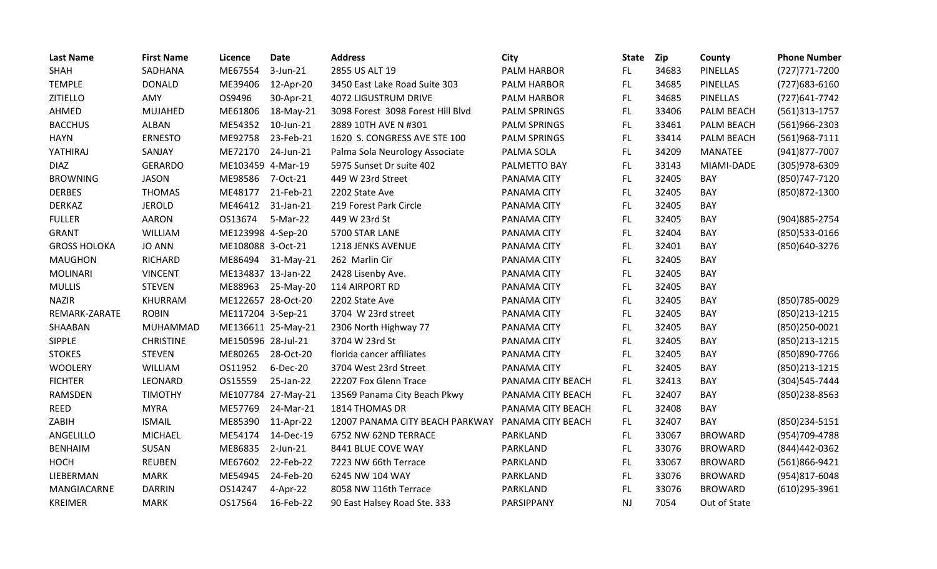| <b>Last Name</b>    | <b>First Name</b> | <b>Licence</b>     | <b>Date</b>        | <b>Address</b>                    | <b>City</b>         | <b>State</b> | <b>Zip</b> | County          | <b>Phone Number</b> |
|---------------------|-------------------|--------------------|--------------------|-----------------------------------|---------------------|--------------|------------|-----------------|---------------------|
| <b>SHAH</b>         | SADHANA           | ME67554            | 3-Jun-21           | 2855 US ALT 19                    | <b>PALM HARBOR</b>  | FL.          | 34683      | <b>PINELLAS</b> | (727) 771-7200      |
| <b>TEMPLE</b>       | <b>DONALD</b>     | ME39406            | 12-Apr-20          | 3450 East Lake Road Suite 303     | <b>PALM HARBOR</b>  | FL.          | 34685      | <b>PINELLAS</b> | (727) 683-6160      |
| <b>ZITIELLO</b>     | AMY               | OS9496             | 30-Apr-21          | <b>4072 LIGUSTRUM DRIVE</b>       | <b>PALM HARBOR</b>  | FL.          | 34685      | <b>PINELLAS</b> | (727) 641-7742      |
| AHMED               | <b>MUJAHED</b>    | ME61806            | 18-May-21          | 3098 Forest 3098 Forest Hill Blvd | <b>PALM SPRINGS</b> | FL           | 33406      | PALM BEACH      | $(561)313-1757$     |
| <b>BACCHUS</b>      | <b>ALBAN</b>      | ME54352            | 10-Jun-21          | 2889 10TH AVE N #301              | <b>PALM SPRINGS</b> | FL.          | 33461      | PALM BEACH      | (561)966-2303       |
| <b>HAYN</b>         | <b>ERNESTO</b>    | ME92758            | 23-Feb-21          | 1620 S. CONGRESS AVE STE 100      | <b>PALM SPRINGS</b> | FL.          | 33414      | PALM BEACH      | (561)968-7111       |
| YATHIRAJ            | SANJAY            | ME72170            | 24-Jun-21          | Palma Sola Neurology Associate    | PALMA SOLA          | <b>FL</b>    | 34209      | <b>MANATEE</b>  | (941) 877-7007      |
| <b>DIAZ</b>         | <b>GERARDO</b>    | ME103459 4-Mar-19  |                    | 5975 Sunset Dr suite 402          | PALMETTO BAY        | FL.          | 33143      | MIAMI-DADE      | (305)978-6309       |
| <b>BROWNING</b>     | <b>JASON</b>      | ME98586            | 7-Oct-21           | 449 W 23rd Street                 | PANAMA CITY         | FL.          | 32405      | <b>BAY</b>      | (850) 747-7120      |
| <b>DERBES</b>       | <b>THOMAS</b>     | ME48177            | 21-Feb-21          | 2202 State Ave                    | PANAMA CITY         | <b>FL</b>    | 32405      | BAY             | (850) 872-1300      |
| <b>DERKAZ</b>       | <b>JEROLD</b>     | ME46412            | 31-Jan-21          | 219 Forest Park Circle            | PANAMA CITY         | FL.          | 32405      | <b>BAY</b>      |                     |
| <b>FULLER</b>       | <b>AARON</b>      | OS13674            | 5-Mar-22           | 449 W 23rd St                     | PANAMA CITY         | <b>FL</b>    | 32405      | BAY             | (904) 885-2754      |
| <b>GRANT</b>        | WILLIAM           | ME123998 4-Sep-20  |                    | 5700 STAR LANE                    | PANAMA CITY         | <b>FL</b>    | 32404      | BAY             | (850) 533-0166      |
| <b>GROSS HOLOKA</b> | <b>JO ANN</b>     | ME108088 3-Oct-21  |                    | 1218 JENKS AVENUE                 | PANAMA CITY         | FL.          | 32401      | BAY             | (850)640-3276       |
| <b>MAUGHON</b>      | <b>RICHARD</b>    | ME86494            | 31-May-21          | 262 Marlin Cir                    | PANAMA CITY         | <b>FL</b>    | 32405      | BAY             |                     |
| <b>MOLINARI</b>     | <b>VINCENT</b>    | ME134837 13-Jan-22 |                    | 2428 Lisenby Ave.                 | PANAMA CITY         | <b>FL</b>    | 32405      | BAY             |                     |
| <b>MULLIS</b>       | <b>STEVEN</b>     | ME88963            | 25-May-20          | 114 AIRPORT RD                    | PANAMA CITY         | FL           | 32405      | BAY             |                     |
| <b>NAZIR</b>        | KHURRAM           | ME122657 28-Oct-20 |                    | 2202 State Ave                    | PANAMA CITY         | <b>FL</b>    | 32405      | BAY             | (850) 785-0029      |
| REMARK-ZARATE       | <b>ROBIN</b>      | ME117204 3-Sep-21  |                    | 3704 W 23rd street                | PANAMA CITY         | <b>FL</b>    | 32405      | BAY             | (850) 213-1215      |
| SHAABAN             | <b>MUHAMMAD</b>   |                    | ME136611 25-May-21 | 2306 North Highway 77             | PANAMA CITY         | FL           | 32405      | <b>BAY</b>      | (850)250-0021       |
| <b>SIPPLE</b>       | <b>CHRISTINE</b>  | ME150596 28-Jul-21 |                    | 3704 W 23rd St                    | PANAMA CITY         | <b>FL</b>    | 32405      | <b>BAY</b>      | (850) 213-1215      |
| <b>STOKES</b>       | <b>STEVEN</b>     | ME80265            | 28-Oct-20          | florida cancer affiliates         | PANAMA CITY         | FL.          | 32405      | BAY             | (850) 890-7766      |
| <b>WOOLERY</b>      | WILLIAM           | OS11952            | 6-Dec-20           | 3704 West 23rd Street             | PANAMA CITY         | <b>FL</b>    | 32405      | BAY             | (850) 213-1215      |
| <b>FICHTER</b>      | LEONARD           | OS15559            | 25-Jan-22          | 22207 Fox Glenn Trace             | PANAMA CITY BEACH   | <b>FL</b>    | 32413      | BAY             | (304) 545-7444      |
| RAMSDEN             | <b>TIMOTHY</b>    |                    | ME107784 27-May-21 | 13569 Panama City Beach Pkwy      | PANAMA CITY BEACH   | FL.          | 32407      | BAY             | (850)238-8563       |
| <b>REED</b>         | <b>MYRA</b>       | ME57769            | 24-Mar-21          | 1814 THOMAS DR                    | PANAMA CITY BEACH   | FL.          | 32408      | BAY             |                     |
| ZABIH               | <b>ISMAIL</b>     | ME85390            | 11-Apr-22          | 12007 PANAMA CITY BEACH PARKWAY   | PANAMA CITY BEACH   | FL.          | 32407      | BAY             | (850)234-5151       |
| ANGELILLO           | <b>MICHAEL</b>    | ME54174            | 14-Dec-19          | 6752 NW 62ND TERRACE              | PARKLAND            | FL.          | 33067      | <b>BROWARD</b>  | (954)709-4788       |
| <b>BENHAIM</b>      | SUSAN             | ME86835            | $2$ -Jun- $21$     | 8441 BLUE COVE WAY                | PARKLAND            | <b>FL</b>    | 33076      | <b>BROWARD</b>  | (844)442-0362       |
| HOCH                | <b>REUBEN</b>     | ME67602            | 22-Feb-22          | 7223 NW 66th Terrace              | PARKLAND            | FL.          | 33067      | <b>BROWARD</b>  | (561)866-9421       |
| LIEBERMAN           | <b>MARK</b>       | ME54945            | 24-Feb-20          | 6245 NW 104 WAY                   | PARKLAND            | <b>FL</b>    | 33076      | <b>BROWARD</b>  | (954)817-6048       |
| MANGIACARNE         | <b>DARRIN</b>     | OS14247            | 4-Apr-22           | 8058 NW 116th Terrace             | PARKLAND            | FL.          | 33076      | <b>BROWARD</b>  | (610)295-3961       |
| <b>KREIMER</b>      | <b>MARK</b>       | OS17564            | 16-Feb-22          | 90 East Halsey Road Ste. 333      | PARSIPPANY          | <b>NJ</b>    | 7054       | Out of State    |                     |
|                     |                   |                    |                    |                                   |                     |              |            |                 |                     |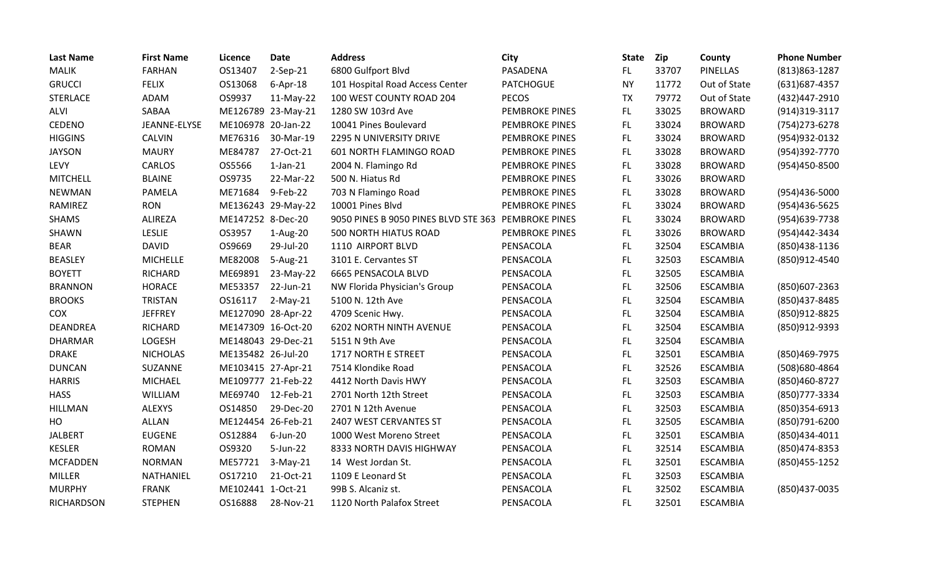| <b>Last Name</b>  | <b>First Name</b> | Licence            | <b>Date</b>        | <b>Address</b>                       | City                  | <b>State</b> | Zip   | County          | <b>Phone Number</b> |
|-------------------|-------------------|--------------------|--------------------|--------------------------------------|-----------------------|--------------|-------|-----------------|---------------------|
| <b>MALIK</b>      | <b>FARHAN</b>     | OS13407            | $2-Sep-21$         | 6800 Gulfport Blvd                   | PASADENA              | FL.          | 33707 | <b>PINELLAS</b> | $(813)863 - 1287$   |
| <b>GRUCCI</b>     | <b>FELIX</b>      | OS13068            | $6-Apr-18$         | 101 Hospital Road Access Center      | <b>PATCHOGUE</b>      | <b>NY</b>    | 11772 | Out of State    | (631) 687-4357      |
| <b>STERLACE</b>   | ADAM              | OS9937             | $11-May-22$        | 100 WEST COUNTY ROAD 204             | <b>PECOS</b>          | <b>TX</b>    | 79772 | Out of State    | (432)447-2910       |
| <b>ALVI</b>       | SABAA             |                    | ME126789 23-May-21 | 1280 SW 103rd Ave                    | <b>PEMBROKE PINES</b> | FL.          | 33025 | <b>BROWARD</b>  | (914)319-3117       |
| CEDENO            | JEANNE-ELYSE      | ME106978 20-Jan-22 |                    | 10041 Pines Boulevard                | <b>PEMBROKE PINES</b> | FL.          | 33024 | <b>BROWARD</b>  | (754) 273-6278      |
| <b>HIGGINS</b>    | CALVIN            | ME76316            | 30-Mar-19          | 2295 N UNIVERSITY DRIVE              | <b>PEMBROKE PINES</b> | FL.          | 33024 | <b>BROWARD</b>  | (954) 932-0132      |
| <b>JAYSON</b>     | <b>MAURY</b>      | ME84787            | 27-Oct-21          | 601 NORTH FLAMINGO ROAD              | <b>PEMBROKE PINES</b> | <b>FL</b>    | 33028 | <b>BROWARD</b>  | (954)392-7770       |
| LEVY              | <b>CARLOS</b>     | OS5566             | $1$ -Jan- $21$     | 2004 N. Flamingo Rd                  | <b>PEMBROKE PINES</b> | FL.          | 33028 | <b>BROWARD</b>  | (954)450-8500       |
| <b>MITCHELL</b>   | <b>BLAINE</b>     | OS9735             | 22-Mar-22          | 500 N. Hiatus Rd                     | <b>PEMBROKE PINES</b> | FL.          | 33026 | <b>BROWARD</b>  |                     |
| <b>NEWMAN</b>     | PAMELA            | ME71684            | 9-Feb-22           | 703 N Flamingo Road                  | <b>PEMBROKE PINES</b> | FL.          | 33028 | <b>BROWARD</b>  | (954)436-5000       |
| RAMIREZ           | <b>RON</b>        |                    | ME136243 29-May-22 | 10001 Pines Blvd                     | <b>PEMBROKE PINES</b> | FL.          | 33024 | <b>BROWARD</b>  | (954)436-5625       |
| <b>SHAMS</b>      | <b>ALIREZA</b>    | ME147252 8-Dec-20  |                    | 9050 PINES B 9050 PINES BLVD STE 363 | <b>PEMBROKE PINES</b> | FL.          | 33024 | <b>BROWARD</b>  | (954)639-7738       |
| SHAWN             | <b>LESLIE</b>     | OS3957             | 1-Aug-20           | <b>500 NORTH HIATUS ROAD</b>         | <b>PEMBROKE PINES</b> | FL.          | 33026 | <b>BROWARD</b>  | (954)442-3434       |
| <b>BEAR</b>       | <b>DAVID</b>      | OS9669             | 29-Jul-20          | 1110 AIRPORT BLVD                    | PENSACOLA             | FL.          | 32504 | <b>ESCAMBIA</b> | (850) 438-1136      |
| <b>BEASLEY</b>    | <b>MICHELLE</b>   | ME82008            | 5-Aug-21           | 3101 E. Cervantes ST                 | PENSACOLA             | FL.          | 32503 | <b>ESCAMBIA</b> | (850)912-4540       |
| <b>BOYETT</b>     | <b>RICHARD</b>    | ME69891            | 23-May-22          | 6665 PENSACOLA BLVD                  | PENSACOLA             | FL           | 32505 | <b>ESCAMBIA</b> |                     |
| <b>BRANNON</b>    | <b>HORACE</b>     | ME53357            | 22-Jun-21          | NW Florida Physician's Group         | PENSACOLA             | FL.          | 32506 | <b>ESCAMBIA</b> | (850)607-2363       |
| <b>BROOKS</b>     | TRISTAN           | OS16117            | $2-May-21$         | 5100 N. 12th Ave                     | PENSACOLA             | FL           | 32504 | <b>ESCAMBIA</b> | (850) 437-8485      |
| <b>COX</b>        | <b>JEFFREY</b>    | ME127090 28-Apr-22 |                    | 4709 Scenic Hwy.                     | PENSACOLA             | FL.          | 32504 | <b>ESCAMBIA</b> | (850)912-8825       |
| <b>DEANDREA</b>   | <b>RICHARD</b>    | ME147309 16-Oct-20 |                    | <b>6202 NORTH NINTH AVENUE</b>       | PENSACOLA             | FL.          | 32504 | <b>ESCAMBIA</b> | (850)912-9393       |
| <b>DHARMAR</b>    | LOGESH            | ME148043 29-Dec-21 |                    | 5151 N 9th Ave                       | PENSACOLA             | FL.          | 32504 | <b>ESCAMBIA</b> |                     |
| <b>DRAKE</b>      | <b>NICHOLAS</b>   | ME135482 26-Jul-20 |                    | 1717 NORTH E STREET                  | PENSACOLA             | FL.          | 32501 | <b>ESCAMBIA</b> | (850) 469-7975      |
| <b>DUNCAN</b>     | SUZANNE           | ME103415 27-Apr-21 |                    | 7514 Klondike Road                   | PENSACOLA             | FL           | 32526 | <b>ESCAMBIA</b> | (508)680-4864       |
| <b>HARRIS</b>     | <b>MICHAEL</b>    | ME109777 21-Feb-22 |                    | 4412 North Davis HWY                 | PENSACOLA             | FL.          | 32503 | <b>ESCAMBIA</b> | (850)460-8727       |
| <b>HASS</b>       | WILLIAM           | ME69740            | 12-Feb-21          | 2701 North 12th Street               | PENSACOLA             | FL           | 32503 | <b>ESCAMBIA</b> | (850) 777-3334      |
| <b>HILLMAN</b>    | <b>ALEXYS</b>     | OS14850            | 29-Dec-20          | 2701 N 12th Avenue                   | PENSACOLA             | FL.          | 32503 | <b>ESCAMBIA</b> | (850)354-6913       |
| HO                | <b>ALLAN</b>      | ME124454 26-Feb-21 |                    | 2407 WEST CERVANTES ST               | PENSACOLA             | FL           | 32505 | <b>ESCAMBIA</b> | (850)791-6200       |
| <b>JALBERT</b>    | <b>EUGENE</b>     | OS12884            | 6-Jun-20           | 1000 West Moreno Street              | PENSACOLA             | FL.          | 32501 | <b>ESCAMBIA</b> | (850)434-4011       |
| <b>KESLER</b>     | <b>ROMAN</b>      | OS9320             | 5-Jun-22           | 8333 NORTH DAVIS HIGHWAY             | PENSACOLA             | FL           | 32514 | <b>ESCAMBIA</b> | (850)474-8353       |
| <b>MCFADDEN</b>   | <b>NORMAN</b>     | ME57721            | $3-May-21$         | 14 West Jordan St.                   | PENSACOLA             | FL.          | 32501 | <b>ESCAMBIA</b> | (850) 455-1252      |
| <b>MILLER</b>     | NATHANIEL         | OS17210            | 21-Oct-21          | 1109 E Leonard St                    | PENSACOLA             | FL.          | 32503 | <b>ESCAMBIA</b> |                     |
| <b>MURPHY</b>     | <b>FRANK</b>      | ME102441 1-Oct-21  |                    | 99B S. Alcaniz st.                   | PENSACOLA             | FL           | 32502 | <b>ESCAMBIA</b> | (850)437-0035       |
| <b>RICHARDSON</b> | <b>STEPHEN</b>    | OS16888            | 28-Nov-21          | 1120 North Palafox Street            | PENSACOLA             | FL           | 32501 | <b>ESCAMBIA</b> |                     |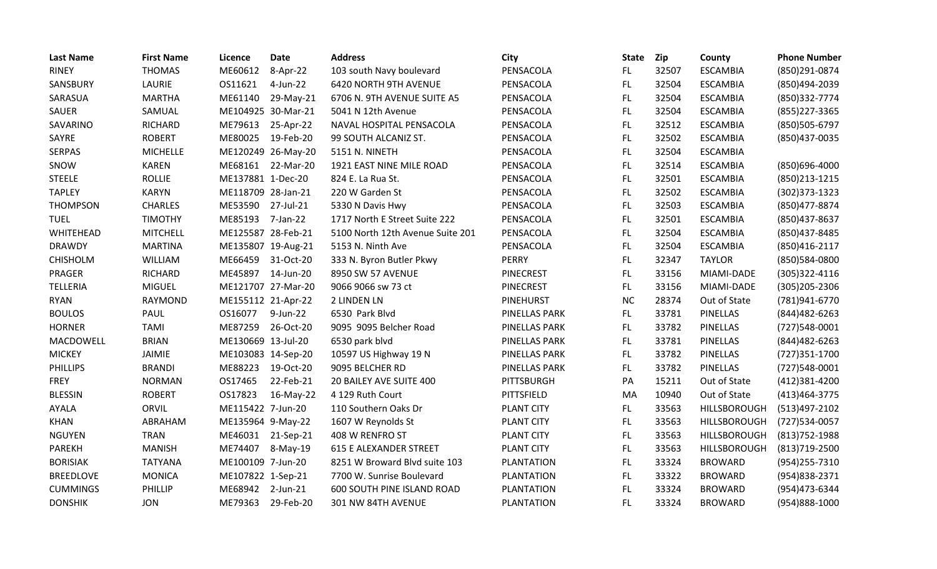| <b>Last Name</b> | <b>First Name</b> | Licence            | <b>Date</b>        | <b>Address</b>                   | City                 | <b>State</b> | Zip   | County              | <b>Phone Number</b> |
|------------------|-------------------|--------------------|--------------------|----------------------------------|----------------------|--------------|-------|---------------------|---------------------|
| <b>RINEY</b>     | <b>THOMAS</b>     | ME60612            | 8-Apr-22           | 103 south Navy boulevard         | PENSACOLA            | FL.          | 32507 | <b>ESCAMBIA</b>     | (850)291-0874       |
| SANSBURY         | LAURIE            | OS11621            | 4-Jun-22           | 6420 NORTH 9TH AVENUE            | PENSACOLA            | FL           | 32504 | <b>ESCAMBIA</b>     | (850)494-2039       |
| SARASUA          | <b>MARTHA</b>     | ME61140            | 29-May-21          | 6706 N. 9TH AVENUE SUITE A5      | PENSACOLA            | FL           | 32504 | <b>ESCAMBIA</b>     | (850)332-7774       |
| <b>SAUER</b>     | SAMUAL            |                    | ME104925 30-Mar-21 | 5041 N 12th Avenue               | PENSACOLA            | <b>FL</b>    | 32504 | <b>ESCAMBIA</b>     | (855) 227-3365      |
| SAVARINO         | <b>RICHARD</b>    | ME79613            | 25-Apr-22          | NAVAL HOSPITAL PENSACOLA         | PENSACOLA            | FL           | 32512 | <b>ESCAMBIA</b>     | (850)505-6797       |
| SAYRE            | <b>ROBERT</b>     | ME80025            | 19-Feb-20          | 99 SOUTH ALCANIZ ST.             | PENSACOLA            | <b>FL</b>    | 32502 | <b>ESCAMBIA</b>     | (850)437-0035       |
| <b>SERPAS</b>    | <b>MICHELLE</b>   |                    | ME120249 26-May-20 | 5151 N. NINETH                   | PENSACOLA            | FL           | 32504 | <b>ESCAMBIA</b>     |                     |
| SNOW             | <b>KAREN</b>      | ME68161            | 22-Mar-20          | 1921 EAST NINE MILE ROAD         | PENSACOLA            | FL           | 32514 | <b>ESCAMBIA</b>     | (850)696-4000       |
| <b>STEELE</b>    | <b>ROLLIE</b>     | ME137881 1-Dec-20  |                    | 824 E. La Rua St.                | PENSACOLA            | FL.          | 32501 | <b>ESCAMBIA</b>     | (850) 213-1215      |
| <b>TAPLEY</b>    | <b>KARYN</b>      | ME118709 28-Jan-21 |                    | 220 W Garden St                  | PENSACOLA            | <b>FL</b>    | 32502 | <b>ESCAMBIA</b>     | (302) 373-1323      |
| <b>THOMPSON</b>  | <b>CHARLES</b>    | ME53590 27-Jul-21  |                    | 5330 N Davis Hwy                 | PENSACOLA            | <b>FL</b>    | 32503 | <b>ESCAMBIA</b>     | (850) 477-8874      |
| <b>TUEL</b>      | <b>TIMOTHY</b>    | ME85193            | 7-Jan-22           | 1717 North E Street Suite 222    | PENSACOLA            | FL           | 32501 | <b>ESCAMBIA</b>     | (850) 437-8637      |
| WHITEHEAD        | <b>MITCHELL</b>   | ME125587 28-Feb-21 |                    | 5100 North 12th Avenue Suite 201 | PENSACOLA            | FL           | 32504 | <b>ESCAMBIA</b>     | (850)437-8485       |
| <b>DRAWDY</b>    | <b>MARTINA</b>    | ME135807 19-Aug-21 |                    | 5153 N. Ninth Ave                | PENSACOLA            | <b>FL</b>    | 32504 | <b>ESCAMBIA</b>     | (850) 416-2117      |
| <b>CHISHOLM</b>  | WILLIAM           | ME66459            | 31-Oct-20          | 333 N. Byron Butler Pkwy         | <b>PERRY</b>         | FL           | 32347 | <b>TAYLOR</b>       | (850)584-0800       |
| PRAGER           | <b>RICHARD</b>    | ME45897            | 14-Jun-20          | 8950 SW 57 AVENUE                | <b>PINECREST</b>     | <b>FL</b>    | 33156 | MIAMI-DADE          | (305) 322-4116      |
| TELLERIA         | <b>MIGUEL</b>     |                    | ME121707 27-Mar-20 | 9066 9066 sw 73 ct               | PINECREST            | FL.          | 33156 | MIAMI-DADE          | (305) 205-2306      |
| <b>RYAN</b>      | <b>RAYMOND</b>    | ME155112 21-Apr-22 |                    | 2 LINDEN LN                      | <b>PINEHURST</b>     | <b>NC</b>    | 28374 | Out of State        | (781)941-6770       |
| <b>BOULOS</b>    | PAUL              | OS16077            | 9-Jun-22           | 6530 Park Blvd                   | PINELLAS PARK        | FL.          | 33781 | PINELLAS            | (844) 482-6263      |
| <b>HORNER</b>    | <b>TAMI</b>       | ME87259            | 26-Oct-20          | 9095 9095 Belcher Road           | PINELLAS PARK        | FL.          | 33782 | <b>PINELLAS</b>     | (727)548-0001       |
| MACDOWELL        | <b>BRIAN</b>      | ME130669 13-Jul-20 |                    | 6530 park blvd                   | PINELLAS PARK        | <b>FL</b>    | 33781 | PINELLAS            | (844) 482-6263      |
| <b>MICKEY</b>    | JAIMIE            | ME103083 14-Sep-20 |                    | 10597 US Highway 19 N            | PINELLAS PARK        | FL.          | 33782 | <b>PINELLAS</b>     | (727) 351-1700      |
| <b>PHILLIPS</b>  | <b>BRANDI</b>     | ME88223            | 19-Oct-20          | 9095 BELCHER RD                  | <b>PINELLAS PARK</b> | FL           | 33782 | PINELLAS            | (727)548-0001       |
| <b>FREY</b>      | <b>NORMAN</b>     | OS17465            | 22-Feb-21          | 20 BAILEY AVE SUITE 400          | PITTSBURGH           | PA           | 15211 | Out of State        | (412)381-4200       |
| <b>BLESSIN</b>   | <b>ROBERT</b>     | OS17823            | 16-May-22          | 4 129 Ruth Court                 | PITTSFIELD           | MA           | 10940 | Out of State        | (413) 464-3775      |
| AYALA            | ORVIL             | ME115422 7-Jun-20  |                    | 110 Southern Oaks Dr             | <b>PLANT CITY</b>    | FL.          | 33563 | <b>HILLSBOROUGH</b> | (513)497-2102       |
| <b>KHAN</b>      | ABRAHAM           | ME135964 9-May-22  |                    | 1607 W Reynolds St               | <b>PLANT CITY</b>    | FL.          | 33563 | <b>HILLSBOROUGH</b> | (727) 534-0057      |
| <b>NGUYEN</b>    | <b>TRAN</b>       | ME46031            | 21-Sep-21          | 408 W RENFRO ST                  | <b>PLANT CITY</b>    | FL.          | 33563 | HILLSBOROUGH        | (813) 752-1988      |
| <b>PAREKH</b>    | <b>MANISH</b>     | ME74407            | 8-May-19           | 615 E ALEXANDER STREET           | <b>PLANT CITY</b>    | <b>FL</b>    | 33563 | HILLSBOROUGH        | (813) 719-2500      |
| <b>BORISIAK</b>  | <b>TATYANA</b>    | ME100109 7-Jun-20  |                    | 8251 W Broward Blvd suite 103    | PLANTATION           | FL           | 33324 | <b>BROWARD</b>      | (954) 255-7310      |
| <b>BREEDLOVE</b> | <b>MONICA</b>     | ME107822 1-Sep-21  |                    | 7700 W. Sunrise Boulevard        | <b>PLANTATION</b>    | FL           | 33322 | <b>BROWARD</b>      | (954) 838-2371      |
| <b>CUMMINGS</b>  | PHILLIP           | ME68942            | 2-Jun-21           | 600 SOUTH PINE ISLAND ROAD       | <b>PLANTATION</b>    | FL.          | 33324 | <b>BROWARD</b>      | (954)473-6344       |
| <b>DONSHIK</b>   | <b>JON</b>        | ME79363            | 29-Feb-20          | 301 NW 84TH AVENUE               | <b>PLANTATION</b>    | FL           | 33324 | <b>BROWARD</b>      | (954)888-1000       |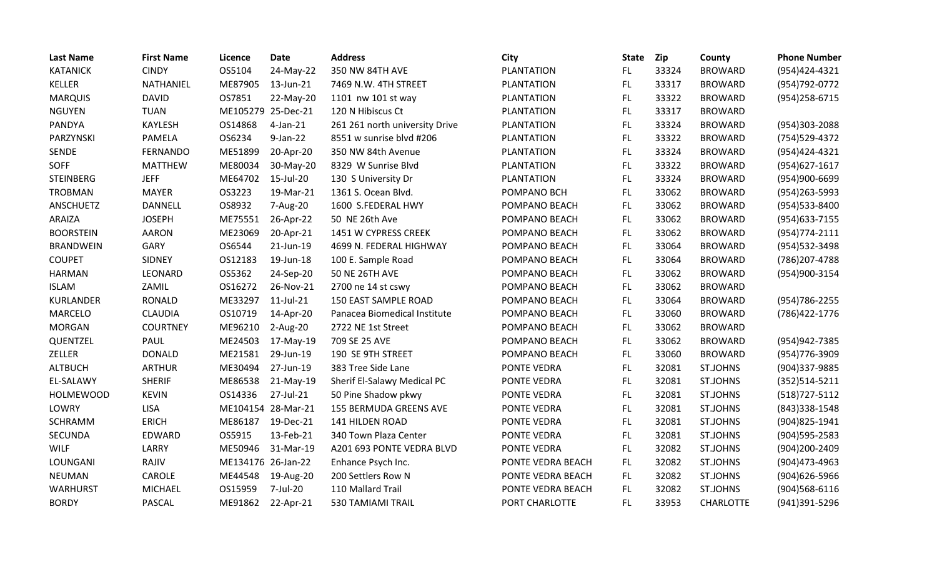| <b>Last Name</b> | <b>First Name</b> | <b>Licence</b>     | <b>Date</b>  | <b>Address</b>                 | City               | <b>State</b> | Zip   | County           | <b>Phone Number</b> |
|------------------|-------------------|--------------------|--------------|--------------------------------|--------------------|--------------|-------|------------------|---------------------|
| <b>KATANICK</b>  | <b>CINDY</b>      | OS5104             | 24-May-22    | 350 NW 84TH AVE                | <b>PLANTATION</b>  | FL.          | 33324 | <b>BROWARD</b>   | (954)424-4321       |
| <b>KELLER</b>    | NATHANIEL         | ME87905            | 13-Jun-21    | 7469 N.W. 4TH STREET           | <b>PLANTATION</b>  | <b>FL</b>    | 33317 | <b>BROWARD</b>   | (954) 792-0772      |
| <b>MARQUIS</b>   | <b>DAVID</b>      | OS7851             | 22-May-20    | 1101 nw 101 st way             | <b>PLANTATION</b>  | <b>FL</b>    | 33322 | <b>BROWARD</b>   | (954) 258-6715      |
| <b>NGUYEN</b>    | <b>TUAN</b>       | ME105279 25-Dec-21 |              | 120 N Hibiscus Ct              | <b>PLANTATION</b>  | <b>FL</b>    | 33317 | <b>BROWARD</b>   |                     |
| PANDYA           | <b>KAYLESH</b>    | OS14868            | $4$ -Jan-21  | 261 261 north university Drive | <b>PLANTATION</b>  | FL           | 33324 | <b>BROWARD</b>   | (954)303-2088       |
| PARZYNSKI        | PAMELA            | OS6234             | $9$ -Jan-22  | 8551 w sunrise blvd #206       | <b>PLANTATION</b>  | FL           | 33322 | <b>BROWARD</b>   | (754) 529-4372      |
| SENDE            | <b>FERNANDO</b>   | ME51899            | 20-Apr-20    | 350 NW 84th Avenue             | <b>PLANTATION</b>  | <b>FL</b>    | 33324 | <b>BROWARD</b>   | (954)424-4321       |
| SOFF             | <b>MATTHEW</b>    | ME80034            | 30-May-20    | 8329 W Sunrise Blvd            | <b>PLANTATION</b>  | <b>FL</b>    | 33322 | <b>BROWARD</b>   | (954)627-1617       |
| <b>STEINBERG</b> | <b>JEFF</b>       | ME64702            | 15-Jul-20    | 130 S University Dr            | <b>PLANTATION</b>  | FL.          | 33324 | <b>BROWARD</b>   | (954)900-6699       |
| <b>TROBMAN</b>   | <b>MAYER</b>      | OS3223             | 19-Mar-21    | 1361 S. Ocean Blvd.            | POMPANO BCH        | FL           | 33062 | <b>BROWARD</b>   | (954) 263-5993      |
| ANSCHUETZ        | <b>DANNELL</b>    | OS8932             | 7-Aug-20     | 1600 S.FEDERAL HWY             | POMPANO BEACH      | FL           | 33062 | <b>BROWARD</b>   | (954) 533-8400      |
| ARAIZA           | <b>JOSEPH</b>     | ME75551            | 26-Apr-22    | 50 NE 26th Ave                 | POMPANO BEACH      | <b>FL</b>    | 33062 | <b>BROWARD</b>   | (954) 633-7155      |
| <b>BOORSTEIN</b> | <b>AARON</b>      | ME23069            | 20-Apr-21    | 1451 W CYPRESS CREEK           | POMPANO BEACH      | FL.          | 33062 | <b>BROWARD</b>   | (954) 774-2111      |
| <b>BRANDWEIN</b> | GARY              | OS6544             | 21-Jun-19    | 4699 N. FEDERAL HIGHWAY        | POMPANO BEACH      | <b>FL</b>    | 33064 | <b>BROWARD</b>   | (954) 532-3498      |
| <b>COUPET</b>    | SIDNEY            | OS12183            | 19-Jun-18    | 100 E. Sample Road             | POMPANO BEACH      | <b>FL</b>    | 33064 | <b>BROWARD</b>   | (786) 207-4788      |
| <b>HARMAN</b>    | LEONARD           | OS5362             | 24-Sep-20    | <b>50 NE 26TH AVE</b>          | POMPANO BEACH      | FL.          | 33062 | <b>BROWARD</b>   | (954)900-3154       |
| <b>ISLAM</b>     | ZAMIL             | OS16272            | 26-Nov-21    | 2700 ne 14 st cswy             | POMPANO BEACH      | FL           | 33062 | <b>BROWARD</b>   |                     |
| KURLANDER        | <b>RONALD</b>     | ME33297            | $11$ -Jul-21 | 150 EAST SAMPLE ROAD           | POMPANO BEACH      | FL.          | 33064 | <b>BROWARD</b>   | (954) 786-2255      |
| <b>MARCELO</b>   | <b>CLAUDIA</b>    | OS10719            | 14-Apr-20    | Panacea Biomedical Institute   | POMPANO BEACH      | <b>FL</b>    | 33060 | <b>BROWARD</b>   | (786) 422-1776      |
| <b>MORGAN</b>    | <b>COURTNEY</b>   | ME96210            | 2-Aug-20     | 2722 NE 1st Street             | POMPANO BEACH      | FL.          | 33062 | <b>BROWARD</b>   |                     |
| QUENTZEL         | PAUL              | ME24503            | 17-May-19    | 709 SE 25 AVE                  | POMPANO BEACH      | <b>FL</b>    | 33062 | <b>BROWARD</b>   | (954) 942-7385      |
| ZELLER           | <b>DONALD</b>     | ME21581            | 29-Jun-19    | 190 SE 9TH STREET              | POMPANO BEACH      | FL.          | 33060 | <b>BROWARD</b>   | (954) 776-3909      |
| <b>ALTBUCH</b>   | <b>ARTHUR</b>     | ME30494            | 27-Jun-19    | 383 Tree Side Lane             | PONTE VEDRA        | <b>FL</b>    | 32081 | ST.JOHNS         | (904)337-9885       |
| EL-SALAWY        | <b>SHERIF</b>     | ME86538            | 21-May-19    | Sherif El-Salawy Medical PC    | PONTE VEDRA        | <b>FL</b>    | 32081 | ST.JOHNS         | (352)514-5211       |
| <b>HOLMEWOOD</b> | <b>KEVIN</b>      | OS14336            | 27-Jul-21    | 50 Pine Shadow pkwy            | <b>PONTE VEDRA</b> | FL           | 32081 | ST.JOHNS         | (518) 727-5112      |
| LOWRY            | <b>LISA</b>       | ME104154 28-Mar-21 |              | <b>155 BERMUDA GREENS AVE</b>  | <b>PONTE VEDRA</b> | <b>FL</b>    | 32081 | ST.JOHNS         | (843)338-1548       |
| SCHRAMM          | <b>ERICH</b>      | ME86187            | 19-Dec-21    | <b>141 HILDEN ROAD</b>         | PONTE VEDRA        | FL           | 32081 | <b>ST.JOHNS</b>  | (904) 825-1941      |
| <b>SECUNDA</b>   | EDWARD            | OS5915             | 13-Feb-21    | 340 Town Plaza Center          | PONTE VEDRA        | <b>FL</b>    | 32081 | <b>ST.JOHNS</b>  | (904) 595-2583      |
| <b>WILF</b>      | LARRY             | ME50946            | 31-Mar-19    | A201 693 PONTE VEDRA BLVD      | PONTE VEDRA        | <b>FL</b>    | 32082 | ST.JOHNS         | (904)200-2409       |
| LOUNGANI         | RAJIV             | ME134176 26-Jan-22 |              | Enhance Psych Inc.             | PONTE VEDRA BEACH  | FL.          | 32082 | <b>ST.JOHNS</b>  | (904)473-4963       |
| <b>NEUMAN</b>    | CAROLE            | ME44548            | 19-Aug-20    | 200 Settlers Row N             | PONTE VEDRA BEACH  | FL.          | 32082 | <b>ST.JOHNS</b>  | (904) 626-5966      |
| <b>WARHURST</b>  | <b>MICHAEL</b>    | OS15959            | 7-Jul-20     | 110 Mallard Trail              | PONTE VEDRA BEACH  | <b>FL</b>    | 32082 | ST.JOHNS         | (904)568-6116       |
| <b>BORDY</b>     | <b>PASCAL</b>     | ME91862            | 22-Apr-21    | <b>530 TAMIAMI TRAIL</b>       | PORT CHARLOTTE     | FL           | 33953 | <b>CHARLOTTE</b> | (941)391-5296       |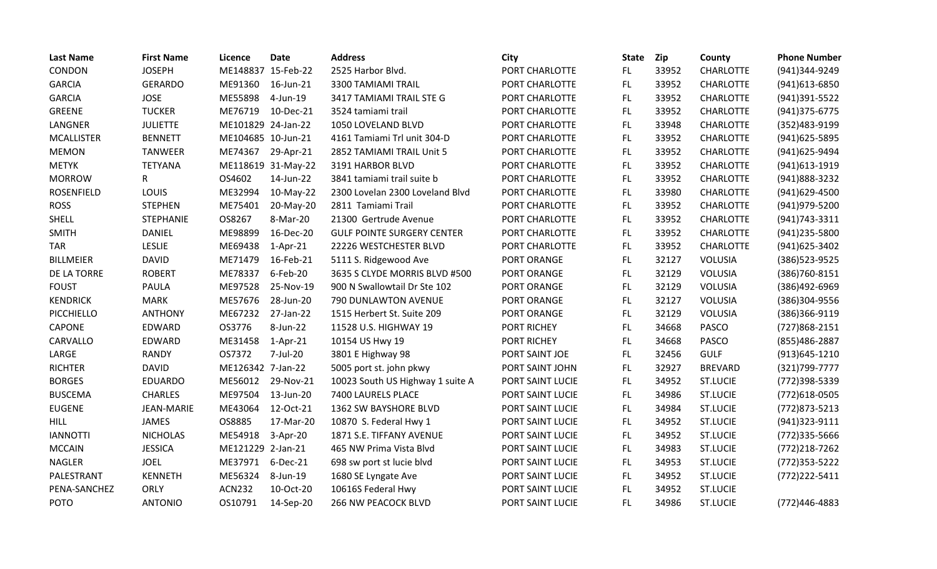| <b>Last Name</b>  | <b>First Name</b> | Licence            | <b>Date</b>        | <b>Address</b>                    | City             | <b>State</b> | Zip   | County           | <b>Phone Number</b> |
|-------------------|-------------------|--------------------|--------------------|-----------------------------------|------------------|--------------|-------|------------------|---------------------|
| CONDON            | <b>JOSEPH</b>     | ME148837 15-Feb-22 |                    | 2525 Harbor Blvd.                 | PORT CHARLOTTE   | FL.          | 33952 | <b>CHARLOTTE</b> | (941)344-9249       |
| <b>GARCIA</b>     | <b>GERARDO</b>    | ME91360            | 16-Jun-21          | 3300 TAMIAMI TRAIL                | PORT CHARLOTTE   | FL.          | 33952 | <b>CHARLOTTE</b> | (941) 613-6850      |
| <b>GARCIA</b>     | <b>JOSE</b>       | ME55898            | 4-Jun-19           | 3417 TAMIAMI TRAIL STE G          | PORT CHARLOTTE   | FL           | 33952 | <b>CHARLOTTE</b> | (941)391-5522       |
| <b>GREENE</b>     | <b>TUCKER</b>     | ME76719            | 10-Dec-21          | 3524 tamiami trail                | PORT CHARLOTTE   | FL           | 33952 | <b>CHARLOTTE</b> | (941) 375-6775      |
| LANGNER           | <b>JULIETTE</b>   | ME101829 24-Jan-22 |                    | 1050 LOVELAND BLVD                | PORT CHARLOTTE   | FL           | 33948 | <b>CHARLOTTE</b> | (352)483-9199       |
| <b>MCALLISTER</b> | <b>BENNETT</b>    | ME104685 10-Jun-21 |                    | 4161 Tamiami Trl unit 304-D       | PORT CHARLOTTE   | FL.          | 33952 | <b>CHARLOTTE</b> | (941) 625-5895      |
| <b>MEMON</b>      | <b>TANWEER</b>    | ME74367            | 29-Apr-21          | 2852 TAMIAMI TRAIL Unit 5         | PORT CHARLOTTE   | FL           | 33952 | CHARLOTTE        | (941) 625-9494      |
| <b>METYK</b>      | <b>TETYANA</b>    |                    | ME118619 31-May-22 | 3191 HARBOR BLVD                  | PORT CHARLOTTE   | FL.          | 33952 | <b>CHARLOTTE</b> | (941) 613-1919      |
| <b>MORROW</b>     | R                 | OS4602             | 14-Jun-22          | 3841 tamiami trail suite b        | PORT CHARLOTTE   | FL           | 33952 | <b>CHARLOTTE</b> | (941) 888-3232      |
| <b>ROSENFIELD</b> | LOUIS             | ME32994            | 10-May-22          | 2300 Lovelan 2300 Loveland Blvd   | PORT CHARLOTTE   | FL.          | 33980 | <b>CHARLOTTE</b> | (941)629-4500       |
| <b>ROSS</b>       | <b>STEPHEN</b>    | ME75401            | 20-May-20          | 2811 Tamiami Trail                | PORT CHARLOTTE   | FL.          | 33952 | <b>CHARLOTTE</b> | (941) 979-5200      |
| SHELL             | STEPHANIE         | OS8267             | 8-Mar-20           | 21300 Gertrude Avenue             | PORT CHARLOTTE   | FL           | 33952 | <b>CHARLOTTE</b> | (941) 743-3311      |
| <b>SMITH</b>      | <b>DANIEL</b>     | ME98899            | 16-Dec-20          | <b>GULF POINTE SURGERY CENTER</b> | PORT CHARLOTTE   | FL.          | 33952 | <b>CHARLOTTE</b> | (941)235-5800       |
| <b>TAR</b>        | LESLIE            | ME69438            | $1-Apr-21$         | 22226 WESTCHESTER BLVD            | PORT CHARLOTTE   | FL.          | 33952 | <b>CHARLOTTE</b> | (941) 625-3402      |
| <b>BILLMEIER</b>  | <b>DAVID</b>      | ME71479            | 16-Feb-21          | 5111 S. Ridgewood Ave             | PORT ORANGE      | FL.          | 32127 | <b>VOLUSIA</b>   | (386) 523-9525      |
| DE LA TORRE       | <b>ROBERT</b>     | ME78337            | 6-Feb-20           | 3635 S CLYDE MORRIS BLVD #500     | PORT ORANGE      | FL.          | 32129 | <b>VOLUSIA</b>   | (386) 760-8151      |
| <b>FOUST</b>      | <b>PAULA</b>      | ME97528            | 25-Nov-19          | 900 N Swallowtail Dr Ste 102      | PORT ORANGE      | FL           | 32129 | <b>VOLUSIA</b>   | (386)492-6969       |
| <b>KENDRICK</b>   | <b>MARK</b>       | ME57676            | 28-Jun-20          | 790 DUNLAWTON AVENUE              | PORT ORANGE      | <b>FL</b>    | 32127 | <b>VOLUSIA</b>   | (386)304-9556       |
| PICCHIELLO        | <b>ANTHONY</b>    | ME67232            | 27-Jan-22          | 1515 Herbert St. Suite 209        | PORT ORANGE      | FL.          | 32129 | <b>VOLUSIA</b>   | (386)366-9119       |
| CAPONE            | EDWARD            | OS3776             | 8-Jun-22           | 11528 U.S. HIGHWAY 19             | PORT RICHEY      | FL           | 34668 | <b>PASCO</b>     | (727)868-2151       |
| CARVALLO          | EDWARD            | ME31458            | $1-Apr-21$         | 10154 US Hwy 19                   | PORT RICHEY      | FL.          | 34668 | <b>PASCO</b>     | (855)486-2887       |
| LARGE             | <b>RANDY</b>      | OS7372             | 7-Jul-20           | 3801 E Highway 98                 | PORT SAINT JOE   | <b>FL</b>    | 32456 | <b>GULF</b>      | $(913)645 - 1210$   |
| <b>RICHTER</b>    | <b>DAVID</b>      | ME126342 7-Jan-22  |                    | 5005 port st. john pkwy           | PORT SAINT JOHN  | <b>FL</b>    | 32927 | <b>BREVARD</b>   | (321) 799-7777      |
| <b>BORGES</b>     | <b>EDUARDO</b>    | ME56012            | 29-Nov-21          | 10023 South US Highway 1 suite A  | PORT SAINT LUCIE | FL           | 34952 | <b>ST.LUCIE</b>  | (772)398-5339       |
| <b>BUSCEMA</b>    | <b>CHARLES</b>    | ME97504            | 13-Jun-20          | 7400 LAURELS PLACE                | PORT SAINT LUCIE | FL.          | 34986 | <b>ST.LUCIE</b>  | (772)618-0505       |
| <b>EUGENE</b>     | <b>JEAN-MARIE</b> | ME43064            | 12-Oct-21          | 1362 SW BAYSHORE BLVD             | PORT SAINT LUCIE | FL           | 34984 | <b>ST.LUCIE</b>  | (772) 873-5213      |
| <b>HILL</b>       | <b>JAMES</b>      | OS8885             | 17-Mar-20          | 10870 S. Federal Hwy 1            | PORT SAINT LUCIE | FL.          | 34952 | <b>ST.LUCIE</b>  | (941)323-9111       |
| <b>IANNOTTI</b>   | <b>NICHOLAS</b>   | ME54918            | 3-Apr-20           | 1871 S.E. TIFFANY AVENUE          | PORT SAINT LUCIE | FL.          | 34952 | <b>ST.LUCIE</b>  | (772)335-5666       |
| <b>MCCAIN</b>     | <b>JESSICA</b>    | ME121229 2-Jan-21  |                    | 465 NW Prima Vista Blvd           | PORT SAINT LUCIE | FL.          | 34983 | <b>ST.LUCIE</b>  | (772)218-7262       |
| <b>NAGLER</b>     | <b>JOEL</b>       | ME37971            | 6-Dec-21           | 698 sw port st lucie blvd         | PORT SAINT LUCIE | FL.          | 34953 | <b>ST.LUCIE</b>  | (772) 353-5222      |
| PALESTRANT        | <b>KENNETH</b>    | ME56324            | 8-Jun-19           | 1680 SE Lyngate Ave               | PORT SAINT LUCIE | FL.          | 34952 | <b>ST.LUCIE</b>  | (772) 222-5411      |
| PENA-SANCHEZ      | <b>ORLY</b>       | <b>ACN232</b>      | 10-Oct-20          | 10616S Federal Hwy                | PORT SAINT LUCIE | FL.          | 34952 | <b>ST.LUCIE</b>  |                     |
| <b>POTO</b>       | <b>ANTONIO</b>    | OS10791            | 14-Sep-20          | 266 NW PEACOCK BLVD               | PORT SAINT LUCIE | FL           | 34986 | <b>ST.LUCIE</b>  | (772)446-4883       |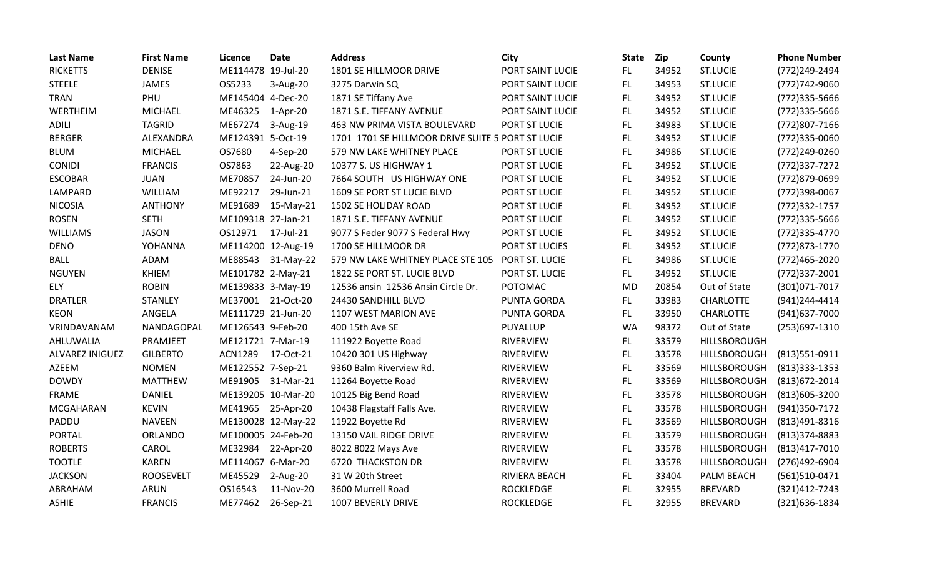| <b>Last Name</b> | <b>First Name</b> | Licence            | <b>Date</b>        | <b>Address</b>                                    | City               | <b>State</b> | <b>Zip</b> | County           | <b>Phone Number</b> |
|------------------|-------------------|--------------------|--------------------|---------------------------------------------------|--------------------|--------------|------------|------------------|---------------------|
| <b>RICKETTS</b>  | <b>DENISE</b>     | ME114478 19-Jul-20 |                    | 1801 SE HILLMOOR DRIVE                            | PORT SAINT LUCIE   | FL.          | 34952      | <b>ST.LUCIE</b>  | (772)249-2494       |
| <b>STEELE</b>    | <b>JAMES</b>      | OS5233             | 3-Aug-20           | 3275 Darwin SQ                                    | PORT SAINT LUCIE   | FL.          | 34953      | <b>ST.LUCIE</b>  | (772)742-9060       |
| <b>TRAN</b>      | PHU               | ME145404 4-Dec-20  |                    | 1871 SE Tiffany Ave                               | PORT SAINT LUCIE   | FL.          | 34952      | <b>ST.LUCIE</b>  | (772)335-5666       |
| WERTHEIM         | <b>MICHAEL</b>    | ME46325            | 1-Apr-20           | 1871 S.E. TIFFANY AVENUE                          | PORT SAINT LUCIE   | FL           | 34952      | <b>ST.LUCIE</b>  | (772)335-5666       |
| <b>ADILI</b>     | <b>TAGRID</b>     | ME67274            | 3-Aug-19           | 463 NW PRIMA VISTA BOULEVARD                      | PORT ST LUCIE      | FL           | 34983      | <b>ST.LUCIE</b>  | (772)807-7166       |
| <b>BERGER</b>    | ALEXANDRA         | ME124391 5-Oct-19  |                    | 1701 1701 SE HILLMOOR DRIVE SUITE 5 PORT ST LUCIE |                    | FL.          | 34952      | <b>ST.LUCIE</b>  | (772)335-0060       |
| <b>BLUM</b>      | <b>MICHAEL</b>    | OS7680             | 4-Sep-20           | 579 NW LAKE WHITNEY PLACE                         | PORT ST LUCIE      | FL           | 34986      | <b>ST.LUCIE</b>  | (772)249-0260       |
| <b>CONIDI</b>    | <b>FRANCIS</b>    | OS7863             | 22-Aug-20          | 10377 S. US HIGHWAY 1                             | PORT ST LUCIE      | FL           | 34952      | <b>ST.LUCIE</b>  | (772) 337-7272      |
| <b>ESCOBAR</b>   | <b>JUAN</b>       | ME70857            | 24-Jun-20          | 7664 SOUTH US HIGHWAY ONE                         | PORT ST LUCIE      | FL.          | 34952      | <b>ST.LUCIE</b>  | (772)879-0699       |
| LAMPARD          | <b>WILLIAM</b>    | ME92217            | 29-Jun-21          | 1609 SE PORT ST LUCIE BLVD                        | PORT ST LUCIE      | FL.          | 34952      | <b>ST.LUCIE</b>  | (772)398-0067       |
| <b>NICOSIA</b>   | <b>ANTHONY</b>    | ME91689            | 15-May-21          | 1502 SE HOLIDAY ROAD                              | PORT ST LUCIE      | FL.          | 34952      | <b>ST.LUCIE</b>  | (772) 332-1757      |
| <b>ROSEN</b>     | <b>SETH</b>       | ME109318 27-Jan-21 |                    | 1871 S.E. TIFFANY AVENUE                          | PORT ST LUCIE      | FL           | 34952      | <b>ST.LUCIE</b>  | (772) 335-5666      |
| <b>WILLIAMS</b>  | <b>JASON</b>      | OS12971            | 17-Jul-21          | 9077 S Feder 9077 S Federal Hwy                   | PORT ST LUCIE      | FL.          | 34952      | <b>ST.LUCIE</b>  | (772)335-4770       |
| <b>DENO</b>      | YOHANNA           | ME114200 12-Aug-19 |                    | 1700 SE HILLMOOR DR                               | PORT ST LUCIES     | FL           | 34952      | <b>ST.LUCIE</b>  | (772) 873-1770      |
| <b>BALL</b>      | <b>ADAM</b>       | ME88543            | 31-May-22          | 579 NW LAKE WHITNEY PLACE STE 105                 | PORT ST. LUCIE     | FL           | 34986      | <b>ST.LUCIE</b>  | (772)465-2020       |
| <b>NGUYEN</b>    | KHIEM             | ME101782 2-May-21  |                    | 1822 SE PORT ST. LUCIE BLVD                       | PORT ST. LUCIE     | FL           | 34952      | <b>ST.LUCIE</b>  | (772)337-2001       |
| ELY              | <b>ROBIN</b>      | ME139833 3-May-19  |                    | 12536 ansin 12536 Ansin Circle Dr.                | POTOMAC            | <b>MD</b>    | 20854      | Out of State     | (301) 071-7017      |
| <b>DRATLER</b>   | <b>STANLEY</b>    | ME37001            | 21-Oct-20          | 24430 SANDHILL BLVD                               | <b>PUNTA GORDA</b> | FL.          | 33983      | <b>CHARLOTTE</b> | (941)244-4414       |
| <b>KEON</b>      | ANGELA            | ME111729 21-Jun-20 |                    | 1107 WEST MARION AVE                              | <b>PUNTA GORDA</b> | FL.          | 33950      | <b>CHARLOTTE</b> | (941) 637-7000      |
| VRINDAVANAM      | NANDAGOPAL        | ME126543 9-Feb-20  |                    | 400 15th Ave SE                                   | PUYALLUP           | <b>WA</b>    | 98372      | Out of State     | (253)697-1310       |
| AHLUWALIA        | PRAMJEET          | ME121721 7-Mar-19  |                    | 111922 Boyette Road                               | <b>RIVERVIEW</b>   | FL.          | 33579      | HILLSBOROUGH     |                     |
| ALVAREZ INIGUEZ  | <b>GILBERTO</b>   | <b>ACN1289</b>     | 17-Oct-21          | 10420 301 US Highway                              | <b>RIVERVIEW</b>   | FL.          | 33578      | HILLSBOROUGH     | (813) 551-0911      |
| AZEEM            | <b>NOMEN</b>      | ME122552 7-Sep-21  |                    | 9360 Balm Riverview Rd.                           | <b>RIVERVIEW</b>   | FL           | 33569      | HILLSBOROUGH     | $(813)333-1353$     |
| <b>DOWDY</b>     | <b>MATTHEW</b>    | ME91905            | 31-Mar-21          | 11264 Boyette Road                                | <b>RIVERVIEW</b>   | FL.          | 33569      | HILLSBOROUGH     | (813) 672-2014      |
| <b>FRAME</b>     | <b>DANIEL</b>     |                    | ME139205 10-Mar-20 | 10125 Big Bend Road                               | <b>RIVERVIEW</b>   | FL.          | 33578      | HILLSBOROUGH     | (813) 605-3200      |
| <b>MCGAHARAN</b> | <b>KEVIN</b>      | ME41965 25-Apr-20  |                    | 10438 Flagstaff Falls Ave.                        | <b>RIVERVIEW</b>   | FL           | 33578      | HILLSBOROUGH     | (941) 350-7172      |
| PADDU            | <b>NAVEEN</b>     |                    | ME130028 12-May-22 | 11922 Boyette Rd                                  | <b>RIVERVIEW</b>   | FL.          | 33569      | HILLSBOROUGH     | (813)491-8316       |
| <b>PORTAL</b>    | <b>ORLANDO</b>    | ME100005 24-Feb-20 |                    | 13150 VAIL RIDGE DRIVE                            | <b>RIVERVIEW</b>   | FL.          | 33579      | HILLSBOROUGH     | (813)374-8883       |
| <b>ROBERTS</b>   | CAROL             | ME32984            | 22-Apr-20          | 8022 8022 Mays Ave                                | <b>RIVERVIEW</b>   | FL.          | 33578      | HILLSBOROUGH     | (813)417-7010       |
| <b>TOOTLE</b>    | <b>KAREN</b>      | ME114067 6-Mar-20  |                    | <b>6720 THACKSTON DR</b>                          | <b>RIVERVIEW</b>   | FL.          | 33578      | HILLSBOROUGH     | (276)492-6904       |
| <b>JACKSON</b>   | <b>ROOSEVELT</b>  | ME45529            | 2-Aug-20           | 31 W 20th Street                                  | RIVIERA BEACH      | FL.          | 33404      | PALM BEACH       | (561)510-0471       |
| ABRAHAM          | ARUN              | OS16543            | 11-Nov-20          | 3600 Murrell Road                                 | <b>ROCKLEDGE</b>   | FL           | 32955      | <b>BREVARD</b>   | (321)412-7243       |
| <b>ASHIE</b>     | <b>FRANCIS</b>    | ME77462            | 26-Sep-21          | 1007 BEVERLY DRIVE                                | <b>ROCKLEDGE</b>   | FL.          | 32955      | <b>BREVARD</b>   | (321)636-1834       |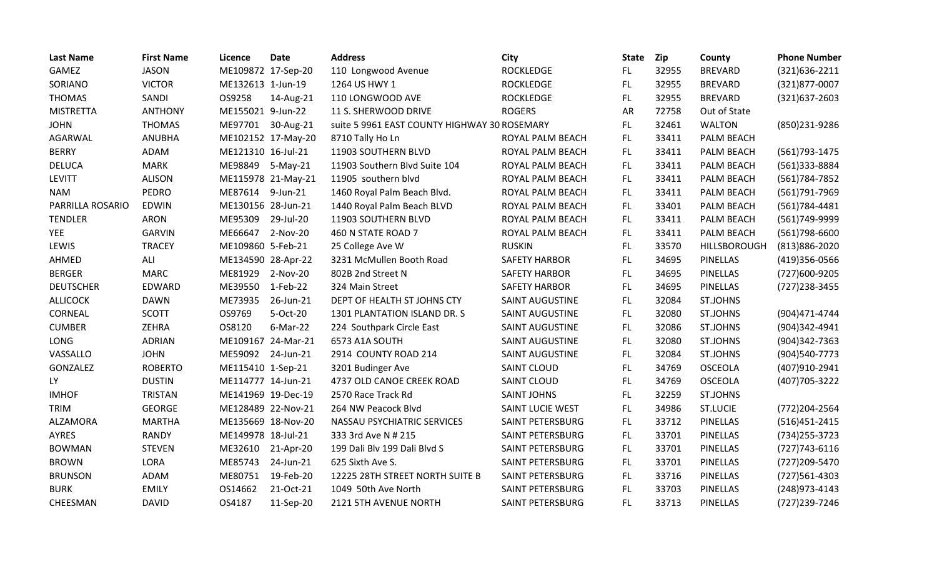| <b>Last Name</b> | <b>First Name</b> | Licence            | <b>Date</b>        | <b>Address</b>                               | City                    | <b>State</b> | Zip   | County              | <b>Phone Number</b> |
|------------------|-------------------|--------------------|--------------------|----------------------------------------------|-------------------------|--------------|-------|---------------------|---------------------|
| GAMEZ            | <b>JASON</b>      | ME109872 17-Sep-20 |                    | 110 Longwood Avenue                          | <b>ROCKLEDGE</b>        | FL           | 32955 | <b>BREVARD</b>      | (321)636-2211       |
| SORIANO          | <b>VICTOR</b>     | ME132613 1-Jun-19  |                    | 1264 US HWY 1                                | ROCKLEDGE               | FL.          | 32955 | <b>BREVARD</b>      | (321)877-0007       |
| <b>THOMAS</b>    | SANDI             | OS9258             | 14-Aug-21          | 110 LONGWOOD AVE                             | <b>ROCKLEDGE</b>        | FL.          | 32955 | <b>BREVARD</b>      | (321)637-2603       |
| <b>MISTRETTA</b> | <b>ANTHONY</b>    | ME155021 9-Jun-22  |                    | 11 S. SHERWOOD DRIVE                         | <b>ROGERS</b>           | <b>AR</b>    | 72758 | Out of State        |                     |
| <b>JOHN</b>      | <b>THOMAS</b>     | ME97701            | 30-Aug-21          | suite 5 9961 EAST COUNTY HIGHWAY 30 ROSEMARY |                         | FL.          | 32461 | <b>WALTON</b>       | (850)231-9286       |
| AGARWAL          | <b>ANUBHA</b>     |                    | ME102152 17-May-20 | 8710 Tally Ho Ln                             | ROYAL PALM BEACH        | FL.          | 33411 | PALM BEACH          |                     |
| <b>BERRY</b>     | ADAM              | ME121310 16-Jul-21 |                    | 11903 SOUTHERN BLVD                          | ROYAL PALM BEACH        | FL.          | 33411 | PALM BEACH          | (561) 793-1475      |
| <b>DELUCA</b>    | <b>MARK</b>       | ME98849            | 5-May-21           | 11903 Southern Blvd Suite 104                | ROYAL PALM BEACH        | FL.          | 33411 | PALM BEACH          | (561)333-8884       |
| <b>LEVITT</b>    | <b>ALISON</b>     |                    | ME115978 21-May-21 | 11905 southern blvd                          | ROYAL PALM BEACH        | FL.          | 33411 | PALM BEACH          | (561) 784-7852      |
| <b>NAM</b>       | <b>PEDRO</b>      | ME87614            | 9-Jun-21           | 1460 Royal Palm Beach Blvd.                  | ROYAL PALM BEACH        | <b>FL</b>    | 33411 | PALM BEACH          | (561) 791-7969      |
| PARRILLA ROSARIO | <b>EDWIN</b>      | ME130156 28-Jun-21 |                    | 1440 Royal Palm Beach BLVD                   | ROYAL PALM BEACH        | FL.          | 33401 | PALM BEACH          | $(561)784 - 4481$   |
| <b>TENDLER</b>   | <b>ARON</b>       | ME95309            | 29-Jul-20          | 11903 SOUTHERN BLVD                          | ROYAL PALM BEACH        | FL           | 33411 | PALM BEACH          | (561)749-9999       |
| <b>YEE</b>       | <b>GARVIN</b>     | ME66647            | 2-Nov-20           | 460 N STATE ROAD 7                           | ROYAL PALM BEACH        | FL.          | 33411 | PALM BEACH          | (561)798-6600       |
| LEWIS            | <b>TRACEY</b>     | ME109860 5-Feb-21  |                    | 25 College Ave W                             | <b>RUSKIN</b>           | FL.          | 33570 | <b>HILLSBOROUGH</b> | (813) 886-2020      |
| AHMED            | ALI               | ME134590 28-Apr-22 |                    | 3231 McMullen Booth Road                     | <b>SAFETY HARBOR</b>    | FL           | 34695 | <b>PINELLAS</b>     | (419)356-0566       |
| <b>BERGER</b>    | <b>MARC</b>       | ME81929            | 2-Nov-20           | 802B 2nd Street N                            | <b>SAFETY HARBOR</b>    | FL.          | 34695 | <b>PINELLAS</b>     | (727)600-9205       |
| <b>DEUTSCHER</b> | EDWARD            | ME39550            | $1-Feb-22$         | 324 Main Street                              | <b>SAFETY HARBOR</b>    | FL.          | 34695 | <b>PINELLAS</b>     | (727) 238-3455      |
| <b>ALLICOCK</b>  | <b>DAWN</b>       | ME73935            | 26-Jun-21          | DEPT OF HEALTH ST JOHNS CTY                  | <b>SAINT AUGUSTINE</b>  | FL.          | 32084 | <b>ST.JOHNS</b>     |                     |
| CORNEAL          | <b>SCOTT</b>      | OS9769             | 5-Oct-20           | 1301 PLANTATION ISLAND DR. S                 | <b>SAINT AUGUSTINE</b>  | FL.          | 32080 | <b>ST.JOHNS</b>     | (904)471-4744       |
| <b>CUMBER</b>    | ZEHRA             | OS8120             | 6-Mar-22           | 224 Southpark Circle East                    | <b>SAINT AUGUSTINE</b>  | FL.          | 32086 | ST.JOHNS            | (904)342-4941       |
| <b>LONG</b>      | <b>ADRIAN</b>     | ME109167 24-Mar-21 |                    | 6573 A1A SOUTH                               | <b>SAINT AUGUSTINE</b>  | FL.          | 32080 | <b>ST.JOHNS</b>     | (904)342-7363       |
| VASSALLO         | <b>JOHN</b>       | ME59092            | 24-Jun-21          | 2914 COUNTY ROAD 214                         | <b>SAINT AUGUSTINE</b>  | FL           | 32084 | <b>ST.JOHNS</b>     | (904)540-7773       |
| GONZALEZ         | <b>ROBERTO</b>    | ME115410 1-Sep-21  |                    | 3201 Budinger Ave                            | <b>SAINT CLOUD</b>      | FL.          | 34769 | <b>OSCEOLA</b>      | (407)910-2941       |
| LY               | <b>DUSTIN</b>     | ME114777 14-Jun-21 |                    | 4737 OLD CANOE CREEK ROAD                    | <b>SAINT CLOUD</b>      | FL.          | 34769 | <b>OSCEOLA</b>      | (407) 705-3222      |
| <b>IMHOF</b>     | <b>TRISTAN</b>    | ME141969 19-Dec-19 |                    | 2570 Race Track Rd                           | <b>SAINT JOHNS</b>      | FL           | 32259 | <b>ST.JOHNS</b>     |                     |
| <b>TRIM</b>      | <b>GEORGE</b>     | ME128489 22-Nov-21 |                    | 264 NW Peacock Blvd                          | <b>SAINT LUCIE WEST</b> | FL.          | 34986 | <b>ST.LUCIE</b>     | (772) 204-2564      |
| ALZAMORA         | <b>MARTHA</b>     | ME135669 18-Nov-20 |                    | NASSAU PSYCHIATRIC SERVICES                  | SAINT PETERSBURG        | FL.          | 33712 | PINELLAS            | (516) 451-2415      |
| <b>AYRES</b>     | <b>RANDY</b>      | ME149978 18-Jul-21 |                    | 333 3rd Ave N # 215                          | SAINT PETERSBURG        | FL.          | 33701 | <b>PINELLAS</b>     | (734) 255-3723      |
| <b>BOWMAN</b>    | <b>STEVEN</b>     | ME32610            | 21-Apr-20          | 199 Dali Blv 199 Dali Blvd S                 | SAINT PETERSBURG        | FL.          | 33701 | <b>PINELLAS</b>     | $(727)743 - 6116$   |
| <b>BROWN</b>     | LORA              | ME85743            | 24-Jun-21          | 625 Sixth Ave S.                             | SAINT PETERSBURG        | FL.          | 33701 | <b>PINELLAS</b>     | (727) 209-5470      |
| <b>BRUNSON</b>   | ADAM              | ME80751            | 19-Feb-20          | 12225 28TH STREET NORTH SUITE B              | SAINT PETERSBURG        | FL.          | 33716 | <b>PINELLAS</b>     | (727)561-4303       |
| <b>BURK</b>      | <b>EMILY</b>      | OS14662            | 21-Oct-21          | 1049 50th Ave North                          | SAINT PETERSBURG        | <b>FL</b>    | 33703 | <b>PINELLAS</b>     | (248) 973-4143      |
| CHEESMAN         | <b>DAVID</b>      | OS4187             | 11-Sep-20          | 2121 5TH AVENUE NORTH                        | SAINT PETERSBURG        | <b>FL</b>    | 33713 | <b>PINELLAS</b>     | (727) 239-7246      |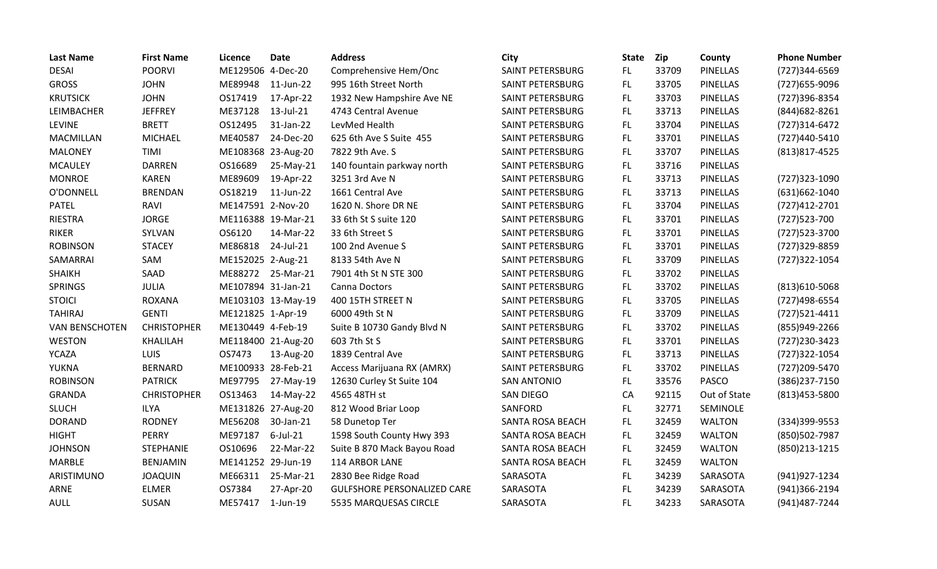| <b>Last Name</b>      | <b>First Name</b>  | Licence            | <b>Date</b>        | <b>Address</b>                     | City               | <b>State</b> | <b>Zip</b> | County          | <b>Phone Number</b> |
|-----------------------|--------------------|--------------------|--------------------|------------------------------------|--------------------|--------------|------------|-----------------|---------------------|
| <b>DESAI</b>          | <b>POORVI</b>      | ME129506 4-Dec-20  |                    | Comprehensive Hem/Onc              | SAINT PETERSBURG   | FL.          | 33709      | <b>PINELLAS</b> | (727)344-6569       |
| <b>GROSS</b>          | <b>JOHN</b>        | ME89948            | 11-Jun-22          | 995 16th Street North              | SAINT PETERSBURG   | FL.          | 33705      | <b>PINELLAS</b> | (727) 655-9096      |
| <b>KRUTSICK</b>       | <b>JOHN</b>        | OS17419            | 17-Apr-22          | 1932 New Hampshire Ave NE          | SAINT PETERSBURG   | FL.          | 33703      | <b>PINELLAS</b> | (727)396-8354       |
| LEIMBACHER            | <b>JEFFREY</b>     | ME37128            | 13-Jul-21          | 4743 Central Avenue                | SAINT PETERSBURG   | FL.          | 33713      | <b>PINELLAS</b> | (844) 682-8261      |
| <b>LEVINE</b>         | <b>BRETT</b>       | OS12495            | 31-Jan-22          | LevMed Health                      | SAINT PETERSBURG   | FL.          | 33704      | <b>PINELLAS</b> | (727)314-6472       |
| <b>MACMILLAN</b>      | <b>MICHAEL</b>     | ME40587            | 24-Dec-20          | 625 6th Ave S Suite 455            | SAINT PETERSBURG   | FL           | 33701      | <b>PINELLAS</b> | (727)440-5410       |
| <b>MALONEY</b>        | TIMI               |                    | ME108368 23-Aug-20 | 7822 9th Ave. S                    | SAINT PETERSBURG   | FL.          | 33707      | <b>PINELLAS</b> | (813) 817-4525      |
| <b>MCAULEY</b>        | <b>DARREN</b>      | OS16689            | 25-May-21          | 140 fountain parkway north         | SAINT PETERSBURG   | FL.          | 33716      | <b>PINELLAS</b> |                     |
| <b>MONROE</b>         | <b>KAREN</b>       | ME89609            | 19-Apr-22          | 3251 3rd Ave N                     | SAINT PETERSBURG   | FL.          | 33713      | <b>PINELLAS</b> | (727)323-1090       |
| O'DONNELL             | <b>BRENDAN</b>     | OS18219            | 11-Jun-22          | 1661 Central Ave                   | SAINT PETERSBURG   | FL.          | 33713      | <b>PINELLAS</b> | (631)662-1040       |
| <b>PATEL</b>          | <b>RAVI</b>        | ME147591 2-Nov-20  |                    | 1620 N. Shore DR NE                | SAINT PETERSBURG   | FL.          | 33704      | <b>PINELLAS</b> | (727) 412-2701      |
| <b>RIESTRA</b>        | <b>JORGE</b>       |                    | ME116388 19-Mar-21 | 33 6th St S suite 120              | SAINT PETERSBURG   | FL.          | 33701      | <b>PINELLAS</b> | (727) 523-700       |
| <b>RIKER</b>          | SYLVAN             | OS6120             | 14-Mar-22          | 33 6th Street S                    | SAINT PETERSBURG   | FL.          | 33701      | <b>PINELLAS</b> | (727) 523-3700      |
| <b>ROBINSON</b>       | <b>STACEY</b>      | ME86818            | 24-Jul-21          | 100 2nd Avenue S                   | SAINT PETERSBURG   | FL           | 33701      | <b>PINELLAS</b> | (727)329-8859       |
| SAMARRAI              | SAM                | ME152025 2-Aug-21  |                    | 8133 54th Ave N                    | SAINT PETERSBURG   | FL           | 33709      | <b>PINELLAS</b> | (727)322-1054       |
| <b>SHAIKH</b>         | SAAD               |                    | ME88272 25-Mar-21  | 7901 4th St N STE 300              | SAINT PETERSBURG   | FL           | 33702      | <b>PINELLAS</b> |                     |
| <b>SPRINGS</b>        | <b>JULIA</b>       | ME107894 31-Jan-21 |                    | Canna Doctors                      | SAINT PETERSBURG   | FL.          | 33702      | <b>PINELLAS</b> | $(813)610 - 5068$   |
| <b>STOICI</b>         | <b>ROXANA</b>      |                    | ME103103 13-May-19 | 400 15TH STREET N                  | SAINT PETERSBURG   | FL.          | 33705      | <b>PINELLAS</b> | (727)498-6554       |
| <b>TAHIRAJ</b>        | <b>GENTI</b>       | ME121825 1-Apr-19  |                    | 6000 49th St N                     | SAINT PETERSBURG   | FL.          | 33709      | <b>PINELLAS</b> | $(727)521 - 4411$   |
| <b>VAN BENSCHOTEN</b> | <b>CHRISTOPHER</b> | ME130449 4-Feb-19  |                    | Suite B 10730 Gandy Blvd N         | SAINT PETERSBURG   | FL.          | 33702      | <b>PINELLAS</b> | (855)949-2266       |
| <b>WESTON</b>         | <b>KHALILAH</b>    |                    | ME118400 21-Aug-20 | 603 7th St S                       | SAINT PETERSBURG   | FL.          | 33701      | <b>PINELLAS</b> | (727) 230-3423      |
| <b>YCAZA</b>          | LUIS               | OS7473             | 13-Aug-20          | 1839 Central Ave                   | SAINT PETERSBURG   | FL.          | 33713      | <b>PINELLAS</b> | (727) 322-1054      |
| YUKNA                 | <b>BERNARD</b>     | ME100933 28-Feb-21 |                    | Access Marijuana RX (AMRX)         | SAINT PETERSBURG   | FL.          | 33702      | <b>PINELLAS</b> | (727) 209-5470      |
| <b>ROBINSON</b>       | <b>PATRICK</b>     | ME97795            | 27-May-19          | 12630 Curley St Suite 104          | <b>SAN ANTONIO</b> | FL           | 33576      | <b>PASCO</b>    | (386) 237-7150      |
| <b>GRANDA</b>         | <b>CHRISTOPHER</b> | OS13463            | 14-May-22          | 4565 48TH st                       | SAN DIEGO          | CA           | 92115      | Out of State    | (813) 453-5800      |
| <b>SLUCH</b>          | <b>ILYA</b>        |                    | ME131826 27-Aug-20 | 812 Wood Briar Loop                | SANFORD            | FL.          | 32771      | <b>SEMINOLE</b> |                     |
| <b>DORAND</b>         | <b>RODNEY</b>      | ME56208            | 30-Jan-21          | 58 Dunetop Ter                     | SANTA ROSA BEACH   | FL.          | 32459      | <b>WALTON</b>   | (334) 399-9553      |
| <b>HIGHT</b>          | <b>PERRY</b>       | ME97187            | $6$ -Jul-21        | 1598 South County Hwy 393          | SANTA ROSA BEACH   | FL.          | 32459      | <b>WALTON</b>   | (850)502-7987       |
| <b>JOHNSON</b>        | <b>STEPHANIE</b>   | OS10696            | 22-Mar-22          | Suite B 870 Mack Bayou Road        | SANTA ROSA BEACH   | FL           | 32459      | <b>WALTON</b>   | (850) 213-1215      |
| <b>MARBLE</b>         | <b>BENJAMIN</b>    | ME141252 29-Jun-19 |                    | 114 ARBOR LANE                     | SANTA ROSA BEACH   | FL.          | 32459      | <b>WALTON</b>   |                     |
| ARISTIMUNO            | <b>JOAQUIN</b>     | ME66311            | 25-Mar-21          | 2830 Bee Ridge Road                | SARASOTA           | FL.          | 34239      | SARASOTA        | (941) 927-1234      |
| ARNE                  | <b>ELMER</b>       | OS7384             | 27-Apr-20          | <b>GULFSHORE PERSONALIZED CARE</b> | SARASOTA           | FL.          | 34239      | SARASOTA        | (941)366-2194       |
| AULL                  | SUSAN              | ME57417            | $1$ -Jun- $19$     | 5535 MARQUESAS CIRCLE              | SARASOTA           | FL           | 34233      | SARASOTA        | (941) 487-7244      |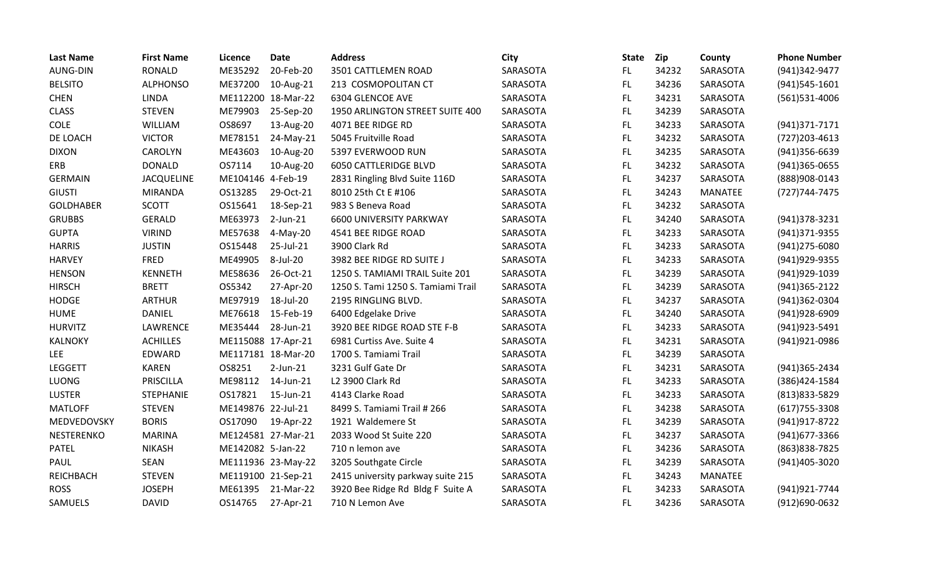| <b>Last Name</b>  | <b>First Name</b> | Licence            | <b>Date</b>        | <b>Address</b>                     | <b>City</b> | <b>State</b> | Zip   | County         | <b>Phone Number</b> |
|-------------------|-------------------|--------------------|--------------------|------------------------------------|-------------|--------------|-------|----------------|---------------------|
| <b>AUNG-DIN</b>   | <b>RONALD</b>     | ME35292            | 20-Feb-20          | 3501 CATTLEMEN ROAD                | SARASOTA    | FL.          | 34232 | SARASOTA       | (941)342-9477       |
| <b>BELSITO</b>    | <b>ALPHONSO</b>   | ME37200            | 10-Aug-21          | 213 COSMOPOLITAN CT                | SARASOTA    | FL.          | 34236 | SARASOTA       | (941)545-1601       |
| <b>CHEN</b>       | <b>LINDA</b>      | ME112200 18-Mar-22 |                    | 6304 GLENCOE AVE                   | SARASOTA    | FL.          | 34231 | SARASOTA       | (561)531-4006       |
| <b>CLASS</b>      | <b>STEVEN</b>     | ME79903            | 25-Sep-20          | 1950 ARLINGTON STREET SUITE 400    | SARASOTA    | <b>FL</b>    | 34239 | SARASOTA       |                     |
| <b>COLE</b>       | WILLIAM           | OS8697             | 13-Aug-20          | 4071 BEE RIDGE RD                  | SARASOTA    | FL.          | 34233 | SARASOTA       | (941) 371 - 7171    |
| DE LOACH          | <b>VICTOR</b>     | ME78151            | 24-May-21          | 5045 Fruitville Road               | SARASOTA    | FL           | 34232 | SARASOTA       | $(727)203 - 4613$   |
| <b>DIXON</b>      | <b>CAROLYN</b>    | ME43603            | 10-Aug-20          | 5397 EVERWOOD RUN                  | SARASOTA    | FL.          | 34235 | SARASOTA       | $(941)356-6639$     |
| ERB               | <b>DONALD</b>     | OS7114             | 10-Aug-20          | <b>6050 CATTLERIDGE BLVD</b>       | SARASOTA    | FL.          | 34232 | SARASOTA       | (941)365-0655       |
| <b>GERMAIN</b>    | <b>JACQUELINE</b> | ME104146 4-Feb-19  |                    | 2831 Ringling Blvd Suite 116D      | SARASOTA    | <b>FL</b>    | 34237 | SARASOTA       | (888) 908-0143      |
| <b>GIUSTI</b>     | <b>MIRANDA</b>    | OS13285            | 29-Oct-21          | 8010 25th Ct E #106                | SARASOTA    | FL.          | 34243 | <b>MANATEE</b> | (727) 744-7475      |
| <b>GOLDHABER</b>  | <b>SCOTT</b>      | OS15641            | 18-Sep-21          | 983 S Beneva Road                  | SARASOTA    | FL           | 34232 | SARASOTA       |                     |
| <b>GRUBBS</b>     | <b>GERALD</b>     | ME63973            | $2$ -Jun-21        | 6600 UNIVERSITY PARKWAY            | SARASOTA    | FL.          | 34240 | SARASOTA       | (941) 378-3231      |
| <b>GUPTA</b>      | <b>VIRIND</b>     | ME57638            | 4-May-20           | 4541 BEE RIDGE ROAD                | SARASOTA    | <b>FL</b>    | 34233 | SARASOTA       | (941)371-9355       |
| <b>HARRIS</b>     | <b>JUSTIN</b>     | OS15448            | 25-Jul-21          | 3900 Clark Rd                      | SARASOTA    | FL           | 34233 | SARASOTA       | (941) 275-6080      |
| <b>HARVEY</b>     | <b>FRED</b>       | ME49905            | 8-Jul-20           | 3982 BEE RIDGE RD SUITE J          | SARASOTA    | FL           | 34233 | SARASOTA       | (941) 929-9355      |
| <b>HENSON</b>     | <b>KENNETH</b>    | ME58636            | 26-Oct-21          | 1250 S. TAMIAMI TRAIL Suite 201    | SARASOTA    | <b>FL</b>    | 34239 | SARASOTA       | (941) 929-1039      |
| <b>HIRSCH</b>     | <b>BRETT</b>      | OS5342             | 27-Apr-20          | 1250 S. Tami 1250 S. Tamiami Trail | SARASOTA    | FL           | 34239 | SARASOTA       | (941)365-2122       |
| <b>HODGE</b>      | <b>ARTHUR</b>     | ME97919            | 18-Jul-20          | 2195 RINGLING BLVD.                | SARASOTA    | FL.          | 34237 | SARASOTA       | (941)362-0304       |
| <b>HUME</b>       | <b>DANIEL</b>     | ME76618            | 15-Feb-19          | 6400 Edgelake Drive                | SARASOTA    | FL.          | 34240 | SARASOTA       | (941) 928-6909      |
| <b>HURVITZ</b>    | LAWRENCE          | ME35444            | 28-Jun-21          | 3920 BEE RIDGE ROAD STE F-B        | SARASOTA    | FL.          | 34233 | SARASOTA       | (941) 923-5491      |
| <b>KALNOKY</b>    | <b>ACHILLES</b>   | ME115088 17-Apr-21 |                    | 6981 Curtiss Ave. Suite 4          | SARASOTA    | FL.          | 34231 | SARASOTA       | (941)921-0986       |
| <b>LEE</b>        | EDWARD            | ME117181 18-Mar-20 |                    | 1700 S. Tamiami Trail              | SARASOTA    | FL           | 34239 | SARASOTA       |                     |
| <b>LEGGETT</b>    | <b>KAREN</b>      | OS8251             | $2$ -Jun- $21$     | 3231 Gulf Gate Dr                  | SARASOTA    | FL.          | 34231 | SARASOTA       | (941)365-2434       |
| LUONG             | PRISCILLA         | ME98112            | 14-Jun-21          | L2 3900 Clark Rd                   | SARASOTA    | FL           | 34233 | SARASOTA       | (386)424-1584       |
| <b>LUSTER</b>     | <b>STEPHANIE</b>  | OS17821            | 15-Jun-21          | 4143 Clarke Road                   | SARASOTA    | FL.          | 34233 | SARASOTA       | (813) 833-5829      |
| <b>MATLOFF</b>    | <b>STEVEN</b>     | ME149876 22-Jul-21 |                    | 8499 S. Tamiami Trail # 266        | SARASOTA    | <b>FL</b>    | 34238 | SARASOTA       | $(617)755 - 3308$   |
| MEDVEDOVSKY       | <b>BORIS</b>      | OS17090            | 19-Apr-22          | 1921 Waldemere St                  | SARASOTA    | FL           | 34239 | SARASOTA       | (941) 917-8722      |
| <b>NESTERENKO</b> | <b>MARINA</b>     | ME124581 27-Mar-21 |                    | 2033 Wood St Suite 220             | SARASOTA    | FL.          | 34237 | SARASOTA       | (941) 677-3366      |
| <b>PATEL</b>      | <b>NIKASH</b>     | ME142082 5-Jan-22  |                    | 710 n lemon ave                    | SARASOTA    | <b>FL</b>    | 34236 | SARASOTA       | (863) 838-7825      |
| PAUL              | SEAN              |                    | ME111936 23-May-22 | 3205 Southgate Circle              | SARASOTA    | FL.          | 34239 | SARASOTA       | (941)405-3020       |
| <b>REICHBACH</b>  | <b>STEVEN</b>     | ME119100 21-Sep-21 |                    | 2415 university parkway suite 215  | SARASOTA    | FL.          | 34243 | MANATEE        |                     |
| <b>ROSS</b>       | <b>JOSEPH</b>     | ME61395            | 21-Mar-22          | 3920 Bee Ridge Rd Bldg F Suite A   | SARASOTA    | FL           | 34233 | SARASOTA       | (941) 921-7744      |
| SAMUELS           | <b>DAVID</b>      | OS14765            | 27-Apr-21          | 710 N Lemon Ave                    | SARASOTA    | <b>FL</b>    | 34236 | SARASOTA       | (912)690-0632       |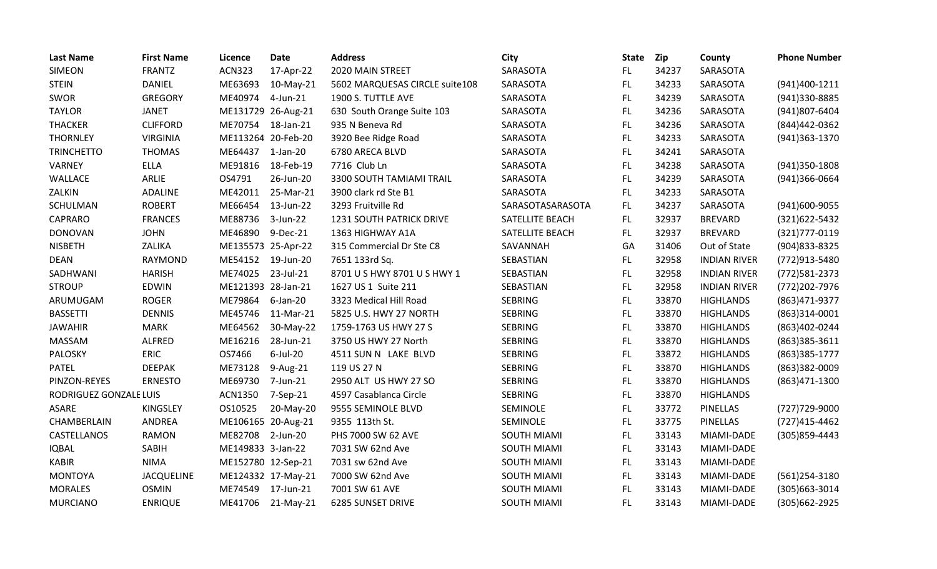| <b>Last Name</b>       | <b>First Name</b> | <b>Licence</b>     | <b>Date</b>        | <b>Address</b>                  | City               | <b>State</b> | <b>Zip</b> | County              | <b>Phone Number</b> |
|------------------------|-------------------|--------------------|--------------------|---------------------------------|--------------------|--------------|------------|---------------------|---------------------|
| <b>SIMEON</b>          | <b>FRANTZ</b>     | <b>ACN323</b>      | 17-Apr-22          | 2020 MAIN STREET                | SARASOTA           | FL.          | 34237      | SARASOTA            |                     |
| <b>STEIN</b>           | <b>DANIEL</b>     | ME63693            | 10-May-21          | 5602 MARQUESAS CIRCLE suite108  | SARASOTA           | FL.          | 34233      | SARASOTA            | (941)400-1211       |
| SWOR                   | <b>GREGORY</b>    | ME40974            | 4-Jun-21           | 1900 S. TUTTLE AVE              | SARASOTA           | FL.          | 34239      | SARASOTA            | (941)330-8885       |
| <b>TAYLOR</b>          | <b>JANET</b>      | ME131729 26-Aug-21 |                    | 630 South Orange Suite 103      | SARASOTA           | FL           | 34236      | SARASOTA            | (941)807-6404       |
| <b>THACKER</b>         | <b>CLIFFORD</b>   | ME70754            | 18-Jan-21          | 935 N Beneva Rd                 | SARASOTA           | <b>FL</b>    | 34236      | SARASOTA            | (844)442-0362       |
| <b>THORNLEY</b>        | <b>VIRGINIA</b>   | ME113264 20-Feb-20 |                    | 3920 Bee Ridge Road             | SARASOTA           | FL.          | 34233      | SARASOTA            | (941)363-1370       |
| <b>TRINCHETTO</b>      | <b>THOMAS</b>     | ME64437            | $1$ -Jan-20        | 6780 ARECA BLVD                 | SARASOTA           | FL.          | 34241      | SARASOTA            |                     |
| <b>VARNEY</b>          | <b>ELLA</b>       | ME91816            | 18-Feb-19          | 7716 Club Ln                    | SARASOTA           | FL.          | 34238      | SARASOTA            | (941)350-1808       |
| WALLACE                | ARLIE             | OS4791             | 26-Jun-20          | 3300 SOUTH TAMIAMI TRAIL        | SARASOTA           | FL           | 34239      | SARASOTA            | (941)366-0664       |
| ZALKIN                 | ADALINE           | ME42011            | 25-Mar-21          | 3900 clark rd Ste B1            | SARASOTA           | FL.          | 34233      | SARASOTA            |                     |
| SCHULMAN               | <b>ROBERT</b>     | ME66454            | 13-Jun-22          | 3293 Fruitville Rd              | SARASOTASARASOTA   | FL.          | 34237      | SARASOTA            | (941)600-9055       |
| CAPRARO                | <b>FRANCES</b>    | ME88736            | 3-Jun-22           | <b>1231 SOUTH PATRICK DRIVE</b> | SATELLITE BEACH    | FL.          | 32937      | <b>BREVARD</b>      | (321)622-5432       |
| <b>DONOVAN</b>         | <b>JOHN</b>       | ME46890            | 9-Dec-21           | 1363 HIGHWAY A1A                | SATELLITE BEACH    | FL.          | 32937      | <b>BREVARD</b>      | (321) 777-0119      |
| <b>NISBETH</b>         | ZALIKA            | ME135573 25-Apr-22 |                    | 315 Commercial Dr Ste C8        | SAVANNAH           | GA           | 31406      | Out of State        | (904) 833-8325      |
| <b>DEAN</b>            | RAYMOND           | ME54152            | 19-Jun-20          | 7651 133rd Sq.                  | SEBASTIAN          | FL.          | 32958      | <b>INDIAN RIVER</b> | (772)913-5480       |
| SADHWANI               | <b>HARISH</b>     | ME74025            | 23-Jul-21          | 8701 U S HWY 8701 U S HWY 1     | SEBASTIAN          | <b>FL</b>    | 32958      | <b>INDIAN RIVER</b> | (772) 581-2373      |
| <b>STROUP</b>          | EDWIN             | ME121393 28-Jan-21 |                    | 1627 US 1 Suite 211             | SEBASTIAN          | FL           | 32958      | <b>INDIAN RIVER</b> | (772) 202-7976      |
| ARUMUGAM               | <b>ROGER</b>      | ME79864            | 6-Jan-20           | 3323 Medical Hill Road          | <b>SEBRING</b>     | FL           | 33870      | <b>HIGHLANDS</b>    | (863) 471-9377      |
| <b>BASSETTI</b>        | <b>DENNIS</b>     | ME45746            | 11-Mar-21          | 5825 U.S. HWY 27 NORTH          | <b>SEBRING</b>     | FL.          | 33870      | <b>HIGHLANDS</b>    | $(863)314-0001$     |
| <b>JAWAHIR</b>         | <b>MARK</b>       | ME64562            | 30-May-22          | 1759-1763 US HWY 27 S           | <b>SEBRING</b>     | FL.          | 33870      | <b>HIGHLANDS</b>    | (863)402-0244       |
| MASSAM                 | ALFRED            | ME16216            | 28-Jun-21          | 3750 US HWY 27 North            | <b>SEBRING</b>     | <b>FL</b>    | 33870      | <b>HIGHLANDS</b>    | (863)385-3611       |
| PALOSKY                | <b>ERIC</b>       | OS7466             | $6$ -Jul-20        | 4511 SUN N LAKE BLVD            | <b>SEBRING</b>     | FL.          | 33872      | <b>HIGHLANDS</b>    | (863) 385-1777      |
| <b>PATEL</b>           | <b>DEEPAK</b>     | ME73128            | 9-Aug-21           | 119 US 27 N                     | <b>SEBRING</b>     | <b>FL</b>    | 33870      | <b>HIGHLANDS</b>    | (863)382-0009       |
| PINZON-REYES           | <b>ERNESTO</b>    | ME69730            | 7-Jun-21           | 2950 ALT US HWY 27 SO           | <b>SEBRING</b>     | <b>FL</b>    | 33870      | <b>HIGHLANDS</b>    | (863)471-1300       |
| RODRIGUEZ GONZALE LUIS |                   | ACN1350            | 7-Sep-21           | 4597 Casablanca Circle          | <b>SEBRING</b>     | FL.          | 33870      | <b>HIGHLANDS</b>    |                     |
| <b>ASARE</b>           | <b>KINGSLEY</b>   | OS10525            | 20-May-20          | 9555 SEMINOLE BLVD              | SEMINOLE           | <b>FL</b>    | 33772      | PINELLAS            | (727) 729-9000      |
| CHAMBERLAIN            | ANDREA            |                    | ME106165 20-Aug-21 | 9355 113th St.                  | SEMINOLE           | FL.          | 33775      | <b>PINELLAS</b>     | (727)415-4462       |
| CASTELLANOS            | <b>RAMON</b>      | ME82708            | 2-Jun-20           | PHS 7000 SW 62 AVE              | <b>SOUTH MIAMI</b> | FL.          | 33143      | MIAMI-DADE          | (305) 859-4443      |
| <b>IQBAL</b>           | SABIH             | ME149833 3-Jan-22  |                    | 7031 SW 62nd Ave                | SOUTH MIAMI        | FL.          | 33143      | MIAMI-DADE          |                     |
| <b>KABIR</b>           | <b>NIMA</b>       | ME152780 12-Sep-21 |                    | 7031 sw 62nd Ave                | <b>SOUTH MIAMI</b> | <b>FL</b>    | 33143      | MIAMI-DADE          |                     |
| <b>MONTOYA</b>         | <b>JACQUELINE</b> |                    | ME124332 17-May-21 | 7000 SW 62nd Ave                | <b>SOUTH MIAMI</b> | FL.          | 33143      | MIAMI-DADE          | (561)254-3180       |
| <b>MORALES</b>         | <b>OSMIN</b>      | ME74549            | 17-Jun-21          | 7001 SW 61 AVE                  | <b>SOUTH MIAMI</b> | <b>FL</b>    | 33143      | MIAMI-DADE          | (305) 663-3014      |
| <b>MURCIANO</b>        | <b>ENRIQUE</b>    | ME41706            | 21-May-21          | <b>6285 SUNSET DRIVE</b>        | <b>SOUTH MIAMI</b> | FL           | 33143      | MIAMI-DADE          | (305) 662-2925      |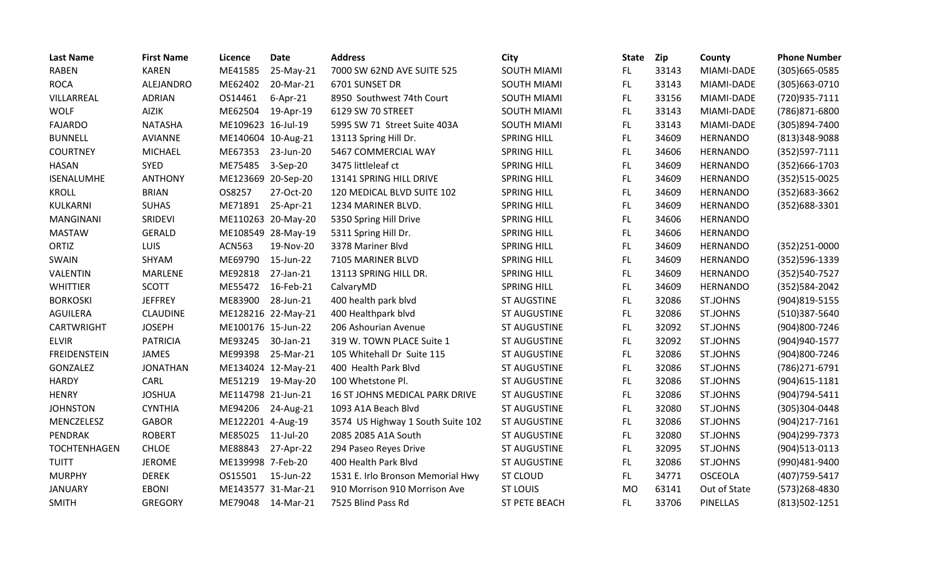| <b>Last Name</b>    | <b>First Name</b> | Licence            | <b>Date</b>        | <b>Address</b>                    | City                 | <b>State</b> | <b>Zip</b> | County          | <b>Phone Number</b> |
|---------------------|-------------------|--------------------|--------------------|-----------------------------------|----------------------|--------------|------------|-----------------|---------------------|
| <b>RABEN</b>        | <b>KAREN</b>      | ME41585            | 25-May-21          | 7000 SW 62ND AVE SUITE 525        | <b>SOUTH MIAMI</b>   | FL.          | 33143      | MIAMI-DADE      | $(305)665 - 0585$   |
| <b>ROCA</b>         | ALEJANDRO         | ME62402            | 20-Mar-21          | 6701 SUNSET DR                    | <b>SOUTH MIAMI</b>   | FL.          | 33143      | MIAMI-DADE      | (305) 663-0710      |
| VILLARREAL          | <b>ADRIAN</b>     | OS14461            | $6-Apr-21$         | 8950 Southwest 74th Court         | SOUTH MIAMI          | FL.          | 33156      | MIAMI-DADE      | (720)935-7111       |
| <b>WOLF</b>         | <b>AIZIK</b>      | ME62504            | 19-Apr-19          | 6129 SW 70 STREET                 | <b>SOUTH MIAMI</b>   | FL           | 33143      | MIAMI-DADE      | (786)871-6800       |
| <b>FAJARDO</b>      | <b>NATASHA</b>    | ME109623 16-Jul-19 |                    | 5995 SW 71 Street Suite 403A      | <b>SOUTH MIAMI</b>   | FL           | 33143      | MIAMI-DADE      | (305)894-7400       |
| <b>BUNNELL</b>      | <b>AVIANNE</b>    | ME140604 10-Aug-21 |                    | 13113 Spring Hill Dr.             | <b>SPRING HILL</b>   | FL.          | 34609      | <b>HERNANDO</b> | (813)348-9088       |
| <b>COURTNEY</b>     | <b>MICHAEL</b>    | ME67353            | 23-Jun-20          | 5467 COMMERCIAL WAY               | <b>SPRING HILL</b>   | FL.          | 34606      | <b>HERNANDO</b> | $(352)597 - 7111$   |
| <b>HASAN</b>        | <b>SYED</b>       | ME75485            | 3-Sep-20           | 3475 littleleaf ct                | <b>SPRING HILL</b>   | FL.          | 34609      | <b>HERNANDO</b> | (352)666-1703       |
| ISENALUMHE          | <b>ANTHONY</b>    | ME123669 20-Sep-20 |                    | 13141 SPRING HILL DRIVE           | <b>SPRING HILL</b>   | FL.          | 34609      | <b>HERNANDO</b> | (352)515-0025       |
| <b>KROLL</b>        | <b>BRIAN</b>      | OS8257             | 27-Oct-20          | 120 MEDICAL BLVD SUITE 102        | <b>SPRING HILL</b>   | FL           | 34609      | <b>HERNANDO</b> | (352) 683-3662      |
| KULKARNI            | <b>SUHAS</b>      | ME71891            | 25-Apr-21          | 1234 MARINER BLVD.                | <b>SPRING HILL</b>   | FL.          | 34609      | <b>HERNANDO</b> | (352)688-3301       |
| <b>MANGINANI</b>    | SRIDEVI           |                    | ME110263 20-May-20 | 5350 Spring Hill Drive            | <b>SPRING HILL</b>   | FL.          | 34606      | <b>HERNANDO</b> |                     |
| <b>MASTAW</b>       | <b>GERALD</b>     |                    | ME108549 28-May-19 | 5311 Spring Hill Dr.              | <b>SPRING HILL</b>   | FL           | 34606      | <b>HERNANDO</b> |                     |
| ORTIZ               | LUIS              | <b>ACN563</b>      | 19-Nov-20          | 3378 Mariner Blvd                 | <b>SPRING HILL</b>   | FL           | 34609      | <b>HERNANDO</b> | $(352)251 - 0000$   |
| SWAIN               | SHYAM             | ME69790            | 15-Jun-22          | 7105 MARINER BLVD                 | <b>SPRING HILL</b>   | FL.          | 34609      | <b>HERNANDO</b> | (352)596-1339       |
| VALENTIN            | MARLENE           | ME92818            | 27-Jan-21          | 13113 SPRING HILL DR.             | <b>SPRING HILL</b>   | FL           | 34609      | <b>HERNANDO</b> | (352)540-7527       |
| <b>WHITTIER</b>     | <b>SCOTT</b>      | ME55472            | 16-Feb-21          | CalvaryMD                         | <b>SPRING HILL</b>   | FL           | 34609      | <b>HERNANDO</b> | (352) 584-2042      |
| <b>BORKOSKI</b>     | <b>JEFFREY</b>    | ME83900            | 28-Jun-21          | 400 health park blvd              | <b>ST AUGSTINE</b>   | FL           | 32086      | <b>ST.JOHNS</b> | (904)819-5155       |
| AGUILERA            | <b>CLAUDINE</b>   |                    | ME128216 22-May-21 | 400 Healthpark blvd               | ST AUGUSTINE         | FL.          | 32086      | <b>ST.JOHNS</b> | (510)387-5640       |
| CARTWRIGHT          | <b>JOSEPH</b>     | ME100176 15-Jun-22 |                    | 206 Ashourian Avenue              | <b>ST AUGUSTINE</b>  | FL.          | 32092      | <b>ST.JOHNS</b> | (904)800-7246       |
| <b>ELVIR</b>        | <b>PATRICIA</b>   | ME93245            | 30-Jan-21          | 319 W. TOWN PLACE Suite 1         | <b>ST AUGUSTINE</b>  | FL.          | 32092      | <b>ST.JOHNS</b> | (904) 940-1577      |
| <b>FREIDENSTEIN</b> | <b>JAMES</b>      | ME99398            | 25-Mar-21          | 105 Whitehall Dr Suite 115        | <b>ST AUGUSTINE</b>  | FL.          | 32086      | <b>ST.JOHNS</b> | (904)800-7246       |
| GONZALEZ            | <b>JONATHAN</b>   |                    | ME134024 12-May-21 | 400 Health Park Blvd              | <b>ST AUGUSTINE</b>  | <b>FL</b>    | 32086      | <b>ST.JOHNS</b> | (786) 271-6791      |
| <b>HARDY</b>        | CARL              | ME51219            | 19-May-20          | 100 Whetstone Pl.                 | <b>ST AUGUSTINE</b>  | <b>FL</b>    | 32086      | <b>ST.JOHNS</b> | (904) 615-1181      |
| <b>HENRY</b>        | <b>JOSHUA</b>     | ME114798 21-Jun-21 |                    | 16 ST JOHNS MEDICAL PARK DRIVE    | <b>ST AUGUSTINE</b>  | FL           | 32086      | <b>ST.JOHNS</b> | (904) 794-5411      |
| <b>JOHNSTON</b>     | <b>CYNTHIA</b>    | ME94206            | 24-Aug-21          | 1093 A1A Beach Blvd               | <b>ST AUGUSTINE</b>  | <b>FL</b>    | 32080      | <b>ST.JOHNS</b> | (305)304-0448       |
| MENCZELESZ          | <b>GABOR</b>      | ME122201 4-Aug-19  |                    | 3574 US Highway 1 South Suite 102 | <b>ST AUGUSTINE</b>  | FL           | 32086      | <b>ST.JOHNS</b> | (904)217-7161       |
| PENDRAK             | <b>ROBERT</b>     | ME85025            | 11-Jul-20          | 2085 2085 A1A South               | ST AUGUSTINE         | FL.          | 32080      | <b>ST.JOHNS</b> | (904) 299-7373      |
| TOCHTENHAGEN        | <b>CHLOE</b>      | ME88843            | 27-Apr-22          | 294 Paseo Reyes Drive             | <b>ST AUGUSTINE</b>  | <b>FL</b>    | 32095      | <b>ST.JOHNS</b> | (904)513-0113       |
| <b>TUITT</b>        | <b>JEROME</b>     | ME139998 7-Feb-20  |                    | 400 Health Park Blvd              | <b>ST AUGUSTINE</b>  | FL.          | 32086      | <b>ST.JOHNS</b> | (990)481-9400       |
| <b>MURPHY</b>       | <b>DEREK</b>      | OS15501            | 15-Jun-22          | 1531 E. Irlo Bronson Memorial Hwy | <b>ST CLOUD</b>      | FL.          | 34771      | <b>OSCEOLA</b>  | (407) 759-5417      |
| <b>JANUARY</b>      | <b>EBONI</b>      |                    | ME143577 31-Mar-21 | 910 Morrison 910 Morrison Ave     | <b>ST LOUIS</b>      | <b>MO</b>    | 63141      | Out of State    | (573) 268-4830      |
| <b>SMITH</b>        | <b>GREGORY</b>    | ME79048            | 14-Mar-21          | 7525 Blind Pass Rd                | <b>ST PETE BEACH</b> | <b>FL</b>    | 33706      | <b>PINELLAS</b> | (813)502-1251       |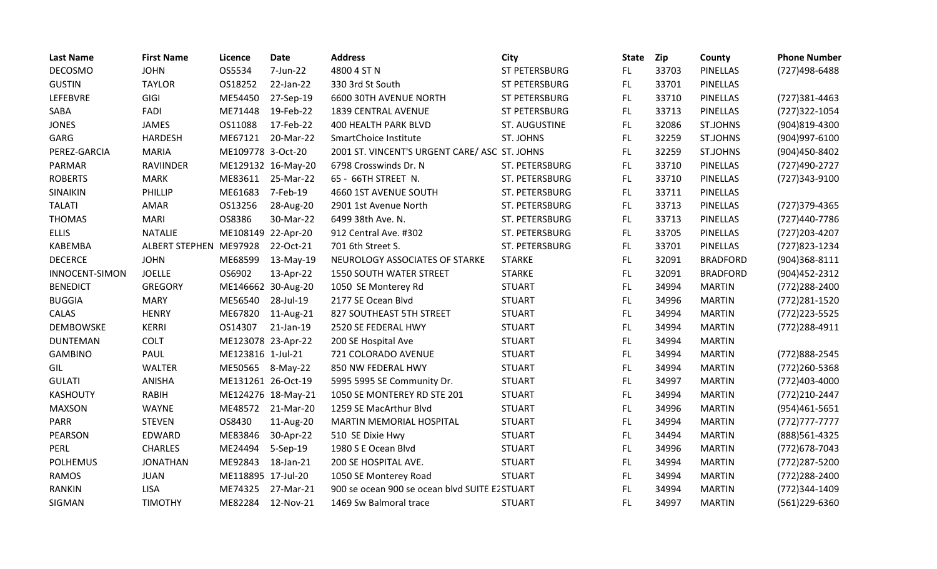| <b>Last Name</b>      | <b>First Name</b>      | Licence            | <b>Date</b>        | <b>Address</b>                                 | City           | <b>State</b> | <b>Zip</b> | County          | <b>Phone Number</b> |
|-----------------------|------------------------|--------------------|--------------------|------------------------------------------------|----------------|--------------|------------|-----------------|---------------------|
| <b>DECOSMO</b>        | <b>JOHN</b>            | OS5534             | 7-Jun-22           | 4800 4 ST N                                    | ST PETERSBURG  | FL           | 33703      | <b>PINELLAS</b> | (727)498-6488       |
| <b>GUSTIN</b>         | <b>TAYLOR</b>          | OS18252            | 22-Jan-22          | 330 3rd St South                               | ST PETERSBURG  | FL.          | 33701      | <b>PINELLAS</b> |                     |
| LEFEBVRE              | GIGI                   | ME54450            | 27-Sep-19          | 6600 30TH AVENUE NORTH                         | ST PETERSBURG  | FL           | 33710      | <b>PINELLAS</b> | (727)381-4463       |
| SABA                  | FADI                   | ME71448            | 19-Feb-22          | 1839 CENTRAL AVENUE                            | ST PETERSBURG  | FL           | 33713      | <b>PINELLAS</b> | (727)322-1054       |
| <b>JONES</b>          | <b>JAMES</b>           | OS11088            | 17-Feb-22          | <b>400 HEALTH PARK BLVD</b>                    | ST. AUGUSTINE  | FL.          | 32086      | <b>ST.JOHNS</b> | (904)819-4300       |
| GARG                  | <b>HARDESH</b>         | ME67121            | 20-Mar-22          | SmartChoice Institute                          | ST. JOHNS      | <b>FL</b>    | 32259      | <b>ST.JOHNS</b> | (904) 997-6100      |
| PEREZ-GARCIA          | <b>MARIA</b>           | ME109778 3-Oct-20  |                    | 2001 ST. VINCENT'S URGENT CARE/ ASC ST. JOHNS  |                | FL           | 32259      | <b>ST.JOHNS</b> | (904)450-8402       |
| PARMAR                | <b>RAVIINDER</b>       |                    | ME129132 16-May-20 | 6798 Crosswinds Dr. N                          | ST. PETERSBURG | FL.          | 33710      | <b>PINELLAS</b> | (727)490-2727       |
| <b>ROBERTS</b>        | <b>MARK</b>            | ME83611            | 25-Mar-22          | 65 - 66TH STREET N.                            | ST. PETERSBURG | FL           | 33710      | <b>PINELLAS</b> | (727)343-9100       |
| SINAIKIN              | PHILLIP                | ME61683            | 7-Feb-19           | 4660 1ST AVENUE SOUTH                          | ST. PETERSBURG | FL.          | 33711      | <b>PINELLAS</b> |                     |
| <b>TALATI</b>         | AMAR                   | OS13256            | 28-Aug-20          | 2901 1st Avenue North                          | ST. PETERSBURG | FL           | 33713      | <b>PINELLAS</b> | (727) 379-4365      |
| <b>THOMAS</b>         | <b>MARI</b>            | OS8386             | 30-Mar-22          | 6499 38th Ave. N.                              | ST. PETERSBURG | FL.          | 33713      | <b>PINELLAS</b> | (727)440-7786       |
| <b>ELLIS</b>          | <b>NATALIE</b>         | ME108149 22-Apr-20 |                    | 912 Central Ave. #302                          | ST. PETERSBURG | FL.          | 33705      | <b>PINELLAS</b> | (727) 203-4207      |
| <b>KABEMBA</b>        | ALBERT STEPHEN ME97928 |                    | 22-Oct-21          | 701 6th Street S.                              | ST. PETERSBURG | <b>FL</b>    | 33701      | <b>PINELLAS</b> | (727) 823-1234      |
| <b>DECERCE</b>        | <b>JOHN</b>            | ME68599            | 13-May-19          | NEUROLOGY ASSOCIATES OF STARKE                 | <b>STARKE</b>  | <b>FL</b>    | 32091      | <b>BRADFORD</b> | $(904)368 - 8111$   |
| <b>INNOCENT-SIMON</b> | <b>JOELLE</b>          | OS6902             | 13-Apr-22          | <b>1550 SOUTH WATER STREET</b>                 | <b>STARKE</b>  | FL           | 32091      | <b>BRADFORD</b> | (904) 452 - 2312    |
| <b>BENEDICT</b>       | <b>GREGORY</b>         |                    | ME146662 30-Aug-20 | 1050 SE Monterey Rd                            | <b>STUART</b>  | FL           | 34994      | <b>MARTIN</b>   | (772) 288-2400      |
| <b>BUGGIA</b>         | <b>MARY</b>            | ME56540            | 28-Jul-19          | 2177 SE Ocean Blvd                             | <b>STUART</b>  | FL.          | 34996      | <b>MARTIN</b>   | (772) 281-1520      |
| CALAS                 | <b>HENRY</b>           | ME67820            | 11-Aug-21          | 827 SOUTHEAST 5TH STREET                       | <b>STUART</b>  | FL.          | 34994      | <b>MARTIN</b>   | (772) 223-5525      |
| <b>DEMBOWSKE</b>      | <b>KERRI</b>           | OS14307            | 21-Jan-19          | 2520 SE FEDERAL HWY                            | <b>STUART</b>  | FL.          | 34994      | <b>MARTIN</b>   | (772) 288-4911      |
| <b>DUNTEMAN</b>       | <b>COLT</b>            | ME123078 23-Apr-22 |                    | 200 SE Hospital Ave                            | <b>STUART</b>  | FL           | 34994      | <b>MARTIN</b>   |                     |
| <b>GAMBINO</b>        | PAUL                   | ME123816 1-Jul-21  |                    | 721 COLORADO AVENUE                            | <b>STUART</b>  | FL.          | 34994      | <b>MARTIN</b>   | (772) 888-2545      |
| GIL                   | <b>WALTER</b>          | ME50565            | 8-May-22           | 850 NW FEDERAL HWY                             | <b>STUART</b>  | FL.          | 34994      | <b>MARTIN</b>   | (772) 260-5368      |
| <b>GULATI</b>         | ANISHA                 | ME131261 26-Oct-19 |                    | 5995 5995 SE Community Dr.                     | <b>STUART</b>  | FL           | 34997      | <b>MARTIN</b>   | (772)403-4000       |
| <b>KASHOUTY</b>       | <b>RABIH</b>           |                    | ME124276 18-May-21 | 1050 SE MONTEREY RD STE 201                    | <b>STUART</b>  | FL.          | 34994      | <b>MARTIN</b>   | (772)210-2447       |
| <b>MAXSON</b>         | <b>WAYNE</b>           | ME48572            | 21-Mar-20          | 1259 SE MacArthur Blvd                         | <b>STUART</b>  | FL.          | 34996      | <b>MARTIN</b>   | (954)461-5651       |
| <b>PARR</b>           | <b>STEVEN</b>          | OS8430             | 11-Aug-20          | <b>MARTIN MEMORIAL HOSPITAL</b>                | <b>STUART</b>  | FL           | 34994      | <b>MARTIN</b>   | $(772)777-7777$     |
| <b>PEARSON</b>        | EDWARD                 | ME83846            | 30-Apr-22          | 510 SE Dixie Hwy                               | <b>STUART</b>  | FL.          | 34494      | <b>MARTIN</b>   | (888) 561-4325      |
| PERL                  | <b>CHARLES</b>         | ME24494            | 5-Sep-19           | 1980 S E Ocean Blvd                            | <b>STUART</b>  | FL.          | 34996      | <b>MARTIN</b>   | (772) 678-7043      |
| <b>POLHEMUS</b>       | <b>JONATHAN</b>        | ME92843            | 18-Jan-21          | 200 SE HOSPITAL AVE.                           | <b>STUART</b>  | FL.          | 34994      | <b>MARTIN</b>   | (772) 287-5200      |
| <b>RAMOS</b>          | <b>JUAN</b>            | ME118895 17-Jul-20 |                    | 1050 SE Monterey Road                          | <b>STUART</b>  | FL.          | 34994      | <b>MARTIN</b>   | (772) 288-2400      |
| <b>RANKIN</b>         | <b>LISA</b>            | ME74325            | 27-Mar-21          | 900 se ocean 900 se ocean blvd SUITE E2 STUART |                | FL           | 34994      | <b>MARTIN</b>   | (772)344-1409       |
| SIGMAN                | <b>TIMOTHY</b>         | ME82284            | 12-Nov-21          | 1469 Sw Balmoral trace                         | <b>STUART</b>  | FL           | 34997      | <b>MARTIN</b>   | (561)229-6360       |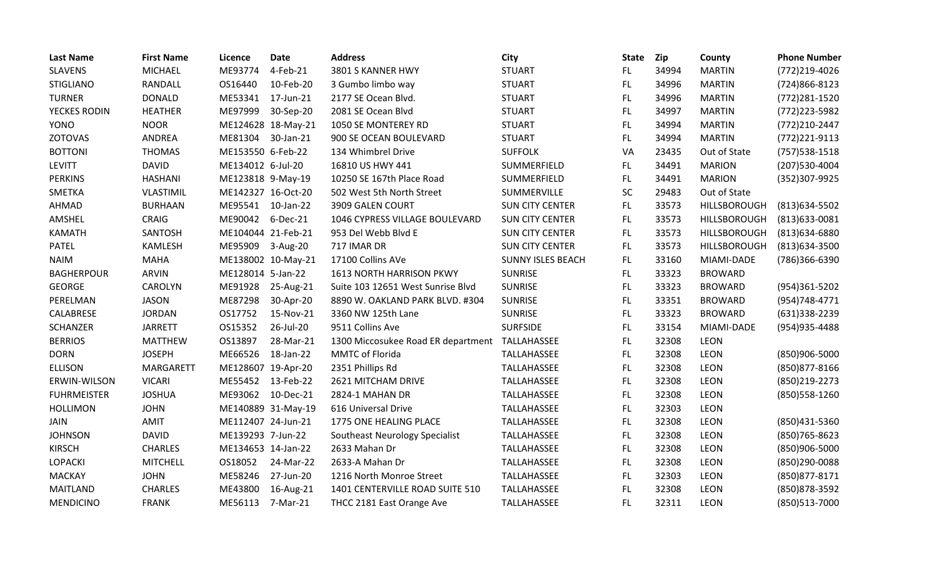| <b>Last Name</b>   | <b>First Name</b> | Licence            | <b>Date</b>        | <b>Address</b>                     | City                     | <b>State</b> | Zip   | County              | <b>Phone Number</b> |
|--------------------|-------------------|--------------------|--------------------|------------------------------------|--------------------------|--------------|-------|---------------------|---------------------|
| <b>SLAVENS</b>     | <b>MICHAEL</b>    | ME93774            | 4-Feb-21           | 3801 S KANNER HWY                  | <b>STUART</b>            | FL.          | 34994 | <b>MARTIN</b>       | (772)219-4026       |
| <b>STIGLIANO</b>   | RANDALL           | OS16440            | 10-Feb-20          | 3 Gumbo limbo way                  | <b>STUART</b>            | <b>FL</b>    | 34996 | <b>MARTIN</b>       | (724)866-8123       |
| <b>TURNER</b>      | <b>DONALD</b>     | ME53341            | 17-Jun-21          | 2177 SE Ocean Blvd.                | <b>STUART</b>            | <b>FL</b>    | 34996 | <b>MARTIN</b>       | (772) 281-1520      |
| YECKES RODIN       | <b>HEATHER</b>    | ME97999            | 30-Sep-20          | 2081 SE Ocean Blvd                 | <b>STUART</b>            | <b>FL</b>    | 34997 | <b>MARTIN</b>       | (772) 223-5982      |
| YONO               | <b>NOOR</b>       |                    | ME124628 18-May-21 | 1050 SE MONTEREY RD                | <b>STUART</b>            | FL           | 34994 | <b>MARTIN</b>       | (772)210-2447       |
| <b>ZOTOVAS</b>     | ANDREA            | ME81304            | 30-Jan-21          | 900 SE OCEAN BOULEVARD             | <b>STUART</b>            | <b>FL</b>    | 34994 | <b>MARTIN</b>       | (772) 221-9113      |
| <b>BOTTONI</b>     | <b>THOMAS</b>     | ME153550 6-Feb-22  |                    | 134 Whimbrel Drive                 | <b>SUFFOLK</b>           | VA           | 23435 | Out of State        | (757) 538-1518      |
| <b>LEVITT</b>      | <b>DAVID</b>      | ME134012 6-Jul-20  |                    | 16810 US HWY 441                   | SUMMERFIELD              | FL.          | 34491 | <b>MARION</b>       | (207) 530-4004      |
| <b>PERKINS</b>     | <b>HASHANI</b>    | ME123818 9-May-19  |                    | 10250 SE 167th Place Road          | SUMMERFIELD              | <b>FL</b>    | 34491 | <b>MARION</b>       | (352)307-9925       |
| SMETKA             | <b>VLASTIMIL</b>  | ME142327 16-Oct-20 |                    | 502 West 5th North Street          | SUMMERVILLE              | SC           | 29483 | Out of State        |                     |
| AHMAD              | <b>BURHAAN</b>    | ME95541 10-Jan-22  |                    | 3909 GALEN COURT                   | <b>SUN CITY CENTER</b>   | FL.          | 33573 | <b>HILLSBOROUGH</b> | (813) 634-5502      |
| AMSHEL             | <b>CRAIG</b>      | ME90042            | 6-Dec-21           | 1046 CYPRESS VILLAGE BOULEVARD     | <b>SUN CITY CENTER</b>   | FL           | 33573 | HILLSBOROUGH        | (813) 633-0081      |
| <b>KAMATH</b>      | SANTOSH           | ME104044 21-Feb-21 |                    | 953 Del Webb Blvd E                | <b>SUN CITY CENTER</b>   | FL.          | 33573 | HILLSBOROUGH        | (813) 634-6880      |
| <b>PATEL</b>       | <b>KAMLESH</b>    | ME95909            | 3-Aug-20           | 717 IMAR DR                        | <b>SUN CITY CENTER</b>   | <b>FL</b>    | 33573 | HILLSBOROUGH        | (813) 634-3500      |
| <b>NAIM</b>        | <b>MAHA</b>       |                    | ME138002 10-May-21 | 17100 Collins AVe                  | <b>SUNNY ISLES BEACH</b> | <b>FL</b>    | 33160 | MIAMI-DADE          | (786)366-6390       |
| <b>BAGHERPOUR</b>  | <b>ARVIN</b>      | ME128014 5-Jan-22  |                    | 1613 NORTH HARRISON PKWY           | <b>SUNRISE</b>           | <b>FL</b>    | 33323 | <b>BROWARD</b>      |                     |
| <b>GEORGE</b>      | <b>CAROLYN</b>    | ME91928            | 25-Aug-21          | Suite 103 12651 West Sunrise Blvd  | <b>SUNRISE</b>           | FL.          | 33323 | <b>BROWARD</b>      | (954)361-5202       |
| PERELMAN           | <b>JASON</b>      | ME87298            | 30-Apr-20          | 8890 W. OAKLAND PARK BLVD. #304    | <b>SUNRISE</b>           | FL.          | 33351 | <b>BROWARD</b>      | (954) 748-4771      |
| CALABRESE          | <b>JORDAN</b>     | OS17752            | 15-Nov-21          | 3360 NW 125th Lane                 | <b>SUNRISE</b>           | FL           | 33323 | <b>BROWARD</b>      | (631)338-2239       |
| <b>SCHANZER</b>    | <b>JARRETT</b>    | OS15352            | 26-Jul-20          | 9511 Collins Ave                   | <b>SURFSIDE</b>          | FL           | 33154 | MIAMI-DADE          | (954) 935-4488      |
| <b>BERRIOS</b>     | <b>MATTHEW</b>    | OS13897            | 28-Mar-21          | 1300 Miccosukee Road ER department | TALLAHASSEE              | <b>FL</b>    | 32308 | <b>LEON</b>         |                     |
| <b>DORN</b>        | <b>JOSEPH</b>     | ME66526            | 18-Jan-22          | MMTC of Florida                    | TALLAHASSEE              | FL.          | 32308 | LEON                | (850)906-5000       |
| <b>ELLISON</b>     | <b>MARGARETT</b>  | ME128607 19-Apr-20 |                    | 2351 Phillips Rd                   | TALLAHASSEE              | <b>FL</b>    | 32308 | LEON                | (850) 877-8166      |
| ERWIN-WILSON       | <b>VICARI</b>     | ME55452            | 13-Feb-22          | 2621 MITCHAM DRIVE                 | TALLAHASSEE              | FL           | 32308 | LEON                | (850)219-2273       |
| <b>FUHRMEISTER</b> | <b>JOSHUA</b>     | ME93062            | 10-Dec-21          | 2824-1 MAHAN DR                    | TALLAHASSEE              | <b>FL</b>    | 32308 | LEON                | (850) 558-1260      |
| <b>HOLLIMON</b>    | <b>JOHN</b>       |                    | ME140889 31-May-19 | 616 Universal Drive                | TALLAHASSEE              | <b>FL</b>    | 32303 | LEON                |                     |
| JAIN               | AMIT              | ME112407 24-Jun-21 |                    | 1775 ONE HEALING PLACE             | TALLAHASSEE              | <b>FL</b>    | 32308 | LEON                | (850)431-5360       |
| <b>JOHNSON</b>     | <b>DAVID</b>      | ME139293 7-Jun-22  |                    | Southeast Neurology Specialist     | TALLAHASSEE              | FL           | 32308 | LEON                | (850) 765-8623      |
| <b>KIRSCH</b>      | <b>CHARLES</b>    | ME134653 14-Jan-22 |                    | 2633 Mahan Dr                      | TALLAHASSEE              | FL.          | 32308 | LEON                | (850)906-5000       |
| <b>LOPACKI</b>     | <b>MITCHELL</b>   | OS18052            | 24-Mar-22          | 2633-A Mahan Dr                    | TALLAHASSEE              | FL.          | 32308 | LEON                | (850)290-0088       |
| <b>MACKAY</b>      | <b>JOHN</b>       | ME58246            | 27-Jun-20          | 1216 North Monroe Street           | TALLAHASSEE              | <b>FL</b>    | 32303 | LEON                | (850) 877-8171      |
| <b>MAITLAND</b>    | <b>CHARLES</b>    | ME43800            | 16-Aug-21          | 1401 CENTERVILLE ROAD SUITE 510    | TALLAHASSEE              | FL.          | 32308 | LEON                | (850) 878-3592      |
| <b>MENDICINO</b>   | <b>FRANK</b>      | ME56113            | 7-Mar-21           | THCC 2181 East Orange Ave          | TALLAHASSEE              | <b>FL</b>    | 32311 | <b>LEON</b>         | (850)513-7000       |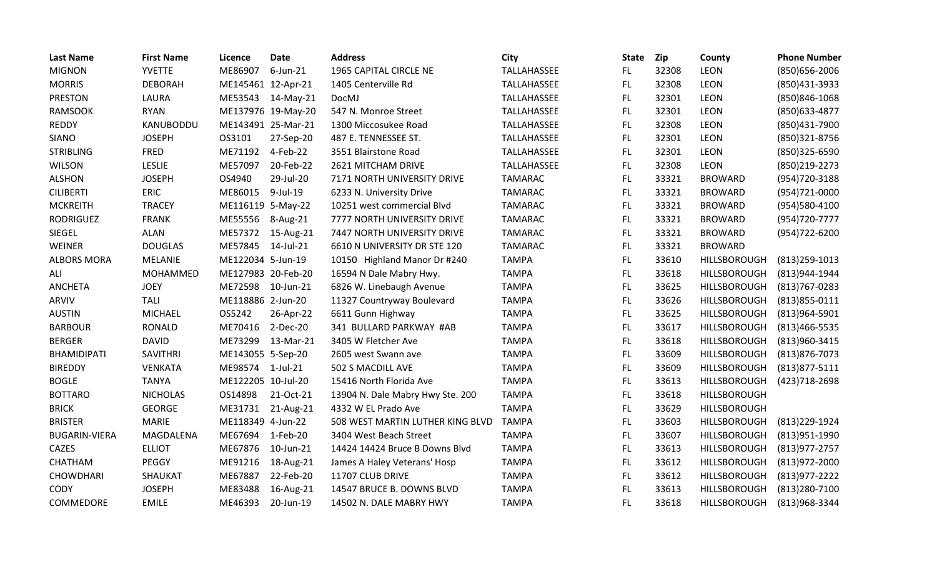| <b>Last Name</b>     | <b>First Name</b> | Licence            | <b>Date</b> | <b>Address</b>                   | City           | <b>State</b> | Zip   | County              | <b>Phone Number</b> |
|----------------------|-------------------|--------------------|-------------|----------------------------------|----------------|--------------|-------|---------------------|---------------------|
| <b>MIGNON</b>        | <b>YVETTE</b>     | ME86907            | $6$ -Jun-21 | 1965 CAPITAL CIRCLE NE           | TALLAHASSEE    | FL.          | 32308 | LEON                | (850) 656-2006      |
| <b>MORRIS</b>        | <b>DEBORAH</b>    | ME145461 12-Apr-21 |             | 1405 Centerville Rd              | TALLAHASSEE    | FL           | 32308 | <b>LEON</b>         | (850)431-3933       |
| <b>PRESTON</b>       | LAURA             | ME53543            | 14-May-21   | DocMJ                            | TALLAHASSEE    | <b>FL</b>    | 32301 | <b>LEON</b>         | (850)846-1068       |
| <b>RAMSOOK</b>       | <b>RYAN</b>       | ME137976 19-May-20 |             | 547 N. Monroe Street             | TALLAHASSEE    | <b>FL</b>    | 32301 | LEON                | (850) 633-4877      |
| <b>REDDY</b>         | KANUBODDU         | ME143491 25-Mar-21 |             | 1300 Miccosukee Road             | TALLAHASSEE    | FL.          | 32308 | LEON                | (850)431-7900       |
| <b>SIANO</b>         | <b>JOSEPH</b>     | OS3101             | 27-Sep-20   | 487 E. TENNESSEE ST.             | TALLAHASSEE    | FL.          | 32301 | <b>LEON</b>         | (850)321-8756       |
| <b>STRIBLING</b>     | <b>FRED</b>       | ME71192            | 4-Feb-22    | 3551 Blairstone Road             | TALLAHASSEE    | <b>FL</b>    | 32301 | LEON                | (850)325-6590       |
| <b>WILSON</b>        | LESLIE            | ME57097            | 20-Feb-22   | 2621 MITCHAM DRIVE               | TALLAHASSEE    | FL           | 32308 | <b>LEON</b>         | (850)219-2273       |
| <b>ALSHON</b>        | <b>JOSEPH</b>     | OS4940             | 29-Jul-20   | 7171 NORTH UNIVERSITY DRIVE      | <b>TAMARAC</b> | FL           | 33321 | <b>BROWARD</b>      | (954) 720-3188      |
| <b>CILIBERTI</b>     | <b>ERIC</b>       | ME86015            | 9-Jul-19    | 6233 N. University Drive         | <b>TAMARAC</b> | FL.          | 33321 | <b>BROWARD</b>      | (954)721-0000       |
| <b>MCKREITH</b>      | <b>TRACEY</b>     | ME116119 5-May-22  |             | 10251 west commercial Blvd       | <b>TAMARAC</b> | FL           | 33321 | <b>BROWARD</b>      | (954)580-4100       |
| <b>RODRIGUEZ</b>     | <b>FRANK</b>      | ME55556            | 8-Aug-21    | 7777 NORTH UNIVERSITY DRIVE      | <b>TAMARAC</b> | FL           | 33321 | <b>BROWARD</b>      | (954) 720-7777      |
| SIEGEL               | <b>ALAN</b>       | ME57372            | 15-Aug-21   | 7447 NORTH UNIVERSITY DRIVE      | <b>TAMARAC</b> | <b>FL</b>    | 33321 | <b>BROWARD</b>      | (954) 722-6200      |
| WEINER               | <b>DOUGLAS</b>    | ME57845            | 14-Jul-21   | 6610 N UNIVERSITY DR STE 120     | <b>TAMARAC</b> | FL           | 33321 | <b>BROWARD</b>      |                     |
| <b>ALBORS MORA</b>   | <b>MELANIE</b>    | ME122034 5-Jun-19  |             | 10150 Highland Manor Dr #240     | <b>TAMPA</b>   | FL           | 33610 | HILLSBOROUGH        | $(813)$ 259-1013    |
| ALI                  | MOHAMMED          | ME127983 20-Feb-20 |             | 16594 N Dale Mabry Hwy.          | <b>TAMPA</b>   | <b>FL</b>    | 33618 | HILLSBOROUGH        | (813)944-1944       |
| <b>ANCHETA</b>       | <b>JOEY</b>       | ME72598            | 10-Jun-21   | 6826 W. Linebaugh Avenue         | <b>TAMPA</b>   | FL           | 33625 | HILLSBOROUGH        | (813) 767-0283      |
| ARVIV                | <b>TALI</b>       | ME118886 2-Jun-20  |             | 11327 Countryway Boulevard       | <b>TAMPA</b>   | FL           | 33626 | HILLSBOROUGH        | $(813)855 - 0111$   |
| <b>AUSTIN</b>        | <b>MICHAEL</b>    | OS5242             | 26-Apr-22   | 6611 Gunn Highway                | <b>TAMPA</b>   | <b>FL</b>    | 33625 | HILLSBOROUGH        | (813)964-5901       |
| <b>BARBOUR</b>       | <b>RONALD</b>     | ME70416            | 2-Dec-20    | 341 BULLARD PARKWAY #AB          | <b>TAMPA</b>   | FL           | 33617 | HILLSBOROUGH        | (813) 466-5535      |
| <b>BERGER</b>        | <b>DAVID</b>      | ME73299            | 13-Mar-21   | 3405 W Fletcher Ave              | <b>TAMPA</b>   | FL           | 33618 | HILLSBOROUGH        | (813)960-3415       |
| <b>BHAMIDIPATI</b>   | SAVITHRI          | ME143055 5-Sep-20  |             | 2605 west Swann ave              | <b>TAMPA</b>   | <b>FL</b>    | 33609 | HILLSBOROUGH        | (813) 876-7073      |
| <b>BIREDDY</b>       | <b>VENKATA</b>    | ME98574            | $1$ -Jul-21 | 502 S MACDILL AVE                | <b>TAMPA</b>   | FL           | 33609 | HILLSBOROUGH        | $(813)877 - 5111$   |
| <b>BOGLE</b>         | <b>TANYA</b>      | ME122205 10-Jul-20 |             | 15416 North Florida Ave          | <b>TAMPA</b>   | FL           | 33613 | <b>HILLSBOROUGH</b> | (423) 718-2698      |
| <b>BOTTARO</b>       | <b>NICHOLAS</b>   | OS14898            | 21-Oct-21   | 13904 N. Dale Mabry Hwy Ste. 200 | <b>TAMPA</b>   | <b>FL</b>    | 33618 | <b>HILLSBOROUGH</b> |                     |
| <b>BRICK</b>         | <b>GEORGE</b>     | ME31731            | 21-Aug-21   | 4332 W EL Prado Ave              | <b>TAMPA</b>   | <b>FL</b>    | 33629 | HILLSBOROUGH        |                     |
| <b>BRISTER</b>       | <b>MARIE</b>      | ME118349 4-Jun-22  |             | 508 WEST MARTIN LUTHER KING BLVD | <b>TAMPA</b>   | FL.          | 33603 | HILLSBOROUGH        | (813) 229-1924      |
| <b>BUGARIN-VIERA</b> | MAGDALENA         | ME67694            | 1-Feb-20    | 3404 West Beach Street           | <b>TAMPA</b>   | <b>FL</b>    | 33607 | HILLSBOROUGH        | (813) 951-1990      |
| CAZES                | <b>ELLIOT</b>     | ME67876            | 10-Jun-21   | 14424 14424 Bruce B Downs Blvd   | <b>TAMPA</b>   | FL           | 33613 | HILLSBOROUGH        | $(813)977 - 2757$   |
| CHATHAM              | PEGGY             | ME91216            | 18-Aug-21   | James A Haley Veterans' Hosp     | <b>TAMPA</b>   | FL           | 33612 | HILLSBOROUGH        | (813) 972-2000      |
| <b>CHOWDHARI</b>     | SHAUKAT           | ME67887            | 22-Feb-20   | 11707 CLUB DRIVE                 | <b>TAMPA</b>   | <b>FL</b>    | 33612 | HILLSBOROUGH        | $(813)977 - 2222$   |
| <b>CODY</b>          | <b>JOSEPH</b>     | ME83488            | 16-Aug-21   | 14547 BRUCE B. DOWNS BLVD        | <b>TAMPA</b>   | FL           | 33613 | HILLSBOROUGH        | (813) 280-7100      |
| <b>COMMEDORE</b>     | <b>EMILE</b>      | ME46393            | 20-Jun-19   | 14502 N. DALE MABRY HWY          | <b>TAMPA</b>   | <b>FL</b>    | 33618 | <b>HILLSBOROUGH</b> | (813)968-3344       |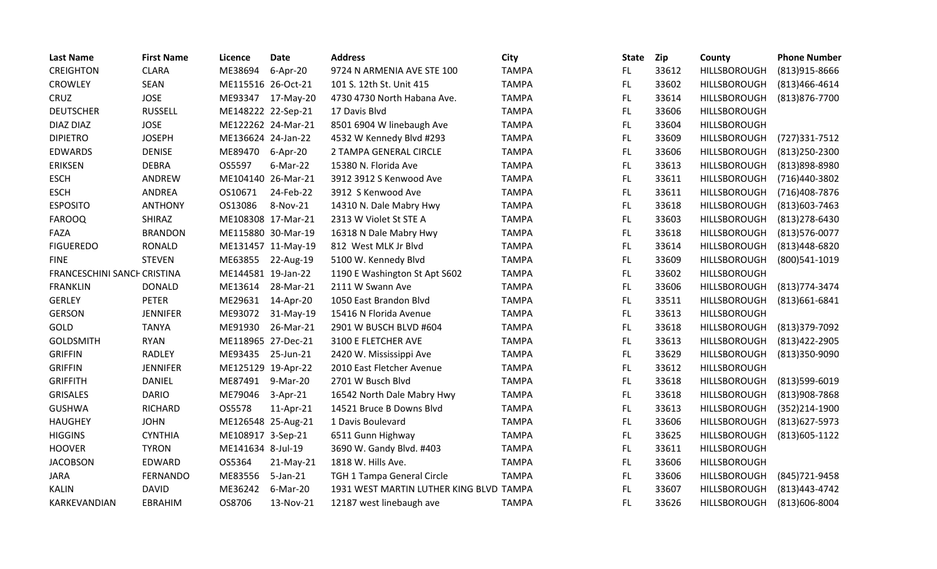| <b>Last Name</b>            | <b>First Name</b> | <b>Licence</b>     | <b>Date</b>        | <b>Address</b>                          | City         | <b>State</b> | Zip   | County              | <b>Phone Number</b> |
|-----------------------------|-------------------|--------------------|--------------------|-----------------------------------------|--------------|--------------|-------|---------------------|---------------------|
| <b>CREIGHTON</b>            | <b>CLARA</b>      | ME38694            | $6 - Apr - 20$     | 9724 N ARMENIA AVE STE 100              | <b>TAMPA</b> | FL.          | 33612 | HILLSBOROUGH        | (813) 915-8666      |
| <b>CROWLEY</b>              | <b>SEAN</b>       | ME115516 26-Oct-21 |                    | 101 S. 12th St. Unit 415                | <b>TAMPA</b> | FL.          | 33602 | HILLSBOROUGH        | $(813)466 - 4614$   |
| CRUZ                        | <b>JOSE</b>       | ME93347            | 17-May-20          | 4730 4730 North Habana Ave.             | <b>TAMPA</b> | FL.          | 33614 | <b>HILLSBOROUGH</b> | (813) 876-7700      |
| <b>DEUTSCHER</b>            | <b>RUSSELL</b>    | ME148222 22-Sep-21 |                    | 17 Davis Blvd                           | <b>TAMPA</b> | FL           | 33606 | HILLSBOROUGH        |                     |
| DIAZ DIAZ                   | <b>JOSE</b>       | ME122262 24-Mar-21 |                    | 8501 6904 W linebaugh Ave               | <b>TAMPA</b> | FL.          | 33604 | HILLSBOROUGH        |                     |
| <b>DIPIETRO</b>             | <b>JOSEPH</b>     | ME136624 24-Jan-22 |                    | 4532 W Kennedy Blvd #293                | <b>TAMPA</b> | FL.          | 33609 | <b>HILLSBOROUGH</b> | (727)331-7512       |
| <b>EDWARDS</b>              | <b>DENISE</b>     | ME89470            | 6-Apr-20           | 2 TAMPA GENERAL CIRCLE                  | <b>TAMPA</b> | FL           | 33606 | HILLSBOROUGH        | $(813)$ 250-2300    |
| <b>ERIKSEN</b>              | <b>DEBRA</b>      | OS5597             | 6-Mar-22           | 15380 N. Florida Ave                    | <b>TAMPA</b> | FL           | 33613 | HILLSBOROUGH        | (813)898-8980       |
| <b>ESCH</b>                 | ANDREW            | ME104140 26-Mar-21 |                    | 3912 3912 S Kenwood Ave                 | <b>TAMPA</b> | FL           | 33611 | HILLSBOROUGH        | (716)440-3802       |
| <b>ESCH</b>                 | ANDREA            | OS10671            | 24-Feb-22          | 3912 S Kenwood Ave                      | <b>TAMPA</b> | FL.          | 33611 | HILLSBOROUGH        | (716)408-7876       |
| <b>ESPOSITO</b>             | <b>ANTHONY</b>    | OS13086            | 8-Nov-21           | 14310 N. Dale Mabry Hwy                 | <b>TAMPA</b> | FL.          | 33618 | HILLSBOROUGH        | (813) 603 - 7463    |
| <b>FAROOQ</b>               | SHIRAZ            | ME108308 17-Mar-21 |                    | 2313 W Violet St STE A                  | <b>TAMPA</b> | FL.          | 33603 | <b>HILLSBOROUGH</b> | $(813)$ 278-6430    |
| FAZA                        | <b>BRANDON</b>    | ME115880 30-Mar-19 |                    | 16318 N Dale Mabry Hwy                  | <b>TAMPA</b> | FL           | 33618 | HILLSBOROUGH        | (813) 576-0077      |
| <b>FIGUEREDO</b>            | <b>RONALD</b>     |                    | ME131457 11-May-19 | 812 West MLK Jr Blvd                    | <b>TAMPA</b> | FL           | 33614 | HILLSBOROUGH        | (813)448-6820       |
| <b>FINE</b>                 | <b>STEVEN</b>     | ME63855            | 22-Aug-19          | 5100 W. Kennedy Blvd                    | <b>TAMPA</b> | FL.          | 33609 | HILLSBOROUGH        | (800)541-1019       |
| FRANCESCHINI SANCH CRISTINA |                   | ME144581 19-Jan-22 |                    | 1190 E Washington St Apt S602           | <b>TAMPA</b> | <b>FL</b>    | 33602 | <b>HILLSBOROUGH</b> |                     |
| <b>FRANKLIN</b>             | <b>DONALD</b>     | ME13614            | 28-Mar-21          | 2111 W Swann Ave                        | <b>TAMPA</b> | FL.          | 33606 | HILLSBOROUGH        | (813) 774-3474      |
| <b>GERLEY</b>               | <b>PETER</b>      | ME29631            | 14-Apr-20          | 1050 East Brandon Blvd                  | <b>TAMPA</b> | FL.          | 33511 | <b>HILLSBOROUGH</b> | $(813)661-6841$     |
| <b>GERSON</b>               | <b>JENNIFER</b>   | ME93072            | 31-May-19          | 15416 N Florida Avenue                  | <b>TAMPA</b> | FL           | 33613 | HILLSBOROUGH        |                     |
| GOLD                        | <b>TANYA</b>      | ME91930            | 26-Mar-21          | 2901 W BUSCH BLVD #604                  | <b>TAMPA</b> | FL.          | 33618 | HILLSBOROUGH        | (813)379-7092       |
| <b>GOLDSMITH</b>            | <b>RYAN</b>       | ME118965 27-Dec-21 |                    | 3100 E FLETCHER AVE                     | <b>TAMPA</b> | FL.          | 33613 | <b>HILLSBOROUGH</b> | (813) 422-2905      |
| <b>GRIFFIN</b>              | <b>RADLEY</b>     | ME93435            | 25-Jun-21          | 2420 W. Mississippi Ave                 | <b>TAMPA</b> | FL           | 33629 | HILLSBOROUGH        | (813)350-9090       |
| <b>GRIFFIN</b>              | <b>JENNIFER</b>   | ME125129 19-Apr-22 |                    | 2010 East Fletcher Avenue               | <b>TAMPA</b> | FL.          | 33612 | HILLSBOROUGH        |                     |
| <b>GRIFFITH</b>             | <b>DANIEL</b>     | ME87491            | 9-Mar-20           | 2701 W Busch Blvd                       | <b>TAMPA</b> | FL.          | 33618 | <b>HILLSBOROUGH</b> | (813)599-6019       |
| <b>GRISALES</b>             | <b>DARIO</b>      | ME79046            | 3-Apr-21           | 16542 North Dale Mabry Hwy              | <b>TAMPA</b> | FL           | 33618 | HILLSBOROUGH        | (813)908-7868       |
| <b>GUSHWA</b>               | <b>RICHARD</b>    | OS5578             | 11-Apr-21          | 14521 Bruce B Downs Blvd                | <b>TAMPA</b> | FL           | 33613 | HILLSBOROUGH        | (352)214-1900       |
| <b>HAUGHEY</b>              | <b>JOHN</b>       | ME126548 25-Aug-21 |                    | 1 Davis Boulevard                       | <b>TAMPA</b> | <b>FL</b>    | 33606 | HILLSBOROUGH        | (813) 627-5973      |
| <b>HIGGINS</b>              | <b>CYNTHIA</b>    | ME108917 3-Sep-21  |                    | 6511 Gunn Highway                       | <b>TAMPA</b> | FL           | 33625 | HILLSBOROUGH        | $(813)605-1122$     |
| <b>HOOVER</b>               | <b>TYRON</b>      | ME141634 8-Jul-19  |                    | 3690 W. Gandy Blvd. #403                | <b>TAMPA</b> | FL.          | 33611 | HILLSBOROUGH        |                     |
| <b>JACOBSON</b>             | EDWARD            | OS5364             | $21-May-21$        | 1818 W. Hills Ave.                      | <b>TAMPA</b> | FL.          | 33606 | HILLSBOROUGH        |                     |
| <b>JARA</b>                 | <b>FERNANDO</b>   | ME83556            | $5$ -Jan-21        | TGH 1 Tampa General Circle              | <b>TAMPA</b> | FL           | 33606 | HILLSBOROUGH        | (845) 721-9458      |
| <b>KALIN</b>                | <b>DAVID</b>      | ME36242            | 6-Mar-20           | 1931 WEST MARTIN LUTHER KING BLVD TAMPA |              | FL.          | 33607 | HILLSBOROUGH        | (813) 443-4742      |
| KARKEVANDIAN                | <b>EBRAHIM</b>    | OS8706             | 13-Nov-21          | 12187 west linebaugh ave                | <b>TAMPA</b> | <b>FL</b>    | 33626 | <b>HILLSBOROUGH</b> | (813)606-8004       |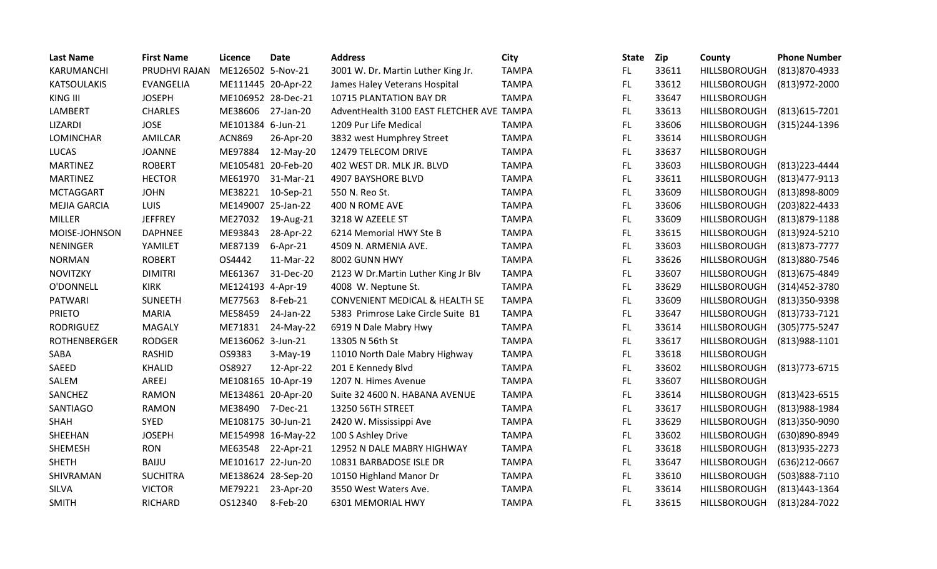| <b>Last Name</b>    | <b>First Name</b> | Licence            | <b>Date</b>        | <b>Address</b>                            | City         | <b>State</b> | Zip   | County              | <b>Phone Number</b> |
|---------------------|-------------------|--------------------|--------------------|-------------------------------------------|--------------|--------------|-------|---------------------|---------------------|
| KARUMANCHI          | PRUDHVI RAJAN     | ME126502 5-Nov-21  |                    | 3001 W. Dr. Martin Luther King Jr.        | <b>TAMPA</b> | FL.          | 33611 | HILLSBOROUGH        | (813) 870-4933      |
| <b>KATSOULAKIS</b>  | <b>EVANGELIA</b>  | ME111445 20-Apr-22 |                    | James Haley Veterans Hospital             | <b>TAMPA</b> | FL.          | 33612 | <b>HILLSBOROUGH</b> | $(813)972 - 2000$   |
| KING III            | <b>JOSEPH</b>     | ME106952 28-Dec-21 |                    | 10715 PLANTATION BAY DR                   | <b>TAMPA</b> | FL.          | 33647 | HILLSBOROUGH        |                     |
| LAMBERT             | <b>CHARLES</b>    | ME38606            | 27-Jan-20          | AdventHealth 3100 EAST FLETCHER AVE TAMPA |              | FL           | 33613 | HILLSBOROUGH        | (813) 615-7201      |
| LIZARDI             | <b>JOSE</b>       | ME101384 6-Jun-21  |                    | 1209 Pur Life Medical                     | <b>TAMPA</b> | FL.          | 33606 | <b>HILLSBOROUGH</b> | (315)244-1396       |
| <b>LOMINCHAR</b>    | AMILCAR           | <b>ACN869</b>      | 26-Apr-20          | 3832 west Humphrey Street                 | <b>TAMPA</b> | FL.          | 33614 | HILLSBOROUGH        |                     |
| <b>LUCAS</b>        | <b>JOANNE</b>     | ME97884            | 12-May-20          | 12479 TELECOM DRIVE                       | <b>TAMPA</b> | FL.          | 33637 | <b>HILLSBOROUGH</b> |                     |
| <b>MARTINEZ</b>     | <b>ROBERT</b>     | ME105481 20-Feb-20 |                    | 402 WEST DR. MLK JR. BLVD                 | <b>TAMPA</b> | FL.          | 33603 | HILLSBOROUGH        | $(813)$ 223-4444    |
| <b>MARTINEZ</b>     | <b>HECTOR</b>     | ME61970            | 31-Mar-21          | 4907 BAYSHORE BLVD                        | <b>TAMPA</b> | FL.          | 33611 | HILLSBOROUGH        | (813) 477-9113      |
| <b>MCTAGGART</b>    | <b>JOHN</b>       | ME38221            | 10-Sep-21          | 550 N. Reo St.                            | <b>TAMPA</b> | FL.          | 33609 | <b>HILLSBOROUGH</b> | (813)898-8009       |
| <b>MEJIA GARCIA</b> | LUIS              | ME149007 25-Jan-22 |                    | 400 N ROME AVE                            | <b>TAMPA</b> | FL.          | 33606 | HILLSBOROUGH        | (203) 822-4433      |
| <b>MILLER</b>       | <b>JEFFREY</b>    | ME27032            | 19-Aug-21          | 3218 W AZEELE ST                          | <b>TAMPA</b> | FL.          | 33609 | HILLSBOROUGH        | (813) 879-1188      |
| MOISE-JOHNSON       | <b>DAPHNEE</b>    | ME93843            | 28-Apr-22          | 6214 Memorial HWY Ste B                   | <b>TAMPA</b> | FL.          | 33615 | HILLSBOROUGH        | (813) 924-5210      |
| <b>NENINGER</b>     | YAMILET           | ME87139            | $6-Apr-21$         | 4509 N. ARMENIA AVE.                      | <b>TAMPA</b> | FL           | 33603 | HILLSBOROUGH        | $(813)873 - 7777$   |
| <b>NORMAN</b>       | <b>ROBERT</b>     | OS4442             | 11-Mar-22          | 8002 GUNN HWY                             | <b>TAMPA</b> | FL.          | 33626 | <b>HILLSBOROUGH</b> | (813) 880-7546      |
| <b>NOVITZKY</b>     | <b>DIMITRI</b>    | ME61367            | 31-Dec-20          | 2123 W Dr. Martin Luther King Jr Blv      | <b>TAMPA</b> | FL           | 33607 | HILLSBOROUGH        | (813) 675-4849      |
| O'DONNELL           | <b>KIRK</b>       | ME124193 4-Apr-19  |                    | 4008 W. Neptune St.                       | <b>TAMPA</b> | FL.          | 33629 | <b>HILLSBOROUGH</b> | (314) 452-3780      |
| <b>PATWARI</b>      | <b>SUNEETH</b>    | ME77563            | 8-Feb-21           | CONVENIENT MEDICAL & HEALTH SE            | <b>TAMPA</b> | FL.          | 33609 | <b>HILLSBOROUGH</b> | (813)350-9398       |
| <b>PRIETO</b>       | <b>MARIA</b>      | ME58459            | 24-Jan-22          | 5383 Primrose Lake Circle Suite B1        | <b>TAMPA</b> | FL           | 33647 | HILLSBOROUGH        | $(813)733 - 7121$   |
| <b>RODRIGUEZ</b>    | <b>MAGALY</b>     | ME71831            | 24-May-22          | 6919 N Dale Mabry Hwy                     | <b>TAMPA</b> | FL.          | 33614 | HILLSBOROUGH        | (305) 775-5247      |
| <b>ROTHENBERGER</b> | <b>RODGER</b>     | ME136062 3-Jun-21  |                    | 13305 N 56th St                           | <b>TAMPA</b> | FL           | 33617 | HILLSBOROUGH        | (813) 988-1101      |
| SABA                | <b>RASHID</b>     | OS9383             | $3-May-19$         | 11010 North Dale Mabry Highway            | <b>TAMPA</b> | FL.          | 33618 | HILLSBOROUGH        |                     |
| SAEED               | <b>KHALID</b>     | OS8927             | 12-Apr-22          | 201 E Kennedy Blvd                        | <b>TAMPA</b> | FL.          | 33602 | <b>HILLSBOROUGH</b> | (813) 773-6715      |
| SALEM               | AREEJ             | ME108165 10-Apr-19 |                    | 1207 N. Himes Avenue                      | <b>TAMPA</b> | FL           | 33607 | HILLSBOROUGH        |                     |
| SANCHEZ             | <b>RAMON</b>      | ME134861 20-Apr-20 |                    | Suite 32 4600 N. HABANA AVENUE            | <b>TAMPA</b> | FL           | 33614 | HILLSBOROUGH        | $(813)423 - 6515$   |
| <b>SANTIAGO</b>     | <b>RAMON</b>      | ME38490 7-Dec-21   |                    | 13250 56TH STREET                         | <b>TAMPA</b> | FL.          | 33617 | HILLSBOROUGH        | (813) 988-1984      |
| <b>SHAH</b>         | <b>SYED</b>       | ME108175 30-Jun-21 |                    | 2420 W. Mississippi Ave                   | <b>TAMPA</b> | FL           | 33629 | HILLSBOROUGH        | (813)350-9090       |
| SHEEHAN             | <b>JOSEPH</b>     |                    | ME154998 16-May-22 | 100 S Ashley Drive                        | <b>TAMPA</b> | <b>FL</b>    | 33602 | HILLSBOROUGH        | (630)890-8949       |
| SHEMESH             | <b>RON</b>        | ME63548            | 22-Apr-21          | 12952 N DALE MABRY HIGHWAY                | <b>TAMPA</b> | FL.          | 33618 | HILLSBOROUGH        | (813) 935 - 2273    |
| <b>SHETH</b>        | <b>BAIJU</b>      | ME101617 22-Jun-20 |                    | 10831 BARBADOSE ISLE DR                   | <b>TAMPA</b> | FL.          | 33647 | HILLSBOROUGH        | (636)212-0667       |
| SHIVRAMAN           | <b>SUCHITRA</b>   | ME138624 28-Sep-20 |                    | 10150 Highland Manor Dr                   | <b>TAMPA</b> | FL.          | 33610 | <b>HILLSBOROUGH</b> | (503)888-7110       |
| <b>SILVA</b>        | <b>VICTOR</b>     | ME79221            | 23-Apr-20          | 3550 West Waters Ave.                     | <b>TAMPA</b> | FL           | 33614 | HILLSBOROUGH        | (813) 443 - 1364    |
| <b>SMITH</b>        | <b>RICHARD</b>    | OS12340            | 8-Feb-20           | 6301 MEMORIAL HWY                         | <b>TAMPA</b> | FL           | 33615 | <b>HILLSBOROUGH</b> | (813) 284-7022      |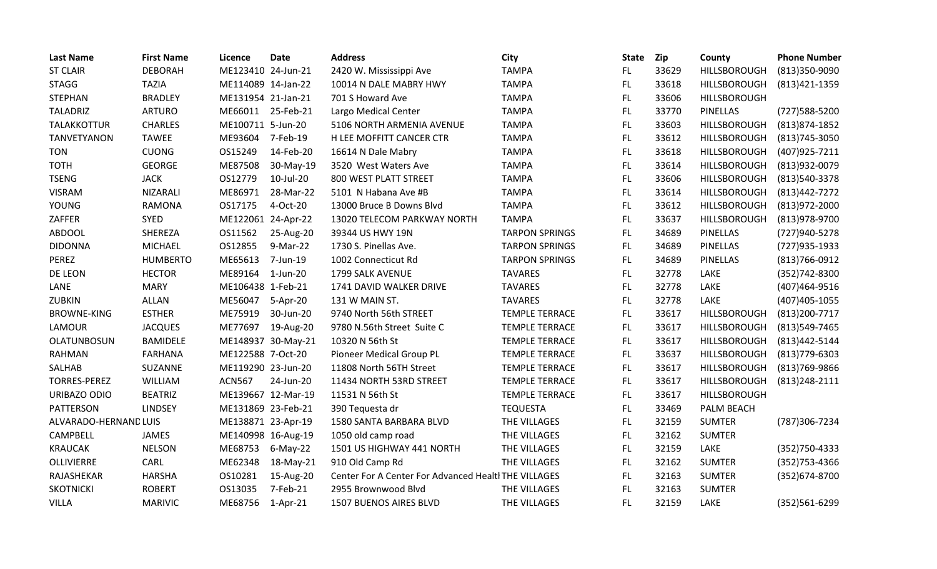| <b>Last Name</b>      | <b>First Name</b> | Licence            | <b>Date</b> | <b>Address</b>                                       | City                  | <b>State</b> | Zip   | County              | <b>Phone Number</b> |
|-----------------------|-------------------|--------------------|-------------|------------------------------------------------------|-----------------------|--------------|-------|---------------------|---------------------|
| <b>ST CLAIR</b>       | <b>DEBORAH</b>    | ME123410 24-Jun-21 |             | 2420 W. Mississippi Ave                              | <b>TAMPA</b>          | FL.          | 33629 | HILLSBOROUGH        | (813)350-9090       |
| <b>STAGG</b>          | <b>TAZIA</b>      | ME114089 14-Jan-22 |             | 10014 N DALE MABRY HWY                               | <b>TAMPA</b>          | FL.          | 33618 | HILLSBOROUGH        | (813) 421-1359      |
| <b>STEPHAN</b>        | <b>BRADLEY</b>    | ME131954 21-Jan-21 |             | 701 S Howard Ave                                     | <b>TAMPA</b>          | FL           | 33606 | HILLSBOROUGH        |                     |
| <b>TALADRIZ</b>       | <b>ARTURO</b>     | ME66011            | 25-Feb-21   | Largo Medical Center                                 | <b>TAMPA</b>          | FL.          | 33770 | <b>PINELLAS</b>     | (727)588-5200       |
| TALAKKOTTUR           | <b>CHARLES</b>    | ME100711 5-Jun-20  |             | 5106 NORTH ARMENIA AVENUE                            | <b>TAMPA</b>          | FL.          | 33603 | HILLSBOROUGH        | (813) 874-1852      |
| <b>TANVETYANON</b>    | <b>TAWEE</b>      | ME93604            | 7-Feb-19    | H LEE MOFFITT CANCER CTR                             | <b>TAMPA</b>          | FL           | 33612 | HILLSBOROUGH        | (813) 745-3050      |
| <b>TON</b>            | <b>CUONG</b>      | OS15249            | 14-Feb-20   | 16614 N Dale Mabry                                   | <b>TAMPA</b>          | FL.          | 33618 | HILLSBOROUGH        | (407) 925-7211      |
| <b>TOTH</b>           | <b>GEORGE</b>     | ME87508            | 30-May-19   | 3520 West Waters Ave                                 | <b>TAMPA</b>          | FL           | 33614 | HILLSBOROUGH        | (813)932-0079       |
| <b>TSENG</b>          | <b>JACK</b>       | OS12779            | 10-Jul-20   | 800 WEST PLATT STREET                                | <b>TAMPA</b>          | FL           | 33606 | HILLSBOROUGH        | (813) 540-3378      |
| <b>VISRAM</b>         | <b>NIZARALI</b>   | ME86971            | 28-Mar-22   | 5101 N Habana Ave #B                                 | <b>TAMPA</b>          | FL.          | 33614 | <b>HILLSBOROUGH</b> | (813) 442-7272      |
| <b>YOUNG</b>          | <b>RAMONA</b>     | OS17175            | 4-Oct-20    | 13000 Bruce B Downs Blvd                             | <b>TAMPA</b>          | <b>FL</b>    | 33612 | <b>HILLSBOROUGH</b> | (813) 972-2000      |
| ZAFFER                | <b>SYED</b>       | ME122061 24-Apr-22 |             | 13020 TELECOM PARKWAY NORTH                          | <b>TAMPA</b>          | FL.          | 33637 | HILLSBOROUGH        | (813) 978-9700      |
| <b>ABDOOL</b>         | SHEREZA           | OS11562            | 25-Aug-20   | 39344 US HWY 19N                                     | <b>TARPON SPRINGS</b> | FL.          | 34689 | <b>PINELLAS</b>     | (727)940-5278       |
| <b>DIDONNA</b>        | <b>MICHAEL</b>    | OS12855            | 9-Mar-22    | 1730 S. Pinellas Ave.                                | <b>TARPON SPRINGS</b> | FL.          | 34689 | <b>PINELLAS</b>     | (727) 935-1933      |
| PEREZ                 | <b>HUMBERTO</b>   | ME65613            | 7-Jun-19    | 1002 Connecticut Rd                                  | <b>TARPON SPRINGS</b> | FL.          | 34689 | <b>PINELLAS</b>     | $(813)766 - 0912$   |
| DE LEON               | <b>HECTOR</b>     | ME89164            | 1-Jun-20    | 1799 SALK AVENUE                                     | <b>TAVARES</b>        | FL.          | 32778 | LAKE                | (352)742-8300       |
| LANE                  | <b>MARY</b>       | ME106438 1-Feb-21  |             | 1741 DAVID WALKER DRIVE                              | <b>TAVARES</b>        | FL           | 32778 | <b>LAKE</b>         | (407)464-9516       |
| ZUBKIN                | ALLAN             | ME56047            | 5-Apr-20    | 131 W MAIN ST.                                       | <b>TAVARES</b>        | FL.          | 32778 | LAKE                | (407) 405-1055      |
| <b>BROWNE-KING</b>    | <b>ESTHER</b>     | ME75919            | 30-Jun-20   | 9740 North 56th STREET                               | <b>TEMPLE TERRACE</b> | FL.          | 33617 | HILLSBOROUGH        | (813) 200-7717      |
| LAMOUR                | <b>JACQUES</b>    | ME77697            | 19-Aug-20   | 9780 N.56th Street Suite C                           | <b>TEMPLE TERRACE</b> | FL           | 33617 | HILLSBOROUGH        | (813) 549-7465      |
| OLATUNBOSUN           | <b>BAMIDELE</b>   | ME148937 30-May-21 |             | 10320 N 56th St                                      | <b>TEMPLE TERRACE</b> | FL.          | 33617 | HILLSBOROUGH        | (813) 442-5144      |
| <b>RAHMAN</b>         | <b>FARHANA</b>    | ME122588 7-Oct-20  |             | Pioneer Medical Group PL                             | <b>TEMPLE TERRACE</b> | FL.          | 33637 | HILLSBOROUGH        | $(813)779-6303$     |
| SALHAB                | SUZANNE           | ME119290 23-Jun-20 |             | 11808 North 56TH Street                              | <b>TEMPLE TERRACE</b> | FL.          | 33617 | HILLSBOROUGH        | (813) 769-9866      |
| <b>TORRES-PEREZ</b>   | WILLIAM           | <b>ACN567</b>      | 24-Jun-20   | 11434 NORTH 53RD STREET                              | <b>TEMPLE TERRACE</b> | FL.          | 33617 | <b>HILLSBOROUGH</b> | (813) 248-2111      |
| URIBAZO ODIO          | <b>BEATRIZ</b>    | ME139667 12-Mar-19 |             | 11531 N 56th St                                      | <b>TEMPLE TERRACE</b> | FL.          | 33617 | HILLSBOROUGH        |                     |
| <b>PATTERSON</b>      | <b>LINDSEY</b>    | ME131869 23-Feb-21 |             | 390 Tequesta dr                                      | <b>TEQUESTA</b>       | FL           | 33469 | PALM BEACH          |                     |
| ALVARADO-HERNAND LUIS |                   | ME138871 23-Apr-19 |             | 1580 SANTA BARBARA BLVD                              | THE VILLAGES          | FL.          | 32159 | <b>SUMTER</b>       | (787)306-7234       |
| <b>CAMPBELL</b>       | <b>JAMES</b>      | ME140998 16-Aug-19 |             | 1050 old camp road                                   | THE VILLAGES          | FL.          | 32162 | <b>SUMTER</b>       |                     |
| <b>KRAUCAK</b>        | <b>NELSON</b>     | ME68753            | $6$ -May-22 | 1501 US HIGHWAY 441 NORTH                            | THE VILLAGES          | FL.          | 32159 | LAKE                | (352) 750-4333      |
| OLLIVIERRE            | CARL              | ME62348            | 18-May-21   | 910 Old Camp Rd                                      | THE VILLAGES          | FL.          | 32162 | <b>SUMTER</b>       | (352) 753-4366      |
| RAJASHEKAR            | <b>HARSHA</b>     | OS10281            | 15-Aug-20   | Center For A Center For Advanced Healtl THE VILLAGES |                       | FL           | 32163 | <b>SUMTER</b>       | (352) 674-8700      |
| <b>SKOTNICKI</b>      | <b>ROBERT</b>     | OS13035            | 7-Feb-21    | 2955 Brownwood Blvd                                  | THE VILLAGES          | FL           | 32163 | <b>SUMTER</b>       |                     |
| <b>VILLA</b>          | <b>MARIVIC</b>    | ME68756            | $1-Apr-21$  | 1507 BUENOS AIRES BLVD                               | THE VILLAGES          | <b>FL</b>    | 32159 | LAKE                | (352)561-6299       |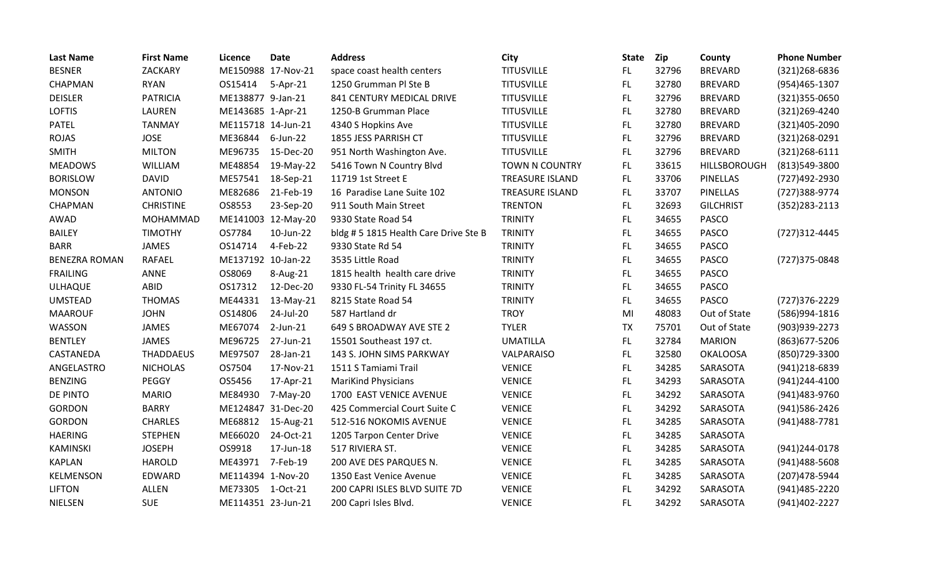| <b>Last Name</b>     | <b>First Name</b> | Licence            | <b>Date</b>        | <b>Address</b>                       | City                   | State     | <b>Zip</b> | County           | <b>Phone Number</b> |
|----------------------|-------------------|--------------------|--------------------|--------------------------------------|------------------------|-----------|------------|------------------|---------------------|
| <b>BESNER</b>        | ZACKARY           | ME150988 17-Nov-21 |                    | space coast health centers           | <b>TITUSVILLE</b>      | FL.       | 32796      | <b>BREVARD</b>   | (321)268-6836       |
| CHAPMAN              | <b>RYAN</b>       | OS15414            | 5-Apr-21           | 1250 Grumman Pl Ste B                | <b>TITUSVILLE</b>      | FL.       | 32780      | <b>BREVARD</b>   | (954)465-1307       |
| <b>DEISLER</b>       | <b>PATRICIA</b>   | ME138877 9-Jan-21  |                    | 841 CENTURY MEDICAL DRIVE            | <b>TITUSVILLE</b>      | FL.       | 32796      | <b>BREVARD</b>   | (321) 355-0650      |
| <b>LOFTIS</b>        | <b>LAUREN</b>     | ME143685 1-Apr-21  |                    | 1250-B Grumman Place                 | <b>TITUSVILLE</b>      | FL.       | 32780      | <b>BREVARD</b>   | (321)269-4240       |
| PATEL                | <b>TANMAY</b>     | ME115718 14-Jun-21 |                    | 4340 S Hopkins Ave                   | <b>TITUSVILLE</b>      | FL.       | 32780      | <b>BREVARD</b>   | (321)405-2090       |
| <b>ROJAS</b>         | <b>JOSE</b>       | ME36844            | 6-Jun-22           | 1855 JESS PARRISH CT                 | <b>TITUSVILLE</b>      | FL.       | 32796      | <b>BREVARD</b>   | (321)268-0291       |
| <b>SMITH</b>         | <b>MILTON</b>     | ME96735            | 15-Dec-20          | 951 North Washington Ave.            | <b>TITUSVILLE</b>      | FL        | 32796      | <b>BREVARD</b>   | $(321)268 - 6111$   |
| <b>MEADOWS</b>       | <b>WILLIAM</b>    | ME48854            | 19-May-22          | 5416 Town N Country Blvd             | <b>TOWN N COUNTRY</b>  | FL        | 33615      | HILLSBOROUGH     | (813)549-3800       |
| <b>BORISLOW</b>      | <b>DAVID</b>      | ME57541            | 18-Sep-21          | 11719 1st Street E                   | <b>TREASURE ISLAND</b> | FL.       | 33706      | <b>PINELLAS</b>  | (727)492-2930       |
| <b>MONSON</b>        | <b>ANTONIO</b>    | ME82686            | 21-Feb-19          | 16 Paradise Lane Suite 102           | <b>TREASURE ISLAND</b> | FL.       | 33707      | <b>PINELLAS</b>  | (727)388-9774       |
| CHAPMAN              | <b>CHRISTINE</b>  | OS8553             | 23-Sep-20          | 911 South Main Street                | <b>TRENTON</b>         | FL.       | 32693      | <b>GILCHRIST</b> | $(352)283 - 2113$   |
| AWAD                 | <b>MOHAMMAD</b>   |                    | ME141003 12-May-20 | 9330 State Road 54                   | <b>TRINITY</b>         | FL.       | 34655      | <b>PASCO</b>     |                     |
| <b>BAILEY</b>        | <b>TIMOTHY</b>    | OS7784             | 10-Jun-22          | bldg #5 1815 Health Care Drive Ste B | <b>TRINITY</b>         | FL.       | 34655      | <b>PASCO</b>     | (727)312-4445       |
| <b>BARR</b>          | JAMES             | OS14714            | 4-Feb-22           | 9330 State Rd 54                     | <b>TRINITY</b>         | FL        | 34655      | <b>PASCO</b>     |                     |
| <b>BENEZRA ROMAN</b> | <b>RAFAEL</b>     | ME137192 10-Jan-22 |                    | 3535 Little Road                     | <b>TRINITY</b>         | FL.       | 34655      | <b>PASCO</b>     | (727)375-0848       |
| <b>FRAILING</b>      | ANNE              | OS8069             | 8-Aug-21           | 1815 health health care drive        | <b>TRINITY</b>         | FL        | 34655      | <b>PASCO</b>     |                     |
| ULHAQUE              | <b>ABID</b>       | OS17312            | 12-Dec-20          | 9330 FL-54 Trinity FL 34655          | <b>TRINITY</b>         | FL.       | 34655      | <b>PASCO</b>     |                     |
| <b>UMSTEAD</b>       | <b>THOMAS</b>     | ME44331            | 13-May-21          | 8215 State Road 54                   | <b>TRINITY</b>         | FL.       | 34655      | <b>PASCO</b>     | (727) 376-2229      |
| <b>MAAROUF</b>       | <b>JOHN</b>       | OS14806            | 24-Jul-20          | 587 Hartland dr                      | <b>TROY</b>            | MI        | 48083      | Out of State     | (586)994-1816       |
| WASSON               | JAMES             | ME67074            | $2$ -Jun-21        | 649 S BROADWAY AVE STE 2             | <b>TYLER</b>           | <b>TX</b> | 75701      | Out of State     | (903)939-2273       |
| <b>BENTLEY</b>       | <b>JAMES</b>      | ME96725            | 27-Jun-21          | 15501 Southeast 197 ct.              | <b>UMATILLA</b>        | FL.       | 32784      | <b>MARION</b>    | (863) 677-5206      |
| CASTANEDA            | <b>THADDAEUS</b>  | ME97507            | 28-Jan-21          | 143 S. JOHN SIMS PARKWAY             | VALPARAISO             | FL.       | 32580      | <b>OKALOOSA</b>  | (850)729-3300       |
| ANGELASTRO           | <b>NICHOLAS</b>   | OS7504             | 17-Nov-21          | 1511 S Tamiami Trail                 | <b>VENICE</b>          | FL.       | 34285      | SARASOTA         | (941)218-6839       |
| <b>BENZING</b>       | PEGGY             | OS5456             | 17-Apr-21          | <b>MariKind Physicians</b>           | <b>VENICE</b>          | FL.       | 34293      | SARASOTA         | (941)244-4100       |
| DE PINTO             | <b>MARIO</b>      | ME84930            | 7-May-20           | 1700 EAST VENICE AVENUE              | <b>VENICE</b>          | FL        | 34292      | SARASOTA         | (941)483-9760       |
| <b>GORDON</b>        | <b>BARRY</b>      | ME124847 31-Dec-20 |                    | 425 Commercial Court Suite C         | <b>VENICE</b>          | <b>FL</b> | 34292      | SARASOTA         | (941) 586-2426      |
| <b>GORDON</b>        | <b>CHARLES</b>    | ME68812            | 15-Aug-21          | 512-516 NOKOMIS AVENUE               | <b>VENICE</b>          | FL.       | 34285      | SARASOTA         | (941) 488-7781      |
| <b>HAERING</b>       | <b>STEPHEN</b>    | ME66020            | 24-Oct-21          | 1205 Tarpon Center Drive             | <b>VENICE</b>          | FL.       | 34285      | SARASOTA         |                     |
| <b>KAMINSKI</b>      | <b>JOSEPH</b>     | OS9918             | 17-Jun-18          | 517 RIVIERA ST.                      | <b>VENICE</b>          | FL.       | 34285      | SARASOTA         | (941)244-0178       |
| <b>KAPLAN</b>        | <b>HAROLD</b>     | ME43971 7-Feb-19   |                    | 200 AVE DES PARQUES N.               | <b>VENICE</b>          | FL        | 34285      | SARASOTA         | (941)488-5608       |
| KELMENSON            | EDWARD            | ME114394 1-Nov-20  |                    | 1350 East Venice Avenue              | <b>VENICE</b>          | FL.       | 34285      | SARASOTA         | (207) 478-5944      |
| <b>LIFTON</b>        | <b>ALLEN</b>      | ME73305            | 1-Oct-21           | 200 CAPRI ISLES BLVD SUITE 7D        | <b>VENICE</b>          | FL        | 34292      | SARASOTA         | (941) 485 - 2220    |
| <b>NIELSEN</b>       | <b>SUE</b>        | ME114351 23-Jun-21 |                    | 200 Capri Isles Blvd.                | <b>VENICE</b>          | <b>FL</b> | 34292      | SARASOTA         | (941)402-2227       |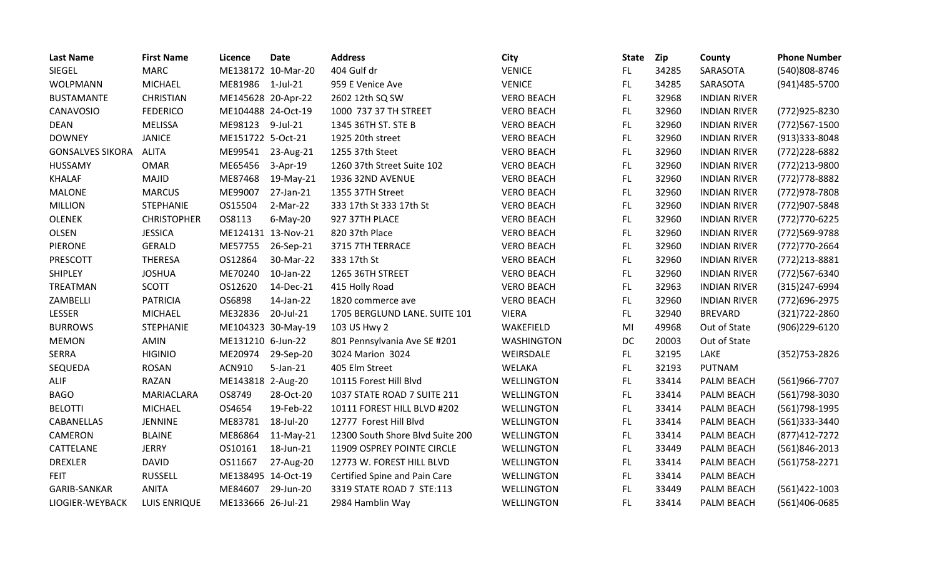| <b>Last Name</b>        | <b>First Name</b>   | Licence            | <b>Date</b>        | <b>Address</b>                   | City              | <b>State</b> | Zip   | County              | <b>Phone Number</b> |
|-------------------------|---------------------|--------------------|--------------------|----------------------------------|-------------------|--------------|-------|---------------------|---------------------|
| <b>SIEGEL</b>           | <b>MARC</b>         |                    | ME138172 10-Mar-20 | 404 Gulf dr                      | <b>VENICE</b>     | FL.          | 34285 | SARASOTA            | (540)808-8746       |
| <b>WOLPMANN</b>         | MICHAEL             | ME81986 1-Jul-21   |                    | 959 E Venice Ave                 | <b>VENICE</b>     | FL.          | 34285 | SARASOTA            | (941) 485-5700      |
| <b>BUSTAMANTE</b>       | <b>CHRISTIAN</b>    | ME145628 20-Apr-22 |                    | 2602 12th SQ SW                  | <b>VERO BEACH</b> | FL.          | 32968 | <b>INDIAN RIVER</b> |                     |
| CANAVOSIO               | <b>FEDERICO</b>     | ME104488 24-Oct-19 |                    | 1000 737 37 TH STREET            | <b>VERO BEACH</b> | FL.          | 32960 | <b>INDIAN RIVER</b> | (772)925-8230       |
| <b>DEAN</b>             | <b>MELISSA</b>      | ME98123            | 9-Jul-21           | 1345 36TH ST. STE B              | <b>VERO BEACH</b> | FL           | 32960 | <b>INDIAN RIVER</b> | (772) 567-1500      |
| <b>DOWNEY</b>           | <b>JANICE</b>       | ME151722 5-Oct-21  |                    | 1925 20th street                 | <b>VERO BEACH</b> | FL.          | 32960 | <b>INDIAN RIVER</b> | (913)333-8048       |
| <b>GONSALVES SIKORA</b> | <b>ALITA</b>        | ME99541            | 23-Aug-21          | 1255 37th Steet                  | <b>VERO BEACH</b> | FL.          | 32960 | <b>INDIAN RIVER</b> | (772) 228-6882      |
| HUSSAMY                 | <b>OMAR</b>         | ME65456            | 3-Apr-19           | 1260 37th Street Suite 102       | <b>VERO BEACH</b> | FL.          | 32960 | <b>INDIAN RIVER</b> | (772)213-9800       |
| <b>KHALAF</b>           | <b>MAJID</b>        | ME87468            | 19-May-21          | 1936 32ND AVENUE                 | <b>VERO BEACH</b> | FL.          | 32960 | <b>INDIAN RIVER</b> | (772) 778-8882      |
| <b>MALONE</b>           | <b>MARCUS</b>       | ME99007            | 27-Jan-21          | 1355 37TH Street                 | <b>VERO BEACH</b> | FL.          | 32960 | <b>INDIAN RIVER</b> | (772)978-7808       |
| <b>MILLION</b>          | <b>STEPHANIE</b>    | OS15504            | 2-Mar-22           | 333 17th St 333 17th St          | <b>VERO BEACH</b> | FL.          | 32960 | <b>INDIAN RIVER</b> | (772)907-5848       |
| <b>OLENEK</b>           | <b>CHRISTOPHER</b>  | OS8113             | $6$ -May-20        | 927 37TH PLACE                   | <b>VERO BEACH</b> | FL           | 32960 | <b>INDIAN RIVER</b> | (772) 770-6225      |
| <b>OLSEN</b>            | <b>JESSICA</b>      | ME124131 13-Nov-21 |                    | 820 37th Place                   | <b>VERO BEACH</b> | FL.          | 32960 | <b>INDIAN RIVER</b> | (772)569-9788       |
| <b>PIERONE</b>          | <b>GERALD</b>       | ME57755            | 26-Sep-21          | 3715 7TH TERRACE                 | <b>VERO BEACH</b> | FL.          | 32960 | <b>INDIAN RIVER</b> | (772) 770-2664      |
| PRESCOTT                | THERESA             | OS12864            | 30-Mar-22          | 333 17th St                      | <b>VERO BEACH</b> | FL.          | 32960 | <b>INDIAN RIVER</b> | (772) 213-8881      |
| <b>SHIPLEY</b>          | <b>JOSHUA</b>       | ME70240            | 10-Jan-22          | 1265 36TH STREET                 | <b>VERO BEACH</b> | FL.          | 32960 | <b>INDIAN RIVER</b> | (772)567-6340       |
| TREATMAN                | <b>SCOTT</b>        | OS12620            | 14-Dec-21          | 415 Holly Road                   | <b>VERO BEACH</b> | FL.          | 32963 | <b>INDIAN RIVER</b> | (315)247-6994       |
| ZAMBELLI                | <b>PATRICIA</b>     | OS6898             | 14-Jan-22          | 1820 commerce ave                | <b>VERO BEACH</b> | FL.          | 32960 | <b>INDIAN RIVER</b> | (772) 696-2975      |
| LESSER                  | <b>MICHAEL</b>      | ME32836            | 20-Jul-21          | 1705 BERGLUND LANE. SUITE 101    | <b>VIERA</b>      | FL.          | 32940 | <b>BREVARD</b>      | (321) 722-2860      |
| <b>BURROWS</b>          | <b>STEPHANIE</b>    |                    | ME104323 30-May-19 | 103 US Hwy 2                     | WAKEFIELD         | MI           | 49968 | Out of State        | (906)229-6120       |
| <b>MEMON</b>            | AMIN                | ME131210 6-Jun-22  |                    | 801 Pennsylvania Ave SE #201     | <b>WASHINGTON</b> | DC           | 20003 | Out of State        |                     |
| <b>SERRA</b>            | <b>HIGINIO</b>      | ME20974            | 29-Sep-20          | 3024 Marion 3024                 | WEIRSDALE         | FL.          | 32195 | LAKE                | (352) 753-2826      |
| SEQUEDA                 | <b>ROSAN</b>        | <b>ACN910</b>      | $5$ -Jan-21        | 405 Elm Street                   | WELAKA            | FL.          | 32193 | <b>PUTNAM</b>       |                     |
| <b>ALIF</b>             | <b>RAZAN</b>        | ME143818 2-Aug-20  |                    | 10115 Forest Hill Blvd           | WELLINGTON        | FL           | 33414 | PALM BEACH          | (561)966-7707       |
| <b>BAGO</b>             | MARIACLARA          | OS8749             | 28-Oct-20          | 1037 STATE ROAD 7 SUITE 211      | WELLINGTON        | FL.          | 33414 | PALM BEACH          | (561) 798-3030      |
| <b>BELOTTI</b>          | <b>MICHAEL</b>      | OS4654             | 19-Feb-22          | 10111 FOREST HILL BLVD #202      | WELLINGTON        | FL.          | 33414 | PALM BEACH          | (561) 798-1995      |
| CABANELLAS              | <b>JENNINE</b>      | ME83781            | 18-Jul-20          | 12777 Forest Hill Blvd           | <b>WELLINGTON</b> | FL.          | 33414 | PALM BEACH          | (561)333-3440       |
| CAMERON                 | <b>BLAINE</b>       | ME86864            | $11-May-21$        | 12300 South Shore Blvd Suite 200 | WELLINGTON        | FL           | 33414 | PALM BEACH          | (877) 412-7272      |
| CATTELANE               | <b>JERRY</b>        | OS10161            | 18-Jun-21          | 11909 OSPREY POINTE CIRCLE       | WELLINGTON        | FL.          | 33449 | PALM BEACH          | (561)846-2013       |
| <b>DREXLER</b>          | <b>DAVID</b>        | OS11667            | 27-Aug-20          | 12773 W. FOREST HILL BLVD        | <b>WELLINGTON</b> | FL.          | 33414 | PALM BEACH          | (561) 758-2271      |
| <b>FEIT</b>             | <b>RUSSELL</b>      | ME138495 14-Oct-19 |                    | Certified Spine and Pain Care    | WELLINGTON        | FL           | 33414 | PALM BEACH          |                     |
| <b>GARIB-SANKAR</b>     | <b>ANITA</b>        | ME84607            | 29-Jun-20          | 3319 STATE ROAD 7 STE:113        | <b>WELLINGTON</b> | FL.          | 33449 | PALM BEACH          | (561)422-1003       |
| LIOGIER-WEYBACK         | <b>LUIS ENRIQUE</b> | ME133666 26-Jul-21 |                    | 2984 Hamblin Way                 | <b>WELLINGTON</b> | FL           | 33414 | <b>PALM BEACH</b>   | (561)406-0685       |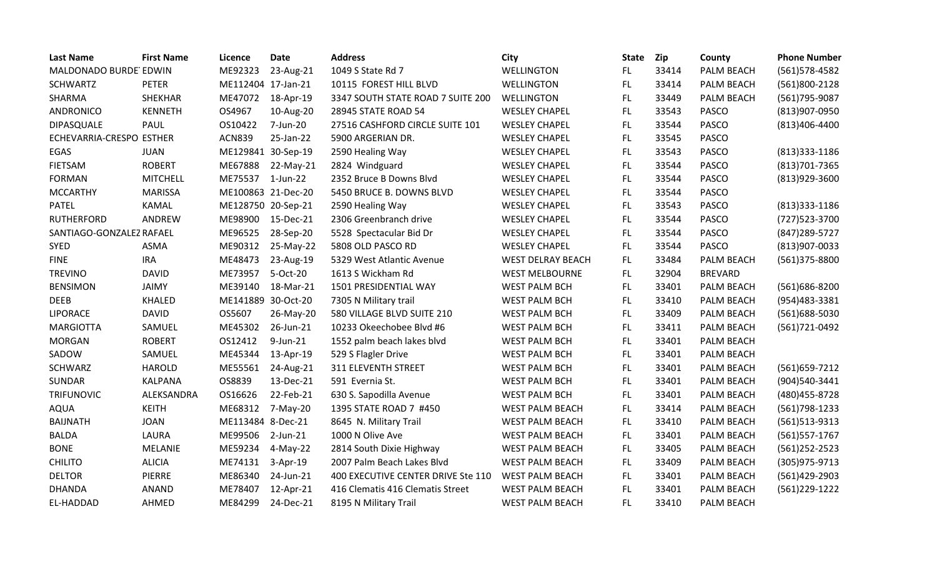| <b>Last Name</b>         | <b>First Name</b> | Licence            | <b>Date</b> | <b>Address</b>                     | City                   | <b>State</b> | <b>Zip</b> | County         | <b>Phone Number</b> |
|--------------------------|-------------------|--------------------|-------------|------------------------------------|------------------------|--------------|------------|----------------|---------------------|
| MALDONADO BURDE EDWIN    |                   | ME92323            | 23-Aug-21   | 1049 S State Rd 7                  | WELLINGTON             | FL.          | 33414      | PALM BEACH     | (561) 578-4582      |
| <b>SCHWARTZ</b>          | <b>PETER</b>      | ME112404 17-Jan-21 |             | 10115 FOREST HILL BLVD             | <b>WELLINGTON</b>      | FL.          | 33414      | PALM BEACH     | (561)800-2128       |
| SHARMA                   | SHEKHAR           | ME47072            | 18-Apr-19   | 3347 SOUTH STATE ROAD 7 SUITE 200  | WELLINGTON             | FL.          | 33449      | PALM BEACH     | (561) 795-9087      |
| <b>ANDRONICO</b>         | <b>KENNETH</b>    | OS4967             | 10-Aug-20   | 28945 STATE ROAD 54                | <b>WESLEY CHAPEL</b>   | FL.          | 33543      | <b>PASCO</b>   | (813)907-0950       |
| DIPASQUALE               | PAUL              | OS10422            | 7-Jun-20    | 27516 CASHFORD CIRCLE SUITE 101    | <b>WESLEY CHAPEL</b>   | FL           | 33544      | <b>PASCO</b>   | (813)406-4400       |
| ECHEVARRIA-CRESPO ESTHER |                   | <b>ACN839</b>      | 25-Jan-22   | 5900 ARGERIAN DR.                  | <b>WESLEY CHAPEL</b>   | FL.          | 33545      | PASCO          |                     |
| EGAS                     | <b>JUAN</b>       | ME129841 30-Sep-19 |             | 2590 Healing Way                   | <b>WESLEY CHAPEL</b>   | FL.          | 33543      | <b>PASCO</b>   | $(813)333-1186$     |
| <b>FIETSAM</b>           | <b>ROBERT</b>     | ME67888            | 22-May-21   | 2824 Windguard                     | <b>WESLEY CHAPEL</b>   | FL.          | 33544      | <b>PASCO</b>   | (813) 701-7365      |
| <b>FORMAN</b>            | <b>MITCHELL</b>   | ME75537            | $1$ -Jun-22 | 2352 Bruce B Downs Blvd            | <b>WESLEY CHAPEL</b>   | FL.          | 33544      | <b>PASCO</b>   | (813)929-3600       |
| <b>MCCARTHY</b>          | <b>MARISSA</b>    | ME100863 21-Dec-20 |             | 5450 BRUCE B. DOWNS BLVD           | <b>WESLEY CHAPEL</b>   | FL.          | 33544      | <b>PASCO</b>   |                     |
| <b>PATEL</b>             | KAMAL             | ME128750 20-Sep-21 |             | 2590 Healing Way                   | <b>WESLEY CHAPEL</b>   | FL           | 33543      | <b>PASCO</b>   | (813)333-1186       |
| <b>RUTHERFORD</b>        | ANDREW            | ME98900            | 15-Dec-21   | 2306 Greenbranch drive             | <b>WESLEY CHAPEL</b>   | FL           | 33544      | <b>PASCO</b>   | (727) 523-3700      |
| SANTIAGO-GONZALEZ RAFAEL |                   | ME96525            | 28-Sep-20   | 5528 Spectacular Bid Dr            | <b>WESLEY CHAPEL</b>   | FL.          | 33544      | <b>PASCO</b>   | (847) 289-5727      |
| <b>SYED</b>              | <b>ASMA</b>       | ME90312            | 25-May-22   | 5808 OLD PASCO RD                  | <b>WESLEY CHAPEL</b>   | FL.          | 33544      | <b>PASCO</b>   | $(813)907 - 0033$   |
| <b>FINE</b>              | <b>IRA</b>        | ME48473            | 23-Aug-19   | 5329 West Atlantic Avenue          | WEST DELRAY BEACH      | FL.          | 33484      | PALM BEACH     | (561)375-8800       |
| <b>TREVINO</b>           | <b>DAVID</b>      | ME73957            | 5-Oct-20    | 1613 S Wickham Rd                  | <b>WEST MELBOURNE</b>  | FL.          | 32904      | <b>BREVARD</b> |                     |
| <b>BENSIMON</b>          | <b>JAIMY</b>      | ME39140            | 18-Mar-21   | 1501 PRESIDENTIAL WAY              | <b>WEST PALM BCH</b>   | FL.          | 33401      | PALM BEACH     | (561)686-8200       |
| <b>DEEB</b>              | <b>KHALED</b>     | ME141889 30-Oct-20 |             | 7305 N Military trail              | <b>WEST PALM BCH</b>   | FL.          | 33410      | PALM BEACH     | (954) 483 - 3381    |
| <b>LIPORACE</b>          | <b>DAVID</b>      | OS5607             | 26-May-20   | 580 VILLAGE BLVD SUITE 210         | <b>WEST PALM BCH</b>   | FL.          | 33409      | PALM BEACH     | (561)688-5030       |
| <b>MARGIOTTA</b>         | SAMUEL            | ME45302            | 26-Jun-21   | 10233 Okeechobee Blvd #6           | <b>WEST PALM BCH</b>   | <b>FL</b>    | 33411      | PALM BEACH     | (561) 721-0492      |
| <b>MORGAN</b>            | <b>ROBERT</b>     | OS12412            | $9$ -Jun-21 | 1552 palm beach lakes blvd         | <b>WEST PALM BCH</b>   | FL           | 33401      | PALM BEACH     |                     |
| SADOW                    | SAMUEL            | ME45344            | 13-Apr-19   | 529 S Flagler Drive                | <b>WEST PALM BCH</b>   | FL.          | 33401      | PALM BEACH     |                     |
| <b>SCHWARZ</b>           | <b>HAROLD</b>     | ME55561            | 24-Aug-21   | 311 ELEVENTH STREET                | <b>WEST PALM BCH</b>   | FL.          | 33401      | PALM BEACH     | (561) 659-7212      |
| SUNDAR                   | <b>KALPANA</b>    | OS8839             | 13-Dec-21   | 591 Evernia St.                    | <b>WEST PALM BCH</b>   | FL           | 33401      | PALM BEACH     | (904)540-3441       |
| <b>TRIFUNOVIC</b>        | ALEKSANDRA        | OS16626            | 22-Feb-21   | 630 S. Sapodilla Avenue            | <b>WEST PALM BCH</b>   | FL.          | 33401      | PALM BEACH     | (480) 455-8728      |
| <b>AQUA</b>              | <b>KEITH</b>      | ME68312            | 7-May-20    | 1395 STATE ROAD 7 #450             | <b>WEST PALM BEACH</b> | FL.          | 33414      | PALM BEACH     | (561) 798-1233      |
| <b>BAIJNATH</b>          | <b>JOAN</b>       | ME113484 8-Dec-21  |             | 8645 N. Military Trail             | <b>WEST PALM BEACH</b> | <b>FL</b>    | 33410      | PALM BEACH     | (561)513-9313       |
| <b>BALDA</b>             | LAURA             | ME99506            | $2$ -Jun-21 | 1000 N Olive Ave                   | <b>WEST PALM BEACH</b> | FL.          | 33401      | PALM BEACH     | (561) 557-1767      |
| <b>BONE</b>              | <b>MELANIE</b>    | ME59234            | $4-May-22$  | 2814 South Dixie Highway           | <b>WEST PALM BEACH</b> | FL.          | 33405      | PALM BEACH     | $(561)252 - 2523$   |
| <b>CHILITO</b>           | <b>ALICIA</b>     | ME74131            | $3-Apr-19$  | 2007 Palm Beach Lakes Blvd         | <b>WEST PALM BEACH</b> | FL.          | 33409      | PALM BEACH     | (305) 975-9713      |
| <b>DELTOR</b>            | <b>PIERRE</b>     | ME86340            | 24-Jun-21   | 400 EXECUTIVE CENTER DRIVE Ste 110 | <b>WEST PALM BEACH</b> | FL.          | 33401      | PALM BEACH     | (561)429-2903       |
| <b>DHANDA</b>            | <b>ANAND</b>      | ME78407            | 12-Apr-21   | 416 Clematis 416 Clematis Street   | <b>WEST PALM BEACH</b> | FL.          | 33401      | PALM BEACH     | (561)229-1222       |
| EL-HADDAD                | AHMED             | ME84299            | 24-Dec-21   | 8195 N Military Trail              | <b>WEST PALM BEACH</b> | FL           | 33410      | PALM BEACH     |                     |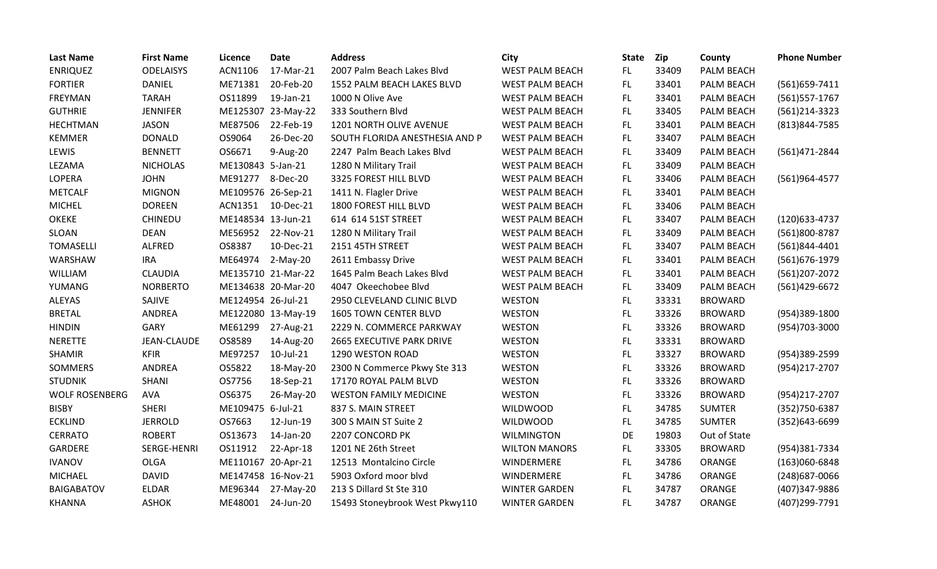| <b>Last Name</b>      | <b>First Name</b>  | Licence            | <b>Date</b>        | <b>Address</b>                 | City                   | <b>State</b> | <b>Zip</b> | County         | <b>Phone Number</b> |
|-----------------------|--------------------|--------------------|--------------------|--------------------------------|------------------------|--------------|------------|----------------|---------------------|
| <b>ENRIQUEZ</b>       | <b>ODELAISYS</b>   | ACN1106            | 17-Mar-21          | 2007 Palm Beach Lakes Blvd     | <b>WEST PALM BEACH</b> | FL.          | 33409      | PALM BEACH     |                     |
| <b>FORTIER</b>        | <b>DANIEL</b>      | ME71381            | 20-Feb-20          | 1552 PALM BEACH LAKES BLVD     | <b>WEST PALM BEACH</b> | FL.          | 33401      | PALM BEACH     | $(561)659-7411$     |
| FREYMAN               | <b>TARAH</b>       | OS11899            | 19-Jan-21          | 1000 N Olive Ave               | <b>WEST PALM BEACH</b> | FL.          | 33401      | PALM BEACH     | (561) 557-1767      |
| <b>GUTHRIE</b>        | <b>JENNIFER</b>    |                    | ME125307 23-May-22 | 333 Southern Blvd              | WEST PALM BEACH        | FL.          | 33405      | PALM BEACH     | (561)214-3323       |
| <b>HECHTMAN</b>       | <b>JASON</b>       | ME87506            | 22-Feb-19          | 1201 NORTH OLIVE AVENUE        | <b>WEST PALM BEACH</b> | FL.          | 33401      | PALM BEACH     | (813) 844-7585      |
| <b>KEMMER</b>         | <b>DONALD</b>      | OS9064             | 26-Dec-20          | SOUTH FLORIDA ANESTHESIA AND P | <b>WEST PALM BEACH</b> | FL.          | 33407      | PALM BEACH     |                     |
| LEWIS                 | <b>BENNETT</b>     | OS6671             | 9-Aug-20           | 2247 Palm Beach Lakes Blvd     | <b>WEST PALM BEACH</b> | FL.          | 33409      | PALM BEACH     | (561)471-2844       |
| LEZAMA                | <b>NICHOLAS</b>    | ME130843 5-Jan-21  |                    | 1280 N Military Trail          | <b>WEST PALM BEACH</b> | FL.          | 33409      | PALM BEACH     |                     |
| LOPERA                | <b>JOHN</b>        | ME91277            | 8-Dec-20           | 3325 FOREST HILL BLVD          | WEST PALM BEACH        | FL.          | 33406      | PALM BEACH     | (561)964-4577       |
| <b>METCALF</b>        | <b>MIGNON</b>      | ME109576 26-Sep-21 |                    | 1411 N. Flagler Drive          | <b>WEST PALM BEACH</b> | FL.          | 33401      | PALM BEACH     |                     |
| <b>MICHEL</b>         | <b>DOREEN</b>      | ACN1351 10-Dec-21  |                    | 1800 FOREST HILL BLVD          | WEST PALM BEACH        | FL.          | 33406      | PALM BEACH     |                     |
| <b>OKEKE</b>          | <b>CHINEDU</b>     | ME148534 13-Jun-21 |                    | 614 614 51ST STREET            | WEST PALM BEACH        | FL.          | 33407      | PALM BEACH     | $(120)633 - 4737$   |
| SLOAN                 | <b>DEAN</b>        | ME56952            | 22-Nov-21          | 1280 N Military Trail          | WEST PALM BEACH        | FL.          | 33409      | PALM BEACH     | (561)800-8787       |
| <b>TOMASELLI</b>      | ALFRED             | OS8387             | 10-Dec-21          | 2151 45TH STREET               | WEST PALM BEACH        | FL.          | 33407      | PALM BEACH     | (561)844-4401       |
| WARSHAW               | <b>IRA</b>         | ME64974            | 2-May-20           | 2611 Embassy Drive             | WEST PALM BEACH        | FL.          | 33401      | PALM BEACH     | (561) 676-1979      |
| WILLIAM               | <b>CLAUDIA</b>     |                    | ME135710 21-Mar-22 | 1645 Palm Beach Lakes Blvd     | <b>WEST PALM BEACH</b> | FL.          | 33401      | PALM BEACH     | (561) 207-2072      |
| YUMANG                | <b>NORBERTO</b>    |                    | ME134638 20-Mar-20 | 4047 Okeechobee Blvd           | <b>WEST PALM BEACH</b> | FL.          | 33409      | PALM BEACH     | (561)429-6672       |
| <b>ALEYAS</b>         | SAJIVE             | ME124954 26-Jul-21 |                    | 2950 CLEVELAND CLINIC BLVD     | <b>WESTON</b>          | FL.          | 33331      | <b>BROWARD</b> |                     |
| <b>BRETAL</b>         | <b>ANDREA</b>      |                    | ME122080 13-May-19 | <b>1605 TOWN CENTER BLVD</b>   | <b>WESTON</b>          | FL.          | 33326      | <b>BROWARD</b> | (954)389-1800       |
| <b>HINDIN</b>         | <b>GARY</b>        | ME61299            | 27-Aug-21          | 2229 N. COMMERCE PARKWAY       | <b>WESTON</b>          | FL.          | 33326      | <b>BROWARD</b> | (954)703-3000       |
| <b>NERETTE</b>        | <b>JEAN-CLAUDE</b> | OS8589             | 14-Aug-20          | 2665 EXECUTIVE PARK DRIVE      | <b>WESTON</b>          | FL.          | 33331      | <b>BROWARD</b> |                     |
| <b>SHAMIR</b>         | <b>KFIR</b>        | ME97257            | 10-Jul-21          | 1290 WESTON ROAD               | <b>WESTON</b>          | FL.          | 33327      | <b>BROWARD</b> | (954)389-2599       |
| SOMMERS               | ANDREA             | OS5822             | 18-May-20          | 2300 N Commerce Pkwy Ste 313   | WESTON                 | FL.          | 33326      | <b>BROWARD</b> | (954)217-2707       |
| <b>STUDNIK</b>        | <b>SHANI</b>       | OS7756             | 18-Sep-21          | 17170 ROYAL PALM BLVD          | <b>WESTON</b>          | FL           | 33326      | <b>BROWARD</b> |                     |
| <b>WOLF ROSENBERG</b> | <b>AVA</b>         | OS6375             | 26-May-20          | <b>WESTON FAMILY MEDICINE</b>  | <b>WESTON</b>          | FL.          | 33326      | <b>BROWARD</b> | (954)217-2707       |
| <b>BISBY</b>          | <b>SHERI</b>       | ME109475 6-Jul-21  |                    | 837 S. MAIN STREET             | <b>WILDWOOD</b>        | FL           | 34785      | <b>SUMTER</b>  | (352) 750-6387      |
| <b>ECKLIND</b>        | <b>JERROLD</b>     | OS7663             | 12-Jun-19          | 300 S MAIN ST Suite 2          | <b>WILDWOOD</b>        | FL.          | 34785      | <b>SUMTER</b>  | $(352)643 - 6699$   |
| <b>CERRATO</b>        | <b>ROBERT</b>      | OS13673            | 14-Jan-20          | 2207 CONCORD PK                | <b>WILMINGTON</b>      | DE           | 19803      | Out of State   |                     |
| GARDERE               | SERGE-HENRI        | OS11912            | 22-Apr-18          | 1201 NE 26th Street            | <b>WILTON MANORS</b>   | FL.          | 33305      | <b>BROWARD</b> | (954)381-7334       |
| <b>IVANOV</b>         | <b>OLGA</b>        | ME110167 20-Apr-21 |                    | 12513 Montalcino Circle        | WINDERMERE             | FL.          | 34786      | ORANGE         | $(163)060 - 6848$   |
| <b>MICHAEL</b>        | <b>DAVID</b>       |                    | ME147458 16-Nov-21 | 5903 Oxford moor blvd          | WINDERMERE             | FL.          | 34786      | ORANGE         | (248) 687-0066      |
| <b>BAIGABATOV</b>     | ELDAR              | ME96344            | 27-May-20          | 213 S Dillard St Ste 310       | <b>WINTER GARDEN</b>   | FL           | 34787      | ORANGE         | (407)347-9886       |
| <b>KHANNA</b>         | <b>ASHOK</b>       | ME48001            | 24-Jun-20          | 15493 Stoneybrook West Pkwy110 | <b>WINTER GARDEN</b>   | FL.          | 34787      | ORANGE         | (407)299-7791       |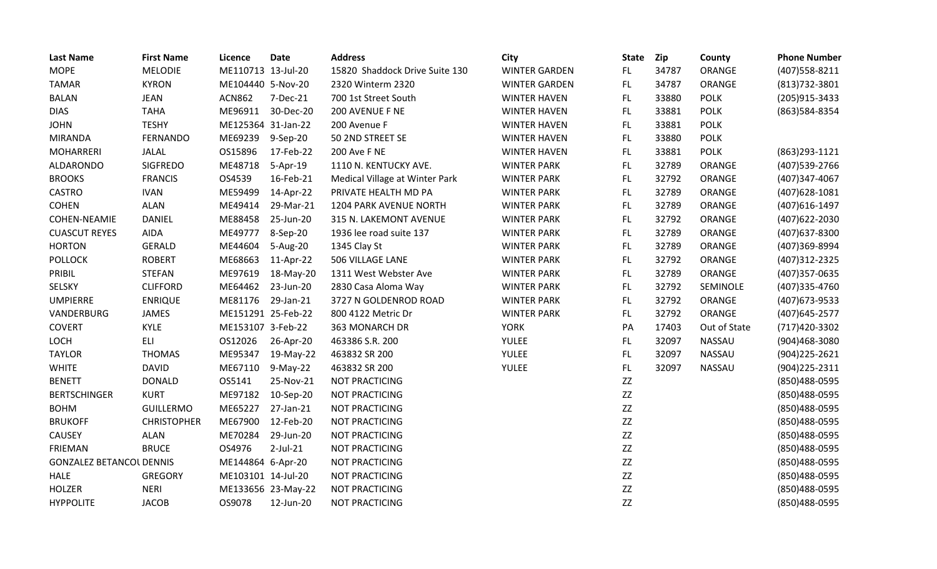| <b>Last Name</b>                | <b>First Name</b>  | Licence            | <b>Date</b>        | <b>Address</b>                 | City                 | <b>State</b> | Zip   | County       | <b>Phone Number</b> |
|---------------------------------|--------------------|--------------------|--------------------|--------------------------------|----------------------|--------------|-------|--------------|---------------------|
| <b>MOPE</b>                     | <b>MELODIE</b>     | ME110713 13-Jul-20 |                    | 15820 Shaddock Drive Suite 130 | <b>WINTER GARDEN</b> | FL.          | 34787 | ORANGE       | (407) 558-8211      |
| <b>TAMAR</b>                    | <b>KYRON</b>       | ME104440 5-Nov-20  |                    | 2320 Winterm 2320              | <b>WINTER GARDEN</b> | FL           | 34787 | ORANGE       | (813) 732-3801      |
| <b>BALAN</b>                    | <b>JEAN</b>        | <b>ACN862</b>      | 7-Dec-21           | 700 1st Street South           | <b>WINTER HAVEN</b>  | <b>FL</b>    | 33880 | <b>POLK</b>  | (205) 915-3433      |
| <b>DIAS</b>                     | <b>TAHA</b>        | ME96911            | 30-Dec-20          | 200 AVENUE F NE                | <b>WINTER HAVEN</b>  | <b>FL</b>    | 33881 | <b>POLK</b>  | (863) 584-8354      |
| <b>JOHN</b>                     | <b>TESHY</b>       | ME125364 31-Jan-22 |                    | 200 Avenue F                   | <b>WINTER HAVEN</b>  | <b>FL</b>    | 33881 | <b>POLK</b>  |                     |
| <b>MIRANDA</b>                  | <b>FERNANDO</b>    | ME69239            | 9-Sep-20           | 50 2ND STREET SE               | <b>WINTER HAVEN</b>  | FL           | 33880 | <b>POLK</b>  |                     |
| <b>MOHARRERI</b>                | JALAL              | OS15896            | 17-Feb-22          | 200 Ave F NE                   | <b>WINTER HAVEN</b>  | FL           | 33881 | <b>POLK</b>  | (863) 293-1121      |
| ALDARONDO                       | <b>SIGFREDO</b>    | ME48718            | 5-Apr-19           | 1110 N. KENTUCKY AVE.          | <b>WINTER PARK</b>   | FL           | 32789 | ORANGE       | (407) 539-2766      |
| <b>BROOKS</b>                   | <b>FRANCIS</b>     | OS4539             | 16-Feb-21          | Medical Village at Winter Park | <b>WINTER PARK</b>   | FL           | 32792 | ORANGE       | (407)347-4067       |
| <b>CASTRO</b>                   | <b>IVAN</b>        | ME59499            | 14-Apr-22          | PRIVATE HEALTH MD PA           | <b>WINTER PARK</b>   | <b>FL</b>    | 32789 | ORANGE       | $(407)628 - 1081$   |
| <b>COHEN</b>                    | <b>ALAN</b>        | ME49414            | 29-Mar-21          | <b>1204 PARK AVENUE NORTH</b>  | <b>WINTER PARK</b>   | FL           | 32789 | ORANGE       | (407) 616-1497      |
| COHEN-NEAMIE                    | <b>DANIEL</b>      | ME88458            | 25-Jun-20          | 315 N. LAKEMONT AVENUE         | <b>WINTER PARK</b>   | FL           | 32792 | ORANGE       | (407) 622-2030      |
| <b>CUASCUT REYES</b>            | <b>AIDA</b>        | ME49777            | 8-Sep-20           | 1936 lee road suite 137        | <b>WINTER PARK</b>   | FL           | 32789 | ORANGE       | (407) 637-8300      |
| <b>HORTON</b>                   | <b>GERALD</b>      | ME44604            | 5-Aug-20           | 1345 Clay St                   | <b>WINTER PARK</b>   | FL           | 32789 | ORANGE       | (407)369-8994       |
| <b>POLLOCK</b>                  | <b>ROBERT</b>      | ME68663            | 11-Apr-22          | 506 VILLAGE LANE               | <b>WINTER PARK</b>   | <b>FL</b>    | 32792 | ORANGE       | (407) 312 - 2325    |
| PRIBIL                          | <b>STEFAN</b>      | ME97619            | 18-May-20          | 1311 West Webster Ave          | <b>WINTER PARK</b>   | FL           | 32789 | ORANGE       | (407) 357-0635      |
| SELSKY                          | <b>CLIFFORD</b>    | ME64462            | 23-Jun-20          | 2830 Casa Aloma Way            | <b>WINTER PARK</b>   | FL           | 32792 | SEMINOLE     | (407) 335-4760      |
| <b>UMPIERRE</b>                 | <b>ENRIQUE</b>     | ME81176            | 29-Jan-21          | 3727 N GOLDENROD ROAD          | <b>WINTER PARK</b>   | FL           | 32792 | ORANGE       | (407) 673-9533      |
| VANDERBURG                      | <b>JAMES</b>       | ME151291 25-Feb-22 |                    | 800 4122 Metric Dr             | <b>WINTER PARK</b>   | FL           | 32792 | ORANGE       | (407) 645-2577      |
| <b>COVERT</b>                   | <b>KYLE</b>        | ME153107 3-Feb-22  |                    | 363 MONARCH DR                 | <b>YORK</b>          | PA           | 17403 | Out of State | (717)420-3302       |
| LOCH                            | ELI                | OS12026            | 26-Apr-20          | 463386 S.R. 200                | YULEE                | FL           | 32097 | NASSAU       | (904)468-3080       |
| <b>TAYLOR</b>                   | <b>THOMAS</b>      | ME95347            | 19-May-22          | 463832 SR 200                  | YULEE                | <b>FL</b>    | 32097 | NASSAU       | $(904)$ 225-2621    |
| <b>WHITE</b>                    | <b>DAVID</b>       | ME67110            | 9-May-22           | 463832 SR 200                  | YULEE                | FL           | 32097 | NASSAU       | (904) 225-2311      |
| <b>BENETT</b>                   | <b>DONALD</b>      | OS5141             | 25-Nov-21          | <b>NOT PRACTICING</b>          |                      | ZZ           |       |              | (850)488-0595       |
| <b>BERTSCHINGER</b>             | <b>KURT</b>        | ME97182            | 10-Sep-20          | NOT PRACTICING                 |                      | ZZ           |       |              | (850)488-0595       |
| <b>BOHM</b>                     | <b>GUILLERMO</b>   | ME65227            | 27-Jan-21          | <b>NOT PRACTICING</b>          |                      | ZZ           |       |              | (850)488-0595       |
| <b>BRUKOFF</b>                  | <b>CHRISTOPHER</b> | ME67900            | 12-Feb-20          | NOT PRACTICING                 |                      | ZZ           |       |              | (850) 488-0595      |
| CAUSEY                          | <b>ALAN</b>        | ME70284            | 29-Jun-20          | <b>NOT PRACTICING</b>          |                      | $Z\bar{Z}$   |       |              | (850) 488-0595      |
| <b>FRIEMAN</b>                  | <b>BRUCE</b>       | OS4976             | $2$ -Jul-21        | <b>NOT PRACTICING</b>          |                      | ZZ           |       |              | (850)488-0595       |
| <b>GONZALEZ BETANCOL DENNIS</b> |                    | ME144864 6-Apr-20  |                    | <b>NOT PRACTICING</b>          |                      | ZZ           |       |              | (850) 488-0595      |
| <b>HALE</b>                     | <b>GREGORY</b>     | ME103101 14-Jul-20 |                    | <b>NOT PRACTICING</b>          |                      | ZZ           |       |              | (850)488-0595       |
| <b>HOLZER</b>                   | <b>NERI</b>        |                    | ME133656 23-May-22 | NOT PRACTICING                 |                      | $Z\bar{Z}$   |       |              | (850) 488-0595      |
| <b>HYPPOLITE</b>                | <b>JACOB</b>       | OS9078             | 12-Jun-20          | <b>NOT PRACTICING</b>          |                      | ZZ           |       |              | (850)488-0595       |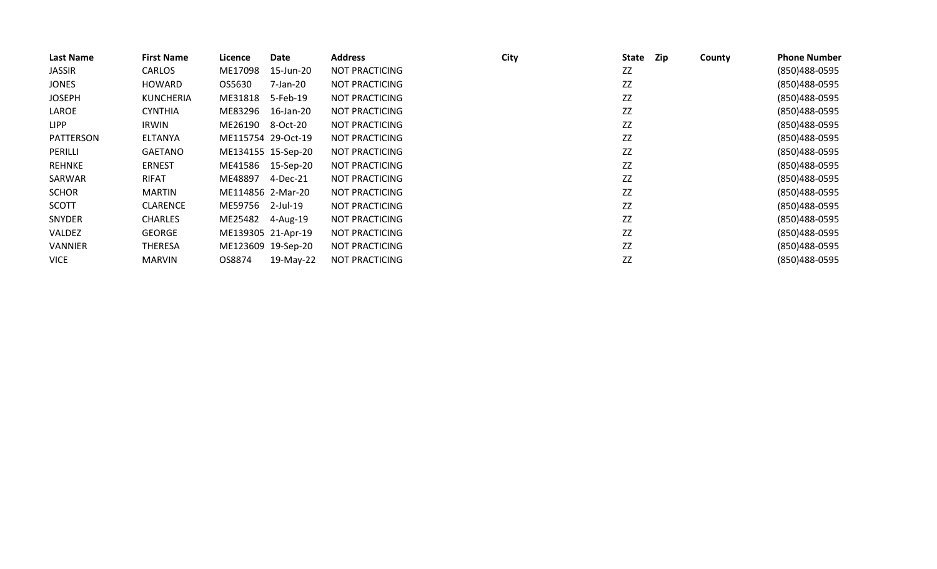| Last Name      | <b>First Name</b> | Licence            | Date               | <b>Address</b>        | <b>City</b> | <b>State</b> | Zip | County | <b>Phone Number</b> |
|----------------|-------------------|--------------------|--------------------|-----------------------|-------------|--------------|-----|--------|---------------------|
| <b>JASSIR</b>  | <b>CARLOS</b>     | ME17098            | 15-Jun-20          | NOT PRACTICING        |             | ZZ           |     |        | (850)488-0595       |
| <b>JONES</b>   | HOWARD            | OS5630             | 7-Jan-20           | NOT PRACTICING        |             | ZZ           |     |        | (850)488-0595       |
| <b>JOSEPH</b>  | <b>KUNCHERIA</b>  | ME31818            | 5-Feb-19           | <b>NOT PRACTICING</b> |             | ZZ           |     |        | (850)488-0595       |
| LAROE          | <b>CYNTHIA</b>    | ME83296            | 16-Jan-20          | NOT PRACTICING        |             | ZZ           |     |        | (850)488-0595       |
| <b>LIPP</b>    | IRWIN             | ME26190            | 8-Oct-20           | NOT PRACTICING        |             | ZZ           |     |        | (850)488-0595       |
| PATTERSON      | <b>ELTANYA</b>    | ME115754 29-Oct-19 |                    | <b>NOT PRACTICING</b> |             | ZZ           |     |        | (850)488-0595       |
| PERILLI        | <b>GAETANO</b>    |                    | ME134155 15-Sep-20 | NOT PRACTICING        |             | ZZ           |     |        | (850)488-0595       |
| REHNKE         | <b>ERNEST</b>     | ME41586            | 15-Sep-20          | <b>NOT PRACTICING</b> |             | ZZ           |     |        | (850)488-0595       |
| SARWAR         | <b>RIFAT</b>      | ME48897            | 4-Dec-21           | NOT PRACTICING        |             | ZZ           |     |        | (850)488-0595       |
| <b>SCHOR</b>   | MARTIN            | ME114856 2-Mar-20  |                    | NOT PRACTICING        |             | ZZ           |     |        | (850)488-0595       |
| <b>SCOTT</b>   | <b>CLARENCE</b>   | ME59756            | 2-Jul-19           | NOT PRACTICING        |             | ZZ           |     |        | (850)488-0595       |
| SNYDER         | <b>CHARLES</b>    | ME25482            | 4-Aug-19           | <b>NOT PRACTICING</b> |             | ZZ           |     |        | (850)488-0595       |
| <b>VALDEZ</b>  | <b>GEORGE</b>     |                    | ME139305 21-Apr-19 | NOT PRACTICING        |             | ZZ           |     |        | (850)488-0595       |
| <b>VANNIER</b> | THERESA           |                    | ME123609 19-Sep-20 | NOT PRACTICING        |             | ZZ           |     |        | (850)488-0595       |
| <b>VICE</b>    | <b>MARVIN</b>     | OS8874             | 19-May-22          | <b>NOT PRACTICING</b> |             | ZZ           |     |        | (850)488-0595       |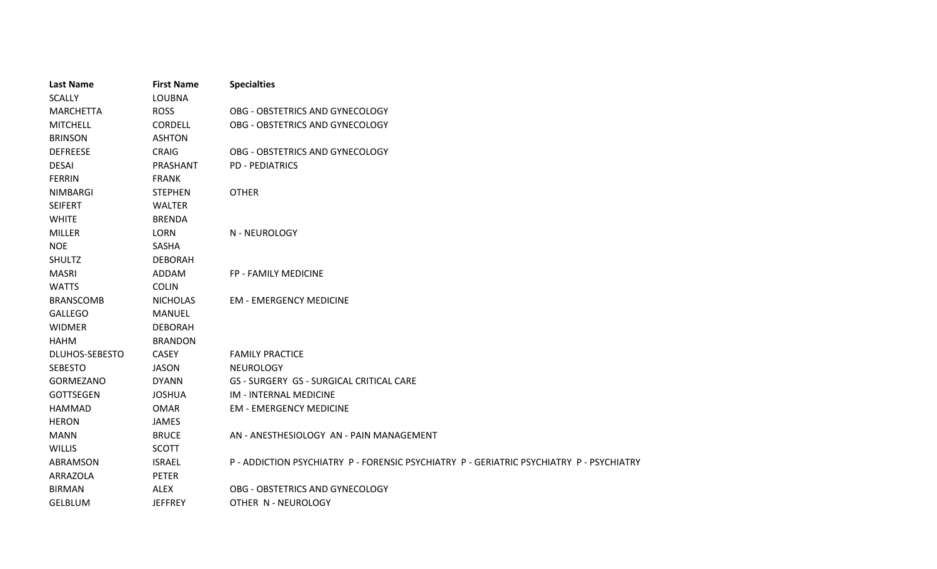| <b>Last Name</b> | <b>First Name</b> | <b>Specialties</b>                                                               |
|------------------|-------------------|----------------------------------------------------------------------------------|
| <b>SCALLY</b>    | <b>LOUBNA</b>     |                                                                                  |
| <b>MARCHETTA</b> | <b>ROSS</b>       | OBG - OBSTETRICS AND GYNECOLOGY                                                  |
| <b>MITCHELL</b>  | CORDELL           | OBG - OBSTETRICS AND GYNECOLOGY                                                  |
| <b>BRINSON</b>   | <b>ASHTON</b>     |                                                                                  |
| <b>DEFREESE</b>  | <b>CRAIG</b>      | OBG - OBSTETRICS AND GYNECOLOGY                                                  |
| <b>DESAI</b>     | PRASHANT          | <b>PD - PEDIATRICS</b>                                                           |
| <b>FERRIN</b>    | <b>FRANK</b>      |                                                                                  |
| <b>NIMBARGI</b>  | <b>STEPHEN</b>    | <b>OTHER</b>                                                                     |
| <b>SEIFERT</b>   | <b>WALTER</b>     |                                                                                  |
| <b>WHITE</b>     | <b>BRENDA</b>     |                                                                                  |
| <b>MILLER</b>    | <b>LORN</b>       | N - NEUROLOGY                                                                    |
| <b>NOE</b>       | <b>SASHA</b>      |                                                                                  |
| <b>SHULTZ</b>    | <b>DEBORAH</b>    |                                                                                  |
| <b>MASRI</b>     | ADDAM             | FP - FAMILY MEDICINE                                                             |
| <b>WATTS</b>     | <b>COLIN</b>      |                                                                                  |
| <b>BRANSCOMB</b> | <b>NICHOLAS</b>   | <b>EM - EMERGENCY MEDICINE</b>                                                   |
| <b>GALLEGO</b>   | MANUEL            |                                                                                  |
| <b>WIDMER</b>    | <b>DEBORAH</b>    |                                                                                  |
| <b>HAHM</b>      | <b>BRANDON</b>    |                                                                                  |
| DLUHOS-SEBESTO   | <b>CASEY</b>      | <b>FAMILY PRACTICE</b>                                                           |
| <b>SEBESTO</b>   | <b>JASON</b>      | <b>NEUROLOGY</b>                                                                 |
| GORMEZANO        | <b>DYANN</b>      | <b>GS - SURGERY GS - SURGICAL CRITICAL CARE</b>                                  |
| <b>GOTTSEGEN</b> | <b>JOSHUA</b>     | <b>IM - INTERNAL MEDICINE</b>                                                    |
| <b>HAMMAD</b>    | <b>OMAR</b>       | <b>EM - EMERGENCY MEDICINE</b>                                                   |
| <b>HERON</b>     | <b>JAMES</b>      |                                                                                  |
| <b>MANN</b>      | <b>BRUCE</b>      | AN - ANESTHESIOLOGY AN - PAIN MANAGEMENT                                         |
| <b>WILLIS</b>    | <b>SCOTT</b>      |                                                                                  |
| <b>ABRAMSON</b>  | <b>ISRAEL</b>     | P-ADDICTION PSYCHIATRY P-FORENSIC PSYCHIATRY P-GERIATRIC PSYCHIATRY P-PSYCHIATRY |
| ARRAZOLA         | <b>PETER</b>      |                                                                                  |
| <b>BIRMAN</b>    | <b>ALEX</b>       | OBG - OBSTETRICS AND GYNECOLOGY                                                  |
| <b>GELBLUM</b>   | <b>JEFFREY</b>    | OTHER N - NEUROLOGY                                                              |
|                  |                   |                                                                                  |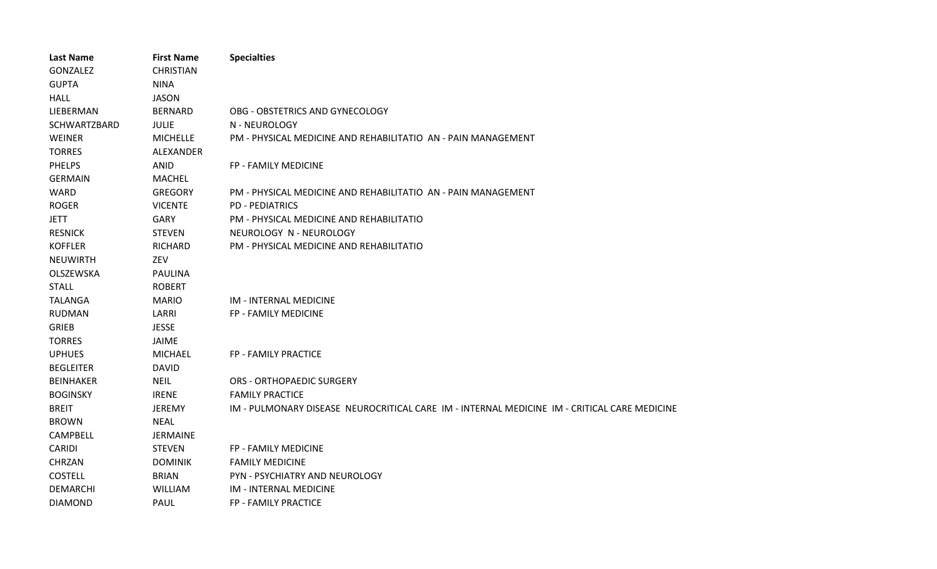| Last Name        | <b>First Name</b> | <b>Specialties</b>                                                                           |
|------------------|-------------------|----------------------------------------------------------------------------------------------|
| GONZALEZ         | <b>CHRISTIAN</b>  |                                                                                              |
| <b>GUPTA</b>     | <b>NINA</b>       |                                                                                              |
| <b>HALL</b>      | <b>JASON</b>      |                                                                                              |
| LIEBERMAN        | <b>BERNARD</b>    | OBG - OBSTETRICS AND GYNECOLOGY                                                              |
| SCHWARTZBARD     | <b>JULIE</b>      | N - NEUROLOGY                                                                                |
| <b>WEINER</b>    | <b>MICHELLE</b>   | PM - PHYSICAL MEDICINE AND REHABILITATIO AN - PAIN MANAGEMENT                                |
| <b>TORRES</b>    | ALEXANDER         |                                                                                              |
| <b>PHELPS</b>    | <b>ANID</b>       | FP - FAMILY MEDICINE                                                                         |
| <b>GERMAIN</b>   | <b>MACHEL</b>     |                                                                                              |
| WARD             | <b>GREGORY</b>    | PM - PHYSICAL MEDICINE AND REHABILITATIO AN - PAIN MANAGEMENT                                |
| <b>ROGER</b>     | <b>VICENTE</b>    | <b>PD - PEDIATRICS</b>                                                                       |
| <b>JETT</b>      | <b>GARY</b>       | PM - PHYSICAL MEDICINE AND REHABILITATIO                                                     |
| <b>RESNICK</b>   | <b>STEVEN</b>     | NEUROLOGY N - NEUROLOGY                                                                      |
| <b>KOFFLER</b>   | <b>RICHARD</b>    | PM - PHYSICAL MEDICINE AND REHABILITATIO                                                     |
| <b>NEUWIRTH</b>  | ZEV               |                                                                                              |
| OLSZEWSKA        | <b>PAULINA</b>    |                                                                                              |
| <b>STALL</b>     | <b>ROBERT</b>     |                                                                                              |
| <b>TALANGA</b>   | <b>MARIO</b>      | IM - INTERNAL MEDICINE                                                                       |
| <b>RUDMAN</b>    | LARRI             | FP - FAMILY MEDICINE                                                                         |
| <b>GRIEB</b>     | <b>JESSE</b>      |                                                                                              |
| <b>TORRES</b>    | <b>JAIME</b>      |                                                                                              |
| <b>UPHUES</b>    | <b>MICHAEL</b>    | FP - FAMILY PRACTICE                                                                         |
| <b>BEGLEITER</b> | <b>DAVID</b>      |                                                                                              |
| <b>BEINHAKER</b> | <b>NEIL</b>       | <b>ORS - ORTHOPAEDIC SURGERY</b>                                                             |
| <b>BOGINSKY</b>  | <b>IRENE</b>      | <b>FAMILY PRACTICE</b>                                                                       |
| <b>BREIT</b>     | <b>JEREMY</b>     | IM - PULMONARY DISEASE NEUROCRITICAL CARE IM - INTERNAL MEDICINE IM - CRITICAL CARE MEDICINE |
| <b>BROWN</b>     | <b>NEAL</b>       |                                                                                              |
| CAMPBELL         | <b>JERMAINE</b>   |                                                                                              |
| <b>CARIDI</b>    | <b>STEVEN</b>     | FP - FAMILY MEDICINE                                                                         |
| <b>CHRZAN</b>    | <b>DOMINIK</b>    | <b>FAMILY MEDICINE</b>                                                                       |
| <b>COSTELL</b>   | <b>BRIAN</b>      | PYN - PSYCHIATRY AND NEUROLOGY                                                               |
| <b>DEMARCHI</b>  | WILLIAM           | IM - INTERNAL MEDICINE                                                                       |
| <b>DIAMOND</b>   | <b>PAUL</b>       | <b>FP - FAMILY PRACTICE</b>                                                                  |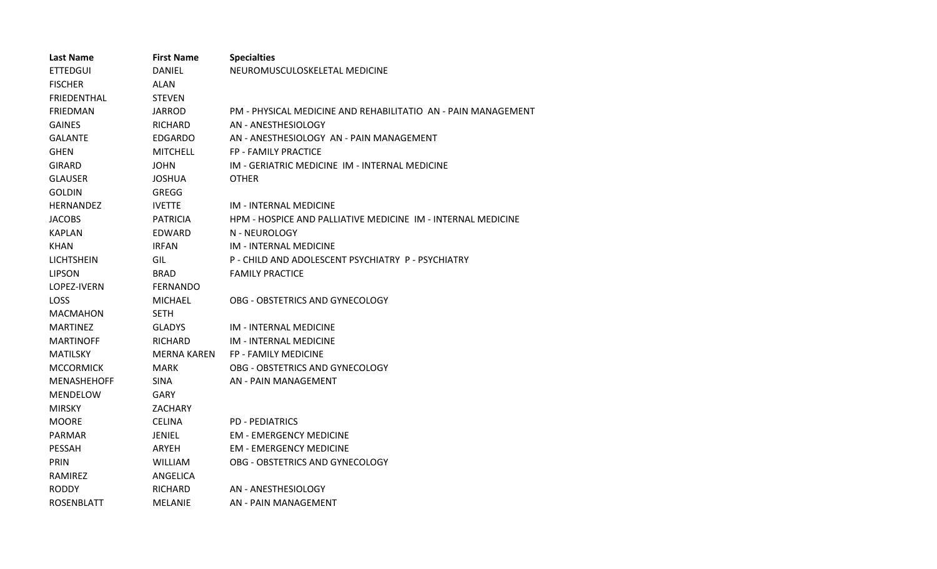| <b>Last Name</b>   | <b>First Name</b>  | <b>Specialties</b>                                            |
|--------------------|--------------------|---------------------------------------------------------------|
| <b>ETTEDGUI</b>    | DANIEL             | NEUROMUSCULOSKELETAL MEDICINE                                 |
| <b>FISCHER</b>     | <b>ALAN</b>        |                                                               |
| <b>FRIEDENTHAL</b> | <b>STEVEN</b>      |                                                               |
| <b>FRIEDMAN</b>    | <b>JARROD</b>      | PM - PHYSICAL MEDICINE AND REHABILITATIO AN - PAIN MANAGEMENT |
| <b>GAINES</b>      | RICHARD            | AN - ANESTHESIOLOGY                                           |
| <b>GALANTE</b>     | <b>EDGARDO</b>     | AN - ANESTHESIOLOGY AN - PAIN MANAGEMENT                      |
| <b>GHEN</b>        | <b>MITCHELL</b>    | <b>FP - FAMILY PRACTICE</b>                                   |
| GIRARD             | JOHN               | IM - GERIATRIC MEDICINE IM - INTERNAL MEDICINE                |
| <b>GLAUSER</b>     | JOSHUA             | <b>OTHER</b>                                                  |
| <b>GOLDIN</b>      | GREGG              |                                                               |
| <b>HERNANDEZ</b>   | <b>IVETTE</b>      | <b>IM - INTERNAL MEDICINE</b>                                 |
| <b>JACOBS</b>      | <b>PATRICIA</b>    | HPM - HOSPICE AND PALLIATIVE MEDICINE IM - INTERNAL MEDICINE  |
| KAPLAN             | EDWARD             | N - NEUROLOGY                                                 |
| <b>KHAN</b>        | <b>IRFAN</b>       | IM - INTERNAL MEDICINE                                        |
| <b>LICHTSHEIN</b>  | GIL                | P - CHILD AND ADOLESCENT PSYCHIATRY P - PSYCHIATRY            |
| <b>LIPSON</b>      | <b>BRAD</b>        | <b>FAMILY PRACTICE</b>                                        |
| LOPEZ-IVERN        | <b>FERNANDO</b>    |                                                               |
| LOSS               | MICHAEL            | OBG - OBSTETRICS AND GYNECOLOGY                               |
| <b>MACMAHON</b>    | <b>SETH</b>        |                                                               |
| <b>MARTINEZ</b>    | <b>GLADYS</b>      | IM - INTERNAL MEDICINE                                        |
| <b>MARTINOFF</b>   | RICHARD            | <b>IM - INTERNAL MEDICINE</b>                                 |
| <b>MATILSKY</b>    | <b>MERNA KAREN</b> | FP - FAMILY MEDICINE                                          |
| <b>MCCORMICK</b>   | MARK               | OBG - OBSTETRICS AND GYNECOLOGY                               |
| <b>MENASHEHOFF</b> | <b>SINA</b>        | AN - PAIN MANAGEMENT                                          |
| <b>MENDELOW</b>    | GARY               |                                                               |
| <b>MIRSKY</b>      | <b>ZACHARY</b>     |                                                               |
| <b>MOORE</b>       | <b>CELINA</b>      | <b>PD - PEDIATRICS</b>                                        |
| PARMAR             | <b>JENIEL</b>      | <b>EM - EMERGENCY MEDICINE</b>                                |
| <b>PESSAH</b>      | <b>ARYEH</b>       | <b>EM - EMERGENCY MEDICINE</b>                                |
| PRIN               | <b>WILLIAM</b>     | OBG - OBSTETRICS AND GYNECOLOGY                               |
| RAMIREZ            | ANGELICA           |                                                               |
| <b>RODDY</b>       | <b>RICHARD</b>     | AN - ANESTHESIOLOGY                                           |
| ROSENBLATT         | <b>MELANIE</b>     | AN - PAIN MANAGEMENT                                          |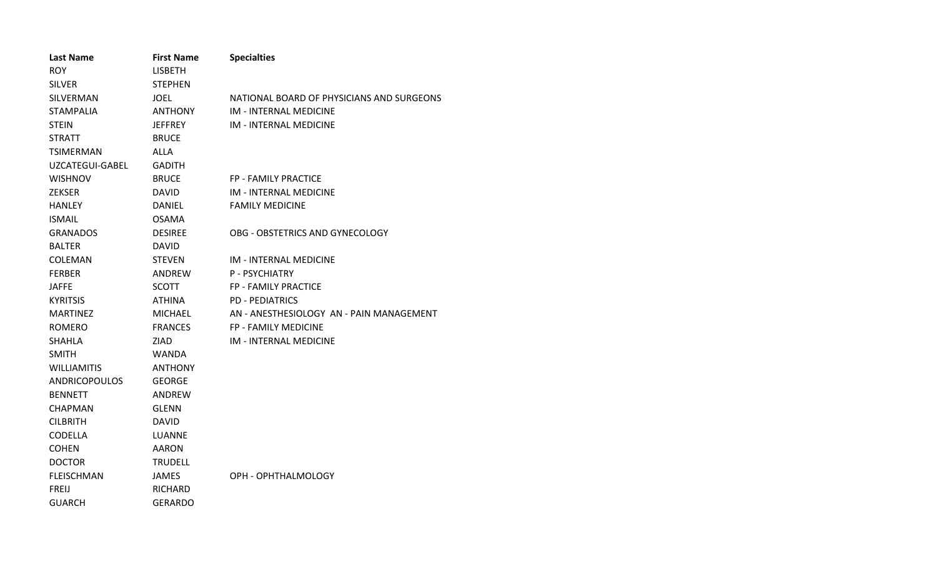| <b>Last Name</b>     | <b>First Name</b> | <b>Specialties</b>                        |
|----------------------|-------------------|-------------------------------------------|
| <b>ROY</b>           | <b>LISBETH</b>    |                                           |
| <b>SILVER</b>        | <b>STEPHEN</b>    |                                           |
| SILVERMAN            | <b>JOEL</b>       | NATIONAL BOARD OF PHYSICIANS AND SURGEONS |
| <b>STAMPALIA</b>     | <b>ANTHONY</b>    | IM - INTERNAL MEDICINE                    |
| <b>STEIN</b>         | JEFFREY           | IM - INTERNAL MEDICINE                    |
| <b>STRATT</b>        | <b>BRUCE</b>      |                                           |
| TSIMERMAN            | ALLA              |                                           |
| UZCATEGUI-GABEL      | <b>GADITH</b>     |                                           |
| <b>WISHNOV</b>       | <b>BRUCE</b>      | FP - FAMILY PRACTICE                      |
| <b>ZEKSER</b>        | <b>DAVID</b>      | IM - INTERNAL MEDICINE                    |
| <b>HANLEY</b>        | <b>DANIEL</b>     | <b>FAMILY MEDICINE</b>                    |
| <b>ISMAIL</b>        | <b>OSAMA</b>      |                                           |
| <b>GRANADOS</b>      | <b>DESIREE</b>    | OBG - OBSTETRICS AND GYNECOLOGY           |
| <b>BALTER</b>        | <b>DAVID</b>      |                                           |
| COLEMAN              | <b>STEVEN</b>     | <b>IM - INTERNAL MEDICINE</b>             |
| <b>FERBER</b>        | ANDREW            | P - PSYCHIATRY                            |
| <b>JAFFE</b>         | <b>SCOTT</b>      | FP - FAMILY PRACTICE                      |
| <b>KYRITSIS</b>      | ATHINA            | <b>PD - PEDIATRICS</b>                    |
| <b>MARTINEZ</b>      | <b>MICHAEL</b>    | AN - ANESTHESIOLOGY AN - PAIN MANAGEMENT  |
| <b>ROMERO</b>        | <b>FRANCES</b>    | <b>FP - FAMILY MEDICINE</b>               |
| <b>SHAHLA</b>        | ZIAD              | <b>IM - INTERNAL MEDICINE</b>             |
| <b>SMITH</b>         | <b>WANDA</b>      |                                           |
| <b>WILLIAMITIS</b>   | <b>ANTHONY</b>    |                                           |
| <b>ANDRICOPOULOS</b> | <b>GEORGE</b>     |                                           |
| <b>BENNETT</b>       | ANDREW            |                                           |
| <b>CHAPMAN</b>       | <b>GLENN</b>      |                                           |
| <b>CILBRITH</b>      | <b>DAVID</b>      |                                           |
| <b>CODELLA</b>       | LUANNE            |                                           |
| <b>COHEN</b>         | <b>AARON</b>      |                                           |
| <b>DOCTOR</b>        | TRUDELL           |                                           |
| <b>FLEISCHMAN</b>    | <b>JAMES</b>      | OPH - OPHTHALMOLOGY                       |
| <b>FREIJ</b>         | RICHARD           |                                           |
| GUARCH               | <b>GERARDO</b>    |                                           |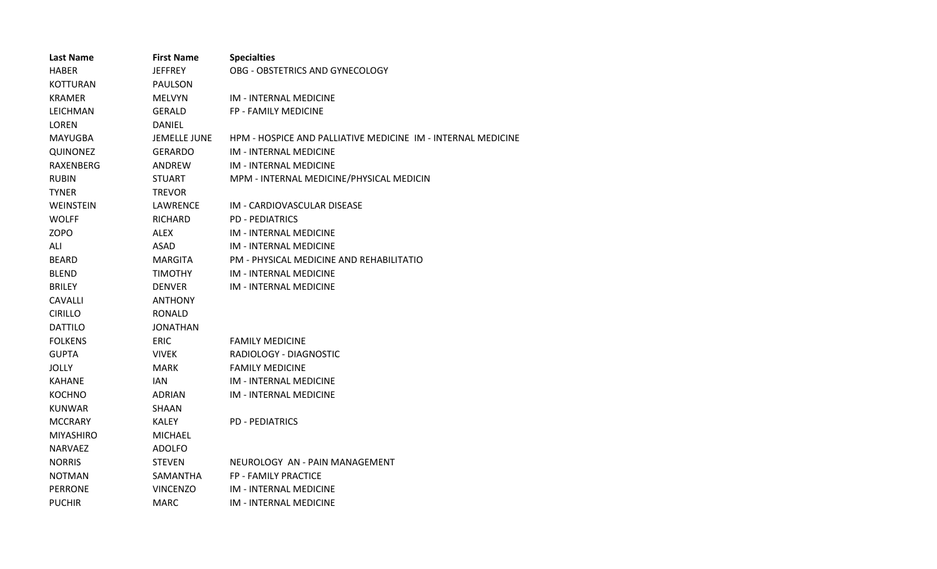| <b>Last Name</b> | <b>First Name</b> | <b>Specialties</b>                                           |
|------------------|-------------------|--------------------------------------------------------------|
| <b>HABER</b>     | <b>JEFFREY</b>    | OBG - OBSTETRICS AND GYNECOLOGY                              |
| KOTTURAN         | PAULSON           |                                                              |
| <b>KRAMER</b>    | <b>MELVYN</b>     | <b>IM - INTERNAL MEDICINE</b>                                |
| LEICHMAN         | <b>GERALD</b>     | FP - FAMILY MEDICINE                                         |
| LOREN            | DANIEL            |                                                              |
| <b>MAYUGBA</b>   | JEMELLE JUNE      | HPM - HOSPICE AND PALLIATIVE MEDICINE IM - INTERNAL MEDICINE |
| <b>QUINONEZ</b>  | <b>GERARDO</b>    | <b>IM - INTERNAL MEDICINE</b>                                |
| <b>RAXENBERG</b> | <b>ANDREW</b>     | <b>IM - INTERNAL MEDICINE</b>                                |
| <b>RUBIN</b>     | <b>STUART</b>     | MPM - INTERNAL MEDICINE/PHYSICAL MEDICIN                     |
| <b>TYNER</b>     | <b>TREVOR</b>     |                                                              |
| WEINSTEIN        | LAWRENCE          | IM - CARDIOVASCULAR DISEASE                                  |
| <b>WOLFF</b>     | RICHARD           | <b>PD - PEDIATRICS</b>                                       |
| <b>ZOPO</b>      | <b>ALEX</b>       | <b>IM - INTERNAL MEDICINE</b>                                |
| ALI              | <b>ASAD</b>       | <b>IM - INTERNAL MEDICINE</b>                                |
| <b>BEARD</b>     | MARGITA           | PM - PHYSICAL MEDICINE AND REHABILITATIO                     |
| <b>BLEND</b>     | <b>TIMOTHY</b>    | IM - INTERNAL MEDICINE                                       |
| <b>BRILEY</b>    | <b>DENVER</b>     | <b>IM - INTERNAL MEDICINE</b>                                |
| <b>CAVALLI</b>   | <b>ANTHONY</b>    |                                                              |
| <b>CIRILLO</b>   | RONALD            |                                                              |
| <b>DATTILO</b>   | <b>JONATHAN</b>   |                                                              |
| <b>FOLKENS</b>   | <b>ERIC</b>       | <b>FAMILY MEDICINE</b>                                       |
| <b>GUPTA</b>     | <b>VIVEK</b>      | RADIOLOGY - DIAGNOSTIC                                       |
| JOLLY            | <b>MARK</b>       | <b>FAMILY MEDICINE</b>                                       |
| <b>KAHANE</b>    | IAN.              | <b>IM - INTERNAL MEDICINE</b>                                |
| <b>KOCHNO</b>    | <b>ADRIAN</b>     | <b>IM - INTERNAL MEDICINE</b>                                |
| <b>KUNWAR</b>    | SHAAN             |                                                              |
| <b>MCCRARY</b>   | KALEY             | <b>PD - PEDIATRICS</b>                                       |
| <b>MIYASHIRO</b> | <b>MICHAEL</b>    |                                                              |
| <b>NARVAEZ</b>   | <b>ADOLFO</b>     |                                                              |
| <b>NORRIS</b>    | <b>STEVEN</b>     | NEUROLOGY AN - PAIN MANAGEMENT                               |
| <b>NOTMAN</b>    | SAMANTHA          | FP - FAMILY PRACTICE                                         |
| <b>PERRONE</b>   | <b>VINCENZO</b>   | <b>IM - INTERNAL MEDICINE</b>                                |
| <b>PUCHIR</b>    | MARC              | IM - INTERNAL MEDICINE                                       |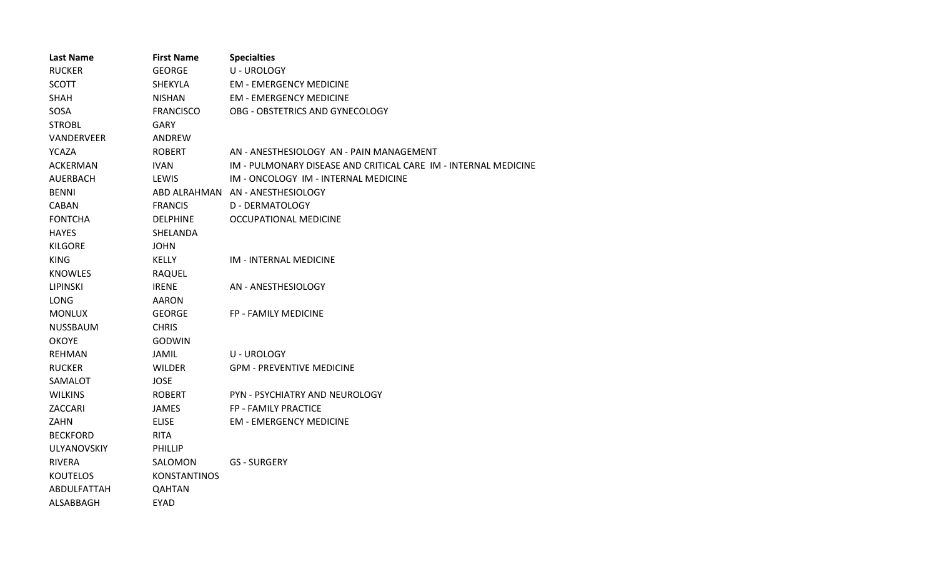| <b>Last Name</b> | <b>First Name</b>   | <b>Specialties</b>                                              |
|------------------|---------------------|-----------------------------------------------------------------|
| <b>RUCKER</b>    | <b>GEORGE</b>       | U - UROLOGY                                                     |
| <b>SCOTT</b>     | <b>SHEKYLA</b>      | <b>EM - EMERGENCY MEDICINE</b>                                  |
| <b>SHAH</b>      | <b>NISHAN</b>       | <b>EM - EMERGENCY MEDICINE</b>                                  |
| SOSA             | <b>FRANCISCO</b>    | OBG - OBSTETRICS AND GYNECOLOGY                                 |
| <b>STROBL</b>    | GARY                |                                                                 |
| VANDERVEER       | ANDREW              |                                                                 |
| <b>YCAZA</b>     | <b>ROBERT</b>       | AN - ANESTHESIOLOGY AN - PAIN MANAGEMENT                        |
| <b>ACKERMAN</b>  | <b>IVAN</b>         | IM - PULMONARY DISEASE AND CRITICAL CARE IM - INTERNAL MEDICINE |
| <b>AUERBACH</b>  | LEWIS               | IM - ONCOLOGY IM - INTERNAL MEDICINE                            |
| <b>BENNI</b>     |                     | ABD ALRAHMAN AN - ANESTHESIOLOGY                                |
| <b>CABAN</b>     | <b>FRANCIS</b>      | D - DERMATOLOGY                                                 |
| <b>FONTCHA</b>   | <b>DELPHINE</b>     | OCCUPATIONAL MEDICINE                                           |
| <b>HAYES</b>     | SHELANDA            |                                                                 |
| <b>KILGORE</b>   | JOHN                |                                                                 |
| <b>KING</b>      | <b>KELLY</b>        | IM - INTERNAL MEDICINE                                          |
| <b>KNOWLES</b>   | RAQUEL              |                                                                 |
| <b>LIPINSKI</b>  | <b>IRENE</b>        | AN - ANESTHESIOLOGY                                             |
| <b>LONG</b>      | <b>AARON</b>        |                                                                 |
| <b>MONLUX</b>    | <b>GEORGE</b>       | FP - FAMILY MEDICINE                                            |
| <b>NUSSBAUM</b>  | <b>CHRIS</b>        |                                                                 |
| <b>OKOYE</b>     | GODWIN              |                                                                 |
| <b>REHMAN</b>    | JAMIL               | <b>U-UROLOGY</b>                                                |
| <b>RUCKER</b>    | <b>WILDER</b>       | <b>GPM - PREVENTIVE MEDICINE</b>                                |
| SAMALOT          | <b>JOSE</b>         |                                                                 |
| <b>WILKINS</b>   | <b>ROBERT</b>       | PYN - PSYCHIATRY AND NEUROLOGY                                  |
| ZACCARI          | JAMES               | FP - FAMILY PRACTICE                                            |
| <b>ZAHN</b>      | <b>ELISE</b>        | <b>EM - EMERGENCY MEDICINE</b>                                  |
| <b>BECKFORD</b>  | <b>RITA</b>         |                                                                 |
| ULYANOVSKIY      | <b>PHILLIP</b>      |                                                                 |
| <b>RIVERA</b>    | SALOMON             | <b>GS - SURGERY</b>                                             |
| <b>KOUTELOS</b>  | <b>KONSTANTINOS</b> |                                                                 |
| ABDULFATTAH      | <b>QAHTAN</b>       |                                                                 |
| ALSABBAGH        | <b>EYAD</b>         |                                                                 |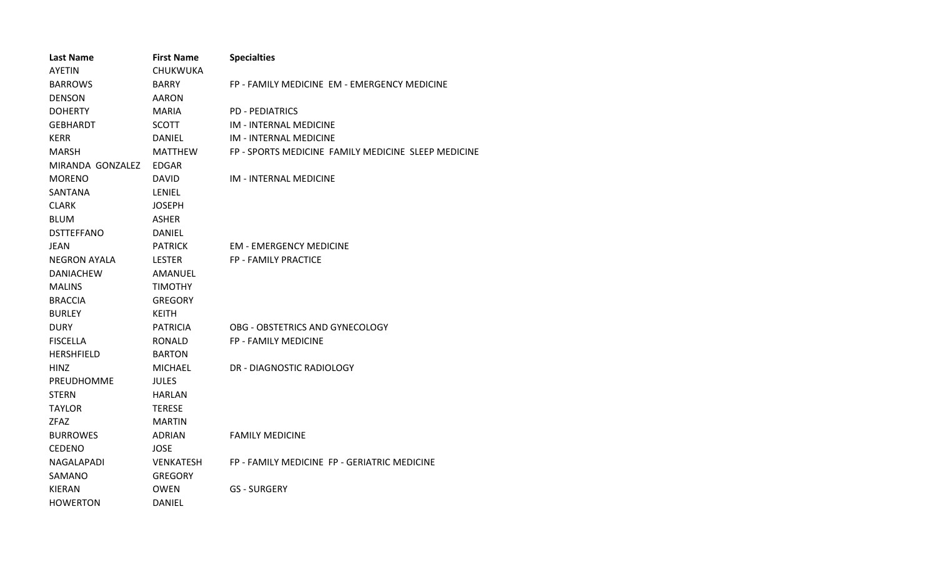| <b>Last Name</b>    | <b>First Name</b> | <b>Specialties</b>                                  |
|---------------------|-------------------|-----------------------------------------------------|
| <b>AYETIN</b>       | CHUKWUKA          |                                                     |
| <b>BARROWS</b>      | <b>BARRY</b>      | FP - FAMILY MEDICINE EM - EMERGENCY MEDICINE        |
| <b>DENSON</b>       | <b>AARON</b>      |                                                     |
| <b>DOHERTY</b>      | <b>MARIA</b>      | <b>PD - PEDIATRICS</b>                              |
| <b>GEBHARDT</b>     | <b>SCOTT</b>      | IM - INTERNAL MEDICINE                              |
| <b>KERR</b>         | DANIEL            | <b>IM - INTERNAL MEDICINE</b>                       |
| <b>MARSH</b>        | MATTHEW           | FP - SPORTS MEDICINE FAMILY MEDICINE SLEEP MEDICINE |
| MIRANDA GONZALEZ    | <b>EDGAR</b>      |                                                     |
| <b>MORENO</b>       | <b>DAVID</b>      | <b>IM - INTERNAL MEDICINE</b>                       |
| SANTANA             | LENIEL            |                                                     |
| <b>CLARK</b>        | <b>JOSEPH</b>     |                                                     |
| <b>BLUM</b>         | <b>ASHER</b>      |                                                     |
| <b>DSTTEFFANO</b>   | <b>DANIEL</b>     |                                                     |
| <b>JEAN</b>         | <b>PATRICK</b>    | <b>EM - EMERGENCY MEDICINE</b>                      |
| <b>NEGRON AYALA</b> | <b>LESTER</b>     | <b>FP - FAMILY PRACTICE</b>                         |
| <b>DANIACHEW</b>    | AMANUEL           |                                                     |
| <b>MALINS</b>       | <b>TIMOTHY</b>    |                                                     |
| <b>BRACCIA</b>      | <b>GREGORY</b>    |                                                     |
| <b>BURLEY</b>       | <b>KEITH</b>      |                                                     |
| <b>DURY</b>         | <b>PATRICIA</b>   | OBG - OBSTETRICS AND GYNECOLOGY                     |
| <b>FISCELLA</b>     | <b>RONALD</b>     | <b>FP - FAMILY MEDICINE</b>                         |
| <b>HERSHFIELD</b>   | <b>BARTON</b>     |                                                     |
| HINZ                | <b>MICHAEL</b>    | DR - DIAGNOSTIC RADIOLOGY                           |
| PREUDHOMME          | <b>JULES</b>      |                                                     |
| <b>STERN</b>        | <b>HARLAN</b>     |                                                     |
| <b>TAYLOR</b>       | <b>TERESE</b>     |                                                     |
| <b>ZFAZ</b>         | <b>MARTIN</b>     |                                                     |
| <b>BURROWES</b>     | <b>ADRIAN</b>     | <b>FAMILY MEDICINE</b>                              |
| <b>CEDENO</b>       | <b>JOSE</b>       |                                                     |
| NAGALAPADI          | <b>VENKATESH</b>  | FP - FAMILY MEDICINE FP - GERIATRIC MEDICINE        |
| SAMANO              | <b>GREGORY</b>    |                                                     |
| <b>KIERAN</b>       | <b>OWEN</b>       | <b>GS - SURGERY</b>                                 |
| <b>HOWERTON</b>     | DANIEL            |                                                     |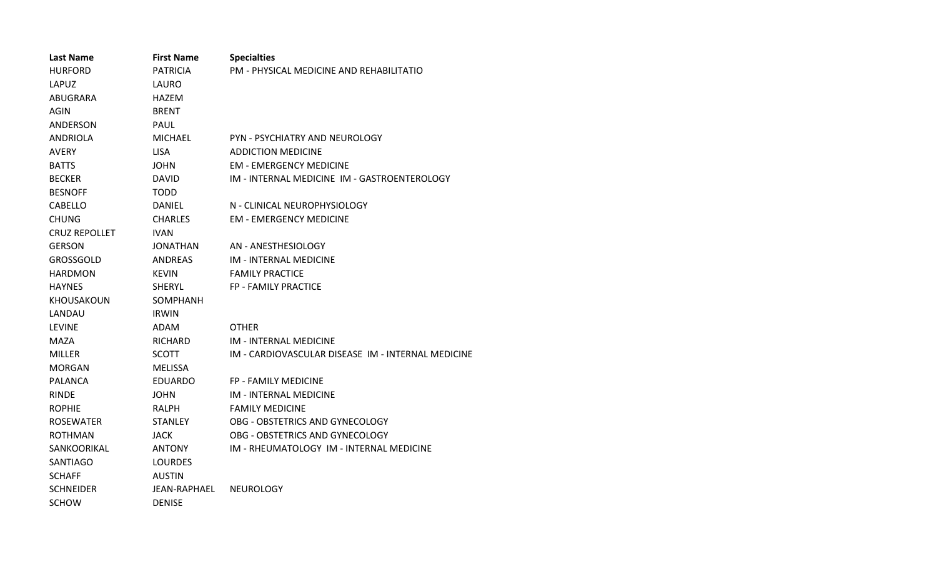| <b>Last Name</b>     | <b>First Name</b> | <b>Specialties</b>                                 |
|----------------------|-------------------|----------------------------------------------------|
| <b>HURFORD</b>       | <b>PATRICIA</b>   | PM - PHYSICAL MEDICINE AND REHABILITATIO           |
| LAPUZ                | LAURO             |                                                    |
| ABUGRARA             | <b>HAZEM</b>      |                                                    |
| <b>AGIN</b>          | <b>BRENT</b>      |                                                    |
| ANDERSON             | PAUL              |                                                    |
| <b>ANDRIOLA</b>      | <b>MICHAEL</b>    | PYN - PSYCHIATRY AND NEUROLOGY                     |
| <b>AVERY</b>         | <b>LISA</b>       | <b>ADDICTION MEDICINE</b>                          |
| <b>BATTS</b>         | <b>JOHN</b>       | <b>EM - EMERGENCY MEDICINE</b>                     |
| <b>BECKER</b>        | <b>DAVID</b>      | IM - INTERNAL MEDICINE IM - GASTROENTEROLOGY       |
| <b>BESNOFF</b>       | <b>TODD</b>       |                                                    |
| <b>CABELLO</b>       | DANIEL            | N - CLINICAL NEUROPHYSIOLOGY                       |
| <b>CHUNG</b>         | <b>CHARLES</b>    | <b>EM - EMERGENCY MEDICINE</b>                     |
| <b>CRUZ REPOLLET</b> | <b>IVAN</b>       |                                                    |
| <b>GERSON</b>        | JONATHAN          | AN - ANESTHESIOLOGY                                |
| <b>GROSSGOLD</b>     | <b>ANDREAS</b>    | <b>IM - INTERNAL MEDICINE</b>                      |
| <b>HARDMON</b>       | <b>KEVIN</b>      | <b>FAMILY PRACTICE</b>                             |
| <b>HAYNES</b>        | <b>SHERYL</b>     | <b>FP - FAMILY PRACTICE</b>                        |
| <b>KHOUSAKOUN</b>    | SOMPHANH          |                                                    |
| LANDAU               | <b>IRWIN</b>      |                                                    |
| <b>LEVINE</b>        | ADAM              | <b>OTHER</b>                                       |
| <b>MAZA</b>          | <b>RICHARD</b>    | IM - INTERNAL MEDICINE                             |
| <b>MILLER</b>        | <b>SCOTT</b>      | IM - CARDIOVASCULAR DISEASE IM - INTERNAL MEDICINE |
| <b>MORGAN</b>        | <b>MELISSA</b>    |                                                    |
| <b>PALANCA</b>       | <b>EDUARDO</b>    | <b>FP - FAMILY MEDICINE</b>                        |
| <b>RINDE</b>         | <b>JOHN</b>       | <b>IM - INTERNAL MEDICINE</b>                      |
| <b>ROPHIE</b>        | RALPH             | <b>FAMILY MEDICINE</b>                             |
| <b>ROSEWATER</b>     | <b>STANLEY</b>    | OBG - OBSTETRICS AND GYNECOLOGY                    |
| <b>ROTHMAN</b>       | <b>JACK</b>       | OBG - OBSTETRICS AND GYNECOLOGY                    |
| SANKOORIKAL          | <b>ANTONY</b>     | IM - RHEUMATOLOGY IM - INTERNAL MEDICINE           |
| <b>SANTIAGO</b>      | <b>LOURDES</b>    |                                                    |
| <b>SCHAFF</b>        | <b>AUSTIN</b>     |                                                    |
| <b>SCHNEIDER</b>     | JEAN-RAPHAEL      | <b>NEUROLOGY</b>                                   |
| SCHOW                | <b>DENISE</b>     |                                                    |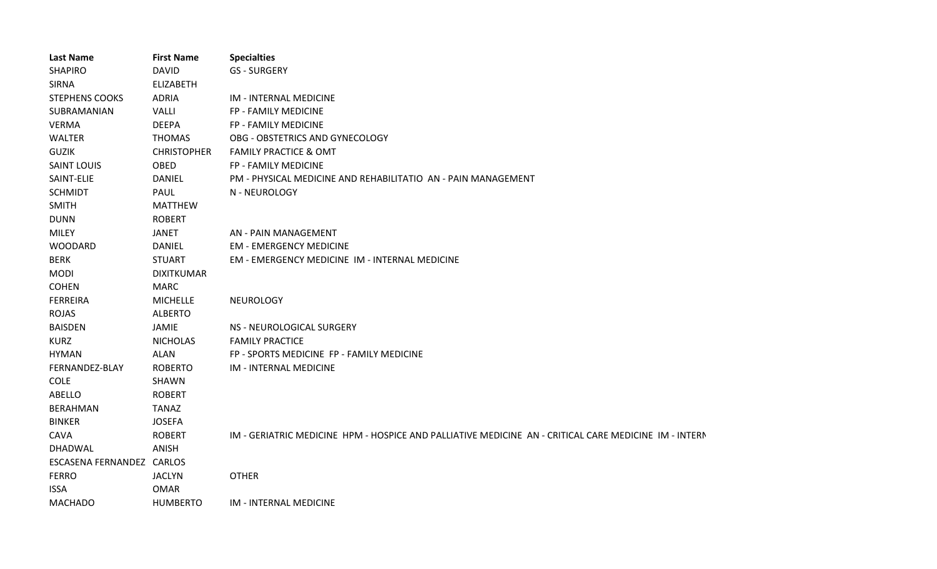| <b>Last Name</b>          | <b>First Name</b>  | <b>Specialties</b>                                                                                    |
|---------------------------|--------------------|-------------------------------------------------------------------------------------------------------|
| <b>SHAPIRO</b>            | <b>DAVID</b>       | <b>GS - SURGERY</b>                                                                                   |
| <b>SIRNA</b>              | <b>ELIZABETH</b>   |                                                                                                       |
| <b>STEPHENS COOKS</b>     | <b>ADRIA</b>       | IM - INTERNAL MEDICINE                                                                                |
| SUBRAMANIAN               | VALLI              | FP - FAMILY MEDICINE                                                                                  |
| <b>VERMA</b>              | <b>DEEPA</b>       | FP - FAMILY MEDICINE                                                                                  |
| <b>WALTER</b>             | <b>THOMAS</b>      | OBG - OBSTETRICS AND GYNECOLOGY                                                                       |
| <b>GUZIK</b>              | <b>CHRISTOPHER</b> | <b>FAMILY PRACTICE &amp; OMT</b>                                                                      |
| <b>SAINT LOUIS</b>        | OBED               | FP - FAMILY MEDICINE                                                                                  |
| SAINT-ELIE                | <b>DANIEL</b>      | PM - PHYSICAL MEDICINE AND REHABILITATIO AN - PAIN MANAGEMENT                                         |
| <b>SCHMIDT</b>            | <b>PAUL</b>        | N - NEUROLOGY                                                                                         |
| <b>SMITH</b>              | <b>MATTHEW</b>     |                                                                                                       |
| <b>DUNN</b>               | <b>ROBERT</b>      |                                                                                                       |
| <b>MILEY</b>              | <b>JANET</b>       | AN - PAIN MANAGEMENT                                                                                  |
| <b>WOODARD</b>            | <b>DANIEL</b>      | <b>EM - EMERGENCY MEDICINE</b>                                                                        |
| <b>BERK</b>               | <b>STUART</b>      | EM - EMERGENCY MEDICINE IM - INTERNAL MEDICINE                                                        |
| <b>MODI</b>               | <b>DIXITKUMAR</b>  |                                                                                                       |
| <b>COHEN</b>              | <b>MARC</b>        |                                                                                                       |
| <b>FERREIRA</b>           | <b>MICHELLE</b>    | NEUROLOGY                                                                                             |
| <b>ROJAS</b>              | <b>ALBERTO</b>     |                                                                                                       |
| <b>BAISDEN</b>            | JAMIE              | NS - NEUROLOGICAL SURGERY                                                                             |
| <b>KURZ</b>               | <b>NICHOLAS</b>    | <b>FAMILY PRACTICE</b>                                                                                |
| <b>HYMAN</b>              | <b>ALAN</b>        | FP - SPORTS MEDICINE FP - FAMILY MEDICINE                                                             |
| FERNANDEZ-BLAY            | <b>ROBERTO</b>     | IM - INTERNAL MEDICINE                                                                                |
| <b>COLE</b>               | SHAWN              |                                                                                                       |
| ABELLO                    | <b>ROBERT</b>      |                                                                                                       |
| <b>BERAHMAN</b>           | <b>TANAZ</b>       |                                                                                                       |
| <b>BINKER</b>             | <b>JOSEFA</b>      |                                                                                                       |
| <b>CAVA</b>               | <b>ROBERT</b>      | IM - GERIATRIC MEDICINE HPM - HOSPICE AND PALLIATIVE MEDICINE AN - CRITICAL CARE MEDICINE IM - INTERN |
| DHADWAL                   | <b>ANISH</b>       |                                                                                                       |
| ESCASENA FERNANDEZ CARLOS |                    |                                                                                                       |
| <b>FERRO</b>              | <b>JACLYN</b>      | <b>OTHER</b>                                                                                          |
| <b>ISSA</b>               | <b>OMAR</b>        |                                                                                                       |
| <b>MACHADO</b>            | <b>HUMBERTO</b>    | IM - INTERNAL MEDICINE                                                                                |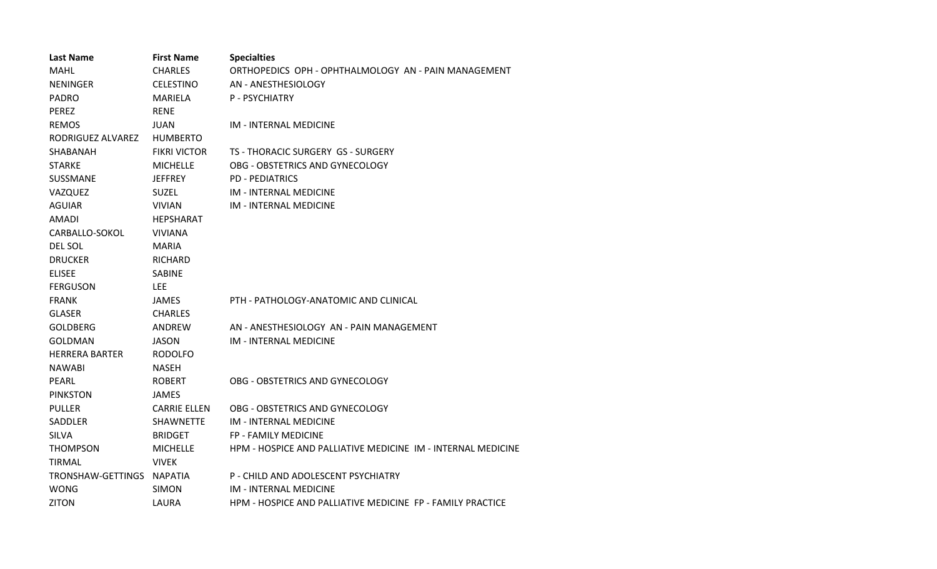| <b>Last Name</b>      | <b>First Name</b>   | <b>Specialties</b>                                           |
|-----------------------|---------------------|--------------------------------------------------------------|
| <b>MAHL</b>           | <b>CHARLES</b>      | ORTHOPEDICS OPH - OPHTHALMOLOGY AN - PAIN MANAGEMENT         |
| <b>NENINGER</b>       | <b>CELESTINO</b>    | AN - ANESTHESIOLOGY                                          |
| <b>PADRO</b>          | MARIELA             | P - PSYCHIATRY                                               |
| <b>PEREZ</b>          | <b>RENE</b>         |                                                              |
| <b>REMOS</b>          | <b>JUAN</b>         | IM - INTERNAL MEDICINE                                       |
| RODRIGUEZ ALVAREZ     | <b>HUMBERTO</b>     |                                                              |
| SHABANAH              | <b>FIKRI VICTOR</b> | TS - THORACIC SURGERY GS - SURGERY                           |
| <b>STARKE</b>         | <b>MICHELLE</b>     | OBG - OBSTETRICS AND GYNECOLOGY                              |
| SUSSMANE              | <b>JEFFREY</b>      | <b>PD - PEDIATRICS</b>                                       |
| VAZQUEZ               | <b>SUZEL</b>        | IM - INTERNAL MEDICINE                                       |
| <b>AGUIAR</b>         | <b>VIVIAN</b>       | <b>IM - INTERNAL MEDICINE</b>                                |
| AMADI                 | <b>HEPSHARAT</b>    |                                                              |
| CARBALLO-SOKOL        | <b>VIVIANA</b>      |                                                              |
| DEL SOL               | <b>MARIA</b>        |                                                              |
| <b>DRUCKER</b>        | RICHARD             |                                                              |
| <b>ELISEE</b>         | <b>SABINE</b>       |                                                              |
| <b>FERGUSON</b>       | LEE.                |                                                              |
| <b>FRANK</b>          | <b>JAMES</b>        | PTH - PATHOLOGY-ANATOMIC AND CLINICAL                        |
| <b>GLASER</b>         | <b>CHARLES</b>      |                                                              |
| <b>GOLDBERG</b>       | ANDREW              | AN - ANESTHESIOLOGY AN - PAIN MANAGEMENT                     |
| GOLDMAN               | JASON               | IM - INTERNAL MEDICINE                                       |
| <b>HERRERA BARTER</b> | RODOLFO             |                                                              |
| <b>NAWABI</b>         | <b>NASEH</b>        |                                                              |
| PEARL                 | <b>ROBERT</b>       | OBG - OBSTETRICS AND GYNECOLOGY                              |
| <b>PINKSTON</b>       | <b>JAMES</b>        |                                                              |
| <b>PULLER</b>         | <b>CARRIE ELLEN</b> | OBG - OBSTETRICS AND GYNECOLOGY                              |
| SADDLER               | <b>SHAWNETTE</b>    | IM - INTERNAL MEDICINE                                       |
| <b>SILVA</b>          | <b>BRIDGET</b>      | <b>FP - FAMILY MEDICINE</b>                                  |
| <b>THOMPSON</b>       | <b>MICHELLE</b>     | HPM - HOSPICE AND PALLIATIVE MEDICINE IM - INTERNAL MEDICINE |
| <b>TIRMAL</b>         | <b>VIVEK</b>        |                                                              |
| TRONSHAW-GETTINGS     | <b>NAPATIA</b>      | P - CHILD AND ADOLESCENT PSYCHIATRY                          |
| <b>WONG</b>           | <b>SIMON</b>        | IM - INTERNAL MEDICINE                                       |
| <b>ZITON</b>          | LAURA               | HPM - HOSPICE AND PALLIATIVE MEDICINE FP - FAMILY PRACTICE   |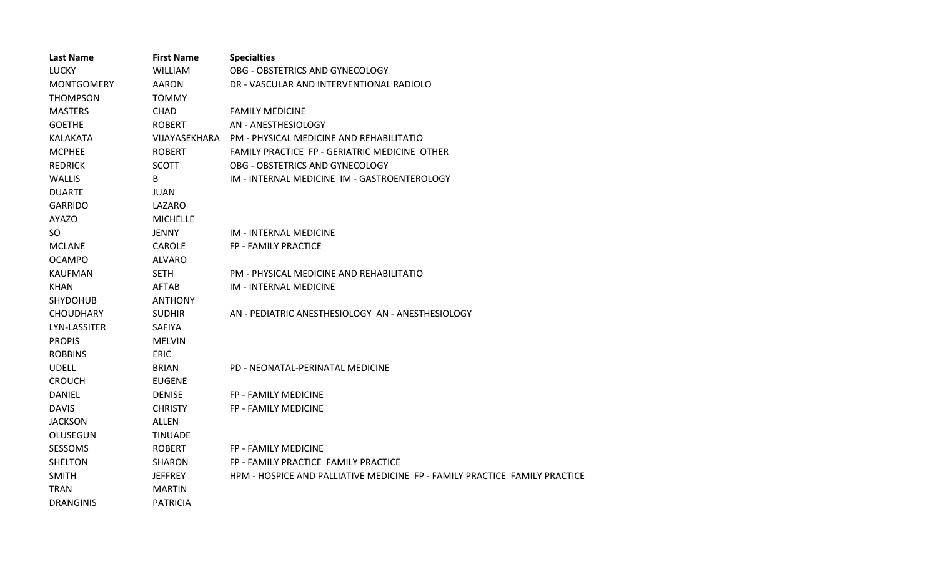| <b>Last Name</b>    | <b>First Name</b> | <b>Specialties</b>                                                         |  |
|---------------------|-------------------|----------------------------------------------------------------------------|--|
| <b>LUCKY</b>        | <b>WILLIAM</b>    | OBG - OBSTETRICS AND GYNECOLOGY                                            |  |
| <b>MONTGOMERY</b>   | <b>AARON</b>      | DR - VASCULAR AND INTERVENTIONAL RADIOLO                                   |  |
| <b>THOMPSON</b>     | <b>TOMMY</b>      |                                                                            |  |
| <b>MASTERS</b>      | <b>CHAD</b>       | <b>FAMILY MEDICINE</b>                                                     |  |
| <b>GOETHE</b>       | <b>ROBERT</b>     | AN - ANESTHESIOLOGY                                                        |  |
| <b>KALAKATA</b>     | VIJAYASEKHARA     | <b>PM - PHYSICAL MEDICINE AND REHABILITATIO</b>                            |  |
| <b>MCPHEE</b>       | <b>ROBERT</b>     | FAMILY PRACTICE FP - GERIATRIC MEDICINE OTHER                              |  |
| <b>REDRICK</b>      | <b>SCOTT</b>      | OBG - OBSTETRICS AND GYNECOLOGY                                            |  |
| <b>WALLIS</b>       | B                 | IM - INTERNAL MEDICINE IM - GASTROENTEROLOGY                               |  |
| <b>DUARTE</b>       | <b>JUAN</b>       |                                                                            |  |
| <b>GARRIDO</b>      | LAZARO            |                                                                            |  |
| <b>AYAZO</b>        | <b>MICHELLE</b>   |                                                                            |  |
| <b>SO</b>           | <b>JENNY</b>      | <b>IM - INTERNAL MEDICINE</b>                                              |  |
| <b>MCLANE</b>       | <b>CAROLE</b>     | FP - FAMILY PRACTICE                                                       |  |
| <b>OCAMPO</b>       | <b>ALVARO</b>     |                                                                            |  |
| <b>KAUFMAN</b>      | <b>SETH</b>       | PM - PHYSICAL MEDICINE AND REHABILITATIO                                   |  |
| <b>KHAN</b>         | <b>AFTAB</b>      | IM - INTERNAL MEDICINE                                                     |  |
| <b>SHYDOHUB</b>     | <b>ANTHONY</b>    |                                                                            |  |
| <b>CHOUDHARY</b>    | <b>SUDHIR</b>     | AN - PEDIATRIC ANESTHESIOLOGY AN - ANESTHESIOLOGY                          |  |
| <b>LYN-LASSITER</b> | <b>SAFIYA</b>     |                                                                            |  |
| <b>PROPIS</b>       | <b>MELVIN</b>     |                                                                            |  |
| <b>ROBBINS</b>      | <b>ERIC</b>       |                                                                            |  |
| <b>UDELL</b>        | <b>BRIAN</b>      | PD - NEONATAL-PERINATAL MEDICINE                                           |  |
| <b>CROUCH</b>       | <b>EUGENE</b>     |                                                                            |  |
| <b>DANIEL</b>       | <b>DENISE</b>     | FP - FAMILY MEDICINE                                                       |  |
| <b>DAVIS</b>        | <b>CHRISTY</b>    | FP - FAMILY MEDICINE                                                       |  |
| <b>JACKSON</b>      | <b>ALLEN</b>      |                                                                            |  |
| OLUSEGUN            | <b>TINUADE</b>    |                                                                            |  |
| <b>SESSOMS</b>      | <b>ROBERT</b>     | FP - FAMILY MEDICINE                                                       |  |
| <b>SHELTON</b>      | <b>SHARON</b>     | FP - FAMILY PRACTICE FAMILY PRACTICE                                       |  |
| <b>SMITH</b>        | <b>JEFFREY</b>    | HPM - HOSPICE AND PALLIATIVE MEDICINE FP - FAMILY PRACTICE FAMILY PRACTICE |  |
| <b>TRAN</b>         | <b>MARTIN</b>     |                                                                            |  |
| <b>DRANGINIS</b>    | <b>PATRICIA</b>   |                                                                            |  |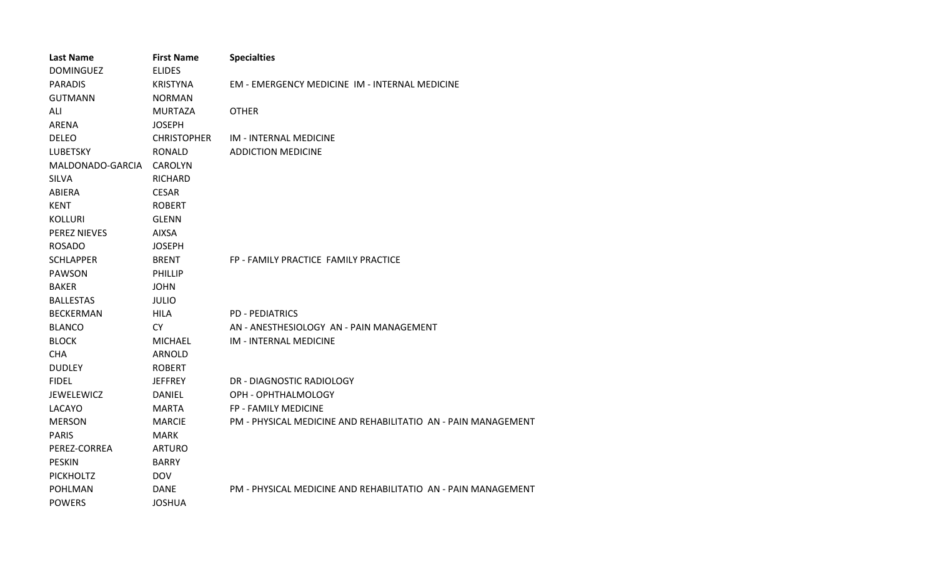| <b>Last Name</b>    | <b>First Name</b>  | <b>Specialties</b>                                            |
|---------------------|--------------------|---------------------------------------------------------------|
| <b>DOMINGUEZ</b>    | <b>ELIDES</b>      |                                                               |
| <b>PARADIS</b>      | <b>KRISTYNA</b>    | EM - EMERGENCY MEDICINE IM - INTERNAL MEDICINE                |
| <b>GUTMANN</b>      | <b>NORMAN</b>      |                                                               |
| ALI                 | <b>MURTAZA</b>     | <b>OTHER</b>                                                  |
| <b>ARENA</b>        | <b>JOSEPH</b>      |                                                               |
| <b>DELEO</b>        | <b>CHRISTOPHER</b> | <b>IM - INTERNAL MEDICINE</b>                                 |
| <b>LUBETSKY</b>     | <b>RONALD</b>      | <b>ADDICTION MEDICINE</b>                                     |
| MALDONADO-GARCIA    | <b>CAROLYN</b>     |                                                               |
| <b>SILVA</b>        | <b>RICHARD</b>     |                                                               |
| ABIERA              | <b>CESAR</b>       |                                                               |
| <b>KENT</b>         | <b>ROBERT</b>      |                                                               |
| <b>KOLLURI</b>      | <b>GLENN</b>       |                                                               |
| <b>PEREZ NIEVES</b> | <b>AIXSA</b>       |                                                               |
| <b>ROSADO</b>       | <b>JOSEPH</b>      |                                                               |
| <b>SCHLAPPER</b>    | <b>BRENT</b>       | FP - FAMILY PRACTICE FAMILY PRACTICE                          |
| <b>PAWSON</b>       | <b>PHILLIP</b>     |                                                               |
| <b>BAKER</b>        | <b>JOHN</b>        |                                                               |
| <b>BALLESTAS</b>    | <b>JULIO</b>       |                                                               |
| <b>BECKERMAN</b>    | <b>HILA</b>        | <b>PD - PEDIATRICS</b>                                        |
| <b>BLANCO</b>       | <b>CY</b>          | AN - ANESTHESIOLOGY AN - PAIN MANAGEMENT                      |
| <b>BLOCK</b>        | <b>MICHAEL</b>     | IM - INTERNAL MEDICINE                                        |
| <b>CHA</b>          | ARNOLD             |                                                               |
| <b>DUDLEY</b>       | <b>ROBERT</b>      |                                                               |
| <b>FIDEL</b>        | <b>JEFFREY</b>     | DR - DIAGNOSTIC RADIOLOGY                                     |
| JEWELEWICZ          | <b>DANIEL</b>      | OPH - OPHTHALMOLOGY                                           |
| LACAYO              | <b>MARTA</b>       | FP - FAMILY MEDICINE                                          |
| <b>MERSON</b>       | <b>MARCIE</b>      | PM - PHYSICAL MEDICINE AND REHABILITATIO AN - PAIN MANAGEMENT |
| <b>PARIS</b>        | <b>MARK</b>        |                                                               |
| PEREZ-CORREA        | <b>ARTURO</b>      |                                                               |
| <b>PESKIN</b>       | <b>BARRY</b>       |                                                               |
| <b>PICKHOLTZ</b>    | <b>DOV</b>         |                                                               |
| <b>POHLMAN</b>      | <b>DANE</b>        | PM - PHYSICAL MEDICINE AND REHABILITATIO AN - PAIN MANAGEMENT |
| <b>POWERS</b>       | <b>JOSHUA</b>      |                                                               |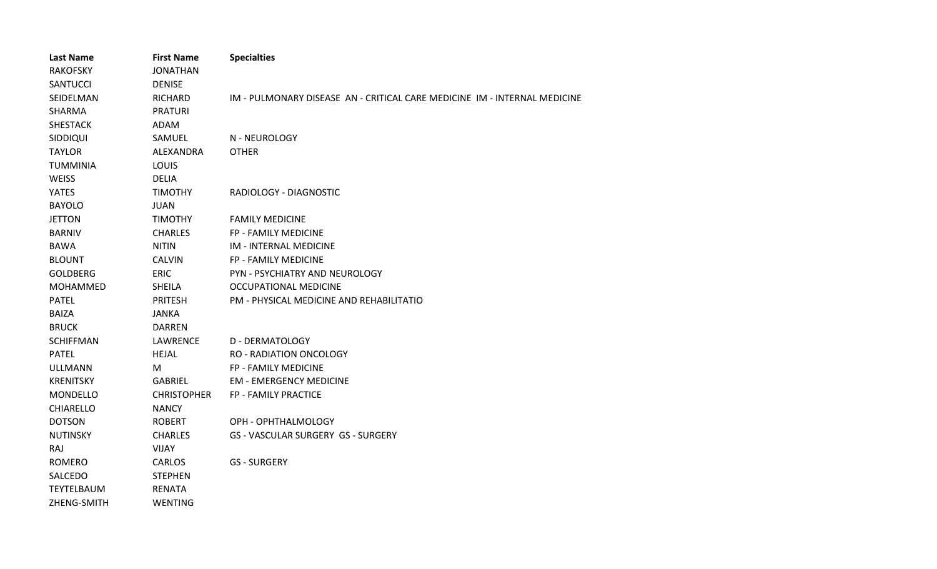| <b>Last Name</b>  | <b>First Name</b>  | <b>Specialties</b>                                                        |
|-------------------|--------------------|---------------------------------------------------------------------------|
| <b>RAKOFSKY</b>   | <b>JONATHAN</b>    |                                                                           |
| <b>SANTUCCI</b>   | <b>DENISE</b>      |                                                                           |
| SEIDELMAN         | <b>RICHARD</b>     | IM - PULMONARY DISEASE AN - CRITICAL CARE MEDICINE IM - INTERNAL MEDICINE |
| <b>SHARMA</b>     | <b>PRATURI</b>     |                                                                           |
| <b>SHESTACK</b>   | ADAM               |                                                                           |
| SIDDIQUI          | SAMUEL             | N - NEUROLOGY                                                             |
| <b>TAYLOR</b>     | ALEXANDRA          | <b>OTHER</b>                                                              |
| <b>TUMMINIA</b>   | LOUIS              |                                                                           |
| <b>WEISS</b>      | <b>DELIA</b>       |                                                                           |
| <b>YATES</b>      | TIMOTHY            | RADIOLOGY - DIAGNOSTIC                                                    |
| <b>BAYOLO</b>     | <b>JUAN</b>        |                                                                           |
| <b>JETTON</b>     | TIMOTHY            | <b>FAMILY MEDICINE</b>                                                    |
| <b>BARNIV</b>     | <b>CHARLES</b>     | FP - FAMILY MEDICINE                                                      |
| <b>BAWA</b>       | <b>NITIN</b>       | <b>IM - INTERNAL MEDICINE</b>                                             |
| <b>BLOUNT</b>     | <b>CALVIN</b>      | FP - FAMILY MEDICINE                                                      |
| <b>GOLDBERG</b>   | <b>ERIC</b>        | PYN - PSYCHIATRY AND NEUROLOGY                                            |
| <b>MOHAMMED</b>   | <b>SHEILA</b>      | <b>OCCUPATIONAL MEDICINE</b>                                              |
| <b>PATEL</b>      | <b>PRITESH</b>     | PM - PHYSICAL MEDICINE AND REHABILITATIO                                  |
| <b>BAIZA</b>      | <b>JANKA</b>       |                                                                           |
| <b>BRUCK</b>      | <b>DARREN</b>      |                                                                           |
| <b>SCHIFFMAN</b>  | LAWRENCE           | <b>D - DERMATOLOGY</b>                                                    |
| <b>PATEL</b>      | <b>HEJAL</b>       | <b>RO - RADIATION ONCOLOGY</b>                                            |
| <b>ULLMANN</b>    | м                  | FP - FAMILY MEDICINE                                                      |
| <b>KRENITSKY</b>  | <b>GABRIEL</b>     | <b>EM - EMERGENCY MEDICINE</b>                                            |
| MONDELLO          | <b>CHRISTOPHER</b> | FP - FAMILY PRACTICE                                                      |
| <b>CHIARELLO</b>  | <b>NANCY</b>       |                                                                           |
| <b>DOTSON</b>     | <b>ROBERT</b>      | OPH - OPHTHALMOLOGY                                                       |
| <b>NUTINSKY</b>   | <b>CHARLES</b>     | GS - VASCULAR SURGERY GS - SURGERY                                        |
| RAJ               | <b>VIJAY</b>       |                                                                           |
| <b>ROMERO</b>     | <b>CARLOS</b>      | <b>GS - SURGERY</b>                                                       |
| SALCEDO           | <b>STEPHEN</b>     |                                                                           |
| <b>TEYTELBAUM</b> | <b>RENATA</b>      |                                                                           |
| ZHENG-SMITH       | <b>WENTING</b>     |                                                                           |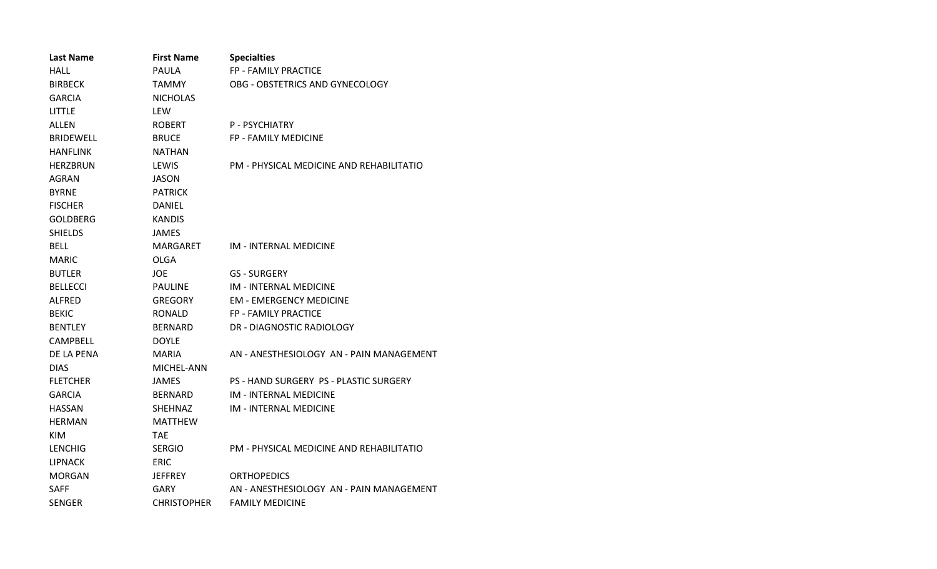| <b>Last Name</b> | <b>First Name</b>  | <b>Specialties</b>                       |
|------------------|--------------------|------------------------------------------|
| <b>HALL</b>      | <b>PAULA</b>       | FP - FAMILY PRACTICE                     |
| <b>BIRBECK</b>   | TAMMY              | OBG - OBSTETRICS AND GYNECOLOGY          |
| <b>GARCIA</b>    | <b>NICHOLAS</b>    |                                          |
| <b>LITTLE</b>    | <b>LEW</b>         |                                          |
| ALLEN            | <b>ROBERT</b>      | P - PSYCHIATRY                           |
| <b>BRIDEWELL</b> | <b>BRUCE</b>       | FP - FAMILY MEDICINE                     |
| <b>HANFLINK</b>  | <b>NATHAN</b>      |                                          |
| <b>HERZBRUN</b>  | LEWIS              | PM - PHYSICAL MEDICINE AND REHABILITATIO |
| AGRAN            | JASON              |                                          |
| <b>BYRNE</b>     | <b>PATRICK</b>     |                                          |
| <b>FISCHER</b>   | DANIEL             |                                          |
| <b>GOLDBERG</b>  | <b>KANDIS</b>      |                                          |
| <b>SHIELDS</b>   | <b>JAMES</b>       |                                          |
| <b>BELL</b>      | MARGARET           | IM - INTERNAL MEDICINE                   |
| <b>MARIC</b>     | OLGA               |                                          |
| <b>BUTLER</b>    | JOE.               | <b>GS - SURGERY</b>                      |
| <b>BELLECCI</b>  | <b>PAULINE</b>     | <b>IM - INTERNAL MEDICINE</b>            |
| <b>ALFRED</b>    | GREGORY            | <b>EM - EMERGENCY MEDICINE</b>           |
| <b>BEKIC</b>     | <b>RONALD</b>      | FP - FAMILY PRACTICE                     |
| <b>BENTLEY</b>   | <b>BERNARD</b>     | DR - DIAGNOSTIC RADIOLOGY                |
| <b>CAMPBELL</b>  | <b>DOYLE</b>       |                                          |
| DE LA PENA       | <b>MARIA</b>       | AN - ANESTHESIOLOGY AN - PAIN MANAGEMENT |
| <b>DIAS</b>      | MICHEL-ANN         |                                          |
| <b>FLETCHER</b>  | <b>JAMES</b>       | PS - HAND SURGERY PS - PLASTIC SURGERY   |
| <b>GARCIA</b>    | <b>BERNARD</b>     | <b>IM - INTERNAL MEDICINE</b>            |
| <b>HASSAN</b>    | <b>SHEHNAZ</b>     | <b>IM - INTERNAL MEDICINE</b>            |
| <b>HERMAN</b>    | <b>MATTHEW</b>     |                                          |
| <b>KIM</b>       | <b>TAE</b>         |                                          |
| <b>LENCHIG</b>   | <b>SERGIO</b>      | PM - PHYSICAL MEDICINE AND REHABILITATIO |
| <b>LIPNACK</b>   | <b>ERIC</b>        |                                          |
| <b>MORGAN</b>    | JEFFREY            | <b>ORTHOPEDICS</b>                       |
| <b>SAFF</b>      | GARY               | AN - ANESTHESIOLOGY AN - PAIN MANAGEMENT |
| <b>SENGER</b>    | <b>CHRISTOPHER</b> | <b>FAMILY MEDICINE</b>                   |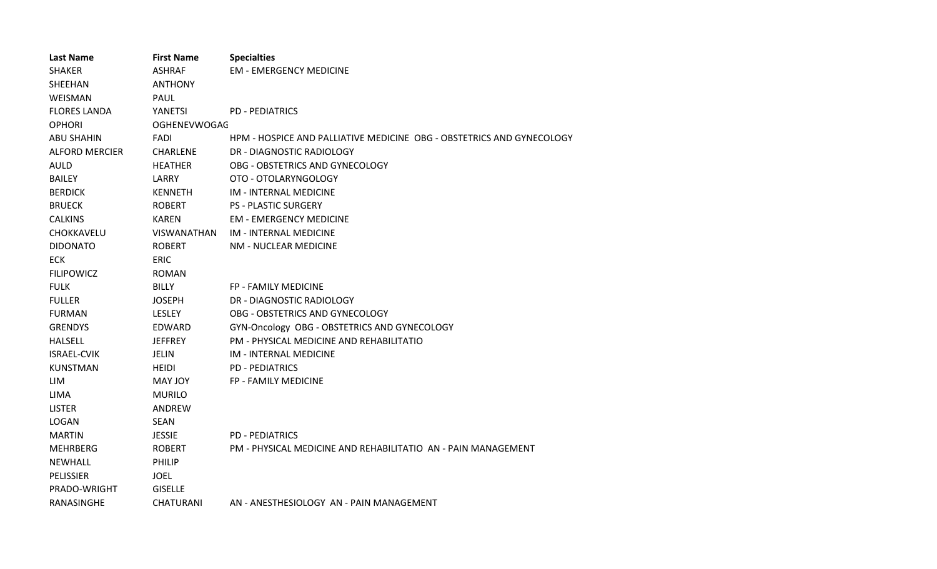| <b>Last Name</b>      | <b>First Name</b>   | <b>Specialties</b>                                                    |
|-----------------------|---------------------|-----------------------------------------------------------------------|
| <b>SHAKER</b>         | <b>ASHRAF</b>       | <b>EM - EMERGENCY MEDICINE</b>                                        |
| SHEEHAN               | <b>ANTHONY</b>      |                                                                       |
| WEISMAN               | PAUL                |                                                                       |
| <b>FLORES LANDA</b>   | YANETSI             | <b>PD - PEDIATRICS</b>                                                |
| <b>OPHORI</b>         | <b>OGHENEVWOGAC</b> |                                                                       |
| <b>ABU SHAHIN</b>     | <b>FADI</b>         | HPM - HOSPICE AND PALLIATIVE MEDICINE OBG - OBSTETRICS AND GYNECOLOGY |
| <b>ALFORD MERCIER</b> | <b>CHARLENE</b>     | DR - DIAGNOSTIC RADIOLOGY                                             |
| <b>AULD</b>           | <b>HEATHER</b>      | OBG - OBSTETRICS AND GYNECOLOGY                                       |
| <b>BAILEY</b>         | LARRY               | OTO - OTOLARYNGOLOGY                                                  |
| <b>BERDICK</b>        | <b>KENNETH</b>      | IM - INTERNAL MEDICINE                                                |
| <b>BRUECK</b>         | <b>ROBERT</b>       | <b>PS - PLASTIC SURGERY</b>                                           |
| <b>CALKINS</b>        | <b>KAREN</b>        | <b>EM - EMERGENCY MEDICINE</b>                                        |
| CHOKKAVELU            | VISWANATHAN         | IM - INTERNAL MEDICINE                                                |
| <b>DIDONATO</b>       | <b>ROBERT</b>       | NM - NUCLEAR MEDICINE                                                 |
| <b>ECK</b>            | <b>ERIC</b>         |                                                                       |
| <b>FILIPOWICZ</b>     | <b>ROMAN</b>        |                                                                       |
| <b>FULK</b>           | BILLY               | <b>FP - FAMILY MEDICINE</b>                                           |
| <b>FULLER</b>         | <b>JOSEPH</b>       | DR - DIAGNOSTIC RADIOLOGY                                             |
| <b>FURMAN</b>         | <b>LESLEY</b>       | OBG - OBSTETRICS AND GYNECOLOGY                                       |
| <b>GRENDYS</b>        | EDWARD              | GYN-Oncology OBG - OBSTETRICS AND GYNECOLOGY                          |
| <b>HALSELL</b>        | <b>JEFFREY</b>      | PM - PHYSICAL MEDICINE AND REHABILITATIO                              |
| <b>ISRAEL-CVIK</b>    | <b>JELIN</b>        | <b>IM - INTERNAL MEDICINE</b>                                         |
| <b>KUNSTMAN</b>       | <b>HEIDI</b>        | <b>PD - PEDIATRICS</b>                                                |
| LIM                   | MAY JOY             | <b>FP - FAMILY MEDICINE</b>                                           |
| LIMA                  | <b>MURILO</b>       |                                                                       |
| <b>LISTER</b>         | ANDREW              |                                                                       |
| <b>LOGAN</b>          | <b>SEAN</b>         |                                                                       |
| <b>MARTIN</b>         | <b>JESSIE</b>       | <b>PD - PEDIATRICS</b>                                                |
| <b>MEHRBERG</b>       | ROBERT              | PM - PHYSICAL MEDICINE AND REHABILITATIO AN - PAIN MANAGEMENT         |
| <b>NEWHALL</b>        | <b>PHILIP</b>       |                                                                       |
| <b>PELISSIER</b>      | <b>JOEL</b>         |                                                                       |
| PRADO-WRIGHT          | <b>GISELLE</b>      |                                                                       |
| <b>RANASINGHE</b>     | CHATURANI           | AN - ANESTHESIOLOGY AN - PAIN MANAGEMENT                              |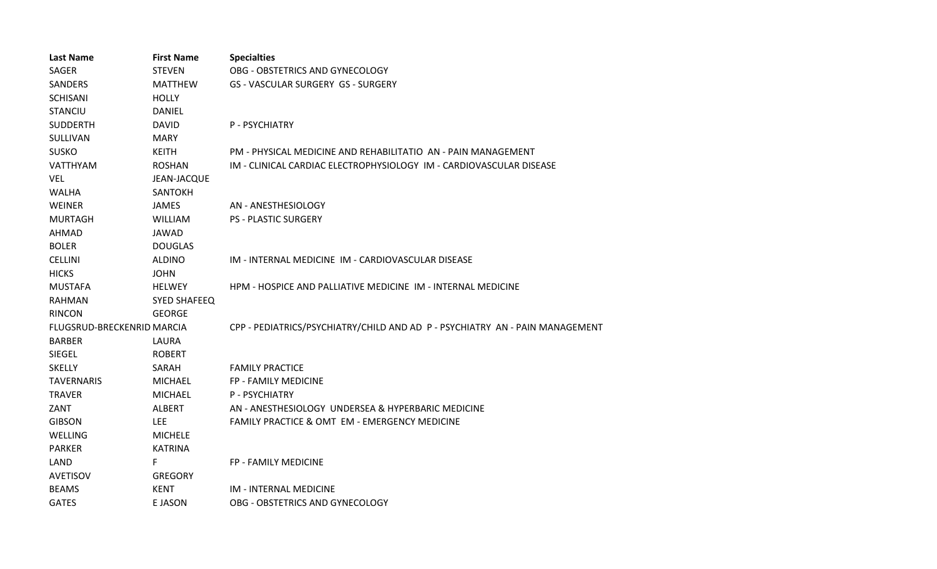| <b>Last Name</b>           | <b>First Name</b>   | <b>Specialties</b>                                                           |
|----------------------------|---------------------|------------------------------------------------------------------------------|
| <b>SAGER</b>               | <b>STEVEN</b>       | OBG - OBSTETRICS AND GYNECOLOGY                                              |
| <b>SANDERS</b>             | <b>MATTHEW</b>      | <b>GS - VASCULAR SURGERY GS - SURGERY</b>                                    |
| <b>SCHISANI</b>            | <b>HOLLY</b>        |                                                                              |
| <b>STANCIU</b>             | DANIEL              |                                                                              |
| <b>SUDDERTH</b>            | <b>DAVID</b>        | P - PSYCHIATRY                                                               |
| SULLIVAN                   | <b>MARY</b>         |                                                                              |
| <b>SUSKO</b>               | <b>KEITH</b>        | PM - PHYSICAL MEDICINE AND REHABILITATIO AN - PAIN MANAGEMENT                |
| <b>VATTHYAM</b>            | <b>ROSHAN</b>       | IM - CLINICAL CARDIAC ELECTROPHYSIOLOGY IM - CARDIOVASCULAR DISEASE          |
| <b>VEL</b>                 | JEAN-JACQUE         |                                                                              |
| <b>WALHA</b>               | <b>SANTOKH</b>      |                                                                              |
| WEINER                     | <b>JAMES</b>        | AN - ANESTHESIOLOGY                                                          |
| <b>MURTAGH</b>             | <b>WILLIAM</b>      | <b>PS - PLASTIC SURGERY</b>                                                  |
| <b>AHMAD</b>               | <b>JAWAD</b>        |                                                                              |
| <b>BOLER</b>               | <b>DOUGLAS</b>      |                                                                              |
| <b>CELLINI</b>             | <b>ALDINO</b>       | IM - INTERNAL MEDICINE IM - CARDIOVASCULAR DISEASE                           |
| <b>HICKS</b>               | <b>JOHN</b>         |                                                                              |
| <b>MUSTAFA</b>             | <b>HELWEY</b>       | HPM - HOSPICE AND PALLIATIVE MEDICINE IM - INTERNAL MEDICINE                 |
| <b>RAHMAN</b>              | <b>SYED SHAFEEQ</b> |                                                                              |
| <b>RINCON</b>              | <b>GEORGE</b>       |                                                                              |
| FLUGSRUD-BRECKENRID MARCIA |                     | CPP - PEDIATRICS/PSYCHIATRY/CHILD AND AD P - PSYCHIATRY AN - PAIN MANAGEMENT |
| <b>BARBER</b>              | LAURA               |                                                                              |
| SIEGEL                     | <b>ROBERT</b>       |                                                                              |
| <b>SKELLY</b>              | SARAH               | <b>FAMILY PRACTICE</b>                                                       |
| <b>TAVERNARIS</b>          | <b>MICHAEL</b>      | <b>FP - FAMILY MEDICINE</b>                                                  |
| <b>TRAVER</b>              | <b>MICHAEL</b>      | P - PSYCHIATRY                                                               |
| ZANT                       | <b>ALBERT</b>       | AN - ANESTHESIOLOGY UNDERSEA & HYPERBARIC MEDICINE                           |
| <b>GIBSON</b>              | <b>LEE</b>          | FAMILY PRACTICE & OMT EM - EMERGENCY MEDICINE                                |
| <b>WELLING</b>             | <b>MICHELE</b>      |                                                                              |
| <b>PARKER</b>              | <b>KATRINA</b>      |                                                                              |
| LAND                       | F                   | FP - FAMILY MEDICINE                                                         |
| AVETISOV                   | <b>GREGORY</b>      |                                                                              |
| <b>BEAMS</b>               | <b>KENT</b>         | IM - INTERNAL MEDICINE                                                       |
| <b>GATES</b>               | E JASON             | OBG - OBSTETRICS AND GYNECOLOGY                                              |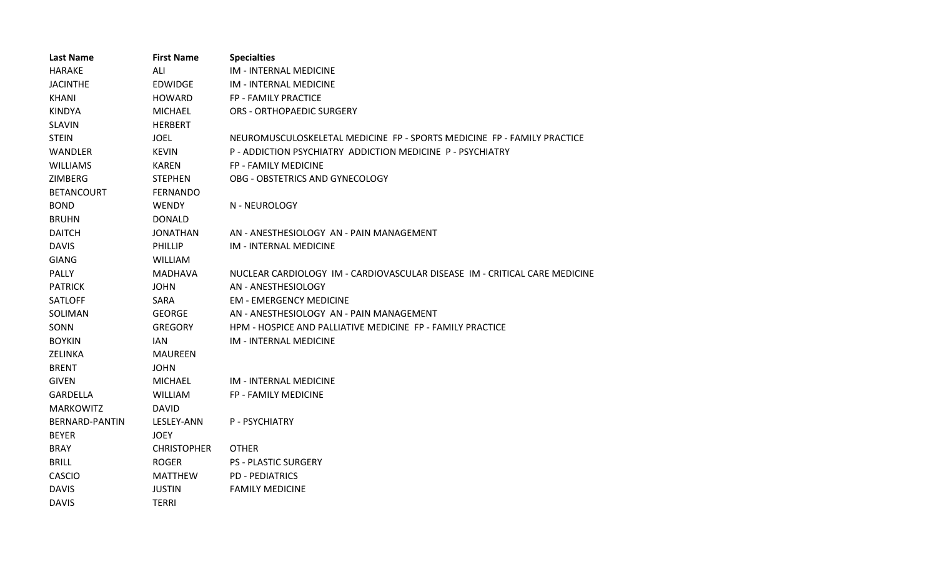| <b>Last Name</b>      | <b>First Name</b>  | <b>Specialties</b>                                                         |
|-----------------------|--------------------|----------------------------------------------------------------------------|
| <b>HARAKE</b>         | ALI                | <b>IM - INTERNAL MEDICINE</b>                                              |
| <b>JACINTHE</b>       | <b>EDWIDGE</b>     | IM - INTERNAL MEDICINE                                                     |
| <b>KHANI</b>          | <b>HOWARD</b>      | FP - FAMILY PRACTICE                                                       |
| <b>KINDYA</b>         | <b>MICHAEL</b>     | <b>ORS - ORTHOPAEDIC SURGERY</b>                                           |
| <b>SLAVIN</b>         | <b>HERBERT</b>     |                                                                            |
| <b>STEIN</b>          | <b>JOEL</b>        | NEUROMUSCULOSKELETAL MEDICINE FP - SPORTS MEDICINE FP - FAMILY PRACTICE    |
| <b>WANDLER</b>        | <b>KEVIN</b>       | P - ADDICTION PSYCHIATRY ADDICTION MEDICINE P - PSYCHIATRY                 |
| <b>WILLIAMS</b>       | <b>KAREN</b>       | FP - FAMILY MEDICINE                                                       |
| ZIMBERG               | <b>STEPHEN</b>     | OBG - OBSTETRICS AND GYNECOLOGY                                            |
| <b>BETANCOURT</b>     | <b>FERNANDO</b>    |                                                                            |
| <b>BOND</b>           | <b>WENDY</b>       | N - NEUROLOGY                                                              |
| <b>BRUHN</b>          | <b>DONALD</b>      |                                                                            |
| <b>DAITCH</b>         | <b>JONATHAN</b>    | AN - ANESTHESIOLOGY AN - PAIN MANAGEMENT                                   |
| <b>DAVIS</b>          | PHILLIP            | <b>IM - INTERNAL MEDICINE</b>                                              |
| <b>GIANG</b>          | <b>WILLIAM</b>     |                                                                            |
| PALLY                 | <b>MADHAVA</b>     | NUCLEAR CARDIOLOGY IM - CARDIOVASCULAR DISEASE IM - CRITICAL CARE MEDICINE |
| <b>PATRICK</b>        | <b>JOHN</b>        | AN - ANESTHESIOLOGY                                                        |
| <b>SATLOFF</b>        | SARA               | <b>EM - EMERGENCY MEDICINE</b>                                             |
| SOLIMAN               | <b>GEORGE</b>      | AN - ANESTHESIOLOGY AN - PAIN MANAGEMENT                                   |
| SONN                  | <b>GREGORY</b>     | HPM - HOSPICE AND PALLIATIVE MEDICINE FP - FAMILY PRACTICE                 |
| <b>BOYKIN</b>         | IAN                | <b>IM - INTERNAL MEDICINE</b>                                              |
| <b>ZELINKA</b>        | <b>MAUREEN</b>     |                                                                            |
| <b>BRENT</b>          | <b>JOHN</b>        |                                                                            |
| <b>GIVEN</b>          | <b>MICHAEL</b>     | <b>IM - INTERNAL MEDICINE</b>                                              |
| <b>GARDELLA</b>       | <b>WILLIAM</b>     | FP - FAMILY MEDICINE                                                       |
| <b>MARKOWITZ</b>      | <b>DAVID</b>       |                                                                            |
| <b>BERNARD-PANTIN</b> | LESLEY-ANN         | P - PSYCHIATRY                                                             |
| <b>BEYER</b>          | <b>JOEY</b>        |                                                                            |
| <b>BRAY</b>           | <b>CHRISTOPHER</b> | <b>OTHER</b>                                                               |
| <b>BRILL</b>          | <b>ROGER</b>       | <b>PS - PLASTIC SURGERY</b>                                                |
| <b>CASCIO</b>         | <b>MATTHEW</b>     | <b>PD - PEDIATRICS</b>                                                     |
| <b>DAVIS</b>          | <b>JUSTIN</b>      | <b>FAMILY MEDICINE</b>                                                     |
| <b>DAVIS</b>          | <b>TERRI</b>       |                                                                            |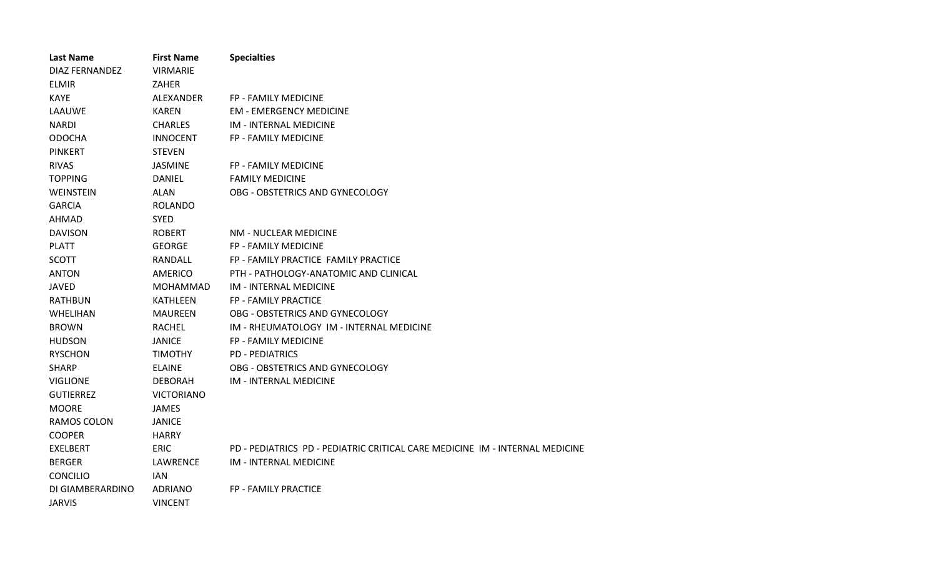| <b>Last Name</b> | <b>First Name</b> | <b>Specialties</b>                                                           |
|------------------|-------------------|------------------------------------------------------------------------------|
| DIAZ FERNANDEZ   | <b>VIRMARIE</b>   |                                                                              |
| <b>ELMIR</b>     | <b>ZAHER</b>      |                                                                              |
| <b>KAYE</b>      | ALEXANDER         | <b>FP - FAMILY MEDICINE</b>                                                  |
| LAAUWE           | <b>KAREN</b>      | <b>EM - EMERGENCY MEDICINE</b>                                               |
| NARDI            | <b>CHARLES</b>    | IM - INTERNAL MEDICINE                                                       |
| <b>ODOCHA</b>    | <b>INNOCENT</b>   | FP - FAMILY MEDICINE                                                         |
| <b>PINKERT</b>   | <b>STEVEN</b>     |                                                                              |
| <b>RIVAS</b>     | JASMINE           | <b>FP - FAMILY MEDICINE</b>                                                  |
| <b>TOPPING</b>   | <b>DANIEL</b>     | <b>FAMILY MEDICINE</b>                                                       |
| <b>WEINSTEIN</b> | ALAN              | OBG - OBSTETRICS AND GYNECOLOGY                                              |
| <b>GARCIA</b>    | <b>ROLANDO</b>    |                                                                              |
| <b>AHMAD</b>     | <b>SYED</b>       |                                                                              |
| <b>DAVISON</b>   | <b>ROBERT</b>     | NM - NUCLEAR MEDICINE                                                        |
| <b>PLATT</b>     | <b>GEORGE</b>     | FP - FAMILY MEDICINE                                                         |
| <b>SCOTT</b>     | RANDALL           | FP - FAMILY PRACTICE FAMILY PRACTICE                                         |
| <b>ANTON</b>     | <b>AMERICO</b>    | PTH - PATHOLOGY-ANATOMIC AND CLINICAL                                        |
| <b>JAVED</b>     | <b>MOHAMMAD</b>   | IM - INTERNAL MEDICINE                                                       |
| <b>RATHBUN</b>   | <b>KATHLEEN</b>   | <b>FP - FAMILY PRACTICE</b>                                                  |
| WHELIHAN         | MAUREEN           | OBG - OBSTETRICS AND GYNECOLOGY                                              |
| <b>BROWN</b>     | <b>RACHEL</b>     | IM - RHEUMATOLOGY IM - INTERNAL MEDICINE                                     |
| <b>HUDSON</b>    | <b>JANICE</b>     | <b>FP - FAMILY MEDICINE</b>                                                  |
| <b>RYSCHON</b>   | <b>TIMOTHY</b>    | <b>PD - PEDIATRICS</b>                                                       |
| <b>SHARP</b>     | <b>ELAINE</b>     | OBG - OBSTETRICS AND GYNECOLOGY                                              |
| <b>VIGLIONE</b>  | <b>DEBORAH</b>    | IM - INTERNAL MEDICINE                                                       |
| GUTIERREZ        | <b>VICTORIANO</b> |                                                                              |
| <b>MOORE</b>     | <b>JAMES</b>      |                                                                              |
| RAMOS COLON      | <b>JANICE</b>     |                                                                              |
| <b>COOPER</b>    | <b>HARRY</b>      |                                                                              |
| <b>EXELBERT</b>  | <b>ERIC</b>       | PD - PEDIATRICS PD - PEDIATRIC CRITICAL CARE MEDICINE IM - INTERNAL MEDICINE |
| <b>BERGER</b>    | LAWRENCE          | IM - INTERNAL MEDICINE                                                       |
| <b>CONCILIO</b>  | IAN.              |                                                                              |
| DI GIAMBERARDINO | <b>ADRIANO</b>    | FP - FAMILY PRACTICE                                                         |
| <b>JARVIS</b>    | <b>VINCENT</b>    |                                                                              |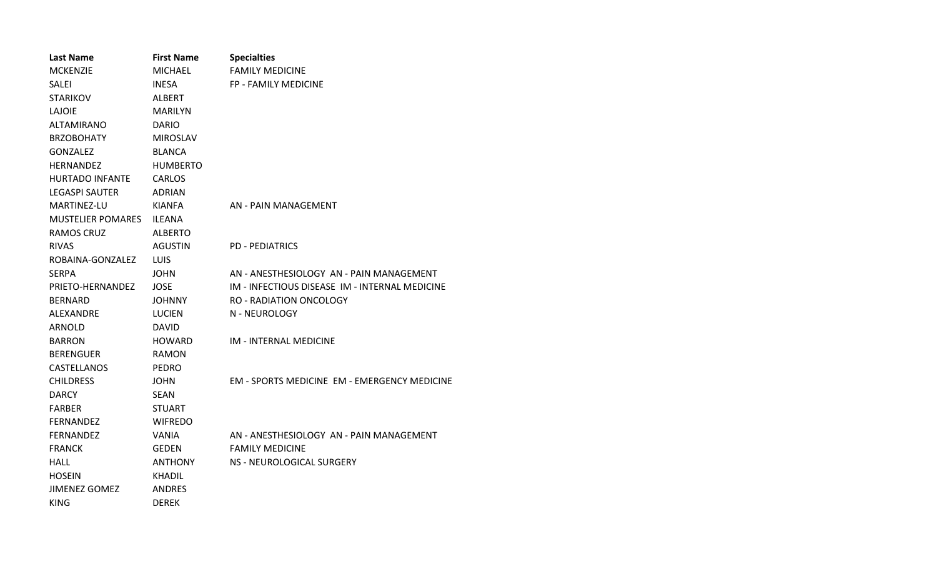| <b>Last Name</b>         | <b>First Name</b> | <b>Specialties</b>                                  |
|--------------------------|-------------------|-----------------------------------------------------|
| <b>MCKENZIE</b>          | MICHAEL           | <b>FAMILY MEDICINE</b>                              |
| SALEI                    | <b>INESA</b>      | FP - FAMILY MEDICINE                                |
| <b>STARIKOV</b>          | <b>ALBERT</b>     |                                                     |
| LAJOIE                   | MARILYN           |                                                     |
| ALTAMIRANO               | <b>DARIO</b>      |                                                     |
| <b>BRZOBOHATY</b>        | <b>MIROSLAV</b>   |                                                     |
| <b>GONZALEZ</b>          | <b>BLANCA</b>     |                                                     |
| <b>HERNANDEZ</b>         | <b>HUMBERTO</b>   |                                                     |
| <b>HURTADO INFANTE</b>   | <b>CARLOS</b>     |                                                     |
| <b>LEGASPI SAUTER</b>    | <b>ADRIAN</b>     |                                                     |
| MARTINEZ-LU              | <b>KIANFA</b>     | AN - PAIN MANAGEMENT                                |
| <b>MUSTELIER POMARES</b> | <b>ILEANA</b>     |                                                     |
| RAMOS CRUZ               | <b>ALBERTO</b>    |                                                     |
| <b>RIVAS</b>             | AGUSTIN           | <b>PD - PEDIATRICS</b>                              |
| ROBAINA-GONZALEZ         | <b>LUIS</b>       |                                                     |
| <b>SERPA</b>             | JOHN              | AN - ANESTHESIOLOGY AN - PAIN MANAGEMENT            |
| PRIETO-HERNANDEZ         | <b>JOSE</b>       | IM - INFECTIOUS DISEASE IM - INTERNAL MEDICINE      |
| <b>BERNARD</b>           | <b>JOHNNY</b>     | <b>RO - RADIATION ONCOLOGY</b>                      |
| ALEXANDRE                | <b>LUCIEN</b>     | N - NEUROLOGY                                       |
| ARNOLD                   | DAVID             |                                                     |
| <b>BARRON</b>            | HOWARD            | IM - INTERNAL MEDICINE                              |
| <b>BERENGUER</b>         | <b>RAMON</b>      |                                                     |
| CASTELLANOS              | <b>PEDRO</b>      |                                                     |
| <b>CHILDRESS</b>         | JOHN              | <b>EM - SPORTS MEDICINE EM - EMERGENCY MEDICINE</b> |
| <b>DARCY</b>             | SEAN              |                                                     |
| <b>FARBER</b>            | STUART            |                                                     |
| <b>FERNANDEZ</b>         | <b>WIFREDO</b>    |                                                     |
| <b>FERNANDEZ</b>         | VANIA             | AN - ANESTHESIOLOGY AN - PAIN MANAGEMENT            |
| <b>FRANCK</b>            | GEDEN             | <b>FAMILY MEDICINE</b>                              |
| HALL                     | ANTHONY           | NS - NEUROLOGICAL SURGERY                           |
| <b>HOSEIN</b>            | KHADIL            |                                                     |
| <b>JIMENEZ GOMEZ</b>     | <b>ANDRES</b>     |                                                     |
| <b>KING</b>              | <b>DEREK</b>      |                                                     |
|                          |                   |                                                     |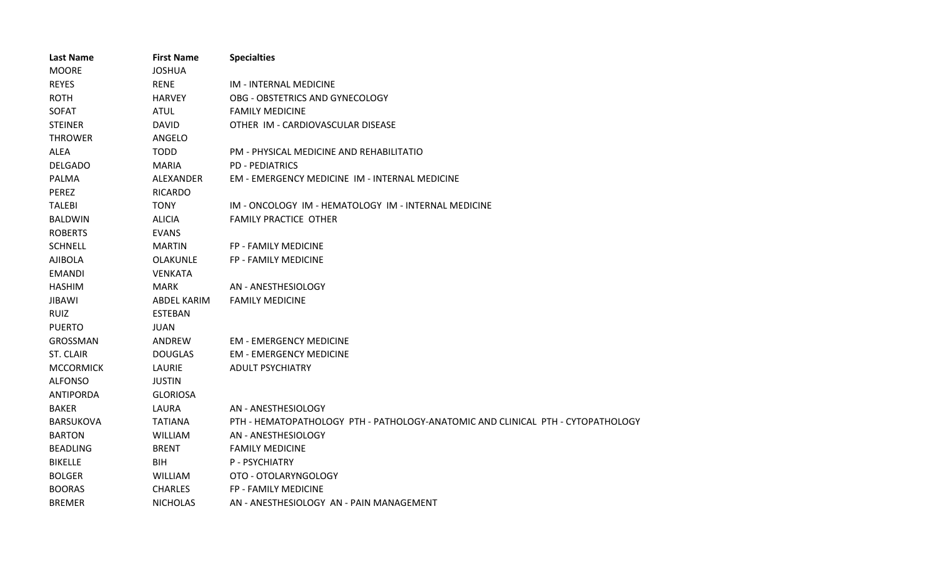| <b>Last Name</b> | <b>First Name</b>  | <b>Specialties</b>                                                              |
|------------------|--------------------|---------------------------------------------------------------------------------|
| <b>MOORE</b>     | <b>JOSHUA</b>      |                                                                                 |
| <b>REYES</b>     | <b>RENE</b>        | IM - INTERNAL MEDICINE                                                          |
| <b>ROTH</b>      | <b>HARVEY</b>      | OBG - OBSTETRICS AND GYNECOLOGY                                                 |
| SOFAT            | <b>ATUL</b>        | <b>FAMILY MEDICINE</b>                                                          |
| <b>STEINER</b>   | <b>DAVID</b>       | OTHER IM - CARDIOVASCULAR DISEASE                                               |
| <b>THROWER</b>   | ANGELO             |                                                                                 |
| <b>ALEA</b>      | <b>TODD</b>        | PM - PHYSICAL MEDICINE AND REHABILITATIO                                        |
| <b>DELGADO</b>   | <b>MARIA</b>       | <b>PD - PEDIATRICS</b>                                                          |
| PALMA            | ALEXANDER          | EM - EMERGENCY MEDICINE IM - INTERNAL MEDICINE                                  |
| PEREZ            | <b>RICARDO</b>     |                                                                                 |
| <b>TALEBI</b>    | <b>TONY</b>        | IM - ONCOLOGY IM - HEMATOLOGY IM - INTERNAL MEDICINE                            |
| <b>BALDWIN</b>   | <b>ALICIA</b>      | <b>FAMILY PRACTICE OTHER</b>                                                    |
| <b>ROBERTS</b>   | <b>EVANS</b>       |                                                                                 |
| <b>SCHNELL</b>   | <b>MARTIN</b>      | FP - FAMILY MEDICINE                                                            |
| <b>AJIBOLA</b>   | <b>OLAKUNLE</b>    | FP - FAMILY MEDICINE                                                            |
| <b>EMANDI</b>    | <b>VENKATA</b>     |                                                                                 |
| <b>HASHIM</b>    | <b>MARK</b>        | AN - ANESTHESIOLOGY                                                             |
| <b>JIBAWI</b>    | <b>ABDEL KARIM</b> | <b>FAMILY MEDICINE</b>                                                          |
| <b>RUIZ</b>      | <b>ESTEBAN</b>     |                                                                                 |
| <b>PUERTO</b>    | <b>JUAN</b>        |                                                                                 |
| GROSSMAN         | ANDREW             | <b>EM - EMERGENCY MEDICINE</b>                                                  |
| ST. CLAIR        | <b>DOUGLAS</b>     | <b>EM - EMERGENCY MEDICINE</b>                                                  |
| <b>MCCORMICK</b> | LAURIE             | <b>ADULT PSYCHIATRY</b>                                                         |
| <b>ALFONSO</b>   | <b>JUSTIN</b>      |                                                                                 |
| <b>ANTIPORDA</b> | <b>GLORIOSA</b>    |                                                                                 |
| <b>BAKER</b>     | LAURA              | AN - ANESTHESIOLOGY                                                             |
| <b>BARSUKOVA</b> | <b>TATIANA</b>     | PTH - HEMATOPATHOLOGY PTH - PATHOLOGY-ANATOMIC AND CLINICAL PTH - CYTOPATHOLOGY |
| <b>BARTON</b>    | <b>WILLIAM</b>     | AN - ANESTHESIOLOGY                                                             |
| <b>BEADLING</b>  | <b>BRENT</b>       | <b>FAMILY MEDICINE</b>                                                          |
| <b>BIKELLE</b>   | <b>BIH</b>         | P - PSYCHIATRY                                                                  |
| <b>BOLGER</b>    | <b>WILLIAM</b>     | OTO - OTOLARYNGOLOGY                                                            |
| <b>BOORAS</b>    | <b>CHARLES</b>     | FP - FAMILY MEDICINE                                                            |
| <b>BREMER</b>    | <b>NICHOLAS</b>    | AN - ANESTHESIOLOGY AN - PAIN MANAGEMENT                                        |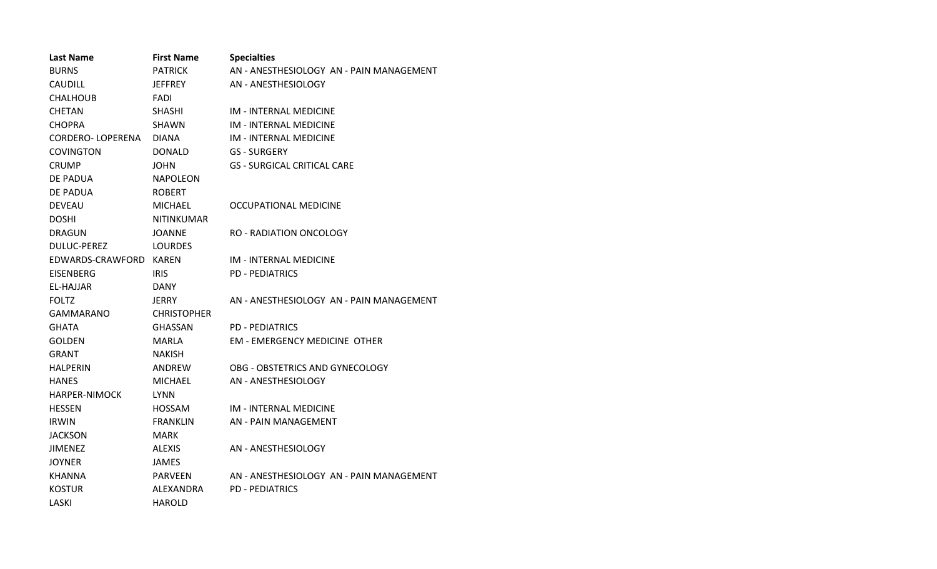| <b>Last Name</b>        | <b>First Name</b>  | <b>Specialties</b>                       |
|-------------------------|--------------------|------------------------------------------|
| <b>BURNS</b>            | <b>PATRICK</b>     | AN - ANESTHESIOLOGY AN - PAIN MANAGEMENT |
| <b>CAUDILL</b>          | <b>JEFFREY</b>     | AN - ANESTHESIOLOGY                      |
| <b>CHALHOUB</b>         | <b>FADI</b>        |                                          |
| <b>CHETAN</b>           | <b>SHASHI</b>      | <b>IM - INTERNAL MEDICINE</b>            |
| <b>CHOPRA</b>           | <b>SHAWN</b>       | <b>IM - INTERNAL MEDICINE</b>            |
| <b>CORDERO-LOPERENA</b> | <b>DIANA</b>       | <b>IM - INTERNAL MEDICINE</b>            |
| <b>COVINGTON</b>        | <b>DONALD</b>      | <b>GS - SURGERY</b>                      |
| <b>CRUMP</b>            | <b>JOHN</b>        | <b>GS - SURGICAL CRITICAL CARE</b>       |
| DE PADUA                | <b>NAPOLEON</b>    |                                          |
| DE PADUA                | <b>ROBERT</b>      |                                          |
| <b>DEVEAU</b>           | <b>MICHAEL</b>     | OCCUPATIONAL MEDICINE                    |
| <b>DOSHI</b>            | NITINKUMAR         |                                          |
| <b>DRAGUN</b>           | <b>JOANNE</b>      | RO - RADIATION ONCOLOGY                  |
| <b>DULUC-PEREZ</b>      | <b>LOURDES</b>     |                                          |
| EDWARDS-CRAWFORD KAREN  |                    | IM - INTERNAL MEDICINE                   |
| <b>EISENBERG</b>        | <b>IRIS</b>        | <b>PD - PEDIATRICS</b>                   |
| EL-HAJJAR               | <b>DANY</b>        |                                          |
| <b>FOLTZ</b>            | JERRY.             | AN - ANESTHESIOLOGY AN - PAIN MANAGEMENT |
| <b>GAMMARANO</b>        | <b>CHRISTOPHER</b> |                                          |
| <b>GHATA</b>            | <b>GHASSAN</b>     | <b>PD - PEDIATRICS</b>                   |
| <b>GOLDEN</b>           | MARLA              | <b>EM - EMERGENCY MEDICINE OTHER</b>     |
| <b>GRANT</b>            | <b>NAKISH</b>      |                                          |
| <b>HALPERIN</b>         | ANDREW             | OBG - OBSTETRICS AND GYNECOLOGY          |
| <b>HANES</b>            | <b>MICHAEL</b>     | AN - ANESTHESIOLOGY                      |
| <b>HARPER-NIMOCK</b>    | <b>LYNN</b>        |                                          |
| <b>HESSEN</b>           | <b>HOSSAM</b>      | <b>IM - INTERNAL MEDICINE</b>            |
| <b>IRWIN</b>            | <b>FRANKLIN</b>    | AN - PAIN MANAGEMENT                     |
| <b>JACKSON</b>          | <b>MARK</b>        |                                          |
| <b>JIMENEZ</b>          | <b>ALEXIS</b>      | AN - ANESTHESIOLOGY                      |
| <b>JOYNER</b>           | <b>JAMES</b>       |                                          |
| <b>KHANNA</b>           | <b>PARVEEN</b>     | AN - ANESTHESIOLOGY AN - PAIN MANAGEMENT |
| <b>KOSTUR</b>           | ALEXANDRA          | <b>PD - PEDIATRICS</b>                   |
| LASKI                   | <b>HAROLD</b>      |                                          |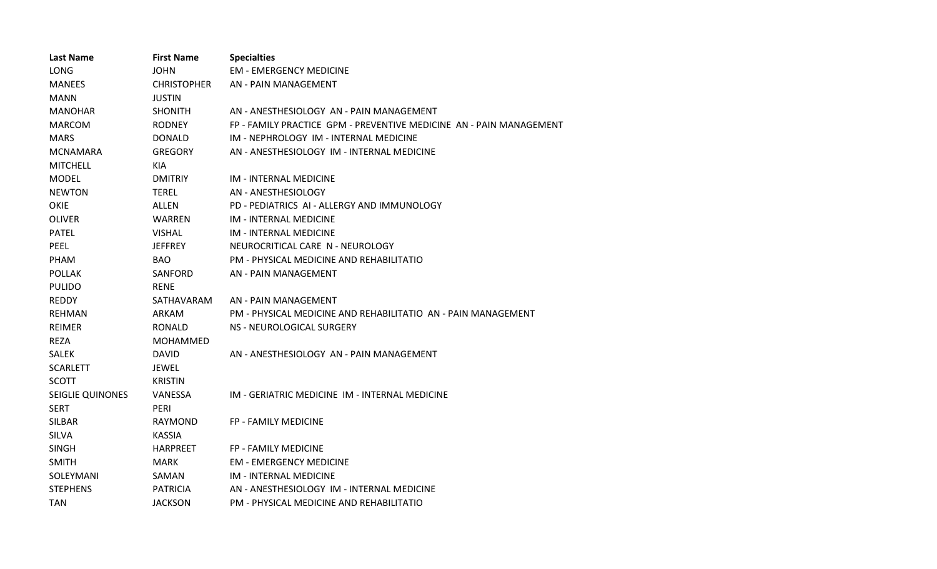| <b>Last Name</b>        | <b>First Name</b>  | <b>Specialties</b>                                                  |
|-------------------------|--------------------|---------------------------------------------------------------------|
| <b>LONG</b>             | <b>JOHN</b>        | <b>EM - EMERGENCY MEDICINE</b>                                      |
| <b>MANEES</b>           | <b>CHRISTOPHER</b> | AN - PAIN MANAGEMENT                                                |
| <b>MANN</b>             | <b>JUSTIN</b>      |                                                                     |
| <b>MANOHAR</b>          | <b>SHONITH</b>     | AN - ANESTHESIOLOGY AN - PAIN MANAGEMENT                            |
| <b>MARCOM</b>           | <b>RODNEY</b>      | FP - FAMILY PRACTICE GPM - PREVENTIVE MEDICINE AN - PAIN MANAGEMENT |
| <b>MARS</b>             | DONALD             | IM - NEPHROLOGY IM - INTERNAL MEDICINE                              |
| <b>MCNAMARA</b>         | <b>GREGORY</b>     | AN - ANESTHESIOLOGY IM - INTERNAL MEDICINE                          |
| <b>MITCHELL</b>         | KIA                |                                                                     |
| <b>MODEL</b>            | <b>DMITRIY</b>     | <b>IM - INTERNAL MEDICINE</b>                                       |
| <b>NEWTON</b>           | <b>TEREL</b>       | AN - ANESTHESIOLOGY                                                 |
| <b>OKIE</b>             | ALLEN              | PD - PEDIATRICS AI - ALLERGY AND IMMUNOLOGY                         |
| <b>OLIVER</b>           | <b>WARREN</b>      | <b>IM - INTERNAL MEDICINE</b>                                       |
| <b>PATEL</b>            | <b>VISHAL</b>      | <b>IM - INTERNAL MEDICINE</b>                                       |
| <b>PEEL</b>             | <b>JEFFREY</b>     | NEUROCRITICAL CARE N - NEUROLOGY                                    |
| PHAM                    | BAO                | PM - PHYSICAL MEDICINE AND REHABILITATIO                            |
| <b>POLLAK</b>           | SANFORD            | AN - PAIN MANAGEMENT                                                |
| <b>PULIDO</b>           | <b>RENE</b>        |                                                                     |
| <b>REDDY</b>            | SATHAVARAM         | AN - PAIN MANAGEMENT                                                |
| <b>REHMAN</b>           | <b>ARKAM</b>       | PM - PHYSICAL MEDICINE AND REHABILITATIO AN - PAIN MANAGEMENT       |
| <b>REIMER</b>           | <b>RONALD</b>      | NS - NEUROLOGICAL SURGERY                                           |
| <b>REZA</b>             | MOHAMMED           |                                                                     |
| <b>SALEK</b>            | <b>DAVID</b>       | AN - ANESTHESIOLOGY AN - PAIN MANAGEMENT                            |
| <b>SCARLETT</b>         | <b>JEWEL</b>       |                                                                     |
| <b>SCOTT</b>            | <b>KRISTIN</b>     |                                                                     |
| <b>SEIGLIE QUINONES</b> | VANESSA            | IM - GERIATRIC MEDICINE IM - INTERNAL MEDICINE                      |
| <b>SERT</b>             | <b>PERI</b>        |                                                                     |
| <b>SILBAR</b>           | RAYMOND            | FP - FAMILY MEDICINE                                                |
| <b>SILVA</b>            | <b>KASSIA</b>      |                                                                     |
| <b>SINGH</b>            | <b>HARPREET</b>    | <b>FP - FAMILY MEDICINE</b>                                         |
| <b>SMITH</b>            | <b>MARK</b>        | <b>EM - EMERGENCY MEDICINE</b>                                      |
| SOLEYMANI               | SAMAN              | IM - INTERNAL MEDICINE                                              |
| <b>STEPHENS</b>         | <b>PATRICIA</b>    | AN - ANESTHESIOLOGY IM - INTERNAL MEDICINE                          |
| <b>TAN</b>              | <b>JACKSON</b>     | PM - PHYSICAL MEDICINE AND REHABILITATIO                            |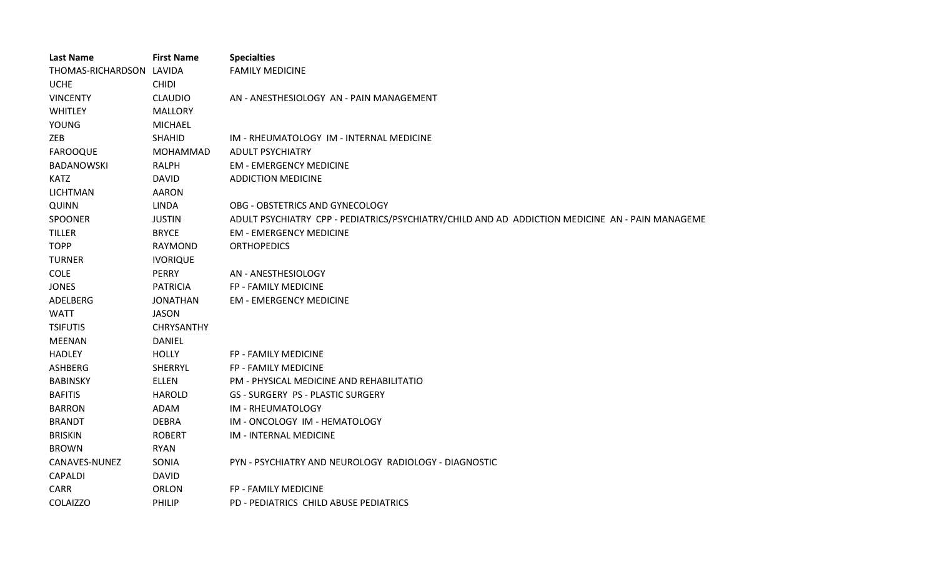| <b>Last Name</b>         | <b>First Name</b> | <b>Specialties</b>                                                                              |
|--------------------------|-------------------|-------------------------------------------------------------------------------------------------|
| THOMAS-RICHARDSON LAVIDA |                   | <b>FAMILY MEDICINE</b>                                                                          |
| <b>UCHE</b>              | <b>CHIDI</b>      |                                                                                                 |
| <b>VINCENTY</b>          | <b>CLAUDIO</b>    | AN - ANESTHESIOLOGY AN - PAIN MANAGEMENT                                                        |
| <b>WHITLEY</b>           | <b>MALLORY</b>    |                                                                                                 |
| <b>YOUNG</b>             | <b>MICHAEL</b>    |                                                                                                 |
| ZEB                      | <b>SHAHID</b>     | IM - RHEUMATOLOGY IM - INTERNAL MEDICINE                                                        |
| <b>FAROOQUE</b>          | <b>MOHAMMAD</b>   | <b>ADULT PSYCHIATRY</b>                                                                         |
| <b>BADANOWSKI</b>        | RALPH             | <b>EM - EMERGENCY MEDICINE</b>                                                                  |
| <b>KATZ</b>              | <b>DAVID</b>      | <b>ADDICTION MEDICINE</b>                                                                       |
| <b>LICHTMAN</b>          | <b>AARON</b>      |                                                                                                 |
| <b>QUINN</b>             | <b>LINDA</b>      | OBG - OBSTETRICS AND GYNECOLOGY                                                                 |
| <b>SPOONER</b>           | <b>JUSTIN</b>     | ADULT PSYCHIATRY CPP - PEDIATRICS/PSYCHIATRY/CHILD AND AD ADDICTION MEDICINE AN - PAIN MANAGEME |
| <b>TILLER</b>            | <b>BRYCE</b>      | <b>EM - EMERGENCY MEDICINE</b>                                                                  |
| <b>TOPP</b>              | RAYMOND           | <b>ORTHOPEDICS</b>                                                                              |
| <b>TURNER</b>            | <b>IVORIQUE</b>   |                                                                                                 |
| <b>COLE</b>              | <b>PERRY</b>      | AN - ANESTHESIOLOGY                                                                             |
| <b>JONES</b>             | <b>PATRICIA</b>   | FP - FAMILY MEDICINE                                                                            |
| ADELBERG                 | <b>JONATHAN</b>   | <b>EM - EMERGENCY MEDICINE</b>                                                                  |
| <b>WATT</b>              | <b>JASON</b>      |                                                                                                 |
| <b>TSIFUTIS</b>          | CHRYSANTHY        |                                                                                                 |
| <b>MEENAN</b>            | <b>DANIEL</b>     |                                                                                                 |
| <b>HADLEY</b>            | <b>HOLLY</b>      | FP - FAMILY MEDICINE                                                                            |
| <b>ASHBERG</b>           | SHERRYL           | FP - FAMILY MEDICINE                                                                            |
| <b>BABINSKY</b>          | <b>ELLEN</b>      | PM - PHYSICAL MEDICINE AND REHABILITATIO                                                        |
| <b>BAFITIS</b>           | <b>HAROLD</b>     | <b>GS - SURGERY PS - PLASTIC SURGERY</b>                                                        |
| <b>BARRON</b>            | ADAM              | IM - RHEUMATOLOGY                                                                               |
| <b>BRANDT</b>            | <b>DEBRA</b>      | IM - ONCOLOGY IM - HEMATOLOGY                                                                   |
| <b>BRISKIN</b>           | <b>ROBERT</b>     | IM - INTERNAL MEDICINE                                                                          |
| <b>BROWN</b>             | <b>RYAN</b>       |                                                                                                 |
| CANAVES-NUNEZ            | SONIA             | PYN - PSYCHIATRY AND NEUROLOGY RADIOLOGY - DIAGNOSTIC                                           |
| CAPALDI                  | <b>DAVID</b>      |                                                                                                 |
| <b>CARR</b>              | <b>ORLON</b>      | FP - FAMILY MEDICINE                                                                            |
| <b>COLAIZZO</b>          | PHILIP            | PD - PEDIATRICS CHILD ABUSE PEDIATRICS                                                          |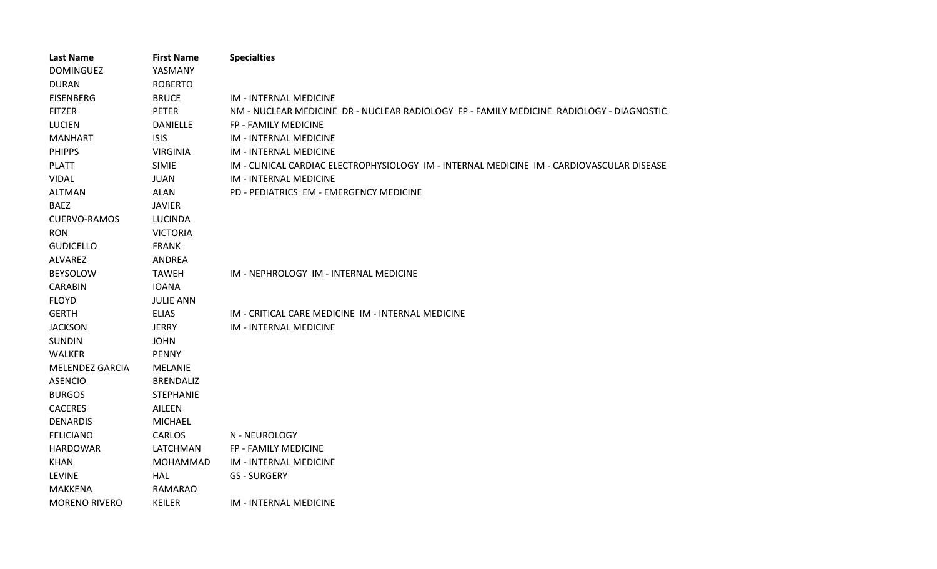| <b>Last Name</b>     | <b>First Name</b> | <b>Specialties</b>                                                                         |
|----------------------|-------------------|--------------------------------------------------------------------------------------------|
| <b>DOMINGUEZ</b>     | YASMANY           |                                                                                            |
| <b>DURAN</b>         | <b>ROBERTO</b>    |                                                                                            |
| <b>EISENBERG</b>     | <b>BRUCE</b>      | <b>IM - INTERNAL MEDICINE</b>                                                              |
| <b>FITZER</b>        | <b>PETER</b>      | NM - NUCLEAR MEDICINE DR - NUCLEAR RADIOLOGY FP - FAMILY MEDICINE RADIOLOGY - DIAGNOSTIC   |
| <b>LUCIEN</b>        | <b>DANIELLE</b>   | FP - FAMILY MEDICINE                                                                       |
| <b>MANHART</b>       | <b>ISIS</b>       | <b>IM - INTERNAL MEDICINE</b>                                                              |
| <b>PHIPPS</b>        | <b>VIRGINIA</b>   | <b>IM - INTERNAL MEDICINE</b>                                                              |
| <b>PLATT</b>         | <b>SIMIE</b>      | IM - CLINICAL CARDIAC ELECTROPHYSIOLOGY IM - INTERNAL MEDICINE IM - CARDIOVASCULAR DISEASE |
| <b>VIDAL</b>         | <b>JUAN</b>       | <b>IM - INTERNAL MEDICINE</b>                                                              |
| <b>ALTMAN</b>        | <b>ALAN</b>       | PD - PEDIATRICS EM - EMERGENCY MEDICINE                                                    |
| <b>BAEZ</b>          | <b>JAVIER</b>     |                                                                                            |
| <b>CUERVO-RAMOS</b>  | <b>LUCINDA</b>    |                                                                                            |
| <b>RON</b>           | <b>VICTORIA</b>   |                                                                                            |
| <b>GUDICELLO</b>     | <b>FRANK</b>      |                                                                                            |
| <b>ALVAREZ</b>       | ANDREA            |                                                                                            |
| <b>BEYSOLOW</b>      | <b>TAWEH</b>      | IM - NEPHROLOGY IM - INTERNAL MEDICINE                                                     |
| <b>CARABIN</b>       | <b>IOANA</b>      |                                                                                            |
| <b>FLOYD</b>         | <b>JULIE ANN</b>  |                                                                                            |
| <b>GERTH</b>         | <b>ELIAS</b>      | IM - CRITICAL CARE MEDICINE IM - INTERNAL MEDICINE                                         |
| <b>JACKSON</b>       | <b>JERRY</b>      | <b>IM - INTERNAL MEDICINE</b>                                                              |
| <b>SUNDIN</b>        | <b>JOHN</b>       |                                                                                            |
| <b>WALKER</b>        | <b>PENNY</b>      |                                                                                            |
| MELENDEZ GARCIA      | <b>MELANIE</b>    |                                                                                            |
| <b>ASENCIO</b>       | <b>BRENDALIZ</b>  |                                                                                            |
| <b>BURGOS</b>        | <b>STEPHANIE</b>  |                                                                                            |
| <b>CACERES</b>       | AILEEN            |                                                                                            |
| <b>DENARDIS</b>      | <b>MICHAEL</b>    |                                                                                            |
| <b>FELICIANO</b>     | <b>CARLOS</b>     | N - NEUROLOGY                                                                              |
| <b>HARDOWAR</b>      | LATCHMAN          | FP - FAMILY MEDICINE                                                                       |
| <b>KHAN</b>          | MOHAMMAD          | <b>IM - INTERNAL MEDICINE</b>                                                              |
| <b>LEVINE</b>        | <b>HAL</b>        | <b>GS - SURGERY</b>                                                                        |
| <b>MAKKENA</b>       | RAMARAO           |                                                                                            |
| <b>MORENO RIVERO</b> | <b>KEILER</b>     | <b>IM - INTERNAL MEDICINE</b>                                                              |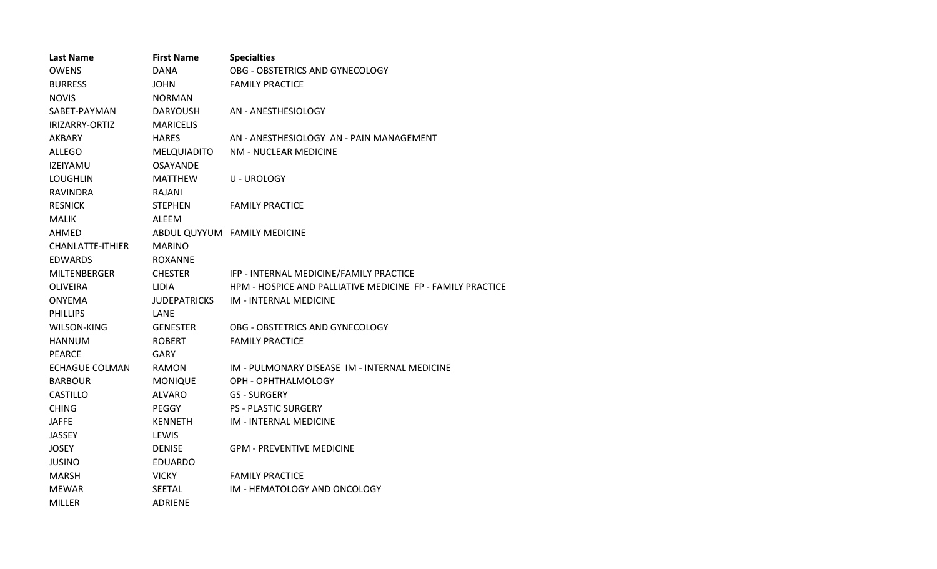| <b>Last Name</b>      | <b>First Name</b>   | <b>Specialties</b>                                         |
|-----------------------|---------------------|------------------------------------------------------------|
| <b>OWENS</b>          | DANA                | OBG - OBSTETRICS AND GYNECOLOGY                            |
| <b>BURRESS</b>        | JOHN                | <b>FAMILY PRACTICE</b>                                     |
| <b>NOVIS</b>          | <b>NORMAN</b>       |                                                            |
| SABET-PAYMAN          | <b>DARYOUSH</b>     | AN - ANESTHESIOLOGY                                        |
| IRIZARRY-ORTIZ        | <b>MARICELIS</b>    |                                                            |
| AKBARY                | <b>HARES</b>        | AN - ANESTHESIOLOGY AN - PAIN MANAGEMENT                   |
| <b>ALLEGO</b>         | MELQUIADITO         | NM - NUCLEAR MEDICINE                                      |
| <b>IZEIYAMU</b>       | <b>OSAYANDE</b>     |                                                            |
| <b>LOUGHLIN</b>       | <b>MATTHEW</b>      | <b>U-UROLOGY</b>                                           |
| <b>RAVINDRA</b>       | RAJANI              |                                                            |
| <b>RESNICK</b>        | <b>STEPHEN</b>      | <b>FAMILY PRACTICE</b>                                     |
| <b>MALIK</b>          | ALEEM               |                                                            |
| AHMED                 |                     | ABDUL QUYYUM FAMILY MEDICINE                               |
| CHANLATTE-ITHIER      | <b>MARINO</b>       |                                                            |
| <b>EDWARDS</b>        | <b>ROXANNE</b>      |                                                            |
| <b>MILTENBERGER</b>   | <b>CHESTER</b>      | IFP - INTERNAL MEDICINE/FAMILY PRACTICE                    |
| <b>OLIVEIRA</b>       | <b>LIDIA</b>        | HPM - HOSPICE AND PALLIATIVE MEDICINE FP - FAMILY PRACTICE |
| <b>ONYEMA</b>         | <b>JUDEPATRICKS</b> | <b>IM - INTERNAL MEDICINE</b>                              |
| <b>PHILLIPS</b>       | LANE                |                                                            |
| WILSON-KING           | <b>GENESTER</b>     | OBG - OBSTETRICS AND GYNECOLOGY                            |
| <b>HANNUM</b>         | <b>ROBERT</b>       | <b>FAMILY PRACTICE</b>                                     |
| <b>PEARCE</b>         | <b>GARY</b>         |                                                            |
| <b>ECHAGUE COLMAN</b> | <b>RAMON</b>        | IM - PULMONARY DISEASE IM - INTERNAL MEDICINE              |
| <b>BARBOUR</b>        | <b>MONIQUE</b>      | OPH - OPHTHALMOLOGY                                        |
| <b>CASTILLO</b>       | <b>ALVARO</b>       | <b>GS - SURGERY</b>                                        |
| <b>CHING</b>          | PEGGY               | <b>PS - PLASTIC SURGERY</b>                                |
| <b>JAFFE</b>          | <b>KENNETH</b>      | <b>IM - INTERNAL MEDICINE</b>                              |
| <b>JASSEY</b>         | LEWIS               |                                                            |
| <b>JOSEY</b>          | <b>DENISE</b>       | <b>GPM - PREVENTIVE MEDICINE</b>                           |
| <b>JUSINO</b>         | <b>EDUARDO</b>      |                                                            |
| <b>MARSH</b>          | <b>VICKY</b>        | <b>FAMILY PRACTICE</b>                                     |
| <b>MEWAR</b>          | SEETAL              | IM - HEMATOLOGY AND ONCOLOGY                               |
| <b>MILLER</b>         | ADRIENE             |                                                            |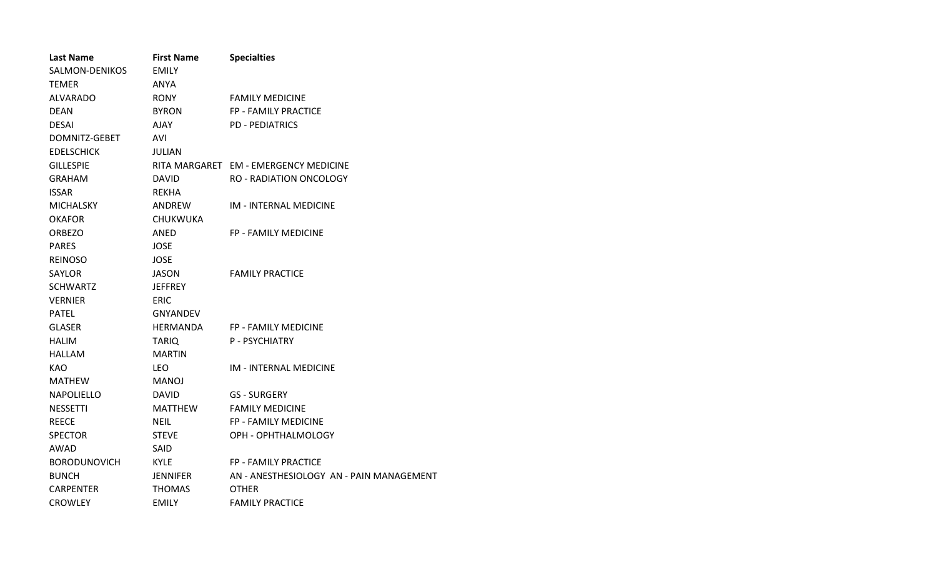| <b>Last Name</b>    | <b>First Name</b> | <b>Specialties</b>                       |
|---------------------|-------------------|------------------------------------------|
| SALMON-DENIKOS      | <b>EMILY</b>      |                                          |
| <b>TFMFR</b>        | ANYA              |                                          |
| ALVARADO            | <b>RONY</b>       | <b>FAMILY MEDICINE</b>                   |
| <b>DEAN</b>         | <b>BYRON</b>      | <b>FP - FAMILY PRACTICE</b>              |
| <b>DESAI</b>        | AJAY              | <b>PD - PEDIATRICS</b>                   |
| DOMNITZ-GEBET       | AVI               |                                          |
| <b>EDELSCHICK</b>   | JULIAN            |                                          |
| <b>GILLESPIE</b>    |                   | RITA MARGARET EM - EMERGENCY MEDICINE    |
| GRAHAM              | <b>DAVID</b>      | <b>RO - RADIATION ONCOLOGY</b>           |
| <b>ISSAR</b>        | <b>REKHA</b>      |                                          |
| <b>MICHALSKY</b>    | ANDREW            | IM - INTERNAL MEDICINE                   |
| <b>OKAFOR</b>       | <b>CHUKWUKA</b>   |                                          |
| <b>ORBEZO</b>       | ANED              | FP - FAMILY MEDICINE                     |
| <b>PARES</b>        | <b>JOSE</b>       |                                          |
| <b>REINOSO</b>      | JOSE              |                                          |
| <b>SAYLOR</b>       | <b>JASON</b>      | <b>FAMILY PRACTICE</b>                   |
| <b>SCHWARTZ</b>     | <b>JEFFREY</b>    |                                          |
| <b>VERNIER</b>      | <b>ERIC</b>       |                                          |
| <b>PATEL</b>        | <b>GNYANDEV</b>   |                                          |
| <b>GLASER</b>       | <b>HERMANDA</b>   | <b>FP - FAMILY MEDICINE</b>              |
| <b>HALIM</b>        | <b>TARIQ</b>      | <b>P-PSYCHIATRY</b>                      |
| HALLAM              | <b>MARTIN</b>     |                                          |
| KAO.                | <b>LEO</b>        | <b>IM - INTERNAL MEDICINE</b>            |
| <b>MATHEW</b>       | <b>MANOJ</b>      |                                          |
| <b>NAPOLIELLO</b>   | <b>DAVID</b>      | <b>GS - SURGERY</b>                      |
| <b>NESSETTI</b>     | <b>MATTHEW</b>    | <b>FAMILY MEDICINE</b>                   |
| <b>REECE</b>        | <b>NEIL</b>       | FP - FAMILY MEDICINE                     |
| <b>SPECTOR</b>      | <b>STEVE</b>      | OPH - OPHTHALMOLOGY                      |
| AWAD                | <b>SAID</b>       |                                          |
| <b>BORODUNOVICH</b> | <b>KYLE</b>       | FP - FAMILY PRACTICE                     |
| <b>BUNCH</b>        | JENNIFER          | AN - ANESTHESIOLOGY AN - PAIN MANAGEMENT |
| <b>CARPENTER</b>    | <b>THOMAS</b>     | <b>OTHER</b>                             |
| <b>CROWLEY</b>      | <b>EMILY</b>      | <b>FAMILY PRACTICE</b>                   |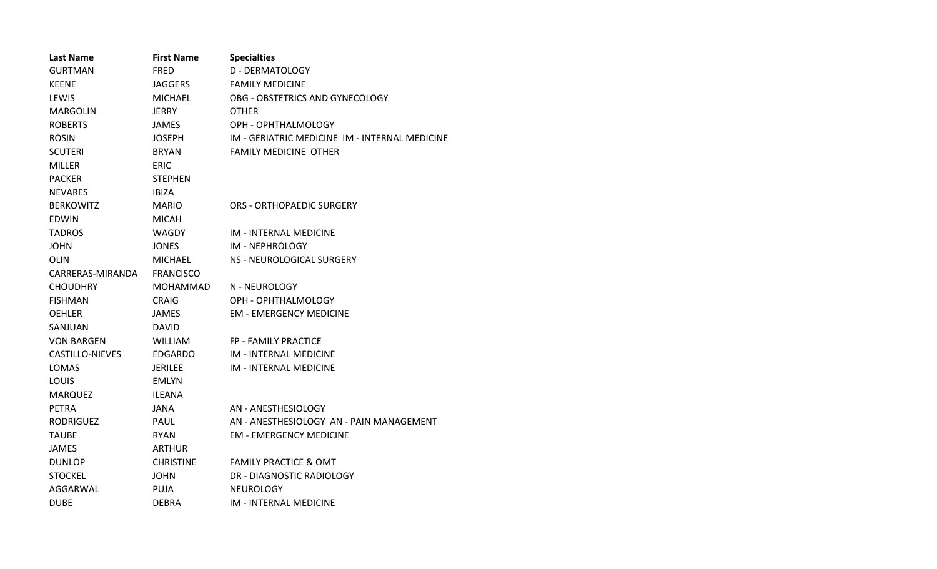| <b>Last Name</b>       | <b>First Name</b> | <b>Specialties</b>                             |
|------------------------|-------------------|------------------------------------------------|
| <b>GURTMAN</b>         | <b>FRED</b>       | D - DERMATOLOGY                                |
| <b>KEENE</b>           | JAGGERS           | <b>FAMILY MEDICINE</b>                         |
| LEWIS                  | <b>MICHAEL</b>    | OBG - OBSTETRICS AND GYNECOLOGY                |
| <b>MARGOLIN</b>        | <b>JERRY</b>      | <b>OTHER</b>                                   |
| <b>ROBERTS</b>         | JAMES             | OPH - OPHTHALMOLOGY                            |
| <b>ROSIN</b>           | JOSEPH            | IM - GERIATRIC MEDICINE IM - INTERNAL MEDICINE |
| <b>SCUTERI</b>         | <b>BRYAN</b>      | <b>FAMILY MEDICINE OTHER</b>                   |
| <b>MILLER</b>          | <b>ERIC</b>       |                                                |
| <b>PACKER</b>          | <b>STEPHEN</b>    |                                                |
| <b>NEVARES</b>         | <b>IBIZA</b>      |                                                |
| <b>BERKOWITZ</b>       | <b>MARIO</b>      | ORS - ORTHOPAEDIC SURGERY                      |
| <b>EDWIN</b>           | <b>MICAH</b>      |                                                |
| <b>TADROS</b>          | <b>WAGDY</b>      | IM - INTERNAL MEDICINE                         |
| <b>JOHN</b>            | JONES             | IM - NEPHROLOGY                                |
| OLIN                   | <b>MICHAEL</b>    | NS - NEUROLOGICAL SURGERY                      |
| CARRERAS-MIRANDA       | <b>FRANCISCO</b>  |                                                |
| <b>CHOUDHRY</b>        | MOHAMMAD          | N - NEUROLOGY                                  |
| <b>FISHMAN</b>         | <b>CRAIG</b>      | OPH - OPHTHALMOLOGY                            |
| <b>OEHLER</b>          | JAMES             | <b>EM - EMERGENCY MEDICINE</b>                 |
| SANJUAN                | <b>DAVID</b>      |                                                |
| <b>VON BARGEN</b>      | <b>WILLIAM</b>    | <b>FP - FAMILY PRACTICE</b>                    |
| <b>CASTILLO-NIEVES</b> | <b>EDGARDO</b>    | <b>IM - INTERNAL MEDICINE</b>                  |
| LOMAS                  | JERILEE           | IM - INTERNAL MEDICINE                         |
| LOUIS                  | <b>EMLYN</b>      |                                                |
| <b>MARQUEZ</b>         | <b>ILEANA</b>     |                                                |
| <b>PETRA</b>           | JANA              | AN - ANESTHESIOLOGY                            |
| <b>RODRIGUEZ</b>       | PAUL              | AN - ANESTHESIOLOGY AN - PAIN MANAGEMENT       |
| <b>TAUBE</b>           | <b>RYAN</b>       | <b>EM - EMERGENCY MEDICINE</b>                 |
| <b>JAMES</b>           | ARTHUR            |                                                |
| <b>DUNLOP</b>          | <b>CHRISTINE</b>  | <b>FAMILY PRACTICE &amp; OMT</b>               |
| <b>STOCKEL</b>         | JOHN              | DR - DIAGNOSTIC RADIOLOGY                      |
| AGGARWAL               | <b>PUJA</b>       | <b>NEUROLOGY</b>                               |
| <b>DUBE</b>            | <b>DEBRA</b>      | IM - INTERNAL MEDICINE                         |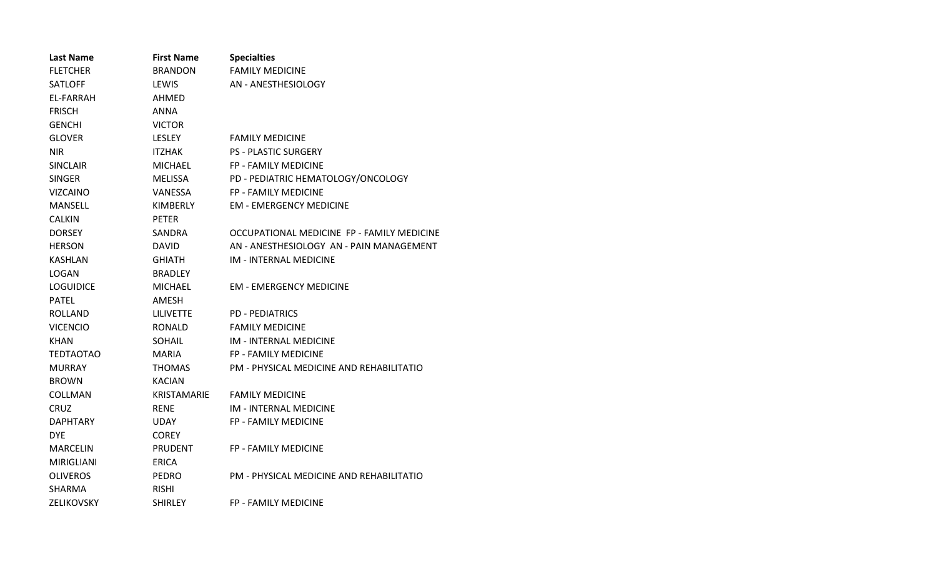| <b>Last Name</b>  | <b>First Name</b> | <b>Specialties</b>                         |
|-------------------|-------------------|--------------------------------------------|
| <b>FLETCHER</b>   | <b>BRANDON</b>    | <b>FAMILY MEDICINE</b>                     |
| <b>SATLOFF</b>    | LEWIS             | AN - ANESTHESIOLOGY                        |
| EL-FARRAH         | AHMED             |                                            |
| <b>FRISCH</b>     | ANNA              |                                            |
| <b>GENCHI</b>     | <b>VICTOR</b>     |                                            |
| <b>GLOVER</b>     | <b>LESLEY</b>     | <b>FAMILY MEDICINE</b>                     |
| <b>NIR</b>        | <b>ITZHAK</b>     | <b>PS - PLASTIC SURGERY</b>                |
| <b>SINCLAIR</b>   | MICHAEL           | <b>FP - FAMILY MEDICINE</b>                |
| <b>SINGER</b>     | <b>MELISSA</b>    | PD - PEDIATRIC HEMATOLOGY/ONCOLOGY         |
| <b>VIZCAINO</b>   | VANESSA           | <b>FP - FAMILY MEDICINE</b>                |
| MANSELL           | KIMBERLY          | <b>EM - EMERGENCY MEDICINE</b>             |
| <b>CALKIN</b>     | <b>PETER</b>      |                                            |
| <b>DORSEY</b>     | SANDRA            | OCCUPATIONAL MEDICINE FP - FAMILY MEDICINE |
| <b>HERSON</b>     | <b>DAVID</b>      | AN - ANESTHESIOLOGY AN - PAIN MANAGEMENT   |
| <b>KASHLAN</b>    | <b>GHIATH</b>     | <b>IM - INTERNAL MEDICINE</b>              |
| <b>LOGAN</b>      | <b>BRADLEY</b>    |                                            |
| <b>LOGUIDICE</b>  | <b>MICHAEL</b>    | <b>EM - EMERGENCY MEDICINE</b>             |
| <b>PATEL</b>      | AMESH             |                                            |
| <b>ROLLAND</b>    | <b>LILIVETTE</b>  | <b>PD - PEDIATRICS</b>                     |
| <b>VICENCIO</b>   | <b>RONALD</b>     | <b>FAMILY MEDICINE</b>                     |
| KHAN              | <b>SOHAIL</b>     | IM - INTERNAL MEDICINE                     |
| <b>TEDTAOTAO</b>  | <b>MARIA</b>      | FP - FAMILY MEDICINE                       |
| <b>MURRAY</b>     | <b>THOMAS</b>     | PM - PHYSICAL MEDICINE AND REHABILITATIO   |
| <b>BROWN</b>      | <b>KACIAN</b>     |                                            |
| COLLMAN           | KRISTAMARIE       | <b>FAMILY MEDICINE</b>                     |
| <b>CRUZ</b>       | <b>RENE</b>       | IM - INTERNAL MEDICINE                     |
| <b>DAPHTARY</b>   | UDAY              | FP - FAMILY MEDICINE                       |
| <b>DYE</b>        | <b>COREY</b>      |                                            |
| MARCELIN          | <b>PRUDENT</b>    | FP - FAMILY MEDICINE                       |
| <b>MIRIGLIANI</b> | <b>ERICA</b>      |                                            |
| <b>OLIVEROS</b>   | <b>PEDRO</b>      | PM - PHYSICAL MEDICINE AND REHABILITATIO   |
| SHARMA            | <b>RISHI</b>      |                                            |
| ZELIKOVSKY        | <b>SHIRLEY</b>    | FP - FAMILY MEDICINE                       |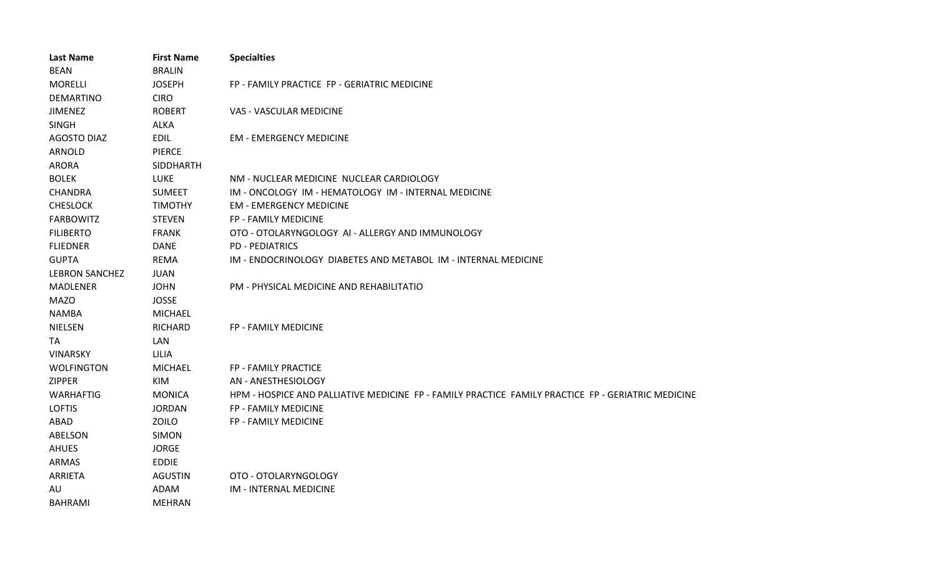| <b>Last Name</b>      | <b>First Name</b> | <b>Specialties</b>                                                                                 |
|-----------------------|-------------------|----------------------------------------------------------------------------------------------------|
| <b>BEAN</b>           | <b>BRALIN</b>     |                                                                                                    |
| <b>MORELLI</b>        | <b>JOSEPH</b>     | FP - FAMILY PRACTICE FP - GERIATRIC MEDICINE                                                       |
| <b>DEMARTINO</b>      | <b>CIRO</b>       |                                                                                                    |
| <b>JIMENEZ</b>        | <b>ROBERT</b>     | VAS - VASCULAR MEDICINE                                                                            |
| <b>SINGH</b>          | <b>ALKA</b>       |                                                                                                    |
| <b>AGOSTO DIAZ</b>    | <b>EDIL</b>       | <b>EM - EMERGENCY MEDICINE</b>                                                                     |
| ARNOLD                | <b>PIERCE</b>     |                                                                                                    |
| <b>ARORA</b>          | <b>SIDDHARTH</b>  |                                                                                                    |
| <b>BOLEK</b>          | <b>LUKE</b>       | NM - NUCLEAR MEDICINE NUCLEAR CARDIOLOGY                                                           |
| <b>CHANDRA</b>        | <b>SUMEET</b>     | IM - ONCOLOGY IM - HEMATOLOGY IM - INTERNAL MEDICINE                                               |
| <b>CHESLOCK</b>       | <b>TIMOTHY</b>    | <b>EM - EMERGENCY MEDICINE</b>                                                                     |
| <b>FARBOWITZ</b>      | <b>STEVEN</b>     | FP - FAMILY MEDICINE                                                                               |
| <b>FILIBERTO</b>      | <b>FRANK</b>      | OTO - OTOLARYNGOLOGY AI - ALLERGY AND IMMUNOLOGY                                                   |
| <b>FLIEDNER</b>       | <b>DANE</b>       | <b>PD - PEDIATRICS</b>                                                                             |
| <b>GUPTA</b>          | <b>REMA</b>       | IM - ENDOCRINOLOGY DIABETES AND METABOL IM - INTERNAL MEDICINE                                     |
| <b>LEBRON SANCHEZ</b> | <b>JUAN</b>       |                                                                                                    |
| <b>MADLENER</b>       | <b>JOHN</b>       | PM - PHYSICAL MEDICINE AND REHABILITATIO                                                           |
| <b>MAZO</b>           | <b>JOSSE</b>      |                                                                                                    |
| <b>NAMBA</b>          | <b>MICHAEL</b>    |                                                                                                    |
| <b>NIELSEN</b>        | <b>RICHARD</b>    | FP - FAMILY MEDICINE                                                                               |
| <b>TA</b>             | <b>LAN</b>        |                                                                                                    |
| <b>VINARSKY</b>       | LILIA             |                                                                                                    |
| <b>WOLFINGTON</b>     | <b>MICHAEL</b>    | FP - FAMILY PRACTICE                                                                               |
| <b>ZIPPER</b>         | KIM               | AN - ANESTHESIOLOGY                                                                                |
| <b>WARHAFTIG</b>      | <b>MONICA</b>     | HPM - HOSPICE AND PALLIATIVE MEDICINE FP - FAMILY PRACTICE FAMILY PRACTICE FP - GERIATRIC MEDICINE |
| <b>LOFTIS</b>         | <b>JORDAN</b>     | <b>FP - FAMILY MEDICINE</b>                                                                        |
| ABAD                  | ZOILO             | FP - FAMILY MEDICINE                                                                               |
| <b>ABELSON</b>        | <b>SIMON</b>      |                                                                                                    |
| <b>AHUES</b>          | <b>JORGE</b>      |                                                                                                    |
| <b>ARMAS</b>          | <b>EDDIE</b>      |                                                                                                    |
| <b>ARRIETA</b>        | <b>AGUSTIN</b>    | OTO - OTOLARYNGOLOGY                                                                               |
| AU                    | ADAM              | IM - INTERNAL MEDICINE                                                                             |
| <b>BAHRAMI</b>        | <b>MEHRAN</b>     |                                                                                                    |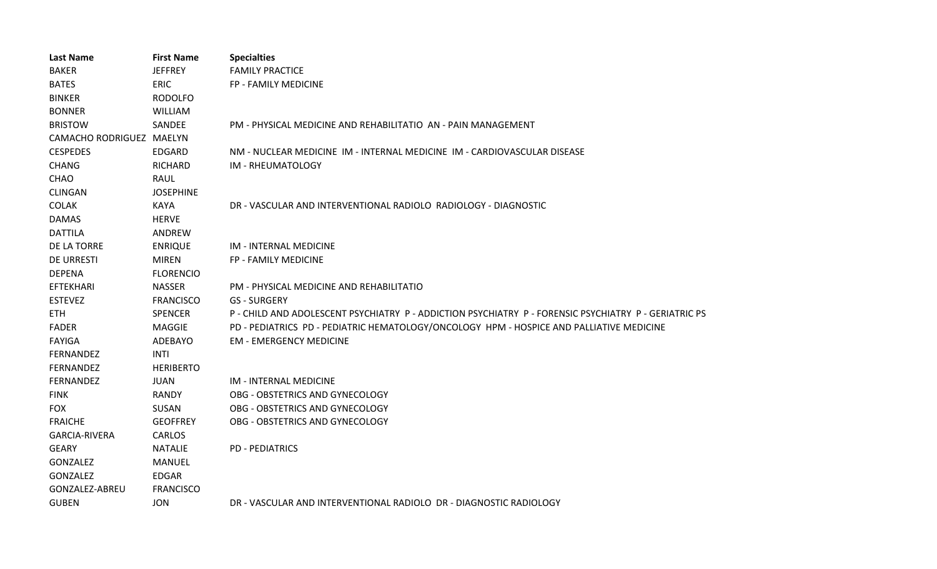| <b>Last Name</b>         | <b>First Name</b> | <b>Specialties</b>                                                                                    |
|--------------------------|-------------------|-------------------------------------------------------------------------------------------------------|
| <b>BAKER</b>             | <b>JEFFREY</b>    | <b>FAMILY PRACTICE</b>                                                                                |
| <b>BATES</b>             | <b>ERIC</b>       | FP - FAMILY MEDICINE                                                                                  |
| <b>BINKER</b>            | <b>RODOLFO</b>    |                                                                                                       |
| <b>BONNER</b>            | <b>WILLIAM</b>    |                                                                                                       |
| <b>BRISTOW</b>           | SANDEE            | PM - PHYSICAL MEDICINE AND REHABILITATIO AN - PAIN MANAGEMENT                                         |
| CAMACHO RODRIGUEZ MAELYN |                   |                                                                                                       |
| <b>CESPEDES</b>          | EDGARD            | NM - NUCLEAR MEDICINE IM - INTERNAL MEDICINE IM - CARDIOVASCULAR DISEASE                              |
| <b>CHANG</b>             | <b>RICHARD</b>    | IM - RHEUMATOLOGY                                                                                     |
| CHAO                     | <b>RAUL</b>       |                                                                                                       |
| <b>CLINGAN</b>           | <b>JOSEPHINE</b>  |                                                                                                       |
| <b>COLAK</b>             | KAYA              | DR - VASCULAR AND INTERVENTIONAL RADIOLO RADIOLOGY - DIAGNOSTIC                                       |
| <b>DAMAS</b>             | <b>HERVE</b>      |                                                                                                       |
| <b>DATTILA</b>           | ANDREW            |                                                                                                       |
| DE LA TORRE              | <b>ENRIQUE</b>    | IM - INTERNAL MEDICINE                                                                                |
| <b>DE URRESTI</b>        | <b>MIREN</b>      | FP - FAMILY MEDICINE                                                                                  |
| <b>DEPENA</b>            | <b>FLORENCIO</b>  |                                                                                                       |
| <b>EFTEKHARI</b>         | <b>NASSER</b>     | PM - PHYSICAL MEDICINE AND REHABILITATIO                                                              |
| <b>ESTEVEZ</b>           | <b>FRANCISCO</b>  | <b>GS - SURGERY</b>                                                                                   |
| <b>ETH</b>               | <b>SPENCER</b>    | P - CHILD AND ADOLESCENT PSYCHIATRY P - ADDICTION PSYCHIATRY P - FORENSIC PSYCHIATRY P - GERIATRIC PS |
| <b>FADER</b>             | MAGGIE            | PD - PEDIATRICS PD - PEDIATRIC HEMATOLOGY/ONCOLOGY HPM - HOSPICE AND PALLIATIVE MEDICINE              |
| <b>FAYIGA</b>            | ADEBAYO           | <b>EM - EMERGENCY MEDICINE</b>                                                                        |
| FERNANDEZ                | <b>INTI</b>       |                                                                                                       |
| FERNANDEZ                | <b>HERIBERTO</b>  |                                                                                                       |
| FERNANDEZ                | <b>JUAN</b>       | IM - INTERNAL MEDICINE                                                                                |
| <b>FINK</b>              | <b>RANDY</b>      | OBG - OBSTETRICS AND GYNECOLOGY                                                                       |
| <b>FOX</b>               | SUSAN             | OBG - OBSTETRICS AND GYNECOLOGY                                                                       |
| <b>FRAICHE</b>           | <b>GEOFFREY</b>   | OBG - OBSTETRICS AND GYNECOLOGY                                                                       |
| <b>GARCIA-RIVERA</b>     | <b>CARLOS</b>     |                                                                                                       |
| <b>GEARY</b>             | <b>NATALIE</b>    | <b>PD - PEDIATRICS</b>                                                                                |
| GONZALEZ                 | <b>MANUEL</b>     |                                                                                                       |
| GONZALEZ                 | <b>EDGAR</b>      |                                                                                                       |
| GONZALEZ-ABREU           | <b>FRANCISCO</b>  |                                                                                                       |
| <b>GUBEN</b>             | <b>JON</b>        | DR - VASCULAR AND INTERVENTIONAL RADIOLO DR - DIAGNOSTIC RADIOLOGY                                    |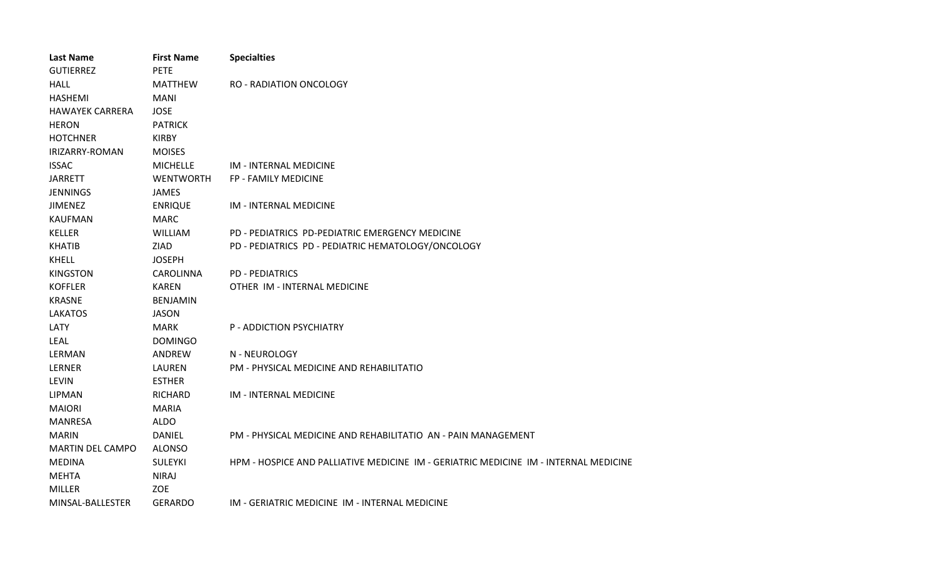| <b>Last Name</b>        | <b>First Name</b> | <b>Specialties</b>                                                                   |
|-------------------------|-------------------|--------------------------------------------------------------------------------------|
| <b>GUTIERREZ</b>        | <b>PETE</b>       |                                                                                      |
| <b>HALL</b>             | <b>MATTHEW</b>    | <b>RO - RADIATION ONCOLOGY</b>                                                       |
| <b>HASHEMI</b>          | MANI              |                                                                                      |
| <b>HAWAYEK CARRERA</b>  | <b>JOSE</b>       |                                                                                      |
| <b>HERON</b>            | <b>PATRICK</b>    |                                                                                      |
| <b>HOTCHNER</b>         | <b>KIRBY</b>      |                                                                                      |
| IRIZARRY-ROMAN          | <b>MOISES</b>     |                                                                                      |
| <b>ISSAC</b>            | <b>MICHELLE</b>   | <b>IM - INTERNAL MEDICINE</b>                                                        |
| <b>JARRETT</b>          | <b>WENTWORTH</b>  | <b>FP - FAMILY MEDICINE</b>                                                          |
| <b>JENNINGS</b>         | <b>JAMES</b>      |                                                                                      |
| <b>JIMENEZ</b>          | <b>ENRIQUE</b>    | <b>IM - INTERNAL MEDICINE</b>                                                        |
| <b>KAUFMAN</b>          | <b>MARC</b>       |                                                                                      |
| <b>KELLER</b>           | <b>WILLIAM</b>    | PD - PEDIATRICS PD-PEDIATRIC EMERGENCY MEDICINE                                      |
| <b>KHATIB</b>           | ZIAD              | PD - PEDIATRICS PD - PEDIATRIC HEMATOLOGY/ONCOLOGY                                   |
| <b>KHELL</b>            | <b>JOSEPH</b>     |                                                                                      |
| <b>KINGSTON</b>         | <b>CAROLINNA</b>  | <b>PD - PEDIATRICS</b>                                                               |
| <b>KOFFLER</b>          | <b>KAREN</b>      | OTHER IM - INTERNAL MEDICINE                                                         |
| <b>KRASNE</b>           | <b>BENJAMIN</b>   |                                                                                      |
| <b>LAKATOS</b>          | <b>JASON</b>      |                                                                                      |
| LATY                    | <b>MARK</b>       | P - ADDICTION PSYCHIATRY                                                             |
| <b>LEAL</b>             | <b>DOMINGO</b>    |                                                                                      |
| LERMAN                  | ANDREW            | N - NEUROLOGY                                                                        |
| LERNER                  | LAUREN            | PM - PHYSICAL MEDICINE AND REHABILITATIO                                             |
| <b>LEVIN</b>            | <b>ESTHER</b>     |                                                                                      |
| <b>LIPMAN</b>           | <b>RICHARD</b>    | <b>IM - INTERNAL MEDICINE</b>                                                        |
| <b>MAIORI</b>           | <b>MARIA</b>      |                                                                                      |
| <b>MANRESA</b>          | <b>ALDO</b>       |                                                                                      |
| <b>MARIN</b>            | <b>DANIEL</b>     | PM - PHYSICAL MEDICINE AND REHABILITATIO AN - PAIN MANAGEMENT                        |
| <b>MARTIN DEL CAMPO</b> | <b>ALONSO</b>     |                                                                                      |
| <b>MEDINA</b>           | <b>SULEYKI</b>    | HPM - HOSPICE AND PALLIATIVE MEDICINE IM - GERIATRIC MEDICINE IM - INTERNAL MEDICINE |
| <b>MEHTA</b>            | <b>NIRAJ</b>      |                                                                                      |
| <b>MILLER</b>           | ZOE               |                                                                                      |
| MINSAL-BALLESTER        | <b>GERARDO</b>    | IM - GERIATRIC MEDICINE IM - INTERNAL MEDICINE                                       |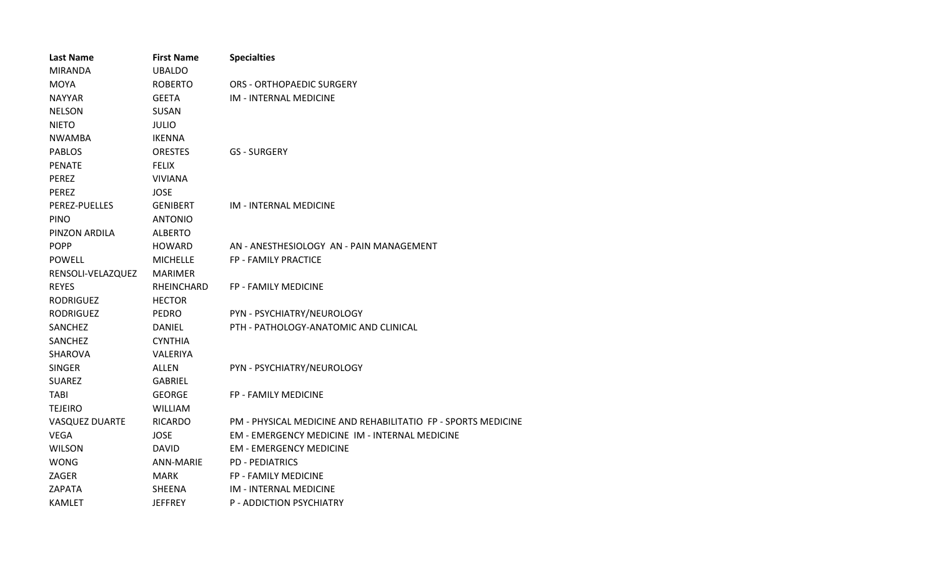| <b>Last Name</b>      | <b>First Name</b> | <b>Specialties</b>                                            |
|-----------------------|-------------------|---------------------------------------------------------------|
| <b>MIRANDA</b>        | <b>UBALDO</b>     |                                                               |
| <b>MOYA</b>           | <b>ROBERTO</b>    | <b>ORS - ORTHOPAEDIC SURGERY</b>                              |
| <b>NAYYAR</b>         | <b>GEETA</b>      | <b>IM - INTERNAL MEDICINE</b>                                 |
| <b>NELSON</b>         | <b>SUSAN</b>      |                                                               |
| <b>NIETO</b>          | <b>JULIO</b>      |                                                               |
| <b>NWAMBA</b>         | <b>IKENNA</b>     |                                                               |
| <b>PABLOS</b>         | <b>ORESTES</b>    | <b>GS - SURGERY</b>                                           |
| <b>PENATE</b>         | <b>FELIX</b>      |                                                               |
| <b>PEREZ</b>          | <b>VIVIANA</b>    |                                                               |
| <b>PEREZ</b>          | <b>JOSE</b>       |                                                               |
| PEREZ-PUELLES         | <b>GENIBERT</b>   | IM - INTERNAL MEDICINE                                        |
| <b>PINO</b>           | <b>ANTONIO</b>    |                                                               |
| PINZON ARDILA         | <b>ALBERTO</b>    |                                                               |
| <b>POPP</b>           | <b>HOWARD</b>     | AN - ANESTHESIOLOGY AN - PAIN MANAGEMENT                      |
| <b>POWELL</b>         | <b>MICHELLE</b>   | FP - FAMILY PRACTICE                                          |
| RENSOLI-VELAZQUEZ     | <b>MARIMER</b>    |                                                               |
| <b>REYES</b>          | RHEINCHARD        | FP - FAMILY MEDICINE                                          |
| <b>RODRIGUEZ</b>      | <b>HECTOR</b>     |                                                               |
| <b>RODRIGUEZ</b>      | <b>PEDRO</b>      | PYN - PSYCHIATRY/NEUROLOGY                                    |
| SANCHEZ               | <b>DANIEL</b>     | PTH - PATHOLOGY-ANATOMIC AND CLINICAL                         |
| SANCHEZ               | <b>CYNTHIA</b>    |                                                               |
| <b>SHAROVA</b>        | <b>VALERIYA</b>   |                                                               |
| <b>SINGER</b>         | ALLEN             | PYN - PSYCHIATRY/NEUROLOGY                                    |
| <b>SUAREZ</b>         | <b>GABRIEL</b>    |                                                               |
| <b>TABI</b>           | <b>GEORGE</b>     | FP - FAMILY MEDICINE                                          |
| <b>TEJEIRO</b>        | <b>WILLIAM</b>    |                                                               |
| <b>VASQUEZ DUARTE</b> | <b>RICARDO</b>    | PM - PHYSICAL MEDICINE AND REHABILITATIO FP - SPORTS MEDICINE |
| <b>VEGA</b>           | <b>JOSE</b>       | EM - EMERGENCY MEDICINE IM - INTERNAL MEDICINE                |
| <b>WILSON</b>         | <b>DAVID</b>      | <b>EM - EMERGENCY MEDICINE</b>                                |
| <b>WONG</b>           | <b>ANN-MARIE</b>  | <b>PD - PEDIATRICS</b>                                        |
| ZAGER                 | <b>MARK</b>       | <b>FP - FAMILY MEDICINE</b>                                   |
| ZAPATA                | <b>SHEENA</b>     | <b>IM - INTERNAL MEDICINE</b>                                 |
| <b>KAMLET</b>         | <b>JEFFREY</b>    | P - ADDICTION PSYCHIATRY                                      |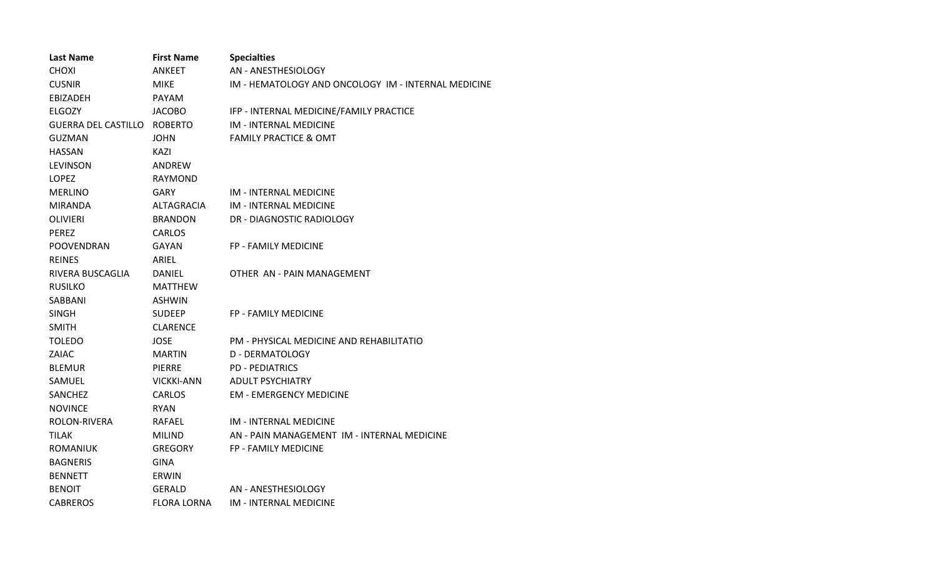| <b>Last Name</b>           | <b>First Name</b>  | <b>Specialties</b>                                  |
|----------------------------|--------------------|-----------------------------------------------------|
| <b>CHOXI</b>               | <b>ANKEET</b>      | AN - ANESTHESIOLOGY                                 |
| <b>CUSNIR</b>              | <b>MIKE</b>        | IM - HEMATOLOGY AND ONCOLOGY IM - INTERNAL MEDICINE |
| EBIZADEH                   | <b>PAYAM</b>       |                                                     |
| <b>ELGOZY</b>              | JACOBO             | IFP - INTERNAL MEDICINE/FAMILY PRACTICE             |
| <b>GUERRA DEL CASTILLO</b> | ROBERTO            | IM - INTERNAL MEDICINE                              |
| <b>GUZMAN</b>              | <b>JOHN</b>        | <b>FAMILY PRACTICE &amp; OMT</b>                    |
| <b>HASSAN</b>              | KAZI               |                                                     |
| <b>LEVINSON</b>            | ANDREW             |                                                     |
| <b>LOPEZ</b>               | <b>RAYMOND</b>     |                                                     |
| <b>MERLINO</b>             | <b>GARY</b>        | IM - INTERNAL MEDICINE                              |
| MIRANDA                    | ALTAGRACIA         | IM - INTERNAL MEDICINE                              |
| <b>OLIVIERI</b>            | <b>BRANDON</b>     | DR - DIAGNOSTIC RADIOLOGY                           |
| <b>PEREZ</b>               | CARLOS             |                                                     |
| <b>POOVENDRAN</b>          | GAYAN              | <b>FP - FAMILY MEDICINE</b>                         |
| <b>REINES</b>              | ARIEL              |                                                     |
| RIVERA BUSCAGLIA           | <b>DANIEL</b>      | OTHER AN - PAIN MANAGEMENT                          |
| <b>RUSILKO</b>             | <b>MATTHEW</b>     |                                                     |
| SABBANI                    | ASHWIN             |                                                     |
| <b>SINGH</b>               | <b>SUDEEP</b>      | FP - FAMILY MEDICINE                                |
| <b>SMITH</b>               | <b>CLARENCE</b>    |                                                     |
| <b>TOLEDO</b>              | JOSE               | PM - PHYSICAL MEDICINE AND REHABILITATIO            |
| ZAIAC                      | <b>MARTIN</b>      | D - DERMATOLOGY                                     |
| <b>BLEMUR</b>              | <b>PIERRE</b>      | <b>PD - PEDIATRICS</b>                              |
| SAMUEL                     | VICKKI-ANN         | <b>ADULT PSYCHIATRY</b>                             |
| SANCHEZ                    | <b>CARLOS</b>      | <b>EM - EMERGENCY MEDICINE</b>                      |
| <b>NOVINCE</b>             | <b>RYAN</b>        |                                                     |
| ROLON-RIVERA               | RAFAEL             | IM - INTERNAL MEDICINE                              |
| <b>TILAK</b>               | <b>MILIND</b>      | AN - PAIN MANAGEMENT IM - INTERNAL MEDICINE         |
| <b>ROMANIUK</b>            | <b>GREGORY</b>     | FP - FAMILY MEDICINE                                |
| <b>BAGNERIS</b>            | <b>GINA</b>        |                                                     |
| <b>BENNETT</b>             | ERWIN              |                                                     |
| <b>BENOIT</b>              | GERALD             | AN - ANESTHESIOLOGY                                 |
| <b>CABREROS</b>            | <b>FLORA LORNA</b> | <b>IM - INTERNAL MEDICINE</b>                       |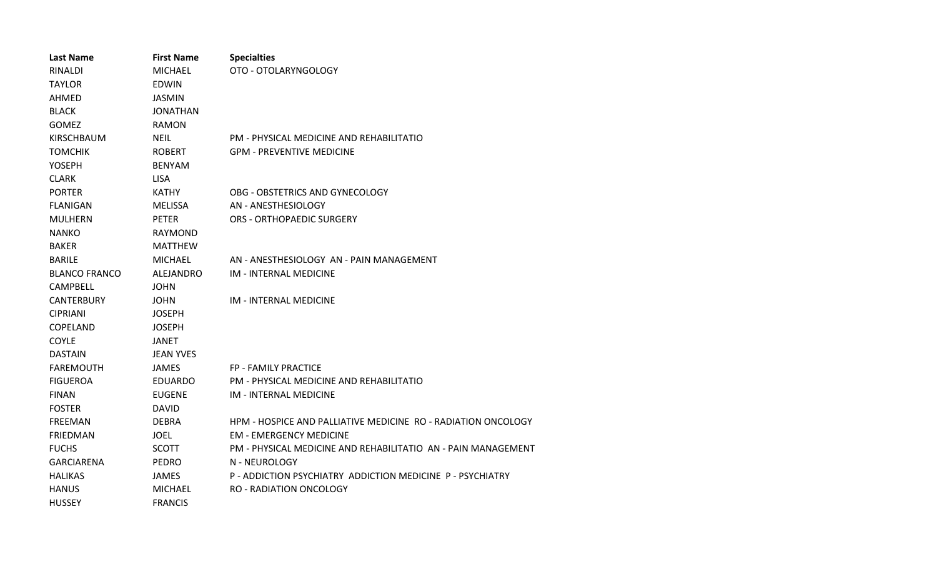| <b>Last Name</b>     | <b>First Name</b> | <b>Specialties</b>                                            |
|----------------------|-------------------|---------------------------------------------------------------|
| <b>RINALDI</b>       | MICHAEL           | OTO - OTOLARYNGOLOGY                                          |
| <b>TAYLOR</b>        | <b>EDWIN</b>      |                                                               |
| AHMED                | <b>JASMIN</b>     |                                                               |
| <b>BLACK</b>         | JONATHAN          |                                                               |
| <b>GOMEZ</b>         | RAMON             |                                                               |
| KIRSCHBAUM           | <b>NEIL</b>       | PM - PHYSICAL MEDICINE AND REHABILITATIO                      |
| <b>TOMCHIK</b>       | <b>ROBERT</b>     | <b>GPM - PREVENTIVE MEDICINE</b>                              |
| <b>YOSEPH</b>        | <b>BENYAM</b>     |                                                               |
| <b>CLARK</b>         | <b>LISA</b>       |                                                               |
| <b>PORTER</b>        | KATHY             | OBG - OBSTETRICS AND GYNECOLOGY                               |
| <b>FLANIGAN</b>      | MELISSA           | AN - ANESTHESIOLOGY                                           |
| <b>MULHERN</b>       | <b>PETER</b>      | <b>ORS - ORTHOPAEDIC SURGERY</b>                              |
| <b>NANKO</b>         | RAYMOND           |                                                               |
| <b>BAKER</b>         | MATTHEW           |                                                               |
| <b>BARILE</b>        | MICHAEL           | AN - ANESTHESIOLOGY AN - PAIN MANAGEMENT                      |
| <b>BLANCO FRANCO</b> | ALEJANDRO         | IM - INTERNAL MEDICINE                                        |
| <b>CAMPBELL</b>      | <b>JOHN</b>       |                                                               |
| <b>CANTERBURY</b>    | <b>JOHN</b>       | <b>IM - INTERNAL MEDICINE</b>                                 |
| <b>CIPRIANI</b>      | <b>JOSEPH</b>     |                                                               |
| COPELAND             | <b>JOSEPH</b>     |                                                               |
| <b>COYLE</b>         | <b>JANET</b>      |                                                               |
| <b>DASTAIN</b>       | <b>JEAN YVES</b>  |                                                               |
| <b>FAREMOUTH</b>     | <b>JAMES</b>      | <b>FP - FAMILY PRACTICE</b>                                   |
| <b>FIGUEROA</b>      | <b>EDUARDO</b>    | PM - PHYSICAL MEDICINE AND REHABILITATIO                      |
| <b>FINAN</b>         | <b>EUGENE</b>     | <b>IM - INTERNAL MEDICINE</b>                                 |
| <b>FOSTER</b>        | <b>DAVID</b>      |                                                               |
| <b>FREEMAN</b>       | <b>DEBRA</b>      | HPM - HOSPICE AND PALLIATIVE MEDICINE RO - RADIATION ONCOLOGY |
| <b>FRIEDMAN</b>      | <b>JOEL</b>       | <b>EM - EMERGENCY MEDICINE</b>                                |
| <b>FUCHS</b>         | <b>SCOTT</b>      | PM - PHYSICAL MEDICINE AND REHABILITATIO AN - PAIN MANAGEMENT |
| <b>GARCIARENA</b>    | <b>PEDRO</b>      | N - NEUROLOGY                                                 |
| <b>HALIKAS</b>       | <b>JAMES</b>      | P - ADDICTION PSYCHIATRY ADDICTION MEDICINE P - PSYCHIATRY    |
| <b>HANUS</b>         | MICHAEL           | <b>RO - RADIATION ONCOLOGY</b>                                |
| <b>HUSSEY</b>        | <b>FRANCIS</b>    |                                                               |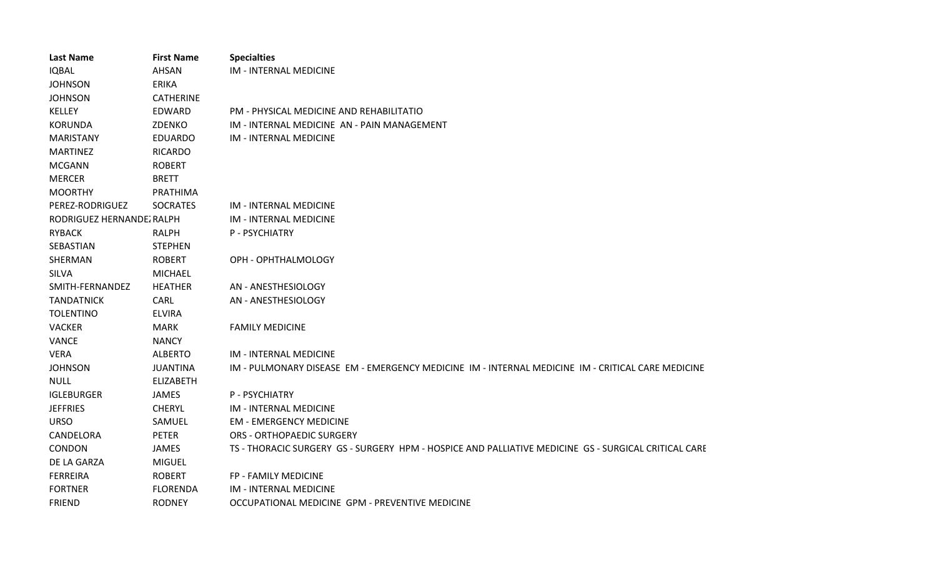| <b>Last Name</b>          | <b>First Name</b> | <b>Specialties</b>                                                                                   |
|---------------------------|-------------------|------------------------------------------------------------------------------------------------------|
| <b>IQBAL</b>              | <b>AHSAN</b>      | <b>IM - INTERNAL MEDICINE</b>                                                                        |
| <b>JOHNSON</b>            | <b>ERIKA</b>      |                                                                                                      |
| <b>JOHNSON</b>            | <b>CATHERINE</b>  |                                                                                                      |
| KELLEY                    | EDWARD            | PM - PHYSICAL MEDICINE AND REHABILITATIO                                                             |
| <b>KORUNDA</b>            | ZDENKO            | IM - INTERNAL MEDICINE AN - PAIN MANAGEMENT                                                          |
| <b>MARISTANY</b>          | <b>EDUARDO</b>    | <b>IM - INTERNAL MEDICINE</b>                                                                        |
| <b>MARTINEZ</b>           | <b>RICARDO</b>    |                                                                                                      |
| <b>MCGANN</b>             | <b>ROBERT</b>     |                                                                                                      |
| <b>MERCER</b>             | <b>BRETT</b>      |                                                                                                      |
| <b>MOORTHY</b>            | PRATHIMA          |                                                                                                      |
| PEREZ-RODRIGUEZ           | <b>SOCRATES</b>   | <b>IM - INTERNAL MEDICINE</b>                                                                        |
| RODRIGUEZ HERNANDEZ RALPH |                   | <b>IM - INTERNAL MEDICINE</b>                                                                        |
| <b>RYBACK</b>             | <b>RALPH</b>      | P - PSYCHIATRY                                                                                       |
| SEBASTIAN                 | <b>STEPHEN</b>    |                                                                                                      |
| SHERMAN                   | <b>ROBERT</b>     | OPH - OPHTHALMOLOGY                                                                                  |
| <b>SILVA</b>              | <b>MICHAEL</b>    |                                                                                                      |
| SMITH-FERNANDEZ           | <b>HEATHER</b>    | AN - ANESTHESIOLOGY                                                                                  |
| <b>TANDATNICK</b>         | <b>CARL</b>       | AN - ANESTHESIOLOGY                                                                                  |
| <b>TOLENTINO</b>          | <b>ELVIRA</b>     |                                                                                                      |
| <b>VACKER</b>             | <b>MARK</b>       | <b>FAMILY MEDICINE</b>                                                                               |
| <b>VANCE</b>              | <b>NANCY</b>      |                                                                                                      |
| <b>VERA</b>               | <b>ALBERTO</b>    | <b>IM - INTERNAL MEDICINE</b>                                                                        |
| <b>JOHNSON</b>            | <b>JUANTINA</b>   | IM - PULMONARY DISEASE EM - EMERGENCY MEDICINE IM - INTERNAL MEDICINE IM - CRITICAL CARE MEDICINE    |
| <b>NULL</b>               | <b>ELIZABETH</b>  |                                                                                                      |
| <b>IGLEBURGER</b>         | JAMES             | P - PSYCHIATRY                                                                                       |
| <b>JEFFRIES</b>           | <b>CHERYL</b>     | <b>IM - INTERNAL MEDICINE</b>                                                                        |
| <b>URSO</b>               | SAMUEL            | <b>EM - EMERGENCY MEDICINE</b>                                                                       |
| CANDELORA                 | <b>PETER</b>      | <b>ORS - ORTHOPAEDIC SURGERY</b>                                                                     |
| CONDON                    | <b>JAMES</b>      | TS - THORACIC SURGERY GS - SURGERY HPM - HOSPICE AND PALLIATIVE MEDICINE GS - SURGICAL CRITICAL CARE |
| DE LA GARZA               | <b>MIGUEL</b>     |                                                                                                      |
| <b>FERREIRA</b>           | <b>ROBERT</b>     | <b>FP - FAMILY MEDICINE</b>                                                                          |
| <b>FORTNER</b>            | <b>FLORENDA</b>   | <b>IM - INTERNAL MEDICINE</b>                                                                        |
| <b>FRIEND</b>             | <b>RODNEY</b>     | OCCUPATIONAL MEDICINE GPM - PREVENTIVE MEDICINE                                                      |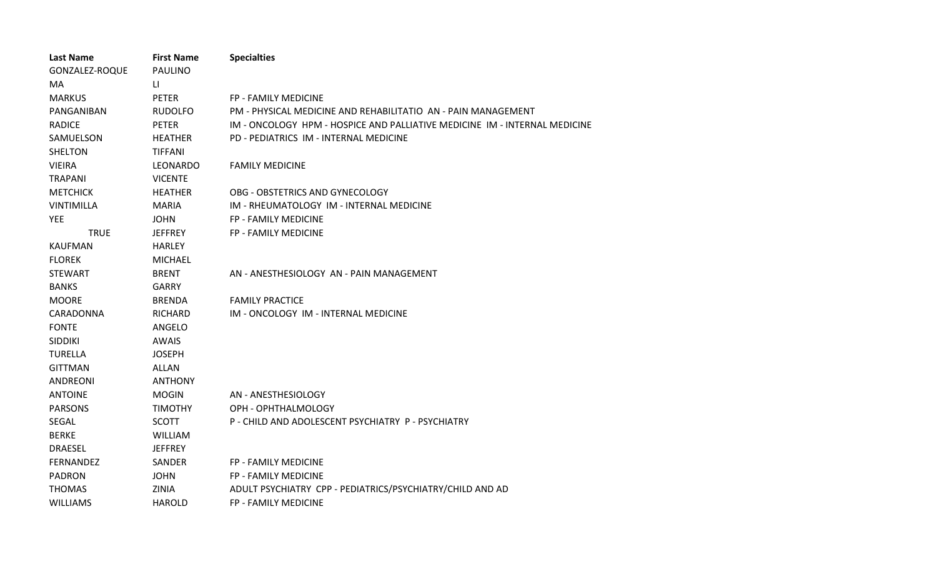| <b>Last Name</b> | <b>First Name</b> | <b>Specialties</b>                                                         |
|------------------|-------------------|----------------------------------------------------------------------------|
| GONZALEZ-ROQUE   | <b>PAULINO</b>    |                                                                            |
| MA               | LI.               |                                                                            |
| <b>MARKUS</b>    | <b>PETER</b>      | FP - FAMILY MEDICINE                                                       |
| PANGANIBAN       | <b>RUDOLFO</b>    | PM - PHYSICAL MEDICINE AND REHABILITATIO AN - PAIN MANAGEMENT              |
| <b>RADICE</b>    | <b>PETER</b>      | IM - ONCOLOGY HPM - HOSPICE AND PALLIATIVE MEDICINE IM - INTERNAL MEDICINE |
| SAMUELSON        | <b>HEATHER</b>    | PD - PEDIATRICS IM - INTERNAL MEDICINE                                     |
| <b>SHELTON</b>   | <b>TIFFANI</b>    |                                                                            |
| <b>VIEIRA</b>    | LEONARDO          | <b>FAMILY MEDICINE</b>                                                     |
| <b>TRAPANI</b>   | <b>VICENTE</b>    |                                                                            |
| <b>METCHICK</b>  | <b>HEATHER</b>    | OBG - OBSTETRICS AND GYNECOLOGY                                            |
| VINTIMILLA       | <b>MARIA</b>      | IM - RHEUMATOLOGY IM - INTERNAL MEDICINE                                   |
| <b>YEE</b>       | <b>JOHN</b>       | <b>FP - FAMILY MEDICINE</b>                                                |
| <b>TRUE</b>      | <b>JEFFREY</b>    | <b>FP - FAMILY MEDICINE</b>                                                |
| <b>KAUFMAN</b>   | <b>HARLEY</b>     |                                                                            |
| <b>FLOREK</b>    | <b>MICHAEL</b>    |                                                                            |
| <b>STEWART</b>   | <b>BRENT</b>      | AN - ANESTHESIOLOGY AN - PAIN MANAGEMENT                                   |
| <b>BANKS</b>     | <b>GARRY</b>      |                                                                            |
| <b>MOORE</b>     | <b>BRENDA</b>     | <b>FAMILY PRACTICE</b>                                                     |
| CARADONNA        | <b>RICHARD</b>    | IM - ONCOLOGY IM - INTERNAL MEDICINE                                       |
| <b>FONTE</b>     | <b>ANGELO</b>     |                                                                            |
| <b>SIDDIKI</b>   | <b>AWAIS</b>      |                                                                            |
| <b>TURELLA</b>   | <b>JOSEPH</b>     |                                                                            |
| <b>GITTMAN</b>   | ALLAN             |                                                                            |
| <b>ANDREONI</b>  | <b>ANTHONY</b>    |                                                                            |
| <b>ANTOINE</b>   | <b>MOGIN</b>      | AN - ANESTHESIOLOGY                                                        |
| <b>PARSONS</b>   | <b>TIMOTHY</b>    | OPH - OPHTHALMOLOGY                                                        |
| SEGAL            | <b>SCOTT</b>      | P - CHILD AND ADOLESCENT PSYCHIATRY P - PSYCHIATRY                         |
| <b>BERKE</b>     | <b>WILLIAM</b>    |                                                                            |
| <b>DRAESEL</b>   | <b>JEFFREY</b>    |                                                                            |
| <b>FERNANDEZ</b> | SANDER            | FP - FAMILY MEDICINE                                                       |
| <b>PADRON</b>    | <b>JOHN</b>       | FP - FAMILY MEDICINE                                                       |
| <b>THOMAS</b>    | ZINIA             | ADULT PSYCHIATRY CPP - PEDIATRICS/PSYCHIATRY/CHILD AND AD                  |
| <b>WILLIAMS</b>  | HAROLD            | FP - FAMILY MEDICINE                                                       |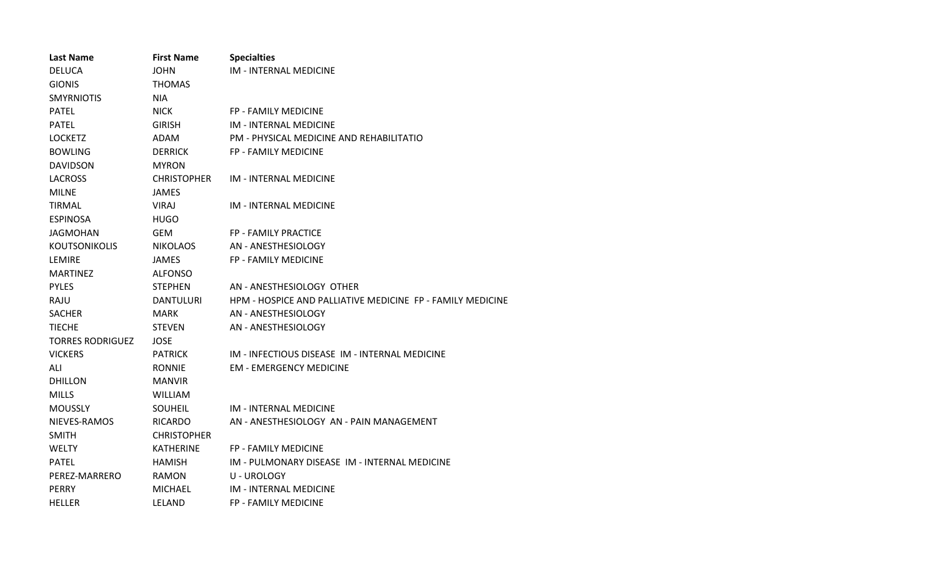| <b>Last Name</b>        | <b>First Name</b>  | <b>Specialties</b>                                         |
|-------------------------|--------------------|------------------------------------------------------------|
| <b>DELUCA</b>           | <b>JOHN</b>        | <b>IM - INTERNAL MEDICINE</b>                              |
| <b>GIONIS</b>           | <b>THOMAS</b>      |                                                            |
| <b>SMYRNIOTIS</b>       | NIA.               |                                                            |
| <b>PATEL</b>            | <b>NICK</b>        | FP - FAMILY MEDICINE                                       |
| <b>PATEL</b>            | <b>GIRISH</b>      | <b>IM - INTERNAL MEDICINE</b>                              |
| <b>LOCKETZ</b>          | ADAM               | PM - PHYSICAL MEDICINE AND REHABILITATIO                   |
| <b>BOWLING</b>          | <b>DERRICK</b>     | <b>FP - FAMILY MEDICINE</b>                                |
| <b>DAVIDSON</b>         | <b>MYRON</b>       |                                                            |
| <b>LACROSS</b>          | <b>CHRISTOPHER</b> | <b>IM - INTERNAL MEDICINE</b>                              |
| <b>MILNE</b>            | JAMES              |                                                            |
| <b>TIRMAL</b>           | VIRAJ              | IM - INTERNAL MEDICINE                                     |
| <b>ESPINOSA</b>         | <b>HUGO</b>        |                                                            |
| <b>JAGMOHAN</b>         | <b>GEM</b>         | FP - FAMILY PRACTICE                                       |
| <b>KOUTSONIKOLIS</b>    | <b>NIKOLAOS</b>    | AN - ANESTHESIOLOGY                                        |
| LEMIRE                  | <b>JAMES</b>       | <b>FP - FAMILY MEDICINE</b>                                |
| <b>MARTINEZ</b>         | <b>ALFONSO</b>     |                                                            |
| <b>PYLES</b>            | <b>STEPHEN</b>     | AN - ANESTHESIOLOGY OTHER                                  |
| RAJU                    | <b>DANTULURI</b>   | HPM - HOSPICE AND PALLIATIVE MEDICINE FP - FAMILY MEDICINE |
| <b>SACHER</b>           | <b>MARK</b>        | AN - ANESTHESIOLOGY                                        |
| <b>TIECHE</b>           | <b>STEVEN</b>      | AN - ANESTHESIOLOGY                                        |
| <b>TORRES RODRIGUEZ</b> | <b>JOSE</b>        |                                                            |
| <b>VICKERS</b>          | <b>PATRICK</b>     | IM - INFECTIOUS DISEASE IM - INTERNAL MEDICINE             |
| ALI                     | <b>RONNIE</b>      | <b>EM - EMERGENCY MEDICINE</b>                             |
| <b>DHILLON</b>          | <b>MANVIR</b>      |                                                            |
| <b>MILLS</b>            | <b>WILLIAM</b>     |                                                            |
| <b>MOUSSLY</b>          | <b>SOUHEIL</b>     | IM - INTERNAL MEDICINE                                     |
| NIEVES-RAMOS            | <b>RICARDO</b>     | AN - ANESTHESIOLOGY AN - PAIN MANAGEMENT                   |
| <b>SMITH</b>            | <b>CHRISTOPHER</b> |                                                            |
| <b>WELTY</b>            | <b>KATHERINE</b>   | <b>FP - FAMILY MEDICINE</b>                                |
| <b>PATEL</b>            | <b>HAMISH</b>      | IM - PULMONARY DISEASE IM - INTERNAL MEDICINE              |
| PEREZ-MARRERO           | <b>RAMON</b>       | <b>U-UROLOGY</b>                                           |
| <b>PERRY</b>            | <b>MICHAEL</b>     | <b>IM - INTERNAL MEDICINE</b>                              |
| <b>HELLER</b>           | LELAND             | <b>FP - FAMILY MEDICINE</b>                                |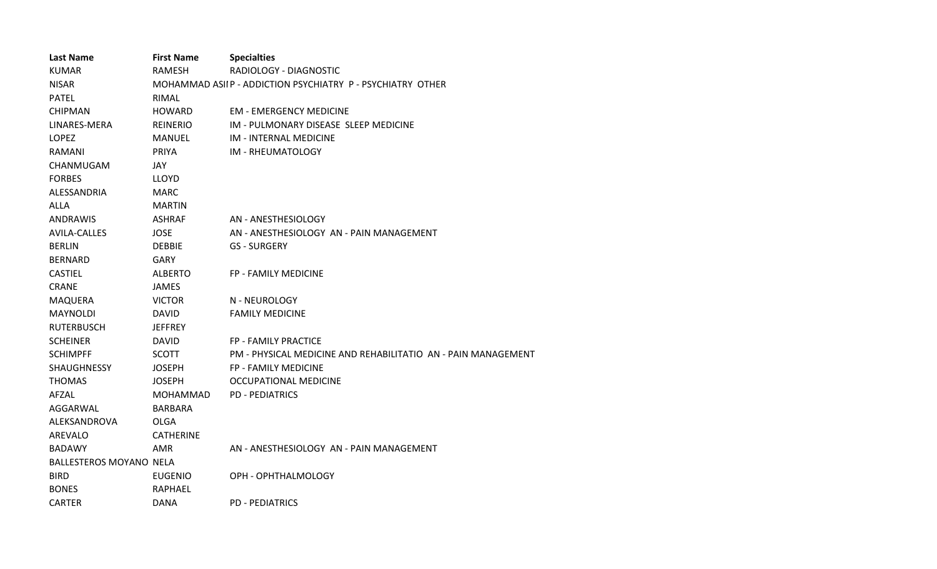| <b>Last Name</b>               | <b>First Name</b>                                          | <b>Specialties</b>                                            |
|--------------------------------|------------------------------------------------------------|---------------------------------------------------------------|
| <b>KUMAR</b>                   | <b>RAMESH</b>                                              | RADIOLOGY - DIAGNOSTIC                                        |
| <b>NISAR</b>                   | MOHAMMAD ASIIP - ADDICTION PSYCHIATRY P - PSYCHIATRY OTHER |                                                               |
| <b>PATEL</b>                   | RIMAL                                                      |                                                               |
| <b>CHIPMAN</b>                 | <b>HOWARD</b>                                              | <b>EM - EMERGENCY MEDICINE</b>                                |
| LINARES-MERA                   | <b>REINERIO</b>                                            | IM - PULMONARY DISEASE SLEEP MEDICINE                         |
| LOPEZ                          | <b>MANUEL</b>                                              | <b>IM - INTERNAL MEDICINE</b>                                 |
| <b>RAMANI</b>                  | PRIYA                                                      | IM - RHEUMATOLOGY                                             |
| CHANMUGAM                      | JAY                                                        |                                                               |
| <b>FORBES</b>                  | <b>LLOYD</b>                                               |                                                               |
| ALESSANDRIA                    | <b>MARC</b>                                                |                                                               |
| <b>ALLA</b>                    | <b>MARTIN</b>                                              |                                                               |
| <b>ANDRAWIS</b>                | ASHRAF                                                     | AN - ANESTHESIOLOGY                                           |
| <b>AVILA-CALLES</b>            | <b>JOSE</b>                                                | AN - ANESTHESIOLOGY AN - PAIN MANAGEMENT                      |
| <b>BERLIN</b>                  | <b>DEBBIE</b>                                              | <b>GS - SURGERY</b>                                           |
| <b>BERNARD</b>                 | <b>GARY</b>                                                |                                                               |
| <b>CASTIEL</b>                 | <b>ALBERTO</b>                                             | <b>FP - FAMILY MEDICINE</b>                                   |
| <b>CRANE</b>                   | <b>JAMES</b>                                               |                                                               |
| <b>MAQUERA</b>                 | <b>VICTOR</b>                                              | N - NEUROLOGY                                                 |
| <b>MAYNOLDI</b>                | <b>DAVID</b>                                               | <b>FAMILY MEDICINE</b>                                        |
| <b>RUTERBUSCH</b>              | <b>JEFFREY</b>                                             |                                                               |
| <b>SCHEINER</b>                | <b>DAVID</b>                                               | <b>FP - FAMILY PRACTICE</b>                                   |
| <b>SCHIMPFF</b>                | <b>SCOTT</b>                                               | PM - PHYSICAL MEDICINE AND REHABILITATIO AN - PAIN MANAGEMENT |
| <b>SHAUGHNESSY</b>             | <b>JOSEPH</b>                                              | <b>FP - FAMILY MEDICINE</b>                                   |
| <b>THOMAS</b>                  | <b>JOSEPH</b>                                              | <b>OCCUPATIONAL MEDICINE</b>                                  |
| AFZAL                          | <b>MOHAMMAD</b>                                            | <b>PD - PEDIATRICS</b>                                        |
| AGGARWAL                       | <b>BARBARA</b>                                             |                                                               |
| ALEKSANDROVA                   | OLGA                                                       |                                                               |
| AREVALO                        | <b>CATHERINE</b>                                           |                                                               |
| <b>BADAWY</b>                  | AMR                                                        | AN - ANESTHESIOLOGY AN - PAIN MANAGEMENT                      |
| <b>BALLESTEROS MOYANO NELA</b> |                                                            |                                                               |
| <b>BIRD</b>                    | <b>EUGENIO</b>                                             | OPH - OPHTHALMOLOGY                                           |
| <b>BONES</b>                   | <b>RAPHAEL</b>                                             |                                                               |
| <b>CARTER</b>                  | DANA                                                       | <b>PD - PEDIATRICS</b>                                        |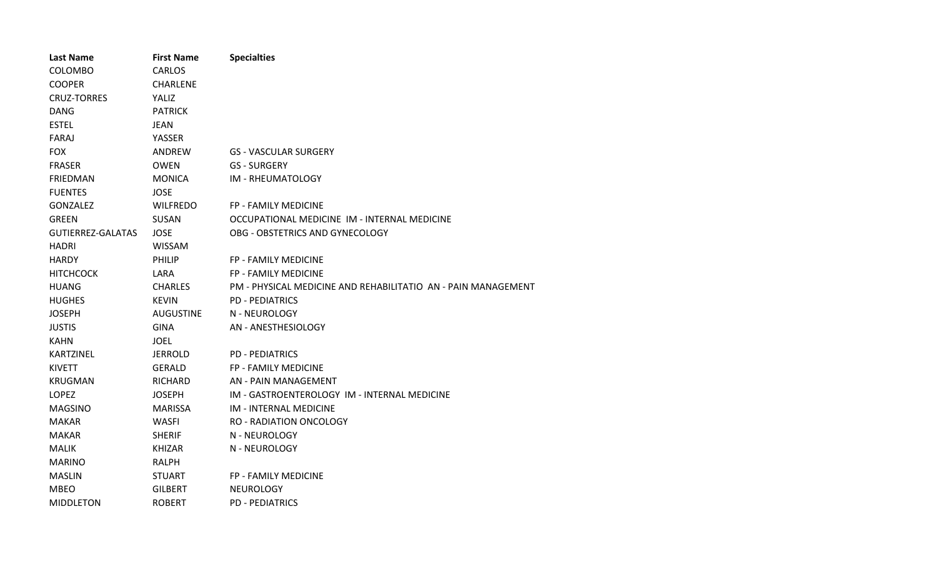| <b>Last Name</b>         | <b>First Name</b> | <b>Specialties</b>                                            |
|--------------------------|-------------------|---------------------------------------------------------------|
| COLOMBO                  | <b>CARLOS</b>     |                                                               |
| <b>COOPER</b>            | CHARLENE          |                                                               |
| <b>CRUZ-TORRES</b>       | YALIZ             |                                                               |
| <b>DANG</b>              | <b>PATRICK</b>    |                                                               |
| <b>ESTEL</b>             | <b>JEAN</b>       |                                                               |
| FARAJ                    | YASSER            |                                                               |
| <b>FOX</b>               | ANDREW            | <b>GS - VASCULAR SURGERY</b>                                  |
| <b>FRASER</b>            | <b>OWEN</b>       | <b>GS - SURGERY</b>                                           |
| <b>FRIEDMAN</b>          | <b>MONICA</b>     | IM - RHEUMATOLOGY                                             |
| <b>FUENTES</b>           | <b>JOSE</b>       |                                                               |
| <b>GONZALEZ</b>          | <b>WILFREDO</b>   | FP - FAMILY MEDICINE                                          |
| <b>GREEN</b>             | SUSAN             | OCCUPATIONAL MEDICINE IM - INTERNAL MEDICINE                  |
| <b>GUTIERREZ-GALATAS</b> | <b>JOSE</b>       | OBG - OBSTETRICS AND GYNECOLOGY                               |
| <b>HADRI</b>             | WISSAM            |                                                               |
| <b>HARDY</b>             | PHILIP            | FP - FAMILY MEDICINE                                          |
| <b>HITCHCOCK</b>         | LARA              | <b>FP - FAMILY MEDICINE</b>                                   |
| <b>HUANG</b>             | <b>CHARLES</b>    | PM - PHYSICAL MEDICINE AND REHABILITATIO AN - PAIN MANAGEMENT |
| <b>HUGHES</b>            | <b>KEVIN</b>      | <b>PD - PEDIATRICS</b>                                        |
| <b>JOSEPH</b>            | <b>AUGUSTINE</b>  | N - NEUROLOGY                                                 |
| <b>JUSTIS</b>            | <b>GINA</b>       | AN - ANESTHESIOLOGY                                           |
| <b>KAHN</b>              | <b>JOEL</b>       |                                                               |
| <b>KARTZINEL</b>         | <b>JERROLD</b>    | <b>PD - PEDIATRICS</b>                                        |
| <b>KIVETT</b>            | <b>GERALD</b>     | FP - FAMILY MEDICINE                                          |
| <b>KRUGMAN</b>           | <b>RICHARD</b>    | AN - PAIN MANAGEMENT                                          |
| LOPEZ                    | <b>JOSEPH</b>     | IM - GASTROENTEROLOGY IM - INTERNAL MEDICINE                  |
| <b>MAGSINO</b>           | <b>MARISSA</b>    | <b>IM - INTERNAL MEDICINE</b>                                 |
| <b>MAKAR</b>             | <b>WASFI</b>      | <b>RO - RADIATION ONCOLOGY</b>                                |
| <b>MAKAR</b>             | <b>SHERIF</b>     | N - NEUROLOGY                                                 |
| <b>MALIK</b>             | KHIZAR            | N - NEUROLOGY                                                 |
| <b>MARINO</b>            | <b>RALPH</b>      |                                                               |
| <b>MASLIN</b>            | <b>STUART</b>     | FP - FAMILY MEDICINE                                          |
| <b>MBEO</b>              | <b>GILBERT</b>    | <b>NEUROLOGY</b>                                              |
| <b>MIDDLETON</b>         | <b>ROBERT</b>     | <b>PD - PEDIATRICS</b>                                        |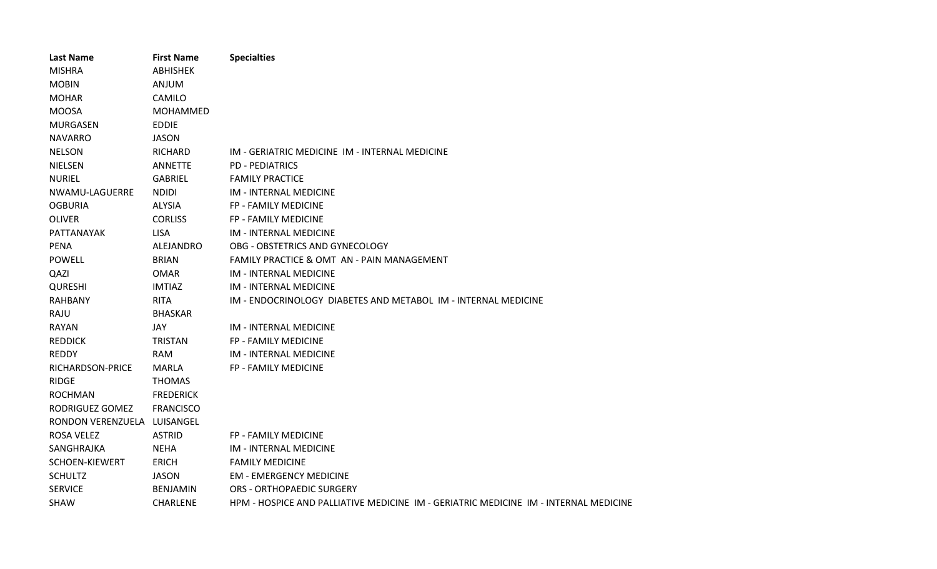| <b>Last Name</b>  | <b>First Name</b> | <b>Specialties</b>                                                                   |
|-------------------|-------------------|--------------------------------------------------------------------------------------|
| <b>MISHRA</b>     | <b>ABHISHEK</b>   |                                                                                      |
| <b>MOBIN</b>      | <b>ANJUM</b>      |                                                                                      |
| <b>MOHAR</b>      | CAMILO            |                                                                                      |
| <b>MOOSA</b>      | <b>MOHAMMED</b>   |                                                                                      |
| <b>MURGASEN</b>   | <b>EDDIE</b>      |                                                                                      |
| <b>NAVARRO</b>    | <b>JASON</b>      |                                                                                      |
| <b>NELSON</b>     | <b>RICHARD</b>    | IM - GERIATRIC MEDICINE IM - INTERNAL MEDICINE                                       |
| <b>NIELSEN</b>    | <b>ANNETTE</b>    | <b>PD - PEDIATRICS</b>                                                               |
| <b>NURIEL</b>     | <b>GABRIEL</b>    | <b>FAMILY PRACTICE</b>                                                               |
| NWAMU-LAGUERRE    | <b>NDIDI</b>      | <b>IM - INTERNAL MEDICINE</b>                                                        |
| <b>OGBURIA</b>    | <b>ALYSIA</b>     | FP - FAMILY MEDICINE                                                                 |
| <b>OLIVER</b>     | <b>CORLISS</b>    | <b>FP - FAMILY MEDICINE</b>                                                          |
| PATTANAYAK        | <b>LISA</b>       | <b>IM - INTERNAL MEDICINE</b>                                                        |
| <b>PENA</b>       | ALEJANDRO         | OBG - OBSTETRICS AND GYNECOLOGY                                                      |
| <b>POWELL</b>     | <b>BRIAN</b>      | FAMILY PRACTICE & OMT AN - PAIN MANAGEMENT                                           |
| QAZI              | <b>OMAR</b>       | <b>IM - INTERNAL MEDICINE</b>                                                        |
| <b>QURESHI</b>    | <b>IMTIAZ</b>     | <b>IM - INTERNAL MEDICINE</b>                                                        |
| <b>RAHBANY</b>    | <b>RITA</b>       | IM - ENDOCRINOLOGY DIABETES AND METABOL IM - INTERNAL MEDICINE                       |
| RAJU              | <b>BHASKAR</b>    |                                                                                      |
| <b>RAYAN</b>      | JAY               | IM - INTERNAL MEDICINE                                                               |
| <b>REDDICK</b>    | <b>TRISTAN</b>    | FP - FAMILY MEDICINE                                                                 |
| <b>REDDY</b>      | <b>RAM</b>        | <b>IM - INTERNAL MEDICINE</b>                                                        |
| RICHARDSON-PRICE  | MARLA             | FP - FAMILY MEDICINE                                                                 |
| <b>RIDGE</b>      | <b>THOMAS</b>     |                                                                                      |
| <b>ROCHMAN</b>    | <b>FREDERICK</b>  |                                                                                      |
| RODRIGUEZ GOMEZ   | <b>FRANCISCO</b>  |                                                                                      |
| RONDON VERENZUELA | LUISANGEL         |                                                                                      |
| <b>ROSA VELEZ</b> | <b>ASTRID</b>     | FP - FAMILY MEDICINE                                                                 |
| SANGHRAJKA        | <b>NEHA</b>       | <b>IM - INTERNAL MEDICINE</b>                                                        |
| SCHOEN-KIEWERT    | <b>ERICH</b>      | <b>FAMILY MEDICINE</b>                                                               |
| <b>SCHULTZ</b>    | <b>JASON</b>      | <b>EM - EMERGENCY MEDICINE</b>                                                       |
| <b>SERVICE</b>    | <b>BENJAMIN</b>   | <b>ORS - ORTHOPAEDIC SURGERY</b>                                                     |
| <b>SHAW</b>       | <b>CHARLENE</b>   | HPM - HOSPICE AND PALLIATIVE MEDICINE IM - GERIATRIC MEDICINE IM - INTERNAL MEDICINE |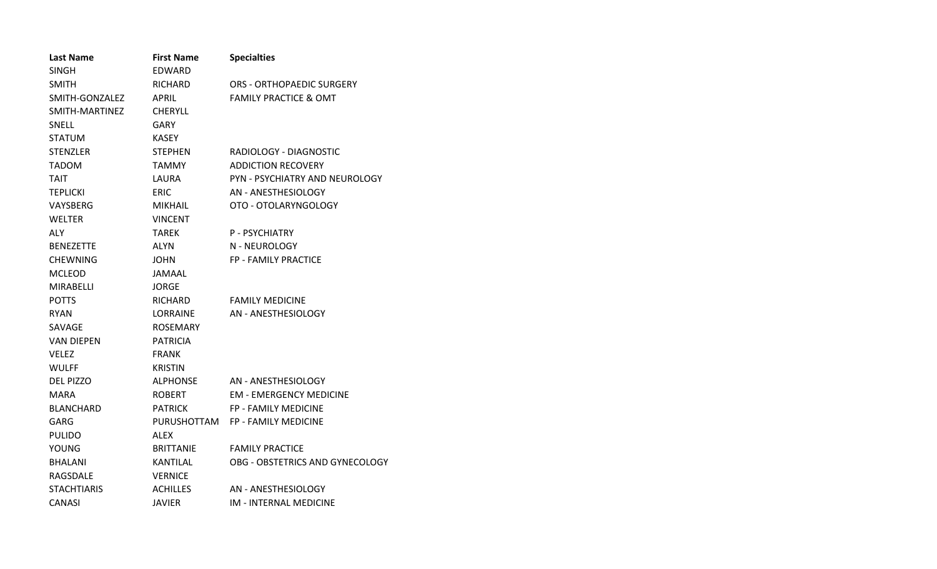| <b>Last Name</b>   | <b>First Name</b> | <b>Specialties</b>               |
|--------------------|-------------------|----------------------------------|
| SINGH              | EDWARD            |                                  |
| <b>SMITH</b>       | RICHARD           | ORS - ORTHOPAEDIC SURGERY        |
| SMITH-GONZALEZ     | APRIL             | <b>FAMILY PRACTICE &amp; OMT</b> |
| SMITH-MARTINEZ     | <b>CHERYLL</b>    |                                  |
| <b>SNELL</b>       | GARY              |                                  |
| <b>STATUM</b>      | <b>KASEY</b>      |                                  |
| <b>STENZLER</b>    | <b>STEPHEN</b>    | RADIOLOGY - DIAGNOSTIC           |
| <b>TADOM</b>       | <b>TAMMY</b>      | <b>ADDICTION RECOVERY</b>        |
| <b>TAIT</b>        | LAURA             | PYN - PSYCHIATRY AND NEUROLOGY   |
| <b>TEPLICKI</b>    | <b>ERIC</b>       | AN - ANESTHESIOLOGY              |
| VAYSBERG           | MIKHAIL           | OTO - OTOLARYNGOLOGY             |
| WELTER             | <b>VINCENT</b>    |                                  |
| <b>ALY</b>         | TAREK             | P - PSYCHIATRY                   |
| <b>BENEZETTE</b>   | <b>ALYN</b>       | N - NEUROLOGY                    |
| <b>CHEWNING</b>    | <b>JOHN</b>       | <b>FP - FAMILY PRACTICE</b>      |
| <b>MCLEOD</b>      | JAMAAL            |                                  |
| <b>MIRABELLI</b>   | <b>JORGE</b>      |                                  |
| <b>POTTS</b>       | RICHARD           | <b>FAMILY MEDICINE</b>           |
| <b>RYAN</b>        | LORRAINE          | AN - ANESTHESIOLOGY              |
| SAVAGE             | <b>ROSEMARY</b>   |                                  |
| VAN DIEPEN         | PATRICIA          |                                  |
| <b>VELEZ</b>       | <b>FRANK</b>      |                                  |
| <b>WULFF</b>       | <b>KRISTIN</b>    |                                  |
| <b>DEL PIZZO</b>   | <b>ALPHONSE</b>   | AN - ANESTHESIOLOGY              |
| <b>MARA</b>        | <b>ROBERT</b>     | <b>EM - EMERGENCY MEDICINE</b>   |
| <b>BLANCHARD</b>   | <b>PATRICK</b>    | <b>FP - FAMILY MEDICINE</b>      |
| GARG               | PURUSHOTTAM       | <b>FP - FAMILY MEDICINE</b>      |
| <b>PULIDO</b>      | ALEX              |                                  |
| YOUNG              | <b>BRITTANIE</b>  | <b>FAMILY PRACTICE</b>           |
| <b>BHALANI</b>     | KANTILAL          | OBG - OBSTETRICS AND GYNECOLOGY  |
| RAGSDALE           | <b>VERNICE</b>    |                                  |
| <b>STACHTIARIS</b> | <b>ACHILLES</b>   | AN - ANESTHESIOLOGY              |
| CANASI             | JAVIER            | <b>IM - INTERNAL MEDICINE</b>    |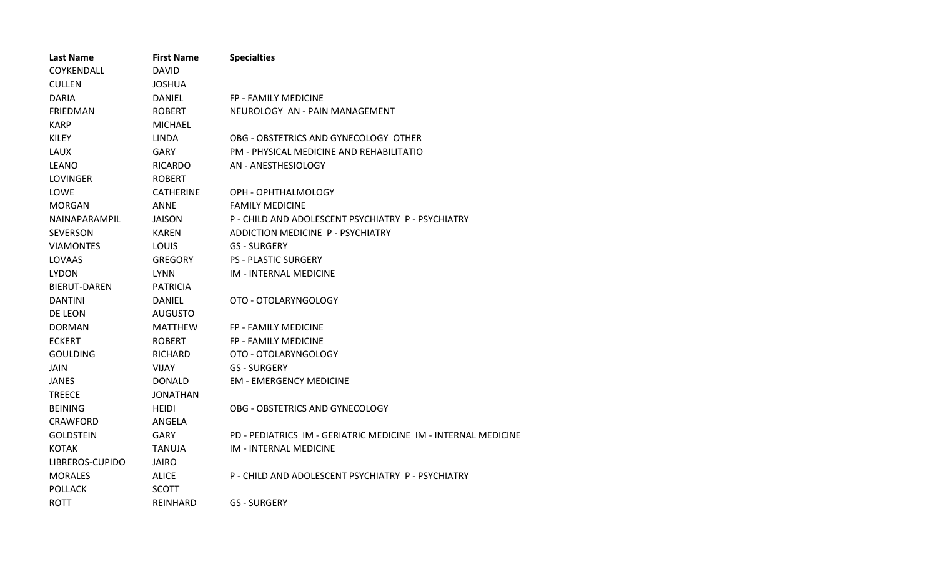| <b>Last Name</b>    | <b>First Name</b> | <b>Specialties</b>                                             |
|---------------------|-------------------|----------------------------------------------------------------|
| COYKENDALL          | <b>DAVID</b>      |                                                                |
| <b>CULLEN</b>       | <b>JOSHUA</b>     |                                                                |
| <b>DARIA</b>        | <b>DANIEL</b>     | FP - FAMILY MEDICINE                                           |
| <b>FRIEDMAN</b>     | <b>ROBERT</b>     | NEUROLOGY AN - PAIN MANAGEMENT                                 |
| <b>KARP</b>         | <b>MICHAEL</b>    |                                                                |
| <b>KILEY</b>        | <b>LINDA</b>      | OBG - OBSTETRICS AND GYNECOLOGY OTHER                          |
| <b>LAUX</b>         | <b>GARY</b>       | PM - PHYSICAL MEDICINE AND REHABILITATIO                       |
| <b>LEANO</b>        | <b>RICARDO</b>    | AN - ANESTHESIOLOGY                                            |
| LOVINGER            | <b>ROBERT</b>     |                                                                |
| LOWE                | <b>CATHERINE</b>  | OPH - OPHTHALMOLOGY                                            |
| <b>MORGAN</b>       | <b>ANNE</b>       | <b>FAMILY MEDICINE</b>                                         |
| NAINAPARAMPIL       | <b>JAISON</b>     | P - CHILD AND ADOLESCENT PSYCHIATRY P - PSYCHIATRY             |
| <b>SEVERSON</b>     | <b>KAREN</b>      | ADDICTION MEDICINE P - PSYCHIATRY                              |
| <b>VIAMONTES</b>    | LOUIS             | <b>GS - SURGERY</b>                                            |
| LOVAAS              | <b>GREGORY</b>    | <b>PS - PLASTIC SURGERY</b>                                    |
| <b>LYDON</b>        | LYNN              | <b>IM - INTERNAL MEDICINE</b>                                  |
| <b>BIERUT-DAREN</b> | <b>PATRICIA</b>   |                                                                |
| <b>DANTINI</b>      | <b>DANIEL</b>     | OTO - OTOLARYNGOLOGY                                           |
| DE LEON             | <b>AUGUSTO</b>    |                                                                |
| <b>DORMAN</b>       | <b>MATTHEW</b>    | FP - FAMILY MEDICINE                                           |
| <b>ECKERT</b>       | <b>ROBERT</b>     | FP - FAMILY MEDICINE                                           |
| <b>GOULDING</b>     | RICHARD           | OTO - OTOLARYNGOLOGY                                           |
| <b>JAIN</b>         | <b>VIJAY</b>      | <b>GS - SURGERY</b>                                            |
| <b>JANES</b>        | <b>DONALD</b>     | <b>EM - EMERGENCY MEDICINE</b>                                 |
| <b>TREECE</b>       | JONATHAN          |                                                                |
| <b>BEINING</b>      | <b>HEIDI</b>      | OBG - OBSTETRICS AND GYNECOLOGY                                |
| <b>CRAWFORD</b>     | ANGELA            |                                                                |
| <b>GOLDSTEIN</b>    | GARY              | PD - PEDIATRICS IM - GERIATRIC MEDICINE IM - INTERNAL MEDICINE |
| <b>KOTAK</b>        | TANUJA            | IM - INTERNAL MEDICINE                                         |
| LIBREROS-CUPIDO     | JAIRO             |                                                                |
| <b>MORALES</b>      | <b>ALICE</b>      | P - CHILD AND ADOLESCENT PSYCHIATRY P - PSYCHIATRY             |
| <b>POLLACK</b>      | <b>SCOTT</b>      |                                                                |
| <b>ROTT</b>         | <b>REINHARD</b>   | <b>GS - SURGERY</b>                                            |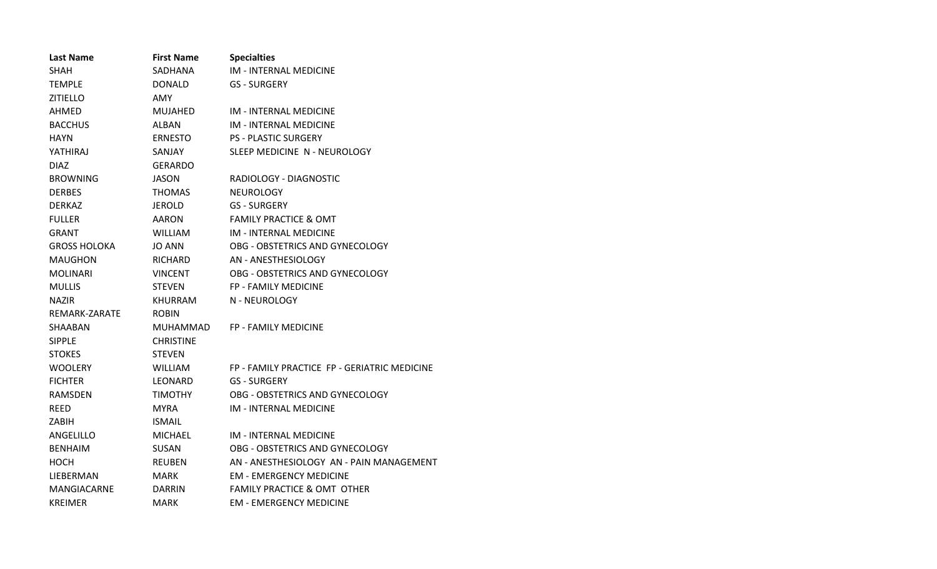| <b>Last Name</b>    | <b>First Name</b> | <b>Specialties</b>                           |
|---------------------|-------------------|----------------------------------------------|
| <b>SHAH</b>         | SADHANA           | IM - INTERNAL MEDICINE                       |
| TEMPLE              | DONALD            | GS - SURGERY                                 |
| <b>ZITIELLO</b>     | <b>AMY</b>        |                                              |
| AHMED               | <b>MUJAHED</b>    | IM - INTERNAL MEDICINE                       |
| <b>BACCHUS</b>      | ALBAN             | <b>IM - INTERNAL MEDICINE</b>                |
| <b>HAYN</b>         | <b>ERNESTO</b>    | <b>PS - PLASTIC SURGERY</b>                  |
| YATHIRAJ            | SANJAY            | SLEEP MEDICINE N - NEUROLOGY                 |
| DIAZ.               | GERARDO           |                                              |
| <b>BROWNING</b>     | JASON             | RADIOLOGY - DIAGNOSTIC                       |
| <b>DERBES</b>       | <b>THOMAS</b>     | <b>NEUROLOGY</b>                             |
| DERKAZ              | JEROLD            | <b>GS - SURGERY</b>                          |
| <b>FULLER</b>       | AARON             | <b>FAMILY PRACTICE &amp; OMT</b>             |
| GRANT               | <b>WILLIAM</b>    | <b>IM - INTERNAL MEDICINE</b>                |
| <b>GROSS HOLOKA</b> | <b>JO ANN</b>     | OBG - OBSTETRICS AND GYNECOLOGY              |
| <b>MAUGHON</b>      | <b>RICHARD</b>    | AN - ANESTHESIOLOGY                          |
| <b>MOLINARI</b>     | <b>VINCENT</b>    | OBG - OBSTETRICS AND GYNECOLOGY              |
| <b>MULLIS</b>       | <b>STEVEN</b>     | <b>FP - FAMILY MEDICINE</b>                  |
| <b>NAZIR</b>        | <b>KHURRAM</b>    | N - NEUROLOGY                                |
| REMARK-ZARATE       | <b>ROBIN</b>      |                                              |
| SHAABAN             | MUHAMMAD          | FP - FAMILY MEDICINE                         |
| <b>SIPPLE</b>       | <b>CHRISTINE</b>  |                                              |
| <b>STOKES</b>       | <b>STEVEN</b>     |                                              |
| WOOLERY             | <b>WILLIAM</b>    | FP - FAMILY PRACTICE FP - GERIATRIC MEDICINE |
| <b>FICHTER</b>      | LEONARD           | <b>GS - SURGERY</b>                          |
| RAMSDEN             | <b>TIMOTHY</b>    | OBG - OBSTETRICS AND GYNECOLOGY              |
| REED                | <b>MYRA</b>       | IM - INTERNAL MEDICINE                       |
| ZABIH               | <b>ISMAIL</b>     |                                              |
| ANGELILLO           | <b>MICHAEL</b>    | <b>IM - INTERNAL MEDICINE</b>                |
| <b>BENHAIM</b>      | SUSAN             | OBG - OBSTETRICS AND GYNECOLOGY              |
| носн                | <b>REUBEN</b>     | AN - ANESTHESIOLOGY AN - PAIN MANAGEMENT     |
| LIEBERMAN           | <b>MARK</b>       | <b>EM - EMERGENCY MEDICINE</b>               |
| <b>MANGIACARNE</b>  | <b>DARRIN</b>     | <b>FAMILY PRACTICE &amp; OMT OTHER</b>       |
| KREIMER             | MARK              | <b>EM - EMERGENCY MEDICINE</b>               |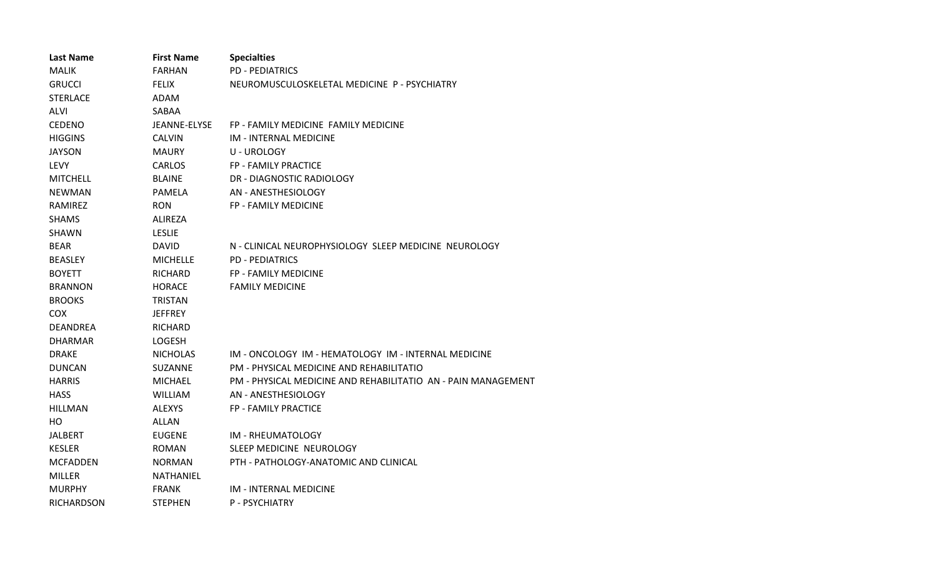| <b>Last Name</b>  | <b>First Name</b> | <b>Specialties</b>                                            |
|-------------------|-------------------|---------------------------------------------------------------|
| <b>MALIK</b>      | FARHAN            | <b>PD - PEDIATRICS</b>                                        |
| <b>GRUCCI</b>     | <b>FELIX</b>      | NEUROMUSCULOSKELETAL MEDICINE P - PSYCHIATRY                  |
| <b>STERLACE</b>   | ADAM              |                                                               |
| <b>ALVI</b>       | SABAA             |                                                               |
| <b>CEDENO</b>     | JEANNE-ELYSE      | FP - FAMILY MEDICINE FAMILY MEDICINE                          |
| <b>HIGGINS</b>    | <b>CALVIN</b>     | IM - INTERNAL MEDICINE                                        |
| <b>JAYSON</b>     | <b>MAURY</b>      | U - UROLOGY                                                   |
| <b>LEVY</b>       | <b>CARLOS</b>     | FP - FAMILY PRACTICE                                          |
| <b>MITCHELL</b>   | <b>BLAINE</b>     | DR - DIAGNOSTIC RADIOLOGY                                     |
| <b>NEWMAN</b>     | PAMELA            | AN - ANESTHESIOLOGY                                           |
| RAMIREZ           | <b>RON</b>        | <b>FP - FAMILY MEDICINE</b>                                   |
| <b>SHAMS</b>      | <b>ALIREZA</b>    |                                                               |
| <b>SHAWN</b>      | <b>LESLIE</b>     |                                                               |
| <b>BEAR</b>       | <b>DAVID</b>      | N - CLINICAL NEUROPHYSIOLOGY SLEEP MEDICINE NEUROLOGY         |
| <b>BEASLEY</b>    | <b>MICHELLE</b>   | <b>PD - PEDIATRICS</b>                                        |
| <b>BOYETT</b>     | RICHARD           | <b>FP - FAMILY MEDICINE</b>                                   |
| <b>BRANNON</b>    | <b>HORACE</b>     | <b>FAMILY MEDICINE</b>                                        |
| <b>BROOKS</b>     | <b>TRISTAN</b>    |                                                               |
| <b>COX</b>        | <b>JEFFREY</b>    |                                                               |
| <b>DEANDREA</b>   | <b>RICHARD</b>    |                                                               |
| <b>DHARMAR</b>    | <b>LOGESH</b>     |                                                               |
| <b>DRAKE</b>      | <b>NICHOLAS</b>   | IM - ONCOLOGY IM - HEMATOLOGY IM - INTERNAL MEDICINE          |
| <b>DUNCAN</b>     | SUZANNE           | PM - PHYSICAL MEDICINE AND REHABILITATIO                      |
| <b>HARRIS</b>     | MICHAEL           | PM - PHYSICAL MEDICINE AND REHABILITATIO AN - PAIN MANAGEMENT |
| <b>HASS</b>       | <b>WILLIAM</b>    | AN - ANESTHESIOLOGY                                           |
| <b>HILLMAN</b>    | <b>ALEXYS</b>     | FP - FAMILY PRACTICE                                          |
| HO.               | <b>ALLAN</b>      |                                                               |
| <b>JALBERT</b>    | <b>EUGENE</b>     | IM - RHEUMATOLOGY                                             |
| <b>KESLER</b>     | <b>ROMAN</b>      | SLEEP MEDICINE NEUROLOGY                                      |
| <b>MCFADDEN</b>   | <b>NORMAN</b>     | PTH - PATHOLOGY-ANATOMIC AND CLINICAL                         |
| <b>MILLER</b>     | NATHANIEL         |                                                               |
| <b>MURPHY</b>     | <b>FRANK</b>      | IM - INTERNAL MEDICINE                                        |
| <b>RICHARDSON</b> | <b>STEPHEN</b>    | <b>P - PSYCHIATRY</b>                                         |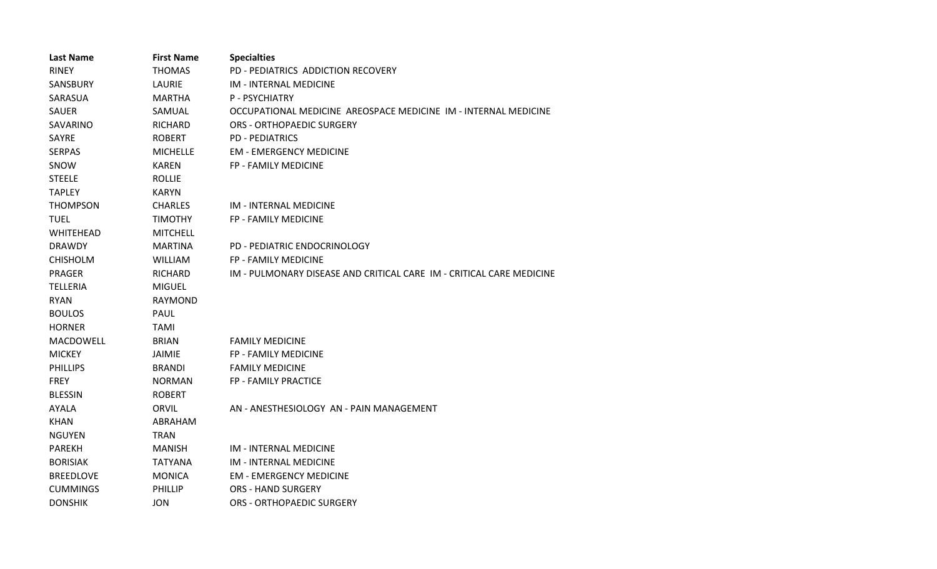| <b>Last Name</b> | <b>First Name</b> | <b>Specialties</b>                                                   |
|------------------|-------------------|----------------------------------------------------------------------|
| <b>RINEY</b>     | THOMAS            | PD - PEDIATRICS ADDICTION RECOVERY                                   |
| <b>SANSBURY</b>  | LAURIE            | <b>IM - INTERNAL MEDICINE</b>                                        |
| SARASUA          | <b>MARTHA</b>     | <b>P-PSYCHIATRY</b>                                                  |
| <b>SAUER</b>     | SAMUAL            | OCCUPATIONAL MEDICINE AREOSPACE MEDICINE IM - INTERNAL MEDICINE      |
| SAVARINO         | <b>RICHARD</b>    | <b>ORS - ORTHOPAEDIC SURGERY</b>                                     |
| <b>SAYRE</b>     | <b>ROBERT</b>     | <b>PD - PEDIATRICS</b>                                               |
| <b>SERPAS</b>    | <b>MICHELLE</b>   | <b>EM - EMERGENCY MEDICINE</b>                                       |
| SNOW             | <b>KAREN</b>      | FP - FAMILY MEDICINE                                                 |
| <b>STEELE</b>    | <b>ROLLIE</b>     |                                                                      |
| <b>TAPLEY</b>    | <b>KARYN</b>      |                                                                      |
| <b>THOMPSON</b>  | <b>CHARLES</b>    | <b>IM - INTERNAL MEDICINE</b>                                        |
| <b>TUEL</b>      | <b>TIMOTHY</b>    | FP - FAMILY MEDICINE                                                 |
| <b>WHITEHEAD</b> | <b>MITCHELL</b>   |                                                                      |
| <b>DRAWDY</b>    | <b>MARTINA</b>    | PD - PEDIATRIC ENDOCRINOLOGY                                         |
| <b>CHISHOLM</b>  | <b>WILLIAM</b>    | FP - FAMILY MEDICINE                                                 |
| <b>PRAGER</b>    | <b>RICHARD</b>    | IM - PULMONARY DISEASE AND CRITICAL CARE IM - CRITICAL CARE MEDICINE |
| <b>TELLERIA</b>  | <b>MIGUEL</b>     |                                                                      |
| <b>RYAN</b>      | <b>RAYMOND</b>    |                                                                      |
| <b>BOULOS</b>    | PAUL              |                                                                      |
| <b>HORNER</b>    | <b>TAMI</b>       |                                                                      |
| MACDOWELL        | <b>BRIAN</b>      | <b>FAMILY MEDICINE</b>                                               |
| <b>MICKEY</b>    | <b>JAIMIE</b>     | <b>FP - FAMILY MEDICINE</b>                                          |
| <b>PHILLIPS</b>  | <b>BRANDI</b>     | <b>FAMILY MEDICINE</b>                                               |
| <b>FREY</b>      | <b>NORMAN</b>     | FP - FAMILY PRACTICE                                                 |
| <b>BLESSIN</b>   | <b>ROBERT</b>     |                                                                      |
| <b>AYALA</b>     | ORVIL             | AN - ANESTHESIOLOGY AN - PAIN MANAGEMENT                             |
| KHAN             | ABRAHAM           |                                                                      |
| <b>NGUYEN</b>    | <b>TRAN</b>       |                                                                      |
| <b>PAREKH</b>    | <b>MANISH</b>     | <b>IM - INTERNAL MEDICINE</b>                                        |
| <b>BORISIAK</b>  | TATYANA           | <b>IM - INTERNAL MEDICINE</b>                                        |
| <b>BREEDLOVE</b> | <b>MONICA</b>     | <b>EM - EMERGENCY MEDICINE</b>                                       |
| <b>CUMMINGS</b>  | PHILLIP           | <b>ORS - HAND SURGERY</b>                                            |
| <b>DONSHIK</b>   | <b>JON</b>        | <b>ORS - ORTHOPAEDIC SURGERY</b>                                     |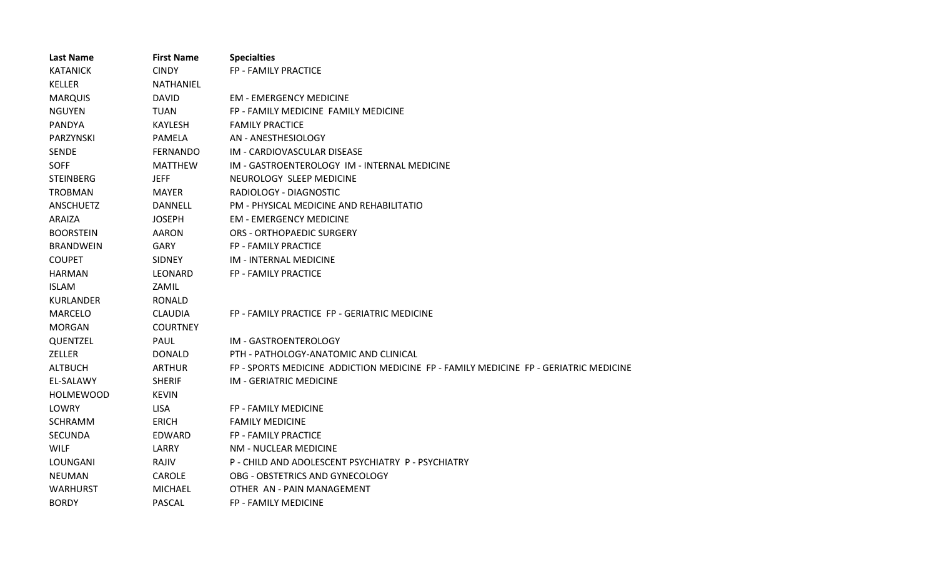| <b>Last Name</b> | <b>First Name</b> | <b>Specialties</b>                                                                   |
|------------------|-------------------|--------------------------------------------------------------------------------------|
| <b>KATANICK</b>  | <b>CINDY</b>      | FP - FAMILY PRACTICE                                                                 |
| <b>KELLER</b>    | <b>NATHANIEL</b>  |                                                                                      |
| <b>MARQUIS</b>   | <b>DAVID</b>      | <b>EM - EMERGENCY MEDICINE</b>                                                       |
| <b>NGUYEN</b>    | TUAN              | FP - FAMILY MEDICINE FAMILY MEDICINE                                                 |
| PANDYA           | <b>KAYLESH</b>    | <b>FAMILY PRACTICE</b>                                                               |
| PARZYNSKI        | <b>PAMELA</b>     | AN - ANESTHESIOLOGY                                                                  |
| <b>SENDE</b>     | FERNANDO          | IM - CARDIOVASCULAR DISEASE                                                          |
| <b>SOFF</b>      | <b>MATTHEW</b>    | IM - GASTROENTEROLOGY IM - INTERNAL MEDICINE                                         |
| <b>STEINBERG</b> | <b>JEFF</b>       | NEUROLOGY SLEEP MEDICINE                                                             |
| <b>TROBMAN</b>   | <b>MAYER</b>      | RADIOLOGY - DIAGNOSTIC                                                               |
| <b>ANSCHUETZ</b> | DANNELL           | PM - PHYSICAL MEDICINE AND REHABILITATIO                                             |
| ARAIZA           | <b>JOSEPH</b>     | <b>EM - EMERGENCY MEDICINE</b>                                                       |
| <b>BOORSTEIN</b> | AARON             | <b>ORS - ORTHOPAEDIC SURGERY</b>                                                     |
| <b>BRANDWEIN</b> | <b>GARY</b>       | FP - FAMILY PRACTICE                                                                 |
| <b>COUPET</b>    | <b>SIDNEY</b>     | IM - INTERNAL MEDICINE                                                               |
| <b>HARMAN</b>    | LEONARD           | FP - FAMILY PRACTICE                                                                 |
| <b>ISLAM</b>     | ZAMIL             |                                                                                      |
| <b>KURLANDER</b> | RONALD            |                                                                                      |
| <b>MARCELO</b>   | <b>CLAUDIA</b>    | FP - FAMILY PRACTICE FP - GERIATRIC MEDICINE                                         |
| <b>MORGAN</b>    | <b>COURTNEY</b>   |                                                                                      |
| QUENTZEL         | PAUL              | IM - GASTROENTEROLOGY                                                                |
| ZELLER           | <b>DONALD</b>     | PTH - PATHOLOGY-ANATOMIC AND CLINICAL                                                |
| <b>ALTBUCH</b>   | <b>ARTHUR</b>     | FP - SPORTS MEDICINE ADDICTION MEDICINE FP - FAMILY MEDICINE FP - GERIATRIC MEDICINE |
| EL-SALAWY        | <b>SHERIF</b>     | <b>IM - GERIATRIC MEDICINE</b>                                                       |
| <b>HOLMEWOOD</b> | <b>KEVIN</b>      |                                                                                      |
| LOWRY            | <b>LISA</b>       | FP - FAMILY MEDICINE                                                                 |
| <b>SCHRAMM</b>   | <b>ERICH</b>      | <b>FAMILY MEDICINE</b>                                                               |
| <b>SECUNDA</b>   | EDWARD            | FP - FAMILY PRACTICE                                                                 |
| <b>WILF</b>      | LARRY             | NM - NUCLEAR MEDICINE                                                                |
| LOUNGANI         | RAJIV             | P - CHILD AND ADOLESCENT PSYCHIATRY P - PSYCHIATRY                                   |
| <b>NEUMAN</b>    | <b>CAROLE</b>     | OBG - OBSTETRICS AND GYNECOLOGY                                                      |
| <b>WARHURST</b>  | <b>MICHAEL</b>    | OTHER AN - PAIN MANAGEMENT                                                           |
| <b>BORDY</b>     | <b>PASCAL</b>     | <b>FP - FAMILY MEDICINE</b>                                                          |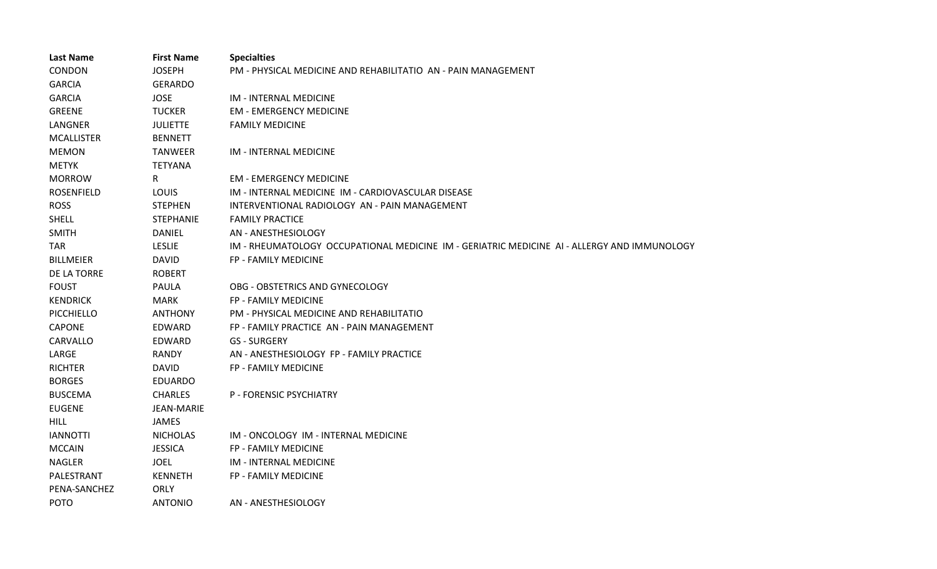| <b>Last Name</b>  | <b>First Name</b> | <b>Specialties</b>                                                                          |
|-------------------|-------------------|---------------------------------------------------------------------------------------------|
| <b>CONDON</b>     | <b>JOSEPH</b>     | PM - PHYSICAL MEDICINE AND REHABILITATIO AN - PAIN MANAGEMENT                               |
| <b>GARCIA</b>     | <b>GERARDO</b>    |                                                                                             |
| <b>GARCIA</b>     | <b>JOSE</b>       | <b>IM - INTERNAL MEDICINE</b>                                                               |
| <b>GREENE</b>     | <b>TUCKER</b>     | <b>EM - EMERGENCY MEDICINE</b>                                                              |
| LANGNER           | <b>JULIETTE</b>   | <b>FAMILY MEDICINE</b>                                                                      |
| <b>MCALLISTER</b> | <b>BENNETT</b>    |                                                                                             |
| <b>MEMON</b>      | <b>TANWEER</b>    | IM - INTERNAL MEDICINE                                                                      |
| <b>METYK</b>      | <b>TETYANA</b>    |                                                                                             |
| <b>MORROW</b>     | R.                | <b>EM - EMERGENCY MEDICINE</b>                                                              |
| <b>ROSENFIELD</b> | LOUIS             | IM - INTERNAL MEDICINE IM - CARDIOVASCULAR DISEASE                                          |
| <b>ROSS</b>       | <b>STEPHEN</b>    | INTERVENTIONAL RADIOLOGY AN - PAIN MANAGEMENT                                               |
| <b>SHELL</b>      | <b>STEPHANIE</b>  | <b>FAMILY PRACTICE</b>                                                                      |
| <b>SMITH</b>      | <b>DANIEL</b>     | AN - ANESTHESIOLOGY                                                                         |
| <b>TAR</b>        | <b>LESLIE</b>     | IM - RHEUMATOLOGY OCCUPATIONAL MEDICINE IM - GERIATRIC MEDICINE AI - ALLERGY AND IMMUNOLOGY |
| <b>BILLMEIER</b>  | <b>DAVID</b>      | FP - FAMILY MEDICINE                                                                        |
| DE LA TORRE       | <b>ROBERT</b>     |                                                                                             |
| <b>FOUST</b>      | <b>PAULA</b>      | OBG - OBSTETRICS AND GYNECOLOGY                                                             |
| <b>KENDRICK</b>   | <b>MARK</b>       | FP - FAMILY MEDICINE                                                                        |
| PICCHIELLO        | <b>ANTHONY</b>    | PM - PHYSICAL MEDICINE AND REHABILITATIO                                                    |
| <b>CAPONE</b>     | EDWARD            | FP - FAMILY PRACTICE AN - PAIN MANAGEMENT                                                   |
| CARVALLO          | EDWARD            | <b>GS - SURGERY</b>                                                                         |
| LARGE             | RANDY             | AN - ANESTHESIOLOGY FP - FAMILY PRACTICE                                                    |
| <b>RICHTER</b>    | <b>DAVID</b>      | FP - FAMILY MEDICINE                                                                        |
| <b>BORGES</b>     | <b>EDUARDO</b>    |                                                                                             |
| <b>BUSCEMA</b>    | <b>CHARLES</b>    | <b>P - FORENSIC PSYCHIATRY</b>                                                              |
| <b>EUGENE</b>     | <b>JEAN-MARIE</b> |                                                                                             |
| <b>HILL</b>       | JAMES             |                                                                                             |
| <b>IANNOTTI</b>   | <b>NICHOLAS</b>   | IM - ONCOLOGY IM - INTERNAL MEDICINE                                                        |
| <b>MCCAIN</b>     | <b>JESSICA</b>    | FP - FAMILY MEDICINE                                                                        |
| <b>NAGLER</b>     | <b>JOEL</b>       | IM - INTERNAL MEDICINE                                                                      |
| PALESTRANT        | <b>KENNETH</b>    | FP - FAMILY MEDICINE                                                                        |
| PENA-SANCHEZ      | <b>ORLY</b>       |                                                                                             |
| <b>POTO</b>       | <b>ANTONIO</b>    | AN - ANESTHESIOLOGY                                                                         |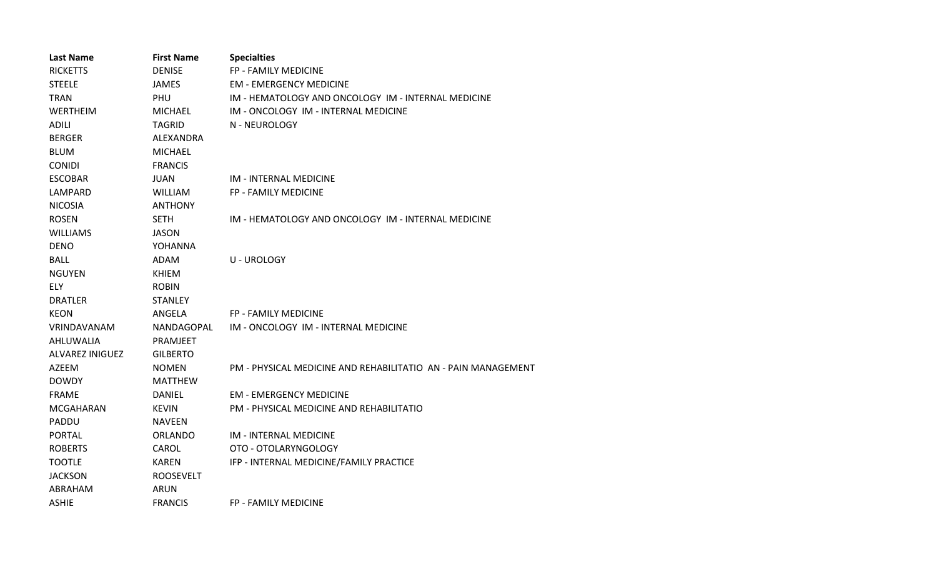| <b>Last Name</b>       | <b>First Name</b> | <b>Specialties</b>                                            |
|------------------------|-------------------|---------------------------------------------------------------|
| <b>RICKETTS</b>        | <b>DENISE</b>     | FP - FAMILY MEDICINE                                          |
| <b>STEELE</b>          | <b>JAMES</b>      | <b>EM - EMERGENCY MEDICINE</b>                                |
| <b>TRAN</b>            | PHU               | IM - HEMATOLOGY AND ONCOLOGY IM - INTERNAL MEDICINE           |
| WERTHEIM               | <b>MICHAEL</b>    | IM - ONCOLOGY IM - INTERNAL MEDICINE                          |
| <b>ADILI</b>           | TAGRID            | N - NEUROLOGY                                                 |
| <b>BERGER</b>          | ALEXANDRA         |                                                               |
| <b>BLUM</b>            | <b>MICHAEL</b>    |                                                               |
| <b>CONIDI</b>          | <b>FRANCIS</b>    |                                                               |
| <b>ESCOBAR</b>         | <b>JUAN</b>       | <b>IM - INTERNAL MEDICINE</b>                                 |
| LAMPARD                | <b>WILLIAM</b>    | FP - FAMILY MEDICINE                                          |
| <b>NICOSIA</b>         | <b>ANTHONY</b>    |                                                               |
| <b>ROSEN</b>           | <b>SETH</b>       | IM - HEMATOLOGY AND ONCOLOGY IM - INTERNAL MEDICINE           |
| <b>WILLIAMS</b>        | <b>JASON</b>      |                                                               |
| <b>DENO</b>            | YOHANNA           |                                                               |
| <b>BALL</b>            | ADAM              | U - UROLOGY                                                   |
| <b>NGUYEN</b>          | <b>KHIEM</b>      |                                                               |
| <b>ELY</b>             | <b>ROBIN</b>      |                                                               |
| <b>DRATLER</b>         | <b>STANLEY</b>    |                                                               |
| <b>KEON</b>            | ANGELA            | <b>FP - FAMILY MEDICINE</b>                                   |
| <b>VRINDAVANAM</b>     | NANDAGOPAL        | IM - ONCOLOGY IM - INTERNAL MEDICINE                          |
| AHLUWALIA              | <b>PRAMJEET</b>   |                                                               |
| <b>ALVAREZ INIGUEZ</b> | <b>GILBERTO</b>   |                                                               |
| AZEEM                  | <b>NOMEN</b>      | PM - PHYSICAL MEDICINE AND REHABILITATIO AN - PAIN MANAGEMENT |
| <b>DOWDY</b>           | MATTHEW           |                                                               |
| <b>FRAME</b>           | <b>DANIEL</b>     | <b>EM - EMERGENCY MEDICINE</b>                                |
| MCGAHARAN              | <b>KEVIN</b>      | PM - PHYSICAL MEDICINE AND REHABILITATIO                      |
| PADDU                  | <b>NAVEEN</b>     |                                                               |
| <b>PORTAL</b>          | <b>ORLANDO</b>    | <b>IM - INTERNAL MEDICINE</b>                                 |
| <b>ROBERTS</b>         | CAROL             | OTO - OTOLARYNGOLOGY                                          |
| <b>TOOTLE</b>          | <b>KAREN</b>      | IFP - INTERNAL MEDICINE/FAMILY PRACTICE                       |
| <b>JACKSON</b>         | <b>ROOSEVELT</b>  |                                                               |
| ABRAHAM                | <b>ARUN</b>       |                                                               |
| <b>ASHIE</b>           | <b>FRANCIS</b>    | FP - FAMILY MEDICINE                                          |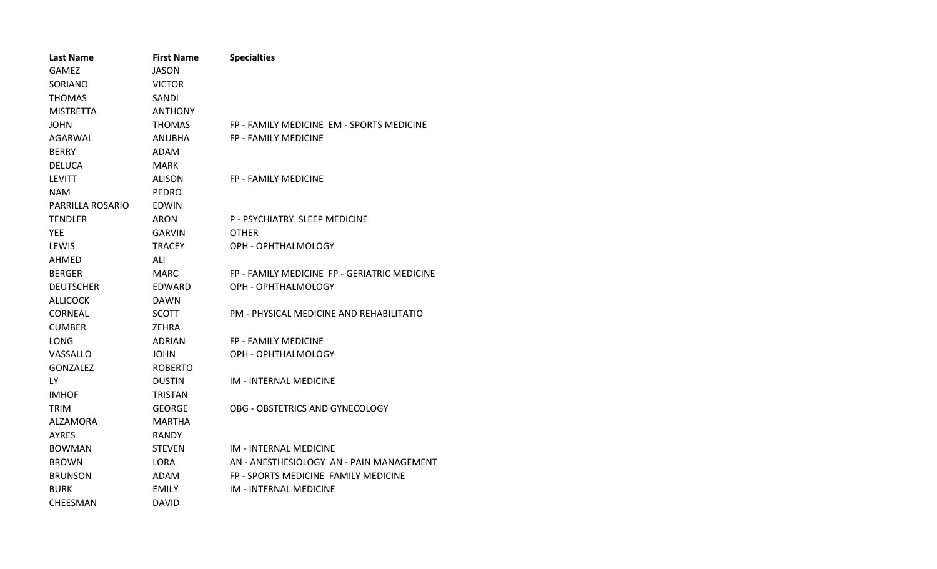| <b>Last Name</b> | <b>First Name</b> | <b>Specialties</b>                           |
|------------------|-------------------|----------------------------------------------|
| <b>GAMEZ</b>     | <b>JASON</b>      |                                              |
| SORIANO          | <b>VICTOR</b>     |                                              |
| <b>THOMAS</b>    | SANDI             |                                              |
| <b>MISTRETTA</b> | <b>ANTHONY</b>    |                                              |
| <b>JOHN</b>      | <b>THOMAS</b>     | FP - FAMILY MEDICINE EM - SPORTS MEDICINE    |
| AGARWAL          | <b>ANUBHA</b>     | FP - FAMILY MEDICINE                         |
| <b>BERRY</b>     | ADAM              |                                              |
| <b>DELUCA</b>    | <b>MARK</b>       |                                              |
| <b>LEVITT</b>    | ALISON            | <b>FP - FAMILY MEDICINE</b>                  |
| <b>NAM</b>       | <b>PEDRO</b>      |                                              |
| PARRILLA ROSARIO | EDWIN             |                                              |
| <b>TENDLER</b>   | ARON              | P - PSYCHIATRY SLEEP MEDICINE                |
| <b>YEE</b>       | <b>GARVIN</b>     | <b>OTHER</b>                                 |
| LEWIS            | <b>TRACEY</b>     | OPH - OPHTHALMOLOGY                          |
| AHMED            | ALI               |                                              |
| <b>BERGER</b>    | MARC              | FP - FAMILY MEDICINE FP - GERIATRIC MEDICINE |
| <b>DEUTSCHER</b> | EDWARD            | OPH - OPHTHALMOLOGY                          |
| <b>ALLICOCK</b>  | <b>DAWN</b>       |                                              |
| <b>CORNEAL</b>   | <b>SCOTT</b>      | PM - PHYSICAL MEDICINE AND REHABILITATIO     |
| <b>CUMBER</b>    | ZEHRA             |                                              |
| <b>LONG</b>      | <b>ADRIAN</b>     | <b>FP - FAMILY MEDICINE</b>                  |
| VASSALLO         | <b>JOHN</b>       | OPH - OPHTHALMOLOGY                          |
| <b>GONZALEZ</b>  | <b>ROBERTO</b>    |                                              |
| LY.              | <b>DUSTIN</b>     | <b>IM - INTERNAL MEDICINE</b>                |
| <b>IMHOF</b>     | <b>TRISTAN</b>    |                                              |
| <b>TRIM</b>      | <b>GEORGE</b>     | OBG - OBSTETRICS AND GYNECOLOGY              |
| ALZAMORA         | <b>MARTHA</b>     |                                              |
| <b>AYRES</b>     | <b>RANDY</b>      |                                              |
| <b>BOWMAN</b>    | <b>STEVEN</b>     | <b>IM - INTERNAL MEDICINE</b>                |
| <b>BROWN</b>     | LORA              | AN - ANESTHESIOLOGY AN - PAIN MANAGEMENT     |
| <b>BRUNSON</b>   | ADAM              | FP - SPORTS MEDICINE FAMILY MEDICINE         |
| <b>BURK</b>      | EMILY             | <b>IM - INTERNAL MEDICINE</b>                |
| <b>CHEESMAN</b>  | DAVID             |                                              |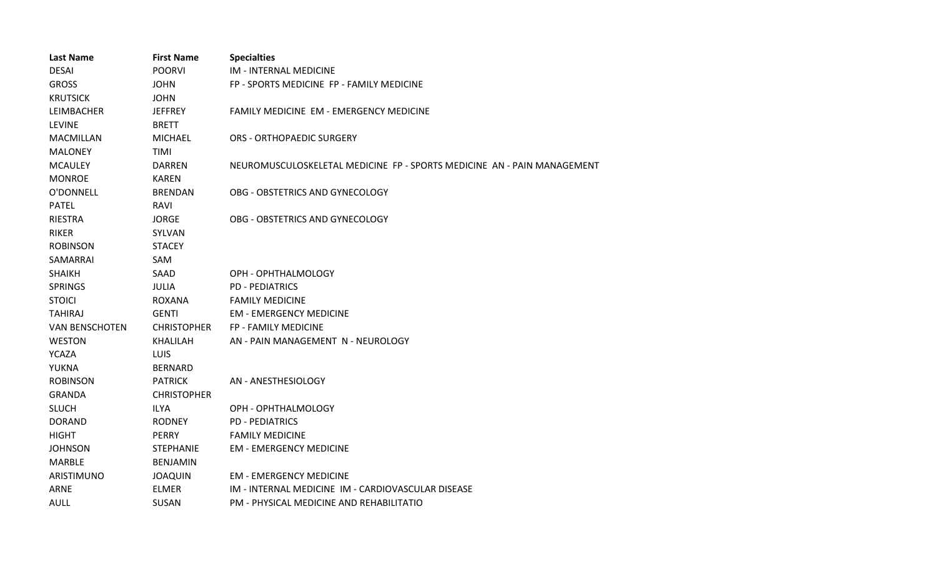| <b>Last Name</b>      | <b>First Name</b>  | <b>Specialties</b>                                                      |
|-----------------------|--------------------|-------------------------------------------------------------------------|
| <b>DESAI</b>          | <b>POORVI</b>      | <b>IM - INTERNAL MEDICINE</b>                                           |
| <b>GROSS</b>          | <b>JOHN</b>        | FP - SPORTS MEDICINE FP - FAMILY MEDICINE                               |
| <b>KRUTSICK</b>       | <b>JOHN</b>        |                                                                         |
| LEIMBACHER            | <b>JEFFREY</b>     | FAMILY MEDICINE EM - EMERGENCY MEDICINE                                 |
| <b>LEVINE</b>         | <b>BRETT</b>       |                                                                         |
| <b>MACMILLAN</b>      | <b>MICHAEL</b>     | <b>ORS - ORTHOPAEDIC SURGERY</b>                                        |
| <b>MALONEY</b>        | TIMI               |                                                                         |
| <b>MCAULEY</b>        | <b>DARREN</b>      | NEUROMUSCULOSKELETAL MEDICINE FP - SPORTS MEDICINE AN - PAIN MANAGEMENT |
| <b>MONROE</b>         | <b>KAREN</b>       |                                                                         |
| O'DONNELL             | <b>BRENDAN</b>     | OBG - OBSTETRICS AND GYNECOLOGY                                         |
| <b>PATEL</b>          | RAVI               |                                                                         |
| <b>RIESTRA</b>        | JORGE              | OBG - OBSTETRICS AND GYNECOLOGY                                         |
| <b>RIKER</b>          | SYLVAN             |                                                                         |
| <b>ROBINSON</b>       | <b>STACEY</b>      |                                                                         |
| SAMARRAI              | SAM                |                                                                         |
| <b>SHAIKH</b>         | SAAD               | OPH - OPHTHALMOLOGY                                                     |
| <b>SPRINGS</b>        | <b>JULIA</b>       | <b>PD - PEDIATRICS</b>                                                  |
| <b>STOICI</b>         | ROXANA             | <b>FAMILY MEDICINE</b>                                                  |
| <b>TAHIRAJ</b>        | <b>GENTI</b>       | <b>EM - EMERGENCY MEDICINE</b>                                          |
| <b>VAN BENSCHOTEN</b> | <b>CHRISTOPHER</b> | <b>FP - FAMILY MEDICINE</b>                                             |
| <b>WESTON</b>         | <b>KHALILAH</b>    | AN - PAIN MANAGEMENT N - NEUROLOGY                                      |
| <b>YCAZA</b>          | <b>LUIS</b>        |                                                                         |
| YUKNA                 | <b>BERNARD</b>     |                                                                         |
| <b>ROBINSON</b>       | <b>PATRICK</b>     | AN - ANESTHESIOLOGY                                                     |
| <b>GRANDA</b>         | <b>CHRISTOPHER</b> |                                                                         |
| <b>SLUCH</b>          | <b>ILYA</b>        | OPH - OPHTHALMOLOGY                                                     |
| <b>DORAND</b>         | <b>RODNEY</b>      | <b>PD - PEDIATRICS</b>                                                  |
| <b>HIGHT</b>          | <b>PERRY</b>       | <b>FAMILY MEDICINE</b>                                                  |
| <b>JOHNSON</b>        | <b>STEPHANIE</b>   | <b>EM - EMERGENCY MEDICINE</b>                                          |
| <b>MARBLE</b>         | <b>BENJAMIN</b>    |                                                                         |
| ARISTIMUNO            | <b>JOAQUIN</b>     | <b>EM - EMERGENCY MEDICINE</b>                                          |
| <b>ARNE</b>           | <b>ELMER</b>       | IM - INTERNAL MEDICINE IM - CARDIOVASCULAR DISEASE                      |
| <b>AULL</b>           | <b>SUSAN</b>       | PM - PHYSICAL MEDICINE AND REHABILITATIO                                |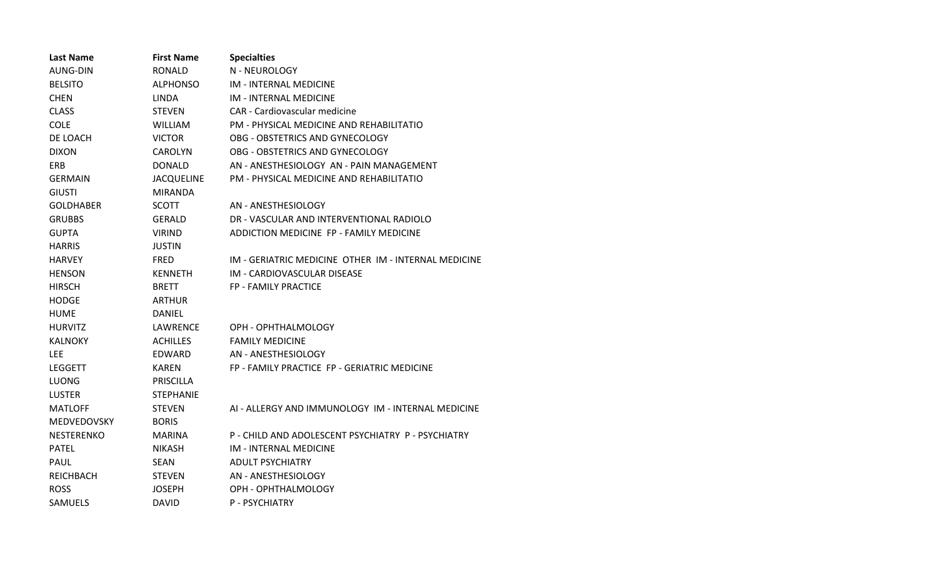| <b>Last Name</b>  | <b>First Name</b> | <b>Specialties</b>                                   |
|-------------------|-------------------|------------------------------------------------------|
| AUNG-DIN          | <b>RONALD</b>     | N - NEUROLOGY                                        |
| <b>BELSITO</b>    | <b>ALPHONSO</b>   | <b>IM - INTERNAL MEDICINE</b>                        |
| <b>CHEN</b>       | <b>LINDA</b>      | IM - INTERNAL MEDICINE                               |
| <b>CLASS</b>      | <b>STEVEN</b>     | CAR - Cardiovascular medicine                        |
| <b>COLE</b>       | <b>WILLIAM</b>    | PM - PHYSICAL MEDICINE AND REHABILITATIO             |
| DE LOACH          | <b>VICTOR</b>     | OBG - OBSTETRICS AND GYNECOLOGY                      |
| <b>DIXON</b>      | <b>CAROLYN</b>    | OBG - OBSTETRICS AND GYNECOLOGY                      |
| ERB               | <b>DONALD</b>     | AN - ANESTHESIOLOGY AN - PAIN MANAGEMENT             |
| <b>GERMAIN</b>    | <b>JACQUELINE</b> | PM - PHYSICAL MEDICINE AND REHABILITATIO             |
| <b>GIUSTI</b>     | <b>MIRANDA</b>    |                                                      |
| <b>GOLDHABER</b>  | <b>SCOTT</b>      | AN - ANESTHESIOLOGY                                  |
| <b>GRUBBS</b>     | GERALD            | DR - VASCULAR AND INTERVENTIONAL RADIOLO             |
| <b>GUPTA</b>      | <b>VIRIND</b>     | ADDICTION MEDICINE FP - FAMILY MEDICINE              |
| <b>HARRIS</b>     | <b>JUSTIN</b>     |                                                      |
| <b>HARVEY</b>     | <b>FRED</b>       | IM - GERIATRIC MEDICINE OTHER IM - INTERNAL MEDICINE |
| <b>HENSON</b>     | <b>KENNETH</b>    | IM - CARDIOVASCULAR DISEASE                          |
| <b>HIRSCH</b>     | <b>BRETT</b>      | FP - FAMILY PRACTICE                                 |
| <b>HODGE</b>      | <b>ARTHUR</b>     |                                                      |
| <b>HUME</b>       | <b>DANIEL</b>     |                                                      |
| <b>HURVITZ</b>    | LAWRENCE          | OPH - OPHTHALMOLOGY                                  |
| <b>KALNOKY</b>    | <b>ACHILLES</b>   | <b>FAMILY MEDICINE</b>                               |
| <b>LEE</b>        | EDWARD            | AN - ANESTHESIOLOGY                                  |
| <b>LEGGETT</b>    | <b>KAREN</b>      | FP - FAMILY PRACTICE FP - GERIATRIC MEDICINE         |
| <b>LUONG</b>      | <b>PRISCILLA</b>  |                                                      |
| <b>LUSTER</b>     | <b>STEPHANIE</b>  |                                                      |
| <b>MATLOFF</b>    | <b>STEVEN</b>     | AI - ALLERGY AND IMMUNOLOGY IM - INTERNAL MEDICINE   |
| MEDVEDOVSKY       | <b>BORIS</b>      |                                                      |
| <b>NESTERENKO</b> | <b>MARINA</b>     | P - CHILD AND ADOLESCENT PSYCHIATRY P - PSYCHIATRY   |
| <b>PATEL</b>      | <b>NIKASH</b>     | IM - INTERNAL MEDICINE                               |
| <b>PAUL</b>       | SEAN              | <b>ADULT PSYCHIATRY</b>                              |
| REICHBACH         | <b>STEVEN</b>     | AN - ANESTHESIOLOGY                                  |
| <b>ROSS</b>       | <b>JOSEPH</b>     | OPH - OPHTHALMOLOGY                                  |
| <b>SAMUELS</b>    | <b>DAVID</b>      | <b>P - PSYCHIATRY</b>                                |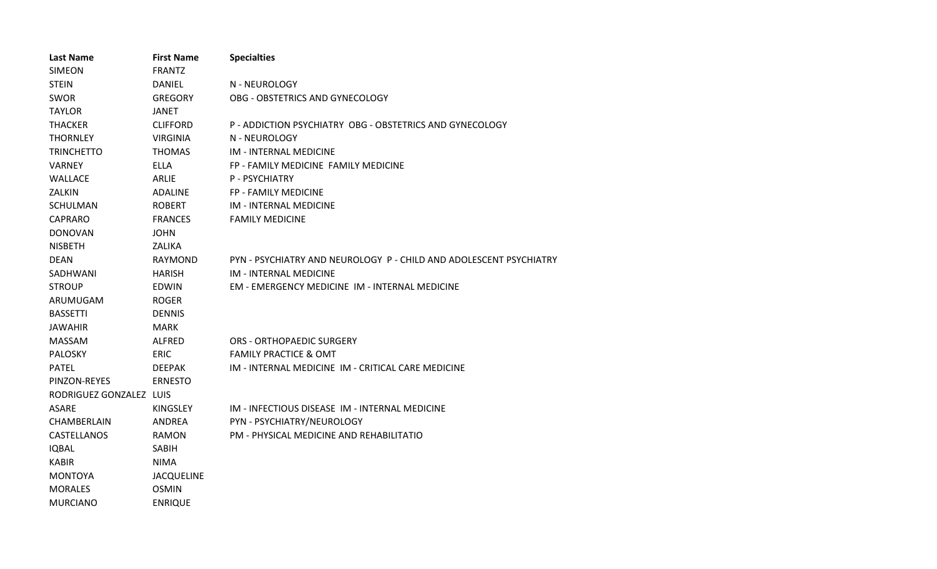| <b>Last Name</b>        | <b>First Name</b> | <b>Specialties</b>                                                 |
|-------------------------|-------------------|--------------------------------------------------------------------|
| <b>SIMEON</b>           | <b>FRANTZ</b>     |                                                                    |
| <b>STEIN</b>            | <b>DANIEL</b>     | N - NEUROLOGY                                                      |
| <b>SWOR</b>             | <b>GREGORY</b>    | OBG - OBSTETRICS AND GYNECOLOGY                                    |
| <b>TAYLOR</b>           | JANET             |                                                                    |
| <b>THACKER</b>          | <b>CLIFFORD</b>   | P - ADDICTION PSYCHIATRY OBG - OBSTETRICS AND GYNECOLOGY           |
| <b>THORNLEY</b>         | <b>VIRGINIA</b>   | N - NEUROLOGY                                                      |
| <b>TRINCHETTO</b>       | <b>THOMAS</b>     | IM - INTERNAL MEDICINE                                             |
| <b>VARNEY</b>           | <b>ELLA</b>       | FP - FAMILY MEDICINE FAMILY MEDICINE                               |
| <b>WALLACE</b>          | <b>ARLIE</b>      | P - PSYCHIATRY                                                     |
| ZALKIN                  | <b>ADALINE</b>    | FP - FAMILY MEDICINE                                               |
| <b>SCHULMAN</b>         | <b>ROBERT</b>     | IM - INTERNAL MEDICINE                                             |
| CAPRARO                 | <b>FRANCES</b>    | <b>FAMILY MEDICINE</b>                                             |
| <b>DONOVAN</b>          | <b>JOHN</b>       |                                                                    |
| <b>NISBETH</b>          | ZALIKA            |                                                                    |
| <b>DEAN</b>             | RAYMOND           | PYN - PSYCHIATRY AND NEUROLOGY P - CHILD AND ADOLESCENT PSYCHIATRY |
| SADHWANI                | <b>HARISH</b>     | IM - INTERNAL MEDICINE                                             |
| <b>STROUP</b>           | <b>EDWIN</b>      | EM - EMERGENCY MEDICINE IM - INTERNAL MEDICINE                     |
| ARUMUGAM                | <b>ROGER</b>      |                                                                    |
| <b>BASSETTI</b>         | <b>DENNIS</b>     |                                                                    |
| JAWAHIR                 | <b>MARK</b>       |                                                                    |
| <b>MASSAM</b>           | <b>ALFRED</b>     | ORS - ORTHOPAEDIC SURGERY                                          |
| <b>PALOSKY</b>          | <b>ERIC</b>       | <b>FAMILY PRACTICE &amp; OMT</b>                                   |
| <b>PATEL</b>            | <b>DEEPAK</b>     | IM - INTERNAL MEDICINE IM - CRITICAL CARE MEDICINE                 |
| PINZON-REYES            | <b>ERNESTO</b>    |                                                                    |
| RODRIGUEZ GONZALEZ LUIS |                   |                                                                    |
| <b>ASARE</b>            | KINGSLEY          | IM - INFECTIOUS DISEASE IM - INTERNAL MEDICINE                     |
| CHAMBERLAIN             | ANDREA            | PYN - PSYCHIATRY/NEUROLOGY                                         |
| CASTELLANOS             | <b>RAMON</b>      | PM - PHYSICAL MEDICINE AND REHABILITATIO                           |
| <b>IQBAL</b>            | <b>SABIH</b>      |                                                                    |
| <b>KABIR</b>            | <b>NIMA</b>       |                                                                    |
| <b>MONTOYA</b>          | <b>JACQUELINE</b> |                                                                    |
| <b>MORALES</b>          | <b>OSMIN</b>      |                                                                    |
| <b>MURCIANO</b>         | <b>ENRIQUE</b>    |                                                                    |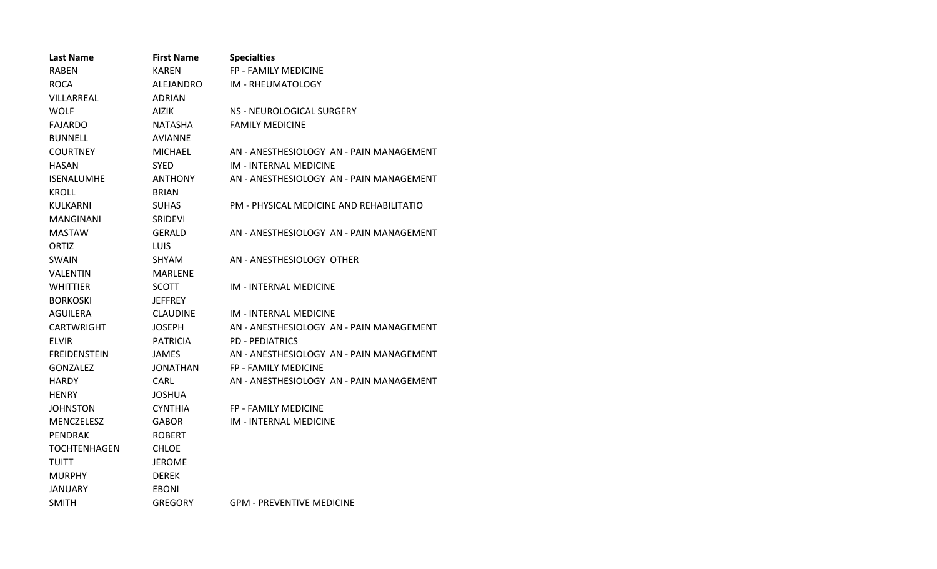| <b>Last Name</b>    | <b>First Name</b> | <b>Specialties</b>                       |
|---------------------|-------------------|------------------------------------------|
| <b>RABEN</b>        | <b>KAREN</b>      | FP - FAMILY MEDICINE                     |
| <b>ROCA</b>         | ALEJANDRO         | IM - RHEUMATOLOGY                        |
| VILLARREAL          | <b>ADRIAN</b>     |                                          |
| <b>WOLF</b>         | AIZIK             | NS - NEUROLOGICAL SURGERY                |
| <b>FAJARDO</b>      | NATASHA           | <b>FAMILY MEDICINE</b>                   |
| <b>BUNNELL</b>      | <b>AVIANNE</b>    |                                          |
| <b>COURTNEY</b>     | <b>MICHAEL</b>    | AN - ANESTHESIOLOGY AN - PAIN MANAGEMENT |
| <b>HASAN</b>        | <b>SYED</b>       | <b>IM - INTERNAL MEDICINE</b>            |
| <b>ISENALUMHE</b>   | <b>ANTHONY</b>    | AN - ANESTHESIOLOGY AN - PAIN MANAGEMENT |
| <b>KROLL</b>        | <b>BRIAN</b>      |                                          |
| KULKARNI            | <b>SUHAS</b>      | PM - PHYSICAL MEDICINE AND REHABILITATIO |
| <b>MANGINANI</b>    | <b>SRIDEVI</b>    |                                          |
| <b>MASTAW</b>       | GERALD            | AN - ANESTHESIOLOGY AN - PAIN MANAGEMENT |
| ORTIZ               | <b>LUIS</b>       |                                          |
| <b>SWAIN</b>        | <b>SHYAM</b>      | AN - ANESTHESIOLOGY OTHER                |
| VALENTIN            | <b>MARLENE</b>    |                                          |
| <b>WHITTIER</b>     | <b>SCOTT</b>      | <b>IM - INTERNAL MEDICINE</b>            |
| <b>BORKOSKI</b>     | <b>JEFFREY</b>    |                                          |
| AGUILERA            | <b>CLAUDINE</b>   | IM - INTERNAL MEDICINE                   |
| <b>CARTWRIGHT</b>   | <b>JOSEPH</b>     | AN - ANESTHESIOLOGY AN - PAIN MANAGEMENT |
| <b>ELVIR</b>        | <b>PATRICIA</b>   | <b>PD - PEDIATRICS</b>                   |
| <b>FREIDENSTEIN</b> | <b>JAMES</b>      | AN - ANESTHESIOLOGY AN - PAIN MANAGEMENT |
| <b>GONZALEZ</b>     | JONATHAN          | <b>FP - FAMILY MEDICINE</b>              |
| <b>HARDY</b>        | <b>CARL</b>       | AN - ANESTHESIOLOGY AN - PAIN MANAGEMENT |
| <b>HENRY</b>        | <b>JOSHUA</b>     |                                          |
| <b>JOHNSTON</b>     | <b>CYNTHIA</b>    | <b>FP - FAMILY MEDICINE</b>              |
| <b>MENCZELESZ</b>   | <b>GABOR</b>      | <b>IM - INTERNAL MEDICINE</b>            |
| PENDRAK             | <b>ROBERT</b>     |                                          |
| <b>TOCHTENHAGEN</b> | <b>CHLOE</b>      |                                          |
| <b>TUITT</b>        | <b>JEROME</b>     |                                          |
| <b>MURPHY</b>       | <b>DEREK</b>      |                                          |
| <b>JANUARY</b>      | <b>EBONI</b>      |                                          |
| <b>SMITH</b>        | <b>GREGORY</b>    | <b>GPM - PREVENTIVE MEDICINE</b>         |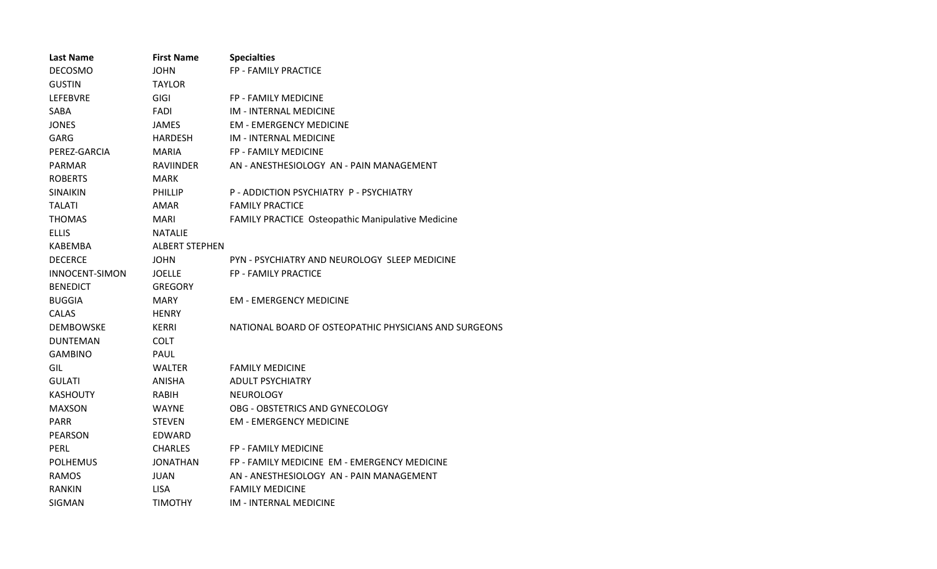| <b>Last Name</b>      | <b>First Name</b>     | <b>Specialties</b>                                       |
|-----------------------|-----------------------|----------------------------------------------------------|
| <b>DECOSMO</b>        | JOHN                  | FP - FAMILY PRACTICE                                     |
| <b>GUSTIN</b>         | TAYLOR                |                                                          |
| <b>LEFEBVRE</b>       | GIGI                  | FP - FAMILY MEDICINE                                     |
| SABA                  | FADI                  | <b>IM - INTERNAL MEDICINE</b>                            |
| <b>JONES</b>          | JAMES                 | <b>EM - EMERGENCY MEDICINE</b>                           |
| GARG                  | <b>HARDESH</b>        | <b>IM - INTERNAL MEDICINE</b>                            |
| PEREZ-GARCIA          | <b>MARIA</b>          | FP - FAMILY MEDICINE                                     |
| <b>PARMAR</b>         | <b>RAVIINDER</b>      | AN - ANESTHESIOLOGY AN - PAIN MANAGEMENT                 |
| <b>ROBERTS</b>        | MARK                  |                                                          |
| <b>SINAIKIN</b>       | <b>PHILLIP</b>        | P - ADDICTION PSYCHIATRY P - PSYCHIATRY                  |
| <b>TALATI</b>         | AMAR                  | <b>FAMILY PRACTICE</b>                                   |
| <b>THOMAS</b>         | MARI                  | <b>FAMILY PRACTICE Osteopathic Manipulative Medicine</b> |
| <b>ELLIS</b>          | <b>NATALIE</b>        |                                                          |
| KABEMBA               | <b>ALBERT STEPHEN</b> |                                                          |
| <b>DECERCE</b>        | <b>JOHN</b>           | PYN - PSYCHIATRY AND NEUROLOGY SLEEP MEDICINE            |
| <b>INNOCENT-SIMON</b> | <b>JOELLE</b>         | FP - FAMILY PRACTICE                                     |
| <b>BENEDICT</b>       | <b>GREGORY</b>        |                                                          |
| <b>BUGGIA</b>         | <b>MARY</b>           | <b>EM - EMERGENCY MEDICINE</b>                           |
| <b>CALAS</b>          | <b>HENRY</b>          |                                                          |
| <b>DEMBOWSKE</b>      | KERRI                 | NATIONAL BOARD OF OSTEOPATHIC PHYSICIANS AND SURGEONS    |
| <b>DUNTEMAN</b>       | <b>COLT</b>           |                                                          |
| <b>GAMBINO</b>        | PAUL                  |                                                          |
| GIL                   | <b>WALTER</b>         | <b>FAMILY MEDICINE</b>                                   |
| <b>GULATI</b>         | ANISHA                | <b>ADULT PSYCHIATRY</b>                                  |
| <b>KASHOUTY</b>       | RABIH                 | <b>NEUROLOGY</b>                                         |
| <b>MAXSON</b>         | WAYNE                 | OBG - OBSTETRICS AND GYNECOLOGY                          |
| <b>PARR</b>           | <b>STEVEN</b>         | <b>EM - EMERGENCY MEDICINE</b>                           |
| PEARSON               | EDWARD                |                                                          |
| PERL                  | <b>CHARLES</b>        | FP - FAMILY MEDICINE                                     |
| <b>POLHEMUS</b>       | <b>JONATHAN</b>       | FP - FAMILY MEDICINE EM - EMERGENCY MEDICINE             |
| <b>RAMOS</b>          | JUAN                  | AN - ANESTHESIOLOGY AN - PAIN MANAGEMENT                 |
| <b>RANKIN</b>         | <b>LISA</b>           | <b>FAMILY MEDICINE</b>                                   |
| SIGMAN                | <b>TIMOTHY</b>        | <b>IM - INTERNAL MEDICINE</b>                            |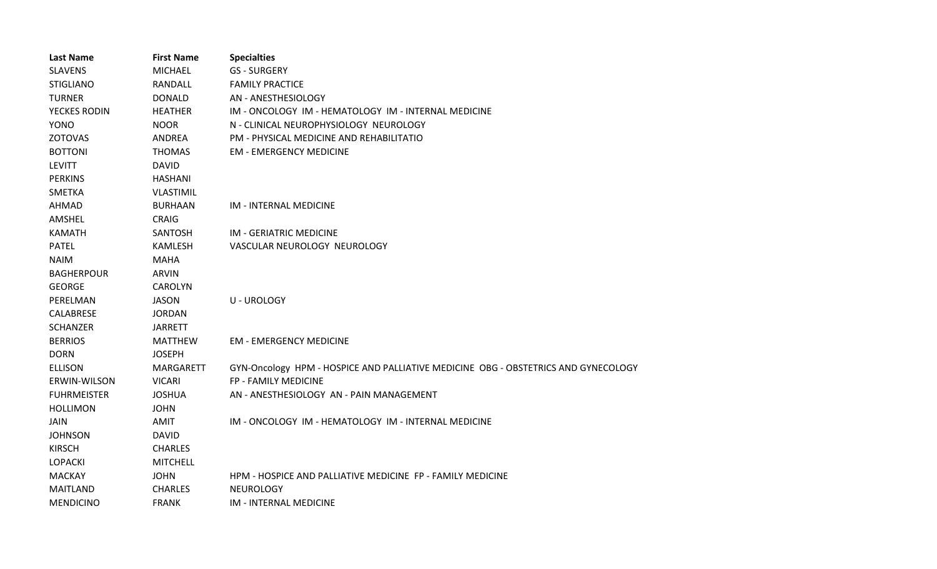| <b>Last Name</b>   | <b>First Name</b> | <b>Specialties</b>                                                                 |
|--------------------|-------------------|------------------------------------------------------------------------------------|
| <b>SLAVENS</b>     | <b>MICHAEL</b>    | <b>GS-SURGERY</b>                                                                  |
| <b>STIGLIANO</b>   | RANDALL           | <b>FAMILY PRACTICE</b>                                                             |
| <b>TURNER</b>      | <b>DONALD</b>     | AN - ANESTHESIOLOGY                                                                |
| YECKES RODIN       | <b>HEATHER</b>    | IM - ONCOLOGY IM - HEMATOLOGY IM - INTERNAL MEDICINE                               |
| <b>YONO</b>        | <b>NOOR</b>       | N - CLINICAL NEUROPHYSIOLOGY NEUROLOGY                                             |
| <b>ZOTOVAS</b>     | ANDREA            | PM - PHYSICAL MEDICINE AND REHABILITATIO                                           |
| <b>BOTTONI</b>     | <b>THOMAS</b>     | <b>EM - EMERGENCY MEDICINE</b>                                                     |
| <b>LEVITT</b>      | <b>DAVID</b>      |                                                                                    |
| <b>PERKINS</b>     | <b>HASHANI</b>    |                                                                                    |
| <b>SMETKA</b>      | <b>VLASTIMIL</b>  |                                                                                    |
| AHMAD              | <b>BURHAAN</b>    | IM - INTERNAL MEDICINE                                                             |
| AMSHEL             | CRAIG             |                                                                                    |
| <b>KAMATH</b>      | <b>SANTOSH</b>    | IM - GERIATRIC MEDICINE                                                            |
| <b>PATEL</b>       | KAMLESH           | VASCULAR NEUROLOGY NEUROLOGY                                                       |
| <b>NAIM</b>        | <b>MAHA</b>       |                                                                                    |
| <b>BAGHERPOUR</b>  | <b>ARVIN</b>      |                                                                                    |
| <b>GEORGE</b>      | <b>CAROLYN</b>    |                                                                                    |
| PERELMAN           | <b>JASON</b>      | <b>U-UROLOGY</b>                                                                   |
| CALABRESE          | <b>JORDAN</b>     |                                                                                    |
| <b>SCHANZER</b>    | <b>JARRETT</b>    |                                                                                    |
| <b>BERRIOS</b>     | <b>MATTHEW</b>    | <b>EM - EMERGENCY MEDICINE</b>                                                     |
| <b>DORN</b>        | <b>JOSEPH</b>     |                                                                                    |
| <b>ELLISON</b>     | <b>MARGARETT</b>  | GYN-Oncology HPM - HOSPICE AND PALLIATIVE MEDICINE OBG - OBSTETRICS AND GYNECOLOGY |
| ERWIN-WILSON       | <b>VICARI</b>     | FP - FAMILY MEDICINE                                                               |
| <b>FUHRMEISTER</b> | <b>JOSHUA</b>     | AN - ANESTHESIOLOGY AN - PAIN MANAGEMENT                                           |
| <b>HOLLIMON</b>    | <b>JOHN</b>       |                                                                                    |
| <b>JAIN</b>        | AMIT              | IM - ONCOLOGY IM - HEMATOLOGY IM - INTERNAL MEDICINE                               |
| <b>JOHNSON</b>     | <b>DAVID</b>      |                                                                                    |
| <b>KIRSCH</b>      | <b>CHARLES</b>    |                                                                                    |
| <b>LOPACKI</b>     | <b>MITCHELL</b>   |                                                                                    |
| <b>MACKAY</b>      | <b>JOHN</b>       | HPM - HOSPICE AND PALLIATIVE MEDICINE FP - FAMILY MEDICINE                         |
| <b>MAITLAND</b>    | <b>CHARLES</b>    | NEUROLOGY                                                                          |
| <b>MENDICINO</b>   | <b>FRANK</b>      | IM - INTERNAL MEDICINE                                                             |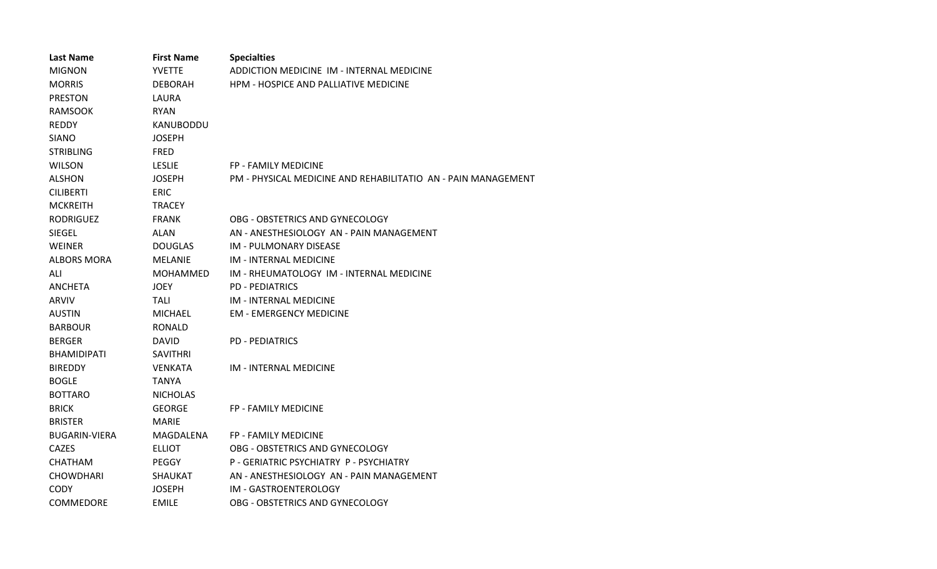| <b>Last Name</b>     | <b>First Name</b> | <b>Specialties</b>                                            |
|----------------------|-------------------|---------------------------------------------------------------|
| <b>MIGNON</b>        | <b>YVETTE</b>     | ADDICTION MEDICINE IM - INTERNAL MEDICINE                     |
| <b>MORRIS</b>        | <b>DEBORAH</b>    | HPM - HOSPICE AND PALLIATIVE MEDICINE                         |
| <b>PRESTON</b>       | LAURA             |                                                               |
| <b>RAMSOOK</b>       | <b>RYAN</b>       |                                                               |
| <b>REDDY</b>         | KANUBODDU         |                                                               |
| <b>SIANO</b>         | <b>JOSEPH</b>     |                                                               |
| <b>STRIBLING</b>     | <b>FRED</b>       |                                                               |
| <b>WILSON</b>        | <b>LESLIE</b>     | <b>FP - FAMILY MEDICINE</b>                                   |
| <b>ALSHON</b>        | <b>JOSEPH</b>     | PM - PHYSICAL MEDICINE AND REHABILITATIO AN - PAIN MANAGEMENT |
| <b>CILIBERTI</b>     | <b>ERIC</b>       |                                                               |
| <b>MCKREITH</b>      | <b>TRACEY</b>     |                                                               |
| <b>RODRIGUEZ</b>     | <b>FRANK</b>      | OBG - OBSTETRICS AND GYNECOLOGY                               |
| SIEGEL               | <b>ALAN</b>       | AN - ANESTHESIOLOGY AN - PAIN MANAGEMENT                      |
| <b>WEINER</b>        | <b>DOUGLAS</b>    | IM - PULMONARY DISEASE                                        |
| <b>ALBORS MORA</b>   | <b>MELANIE</b>    | IM - INTERNAL MEDICINE                                        |
| ALI                  | <b>MOHAMMED</b>   | IM - RHEUMATOLOGY IM - INTERNAL MEDICINE                      |
| <b>ANCHETA</b>       | <b>JOEY</b>       | <b>PD - PEDIATRICS</b>                                        |
| <b>ARVIV</b>         | TALI              | IM - INTERNAL MEDICINE                                        |
| <b>AUSTIN</b>        | MICHAEL           | <b>EM - EMERGENCY MEDICINE</b>                                |
| <b>BARBOUR</b>       | <b>RONALD</b>     |                                                               |
| <b>BERGER</b>        | <b>DAVID</b>      | <b>PD - PEDIATRICS</b>                                        |
| <b>BHAMIDIPATI</b>   | <b>SAVITHRI</b>   |                                                               |
| <b>BIREDDY</b>       | <b>VENKATA</b>    | IM - INTERNAL MEDICINE                                        |
| <b>BOGLE</b>         | TANYA             |                                                               |
| <b>BOTTARO</b>       | <b>NICHOLAS</b>   |                                                               |
| <b>BRICK</b>         | <b>GEORGE</b>     | <b>FP - FAMILY MEDICINE</b>                                   |
| <b>BRISTER</b>       | <b>MARIE</b>      |                                                               |
| <b>BUGARIN-VIERA</b> | MAGDALENA         | <b>FP - FAMILY MEDICINE</b>                                   |
| <b>CAZES</b>         | <b>ELLIOT</b>     | OBG - OBSTETRICS AND GYNECOLOGY                               |
| <b>CHATHAM</b>       | <b>PEGGY</b>      | P - GERIATRIC PSYCHIATRY P - PSYCHIATRY                       |
| <b>CHOWDHARI</b>     | <b>SHAUKAT</b>    | AN - ANESTHESIOLOGY AN - PAIN MANAGEMENT                      |
| <b>CODY</b>          | <b>JOSEPH</b>     | IM - GASTROENTEROLOGY                                         |
| <b>COMMEDORE</b>     | <b>EMILE</b>      | OBG - OBSTETRICS AND GYNECOLOGY                               |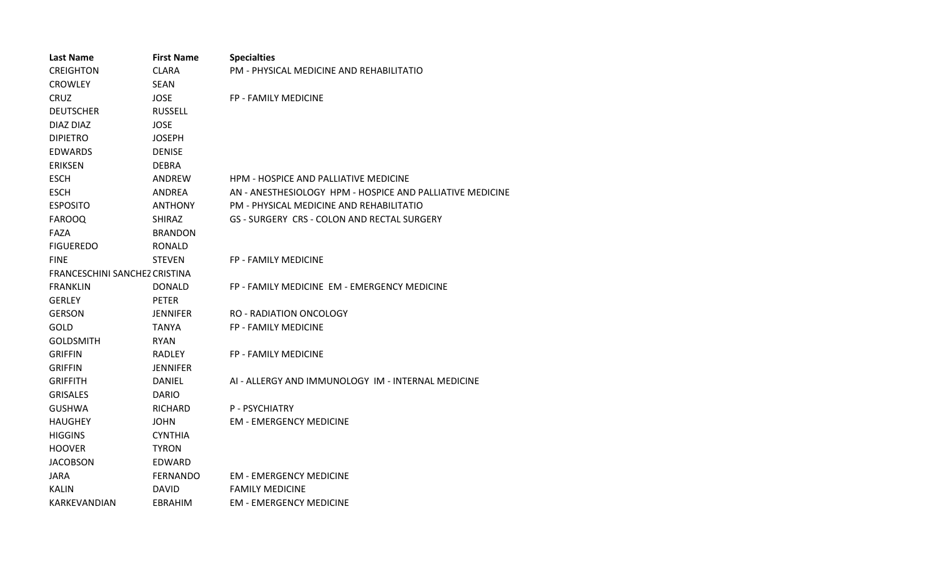| <b>Last Name</b>                   | <b>First Name</b> | <b>Specialties</b>                                        |
|------------------------------------|-------------------|-----------------------------------------------------------|
| <b>CREIGHTON</b>                   | <b>CLARA</b>      | PM - PHYSICAL MEDICINE AND REHABILITATIO                  |
| <b>CROWLEY</b>                     | SEAN              |                                                           |
| <b>CRUZ</b><br><b>JOSE</b>         |                   | FP - FAMILY MEDICINE                                      |
| <b>DEUTSCHER</b><br><b>RUSSELL</b> |                   |                                                           |
| DIAZ DIAZ                          | <b>JOSE</b>       |                                                           |
| <b>DIPIETRO</b>                    | <b>JOSEPH</b>     |                                                           |
| <b>EDWARDS</b>                     | <b>DENISE</b>     |                                                           |
| <b>ERIKSEN</b>                     | <b>DEBRA</b>      |                                                           |
| <b>ESCH</b>                        | ANDREW            | <b>HPM - HOSPICE AND PALLIATIVE MEDICINE</b>              |
| <b>ESCH</b>                        | ANDREA            | AN - ANESTHESIOLOGY HPM - HOSPICE AND PALLIATIVE MEDICINE |
| <b>ESPOSITO</b>                    | <b>ANTHONY</b>    | PM - PHYSICAL MEDICINE AND REHABILITATIO                  |
| <b>FAROOQ</b>                      | <b>SHIRAZ</b>     | GS - SURGERY CRS - COLON AND RECTAL SURGERY               |
| FAZA                               | <b>BRANDON</b>    |                                                           |
| <b>FIGUEREDO</b>                   | <b>RONALD</b>     |                                                           |
| <b>FINE</b>                        | <b>STEVEN</b>     | <b>FP - FAMILY MEDICINE</b>                               |
| FRANCESCHINI SANCHEZ CRISTINA      |                   |                                                           |
| <b>FRANKLIN</b>                    | <b>DONALD</b>     | FP - FAMILY MEDICINE EM - EMERGENCY MEDICINE              |
| <b>GERLEY</b>                      | <b>PETER</b>      |                                                           |
| <b>GERSON</b>                      | JENNIFER          | RO - RADIATION ONCOLOGY                                   |
| GOLD                               | TANYA             | FP - FAMILY MEDICINE                                      |
| <b>GOLDSMITH</b>                   | <b>RYAN</b>       |                                                           |
| <b>GRIFFIN</b>                     | <b>RADLEY</b>     | FP - FAMILY MEDICINE                                      |
| <b>GRIFFIN</b>                     | <b>JENNIFER</b>   |                                                           |
| <b>GRIFFITH</b>                    | <b>DANIEL</b>     | AI - ALLERGY AND IMMUNOLOGY IM - INTERNAL MEDICINE        |
| <b>GRISALES</b>                    | <b>DARIO</b>      |                                                           |
| <b>GUSHWA</b>                      | <b>RICHARD</b>    | <b>P-PSYCHIATRY</b>                                       |
| <b>HAUGHEY</b>                     | <b>JOHN</b>       | <b>EM - EMERGENCY MEDICINE</b>                            |
| <b>HIGGINS</b>                     | <b>CYNTHIA</b>    |                                                           |
| <b>HOOVER</b>                      | <b>TYRON</b>      |                                                           |
| <b>JACOBSON</b>                    | EDWARD            |                                                           |
| <b>JARA</b>                        | FERNANDO          | <b>EM - EMERGENCY MEDICINE</b>                            |
| <b>KALIN</b>                       | <b>DAVID</b>      | <b>FAMILY MEDICINE</b>                                    |
| <b>KARKEVANDIAN</b>                | EBRAHIM           | <b>EM - EMERGENCY MEDICINE</b>                            |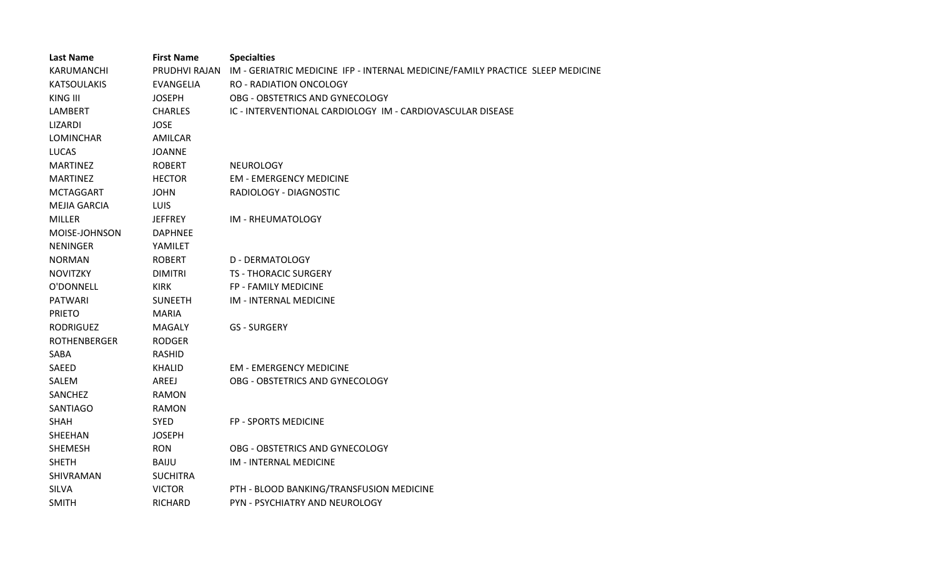| <b>Last Name</b>    | <b>First Name</b> | <b>Specialties</b>                                                             |
|---------------------|-------------------|--------------------------------------------------------------------------------|
| KARUMANCHI          | PRUDHVI RAJAN     | IM - GERIATRIC MEDICINE IFP - INTERNAL MEDICINE/FAMILY PRACTICE SLEEP MEDICINE |
| <b>KATSOULAKIS</b>  | EVANGELIA         | <b>RO - RADIATION ONCOLOGY</b>                                                 |
| KING III            | <b>JOSEPH</b>     | OBG - OBSTETRICS AND GYNECOLOGY                                                |
| LAMBERT             | <b>CHARLES</b>    | IC - INTERVENTIONAL CARDIOLOGY IM - CARDIOVASCULAR DISEASE                     |
| LIZARDI             | <b>JOSE</b>       |                                                                                |
| <b>LOMINCHAR</b>    | <b>AMILCAR</b>    |                                                                                |
| <b>LUCAS</b>        | <b>JOANNE</b>     |                                                                                |
| <b>MARTINEZ</b>     | <b>ROBERT</b>     | <b>NEUROLOGY</b>                                                               |
| <b>MARTINEZ</b>     | <b>HECTOR</b>     | <b>EM - EMERGENCY MEDICINE</b>                                                 |
| <b>MCTAGGART</b>    | <b>JOHN</b>       | RADIOLOGY - DIAGNOSTIC                                                         |
| <b>MEJIA GARCIA</b> | <b>LUIS</b>       |                                                                                |
| <b>MILLER</b>       | <b>JEFFREY</b>    | IM - RHEUMATOLOGY                                                              |
| MOISE-JOHNSON       | <b>DAPHNEE</b>    |                                                                                |
| <b>NENINGER</b>     | YAMILET           |                                                                                |
| <b>NORMAN</b>       | <b>ROBERT</b>     | <b>D - DERMATOLOGY</b>                                                         |
| <b>NOVITZKY</b>     | <b>DIMITRI</b>    | <b>TS - THORACIC SURGERY</b>                                                   |
| O'DONNELL           | <b>KIRK</b>       | FP - FAMILY MEDICINE                                                           |
| <b>PATWARI</b>      | <b>SUNEETH</b>    | IM - INTERNAL MEDICINE                                                         |
| <b>PRIETO</b>       | <b>MARIA</b>      |                                                                                |
| <b>RODRIGUEZ</b>    | <b>MAGALY</b>     | <b>GS - SURGERY</b>                                                            |
| <b>ROTHENBERGER</b> | <b>RODGER</b>     |                                                                                |
| SABA                | <b>RASHID</b>     |                                                                                |
| SAEED               | <b>KHALID</b>     | <b>EM - EMERGENCY MEDICINE</b>                                                 |
| SALEM               | AREEJ             | OBG - OBSTETRICS AND GYNECOLOGY                                                |
| SANCHEZ             | <b>RAMON</b>      |                                                                                |
| SANTIAGO            | <b>RAMON</b>      |                                                                                |
| <b>SHAH</b>         | <b>SYED</b>       | FP - SPORTS MEDICINE                                                           |
| SHEEHAN             | <b>JOSEPH</b>     |                                                                                |
| <b>SHEMESH</b>      | <b>RON</b>        | OBG - OBSTETRICS AND GYNECOLOGY                                                |
| <b>SHETH</b>        | <b>BAIJU</b>      | IM - INTERNAL MEDICINE                                                         |
| SHIVRAMAN           | <b>SUCHITRA</b>   |                                                                                |
| SILVA               | <b>VICTOR</b>     | PTH - BLOOD BANKING/TRANSFUSION MEDICINE                                       |
| <b>SMITH</b>        | <b>RICHARD</b>    | PYN - PSYCHIATRY AND NEUROLOGY                                                 |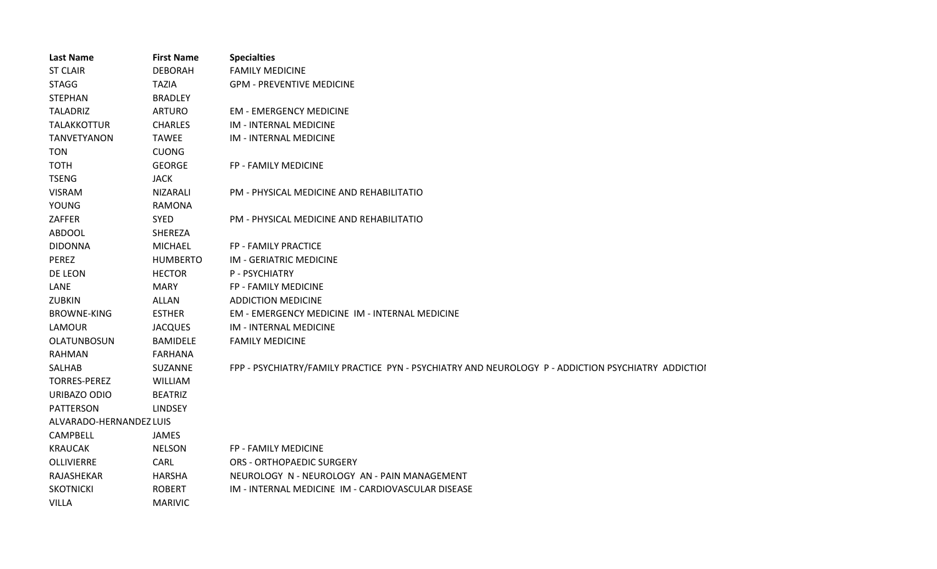| <b>Last Name</b>        | <b>First Name</b> | <b>Specialties</b>                                                                                 |
|-------------------------|-------------------|----------------------------------------------------------------------------------------------------|
| <b>ST CLAIR</b>         | <b>DEBORAH</b>    | <b>FAMILY MEDICINE</b>                                                                             |
| <b>STAGG</b>            | <b>TAZIA</b>      | <b>GPM - PREVENTIVE MEDICINE</b>                                                                   |
| <b>STEPHAN</b>          | <b>BRADLEY</b>    |                                                                                                    |
| <b>TALADRIZ</b>         | <b>ARTURO</b>     | <b>EM - EMERGENCY MEDICINE</b>                                                                     |
| <b>TALAKKOTTUR</b>      | <b>CHARLES</b>    | IM - INTERNAL MEDICINE                                                                             |
| <b>TANVETYANON</b>      | <b>TAWEE</b>      | IM - INTERNAL MEDICINE                                                                             |
| <b>TON</b>              | <b>CUONG</b>      |                                                                                                    |
| <b>TOTH</b>             | <b>GEORGE</b>     | FP - FAMILY MEDICINE                                                                               |
| <b>TSENG</b>            | <b>JACK</b>       |                                                                                                    |
| <b>VISRAM</b>           | <b>NIZARALI</b>   | PM - PHYSICAL MEDICINE AND REHABILITATIO                                                           |
| <b>YOUNG</b>            | <b>RAMONA</b>     |                                                                                                    |
| ZAFFER                  | <b>SYED</b>       | PM - PHYSICAL MEDICINE AND REHABILITATIO                                                           |
| <b>ABDOOL</b>           | SHEREZA           |                                                                                                    |
| <b>DIDONNA</b>          | <b>MICHAEL</b>    | FP - FAMILY PRACTICE                                                                               |
| PEREZ                   | <b>HUMBERTO</b>   | IM - GERIATRIC MEDICINE                                                                            |
| DE LEON                 | <b>HECTOR</b>     | P - PSYCHIATRY                                                                                     |
| LANE                    | <b>MARY</b>       | FP - FAMILY MEDICINE                                                                               |
| ZUBKIN                  | <b>ALLAN</b>      | <b>ADDICTION MEDICINE</b>                                                                          |
| <b>BROWNE-KING</b>      | <b>ESTHER</b>     | <b>EM - EMERGENCY MEDICINE IM - INTERNAL MEDICINE</b>                                              |
| LAMOUR                  | <b>JACQUES</b>    | IM - INTERNAL MEDICINE                                                                             |
| OLATUNBOSUN             | <b>BAMIDELE</b>   | <b>FAMILY MEDICINE</b>                                                                             |
| <b>RAHMAN</b>           | <b>FARHANA</b>    |                                                                                                    |
| SALHAB                  | SUZANNE           | FPP - PSYCHIATRY/FAMILY PRACTICE PYN - PSYCHIATRY AND NEUROLOGY P - ADDICTION PSYCHIATRY ADDICTIOI |
| <b>TORRES-PEREZ</b>     | WILLIAM           |                                                                                                    |
| URIBAZO ODIO            | <b>BEATRIZ</b>    |                                                                                                    |
| <b>PATTERSON</b>        | <b>LINDSEY</b>    |                                                                                                    |
| ALVARADO-HERNANDEZ LUIS |                   |                                                                                                    |
| CAMPBELL                | <b>JAMES</b>      |                                                                                                    |
| <b>KRAUCAK</b>          | <b>NELSON</b>     | FP - FAMILY MEDICINE                                                                               |
| <b>OLLIVIERRE</b>       | CARL              | <b>ORS - ORTHOPAEDIC SURGERY</b>                                                                   |
| RAJASHEKAR              | <b>HARSHA</b>     | NEUROLOGY N - NEUROLOGY AN - PAIN MANAGEMENT                                                       |
| <b>SKOTNICKI</b>        | <b>ROBERT</b>     | IM - INTERNAL MEDICINE IM - CARDIOVASCULAR DISEASE                                                 |
| <b>VILLA</b>            | <b>MARIVIC</b>    |                                                                                                    |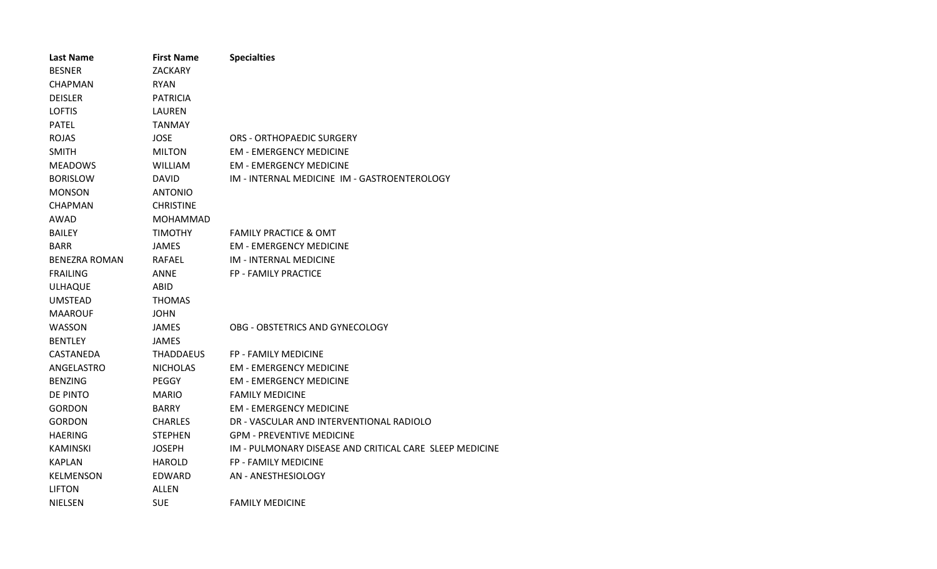| <b>Last Name</b> | <b>First Name</b> | <b>Specialties</b>                                      |
|------------------|-------------------|---------------------------------------------------------|
| <b>BESNER</b>    | ZACKARY           |                                                         |
| <b>CHAPMAN</b>   | <b>RYAN</b>       |                                                         |
| <b>DEISLER</b>   | <b>PATRICIA</b>   |                                                         |
| <b>LOFTIS</b>    | LAUREN            |                                                         |
| <b>PATEL</b>     | TANMAY            |                                                         |
| <b>ROJAS</b>     | <b>JOSE</b>       | ORS - ORTHOPAEDIC SURGERY                               |
| <b>SMITH</b>     | <b>MILTON</b>     | <b>EM - EMERGENCY MEDICINE</b>                          |
| <b>MEADOWS</b>   | <b>WILLIAM</b>    | <b>EM - EMERGENCY MEDICINE</b>                          |
| <b>BORISLOW</b>  | DAVID             | IM - INTERNAL MEDICINE IM - GASTROENTEROLOGY            |
| <b>MONSON</b>    | ANTONIO           |                                                         |
| <b>CHAPMAN</b>   | <b>CHRISTINE</b>  |                                                         |
| AWAD             | <b>MOHAMMAD</b>   |                                                         |
| <b>BAILEY</b>    | <b>TIMOTHY</b>    | <b>FAMILY PRACTICE &amp; OMT</b>                        |
| <b>BARR</b>      | <b>JAMES</b>      | <b>EM - EMERGENCY MEDICINE</b>                          |
| BENEZRA ROMAN    | RAFAEL            | <b>IM - INTERNAL MEDICINE</b>                           |
| <b>FRAILING</b>  | ANNE              | FP - FAMILY PRACTICE                                    |
| <b>ULHAQUE</b>   | ABID              |                                                         |
| <b>UMSTEAD</b>   | <b>THOMAS</b>     |                                                         |
| <b>MAAROUF</b>   | <b>JOHN</b>       |                                                         |
| WASSON           | <b>JAMES</b>      | OBG - OBSTETRICS AND GYNECOLOGY                         |
| <b>BENTLEY</b>   | JAMES             |                                                         |
| CASTANEDA        | THADDAEUS         | <b>FP - FAMILY MEDICINE</b>                             |
| ANGELASTRO       | <b>NICHOLAS</b>   | <b>EM - EMERGENCY MEDICINE</b>                          |
| <b>BENZING</b>   | PEGGY             | <b>EM - EMERGENCY MEDICINE</b>                          |
| DE PINTO         | <b>MARIO</b>      | <b>FAMILY MEDICINE</b>                                  |
| <b>GORDON</b>    | <b>BARRY</b>      | <b>EM - EMERGENCY MEDICINE</b>                          |
| GORDON           | <b>CHARLES</b>    | DR - VASCULAR AND INTERVENTIONAL RADIOLO                |
| <b>HAERING</b>   | <b>STEPHEN</b>    | <b>GPM - PREVENTIVE MEDICINE</b>                        |
| <b>KAMINSKI</b>  | <b>JOSEPH</b>     | IM - PULMONARY DISEASE AND CRITICAL CARE SLEEP MEDICINE |
| <b>KAPLAN</b>    | <b>HAROLD</b>     | FP - FAMILY MEDICINE                                    |
| <b>KELMENSON</b> | EDWARD            | AN - ANESTHESIOLOGY                                     |
| <b>LIFTON</b>    | ALLEN             |                                                         |
| <b>NIELSEN</b>   | SUE               | <b>FAMILY MEDICINE</b>                                  |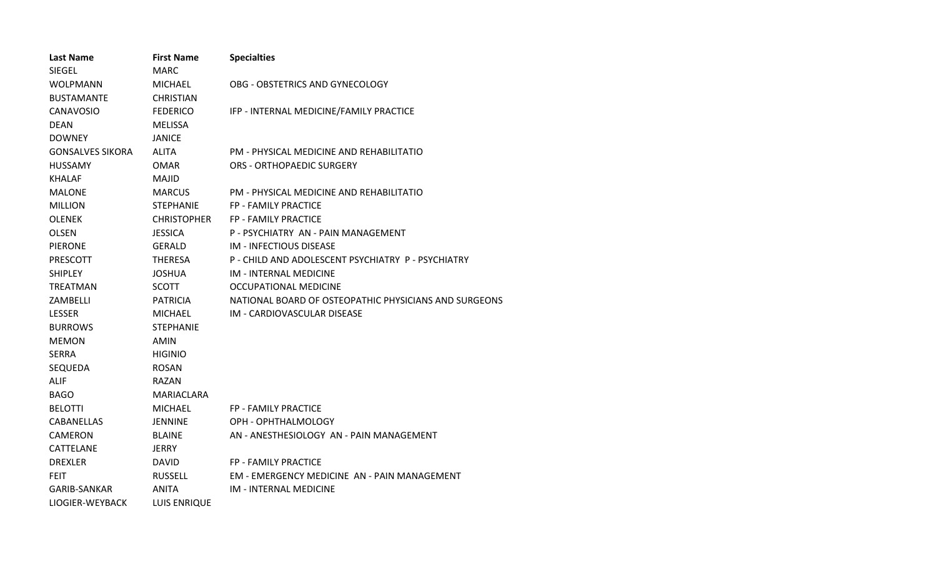| <b>Last Name</b>        | <b>First Name</b>   | <b>Specialties</b>                                    |
|-------------------------|---------------------|-------------------------------------------------------|
| SIEGEL                  | MARC                |                                                       |
| <b>WOLPMANN</b>         | <b>MICHAEL</b>      | OBG - OBSTETRICS AND GYNECOLOGY                       |
| <b>BUSTAMANTE</b>       | <b>CHRISTIAN</b>    |                                                       |
| <b>CANAVOSIO</b>        | <b>FEDERICO</b>     | IFP - INTERNAL MEDICINE/FAMILY PRACTICE               |
| <b>DEAN</b>             | <b>MELISSA</b>      |                                                       |
| <b>DOWNEY</b>           | JANICE              |                                                       |
| <b>GONSALVES SIKORA</b> | <b>ALITA</b>        | PM - PHYSICAL MEDICINE AND REHABILITATIO              |
| <b>HUSSAMY</b>          | <b>OMAR</b>         | <b>ORS - ORTHOPAEDIC SURGERY</b>                      |
| <b>KHALAF</b>           | <b>MAJID</b>        |                                                       |
| <b>MALONE</b>           | <b>MARCUS</b>       | PM - PHYSICAL MEDICINE AND REHABILITATIO              |
| <b>MILLION</b>          | <b>STEPHANIE</b>    | FP - FAMILY PRACTICE                                  |
| <b>OLENEK</b>           | <b>CHRISTOPHER</b>  | FP - FAMILY PRACTICE                                  |
| <b>OLSEN</b>            | <b>JESSICA</b>      | P - PSYCHIATRY AN - PAIN MANAGEMENT                   |
| <b>PIERONE</b>          | <b>GERALD</b>       | <b>IM - INFECTIOUS DISEASE</b>                        |
| PRESCOTT                | <b>THERESA</b>      | P - CHILD AND ADOLESCENT PSYCHIATRY P - PSYCHIATRY    |
| <b>SHIPLEY</b>          | <b>JOSHUA</b>       | <b>IM - INTERNAL MEDICINE</b>                         |
| <b>TREATMAN</b>         | <b>SCOTT</b>        | OCCUPATIONAL MEDICINE                                 |
| ZAMBELLI                | <b>PATRICIA</b>     | NATIONAL BOARD OF OSTEOPATHIC PHYSICIANS AND SURGEONS |
| <b>LESSER</b>           | <b>MICHAEL</b>      | IM - CARDIOVASCULAR DISEASE                           |
| <b>BURROWS</b>          | <b>STEPHANIE</b>    |                                                       |
| <b>MEMON</b>            | AMIN                |                                                       |
| <b>SERRA</b>            | <b>HIGINIO</b>      |                                                       |
| SEQUEDA                 | <b>ROSAN</b>        |                                                       |
| <b>ALIF</b>             | RAZAN               |                                                       |
| <b>BAGO</b>             | MARIACLARA          |                                                       |
| <b>BELOTTI</b>          | <b>MICHAEL</b>      | <b>FP - FAMILY PRACTICE</b>                           |
| <b>CABANELLAS</b>       | JENNINE             | OPH - OPHTHALMOLOGY                                   |
| <b>CAMERON</b>          | <b>BLAINE</b>       | AN - ANESTHESIOLOGY AN - PAIN MANAGEMENT              |
| CATTELANE               | <b>JERRY</b>        |                                                       |
| <b>DREXLER</b>          | <b>DAVID</b>        | FP - FAMILY PRACTICE                                  |
| <b>FEIT</b>             | <b>RUSSELL</b>      | EM - EMERGENCY MEDICINE AN - PAIN MANAGEMENT          |
| GARIB-SANKAR            | <b>ANITA</b>        | <b>IM - INTERNAL MEDICINE</b>                         |
| LIOGIER-WEYBACK         | <b>LUIS ENRIQUE</b> |                                                       |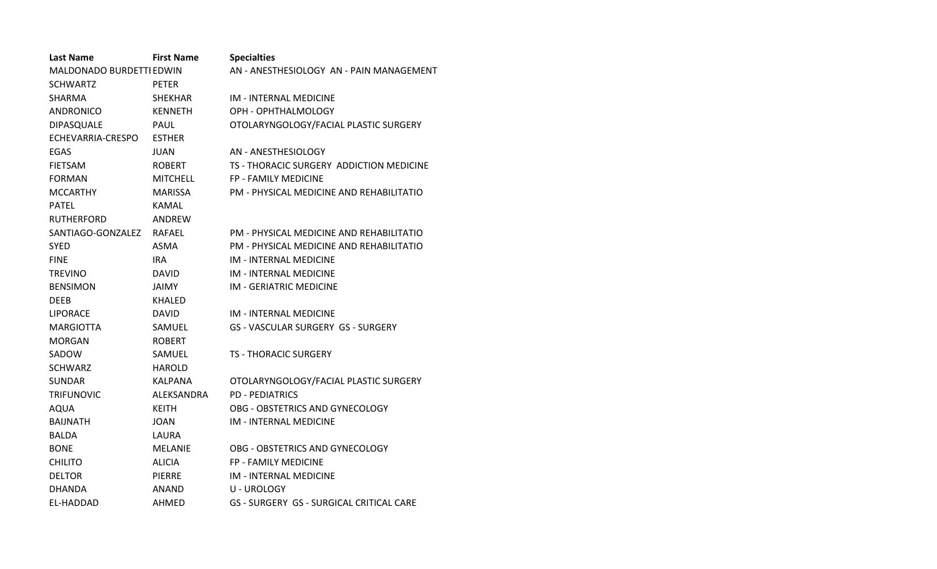| <b>Last Name</b>         | <b>First Name</b> | <b>Specialties</b>                       |
|--------------------------|-------------------|------------------------------------------|
| MALDONADO BURDETTI EDWIN |                   | AN - ANESTHESIOLOGY AN - PAIN MANAGEMENT |
| <b>SCHWARTZ</b>          | <b>PETER</b>      |                                          |
| <b>SHARMA</b>            | <b>SHEKHAR</b>    | <b>IM - INTERNAL MEDICINE</b>            |
| <b>ANDRONICO</b>         | <b>KENNETH</b>    | OPH - OPHTHALMOLOGY                      |
| DIPASQUALE               | PAUL              | OTOLARYNGOLOGY/FACIAL PLASTIC SURGERY    |
| ECHEVARRIA-CRESPO        | <b>ESTHER</b>     |                                          |
| EGAS                     | <b>JUAN</b>       | AN - ANESTHESIOLOGY                      |
| <b>FIETSAM</b>           | <b>ROBERT</b>     | TS - THORACIC SURGERY ADDICTION MEDICINE |
| <b>FORMAN</b>            | <b>MITCHELL</b>   | <b>FP - FAMILY MEDICINE</b>              |
| <b>MCCARTHY</b>          | <b>MARISSA</b>    | PM - PHYSICAL MEDICINE AND REHABILITATIO |
| <b>PATEL</b>             | <b>KAMAL</b>      |                                          |
| <b>RUTHERFORD</b>        | ANDREW            |                                          |
| SANTIAGO-GONZALEZ        | RAFAEL            | PM - PHYSICAL MEDICINE AND REHABILITATIO |
| <b>SYED</b>              | ASMA              | PM - PHYSICAL MEDICINE AND REHABILITATIO |
| <b>FINE</b>              | <b>IRA</b>        | <b>IM - INTERNAL MEDICINE</b>            |
| <b>TREVINO</b>           | <b>DAVID</b>      | IM - INTERNAL MEDICINE                   |
| <b>BENSIMON</b>          | <b>JAIMY</b>      | <b>IM - GERIATRIC MEDICINE</b>           |
| <b>DEEB</b>              | KHALED            |                                          |
| <b>LIPORACE</b>          | <b>DAVID</b>      | <b>IM - INTERNAL MEDICINE</b>            |
| <b>MARGIOTTA</b>         | SAMUEL            | GS - VASCULAR SURGERY GS - SURGERY       |
| <b>MORGAN</b>            | <b>ROBERT</b>     |                                          |
| SADOW                    | SAMUEL            | <b>TS - THORACIC SURGERY</b>             |
| <b>SCHWARZ</b>           | <b>HAROLD</b>     |                                          |
| <b>SUNDAR</b>            | <b>KALPANA</b>    | OTOLARYNGOLOGY/FACIAL PLASTIC SURGERY    |
| <b>TRIFUNOVIC</b>        | ALEKSANDRA        | <b>PD - PEDIATRICS</b>                   |
| <b>AQUA</b>              | <b>KEITH</b>      | OBG - OBSTETRICS AND GYNECOLOGY          |
| <b>BAIJNATH</b>          | JOAN              | IM - INTERNAL MEDICINE                   |
| <b>BALDA</b>             | LAURA             |                                          |
| <b>BONE</b>              | <b>MELANIE</b>    | OBG - OBSTETRICS AND GYNECOLOGY          |
| <b>CHILITO</b>           | <b>ALICIA</b>     | FP - FAMILY MEDICINE                     |
| <b>DELTOR</b>            | PIERRE            | <b>IM - INTERNAL MEDICINE</b>            |
| <b>DHANDA</b>            | ANAND             | U - UROLOGY                              |
| EL-HADDAD                | AHMED             | GS - SURGERY GS - SURGICAL CRITICAL CARE |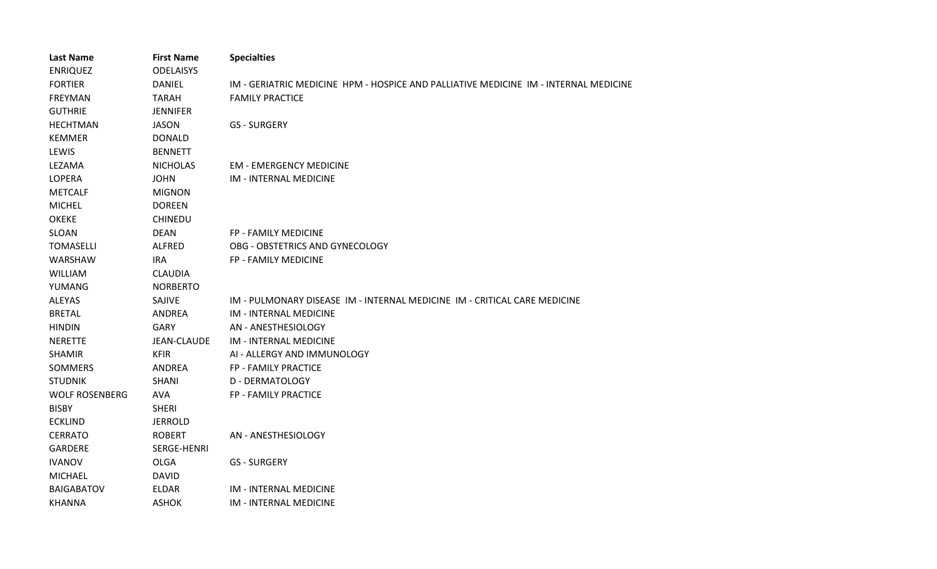| <b>Last Name</b>      | <b>First Name</b>  | <b>Specialties</b>                                                                   |
|-----------------------|--------------------|--------------------------------------------------------------------------------------|
| <b>ENRIQUEZ</b>       | <b>ODELAISYS</b>   |                                                                                      |
| <b>FORTIER</b>        | <b>DANIEL</b>      | IM - GERIATRIC MEDICINE HPM - HOSPICE AND PALLIATIVE MEDICINE IM - INTERNAL MEDICINE |
| <b>FREYMAN</b>        | <b>TARAH</b>       | <b>FAMILY PRACTICE</b>                                                               |
| <b>GUTHRIE</b>        | <b>JENNIFER</b>    |                                                                                      |
| <b>HECHTMAN</b>       | <b>JASON</b>       | <b>GS - SURGERY</b>                                                                  |
| <b>KEMMER</b>         | <b>DONALD</b>      |                                                                                      |
| LEWIS                 | <b>BENNETT</b>     |                                                                                      |
| LEZAMA                | <b>NICHOLAS</b>    | <b>EM - EMERGENCY MEDICINE</b>                                                       |
| LOPERA                | <b>JOHN</b>        | IM - INTERNAL MEDICINE                                                               |
| <b>METCALF</b>        | <b>MIGNON</b>      |                                                                                      |
| <b>MICHEL</b>         | <b>DOREEN</b>      |                                                                                      |
| <b>OKEKE</b>          | CHINEDU            |                                                                                      |
| <b>SLOAN</b>          | <b>DEAN</b>        | FP - FAMILY MEDICINE                                                                 |
| <b>TOMASELLI</b>      | <b>ALFRED</b>      | OBG - OBSTETRICS AND GYNECOLOGY                                                      |
| WARSHAW               | <b>IRA</b>         | FP - FAMILY MEDICINE                                                                 |
| <b>WILLIAM</b>        | <b>CLAUDIA</b>     |                                                                                      |
| YUMANG                | <b>NORBERTO</b>    |                                                                                      |
| ALEYAS                | SAJIVE             | IM - PULMONARY DISEASE IM - INTERNAL MEDICINE IM - CRITICAL CARE MEDICINE            |
| <b>BRETAL</b>         | <b>ANDREA</b>      | IM - INTERNAL MEDICINE                                                               |
| <b>HINDIN</b>         | <b>GARY</b>        | AN - ANESTHESIOLOGY                                                                  |
| <b>NERETTE</b>        | <b>JEAN-CLAUDE</b> | IM - INTERNAL MEDICINE                                                               |
| <b>SHAMIR</b>         | <b>KFIR</b>        | AI - ALLERGY AND IMMUNOLOGY                                                          |
| <b>SOMMERS</b>        | <b>ANDREA</b>      | FP - FAMILY PRACTICE                                                                 |
| <b>STUDNIK</b>        | <b>SHANI</b>       | <b>D - DERMATOLOGY</b>                                                               |
| <b>WOLF ROSENBERG</b> | <b>AVA</b>         | FP - FAMILY PRACTICE                                                                 |
| <b>BISBY</b>          | <b>SHERI</b>       |                                                                                      |
| <b>ECKLIND</b>        | <b>JERROLD</b>     |                                                                                      |
| <b>CERRATO</b>        | <b>ROBERT</b>      | AN - ANESTHESIOLOGY                                                                  |
| <b>GARDERE</b>        | SERGE-HENRI        |                                                                                      |
| <b>IVANOV</b>         | <b>OLGA</b>        | <b>GS - SURGERY</b>                                                                  |
| <b>MICHAEL</b>        | <b>DAVID</b>       |                                                                                      |
| <b>BAIGABATOV</b>     | <b>ELDAR</b>       | <b>IM - INTERNAL MEDICINE</b>                                                        |
| <b>KHANNA</b>         | <b>ASHOK</b>       | <b>IM - INTERNAL MEDICINE</b>                                                        |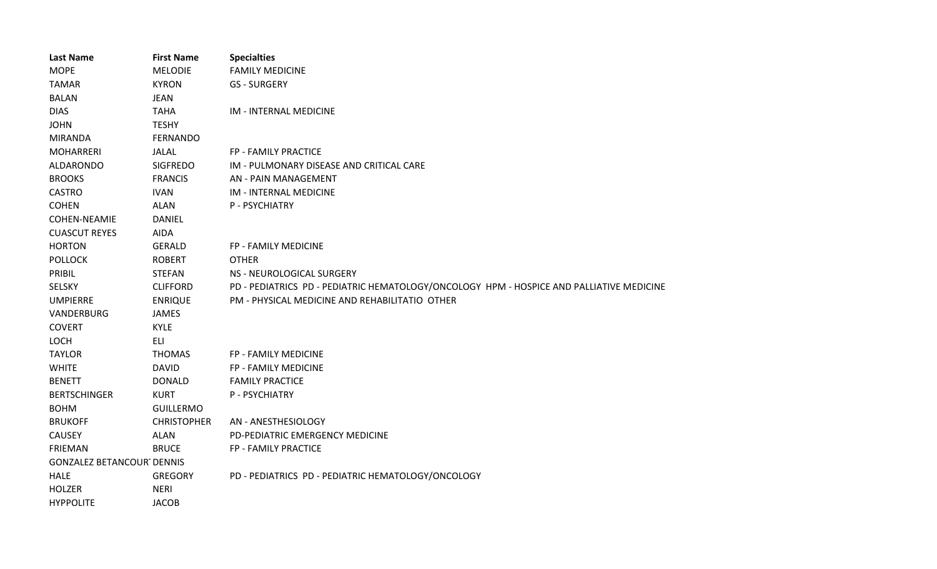| <b>Last Name</b>                 | <b>First Name</b>  | <b>Specialties</b>                                                                       |
|----------------------------------|--------------------|------------------------------------------------------------------------------------------|
| <b>MOPE</b>                      | <b>MELODIE</b>     | <b>FAMILY MEDICINE</b>                                                                   |
| <b>TAMAR</b>                     | <b>KYRON</b>       | <b>GS - SURGERY</b>                                                                      |
| <b>BALAN</b>                     | <b>JEAN</b>        |                                                                                          |
| <b>DIAS</b>                      | <b>TAHA</b>        | IM - INTERNAL MEDICINE                                                                   |
| <b>JOHN</b>                      | <b>TESHY</b>       |                                                                                          |
| <b>MIRANDA</b>                   | <b>FERNANDO</b>    |                                                                                          |
| <b>MOHARRERI</b>                 | <b>JALAL</b>       | FP - FAMILY PRACTICE                                                                     |
| ALDARONDO                        | <b>SIGFREDO</b>    | IM - PULMONARY DISEASE AND CRITICAL CARE                                                 |
| <b>BROOKS</b>                    | <b>FRANCIS</b>     | AN - PAIN MANAGEMENT                                                                     |
| CASTRO                           | <b>IVAN</b>        | IM - INTERNAL MEDICINE                                                                   |
| <b>COHEN</b>                     | <b>ALAN</b>        | P - PSYCHIATRY                                                                           |
| <b>COHEN-NEAMIE</b>              | <b>DANIEL</b>      |                                                                                          |
| <b>CUASCUT REYES</b>             | AIDA               |                                                                                          |
| <b>HORTON</b>                    | <b>GERALD</b>      | FP - FAMILY MEDICINE                                                                     |
| <b>POLLOCK</b>                   | <b>ROBERT</b>      | <b>OTHER</b>                                                                             |
| PRIBIL                           | <b>STEFAN</b>      | NS - NEUROLOGICAL SURGERY                                                                |
| SELSKY                           | <b>CLIFFORD</b>    | PD - PEDIATRICS PD - PEDIATRIC HEMATOLOGY/ONCOLOGY HPM - HOSPICE AND PALLIATIVE MEDICINE |
| <b>UMPIERRE</b>                  | <b>ENRIQUE</b>     | PM - PHYSICAL MEDICINE AND REHABILITATIO OTHER                                           |
| VANDERBURG                       | JAMES              |                                                                                          |
| <b>COVERT</b>                    | <b>KYLE</b>        |                                                                                          |
| LOCH                             | ELI                |                                                                                          |
| <b>TAYLOR</b>                    | <b>THOMAS</b>      | FP - FAMILY MEDICINE                                                                     |
| <b>WHITE</b>                     | <b>DAVID</b>       | FP - FAMILY MEDICINE                                                                     |
| <b>BENETT</b>                    | <b>DONALD</b>      | <b>FAMILY PRACTICE</b>                                                                   |
| <b>BERTSCHINGER</b>              | <b>KURT</b>        | P - PSYCHIATRY                                                                           |
| <b>BOHM</b>                      | <b>GUILLERMO</b>   |                                                                                          |
| <b>BRUKOFF</b>                   | <b>CHRISTOPHER</b> | AN - ANESTHESIOLOGY                                                                      |
| CAUSEY                           | <b>ALAN</b>        | PD-PEDIATRIC EMERGENCY MEDICINE                                                          |
| <b>FRIEMAN</b>                   | <b>BRUCE</b>       | FP - FAMILY PRACTICE                                                                     |
| <b>GONZALEZ BETANCOUR DENNIS</b> |                    |                                                                                          |
| <b>HALE</b>                      | <b>GREGORY</b>     | PD - PEDIATRICS PD - PEDIATRIC HEMATOLOGY/ONCOLOGY                                       |
| HOLZER                           | <b>NERI</b>        |                                                                                          |
| <b>HYPPOLITE</b>                 | <b>JACOB</b>       |                                                                                          |